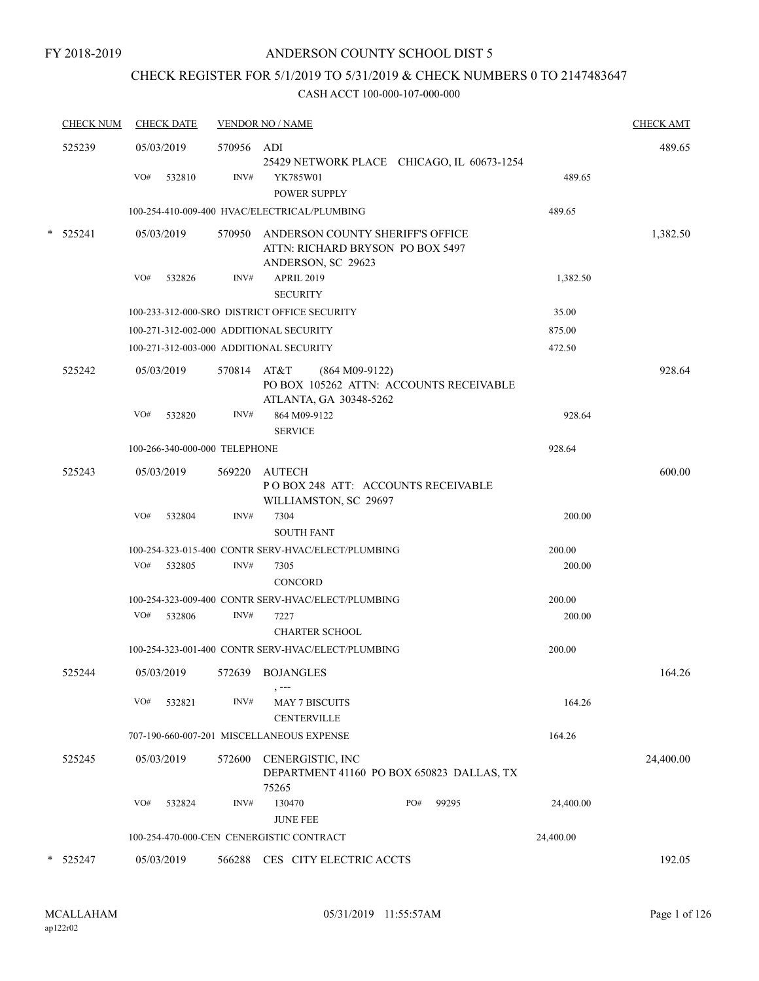## CHECK REGISTER FOR 5/1/2019 TO 5/31/2019 & CHECK NUMBERS 0 TO 2147483647

|   | <b>CHECK NUM</b> | <b>CHECK DATE</b>                       |             | <b>VENDOR NO / NAME</b>                                                                           |           | <b>CHECK AMT</b> |
|---|------------------|-----------------------------------------|-------------|---------------------------------------------------------------------------------------------------|-----------|------------------|
|   | 525239           | 05/03/2019                              | 570956 ADI  | 25429 NETWORK PLACE CHICAGO, IL 60673-1254                                                        |           | 489.65           |
|   |                  | VO#<br>532810                           | INV#        | YK785W01<br>POWER SUPPLY                                                                          | 489.65    |                  |
|   |                  |                                         |             | 100-254-410-009-400 HVAC/ELECTRICAL/PLUMBING                                                      | 489.65    |                  |
|   | $*$ 525241       | 05/03/2019                              |             | 570950 ANDERSON COUNTY SHERIFF'S OFFICE<br>ATTN: RICHARD BRYSON PO BOX 5497<br>ANDERSON, SC 29623 |           | 1,382.50         |
|   |                  | VO#<br>532826                           | INV#        | <b>APRIL 2019</b><br><b>SECURITY</b>                                                              | 1,382.50  |                  |
|   |                  |                                         |             | 100-233-312-000-SRO DISTRICT OFFICE SECURITY                                                      | 35.00     |                  |
|   |                  | 100-271-312-002-000 ADDITIONAL SECURITY |             |                                                                                                   | 875.00    |                  |
|   |                  | 100-271-312-003-000 ADDITIONAL SECURITY |             |                                                                                                   | 472.50    |                  |
|   | 525242           | 05/03/2019                              | 570814 AT&T | $(864 M09-9122)$<br>PO BOX 105262 ATTN: ACCOUNTS RECEIVABLE<br>ATLANTA, GA 30348-5262             |           | 928.64           |
|   |                  | VO#<br>532820                           | INV#        | 864 M09-9122<br><b>SERVICE</b>                                                                    | 928.64    |                  |
|   |                  | 100-266-340-000-000 TELEPHONE           |             |                                                                                                   | 928.64    |                  |
|   | 525243           | 05/03/2019                              |             | 569220 AUTECH<br>POBOX 248 ATT: ACCOUNTS RECEIVABLE<br>WILLIAMSTON, SC 29697                      |           | 600.00           |
|   |                  | VO#<br>532804                           | INV#        | 7304<br><b>SOUTH FANT</b>                                                                         | 200.00    |                  |
|   |                  |                                         |             | 100-254-323-015-400 CONTR SERV-HVAC/ELECT/PLUMBING                                                | 200.00    |                  |
|   |                  | VO#<br>532805                           | INV#        | 7305<br><b>CONCORD</b>                                                                            | 200.00    |                  |
|   |                  |                                         |             | 100-254-323-009-400 CONTR SERV-HVAC/ELECT/PLUMBING                                                | 200.00    |                  |
|   |                  | VO#<br>532806                           | INV#        | 7227<br><b>CHARTER SCHOOL</b>                                                                     | 200.00    |                  |
|   |                  |                                         |             | 100-254-323-001-400 CONTR SERV-HVAC/ELECT/PLUMBING                                                | 200.00    |                  |
|   | 525244           | 05/03/2019                              |             | 572639 BOJANGLES<br>, ---                                                                         |           | 164.26           |
|   |                  | VO#<br>532821                           | INV#        | <b>MAY 7 BISCUITS</b><br><b>CENTERVILLE</b>                                                       | 164.26    |                  |
|   |                  |                                         |             | 707-190-660-007-201 MISCELLANEOUS EXPENSE                                                         | 164.26    |                  |
|   | 525245           | 05/03/2019                              | 572600      | CENERGISTIC, INC<br>DEPARTMENT 41160 PO BOX 650823 DALLAS, TX<br>75265                            |           | 24,400.00        |
|   |                  | VO#<br>532824                           | INV#        | 130470<br>PO#<br>99295<br><b>JUNE FEE</b>                                                         | 24,400.00 |                  |
|   |                  |                                         |             | 100-254-470-000-CEN CENERGISTIC CONTRACT                                                          | 24,400.00 |                  |
| * | 525247           | 05/03/2019                              | 566288      | CES CITY ELECTRIC ACCTS                                                                           |           | 192.05           |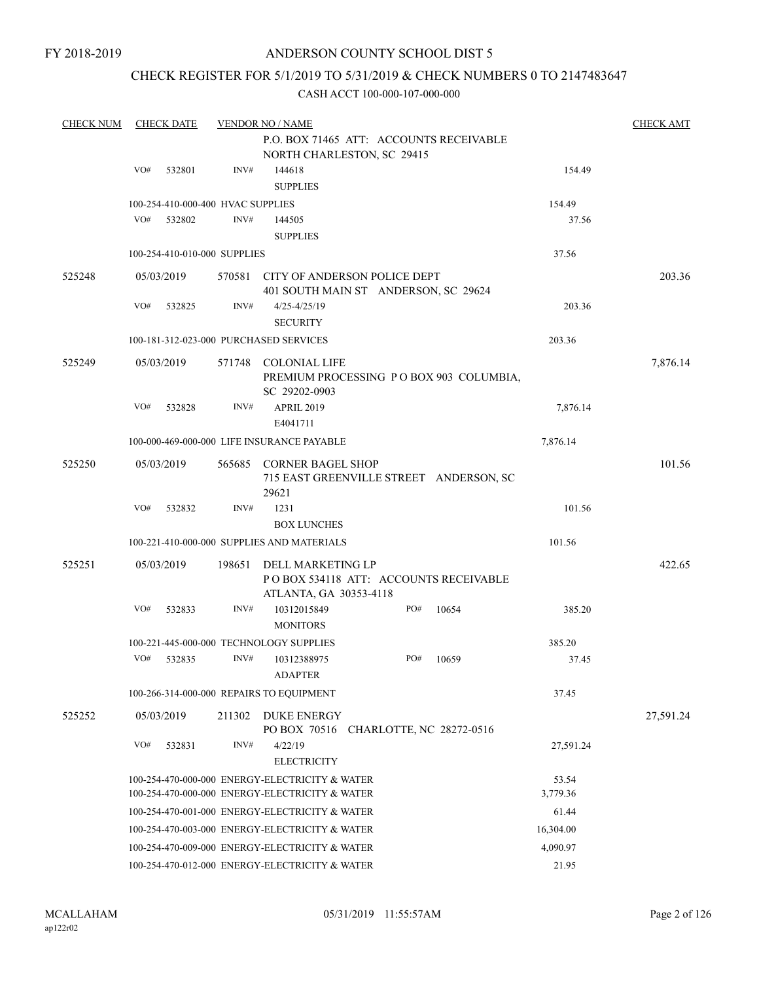## CHECK REGISTER FOR 5/1/2019 TO 5/31/2019 & CHECK NUMBERS 0 TO 2147483647

| <b>CHECK NUM</b> |     | <b>CHECK DATE</b>                 |        | <b>VENDOR NO / NAME</b>                                                               |     |       |           | <b>CHECK AMT</b> |
|------------------|-----|-----------------------------------|--------|---------------------------------------------------------------------------------------|-----|-------|-----------|------------------|
|                  |     |                                   |        | P.O. BOX 71465 ATT: ACCOUNTS RECEIVABLE<br>NORTH CHARLESTON, SC 29415                 |     |       |           |                  |
|                  | VO# | 532801                            | INV#   | 144618                                                                                |     |       | 154.49    |                  |
|                  |     |                                   |        | <b>SUPPLIES</b>                                                                       |     |       |           |                  |
|                  |     | 100-254-410-000-400 HVAC SUPPLIES |        |                                                                                       |     |       | 154.49    |                  |
|                  | VO# | 532802                            | INV#   | 144505                                                                                |     |       | 37.56     |                  |
|                  |     |                                   |        | <b>SUPPLIES</b>                                                                       |     |       |           |                  |
|                  |     | 100-254-410-010-000 SUPPLIES      |        |                                                                                       |     |       | 37.56     |                  |
| 525248           |     | 05/03/2019                        |        | 570581 CITY OF ANDERSON POLICE DEPT<br>401 SOUTH MAIN ST ANDERSON, SC 29624           |     |       |           | 203.36           |
|                  | VO# | 532825                            | INV#   | $4/25 - 4/25/19$                                                                      |     |       | 203.36    |                  |
|                  |     |                                   |        | <b>SECURITY</b>                                                                       |     |       |           |                  |
|                  |     |                                   |        | 100-181-312-023-000 PURCHASED SERVICES                                                |     |       | 203.36    |                  |
| 525249           |     | 05/03/2019                        |        | 571748 COLONIAL LIFE<br>PREMIUM PROCESSING PO BOX 903 COLUMBIA,<br>SC 29202-0903      |     |       |           | 7,876.14         |
|                  | VO# | 532828                            | INV#   | APRIL 2019<br>E4041711                                                                |     |       | 7,876.14  |                  |
|                  |     |                                   |        | 100-000-469-000-000 LIFE INSURANCE PAYABLE                                            |     |       | 7,876.14  |                  |
| 525250           |     | 05/03/2019                        |        | 565685 CORNER BAGEL SHOP                                                              |     |       |           | 101.56           |
|                  |     |                                   |        | 715 EAST GREENVILLE STREET ANDERSON, SC<br>29621                                      |     |       |           |                  |
|                  | VO# | 532832                            | INV#   | 1231                                                                                  |     |       | 101.56    |                  |
|                  |     |                                   |        | <b>BOX LUNCHES</b>                                                                    |     |       |           |                  |
|                  |     |                                   |        | 100-221-410-000-000 SUPPLIES AND MATERIALS                                            |     |       | 101.56    |                  |
| 525251           |     | 05/03/2019                        | 198651 | DELL MARKETING LP<br>PO BOX 534118 ATT: ACCOUNTS RECEIVABLE<br>ATLANTA, GA 30353-4118 |     |       |           | 422.65           |
|                  | VO# | 532833                            | INV#   | 10312015849<br><b>MONITORS</b>                                                        | PO# | 10654 | 385.20    |                  |
|                  |     |                                   |        | 100-221-445-000-000 TECHNOLOGY SUPPLIES                                               |     |       | 385.20    |                  |
|                  | VO# | 532835                            | INV#   | 10312388975<br><b>ADAPTER</b>                                                         | PO# | 10659 | 37.45     |                  |
|                  |     |                                   |        | 100-266-314-000-000 REPAIRS TO EQUIPMENT                                              |     |       | 37.45     |                  |
| 525252           |     | 05/03/2019                        | 211302 | <b>DUKE ENERGY</b>                                                                    |     |       |           | 27,591.24        |
|                  | VO# | 532831                            | INV#   | PO BOX 70516 CHARLOTTE, NC 28272-0516<br>4/22/19<br><b>ELECTRICITY</b>                |     |       | 27,591.24 |                  |
|                  |     |                                   |        | 100-254-470-000-000 ENERGY-ELECTRICITY & WATER                                        |     |       | 53.54     |                  |
|                  |     |                                   |        | 100-254-470-000-000 ENERGY-ELECTRICITY & WATER                                        |     |       | 3,779.36  |                  |
|                  |     |                                   |        | 100-254-470-001-000 ENERGY-ELECTRICITY & WATER                                        |     |       | 61.44     |                  |
|                  |     |                                   |        | 100-254-470-003-000 ENERGY-ELECTRICITY & WATER                                        |     |       | 16,304.00 |                  |
|                  |     |                                   |        | 100-254-470-009-000 ENERGY-ELECTRICITY & WATER                                        |     |       | 4,090.97  |                  |
|                  |     |                                   |        | 100-254-470-012-000 ENERGY-ELECTRICITY & WATER                                        |     |       | 21.95     |                  |
|                  |     |                                   |        |                                                                                       |     |       |           |                  |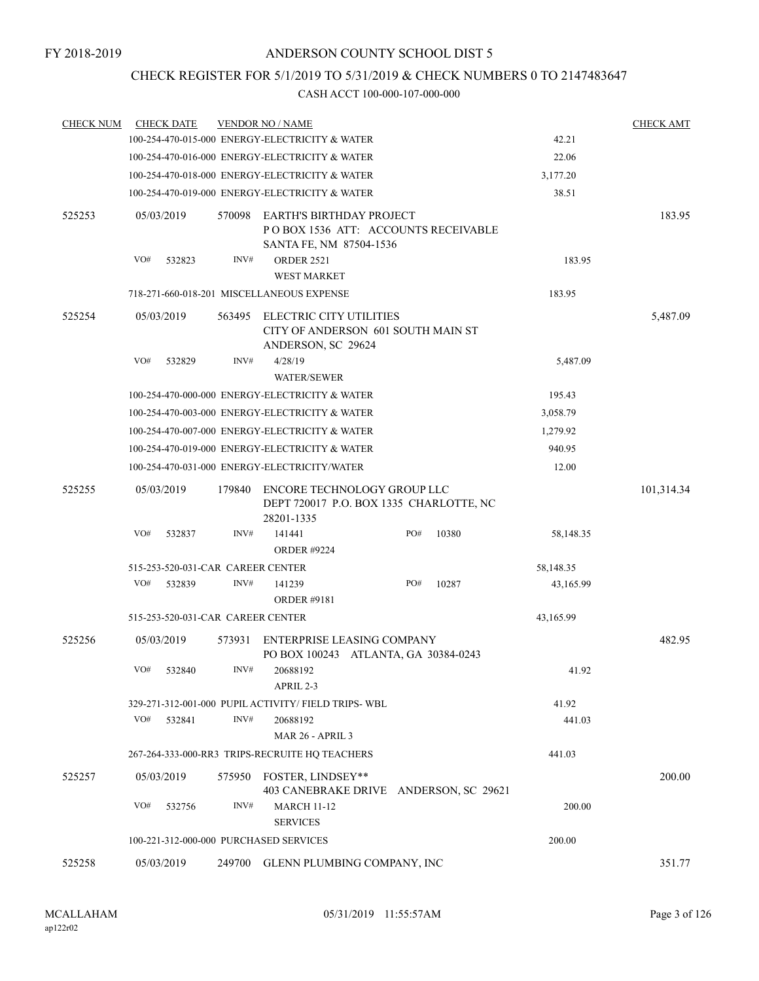## CHECK REGISTER FOR 5/1/2019 TO 5/31/2019 & CHECK NUMBERS 0 TO 2147483647

| <b>CHECK NUM</b> |            | <b>CHECK DATE</b> |        | <b>VENDOR NO / NAME</b>                                                              |     |       |           | <b>CHECK AMT</b> |
|------------------|------------|-------------------|--------|--------------------------------------------------------------------------------------|-----|-------|-----------|------------------|
|                  |            |                   |        | 100-254-470-015-000 ENERGY-ELECTRICITY & WATER                                       |     |       | 42.21     |                  |
|                  |            |                   |        | 100-254-470-016-000 ENERGY-ELECTRICITY & WATER                                       |     |       | 22.06     |                  |
|                  |            |                   |        | 100-254-470-018-000 ENERGY-ELECTRICITY & WATER                                       |     |       | 3,177.20  |                  |
|                  |            |                   |        | 100-254-470-019-000 ENERGY-ELECTRICITY & WATER                                       |     |       | 38.51     |                  |
| 525253           | 05/03/2019 |                   | 570098 | EARTH'S BIRTHDAY PROJECT<br>POBOX 1536 ATT: ACCOUNTS RECEIVABLE                      |     |       |           | 183.95           |
|                  | VO#        | 532823            | INV#   | SANTA FE, NM 87504-1536<br><b>ORDER 2521</b><br><b>WEST MARKET</b>                   |     |       | 183.95    |                  |
|                  |            |                   |        | 718-271-660-018-201 MISCELLANEOUS EXPENSE                                            |     |       | 183.95    |                  |
| 525254           | 05/03/2019 |                   | 563495 | ELECTRIC CITY UTILITIES<br>CITY OF ANDERSON 601 SOUTH MAIN ST<br>ANDERSON, SC 29624  |     |       |           | 5,487.09         |
|                  | VO#        | 532829            | INV#   | 4/28/19<br><b>WATER/SEWER</b>                                                        |     |       | 5,487.09  |                  |
|                  |            |                   |        | 100-254-470-000-000 ENERGY-ELECTRICITY & WATER                                       |     |       | 195.43    |                  |
|                  |            |                   |        | 100-254-470-003-000 ENERGY-ELECTRICITY & WATER                                       |     |       | 3,058.79  |                  |
|                  |            |                   |        | 100-254-470-007-000 ENERGY-ELECTRICITY & WATER                                       |     |       | 1,279.92  |                  |
|                  |            |                   |        | 100-254-470-019-000 ENERGY-ELECTRICITY & WATER                                       |     |       | 940.95    |                  |
|                  |            |                   |        | 100-254-470-031-000 ENERGY-ELECTRICITY/WATER                                         |     |       | 12.00     |                  |
| 525255           | 05/03/2019 |                   | 179840 | ENCORE TECHNOLOGY GROUP LLC<br>DEPT 720017 P.O. BOX 1335 CHARLOTTE, NC<br>28201-1335 |     |       |           | 101,314.34       |
|                  | VO#        | 532837            | INV#   | 141441<br><b>ORDER #9224</b>                                                         | PO# | 10380 | 58,148.35 |                  |
|                  |            |                   |        | 515-253-520-031-CAR CAREER CENTER                                                    |     |       | 58,148.35 |                  |
|                  | VO#        | 532839            | INV#   | 141239<br><b>ORDER #9181</b>                                                         | PO# | 10287 | 43,165.99 |                  |
|                  |            |                   |        | 515-253-520-031-CAR CAREER CENTER                                                    |     |       | 43,165.99 |                  |
| 525256           | 05/03/2019 |                   | 573931 | ENTERPRISE LEASING COMPANY<br>PO BOX 100243 ATLANTA, GA 30384-0243                   |     |       |           | 482.95           |
|                  |            | VO# 532840        | INV#   | 20688192<br>APRIL 2-3                                                                |     |       | 41.92     |                  |
|                  |            |                   |        | 329-271-312-001-000 PUPIL ACTIVITY/ FIELD TRIPS- WBL                                 |     |       | 41.92     |                  |
|                  | VO#        | 532841            | INV#   | 20688192<br><b>MAR 26 - APRIL 3</b>                                                  |     |       | 441.03    |                  |
|                  |            |                   |        | 267-264-333-000-RR3 TRIPS-RECRUITE HQ TEACHERS                                       |     |       | 441.03    |                  |
| 525257           | 05/03/2019 |                   |        | 575950 FOSTER, LINDSEY**<br>403 CANEBRAKE DRIVE ANDERSON, SC 29621                   |     |       |           | 200.00           |
|                  | VO#        | 532756            | INV#   | <b>MARCH 11-12</b><br><b>SERVICES</b>                                                |     |       | 200.00    |                  |
|                  |            |                   |        | 100-221-312-000-000 PURCHASED SERVICES                                               |     |       | 200.00    |                  |
| 525258           | 05/03/2019 |                   |        | 249700 GLENN PLUMBING COMPANY, INC                                                   |     |       |           | 351.77           |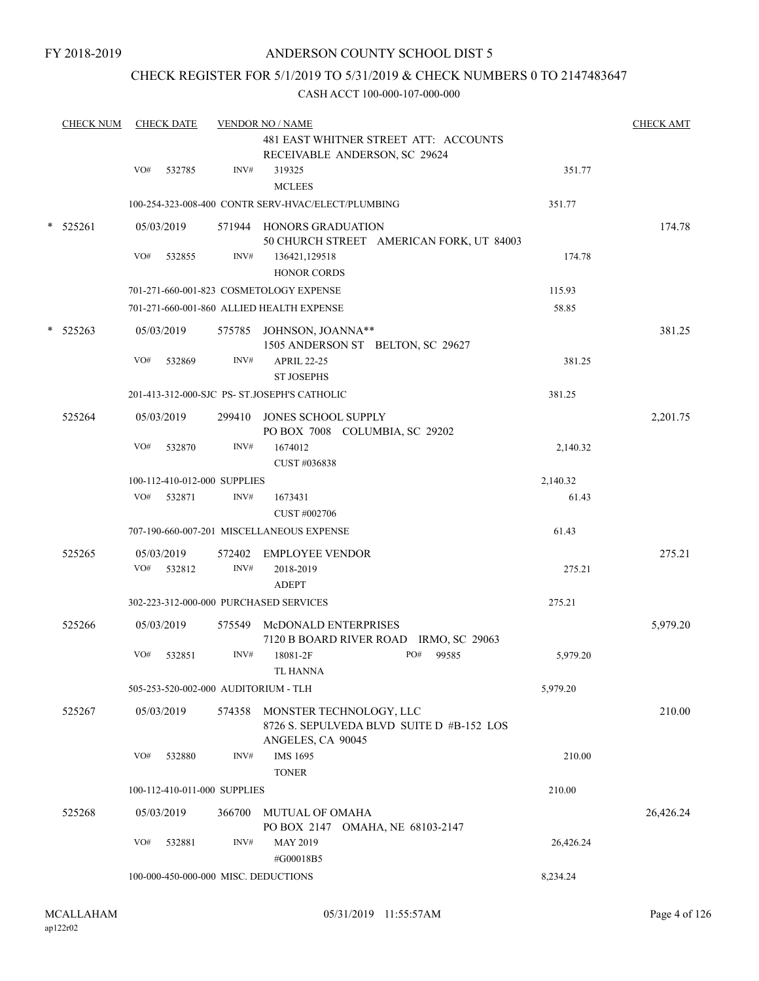## CHECK REGISTER FOR 5/1/2019 TO 5/31/2019 & CHECK NUMBERS 0 TO 2147483647

| <b>CHECK NUM</b> |     | <b>CHECK DATE</b>    |                              | <b>VENDOR NO / NAME</b>                                                                          |     |       |           | <b>CHECK AMT</b> |
|------------------|-----|----------------------|------------------------------|--------------------------------------------------------------------------------------------------|-----|-------|-----------|------------------|
|                  |     |                      |                              | 481 EAST WHITNER STREET ATT: ACCOUNTS<br>RECEIVABLE ANDERSON, SC 29624                           |     |       |           |                  |
|                  | VO# | 532785               | INV#                         | 319325<br><b>MCLEES</b>                                                                          |     |       | 351.77    |                  |
|                  |     |                      |                              | 100-254-323-008-400 CONTR SERV-HVAC/ELECT/PLUMBING                                               |     |       | 351.77    |                  |
| $*$ 525261       |     | 05/03/2019           |                              | 571944 HONORS GRADUATION<br>50 CHURCH STREET AMERICAN FORK, UT 84003                             |     |       |           | 174.78           |
|                  | VO# | 532855               | INV#                         | 136421,129518<br><b>HONOR CORDS</b>                                                              |     |       | 174.78    |                  |
|                  |     |                      |                              | 701-271-660-001-823 COSMETOLOGY EXPENSE                                                          |     |       | 115.93    |                  |
|                  |     |                      |                              | 701-271-660-001-860 ALLIED HEALTH EXPENSE                                                        |     |       | 58.85     |                  |
| $*$ 525263       |     | 05/03/2019           |                              | 575785 JOHNSON, JOANNA**<br>1505 ANDERSON ST BELTON, SC 29627                                    |     |       |           | 381.25           |
|                  | VO# | 532869               | INV#                         | <b>APRIL 22-25</b><br><b>ST JOSEPHS</b>                                                          |     |       | 381.25    |                  |
|                  |     |                      |                              | 201-413-312-000-SJC PS- ST.JOSEPH'S CATHOLIC                                                     |     |       | 381.25    |                  |
| 525264           |     | 05/03/2019           | 299410                       | <b>JONES SCHOOL SUPPLY</b><br>PO BOX 7008 COLUMBIA, SC 29202                                     |     |       |           | 2,201.75         |
|                  | VO# | 532870               | INV#                         | 1674012<br>CUST #036838                                                                          |     |       | 2,140.32  |                  |
|                  |     |                      | 100-112-410-012-000 SUPPLIES |                                                                                                  |     |       | 2,140.32  |                  |
|                  | VO# | 532871               | INV#                         | 1673431<br>CUST #002706                                                                          |     |       | 61.43     |                  |
|                  |     |                      |                              | 707-190-660-007-201 MISCELLANEOUS EXPENSE                                                        |     |       | 61.43     |                  |
| 525265           | VO# | 05/03/2019<br>532812 | INV#                         | 572402 EMPLOYEE VENDOR<br>2018-2019                                                              |     |       | 275.21    | 275.21           |
|                  |     |                      |                              | <b>ADEPT</b>                                                                                     |     |       | 275.21    |                  |
|                  |     |                      |                              | 302-223-312-000-000 PURCHASED SERVICES                                                           |     |       |           |                  |
| 525266           | VO# | 05/03/2019           | INV#                         | 575549 McDONALD ENTERPRISES<br>7120 B BOARD RIVER ROAD IRMO, SC 29063<br>18081-2F                | PO# | 99585 |           | 5,979.20         |
|                  |     | 532851               |                              | TL HANNA                                                                                         |     |       | 5,979.20  |                  |
|                  |     |                      |                              | 505-253-520-002-000 AUDITORIUM - TLH                                                             |     |       | 5,979.20  |                  |
| 525267           |     | 05/03/2019           |                              | 574358 MONSTER TECHNOLOGY, LLC<br>8726 S. SEPULVEDA BLVD SUITE D #B-152 LOS<br>ANGELES, CA 90045 |     |       |           | 210.00           |
|                  | VO# | 532880               | INV#                         | IMS 1695<br><b>TONER</b>                                                                         |     |       | 210.00    |                  |
|                  |     |                      | 100-112-410-011-000 SUPPLIES |                                                                                                  |     |       | 210.00    |                  |
| 525268           |     | 05/03/2019           | 366700                       | MUTUAL OF OMAHA<br>PO BOX 2147 OMAHA, NE 68103-2147                                              |     |       |           | 26,426.24        |
|                  | VO# | 532881               | INV#                         | MAY 2019<br>#G00018B5                                                                            |     |       | 26,426.24 |                  |
|                  |     |                      |                              | 100-000-450-000-000 MISC. DEDUCTIONS                                                             |     |       | 8,234.24  |                  |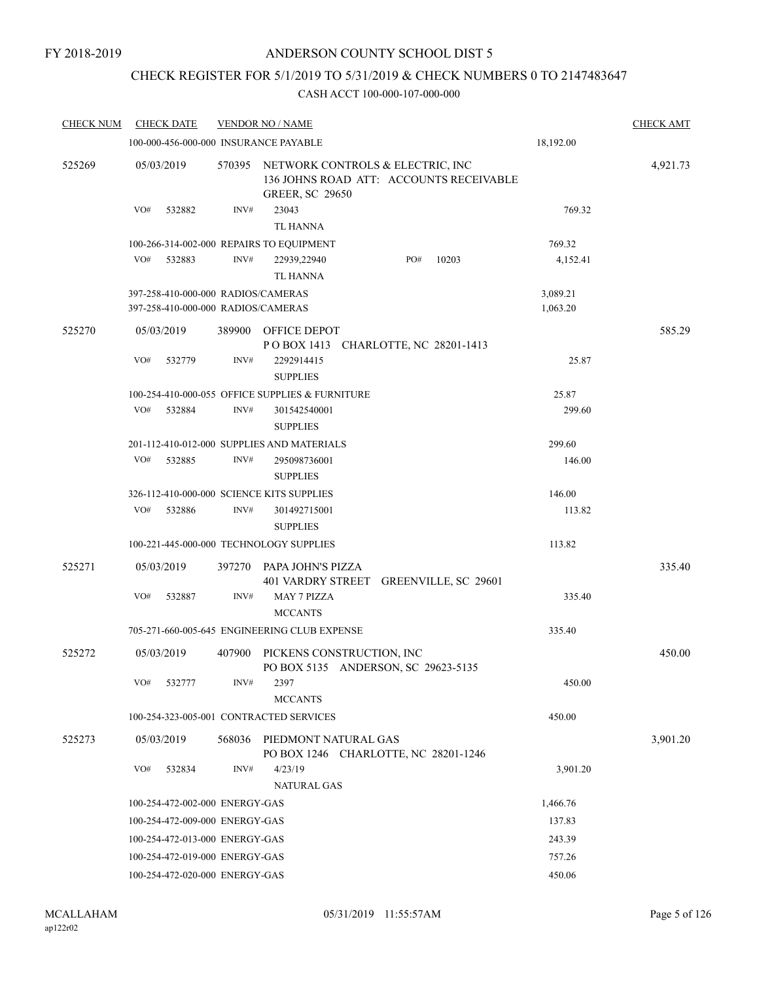## CHECK REGISTER FOR 5/1/2019 TO 5/31/2019 & CHECK NUMBERS 0 TO 2147483647

| <b>CHECK NUM</b> | <b>CHECK DATE</b>                         |        | <b>VENDOR NO / NAME</b>                                                                               |           | <b>CHECK AMT</b> |
|------------------|-------------------------------------------|--------|-------------------------------------------------------------------------------------------------------|-----------|------------------|
|                  | 100-000-456-000-000 INSURANCE PAYABLE     |        |                                                                                                       | 18,192.00 |                  |
| 525269           | 05/03/2019                                | 570395 | NETWORK CONTROLS & ELECTRIC, INC<br>136 JOHNS ROAD ATT: ACCOUNTS RECEIVABLE<br><b>GREER, SC 29650</b> |           | 4,921.73         |
|                  | VO#<br>532882                             | INV#   | 23043<br>TL HANNA                                                                                     | 769.32    |                  |
|                  | 100-266-314-002-000 REPAIRS TO EQUIPMENT  |        |                                                                                                       | 769.32    |                  |
|                  | VO#<br>532883                             | INV#   | PO#<br>22939,22940<br>10203<br><b>TL HANNA</b>                                                        | 4,152.41  |                  |
|                  | 397-258-410-000-000 RADIOS/CAMERAS        |        |                                                                                                       | 3,089.21  |                  |
|                  | 397-258-410-000-000 RADIOS/CAMERAS        |        |                                                                                                       | 1,063.20  |                  |
| 525270           | 05/03/2019                                | 389900 | OFFICE DEPOT<br>POBOX 1413 CHARLOTTE, NC 28201-1413                                                   |           | 585.29           |
|                  | VO#<br>532779                             | INV#   | 2292914415<br><b>SUPPLIES</b>                                                                         | 25.87     |                  |
|                  |                                           |        | 100-254-410-000-055 OFFICE SUPPLIES & FURNITURE                                                       | 25.87     |                  |
|                  | VO#<br>532884                             | INV#   | 301542540001<br><b>SUPPLIES</b>                                                                       | 299.60    |                  |
|                  |                                           |        |                                                                                                       |           |                  |
|                  | VO#                                       | INV#   | 201-112-410-012-000 SUPPLIES AND MATERIALS                                                            | 299.60    |                  |
|                  | 532885                                    |        | 295098736001<br><b>SUPPLIES</b>                                                                       | 146.00    |                  |
|                  | 326-112-410-000-000 SCIENCE KITS SUPPLIES |        |                                                                                                       | 146.00    |                  |
|                  | VO#<br>532886                             | INV#   | 301492715001<br><b>SUPPLIES</b>                                                                       | 113.82    |                  |
|                  | 100-221-445-000-000 TECHNOLOGY SUPPLIES   |        |                                                                                                       | 113.82    |                  |
| 525271           | 05/03/2019                                | 397270 | PAPA JOHN'S PIZZA<br>401 VARDRY STREET GREENVILLE, SC 29601                                           |           | 335.40           |
|                  | VO#<br>532887                             | INV#   | <b>MAY 7 PIZZA</b><br><b>MCCANTS</b>                                                                  | 335.40    |                  |
|                  |                                           |        | 705-271-660-005-645 ENGINEERING CLUB EXPENSE                                                          | 335.40    |                  |
| 525272           | 05/03/2019                                | 407900 | PICKENS CONSTRUCTION, INC<br>PO BOX 5135 ANDERSON, SC 29623-5135                                      |           | 450.00           |
|                  | VO#<br>532777                             | INV#   | 2397<br><b>MCCANTS</b>                                                                                | 450.00    |                  |
|                  | 100-254-323-005-001 CONTRACTED SERVICES   |        |                                                                                                       | 450.00    |                  |
| 525273           | 05/03/2019                                | 568036 | PIEDMONT NATURAL GAS<br>PO BOX 1246 CHARLOTTE, NC 28201-1246                                          |           | 3,901.20         |
|                  | VO#<br>532834                             | INV#   | 4/23/19<br><b>NATURAL GAS</b>                                                                         | 3,901.20  |                  |
|                  | 100-254-472-002-000 ENERGY-GAS            |        |                                                                                                       | 1,466.76  |                  |
|                  | 100-254-472-009-000 ENERGY-GAS            |        |                                                                                                       | 137.83    |                  |
|                  | 100-254-472-013-000 ENERGY-GAS            |        |                                                                                                       | 243.39    |                  |
|                  | 100-254-472-019-000 ENERGY-GAS            |        |                                                                                                       | 757.26    |                  |
|                  | 100-254-472-020-000 ENERGY-GAS            |        |                                                                                                       | 450.06    |                  |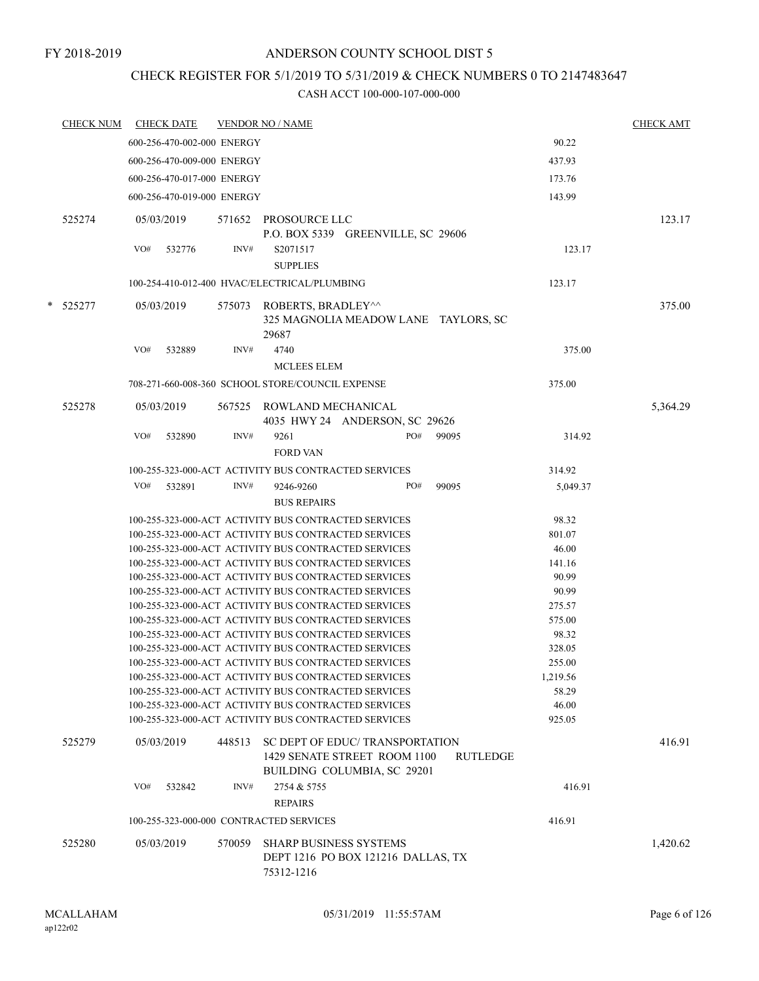### FY 2018-2019

## ANDERSON COUNTY SCHOOL DIST 5

## CHECK REGISTER FOR 5/1/2019 TO 5/31/2019 & CHECK NUMBERS 0 TO 2147483647

| <u>CHECK NUM</u> |     | <b>CHECK DATE</b> |                            | <b>VENDOR NO / NAME</b>                          |                                                                                                              |     |          |                | <b>CHECK AMT</b> |
|------------------|-----|-------------------|----------------------------|--------------------------------------------------|--------------------------------------------------------------------------------------------------------------|-----|----------|----------------|------------------|
|                  |     |                   | 600-256-470-002-000 ENERGY |                                                  |                                                                                                              |     |          | 90.22          |                  |
|                  |     |                   | 600-256-470-009-000 ENERGY |                                                  |                                                                                                              |     |          | 437.93         |                  |
|                  |     |                   | 600-256-470-017-000 ENERGY |                                                  |                                                                                                              |     |          | 173.76         |                  |
|                  |     |                   | 600-256-470-019-000 ENERGY |                                                  |                                                                                                              |     |          | 143.99         |                  |
| 525274           |     | 05/03/2019        |                            | 571652 PROSOURCE LLC                             |                                                                                                              |     |          |                | 123.17           |
|                  | VO# | 532776            | INV#                       | S2071517<br><b>SUPPLIES</b>                      | P.O. BOX 5339 GREENVILLE, SC 29606                                                                           |     |          | 123.17         |                  |
|                  |     |                   |                            | 100-254-410-012-400 HVAC/ELECTRICAL/PLUMBING     |                                                                                                              |     |          | 123.17         |                  |
|                  |     |                   |                            |                                                  |                                                                                                              |     |          |                |                  |
| * 525277         |     | 05/03/2019        |                            | 575073 ROBERTS, BRADLEY^^<br>29687               | 325 MAGNOLIA MEADOW LANE TAYLORS, SC                                                                         |     |          |                | 375.00           |
|                  | VO# | 532889            | INV#                       | 4740                                             |                                                                                                              |     |          | 375.00         |                  |
|                  |     |                   |                            | MCLEES ELEM                                      |                                                                                                              |     |          |                |                  |
|                  |     |                   |                            | 708-271-660-008-360 SCHOOL STORE/COUNCIL EXPENSE |                                                                                                              |     |          | 375.00         |                  |
| 525278           |     | 05/03/2019        |                            | 567525 ROWLAND MECHANICAL                        | 4035 HWY 24 ANDERSON, SC 29626                                                                               |     |          |                | 5,364.29         |
|                  | VO# | 532890            | INV#                       | 9261                                             |                                                                                                              | PO# | 99095    | 314.92         |                  |
|                  |     |                   |                            | <b>FORD VAN</b>                                  |                                                                                                              |     |          |                |                  |
|                  |     |                   |                            |                                                  | 100-255-323-000-ACT ACTIVITY BUS CONTRACTED SERVICES                                                         |     |          | 314.92         |                  |
|                  | VO# | 532891            | INV#                       | 9246-9260                                        |                                                                                                              | PO# | 99095    | 5,049.37       |                  |
|                  |     |                   |                            | <b>BUS REPAIRS</b>                               |                                                                                                              |     |          |                |                  |
|                  |     |                   |                            |                                                  | 100-255-323-000-ACT ACTIVITY BUS CONTRACTED SERVICES                                                         |     |          | 98.32          |                  |
|                  |     |                   |                            |                                                  | 100-255-323-000-ACT ACTIVITY BUS CONTRACTED SERVICES                                                         |     |          | 801.07         |                  |
|                  |     |                   |                            |                                                  | 100-255-323-000-ACT ACTIVITY BUS CONTRACTED SERVICES                                                         |     |          | 46.00          |                  |
|                  |     |                   |                            |                                                  | 100-255-323-000-ACT ACTIVITY BUS CONTRACTED SERVICES                                                         |     |          | 141.16         |                  |
|                  |     |                   |                            |                                                  | 100-255-323-000-ACT ACTIVITY BUS CONTRACTED SERVICES                                                         |     |          | 90.99          |                  |
|                  |     |                   |                            |                                                  | 100-255-323-000-ACT ACTIVITY BUS CONTRACTED SERVICES                                                         |     |          | 90.99          |                  |
|                  |     |                   |                            |                                                  | 100-255-323-000-ACT ACTIVITY BUS CONTRACTED SERVICES                                                         |     |          | 275.57         |                  |
|                  |     |                   |                            |                                                  | 100-255-323-000-ACT ACTIVITY BUS CONTRACTED SERVICES                                                         |     |          | 575.00         |                  |
|                  |     |                   |                            |                                                  | 100-255-323-000-ACT ACTIVITY BUS CONTRACTED SERVICES                                                         |     |          | 98.32          |                  |
|                  |     |                   |                            |                                                  | 100-255-323-000-ACT ACTIVITY BUS CONTRACTED SERVICES                                                         |     |          | 328.05         |                  |
|                  |     |                   |                            |                                                  | 100-255-323-000-ACT ACTIVITY BUS CONTRACTED SERVICES                                                         |     |          | 255.00         |                  |
|                  |     |                   |                            |                                                  | 100-255-323-000-ACT ACTIVITY BUS CONTRACTED SERVICES                                                         |     |          | 1,219.56       |                  |
|                  |     |                   |                            |                                                  | 100-255-323-000-ACT ACTIVITY BUS CONTRACTED SERVICES<br>100-255-323-000-ACT ACTIVITY BUS CONTRACTED SERVICES |     |          | 58.29<br>46.00 |                  |
|                  |     |                   |                            |                                                  | 100-255-323-000-ACT ACTIVITY BUS CONTRACTED SERVICES                                                         |     |          | 925.05         |                  |
|                  |     |                   |                            |                                                  |                                                                                                              |     |          |                |                  |
| 525279           |     | 05/03/2019        | 448513                     |                                                  | SC DEPT OF EDUC/TRANSPORTATION<br>1429 SENATE STREET ROOM 1100<br>BUILDING COLUMBIA, SC 29201                |     | RUTLEDGE |                | 416.91           |
|                  | VO# | 532842            | INV#                       | 2754 & 5755                                      |                                                                                                              |     |          | 416.91         |                  |
|                  |     |                   |                            | <b>REPAIRS</b>                                   |                                                                                                              |     |          |                |                  |
|                  |     |                   |                            | 100-255-323-000-000 CONTRACTED SERVICES          |                                                                                                              |     |          | 416.91         |                  |
| 525280           |     | 05/03/2019        | 570059                     |                                                  | <b>SHARP BUSINESS SYSTEMS</b>                                                                                |     |          |                | 1,420.62         |
|                  |     |                   |                            | 75312-1216                                       | DEPT 1216 PO BOX 121216 DALLAS, TX                                                                           |     |          |                |                  |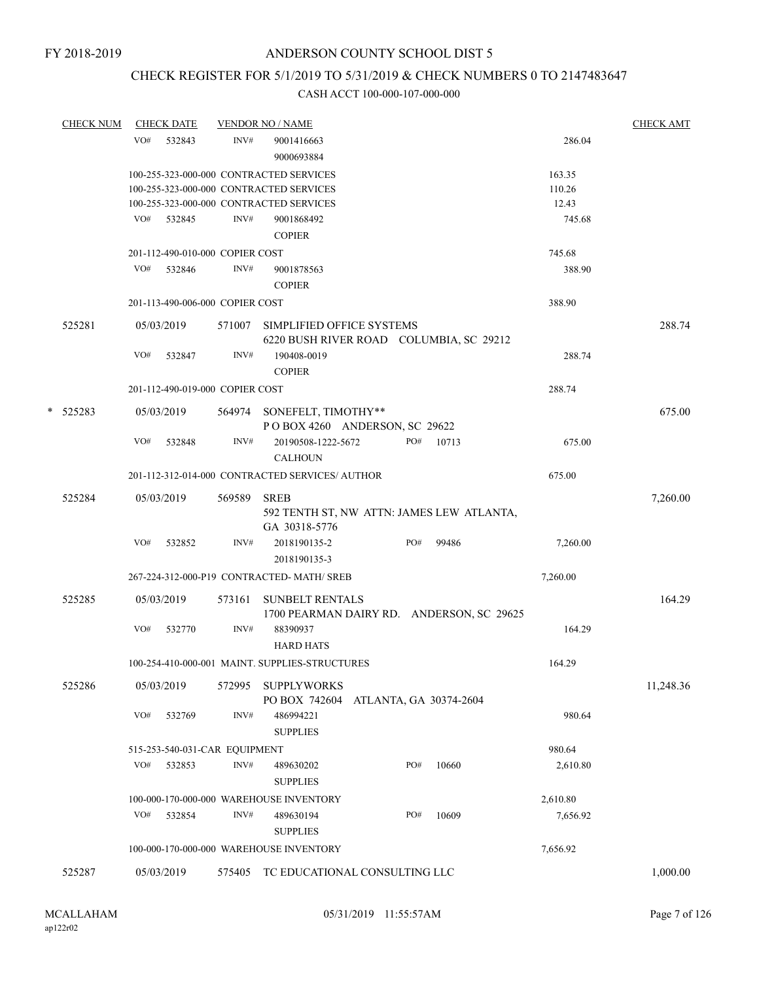## CHECK REGISTER FOR 5/1/2019 TO 5/31/2019 & CHECK NUMBERS 0 TO 2147483647

| VO#<br>INV#<br>532843<br>9001416663<br>9000693884<br>100-255-323-000-000 CONTRACTED SERVICES<br>100-255-323-000-000 CONTRACTED SERVICES<br>100-255-323-000-000 CONTRACTED SERVICES<br>VO# 532845<br>INV#<br>9001868492<br><b>COPIER</b><br>201-112-490-010-000 COPIER COST<br>VO#<br>532846<br>INV#<br>9001878563<br><b>COPIER</b><br>201-113-490-006-000 COPIER COST | 286.04<br>163.35<br>110.26<br>12.43<br>745.68<br>745.68<br>388.90<br>388.90<br>6220 BUSH RIVER ROAD COLUMBIA, SC 29212<br>288.74<br>288.74<br>PO# 10713<br>675.00 | 288.74<br>675.00 |
|-----------------------------------------------------------------------------------------------------------------------------------------------------------------------------------------------------------------------------------------------------------------------------------------------------------------------------------------------------------------------|-------------------------------------------------------------------------------------------------------------------------------------------------------------------|------------------|
|                                                                                                                                                                                                                                                                                                                                                                       |                                                                                                                                                                   |                  |
|                                                                                                                                                                                                                                                                                                                                                                       |                                                                                                                                                                   |                  |
|                                                                                                                                                                                                                                                                                                                                                                       |                                                                                                                                                                   |                  |
|                                                                                                                                                                                                                                                                                                                                                                       |                                                                                                                                                                   |                  |
|                                                                                                                                                                                                                                                                                                                                                                       |                                                                                                                                                                   |                  |
|                                                                                                                                                                                                                                                                                                                                                                       |                                                                                                                                                                   |                  |
|                                                                                                                                                                                                                                                                                                                                                                       |                                                                                                                                                                   |                  |
|                                                                                                                                                                                                                                                                                                                                                                       |                                                                                                                                                                   |                  |
|                                                                                                                                                                                                                                                                                                                                                                       |                                                                                                                                                                   |                  |
|                                                                                                                                                                                                                                                                                                                                                                       |                                                                                                                                                                   |                  |
| 525281<br>05/03/2019<br>571007<br>SIMPLIFIED OFFICE SYSTEMS                                                                                                                                                                                                                                                                                                           |                                                                                                                                                                   |                  |
| INV#<br>VO#<br>532847<br>190408-0019<br><b>COPIER</b>                                                                                                                                                                                                                                                                                                                 |                                                                                                                                                                   |                  |
| 201-112-490-019-000 COPIER COST                                                                                                                                                                                                                                                                                                                                       |                                                                                                                                                                   |                  |
| * 525283<br>564974 SONEFELT, TIMOTHY**<br>05/03/2019<br>POBOX 4260 ANDERSON, SC 29622                                                                                                                                                                                                                                                                                 |                                                                                                                                                                   |                  |
| INV#<br>VO#<br>20190508-1222-5672<br>532848<br><b>CALHOUN</b>                                                                                                                                                                                                                                                                                                         |                                                                                                                                                                   |                  |
| 201-112-312-014-000 CONTRACTED SERVICES/ AUTHOR                                                                                                                                                                                                                                                                                                                       | 675.00                                                                                                                                                            |                  |
| 525284<br>05/03/2019<br>569589<br><b>SREB</b><br>GA 30318-5776                                                                                                                                                                                                                                                                                                        | 592 TENTH ST, NW ATTN: JAMES LEW ATLANTA,                                                                                                                         | 7,260.00         |
| VO#<br>532852<br>INV#<br>2018190135-2<br>2018190135-3                                                                                                                                                                                                                                                                                                                 | PO#<br>99486<br>7,260.00                                                                                                                                          |                  |
| 267-224-312-000-P19 CONTRACTED-MATH/ SREB                                                                                                                                                                                                                                                                                                                             | 7,260.00                                                                                                                                                          |                  |
| 525285<br><b>SUNBELT RENTALS</b><br>05/03/2019<br>573161                                                                                                                                                                                                                                                                                                              | 1700 PEARMAN DAIRY RD. ANDERSON, SC 29625                                                                                                                         | 164.29           |
| INV#<br>VO#<br>532770<br>88390937<br><b>HARD HATS</b>                                                                                                                                                                                                                                                                                                                 | 164.29                                                                                                                                                            |                  |
| 100-254-410-000-001 MAINT. SUPPLIES-STRUCTURES                                                                                                                                                                                                                                                                                                                        | 164.29                                                                                                                                                            |                  |
| 525286<br>05/03/2019<br><b>SUPPLYWORKS</b><br>572995<br>PO BOX 742604                                                                                                                                                                                                                                                                                                 | ATLANTA, GA 30374-2604                                                                                                                                            | 11,248.36        |
| VO#<br>532769<br>INV#<br>486994221<br><b>SUPPLIES</b>                                                                                                                                                                                                                                                                                                                 | 980.64                                                                                                                                                            |                  |
| 515-253-540-031-CAR EQUIPMENT                                                                                                                                                                                                                                                                                                                                         | 980.64                                                                                                                                                            |                  |
| VO#<br>532853<br>INV#<br>489630202<br><b>SUPPLIES</b>                                                                                                                                                                                                                                                                                                                 | PO#<br>2,610.80<br>10660                                                                                                                                          |                  |
| 100-000-170-000-000 WAREHOUSE INVENTORY                                                                                                                                                                                                                                                                                                                               | 2,610.80                                                                                                                                                          |                  |
| VO#<br>INV#                                                                                                                                                                                                                                                                                                                                                           | PO#<br>10609<br>7,656.92                                                                                                                                          |                  |
| 532854<br>489630194<br><b>SUPPLIES</b>                                                                                                                                                                                                                                                                                                                                |                                                                                                                                                                   |                  |
| 100-000-170-000-000 WAREHOUSE INVENTORY                                                                                                                                                                                                                                                                                                                               | 7,656.92                                                                                                                                                          |                  |
| 525287<br>05/03/2019<br>575405<br>TC EDUCATIONAL CONSULTING LLC                                                                                                                                                                                                                                                                                                       |                                                                                                                                                                   | 1,000.00         |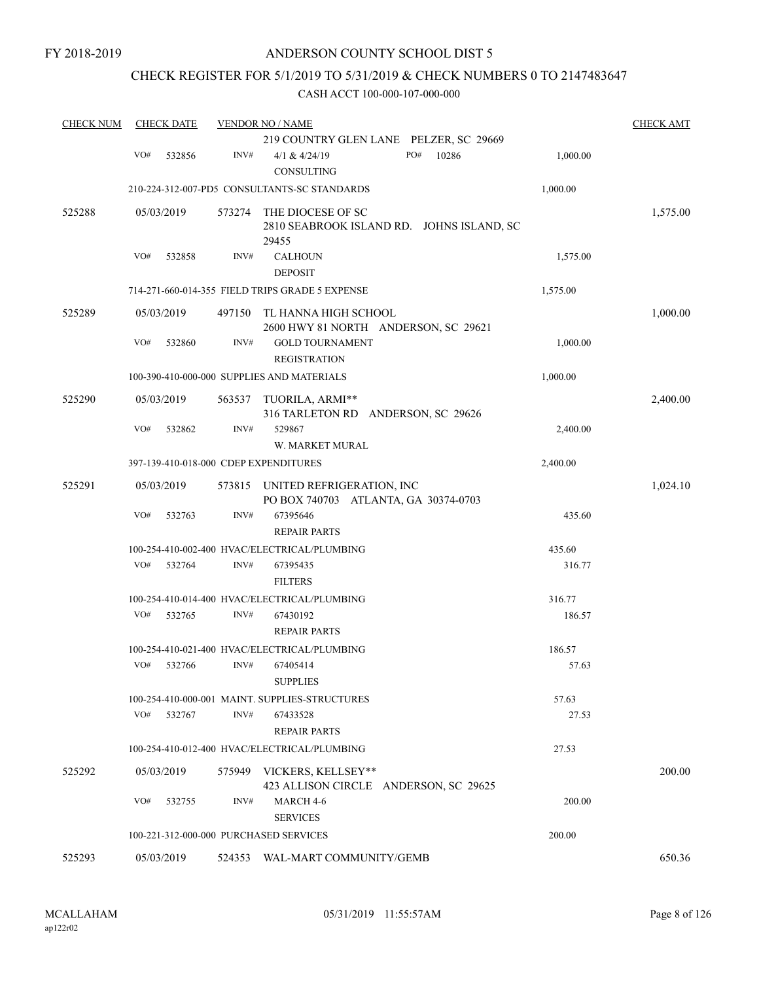## CHECK REGISTER FOR 5/1/2019 TO 5/31/2019 & CHECK NUMBERS 0 TO 2147483647

| <b>CHECK NUM</b> | <b>CHECK DATE</b>                      |        | <b>VENDOR NO / NAME</b>                                                 |          | <b>CHECK AMT</b> |
|------------------|----------------------------------------|--------|-------------------------------------------------------------------------|----------|------------------|
|                  |                                        |        | 219 COUNTRY GLEN LANE PELZER, SC 29669                                  |          |                  |
|                  | VO#<br>532856                          | INV#   | PO#<br>10286<br>4/1 & 4/24/19<br>CONSULTING                             | 1,000.00 |                  |
|                  |                                        |        | 210-224-312-007-PD5 CONSULTANTS-SC STANDARDS                            | 1,000.00 |                  |
| 525288           | 05/03/2019                             | 573274 | THE DIOCESE OF SC<br>2810 SEABROOK ISLAND RD. JOHNS ISLAND, SC<br>29455 |          | 1,575.00         |
|                  | VO#<br>532858                          | INV#   | <b>CALHOUN</b><br><b>DEPOSIT</b>                                        | 1,575.00 |                  |
|                  |                                        |        | 714-271-660-014-355 FIELD TRIPS GRADE 5 EXPENSE                         | 1,575.00 |                  |
| 525289           | 05/03/2019                             | 497150 | TL HANNA HIGH SCHOOL<br>2600 HWY 81 NORTH ANDERSON, SC 29621            |          | 1,000.00         |
|                  | VO#<br>532860                          | INV#   | <b>GOLD TOURNAMENT</b><br><b>REGISTRATION</b>                           | 1,000.00 |                  |
|                  |                                        |        | 100-390-410-000-000 SUPPLIES AND MATERIALS                              | 1,000.00 |                  |
| 525290           | 05/03/2019                             | 563537 | TUORILA, ARMI**<br>316 TARLETON RD ANDERSON, SC 29626                   |          | 2,400.00         |
|                  | VO#<br>532862                          | INV#   | 529867<br>W. MARKET MURAL                                               | 2,400.00 |                  |
|                  | 397-139-410-018-000 CDEP EXPENDITURES  |        |                                                                         | 2,400.00 |                  |
| 525291           | 05/03/2019                             | 573815 | UNITED REFRIGERATION, INC<br>PO BOX 740703 ATLANTA, GA 30374-0703       |          | 1,024.10         |
|                  | VO#<br>532763                          | INV#   | 67395646<br><b>REPAIR PARTS</b>                                         | 435.60   |                  |
|                  |                                        |        | 100-254-410-002-400 HVAC/ELECTRICAL/PLUMBING                            | 435.60   |                  |
|                  | VO#<br>532764                          | INV#   | 67395435<br><b>FILTERS</b>                                              | 316.77   |                  |
|                  |                                        |        | 100-254-410-014-400 HVAC/ELECTRICAL/PLUMBING                            | 316.77   |                  |
|                  | VO#<br>532765                          | INV#   | 67430192<br><b>REPAIR PARTS</b>                                         | 186.57   |                  |
|                  |                                        |        | 100-254-410-021-400 HVAC/ELECTRICAL/PLUMBING                            | 186.57   |                  |
|                  | VO#<br>532766                          | INV#   | 67405414<br><b>SUPPLIES</b>                                             | 57.63    |                  |
|                  |                                        |        | 100-254-410-000-001 MAINT. SUPPLIES-STRUCTURES                          | 57.63    |                  |
|                  | VO#<br>532767                          | INV#   | 67433528<br><b>REPAIR PARTS</b>                                         | 27.53    |                  |
|                  |                                        |        | 100-254-410-012-400 HVAC/ELECTRICAL/PLUMBING                            | 27.53    |                  |
| 525292           | 05/03/2019                             |        | 575949 VICKERS, KELLSEY**<br>423 ALLISON CIRCLE ANDERSON, SC 29625      |          | 200.00           |
|                  | VO#<br>532755                          | INV#   | MARCH 4-6<br><b>SERVICES</b>                                            | 200.00   |                  |
|                  | 100-221-312-000-000 PURCHASED SERVICES |        |                                                                         | 200.00   |                  |
| 525293           | 05/03/2019                             | 524353 | WAL-MART COMMUNITY/GEMB                                                 |          | 650.36           |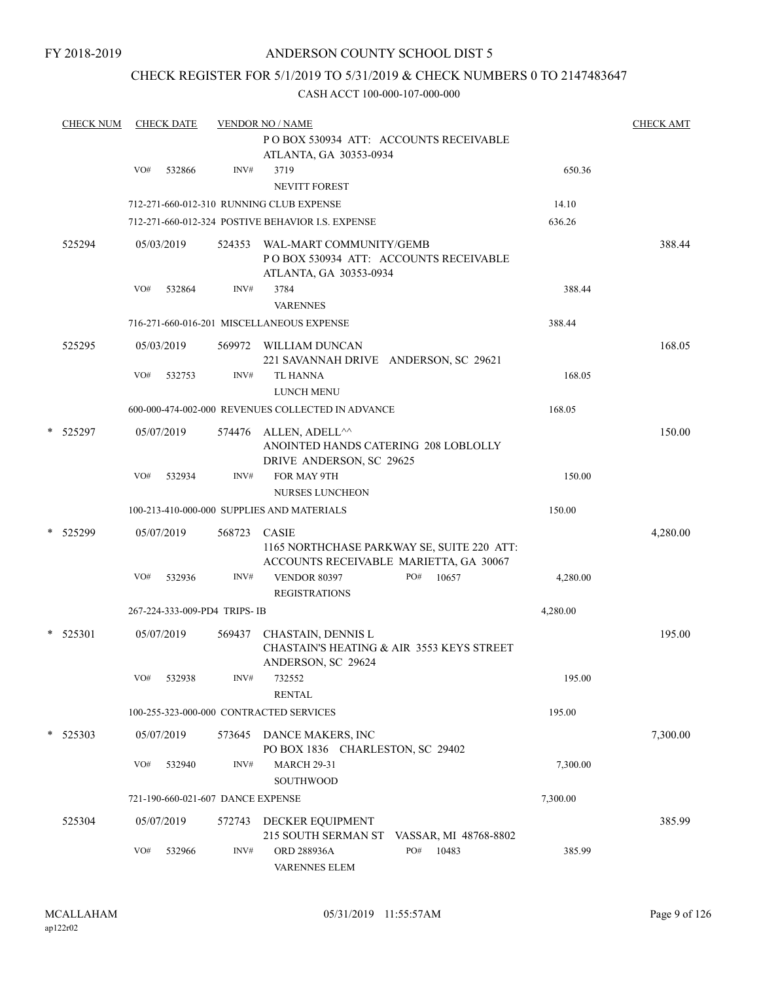FY 2018-2019

## ANDERSON COUNTY SCHOOL DIST 5

## CHECK REGISTER FOR 5/1/2019 TO 5/31/2019 & CHECK NUMBERS 0 TO 2147483647

| <b>CHECK NUM</b> |     | <b>CHECK DATE</b> |                                   | <b>VENDOR NO / NAME</b>                                                                               |          | <b>CHECK AMT</b> |
|------------------|-----|-------------------|-----------------------------------|-------------------------------------------------------------------------------------------------------|----------|------------------|
|                  |     |                   |                                   | POBOX 530934 ATT: ACCOUNTS RECEIVABLE<br>ATLANTA, GA 30353-0934                                       |          |                  |
|                  | VO# | 532866            | INV#                              | 3719                                                                                                  | 650.36   |                  |
|                  |     |                   |                                   | NEVITT FOREST                                                                                         |          |                  |
|                  |     |                   |                                   | 712-271-660-012-310 RUNNING CLUB EXPENSE                                                              | 14.10    |                  |
|                  |     |                   |                                   | 712-271-660-012-324 POSTIVE BEHAVIOR I.S. EXPENSE                                                     | 636.26   |                  |
| 525294           |     | 05/03/2019        | 524353                            | WAL-MART COMMUNITY/GEMB<br>PO BOX 530934 ATT: ACCOUNTS RECEIVABLE                                     |          | 388.44           |
|                  | VO# | 532864            | INV#                              | ATLANTA, GA 30353-0934<br>3784<br><b>VARENNES</b>                                                     | 388.44   |                  |
|                  |     |                   |                                   | 716-271-660-016-201 MISCELLANEOUS EXPENSE                                                             | 388.44   |                  |
|                  |     |                   |                                   |                                                                                                       |          |                  |
| 525295           |     | 05/03/2019        |                                   | 569972 WILLIAM DUNCAN<br>221 SAVANNAH DRIVE ANDERSON, SC 29621                                        |          | 168.05           |
|                  | VO# | 532753            | INV#                              | <b>TL HANNA</b><br><b>LUNCH MENU</b>                                                                  | 168.05   |                  |
|                  |     |                   |                                   | 600-000-474-002-000 REVENUES COLLECTED IN ADVANCE                                                     | 168.05   |                  |
| * 525297         |     | 05/07/2019        | 574476                            | ALLEN, ADELL^^<br>ANOINTED HANDS CATERING 208 LOBLOLLY<br>DRIVE ANDERSON, SC 29625                    |          | 150.00           |
|                  | VO# | 532934            | INV#                              | FOR MAY 9TH<br><b>NURSES LUNCHEON</b>                                                                 | 150.00   |                  |
|                  |     |                   |                                   | 100-213-410-000-000 SUPPLIES AND MATERIALS                                                            | 150.00   |                  |
| * 525299         |     | 05/07/2019        | 568723                            | <b>CASIE</b><br>1165 NORTHCHASE PARKWAY SE, SUITE 220 ATT:                                            |          | 4,280.00         |
|                  | VO# | 532936            | INV#                              | ACCOUNTS RECEIVABLE MARIETTA, GA 30067<br>PO#<br><b>VENDOR 80397</b><br>10657<br><b>REGISTRATIONS</b> | 4,280.00 |                  |
|                  |     |                   | 267-224-333-009-PD4 TRIPS- IB     |                                                                                                       | 4,280.00 |                  |
|                  |     |                   |                                   |                                                                                                       |          |                  |
| $*$ 525301       |     | 05/07/2019        | 569437                            | CHASTAIN, DENNIS L<br>CHASTAIN'S HEATING & AIR 3553 KEYS STREET<br>ANDERSON, SC 29624                 |          | 195.00           |
|                  | VO# | 532938            | INV#                              | 732552<br><b>RENTAL</b>                                                                               | 195.00   |                  |
|                  |     |                   |                                   | 100-255-323-000-000 CONTRACTED SERVICES                                                               | 195.00   |                  |
| $*$ 525303       |     | 05/07/2019        |                                   | 573645 DANCE MAKERS, INC<br>PO BOX 1836 CHARLESTON, SC 29402                                          |          | 7,300.00         |
|                  | VO# | 532940            | INV#                              | <b>MARCH 29-31</b><br><b>SOUTHWOOD</b>                                                                | 7,300.00 |                  |
|                  |     |                   | 721-190-660-021-607 DANCE EXPENSE |                                                                                                       | 7,300.00 |                  |
| 525304           |     | 05/07/2019        | 572743                            | DECKER EQUIPMENT<br>215 SOUTH SERMAN ST VASSAR, MI 48768-8802                                         |          | 385.99           |
|                  | VO# | 532966            | INV#                              | PO#<br>10483<br>ORD 288936A<br>VARENNES ELEM                                                          | 385.99   |                  |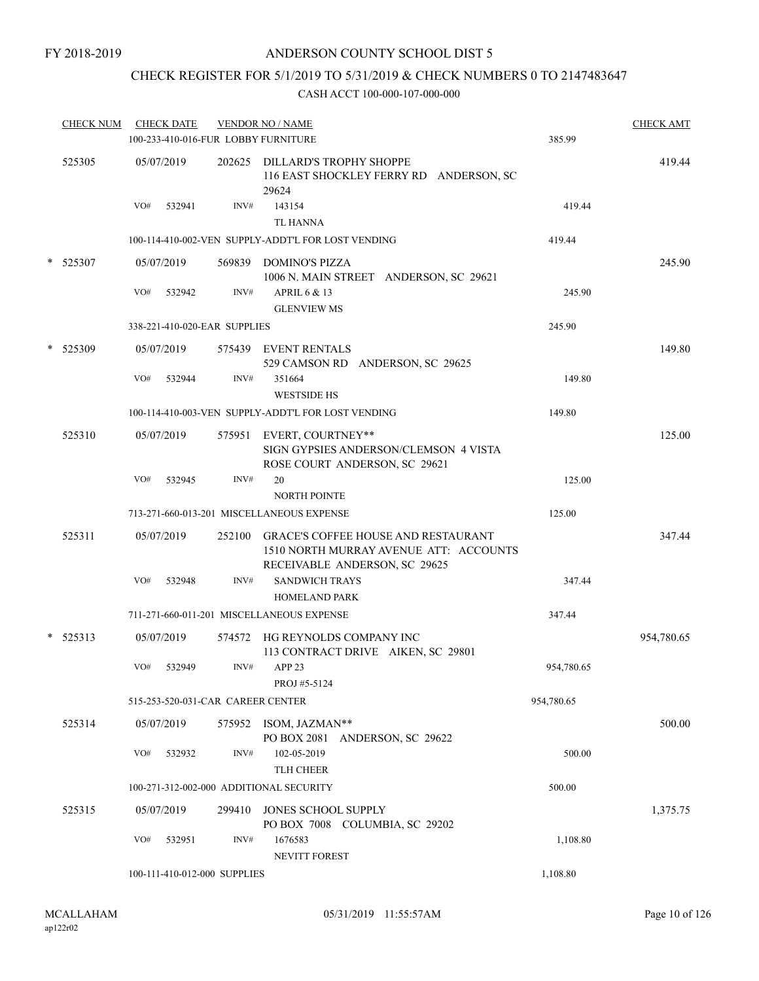## CHECK REGISTER FOR 5/1/2019 TO 5/31/2019 & CHECK NUMBERS 0 TO 2147483647

|   | <b>CHECK NUM</b> |     | <b>CHECK DATE</b> |                                   | <b>VENDOR NO / NAME</b><br>100-233-410-016-FUR LOBBY FURNITURE                                     | 385.99     | <b>CHECK AMT</b> |
|---|------------------|-----|-------------------|-----------------------------------|----------------------------------------------------------------------------------------------------|------------|------------------|
|   | 525305           |     | 05/07/2019        |                                   | 202625 DILLARD'S TROPHY SHOPPE<br>116 EAST SHOCKLEY FERRY RD ANDERSON, SC<br>29624                 |            | 419.44           |
|   |                  | VO# | 532941            | INV#                              | 143154<br><b>TL HANNA</b>                                                                          | 419.44     |                  |
|   |                  |     |                   |                                   | 100-114-410-002-VEN SUPPLY-ADDT'L FOR LOST VENDING                                                 | 419.44     |                  |
|   | * 525307         |     | 05/07/2019        |                                   | 569839 DOMINO'S PIZZA<br>1006 N. MAIN STREET ANDERSON, SC 29621                                    |            | 245.90           |
|   |                  | VO# | 532942            | INV#                              | APRIL 6 & 13<br><b>GLENVIEW MS</b>                                                                 | 245.90     |                  |
|   |                  |     |                   | 338-221-410-020-EAR SUPPLIES      |                                                                                                    | 245.90     |                  |
|   | * 525309         |     | 05/07/2019        |                                   | 575439 EVENT RENTALS<br>529 CAMSON RD ANDERSON, SC 29625                                           |            | 149.80           |
|   |                  | VO# | 532944            | INV#                              | 351664<br><b>WESTSIDE HS</b>                                                                       | 149.80     |                  |
|   |                  |     |                   |                                   | 100-114-410-003-VEN SUPPLY-ADDT'L FOR LOST VENDING                                                 | 149.80     |                  |
|   | 525310           |     | 05/07/2019        |                                   | 575951 EVERT, COURTNEY**<br>SIGN GYPSIES ANDERSON/CLEMSON 4 VISTA<br>ROSE COURT ANDERSON, SC 29621 |            | 125.00           |
|   |                  | VO# | 532945            | INV#                              | 20<br><b>NORTH POINTE</b>                                                                          | 125.00     |                  |
|   |                  |     |                   |                                   | 713-271-660-013-201 MISCELLANEOUS EXPENSE                                                          | 125.00     |                  |
|   | 525311           |     | 05/07/2019        | 252100                            | <b>GRACE'S COFFEE HOUSE AND RESTAURANT</b><br>1510 NORTH MURRAY AVENUE ATT: ACCOUNTS               |            | 347.44           |
|   |                  | VO# | 532948            | INV#                              | RECEIVABLE ANDERSON, SC 29625<br><b>SANDWICH TRAYS</b><br><b>HOMELAND PARK</b>                     | 347.44     |                  |
|   |                  |     |                   |                                   | 711-271-660-011-201 MISCELLANEOUS EXPENSE                                                          | 347.44     |                  |
| * | 525313           |     | 05/07/2019        |                                   | 574572 HG REYNOLDS COMPANY INC<br>113 CONTRACT DRIVE AIKEN, SC 29801                               |            | 954,780.65       |
|   |                  | VO# | 532949            | INV#                              | APP <sub>23</sub><br>PROJ #5-5124                                                                  | 954,780.65 |                  |
|   |                  |     |                   | 515-253-520-031-CAR CAREER CENTER |                                                                                                    | 954,780.65 |                  |
|   | 525314           |     | 05/07/2019        |                                   | 575952 ISOM, JAZMAN**<br>PO BOX 2081 ANDERSON, SC 29622                                            |            | 500.00           |
|   |                  | VO# | 532932            | INV#                              | 102-05-2019<br><b>TLH CHEER</b>                                                                    | 500.00     |                  |
|   |                  |     |                   |                                   | 100-271-312-002-000 ADDITIONAL SECURITY                                                            | 500.00     |                  |
|   | 525315           |     | 05/07/2019        | 299410                            | JONES SCHOOL SUPPLY<br>PO BOX 7008 COLUMBIA, SC 29202                                              |            | 1,375.75         |
|   |                  | VO# | 532951            | INV#                              | 1676583<br>NEVITT FOREST                                                                           | 1,108.80   |                  |
|   |                  |     |                   | 100-111-410-012-000 SUPPLIES      |                                                                                                    | 1,108.80   |                  |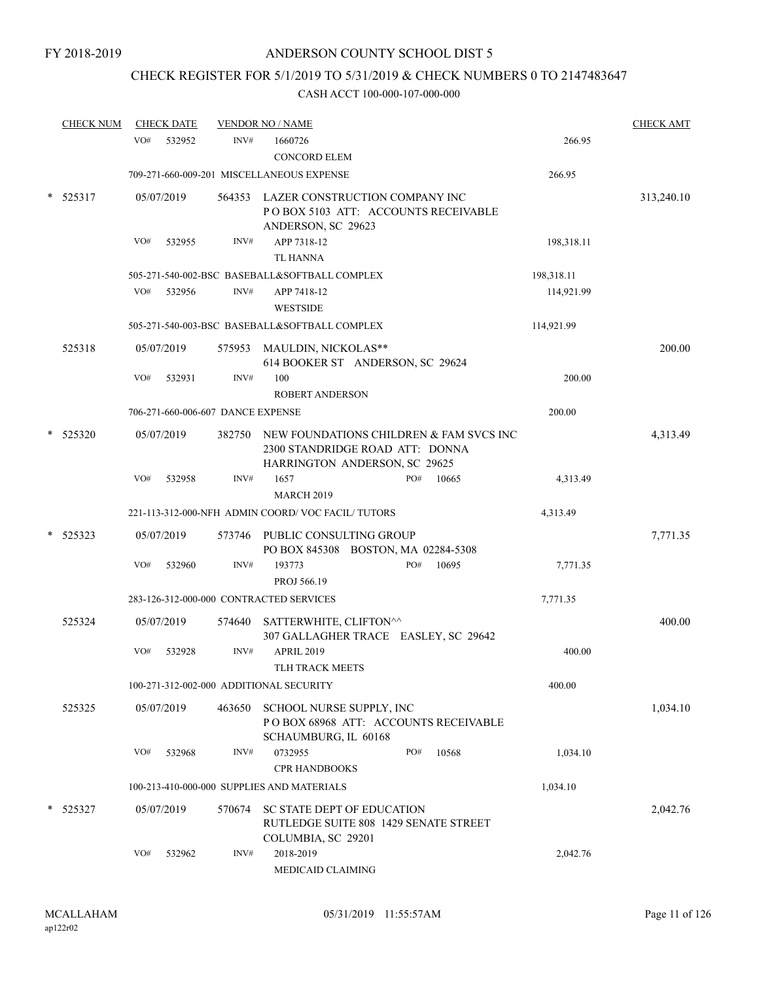## CHECK REGISTER FOR 5/1/2019 TO 5/31/2019 & CHECK NUMBERS 0 TO 2147483647

|   | <b>CHECK NUM</b> |     | <b>CHECK DATE</b> |                                   | <b>VENDOR NO / NAME</b>                                                                                     |     |       |            | <b>CHECK AMT</b> |
|---|------------------|-----|-------------------|-----------------------------------|-------------------------------------------------------------------------------------------------------------|-----|-------|------------|------------------|
|   |                  | VO# | 532952            | INV#                              | 1660726<br><b>CONCORD ELEM</b>                                                                              |     |       | 266.95     |                  |
|   |                  |     |                   |                                   | 709-271-660-009-201 MISCELLANEOUS EXPENSE                                                                   |     |       | 266.95     |                  |
|   | 525317           |     | 05/07/2019        | 564353                            | LAZER CONSTRUCTION COMPANY INC<br>POBOX 5103 ATT: ACCOUNTS RECEIVABLE<br>ANDERSON, SC 29623                 |     |       |            | 313,240.10       |
|   |                  | VO# | 532955            | INV#                              | APP 7318-12<br><b>TL HANNA</b>                                                                              |     |       | 198,318.11 |                  |
|   |                  |     |                   |                                   | 505-271-540-002-BSC BASEBALL&SOFTBALL COMPLEX                                                               |     |       | 198,318.11 |                  |
|   |                  | VO# | 532956            | INV#                              | APP 7418-12<br><b>WESTSIDE</b>                                                                              |     |       | 114,921.99 |                  |
|   |                  |     |                   |                                   | 505-271-540-003-BSC BASEBALL&SOFTBALL COMPLEX                                                               |     |       | 114,921.99 |                  |
|   | 525318           |     | 05/07/2019        |                                   | 575953 MAULDIN, NICKOLAS**<br>614 BOOKER ST ANDERSON, SC 29624                                              |     |       |            | 200.00           |
|   |                  | VO# | 532931            | INV#                              | 100<br><b>ROBERT ANDERSON</b>                                                                               |     |       | 200.00     |                  |
|   |                  |     |                   | 706-271-660-006-607 DANCE EXPENSE |                                                                                                             |     |       | 200.00     |                  |
|   | 525320           |     | 05/07/2019        | 382750                            | NEW FOUNDATIONS CHILDREN & FAM SVCS INC<br>2300 STANDRIDGE ROAD ATT: DONNA<br>HARRINGTON ANDERSON, SC 29625 |     |       |            | 4,313.49         |
|   |                  | VO# | 532958            | INV#                              | 1657<br><b>MARCH 2019</b>                                                                                   | PO# | 10665 | 4,313.49   |                  |
|   |                  |     |                   |                                   | 221-113-312-000-NFH ADMIN COORD/VOC FACIL/TUTORS                                                            |     |       | 4,313.49   |                  |
|   | 525323           |     | 05/07/2019        |                                   | 573746 PUBLIC CONSULTING GROUP<br>PO BOX 845308 BOSTON, MA 02284-5308                                       |     |       |            | 7,771.35         |
|   |                  | VO# | 532960            | INV#                              | 193773<br>PROJ 566.19                                                                                       | PO# | 10695 | 7,771.35   |                  |
|   |                  |     |                   |                                   | 283-126-312-000-000 CONTRACTED SERVICES                                                                     |     |       | 7,771.35   |                  |
|   | 525324           |     | 05/07/2019        | 574640                            | SATTERWHITE, CLIFTON^^<br>307 GALLAGHER TRACE EASLEY, SC 29642                                              |     |       |            | 400.00           |
|   |                  | VO# | 532928            | INV#                              | <b>APRIL 2019</b><br>TLH TRACK MEETS                                                                        |     |       | 400.00     |                  |
|   |                  |     |                   |                                   | 100-271-312-002-000 ADDITIONAL SECURITY                                                                     |     |       | 400.00     |                  |
|   | 525325           |     | 05/07/2019        | 463650                            | SCHOOL NURSE SUPPLY, INC<br>POBOX 68968 ATT: ACCOUNTS RECEIVABLE<br>SCHAUMBURG, IL 60168                    |     |       |            | 1,034.10         |
|   |                  | VO# | 532968            | INV#                              | 0732955<br><b>CPR HANDBOOKS</b>                                                                             | PO# | 10568 | 1,034.10   |                  |
|   |                  |     |                   |                                   | 100-213-410-000-000 SUPPLIES AND MATERIALS                                                                  |     |       | 1,034.10   |                  |
| * | 525327           |     | 05/07/2019        | 570674                            | SC STATE DEPT OF EDUCATION<br>RUTLEDGE SUITE 808 1429 SENATE STREET<br>COLUMBIA, SC 29201                   |     |       |            | 2,042.76         |
|   |                  | VO# | 532962            | INV#                              | 2018-2019<br>MEDICAID CLAIMING                                                                              |     |       | 2,042.76   |                  |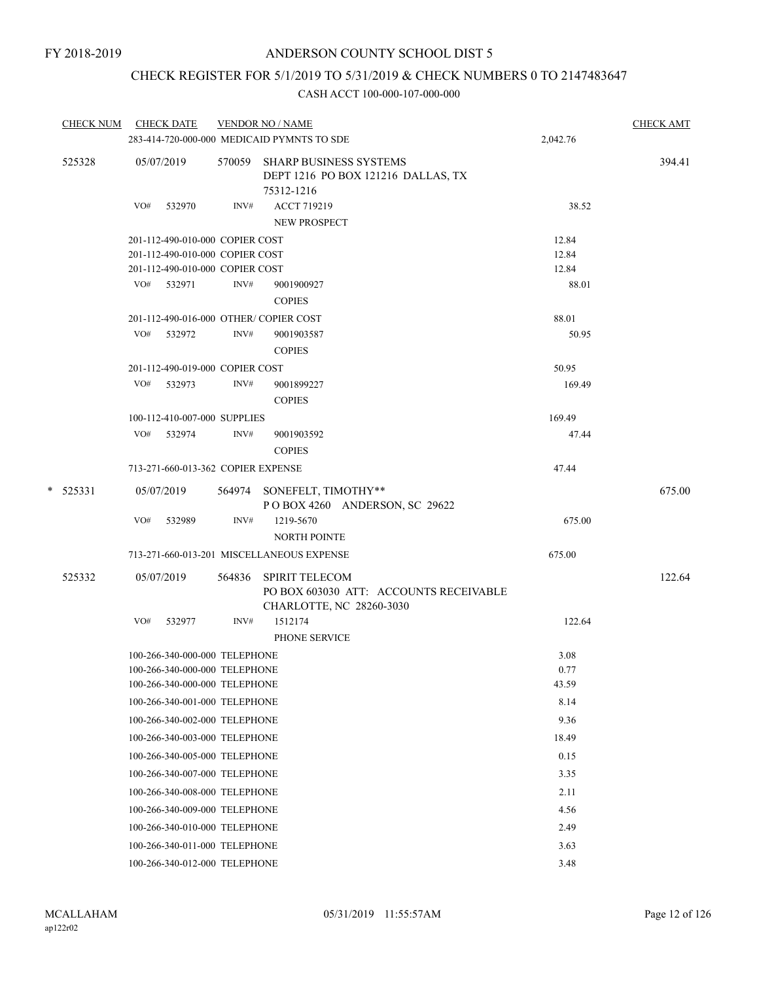## CHECK REGISTER FOR 5/1/2019 TO 5/31/2019 & CHECK NUMBERS 0 TO 2147483647

| CHECK NUM CHECK DATE |     |                                    |      | <b>VENDOR NO / NAME</b>                                                           |          | <b>CHECK AMT</b> |
|----------------------|-----|------------------------------------|------|-----------------------------------------------------------------------------------|----------|------------------|
|                      |     |                                    |      | 283-414-720-000-000 MEDICAID PYMNTS TO SDE                                        | 2,042.76 |                  |
| 525328               |     | 05/07/2019                         |      | 570059 SHARP BUSINESS SYSTEMS<br>DEPT 1216 PO BOX 121216 DALLAS, TX<br>75312-1216 |          | 394.41           |
|                      |     | VO# 532970                         | INV# | <b>ACCT 719219</b><br>NEW PROSPECT                                                | 38.52    |                  |
|                      |     | 201-112-490-010-000 COPIER COST    |      |                                                                                   | 12.84    |                  |
|                      |     | 201-112-490-010-000 COPIER COST    |      |                                                                                   | 12.84    |                  |
|                      |     | 201-112-490-010-000 COPIER COST    |      |                                                                                   | 12.84    |                  |
|                      |     | VO# 532971                         | INV# | 9001900927<br><b>COPIES</b>                                                       | 88.01    |                  |
|                      |     |                                    |      | 201-112-490-016-000 OTHER/COPIER COST                                             | 88.01    |                  |
|                      |     | VO# 532972                         | INV# | 9001903587<br><b>COPIES</b>                                                       | 50.95    |                  |
|                      |     | 201-112-490-019-000 COPIER COST    |      |                                                                                   | 50.95    |                  |
|                      |     | VO# 532973                         | INV# | 9001899227                                                                        | 169.49   |                  |
|                      |     |                                    |      | <b>COPIES</b>                                                                     |          |                  |
|                      |     | 100-112-410-007-000 SUPPLIES       |      |                                                                                   | 169.49   |                  |
|                      |     | VO# 532974                         | INV# | 9001903592                                                                        | 47.44    |                  |
|                      |     |                                    |      | <b>COPIES</b>                                                                     |          |                  |
|                      |     | 713-271-660-013-362 COPIER EXPENSE |      |                                                                                   | 47.44    |                  |
| $*$ 525331           |     | 05/07/2019                         |      | 564974 SONEFELT, TIMOTHY**<br>POBOX 4260 ANDERSON, SC 29622                       |          | 675.00           |
|                      | VO# | 532989                             | INV# | 1219-5670<br><b>NORTH POINTE</b>                                                  | 675.00   |                  |
|                      |     |                                    |      | 713-271-660-013-201 MISCELLANEOUS EXPENSE                                         | 675.00   |                  |
| 525332               |     | 05/07/2019                         |      | 564836 SPIRIT TELECOM<br>PO BOX 603030 ATT: ACCOUNTS RECEIVABLE                   |          | 122.64           |
|                      |     |                                    |      | CHARLOTTE, NC 28260-3030                                                          |          |                  |
|                      |     | VO# 532977                         | INV# | 1512174<br>PHONE SERVICE                                                          | 122.64   |                  |
|                      |     | 100-266-340-000-000 TELEPHONE      |      |                                                                                   | 3.08     |                  |
|                      |     | 100-266-340-000-000 TELEPHONE      |      |                                                                                   | 0.77     |                  |
|                      |     | 100-266-340-000-000 TELEPHONE      |      |                                                                                   | 43.59    |                  |
|                      |     | 100-266-340-001-000 TELEPHONE      |      |                                                                                   | 8.14     |                  |
|                      |     | 100-266-340-002-000 TELEPHONE      |      |                                                                                   | 9.36     |                  |
|                      |     | 100-266-340-003-000 TELEPHONE      |      |                                                                                   | 18.49    |                  |
|                      |     | 100-266-340-005-000 TELEPHONE      |      |                                                                                   | 0.15     |                  |
|                      |     | 100-266-340-007-000 TELEPHONE      |      |                                                                                   | 3.35     |                  |
|                      |     | 100-266-340-008-000 TELEPHONE      |      |                                                                                   | 2.11     |                  |
|                      |     | 100-266-340-009-000 TELEPHONE      |      |                                                                                   | 4.56     |                  |
|                      |     | 100-266-340-010-000 TELEPHONE      |      |                                                                                   | 2.49     |                  |
|                      |     | 100-266-340-011-000 TELEPHONE      |      |                                                                                   | 3.63     |                  |
|                      |     | 100-266-340-012-000 TELEPHONE      |      |                                                                                   | 3.48     |                  |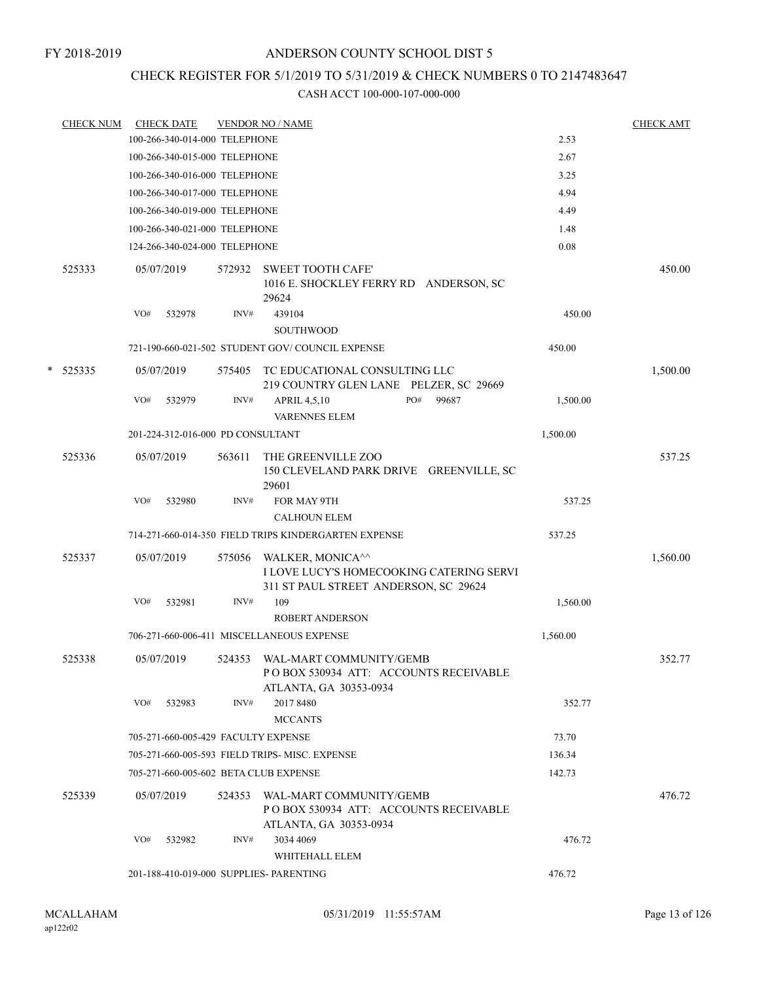## CHECK REGISTER FOR 5/1/2019 TO 5/31/2019 & CHECK NUMBERS 0 TO 2147483647

|   | <b>CHECK NUM</b> |     | <b>CHECK DATE</b>                   |                | <b>VENDOR NO / NAME</b>                                                                               |          | <b>CHECK AMT</b> |
|---|------------------|-----|-------------------------------------|----------------|-------------------------------------------------------------------------------------------------------|----------|------------------|
|   |                  |     | 100-266-340-014-000 TELEPHONE       |                |                                                                                                       | 2.53     |                  |
|   |                  |     | 100-266-340-015-000 TELEPHONE       |                |                                                                                                       | 2.67     |                  |
|   |                  |     | 100-266-340-016-000 TELEPHONE       |                |                                                                                                       | 3.25     |                  |
|   |                  |     | 100-266-340-017-000 TELEPHONE       |                |                                                                                                       | 4.94     |                  |
|   |                  |     | 100-266-340-019-000 TELEPHONE       |                |                                                                                                       | 4.49     |                  |
|   |                  |     | 100-266-340-021-000 TELEPHONE       |                |                                                                                                       | 1.48     |                  |
|   |                  |     | 124-266-340-024-000 TELEPHONE       |                |                                                                                                       | 0.08     |                  |
|   | 525333           |     | 05/07/2019                          | 572932         | <b>SWEET TOOTH CAFE'</b><br>1016 E. SHOCKLEY FERRY RD ANDERSON, SC<br>29624                           |          | 450.00           |
|   |                  | VO# | 532978                              | INV#           | 439104<br><b>SOUTHWOOD</b>                                                                            | 450.00   |                  |
|   |                  |     |                                     |                | 721-190-660-021-502 STUDENT GOV/COUNCIL EXPENSE                                                       | 450.00   |                  |
| * | 525335           |     | 05/07/2019                          | 575405         | TC EDUCATIONAL CONSULTING LLC<br>219 COUNTRY GLEN LANE PELZER, SC 29669                               |          | 1,500.00         |
|   |                  | VO# | 532979                              | $\text{INV}\#$ | <b>APRIL 4,5,10</b><br>PO#<br>99687<br><b>VARENNES ELEM</b>                                           | 1,500.00 |                  |
|   |                  |     | 201-224-312-016-000 PD CONSULTANT   |                |                                                                                                       | 1,500.00 |                  |
|   | 525336           |     | 05/07/2019                          | 563611         | THE GREENVILLE ZOO<br>150 CLEVELAND PARK DRIVE GREENVILLE, SC<br>29601                                |          | 537.25           |
|   |                  | VO# | 532980                              | INV#           | FOR MAY 9TH<br><b>CALHOUN ELEM</b>                                                                    | 537.25   |                  |
|   |                  |     |                                     |                | 714-271-660-014-350 FIELD TRIPS KINDERGARTEN EXPENSE                                                  | 537.25   |                  |
|   | 525337           |     | 05/07/2019                          | 575056         | WALKER, MONICA^^<br>I LOVE LUCY'S HOMECOOKING CATERING SERVI<br>311 ST PAUL STREET ANDERSON, SC 29624 |          | 1,560.00         |
|   |                  | VO# | 532981                              | INV#           | 109<br><b>ROBERT ANDERSON</b>                                                                         | 1,560.00 |                  |
|   |                  |     |                                     |                | 706-271-660-006-411 MISCELLANEOUS EXPENSE                                                             | 1,560.00 |                  |
|   | 525338           |     | 05/07/2019                          | 524353         | WAL-MART COMMUNITY/GEMB<br>POBOX 530934 ATT: ACCOUNTS RECEIVABLE<br>ATLANTA, GA 30353-0934            |          | 352.77           |
|   |                  | VO# | 532983                              | INV#           | 2017 8480<br><b>MCCANTS</b>                                                                           | 352.77   |                  |
|   |                  |     | 705-271-660-005-429 FACULTY EXPENSE |                |                                                                                                       | 73.70    |                  |
|   |                  |     |                                     |                | 705-271-660-005-593 FIELD TRIPS-MISC. EXPENSE                                                         | 136.34   |                  |
|   |                  |     |                                     |                | 705-271-660-005-602 BETA CLUB EXPENSE                                                                 | 142.73   |                  |
|   | 525339           |     | 05/07/2019                          | 524353         | WAL-MART COMMUNITY/GEMB<br>POBOX 530934 ATT: ACCOUNTS RECEIVABLE<br>ATLANTA, GA 30353-0934            |          | 476.72           |
|   |                  | VO# | 532982                              | INV#           | 3034 4069<br>WHITEHALL ELEM                                                                           | 476.72   |                  |
|   |                  |     |                                     |                | 201-188-410-019-000 SUPPLIES- PARENTING                                                               | 476.72   |                  |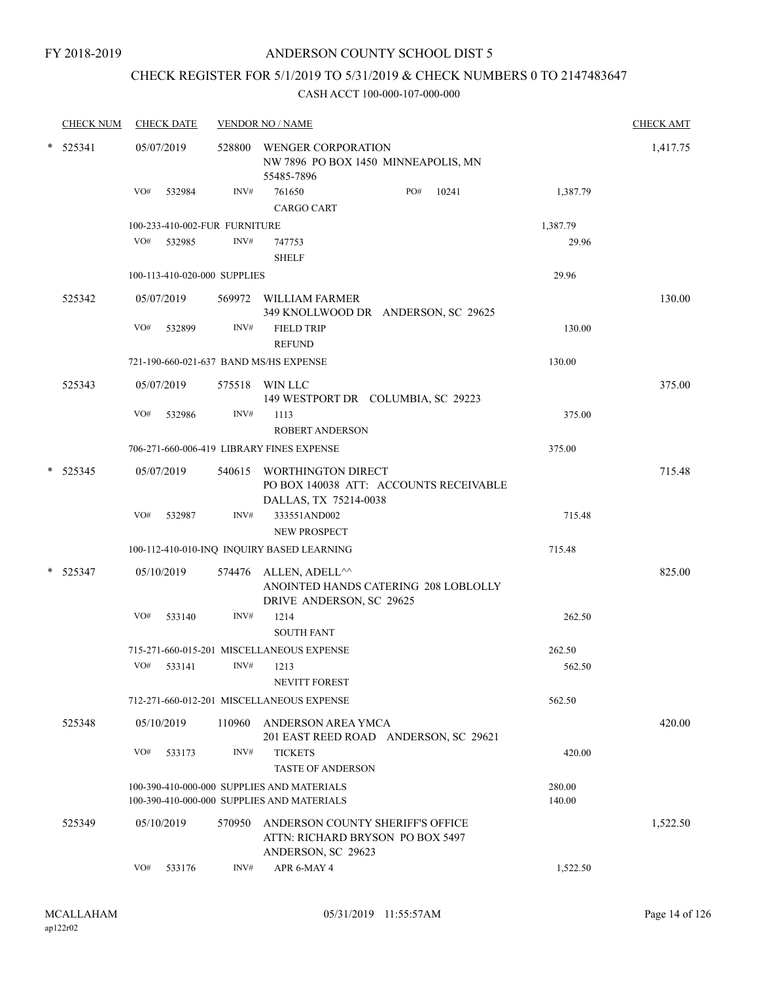FY 2018-2019

## ANDERSON COUNTY SCHOOL DIST 5

## CHECK REGISTER FOR 5/1/2019 TO 5/31/2019 & CHECK NUMBERS 0 TO 2147483647

|        | <b>CHECK NUM</b> | <b>CHECK DATE</b>                      |        | <b>VENDOR NO / NAME</b>                                                                      |          | <b>CHECK AMT</b> |
|--------|------------------|----------------------------------------|--------|----------------------------------------------------------------------------------------------|----------|------------------|
| $\ast$ | 525341           | 05/07/2019                             | 528800 | WENGER CORPORATION<br>NW 7896 PO BOX 1450 MINNEAPOLIS, MN<br>55485-7896                      |          | 1,417.75         |
|        |                  | VO#<br>532984                          | INV#   | PO#<br>761650<br>10241<br><b>CARGO CART</b>                                                  | 1,387.79 |                  |
|        |                  | 100-233-410-002-FUR FURNITURE          |        |                                                                                              | 1,387.79 |                  |
|        |                  | VO#<br>532985                          | INV#   | 747753<br><b>SHELF</b>                                                                       | 29.96    |                  |
|        |                  | 100-113-410-020-000 SUPPLIES           |        |                                                                                              | 29.96    |                  |
|        | 525342           | 05/07/2019                             |        | 569972 WILLIAM FARMER<br>349 KNOLLWOOD DR ANDERSON, SC 29625                                 |          | 130.00           |
|        |                  | VO#<br>532899                          | INV#   | <b>FIELD TRIP</b><br><b>REFUND</b>                                                           | 130.00   |                  |
|        |                  | 721-190-660-021-637 BAND MS/HS EXPENSE |        |                                                                                              | 130.00   |                  |
|        | 525343           | 05/07/2019                             |        | 575518 WIN LLC<br>149 WESTPORT DR COLUMBIA, SC 29223                                         |          | 375.00           |
|        |                  | VO#<br>532986                          | INV#   | 1113<br><b>ROBERT ANDERSON</b>                                                               | 375.00   |                  |
|        |                  |                                        |        | 706-271-660-006-419 LIBRARY FINES EXPENSE                                                    | 375.00   |                  |
|        | $*$ 525345       | 05/07/2019                             |        | 540615 WORTHINGTON DIRECT<br>PO BOX 140038 ATT: ACCOUNTS RECEIVABLE<br>DALLAS, TX 75214-0038 |          | 715.48           |
|        |                  | VO#<br>532987                          | INV#   | 333551AND002<br><b>NEW PROSPECT</b>                                                          | 715.48   |                  |
|        |                  |                                        |        | 100-112-410-010-INQ INQUIRY BASED LEARNING                                                   | 715.48   |                  |
| $\ast$ | 525347           | 05/10/2019                             | 574476 | ALLEN, ADELL^^<br>ANOINTED HANDS CATERING 208 LOBLOLLY<br>DRIVE ANDERSON, SC 29625           |          | 825.00           |
|        |                  | VO#<br>533140                          | INV#   | 1214<br><b>SOUTH FANT</b>                                                                    | 262.50   |                  |
|        |                  |                                        |        | 715-271-660-015-201 MISCELLANEOUS EXPENSE                                                    | 262.50   |                  |
|        |                  | VO#<br>533141                          | INV#   | 1213<br><b>NEVITT FOREST</b>                                                                 | 562.50   |                  |
|        |                  |                                        |        | 712-271-660-012-201 MISCELLANEOUS EXPENSE                                                    | 562.50   |                  |
|        | 525348           | 05/10/2019                             | 110960 | ANDERSON AREA YMCA<br>201 EAST REED ROAD ANDERSON, SC 29621                                  |          | 420.00           |
|        |                  | VO#<br>533173                          | INV#   | <b>TICKETS</b><br><b>TASTE OF ANDERSON</b>                                                   | 420.00   |                  |
|        |                  |                                        |        | 100-390-410-000-000 SUPPLIES AND MATERIALS                                                   | 280.00   |                  |
|        |                  |                                        |        | 100-390-410-000-000 SUPPLIES AND MATERIALS                                                   | 140.00   |                  |
|        | 525349           | 05/10/2019                             | 570950 | ANDERSON COUNTY SHERIFF'S OFFICE<br>ATTN: RICHARD BRYSON PO BOX 5497<br>ANDERSON, SC 29623   |          | 1,522.50         |
|        |                  | VO#<br>533176                          | INV#   | APR 6-MAY 4                                                                                  | 1,522.50 |                  |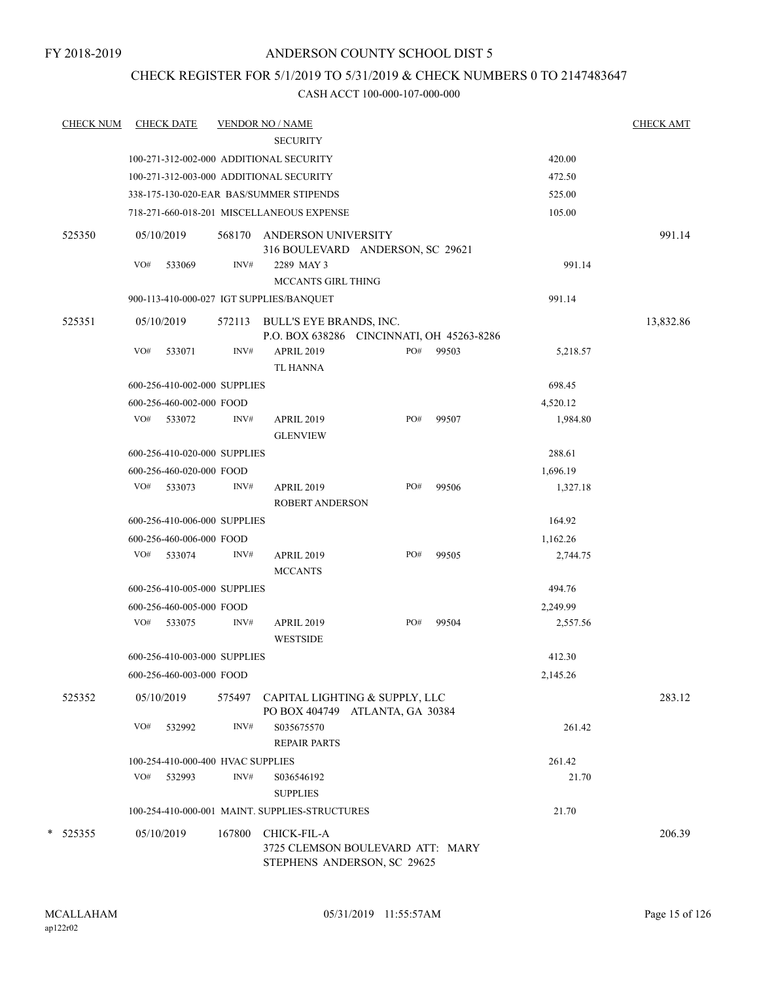## CHECK REGISTER FOR 5/1/2019 TO 5/31/2019 & CHECK NUMBERS 0 TO 2147483647

| <b>CHECK NUM</b> | <b>CHECK DATE</b>                 |        | <b>VENDOR NO / NAME</b>                                                        |     |       |          | <b>CHECK AMT</b> |
|------------------|-----------------------------------|--------|--------------------------------------------------------------------------------|-----|-------|----------|------------------|
|                  |                                   |        | <b>SECURITY</b>                                                                |     |       |          |                  |
|                  |                                   |        | 100-271-312-002-000 ADDITIONAL SECURITY                                        |     |       | 420.00   |                  |
|                  |                                   |        | 100-271-312-003-000 ADDITIONAL SECURITY                                        |     |       | 472.50   |                  |
|                  |                                   |        | 338-175-130-020-EAR BAS/SUMMER STIPENDS                                        |     |       | 525.00   |                  |
|                  |                                   |        | 718-271-660-018-201 MISCELLANEOUS EXPENSE                                      |     |       | 105.00   |                  |
| 525350           | 05/10/2019                        | 568170 | ANDERSON UNIVERSITY<br>316 BOULEVARD ANDERSON, SC 29621                        |     |       |          | 991.14           |
|                  | VO#<br>533069                     | INV#   | 2289 MAY 3<br><b>MCCANTS GIRL THING</b>                                        |     |       | 991.14   |                  |
|                  |                                   |        | 900-113-410-000-027 IGT SUPPLIES/BANQUET                                       |     |       | 991.14   |                  |
| 525351           | 05/10/2019                        | 572113 | BULL'S EYE BRANDS, INC.<br>P.O. BOX 638286 CINCINNATI, OH 45263-8286           |     |       |          | 13,832.86        |
|                  | VO#<br>533071                     | INV#   | <b>APRIL 2019</b><br><b>TL HANNA</b>                                           | PO# | 99503 | 5,218.57 |                  |
|                  | 600-256-410-002-000 SUPPLIES      |        |                                                                                |     |       | 698.45   |                  |
|                  | 600-256-460-002-000 FOOD          |        |                                                                                |     |       | 4,520.12 |                  |
|                  | VO#<br>533072                     | INV#   | <b>APRIL 2019</b><br><b>GLENVIEW</b>                                           | PO# | 99507 | 1,984.80 |                  |
|                  | 600-256-410-020-000 SUPPLIES      |        |                                                                                |     |       | 288.61   |                  |
|                  | 600-256-460-020-000 FOOD          |        |                                                                                |     |       | 1,696.19 |                  |
|                  | VO#<br>533073                     | INV#   | <b>APRIL 2019</b><br><b>ROBERT ANDERSON</b>                                    | PO# | 99506 | 1,327.18 |                  |
|                  | 600-256-410-006-000 SUPPLIES      |        |                                                                                |     |       | 164.92   |                  |
|                  | 600-256-460-006-000 FOOD          |        |                                                                                |     |       | 1,162.26 |                  |
|                  | VO#<br>533074                     | INV#   | <b>APRIL 2019</b><br><b>MCCANTS</b>                                            | PO# | 99505 | 2,744.75 |                  |
|                  | 600-256-410-005-000 SUPPLIES      |        |                                                                                |     |       | 494.76   |                  |
|                  | 600-256-460-005-000 FOOD          |        |                                                                                |     |       | 2,249.99 |                  |
|                  | VO#<br>533075                     | INV#   | <b>APRIL 2019</b><br><b>WESTSIDE</b>                                           | PO# | 99504 | 2,557.56 |                  |
|                  | 600-256-410-003-000 SUPPLIES      |        |                                                                                |     |       | 412.30   |                  |
|                  | 600-256-460-003-000 FOOD          |        |                                                                                |     |       | 2,145.26 |                  |
| 525352           | 05/10/2019                        | 575497 | CAPITAL LIGHTING & SUPPLY, LLC<br>PO BOX 404749 ATLANTA, GA 30384              |     |       |          | 283.12           |
|                  | VO#<br>532992                     | INV#   | S035675570<br><b>REPAIR PARTS</b>                                              |     |       | 261.42   |                  |
|                  | 100-254-410-000-400 HVAC SUPPLIES |        |                                                                                |     |       | 261.42   |                  |
|                  | VO#<br>532993                     | INV#   | S036546192<br><b>SUPPLIES</b>                                                  |     |       | 21.70    |                  |
|                  |                                   |        | 100-254-410-000-001 MAINT, SUPPLIES-STRUCTURES                                 |     |       | 21.70    |                  |
| $*$ 525355       | 05/10/2019                        | 167800 | CHICK-FIL-A<br>3725 CLEMSON BOULEVARD ATT: MARY<br>STEPHENS ANDERSON, SC 29625 |     |       |          | 206.39           |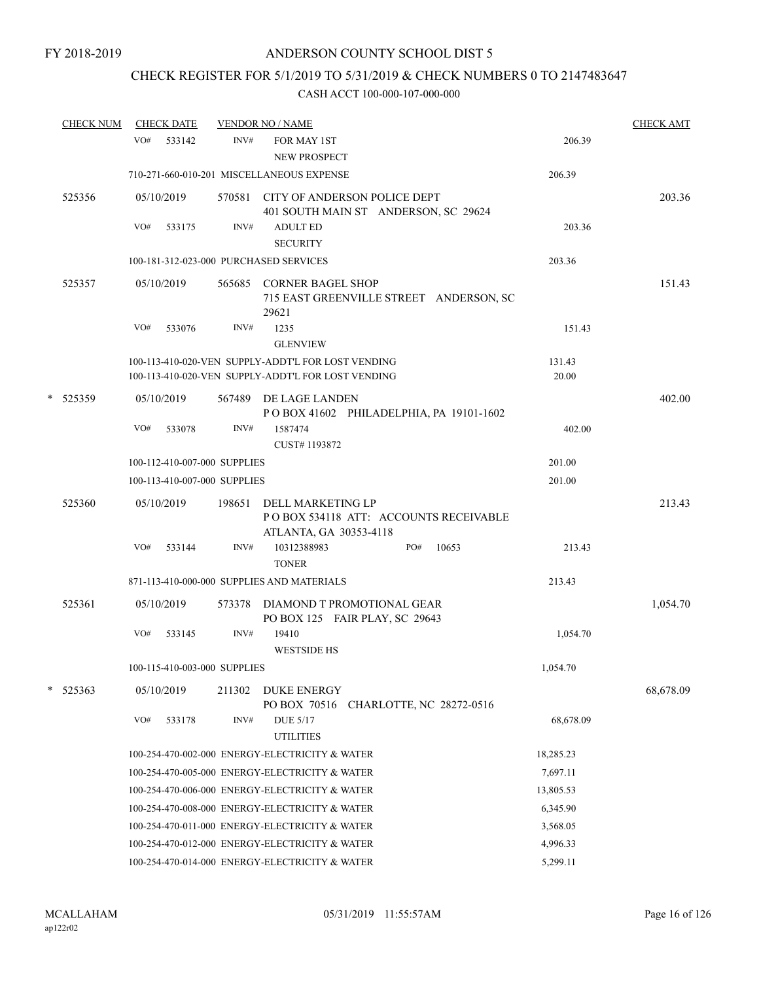# CHECK REGISTER FOR 5/1/2019 TO 5/31/2019 & CHECK NUMBERS 0 TO 2147483647

|   | <b>CHECK NUM</b> |     | <b>CHECK DATE</b> |                              | <b>VENDOR NO / NAME</b>                                                                                  |                 | <b>CHECK AMT</b> |
|---|------------------|-----|-------------------|------------------------------|----------------------------------------------------------------------------------------------------------|-----------------|------------------|
|   |                  | VO# | 533142            | INV#                         | FOR MAY 1ST<br><b>NEW PROSPECT</b>                                                                       | 206.39          |                  |
|   |                  |     |                   |                              | 710-271-660-010-201 MISCELLANEOUS EXPENSE                                                                | 206.39          |                  |
|   | 525356           |     | 05/10/2019        |                              | 570581 CITY OF ANDERSON POLICE DEPT<br>401 SOUTH MAIN ST ANDERSON, SC 29624                              |                 | 203.36           |
|   |                  | VO# | 533175            | INV#                         | <b>ADULT ED</b><br><b>SECURITY</b>                                                                       | 203.36          |                  |
|   |                  |     |                   |                              | 100-181-312-023-000 PURCHASED SERVICES                                                                   | 203.36          |                  |
|   | 525357           |     | 05/10/2019        | 565685                       | <b>CORNER BAGEL SHOP</b><br>715 EAST GREENVILLE STREET ANDERSON, SC<br>29621                             |                 | 151.43           |
|   |                  | VO# | 533076            | INV#                         | 1235<br><b>GLENVIEW</b>                                                                                  | 151.43          |                  |
|   |                  |     |                   |                              | 100-113-410-020-VEN SUPPLY-ADDT'L FOR LOST VENDING<br>100-113-410-020-VEN SUPPLY-ADDT'L FOR LOST VENDING | 131.43<br>20.00 |                  |
| * | 525359           |     | 05/10/2019        |                              | 567489 DE LAGE LANDEN<br>POBOX 41602 PHILADELPHIA, PA 19101-1602                                         |                 | 402.00           |
|   |                  | VO# | 533078            | INV#                         | 1587474<br>CUST#1193872                                                                                  | 402.00          |                  |
|   |                  |     |                   | 100-112-410-007-000 SUPPLIES |                                                                                                          | 201.00          |                  |
|   |                  |     |                   | 100-113-410-007-000 SUPPLIES |                                                                                                          | 201.00          |                  |
|   | 525360           |     | 05/10/2019        | 198651                       | DELL MARKETING LP<br>PO BOX 534118 ATT: ACCOUNTS RECEIVABLE<br>ATLANTA, GA 30353-4118                    |                 | 213.43           |
|   |                  | VO# | 533144            | INV#                         | 10312388983<br>PO#<br>10653<br><b>TONER</b>                                                              | 213.43          |                  |
|   |                  |     |                   |                              | 871-113-410-000-000 SUPPLIES AND MATERIALS                                                               | 213.43          |                  |
|   | 525361           |     | 05/10/2019        | 573378                       | DIAMOND T PROMOTIONAL GEAR<br>PO BOX 125 FAIR PLAY, SC 29643                                             |                 | 1,054.70         |
|   |                  | VO# | 533145            | INV#                         | 19410<br><b>WESTSIDE HS</b>                                                                              | 1,054.70        |                  |
|   |                  |     |                   | 100-115-410-003-000 SUPPLIES |                                                                                                          | 1,054.70        |                  |
| * | 525363           |     | 05/10/2019        | 211302                       | <b>DUKE ENERGY</b><br>PO BOX 70516<br>CHARLOTTE, NC 28272-0516                                           |                 | 68,678.09        |
|   |                  | VO# | 533178            | INV#                         | <b>DUE 5/17</b><br><b>UTILITIES</b>                                                                      | 68,678.09       |                  |
|   |                  |     |                   |                              | 100-254-470-002-000 ENERGY-ELECTRICITY & WATER                                                           | 18,285.23       |                  |
|   |                  |     |                   |                              | 100-254-470-005-000 ENERGY-ELECTRICITY & WATER                                                           | 7,697.11        |                  |
|   |                  |     |                   |                              | 100-254-470-006-000 ENERGY-ELECTRICITY & WATER                                                           | 13,805.53       |                  |
|   |                  |     |                   |                              | 100-254-470-008-000 ENERGY-ELECTRICITY & WATER                                                           | 6,345.90        |                  |
|   |                  |     |                   |                              | 100-254-470-011-000 ENERGY-ELECTRICITY & WATER                                                           | 3,568.05        |                  |
|   |                  |     |                   |                              | 100-254-470-012-000 ENERGY-ELECTRICITY & WATER                                                           | 4,996.33        |                  |
|   |                  |     |                   |                              | 100-254-470-014-000 ENERGY-ELECTRICITY & WATER                                                           | 5,299.11        |                  |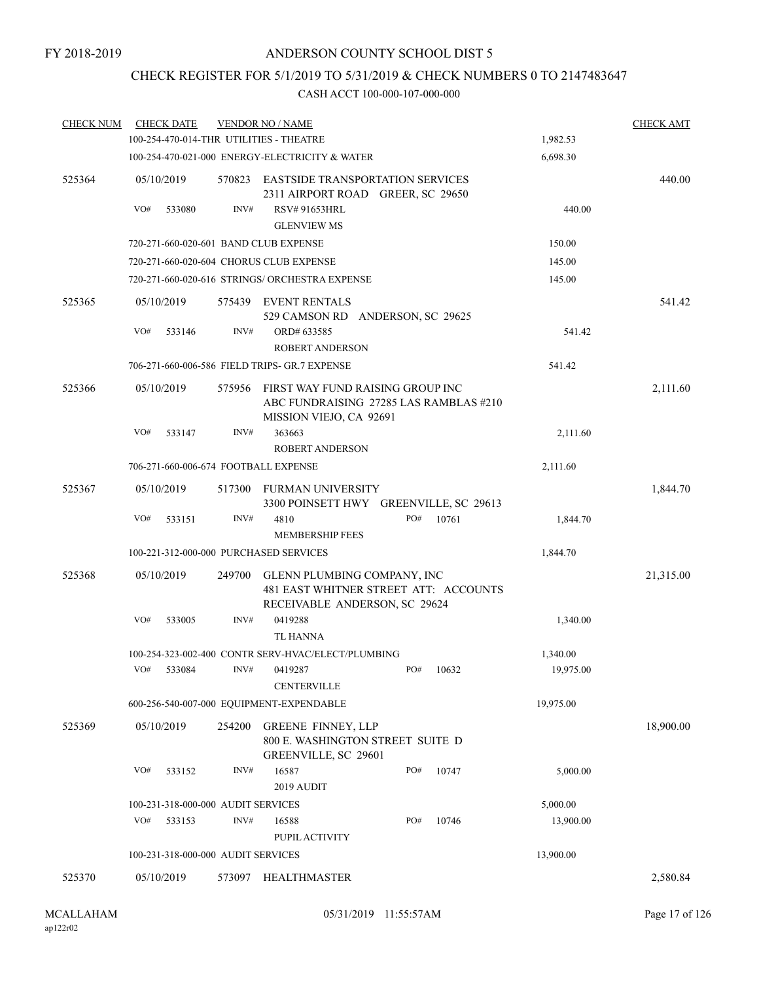## CHECK REGISTER FOR 5/1/2019 TO 5/31/2019 & CHECK NUMBERS 0 TO 2147483647

| <b>CHECK NUM</b> | <b>CHECK DATE</b>                       |        | <b>VENDOR NO / NAME</b>                                                                               |     |        |           | <b>CHECK AMT</b> |
|------------------|-----------------------------------------|--------|-------------------------------------------------------------------------------------------------------|-----|--------|-----------|------------------|
|                  | 100-254-470-014-THR UTILITIES - THEATRE |        |                                                                                                       |     |        | 1,982.53  |                  |
|                  |                                         |        | 100-254-470-021-000 ENERGY-ELECTRICITY & WATER                                                        |     |        | 6,698.30  |                  |
| 525364           | 05/10/2019                              |        | 570823 EASTSIDE TRANSPORTATION SERVICES<br>2311 AIRPORT ROAD GREER, SC 29650                          |     |        |           | 440.00           |
|                  | VO#<br>533080                           | INV#   | <b>RSV# 91653HRL</b><br><b>GLENVIEW MS</b>                                                            |     | 440.00 |           |                  |
|                  | 720-271-660-020-601 BAND CLUB EXPENSE   |        |                                                                                                       |     |        | 150.00    |                  |
|                  |                                         |        | 720-271-660-020-604 CHORUS CLUB EXPENSE                                                               |     |        | 145.00    |                  |
|                  |                                         |        | 720-271-660-020-616 STRINGS/ ORCHESTRA EXPENSE                                                        |     |        | 145.00    |                  |
| 525365           | 05/10/2019                              |        | 575439 EVENT RENTALS<br>529 CAMSON RD ANDERSON, SC 29625                                              |     |        |           | 541.42           |
|                  | VO#<br>533146                           | INV#   | ORD# 633585<br>ROBERT ANDERSON                                                                        |     |        | 541.42    |                  |
|                  |                                         |        | 706-271-660-006-586 FIELD TRIPS- GR.7 EXPENSE                                                         |     |        | 541.42    |                  |
| 525366           | 05/10/2019                              | 575956 | FIRST WAY FUND RAISING GROUP INC<br>ABC FUNDRAISING 27285 LAS RAMBLAS #210<br>MISSION VIEJO, CA 92691 |     |        |           | 2,111.60         |
|                  | VO#<br>533147                           | INV#   | 363663<br><b>ROBERT ANDERSON</b>                                                                      |     |        | 2,111.60  |                  |
|                  | 706-271-660-006-674 FOOTBALL EXPENSE    |        |                                                                                                       |     |        | 2,111.60  |                  |
| 525367           | 05/10/2019                              | 517300 | FURMAN UNIVERSITY<br>3300 POINSETT HWY GREENVILLE, SC 29613                                           |     |        |           | 1,844.70         |
|                  | VO#<br>533151                           | INV#   | 4810                                                                                                  | PO# | 10761  | 1,844.70  |                  |
|                  |                                         |        | <b>MEMBERSHIP FEES</b>                                                                                |     |        |           |                  |
|                  | 100-221-312-000-000 PURCHASED SERVICES  |        |                                                                                                       |     |        | 1,844.70  |                  |
| 525368           | 05/10/2019                              | 249700 | GLENN PLUMBING COMPANY, INC<br>481 EAST WHITNER STREET ATT: ACCOUNTS<br>RECEIVABLE ANDERSON, SC 29624 |     |        |           | 21,315.00        |
|                  | VO#<br>533005                           | INV#   | 0419288<br>TL HANNA                                                                                   |     |        | 1,340.00  |                  |
|                  |                                         |        | 100-254-323-002-400 CONTR SERV-HVAC/ELECT/PLUMBING                                                    |     |        | 1,340.00  |                  |
|                  | VO# 533084                              |        | $INV#$ 0419287<br><b>CENTERVILLE</b>                                                                  | PO# | 10632  | 19,975.00 |                  |
|                  |                                         |        | 600-256-540-007-000 EQUIPMENT-EXPENDABLE                                                              |     |        | 19,975.00 |                  |
| 525369           | 05/10/2019                              | 254200 | <b>GREENE FINNEY, LLP</b><br>800 E. WASHINGTON STREET SUITE D<br>GREENVILLE, SC 29601                 |     |        |           | 18,900.00        |
|                  | VO#<br>533152                           | INV#   | 16587<br>2019 AUDIT                                                                                   | PO# | 10747  | 5,000.00  |                  |
|                  | 100-231-318-000-000 AUDIT SERVICES      |        |                                                                                                       |     |        | 5,000.00  |                  |
|                  | VO#<br>533153                           | INV#   | 16588<br>PUPIL ACTIVITY                                                                               | PO# | 10746  | 13,900.00 |                  |
|                  | 100-231-318-000-000 AUDIT SERVICES      |        |                                                                                                       |     |        | 13,900.00 |                  |
| 525370           | 05/10/2019                              |        | 573097 HEALTHMASTER                                                                                   |     |        |           | 2,580.84         |
|                  |                                         |        |                                                                                                       |     |        |           |                  |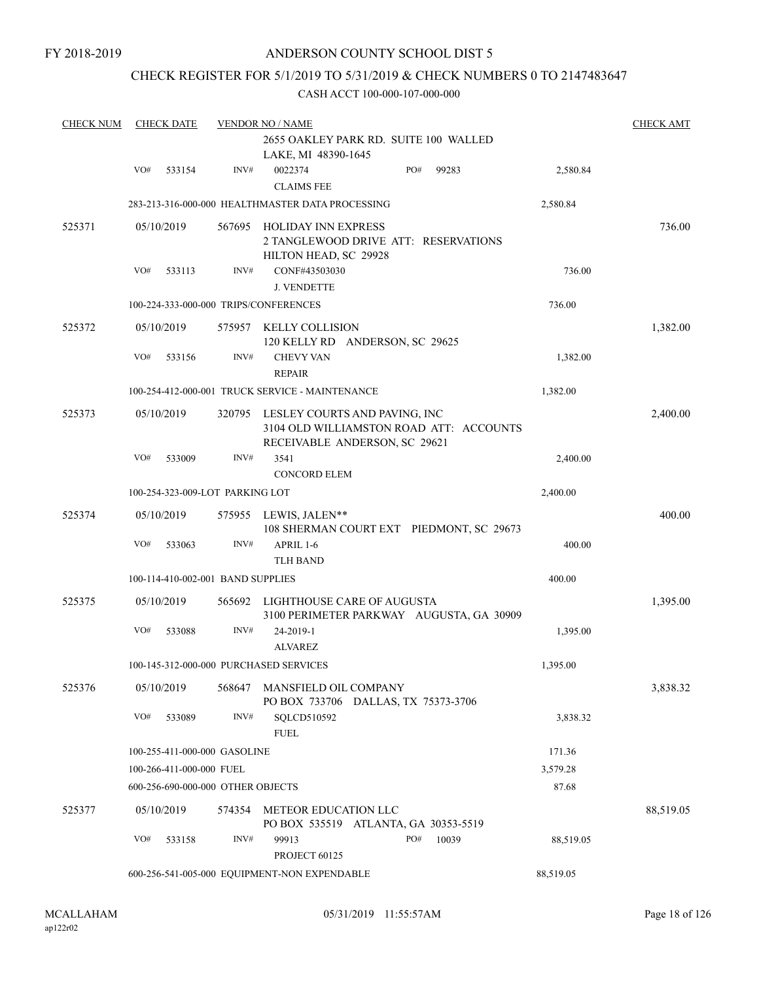FY 2018-2019

## ANDERSON COUNTY SCHOOL DIST 5

## CHECK REGISTER FOR 5/1/2019 TO 5/31/2019 & CHECK NUMBERS 0 TO 2147483647

| <b>CHECK NUM</b> |     | <b>CHECK DATE</b>        |                                   | <b>VENDOR NO / NAME</b>                          |                                          |           | <b>CHECK AMT</b> |
|------------------|-----|--------------------------|-----------------------------------|--------------------------------------------------|------------------------------------------|-----------|------------------|
|                  |     |                          |                                   |                                                  | 2655 OAKLEY PARK RD. SUITE 100 WALLED    |           |                  |
|                  |     |                          |                                   | LAKE, MI 48390-1645                              |                                          |           |                  |
|                  | VO# | 533154                   | INV#                              | 0022374                                          | PO#<br>99283                             | 2,580.84  |                  |
|                  |     |                          |                                   | <b>CLAIMS FEE</b>                                |                                          |           |                  |
|                  |     |                          |                                   | 283-213-316-000-000 HEALTHMASTER DATA PROCESSING |                                          | 2,580.84  |                  |
| 525371           |     | 05/10/2019               |                                   | 567695 HOLIDAY INN EXPRESS                       |                                          |           | 736.00           |
|                  |     |                          |                                   |                                                  | 2 TANGLEWOOD DRIVE ATT: RESERVATIONS     |           |                  |
|                  |     |                          |                                   | HILTON HEAD, SC 29928                            |                                          |           |                  |
|                  | VO# | 533113                   | INV#                              | CONF#43503030                                    |                                          | 736.00    |                  |
|                  |     |                          |                                   | <b>J. VENDETTE</b>                               |                                          |           |                  |
|                  |     |                          |                                   | 100-224-333-000-000 TRIPS/CONFERENCES            |                                          | 736.00    |                  |
| 525372           |     | 05/10/2019               | 575957                            | KELLY COLLISION                                  |                                          |           | 1,382.00         |
|                  |     |                          |                                   |                                                  | 120 KELLY RD ANDERSON, SC 29625          |           |                  |
|                  | VO# | 533156                   | INV#                              | <b>CHEVY VAN</b>                                 |                                          | 1,382.00  |                  |
|                  |     |                          |                                   | <b>REPAIR</b>                                    |                                          |           |                  |
|                  |     |                          |                                   | 100-254-412-000-001 TRUCK SERVICE - MAINTENANCE  |                                          | 1,382.00  |                  |
| 525373           |     | 05/10/2019               | 320795                            |                                                  | LESLEY COURTS AND PAVING, INC            |           | 2,400.00         |
|                  |     |                          |                                   |                                                  | 3104 OLD WILLIAMSTON ROAD ATT: ACCOUNTS  |           |                  |
|                  |     |                          |                                   |                                                  | RECEIVABLE ANDERSON, SC 29621            |           |                  |
|                  | VO# | 533009                   | INV#                              | 3541                                             |                                          | 2,400.00  |                  |
|                  |     |                          |                                   | <b>CONCORD ELEM</b>                              |                                          |           |                  |
|                  |     |                          | 100-254-323-009-LOT PARKING LOT   |                                                  |                                          | 2,400.00  |                  |
| 525374           |     | 05/10/2019               |                                   | 575955 LEWIS, JALEN**                            |                                          |           | 400.00           |
|                  |     |                          |                                   |                                                  | 108 SHERMAN COURT EXT PIEDMONT, SC 29673 |           |                  |
|                  | VO# | 533063                   | INV#                              | APRIL 1-6                                        |                                          | 400.00    |                  |
|                  |     |                          |                                   | <b>TLH BAND</b>                                  |                                          |           |                  |
|                  |     |                          | 100-114-410-002-001 BAND SUPPLIES |                                                  |                                          | 400.00    |                  |
| 525375           |     | 05/10/2019               | 565692                            |                                                  | LIGHTHOUSE CARE OF AUGUSTA               |           | 1,395.00         |
|                  |     |                          |                                   |                                                  | 3100 PERIMETER PARKWAY AUGUSTA, GA 30909 |           |                  |
|                  | VO# | 533088                   | INV#                              | 24-2019-1                                        |                                          | 1,395.00  |                  |
|                  |     |                          |                                   | <b>ALVAREZ</b>                                   |                                          |           |                  |
|                  |     |                          |                                   | 100-145-312-000-000 PURCHASED SERVICES           |                                          | 1,395.00  |                  |
| 525376           |     | 05/10/2019               | 568647                            | MANSFIELD OIL COMPANY                            | PO BOX 733706 DALLAS, TX 75373-3706      |           | 3,838.32         |
|                  | VO# | 533089                   | INV#                              | SQLCD510592                                      |                                          | 3,838.32  |                  |
|                  |     |                          |                                   | <b>FUEL</b>                                      |                                          |           |                  |
|                  |     |                          | 100-255-411-000-000 GASOLINE      |                                                  |                                          | 171.36    |                  |
|                  |     | 100-266-411-000-000 FUEL |                                   |                                                  |                                          | 3,579.28  |                  |
|                  |     |                          | 600-256-690-000-000 OTHER OBJECTS |                                                  |                                          | 87.68     |                  |
| 525377           |     | 05/10/2019               | 574354                            | METEOR EDUCATION LLC                             |                                          |           | 88,519.05        |
|                  |     |                          |                                   |                                                  | PO BOX 535519 ATLANTA, GA 30353-5519     |           |                  |
|                  | VO# | 533158                   | INV#                              | 99913                                            | PO#<br>10039                             | 88,519.05 |                  |
|                  |     |                          |                                   | PROJECT 60125                                    |                                          |           |                  |
|                  |     |                          |                                   | 600-256-541-005-000 EQUIPMENT-NON EXPENDABLE     |                                          | 88,519.05 |                  |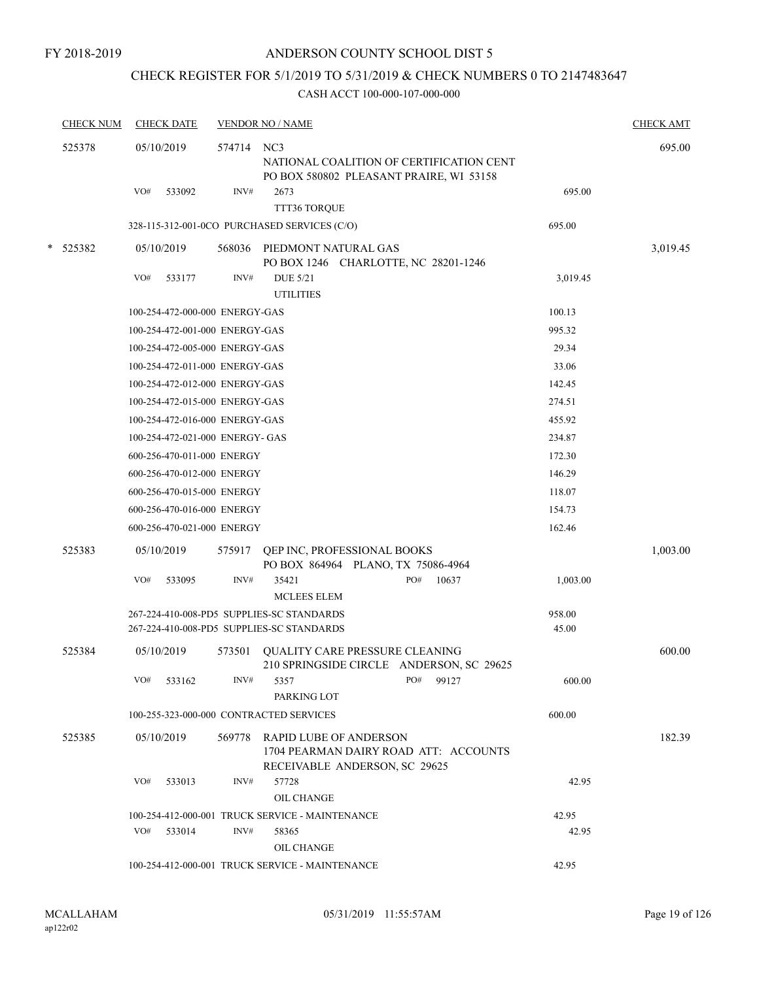## CHECK REGISTER FOR 5/1/2019 TO 5/31/2019 & CHECK NUMBERS 0 TO 2147483647

| <b>CHECK NUM</b> | <b>CHECK DATE</b>                                        |                                 | <b>VENDOR NO / NAME</b>                                                                                 |  |              |  |          | <b>CHECK AMT</b> |
|------------------|----------------------------------------------------------|---------------------------------|---------------------------------------------------------------------------------------------------------|--|--------------|--|----------|------------------|
| 525378           | 05/10/2019                                               | 574714 NC3                      | NATIONAL COALITION OF CERTIFICATION CENT<br>PO BOX 580802 PLEASANT PRAIRE, WI 53158                     |  |              |  |          | 695.00           |
|                  | VO#<br>533092                                            | INV#                            | 2673<br>TTT36 TORQUE                                                                                    |  |              |  | 695.00   |                  |
|                  |                                                          |                                 | 328-115-312-001-0CO PURCHASED SERVICES (C/O)                                                            |  |              |  | 695.00   |                  |
| * 525382         | 05/10/2019                                               | 568036                          | PIEDMONT NATURAL GAS                                                                                    |  |              |  |          | 3,019.45         |
|                  |                                                          |                                 | PO BOX 1246 CHARLOTTE, NC 28201-1246                                                                    |  |              |  |          |                  |
|                  | VO#<br>533177                                            | INV#                            | <b>DUE 5/21</b><br><b>UTILITIES</b>                                                                     |  |              |  | 3,019.45 |                  |
|                  |                                                          | 100-254-472-000-000 ENERGY-GAS  |                                                                                                         |  |              |  | 100.13   |                  |
|                  |                                                          | 100-254-472-001-000 ENERGY-GAS  |                                                                                                         |  |              |  | 995.32   |                  |
|                  |                                                          | 100-254-472-005-000 ENERGY-GAS  |                                                                                                         |  |              |  | 29.34    |                  |
|                  |                                                          | 100-254-472-011-000 ENERGY-GAS  |                                                                                                         |  |              |  | 33.06    |                  |
|                  |                                                          | 100-254-472-012-000 ENERGY-GAS  |                                                                                                         |  |              |  | 142.45   |                  |
|                  |                                                          | 100-254-472-015-000 ENERGY-GAS  |                                                                                                         |  |              |  | 274.51   |                  |
|                  |                                                          | 100-254-472-016-000 ENERGY-GAS  |                                                                                                         |  |              |  | 455.92   |                  |
|                  |                                                          | 100-254-472-021-000 ENERGY- GAS |                                                                                                         |  |              |  | 234.87   |                  |
|                  |                                                          | 600-256-470-011-000 ENERGY      |                                                                                                         |  |              |  | 172.30   |                  |
|                  |                                                          | 600-256-470-012-000 ENERGY      |                                                                                                         |  |              |  | 146.29   |                  |
|                  |                                                          | 600-256-470-015-000 ENERGY      |                                                                                                         |  |              |  | 118.07   |                  |
|                  |                                                          | 600-256-470-016-000 ENERGY      |                                                                                                         |  |              |  | 154.73   |                  |
|                  |                                                          | 600-256-470-021-000 ENERGY      |                                                                                                         |  |              |  | 162.46   |                  |
| 525383           | 05/10/2019                                               | 575917                          | QEP INC, PROFESSIONAL BOOKS<br>PO BOX 864964 PLANO, TX 75086-4964                                       |  |              |  |          | 1,003.00         |
|                  | VO#<br>533095                                            | INV#                            | 35421<br><b>MCLEES ELEM</b>                                                                             |  | PO#<br>10637 |  | 1,003.00 |                  |
|                  |                                                          |                                 | 267-224-410-008-PD5 SUPPLIES-SC STANDARDS                                                               |  |              |  | 958.00   |                  |
|                  |                                                          |                                 | 267-224-410-008-PD5 SUPPLIES-SC STANDARDS                                                               |  |              |  | 45.00    |                  |
| 525384           | 05/10/2019                                               | 573501                          | QUALITY CARE PRESSURE CLEANING<br>210 SPRINGSIDE CIRCLE ANDERSON, SC 29625                              |  |              |  |          | 600.00           |
|                  | VO#<br>533162                                            | INV#                            | 5357                                                                                                    |  | PO#<br>99127 |  | 600.00   |                  |
|                  |                                                          |                                 | PARKING LOT                                                                                             |  |              |  |          |                  |
|                  |                                                          |                                 | 100-255-323-000-000 CONTRACTED SERVICES                                                                 |  |              |  | 600.00   |                  |
| 525385           | 05/10/2019                                               | 569778                          | <b>RAPID LUBE OF ANDERSON</b><br>1704 PEARMAN DAIRY ROAD ATT: ACCOUNTS<br>RECEIVABLE ANDERSON, SC 29625 |  |              |  |          | 182.39           |
|                  | VO#<br>533013                                            | INV#                            | 57728<br><b>OIL CHANGE</b>                                                                              |  |              |  | 42.95    |                  |
|                  | 42.95<br>100-254-412-000-001 TRUCK SERVICE - MAINTENANCE |                                 |                                                                                                         |  |              |  |          |                  |
|                  | VO# 533014                                               | INV#                            | 58365<br>OIL CHANGE                                                                                     |  |              |  | 42.95    |                  |
|                  |                                                          |                                 | 100-254-412-000-001 TRUCK SERVICE - MAINTENANCE                                                         |  |              |  | 42.95    |                  |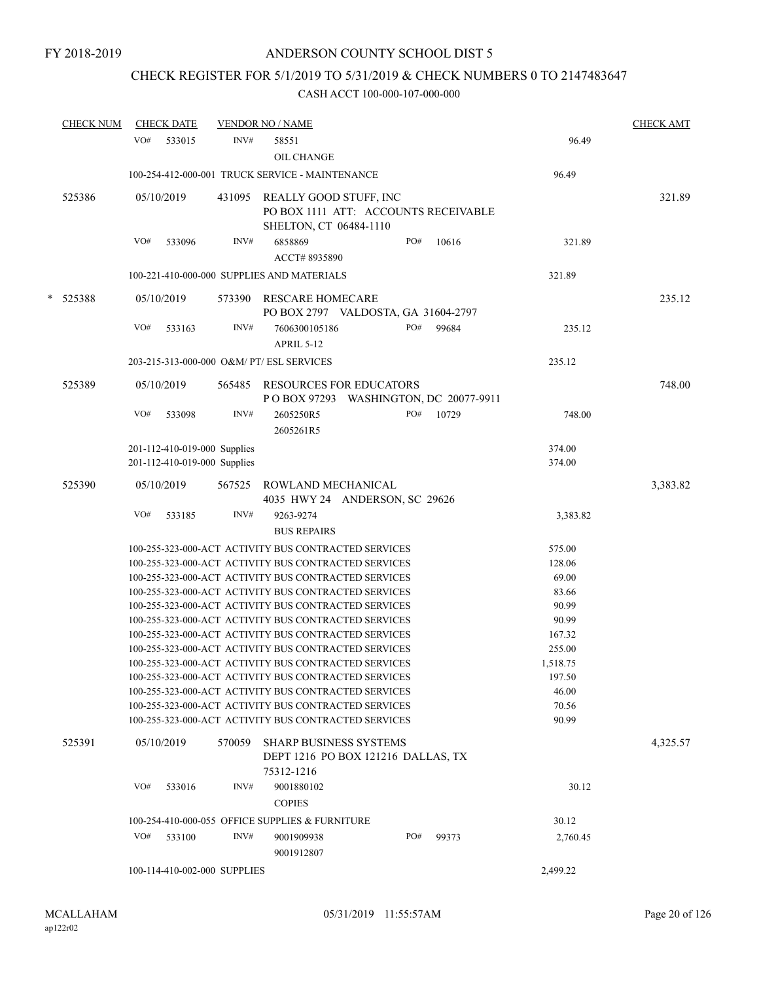## CHECK REGISTER FOR 5/1/2019 TO 5/31/2019 & CHECK NUMBERS 0 TO 2147483647

|   | <b>CHECK NUM</b> |     | <b>CHECK DATE</b>            |                              | <b>VENDOR NO / NAME</b>                                                                                      |     |                           |                   | <b>CHECK AMT</b> |
|---|------------------|-----|------------------------------|------------------------------|--------------------------------------------------------------------------------------------------------------|-----|---------------------------|-------------------|------------------|
|   |                  | VO# | 533015                       | INV#                         | 58551<br><b>OIL CHANGE</b>                                                                                   |     |                           | 96.49             |                  |
|   |                  |     |                              |                              | 100-254-412-000-001 TRUCK SERVICE - MAINTENANCE                                                              |     |                           | 96.49             |                  |
|   | 525386           |     | 05/10/2019                   | 431095                       | REALLY GOOD STUFF, INC<br>PO BOX 1111 ATT: ACCOUNTS RECEIVABLE<br>SHELTON, CT 06484-1110                     |     |                           |                   | 321.89           |
|   |                  | VO# | 533096                       | INV#                         | 6858869<br>ACCT#8935890                                                                                      | PO# | 10616                     | 321.89            |                  |
|   |                  |     |                              |                              | 100-221-410-000-000 SUPPLIES AND MATERIALS                                                                   |     |                           | 321.89            |                  |
| * | 525388           |     | 05/10/2019                   | 573390                       | <b>RESCARE HOMECARE</b><br>PO BOX 2797 VALDOSTA, GA 31604-2797                                               |     |                           |                   | 235.12           |
|   |                  | VO# | 533163                       | INV#                         | 7606300105186<br>APRIL 5-12                                                                                  | PO# | 99684                     | 235.12            |                  |
|   |                  |     |                              |                              | 203-215-313-000-000 O&M/ PT/ ESL SERVICES                                                                    |     |                           | 235.12            |                  |
|   | 525389           |     | 05/10/2019                   | 565485                       | RESOURCES FOR EDUCATORS                                                                                      |     |                           |                   | 748.00           |
|   |                  |     |                              |                              | P O BOX 97293                                                                                                |     | WASHINGTON, DC 20077-9911 |                   |                  |
|   |                  | VO# | 533098                       | INV#                         | 2605250R5<br>2605261R5                                                                                       | PO# | 10729                     | 748.00            |                  |
|   |                  |     | 201-112-410-019-000 Supplies |                              |                                                                                                              |     |                           | 374.00            |                  |
|   |                  |     | 201-112-410-019-000 Supplies |                              |                                                                                                              |     |                           | 374.00            |                  |
|   | 525390           |     | 05/10/2019                   | 567525                       | ROWLAND MECHANICAL<br>4035 HWY 24 ANDERSON, SC 29626                                                         |     |                           |                   | 3,383.82         |
|   |                  | VO# | 533185                       | INV#                         | 9263-9274                                                                                                    |     |                           | 3,383.82          |                  |
|   |                  |     |                              |                              | <b>BUS REPAIRS</b>                                                                                           |     |                           |                   |                  |
|   |                  |     |                              |                              | 100-255-323-000-ACT ACTIVITY BUS CONTRACTED SERVICES                                                         |     |                           | 575.00            |                  |
|   |                  |     |                              |                              | 100-255-323-000-ACT ACTIVITY BUS CONTRACTED SERVICES                                                         |     |                           | 128.06            |                  |
|   |                  |     |                              |                              | 100-255-323-000-ACT ACTIVITY BUS CONTRACTED SERVICES                                                         |     |                           | 69.00             |                  |
|   |                  |     |                              |                              | 100-255-323-000-ACT ACTIVITY BUS CONTRACTED SERVICES                                                         |     |                           | 83.66             |                  |
|   |                  |     |                              |                              | 100-255-323-000-ACT ACTIVITY BUS CONTRACTED SERVICES                                                         |     |                           | 90.99             |                  |
|   |                  |     |                              |                              | 100-255-323-000-ACT ACTIVITY BUS CONTRACTED SERVICES                                                         |     |                           | 90.99             |                  |
|   |                  |     |                              |                              | 100-255-323-000-ACT ACTIVITY BUS CONTRACTED SERVICES                                                         |     |                           | 167.32            |                  |
|   |                  |     |                              |                              | 100-255-323-000-ACT ACTIVITY BUS CONTRACTED SERVICES                                                         |     |                           | 255.00            |                  |
|   |                  |     |                              |                              | 100-255-323-000-ACT ACTIVITY BUS CONTRACTED SERVICES                                                         |     |                           | 1,518.75          |                  |
|   |                  |     |                              |                              | 100-255-323-000-ACT ACTIVITY BUS CONTRACTED SERVICES<br>100-255-323-000-ACT ACTIVITY BUS CONTRACTED SERVICES |     |                           | 197.50            |                  |
|   |                  |     |                              |                              | 100-255-323-000-ACT ACTIVITY BUS CONTRACTED SERVICES                                                         |     |                           | 46.00<br>70.56    |                  |
|   |                  |     |                              |                              | 100-255-323-000-ACT ACTIVITY BUS CONTRACTED SERVICES                                                         |     |                           | 90.99             |                  |
|   | 525391           |     | 05/10/2019                   | 570059                       | <b>SHARP BUSINESS SYSTEMS</b><br>DEPT 1216 PO BOX 121216 DALLAS, TX<br>75312-1216                            |     |                           |                   | 4,325.57         |
|   |                  | VO# | 533016                       | INV#                         | 9001880102<br><b>COPIES</b>                                                                                  |     |                           | 30.12             |                  |
|   |                  |     |                              |                              |                                                                                                              |     |                           |                   |                  |
|   |                  | VO# | 533100                       | INV#                         | 100-254-410-000-055 OFFICE SUPPLIES & FURNITURE<br>9001909938                                                | PO# | 99373                     | 30.12<br>2,760.45 |                  |
|   |                  |     |                              |                              | 9001912807                                                                                                   |     |                           |                   |                  |
|   |                  |     |                              | 100-114-410-002-000 SUPPLIES |                                                                                                              |     |                           | 2,499.22          |                  |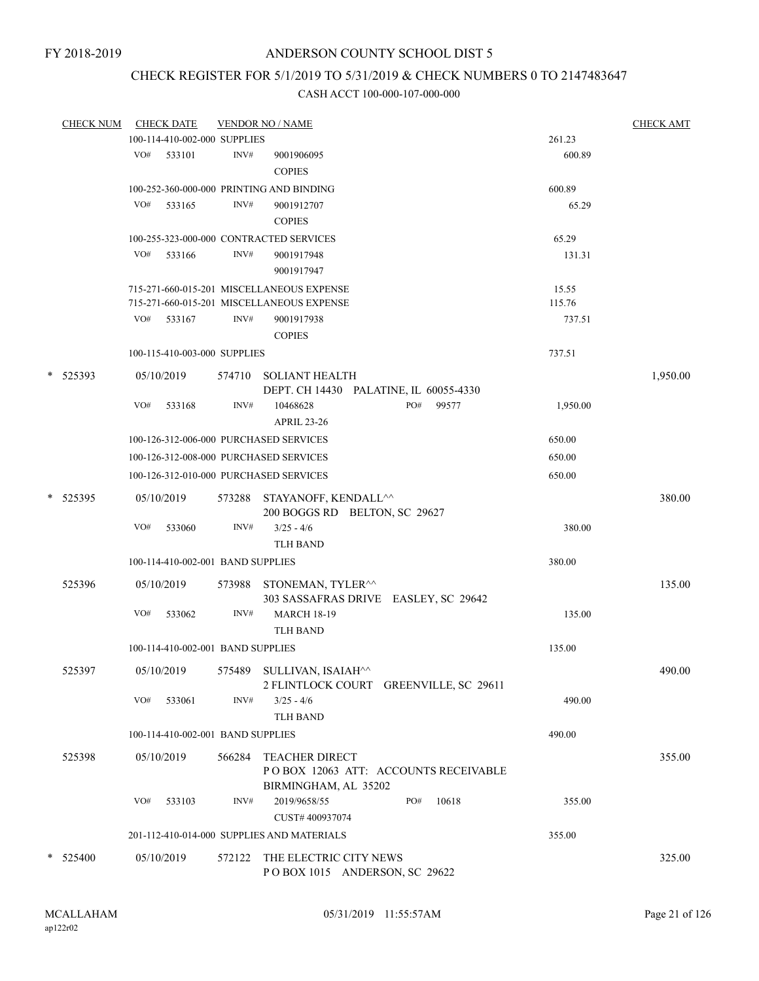## CHECK REGISTER FOR 5/1/2019 TO 5/31/2019 & CHECK NUMBERS 0 TO 2147483647

| <b>CHECK NUM</b> |     | <b>CHECK DATE</b>                 |        | <b>VENDOR NO / NAME</b>                                      |          | <b>CHECK AMT</b> |
|------------------|-----|-----------------------------------|--------|--------------------------------------------------------------|----------|------------------|
|                  |     | 100-114-410-002-000 SUPPLIES      |        |                                                              | 261.23   |                  |
|                  | VO# | 533101                            | INV#   | 9001906095                                                   | 600.89   |                  |
|                  |     |                                   |        | <b>COPIES</b>                                                |          |                  |
|                  |     |                                   |        | 100-252-360-000-000 PRINTING AND BINDING                     | 600.89   |                  |
|                  | VO# | 533165                            | INV#   | 9001912707                                                   | 65.29    |                  |
|                  |     |                                   |        | <b>COPIES</b>                                                |          |                  |
|                  |     |                                   |        |                                                              |          |                  |
|                  |     |                                   |        | 100-255-323-000-000 CONTRACTED SERVICES                      | 65.29    |                  |
|                  | VO# | 533166                            | INV#   | 9001917948                                                   | 131.31   |                  |
|                  |     |                                   |        | 9001917947                                                   |          |                  |
|                  |     |                                   |        | 715-271-660-015-201 MISCELLANEOUS EXPENSE                    | 15.55    |                  |
|                  |     |                                   |        | 715-271-660-015-201 MISCELLANEOUS EXPENSE                    | 115.76   |                  |
|                  | VO# | 533167                            | INV#   | 9001917938                                                   | 737.51   |                  |
|                  |     |                                   |        | <b>COPIES</b>                                                |          |                  |
|                  |     | 100-115-410-003-000 SUPPLIES      |        |                                                              | 737.51   |                  |
| * 525393         |     | 05/10/2019                        |        | 574710 SOLIANT HEALTH                                        |          | 1,950.00         |
|                  |     |                                   |        | DEPT. CH 14430 PALATINE, IL 60055-4330                       |          |                  |
|                  | VO# | 533168                            | INV#   | PO#<br>99577<br>10468628                                     | 1,950.00 |                  |
|                  |     |                                   |        | <b>APRIL 23-26</b>                                           |          |                  |
|                  |     |                                   |        | 100-126-312-006-000 PURCHASED SERVICES                       | 650.00   |                  |
|                  |     |                                   |        |                                                              |          |                  |
|                  |     |                                   |        | 100-126-312-008-000 PURCHASED SERVICES                       | 650.00   |                  |
|                  |     |                                   |        | 100-126-312-010-000 PURCHASED SERVICES                       | 650.00   |                  |
| * 525395         |     | 05/10/2019                        |        | 573288 STAYANOFF, KENDALL^^<br>200 BOGGS RD BELTON, SC 29627 |          | 380.00           |
|                  | VO# | 533060                            | INV#   | $3/25 - 4/6$                                                 | 380.00   |                  |
|                  |     |                                   |        | <b>TLH BAND</b>                                              |          |                  |
|                  |     | 100-114-410-002-001 BAND SUPPLIES |        |                                                              | 380.00   |                  |
|                  |     |                                   |        |                                                              |          |                  |
| 525396           |     | 05/10/2019                        |        | 573988 STONEMAN, TYLER^^                                     |          | 135.00           |
|                  |     |                                   |        | 303 SASSAFRAS DRIVE EASLEY, SC 29642                         |          |                  |
|                  | VO# | 533062                            | INV#   | <b>MARCH 18-19</b>                                           | 135.00   |                  |
|                  |     |                                   |        | <b>TLH BAND</b>                                              |          |                  |
|                  |     | 100-114-410-002-001 BAND SUPPLIES |        |                                                              | 135.00   |                  |
| 525397           |     | 05/10/2019                        |        | 575489 SULLIVAN, ISAIAH^^                                    |          | 490.00           |
|                  |     |                                   |        | 2 FLINTLOCK COURT GREENVILLE, SC 29611                       |          |                  |
|                  | VO# | 533061                            | INV#   | $3/25 - 4/6$                                                 | 490.00   |                  |
|                  |     |                                   |        | <b>TLH BAND</b>                                              |          |                  |
|                  |     | 100-114-410-002-001 BAND SUPPLIES |        |                                                              | 490.00   |                  |
| 525398           |     | 05/10/2019                        | 566284 | <b>TEACHER DIRECT</b>                                        |          | 355.00           |
|                  |     |                                   |        | POBOX 12063 ATT: ACCOUNTS RECEIVABLE                         |          |                  |
|                  |     |                                   |        | BIRMINGHAM, AL 35202                                         |          |                  |
|                  | VO# | 533103                            | INV#   | 2019/9658/55<br>PO#<br>10618                                 | 355.00   |                  |
|                  |     |                                   |        | CUST# 400937074                                              |          |                  |
|                  |     |                                   |        | 201-112-410-014-000 SUPPLIES AND MATERIALS                   | 355.00   |                  |
|                  |     |                                   |        |                                                              |          |                  |
| * 525400         |     | 05/10/2019                        | 572122 | THE ELECTRIC CITY NEWS                                       |          | 325.00           |
|                  |     |                                   |        | POBOX 1015 ANDERSON, SC 29622                                |          |                  |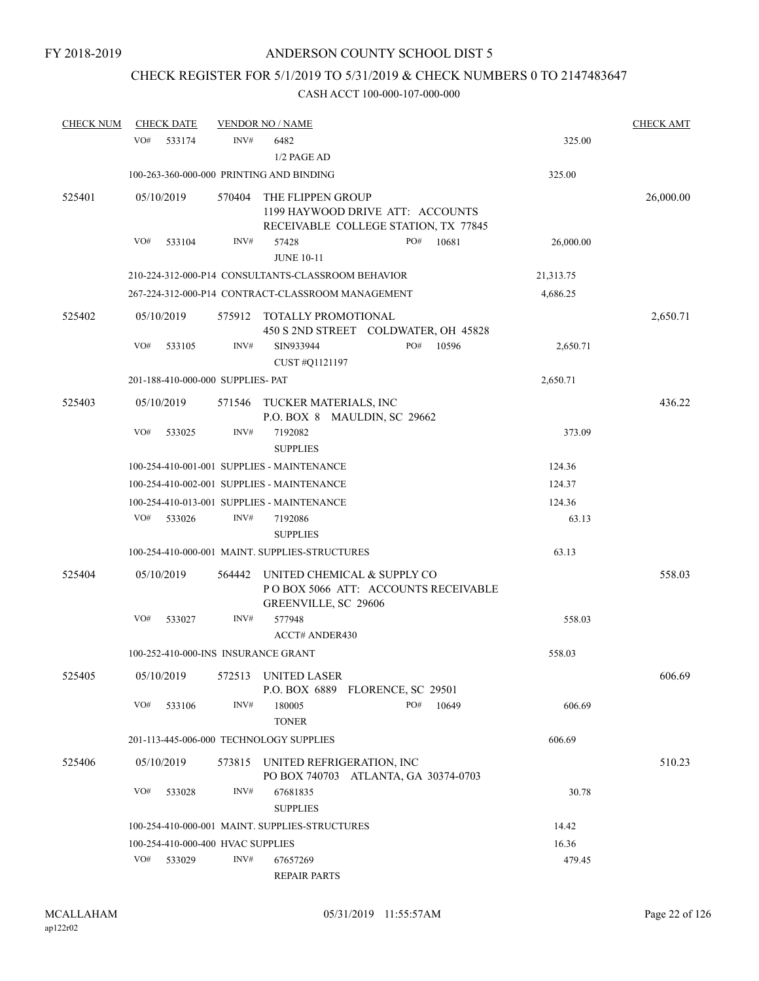## CHECK REGISTER FOR 5/1/2019 TO 5/31/2019 & CHECK NUMBERS 0 TO 2147483647

| <b>CHECK NUM</b> | <b>CHECK DATE</b> |                                     | <b>VENDOR NO / NAME</b>                                    |                                                                          |           | <b>CHECK AMT</b> |
|------------------|-------------------|-------------------------------------|------------------------------------------------------------|--------------------------------------------------------------------------|-----------|------------------|
|                  | VO#<br>533174     | INV#                                | 6482<br>1/2 PAGE AD                                        |                                                                          | 325.00    |                  |
|                  |                   |                                     | 100-263-360-000-000 PRINTING AND BINDING                   |                                                                          | 325.00    |                  |
| 525401           | 05/10/2019        | 570404                              | THE FLIPPEN GROUP                                          | 1199 HAYWOOD DRIVE ATT: ACCOUNTS<br>RECEIVABLE COLLEGE STATION, TX 77845 |           | 26,000.00        |
|                  | VO#<br>533104     | INV#                                | 57428<br><b>JUNE 10-11</b>                                 | PO#<br>10681                                                             | 26,000.00 |                  |
|                  |                   |                                     | 210-224-312-000-P14 CONSULTANTS-CLASSROOM BEHAVIOR         |                                                                          | 21,313.75 |                  |
|                  |                   |                                     | 267-224-312-000-P14 CONTRACT-CLASSROOM MANAGEMENT          |                                                                          | 4,686.25  |                  |
| 525402           | 05/10/2019        |                                     | 575912 TOTALLY PROMOTIONAL                                 | 450 S 2ND STREET COLDWATER, OH 45828                                     |           | 2,650.71         |
|                  | VO#<br>533105     | INV#                                | SIN933944<br>CUST #Q1121197                                | PO#<br>10596                                                             | 2,650.71  |                  |
|                  |                   | 201-188-410-000-000 SUPPLIES- PAT   |                                                            |                                                                          | 2,650.71  |                  |
| 525403           | 05/10/2019        | 571546                              | TUCKER MATERIALS, INC<br>P.O. BOX 8 MAULDIN, SC 29662      |                                                                          |           | 436.22           |
|                  | VO#<br>533025     | INV#                                | 7192082<br><b>SUPPLIES</b>                                 |                                                                          | 373.09    |                  |
|                  |                   |                                     | 100-254-410-001-001 SUPPLIES - MAINTENANCE                 |                                                                          | 124.36    |                  |
|                  |                   |                                     | 100-254-410-002-001 SUPPLIES - MAINTENANCE                 |                                                                          | 124.37    |                  |
|                  |                   |                                     | 100-254-410-013-001 SUPPLIES - MAINTENANCE                 |                                                                          | 124.36    |                  |
|                  | VO#<br>533026     | INV#                                | 7192086<br><b>SUPPLIES</b>                                 |                                                                          | 63.13     |                  |
|                  |                   |                                     | 100-254-410-000-001 MAINT. SUPPLIES-STRUCTURES             |                                                                          | 63.13     |                  |
| 525404           | 05/10/2019        | 564442                              | UNITED CHEMICAL & SUPPLY CO<br><b>GREENVILLE, SC 29606</b> | PO BOX 5066 ATT: ACCOUNTS RECEIVABLE                                     |           | 558.03           |
|                  | VO#<br>533027     | INV#                                | 577948<br><b>ACCT# ANDER430</b>                            |                                                                          | 558.03    |                  |
|                  |                   | 100-252-410-000-INS INSURANCE GRANT |                                                            |                                                                          | 558.03    |                  |
| 525405           | 05/10/2019        | 572513                              | UNITED LASER                                               | P.O. BOX 6889 FLORENCE, SC 29501                                         |           | 606.69           |
|                  | VO#<br>533106     | INV#                                | 180005<br><b>TONER</b>                                     | PO#<br>10649                                                             | 606.69    |                  |
|                  |                   |                                     | 201-113-445-006-000 TECHNOLOGY SUPPLIES                    |                                                                          | 606.69    |                  |
| 525406           | 05/10/2019        | 573815                              | UNITED REFRIGERATION, INC                                  | PO BOX 740703 ATLANTA, GA 30374-0703                                     |           | 510.23           |
|                  | VO#<br>533028     | INV#                                | 67681835<br><b>SUPPLIES</b>                                |                                                                          | 30.78     |                  |
|                  |                   |                                     | 100-254-410-000-001 MAINT. SUPPLIES-STRUCTURES             |                                                                          | 14.42     |                  |
|                  |                   | 100-254-410-000-400 HVAC SUPPLIES   |                                                            |                                                                          | 16.36     |                  |
|                  | VO#<br>533029     | INV#                                | 67657269<br><b>REPAIR PARTS</b>                            |                                                                          | 479.45    |                  |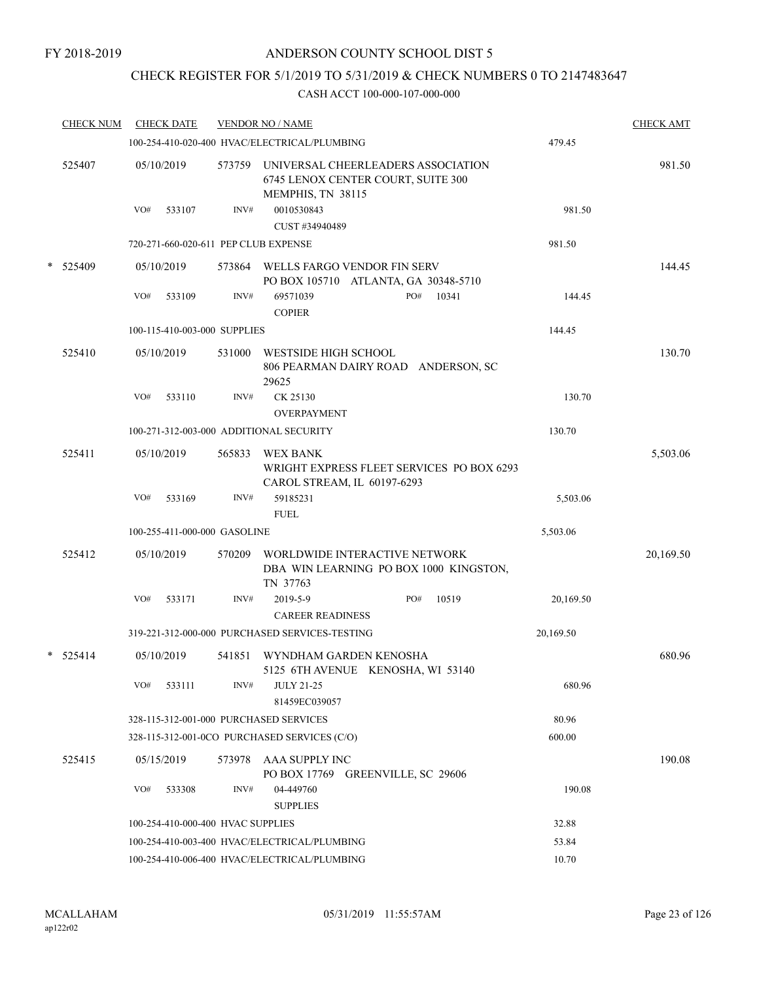## CHECK REGISTER FOR 5/1/2019 TO 5/31/2019 & CHECK NUMBERS 0 TO 2147483647

| <b>CHECK NUM</b> |     | <b>CHECK DATE</b>                 |        | <b>VENDOR NO / NAME</b>                                                                       |     |       |           | <b>CHECK AMT</b> |
|------------------|-----|-----------------------------------|--------|-----------------------------------------------------------------------------------------------|-----|-------|-----------|------------------|
|                  |     |                                   |        | 100-254-410-020-400 HVAC/ELECTRICAL/PLUMBING                                                  |     |       | 479.45    |                  |
| 525407           |     | 05/10/2019                        | 573759 | UNIVERSAL CHEERLEADERS ASSOCIATION<br>6745 LENOX CENTER COURT, SUITE 300<br>MEMPHIS, TN 38115 |     |       |           | 981.50           |
|                  | VO# | 533107                            | INV#   | 0010530843<br>CUST #34940489                                                                  |     |       | 981.50    |                  |
|                  |     |                                   |        | 720-271-660-020-611 PEP CLUB EXPENSE                                                          |     |       | 981.50    |                  |
| * 525409         |     | 05/10/2019                        |        | 573864 WELLS FARGO VENDOR FIN SERV<br>PO BOX 105710 ATLANTA, GA 30348-5710                    |     |       |           | 144.45           |
|                  | VO# | 533109                            | INV#   | 69571039<br><b>COPIER</b>                                                                     | PO# | 10341 | 144.45    |                  |
|                  |     | 100-115-410-003-000 SUPPLIES      |        |                                                                                               |     |       | 144.45    |                  |
| 525410           |     | 05/10/2019                        | 531000 | WESTSIDE HIGH SCHOOL<br>806 PEARMAN DAIRY ROAD ANDERSON, SC<br>29625                          |     |       |           | 130.70           |
|                  | VO# | 533110                            | INV#   | CK 25130<br><b>OVERPAYMENT</b>                                                                |     |       | 130.70    |                  |
|                  |     |                                   |        | 100-271-312-003-000 ADDITIONAL SECURITY                                                       |     |       | 130.70    |                  |
| 525411           |     | 05/10/2019                        | 565833 | WEX BANK<br>WRIGHT EXPRESS FLEET SERVICES PO BOX 6293<br>CAROL STREAM, IL 60197-6293          |     |       |           | 5,503.06         |
|                  | VO# | 533169                            | INV#   | 59185231<br><b>FUEL</b>                                                                       |     |       | 5,503.06  |                  |
|                  |     | 100-255-411-000-000 GASOLINE      |        |                                                                                               |     |       | 5,503.06  |                  |
| 525412           |     | 05/10/2019                        | 570209 | WORLDWIDE INTERACTIVE NETWORK<br>DBA WIN LEARNING PO BOX 1000 KINGSTON,<br>TN 37763           |     |       |           | 20,169.50        |
|                  | VO# | 533171                            | INV#   | 2019-5-9<br><b>CAREER READINESS</b>                                                           | PO# | 10519 | 20,169.50 |                  |
|                  |     |                                   |        | 319-221-312-000-000 PURCHASED SERVICES-TESTING                                                |     |       | 20,169.50 |                  |
| $* 525414$       |     | 05/10/2019                        | 541851 | WYNDHAM GARDEN KENOSHA<br>5125 6TH AVENUE KENOSHA, WI 53140                                   |     |       |           | 680.96           |
|                  | VO# | 533111                            | INV#   | <b>JULY 21-25</b><br>81459EC039057                                                            |     |       | 680.96    |                  |
|                  |     |                                   |        | 328-115-312-001-000 PURCHASED SERVICES                                                        |     |       | 80.96     |                  |
|                  |     |                                   |        | 328-115-312-001-0CO PURCHASED SERVICES (C/O)                                                  |     |       | 600.00    |                  |
| 525415           |     | 05/15/2019                        | 573978 | <b>AAA SUPPLY INC</b><br>PO BOX 17769 GREENVILLE, SC 29606                                    |     |       |           | 190.08           |
|                  | VO# | 533308                            | INV#   | 04-449760<br><b>SUPPLIES</b>                                                                  |     |       | 190.08    |                  |
|                  |     | 100-254-410-000-400 HVAC SUPPLIES |        |                                                                                               |     |       | 32.88     |                  |
|                  |     |                                   |        | 100-254-410-003-400 HVAC/ELECTRICAL/PLUMBING                                                  |     |       | 53.84     |                  |
|                  |     |                                   |        | 100-254-410-006-400 HVAC/ELECTRICAL/PLUMBING                                                  |     |       | 10.70     |                  |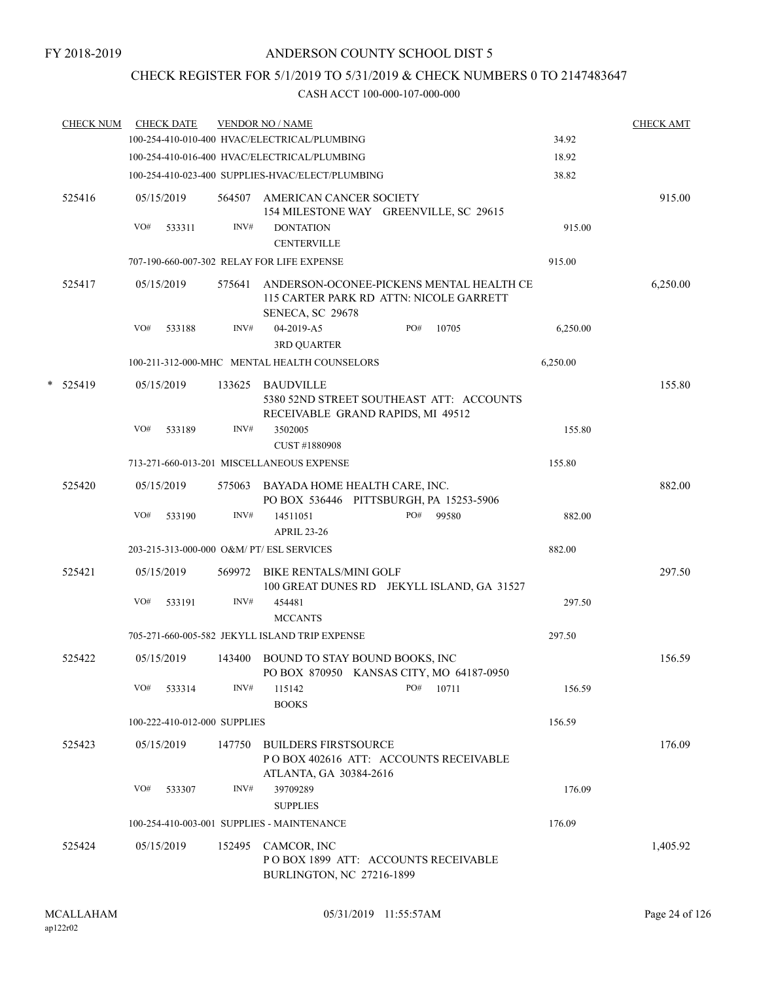## CHECK REGISTER FOR 5/1/2019 TO 5/31/2019 & CHECK NUMBERS 0 TO 2147483647

|   | <b>CHECK NUM</b> |     | <b>CHECK DATE</b>            |        | <b>VENDOR NO / NAME</b>                                                                                 |     |       |          | <b>CHECK AMT</b> |
|---|------------------|-----|------------------------------|--------|---------------------------------------------------------------------------------------------------------|-----|-------|----------|------------------|
|   |                  |     |                              |        | 100-254-410-010-400 HVAC/ELECTRICAL/PLUMBING                                                            |     |       | 34.92    |                  |
|   |                  |     |                              |        | 100-254-410-016-400 HVAC/ELECTRICAL/PLUMBING                                                            |     |       | 18.92    |                  |
|   |                  |     |                              |        | 100-254-410-023-400 SUPPLIES-HVAC/ELECT/PLUMBING                                                        |     |       | 38.82    |                  |
|   | 525416           |     | 05/15/2019                   | 564507 | AMERICAN CANCER SOCIETY<br>154 MILESTONE WAY GREENVILLE, SC 29615                                       |     |       |          | 915.00           |
|   |                  | VO# | 533311                       | INV#   | <b>DONTATION</b>                                                                                        |     |       | 915.00   |                  |
|   |                  |     |                              |        | <b>CENTERVILLE</b>                                                                                      |     |       |          |                  |
|   |                  |     |                              |        | 707-190-660-007-302 RELAY FOR LIFE EXPENSE                                                              |     |       | 915.00   |                  |
|   | 525417           |     | 05/15/2019                   | 575641 | ANDERSON-OCONEE-PICKENS MENTAL HEALTH CE<br>115 CARTER PARK RD ATTN: NICOLE GARRETT<br>SENECA, SC 29678 |     |       |          | 6,250.00         |
|   |                  | VO# | 533188                       | INV#   | 04-2019-A5                                                                                              | PO# | 10705 | 6,250.00 |                  |
|   |                  |     |                              |        | <b>3RD QUARTER</b>                                                                                      |     |       |          |                  |
|   |                  |     |                              |        | 100-211-312-000-MHC MENTAL HEALTH COUNSELORS                                                            |     |       | 6,250.00 |                  |
| * | 525419           |     | 05/15/2019                   |        | 133625 BAUDVILLE<br>5380 52ND STREET SOUTHEAST ATT: ACCOUNTS                                            |     |       |          | 155.80           |
|   |                  | VO# | 533189                       | INV#   | RECEIVABLE GRAND RAPIDS, MI 49512<br>3502005<br>CUST #1880908                                           |     |       | 155.80   |                  |
|   |                  |     |                              |        | 713-271-660-013-201 MISCELLANEOUS EXPENSE                                                               |     |       | 155.80   |                  |
|   | 525420           |     | 05/15/2019                   |        | 575063 BAYADA HOME HEALTH CARE, INC.<br>PO BOX 536446 PITTSBURGH, PA 15253-5906                         |     |       |          | 882.00           |
|   |                  | VO# | 533190                       | INV#   | 14511051<br><b>APRIL 23-26</b>                                                                          | PO# | 99580 | 882.00   |                  |
|   |                  |     |                              |        | 203-215-313-000-000 O&M/ PT/ ESL SERVICES                                                               |     |       | 882.00   |                  |
|   |                  |     |                              |        |                                                                                                         |     |       |          |                  |
|   | 525421           |     | 05/15/2019                   |        | 569972 BIKE RENTALS/MINI GOLF<br>100 GREAT DUNES RD JEKYLL ISLAND, GA 31527                             |     |       |          | 297.50           |
|   |                  | VO# | 533191                       | INV#   | 454481<br><b>MCCANTS</b>                                                                                |     |       | 297.50   |                  |
|   |                  |     |                              |        | 705-271-660-005-582 JEKYLL ISLAND TRIP EXPENSE                                                          |     |       | 297.50   |                  |
|   | 525422           |     | 05/15/2019                   |        | 143400 BOUND TO STAY BOUND BOOKS, INC<br>PO BOX 870950 KANSAS CITY, MO 64187-0950                       |     |       |          | 156.59           |
|   |                  | VO# | 533314                       | INV#   | 115142<br><b>BOOKS</b>                                                                                  | PO# | 10711 | 156.59   |                  |
|   |                  |     | 100-222-410-012-000 SUPPLIES |        |                                                                                                         |     |       | 156.59   |                  |
|   | 525423           |     | 05/15/2019                   | 147750 | <b>BUILDERS FIRSTSOURCE</b><br>PO BOX 402616 ATT: ACCOUNTS RECEIVABLE<br>ATLANTA, GA 30384-2616         |     |       |          | 176.09           |
|   |                  | VO# | 533307                       | INV#   | 39709289<br><b>SUPPLIES</b>                                                                             |     |       | 176.09   |                  |
|   |                  |     |                              |        | 100-254-410-003-001 SUPPLIES - MAINTENANCE                                                              |     |       | 176.09   |                  |
|   | 525424           |     | 05/15/2019                   |        | 152495 CAMCOR, INC<br>POBOX 1899 ATT: ACCOUNTS RECEIVABLE<br>BURLINGTON, NC 27216-1899                  |     |       |          | 1,405.92         |
|   |                  |     |                              |        |                                                                                                         |     |       |          |                  |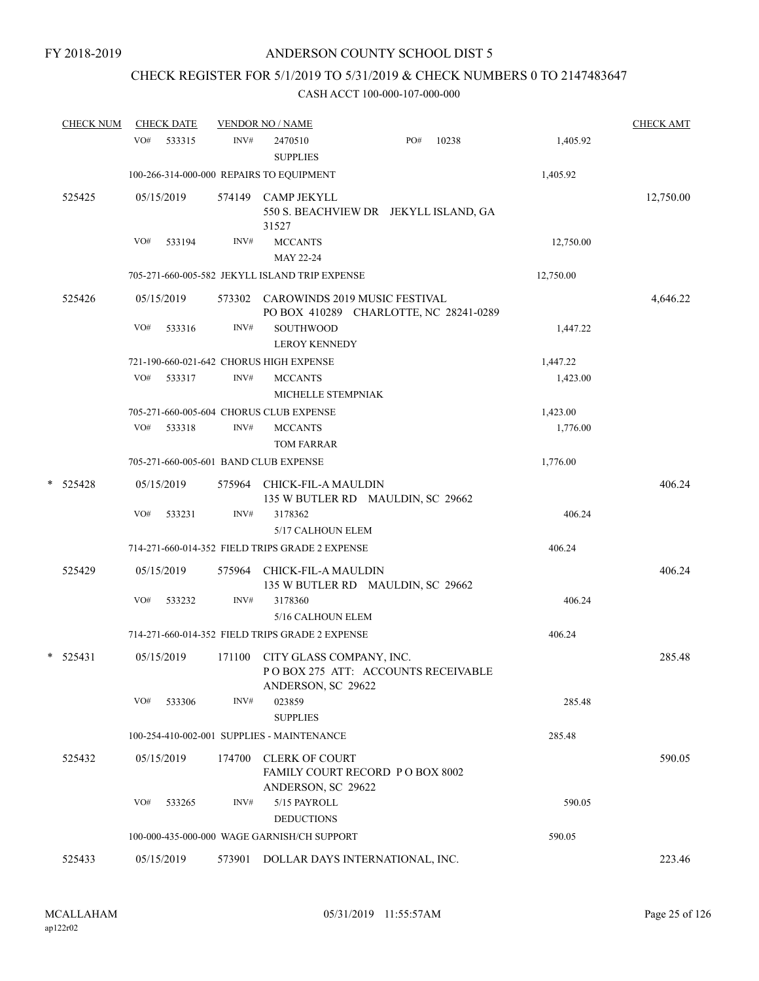## CHECK REGISTER FOR 5/1/2019 TO 5/31/2019 & CHECK NUMBERS 0 TO 2147483647

| <b>CHECK NUM</b> |     | <b>CHECK DATE</b> |        | <b>VENDOR NO / NAME</b>                                                              |     |       |           | <b>CHECK AMT</b> |
|------------------|-----|-------------------|--------|--------------------------------------------------------------------------------------|-----|-------|-----------|------------------|
|                  | VO# | 533315            | INV#   | 2470510<br><b>SUPPLIES</b>                                                           | PO# | 10238 | 1,405.92  |                  |
|                  |     |                   |        | 100-266-314-000-000 REPAIRS TO EQUIPMENT                                             |     |       | 1,405.92  |                  |
| 525425           |     | 05/15/2019        |        | 574149 CAMP JEKYLL<br>550 S. BEACHVIEW DR JEKYLL ISLAND, GA<br>31527                 |     |       |           | 12,750.00        |
|                  | VO# | 533194            | INV#   | <b>MCCANTS</b><br>MAY 22-24                                                          |     |       | 12,750.00 |                  |
|                  |     |                   |        | 705-271-660-005-582 JEKYLL ISLAND TRIP EXPENSE                                       |     |       | 12,750.00 |                  |
| 525426           |     | 05/15/2019        |        | 573302 CAROWINDS 2019 MUSIC FESTIVAL<br>PO BOX 410289 CHARLOTTE, NC 28241-0289       |     |       |           | 4,646.22         |
|                  | VO# | 533316            | INV#   | SOUTHWOOD<br><b>LEROY KENNEDY</b>                                                    |     |       | 1,447.22  |                  |
|                  |     |                   |        | 721-190-660-021-642 CHORUS HIGH EXPENSE                                              |     |       | 1,447.22  |                  |
|                  | VO# | 533317            | INV#   | <b>MCCANTS</b><br>MICHELLE STEMPNIAK                                                 |     |       | 1,423.00  |                  |
|                  |     |                   |        | 705-271-660-005-604 CHORUS CLUB EXPENSE                                              |     |       | 1,423.00  |                  |
|                  | VO# | 533318            | INV#   | <b>MCCANTS</b><br>TOM FARRAR                                                         |     |       | 1,776.00  |                  |
|                  |     |                   |        | 705-271-660-005-601 BAND CLUB EXPENSE                                                |     |       | 1,776.00  |                  |
| $*$ 525428       |     | 05/15/2019        | 575964 | CHICK-FIL-A MAULDIN<br>135 W BUTLER RD MAULDIN, SC 29662                             |     |       |           | 406.24           |
|                  | VO# | 533231            | INV#   | 3178362<br>5/17 CALHOUN ELEM                                                         |     |       | 406.24    |                  |
|                  |     |                   |        | 714-271-660-014-352 FIELD TRIPS GRADE 2 EXPENSE                                      |     |       | 406.24    |                  |
| 525429           |     | 05/15/2019        | 575964 | CHICK-FIL-A MAULDIN<br>135 W BUTLER RD MAULDIN, SC 29662                             |     |       |           | 406.24           |
|                  | VO# | 533232            | INV#   | 3178360<br>5/16 CALHOUN ELEM                                                         |     |       | 406.24    |                  |
|                  |     |                   |        | 714-271-660-014-352 FIELD TRIPS GRADE 2 EXPENSE                                      |     |       | 406.24    |                  |
| $*$ 525431       |     | 05/15/2019        | 171100 | CITY GLASS COMPANY, INC.<br>POBOX 275 ATT: ACCOUNTS RECEIVABLE<br>ANDERSON, SC 29622 |     |       |           | 285.48           |
|                  | VO# | 533306            | INV#   | 023859<br><b>SUPPLIES</b>                                                            |     |       | 285.48    |                  |
|                  |     |                   |        | 100-254-410-002-001 SUPPLIES - MAINTENANCE                                           |     |       | 285.48    |                  |
| 525432           |     | 05/15/2019        | 174700 | <b>CLERK OF COURT</b><br>FAMILY COURT RECORD P O BOX 8002<br>ANDERSON, SC 29622      |     |       |           | 590.05           |
|                  | VO# | 533265            | INV#   | 5/15 PAYROLL<br><b>DEDUCTIONS</b>                                                    |     |       | 590.05    |                  |
|                  |     |                   |        | 100-000-435-000-000 WAGE GARNISH/CH SUPPORT                                          |     |       | 590.05    |                  |
| 525433           |     | 05/15/2019        |        | 573901 DOLLAR DAYS INTERNATIONAL, INC.                                               |     |       |           | 223.46           |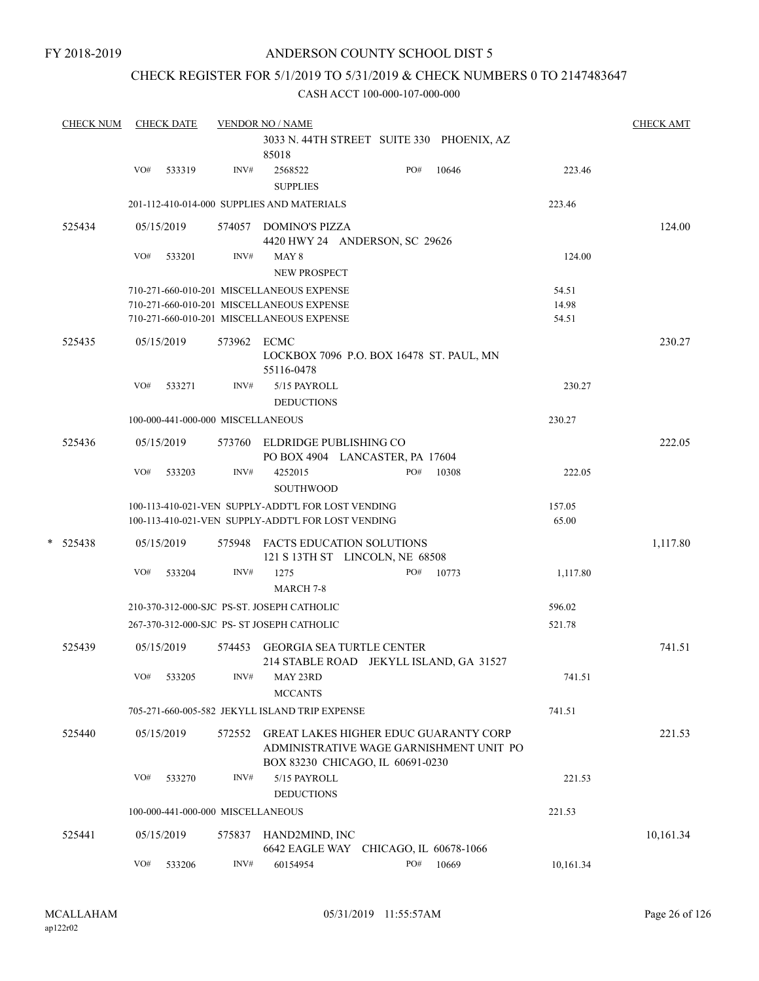## CHECK REGISTER FOR 5/1/2019 TO 5/31/2019 & CHECK NUMBERS 0 TO 2147483647

| <b>CHECK NUM</b> |            | <b>CHECK DATE</b> |                                   | <b>VENDOR NO / NAME</b>                                                                                  |     |       |                 | <b>CHECK AMT</b> |
|------------------|------------|-------------------|-----------------------------------|----------------------------------------------------------------------------------------------------------|-----|-------|-----------------|------------------|
|                  |            |                   |                                   | 3033 N. 44TH STREET SUITE 330 PHOENIX, AZ<br>85018                                                       |     |       |                 |                  |
|                  | VO#        | 533319            | INV#                              | 2568522<br><b>SUPPLIES</b>                                                                               | PO# | 10646 | 223.46          |                  |
|                  |            |                   |                                   | 201-112-410-014-000 SUPPLIES AND MATERIALS                                                               |     |       | 223.46          |                  |
| 525434           |            | 05/15/2019        |                                   | 574057 DOMINO'S PIZZA<br>4420 HWY 24 ANDERSON, SC 29626                                                  |     |       |                 | 124.00           |
|                  | VO#        | 533201            | INV#                              | MAY 8<br>NEW PROSPECT                                                                                    |     |       | 124.00          |                  |
|                  |            |                   |                                   | 710-271-660-010-201 MISCELLANEOUS EXPENSE                                                                |     |       | 54.51           |                  |
|                  |            |                   |                                   | 710-271-660-010-201 MISCELLANEOUS EXPENSE                                                                |     |       | 14.98           |                  |
|                  |            |                   |                                   | 710-271-660-010-201 MISCELLANEOUS EXPENSE                                                                |     |       | 54.51           |                  |
| 525435           |            | 05/15/2019        | 573962 ECMC                       | LOCKBOX 7096 P.O. BOX 16478 ST. PAUL, MN                                                                 |     |       |                 | 230.27           |
|                  |            |                   |                                   | 55116-0478                                                                                               |     |       |                 |                  |
|                  | VO#        | 533271            | INV#                              | 5/15 PAYROLL<br><b>DEDUCTIONS</b>                                                                        |     |       | 230.27          |                  |
|                  |            |                   | 100-000-441-000-000 MISCELLANEOUS |                                                                                                          |     |       | 230.27          |                  |
| 525436           |            | 05/15/2019        |                                   | 573760 ELDRIDGE PUBLISHING CO<br>PO BOX 4904 LANCASTER, PA 17604                                         |     |       |                 | 222.05           |
|                  | VO#        | 533203            | INV#                              | 4252015<br><b>SOUTHWOOD</b>                                                                              | PO# | 10308 | 222.05          |                  |
|                  |            |                   |                                   | 100-113-410-021-VEN SUPPLY-ADDT'L FOR LOST VENDING<br>100-113-410-021-VEN SUPPLY-ADDT'L FOR LOST VENDING |     |       | 157.05<br>65.00 |                  |
| $*$ 525438       |            | 05/15/2019        |                                   | 575948 FACTS EDUCATION SOLUTIONS<br>121 S 13TH ST LINCOLN, NE 68508                                      |     |       |                 | 1,117.80         |
|                  | VO#        | 533204            | INV#                              | 1275<br><b>MARCH 7-8</b>                                                                                 | PO# | 10773 | 1,117.80        |                  |
|                  |            |                   |                                   | 210-370-312-000-SJC PS-ST. JOSEPH CATHOLIC                                                               |     |       | 596.02          |                  |
|                  |            |                   |                                   | 267-370-312-000-SJC PS- ST JOSEPH CATHOLIC                                                               |     |       | 521.78          |                  |
| 525439           |            | 05/15/2019        | 574453                            | <b>GEORGIA SEA TURTLE CENTER</b><br>214 STABLE ROAD JEKYLL ISLAND, GA 31527                              |     |       |                 | 741.51           |
|                  | $\rm VO\#$ | 533205            | $\text{INV}\#$                    | MAY 23RD<br><b>MCCANTS</b>                                                                               |     |       | 741.51          |                  |
|                  |            |                   |                                   | 705-271-660-005-582 JEKYLL ISLAND TRIP EXPENSE                                                           |     |       | 741.51          |                  |
| 525440           |            | 05/15/2019        | 572552                            | <b>GREAT LAKES HIGHER EDUC GUARANTY CORP</b><br>ADMINISTRATIVE WAGE GARNISHMENT UNIT PO                  |     |       |                 | 221.53           |
|                  | VO#        | 533270            | INV#                              | BOX 83230 CHICAGO, IL 60691-0230<br>5/15 PAYROLL<br><b>DEDUCTIONS</b>                                    |     |       | 221.53          |                  |
|                  |            |                   | 100-000-441-000-000 MISCELLANEOUS |                                                                                                          |     |       | 221.53          |                  |
|                  |            |                   |                                   |                                                                                                          |     |       |                 |                  |
| 525441           |            | 05/15/2019        | 575837                            | HAND2MIND, INC<br>6642 EAGLE WAY CHICAGO, IL 60678-1066                                                  |     |       |                 | 10,161.34        |
|                  | VO#        | 533206            | INV#                              | 60154954                                                                                                 | PO# | 10669 | 10,161.34       |                  |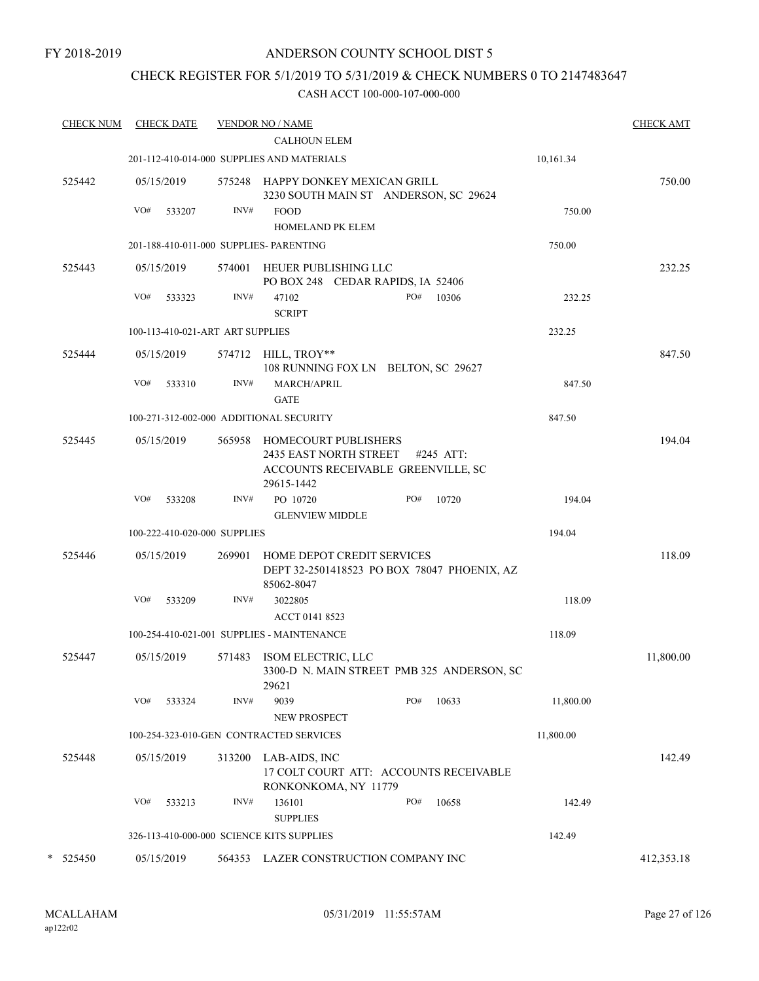## CHECK REGISTER FOR 5/1/2019 TO 5/31/2019 & CHECK NUMBERS 0 TO 2147483647

| <b>CHECK NUM</b> | <b>CHECK DATE</b> |                                  | <b>VENDOR NO / NAME</b>                                                                                          |              |           | <b>CHECK AMT</b> |
|------------------|-------------------|----------------------------------|------------------------------------------------------------------------------------------------------------------|--------------|-----------|------------------|
|                  |                   |                                  | <b>CALHOUN ELEM</b>                                                                                              |              |           |                  |
|                  |                   |                                  | 201-112-410-014-000 SUPPLIES AND MATERIALS                                                                       |              | 10,161.34 |                  |
| 525442           | 05/15/2019        |                                  | 575248 HAPPY DONKEY MEXICAN GRILL<br>3230 SOUTH MAIN ST ANDERSON, SC 29624                                       |              |           | 750.00           |
|                  | VO#<br>533207     | INV#                             | <b>FOOD</b><br><b>HOMELAND PK ELEM</b>                                                                           |              | 750.00    |                  |
|                  |                   |                                  | 201-188-410-011-000 SUPPLIES- PARENTING                                                                          |              | 750.00    |                  |
| 525443           | 05/15/2019        |                                  | 574001 HEUER PUBLISHING LLC                                                                                      |              |           | 232.25           |
|                  |                   |                                  | PO BOX 248 CEDAR RAPIDS, IA 52406                                                                                |              |           |                  |
|                  | VO#<br>533323     | INV#                             | 47102<br><b>SCRIPT</b>                                                                                           | PO#<br>10306 | 232.25    |                  |
|                  |                   | 100-113-410-021-ART ART SUPPLIES |                                                                                                                  |              | 232.25    |                  |
| 525444           | 05/15/2019        |                                  | 574712 HILL, TROY**<br>108 RUNNING FOX LN BELTON, SC 29627                                                       |              |           | 847.50           |
|                  | VO#<br>533310     | INV#                             | MARCH/APRIL                                                                                                      |              | 847.50    |                  |
|                  |                   |                                  | <b>GATE</b>                                                                                                      |              |           |                  |
|                  |                   |                                  | 100-271-312-002-000 ADDITIONAL SECURITY                                                                          |              | 847.50    |                  |
| 525445           | 05/15/2019        |                                  | 565958 HOMECOURT PUBLISHERS<br><b>2435 EAST NORTH STREET</b><br>ACCOUNTS RECEIVABLE GREENVILLE, SC<br>29615-1442 | #245 ATT:    |           | 194.04           |
|                  | VO#<br>533208     | INV#                             | PO 10720<br><b>GLENVIEW MIDDLE</b>                                                                               | PO#<br>10720 | 194.04    |                  |
|                  |                   | 100-222-410-020-000 SUPPLIES     |                                                                                                                  |              | 194.04    |                  |
| 525446           | 05/15/2019        | 269901                           | HOME DEPOT CREDIT SERVICES<br>DEPT 32-2501418523 PO BOX 78047 PHOENIX, AZ<br>85062-8047                          |              |           | 118.09           |
|                  | VO#<br>533209     | INV#                             | 3022805                                                                                                          |              | 118.09    |                  |
|                  |                   |                                  | ACCT 0141 8523                                                                                                   |              |           |                  |
|                  |                   |                                  | 100-254-410-021-001 SUPPLIES - MAINTENANCE                                                                       |              | 118.09    |                  |
| 525447           | 05/15/2019        |                                  | 571483 ISOM ELECTRIC, LLC<br>3300-D N. MAIN STREET PMB 325 ANDERSON, SC<br>29621                                 |              |           | 11,800.00        |
|                  | VO#<br>533324     | INV#                             | 9039<br>NEW PROSPECT                                                                                             | PO#<br>10633 | 11,800.00 |                  |
|                  |                   |                                  | 100-254-323-010-GEN CONTRACTED SERVICES                                                                          |              | 11,800.00 |                  |
| 525448           | 05/15/2019        | 313200                           | LAB-AIDS, INC                                                                                                    |              |           | 142.49           |
|                  |                   |                                  | 17 COLT COURT ATT: ACCOUNTS RECEIVABLE<br>RONKONKOMA, NY 11779                                                   |              |           |                  |
|                  | VO#<br>533213     | INV#                             | 136101<br><b>SUPPLIES</b>                                                                                        | PO#<br>10658 | 142.49    |                  |
|                  |                   |                                  | 326-113-410-000-000 SCIENCE KITS SUPPLIES                                                                        |              | 142.49    |                  |
| 525450<br>*      | 05/15/2019        | 564353                           | LAZER CONSTRUCTION COMPANY INC                                                                                   |              |           | 412,353.18       |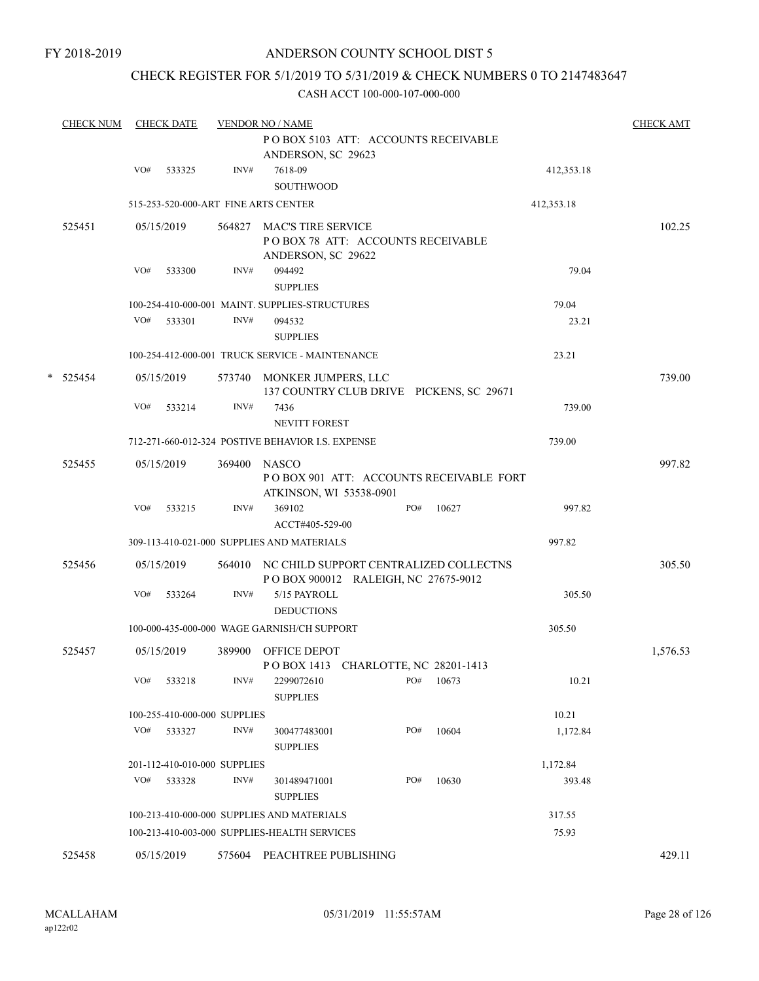## CHECK REGISTER FOR 5/1/2019 TO 5/31/2019 & CHECK NUMBERS 0 TO 2147483647

| <b>CHECK NUM</b> |     | <b>CHECK DATE</b>            |        | <b>VENDOR NO / NAME</b>                                                                |     |       |            | <b>CHECK AMT</b> |
|------------------|-----|------------------------------|--------|----------------------------------------------------------------------------------------|-----|-------|------------|------------------|
|                  |     |                              |        | POBOX 5103 ATT: ACCOUNTS RECEIVABLE<br>ANDERSON, SC 29623                              |     |       |            |                  |
|                  | VO# | 533325                       | INV#   | 7618-09<br><b>SOUTHWOOD</b>                                                            |     |       | 412,353.18 |                  |
|                  |     |                              |        | 515-253-520-000-ART FINE ARTS CENTER                                                   |     |       | 412,353.18 |                  |
| 525451           |     | 05/15/2019                   | 564827 | <b>MAC'S TIRE SERVICE</b><br>POBOX 78 ATT: ACCOUNTS RECEIVABLE<br>ANDERSON, SC 29622   |     |       |            | 102.25           |
|                  | VO# | 533300                       | INV#   | 094492<br><b>SUPPLIES</b>                                                              |     |       | 79.04      |                  |
|                  |     |                              |        | 100-254-410-000-001 MAINT. SUPPLIES-STRUCTURES                                         |     |       | 79.04      |                  |
|                  | VO# | 533301                       | INV#   | 094532<br><b>SUPPLIES</b>                                                              |     |       | 23.21      |                  |
|                  |     |                              |        | 100-254-412-000-001 TRUCK SERVICE - MAINTENANCE                                        |     |       | 23.21      |                  |
| $*$ 525454       |     | 05/15/2019                   |        | 573740 MONKER JUMPERS, LLC<br>137 COUNTRY CLUB DRIVE PICKENS, SC 29671                 |     |       |            | 739.00           |
|                  | VO# | 533214                       | INV#   | 7436<br><b>NEVITT FOREST</b>                                                           |     |       | 739.00     |                  |
|                  |     |                              |        | 712-271-660-012-324 POSTIVE BEHAVIOR I.S. EXPENSE                                      |     |       | 739.00     |                  |
| 525455           |     | 05/15/2019                   | 369400 | <b>NASCO</b><br>POBOX 901 ATT: ACCOUNTS RECEIVABLE FORT                                |     |       |            | 997.82           |
|                  | VO# | 533215                       | INV#   | ATKINSON, WI 53538-0901<br>369102<br>ACCT#405-529-00                                   | PO# | 10627 | 997.82     |                  |
|                  |     |                              |        | 309-113-410-021-000 SUPPLIES AND MATERIALS                                             |     |       | 997.82     |                  |
| 525456           |     | 05/15/2019                   |        | 564010 NC CHILD SUPPORT CENTRALIZED COLLECTNS<br>P O BOX 900012 RALEIGH, NC 27675-9012 |     |       |            | 305.50           |
|                  | VO# | 533264                       | INV#   | 5/15 PAYROLL<br><b>DEDUCTIONS</b>                                                      |     |       | 305.50     |                  |
|                  |     |                              |        | 100-000-435-000-000 WAGE GARNISH/CH SUPPORT                                            |     |       | 305.50     |                  |
| 525457           |     | 05/15/2019                   | 389900 | OFFICE DEPOT<br>POBOX 1413 CHARLOTTE, NC 28201-1413                                    |     |       |            | 1,576.53         |
|                  | VO# | 533218                       | INV#   | 2299072610<br><b>SUPPLIES</b>                                                          | PO# | 10673 | 10.21      |                  |
|                  |     | 100-255-410-000-000 SUPPLIES |        |                                                                                        |     |       | 10.21      |                  |
|                  | VO# | 533327                       | INV#   | 300477483001<br><b>SUPPLIES</b>                                                        | PO# | 10604 | 1,172.84   |                  |
|                  |     | 201-112-410-010-000 SUPPLIES |        |                                                                                        |     |       | 1,172.84   |                  |
|                  | VO# | 533328                       | INV#   | 301489471001<br><b>SUPPLIES</b>                                                        | PO# | 10630 | 393.48     |                  |
|                  |     |                              |        | 100-213-410-000-000 SUPPLIES AND MATERIALS                                             |     |       | 317.55     |                  |
|                  |     |                              |        | 100-213-410-003-000 SUPPLIES-HEALTH SERVICES                                           |     |       | 75.93      |                  |
| 525458           |     | 05/15/2019                   | 575604 | PEACHTREE PUBLISHING                                                                   |     |       |            | 429.11           |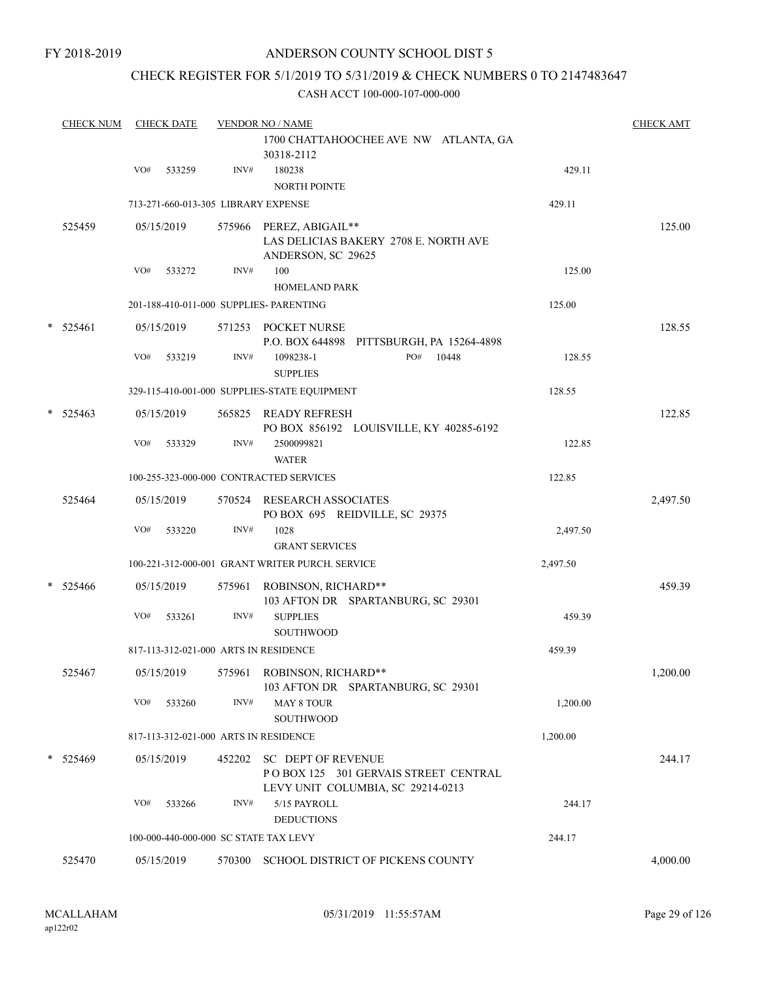## CHECK REGISTER FOR 5/1/2019 TO 5/31/2019 & CHECK NUMBERS 0 TO 2147483647

| <b>CHECK NUM</b> |     | <b>CHECK DATE</b> |        | <b>VENDOR NO / NAME</b>                                                                         |          | <b>CHECK AMT</b> |
|------------------|-----|-------------------|--------|-------------------------------------------------------------------------------------------------|----------|------------------|
|                  |     |                   |        | 1700 CHATTAHOOCHEE AVE NW ATLANTA, GA<br>30318-2112                                             |          |                  |
|                  | VO# | 533259            | INV#   | 180238<br><b>NORTH POINTE</b>                                                                   | 429.11   |                  |
|                  |     |                   |        | 713-271-660-013-305 LIBRARY EXPENSE                                                             | 429.11   |                  |
| 525459           |     | 05/15/2019        |        | 575966 PEREZ, ABIGAIL**<br>LAS DELICIAS BAKERY 2708 E. NORTH AVE<br>ANDERSON, SC 29625          |          | 125.00           |
|                  | VO# | 533272            | INV#   | 100                                                                                             | 125.00   |                  |
|                  |     |                   |        | <b>HOMELAND PARK</b>                                                                            |          |                  |
|                  |     |                   |        | 201-188-410-011-000 SUPPLIES- PARENTING                                                         | 125.00   |                  |
| * 525461         |     | 05/15/2019        |        | 571253 POCKET NURSE<br>P.O. BOX 644898 PITTSBURGH, PA 15264-4898                                |          | 128.55           |
|                  | VO# | 533219            | INV#   | 1098238-1<br>PO#<br>10448<br><b>SUPPLIES</b>                                                    | 128.55   |                  |
|                  |     |                   |        | 329-115-410-001-000 SUPPLIES-STATE EQUIPMENT                                                    | 128.55   |                  |
| $*$ 525463       |     | 05/15/2019        |        | 565825 READY REFRESH<br>PO BOX 856192 LOUISVILLE, KY 40285-6192                                 |          | 122.85           |
|                  | VO# | 533329            | INV#   | 2500099821<br><b>WATER</b>                                                                      | 122.85   |                  |
|                  |     |                   |        | 100-255-323-000-000 CONTRACTED SERVICES                                                         | 122.85   |                  |
| 525464           |     | 05/15/2019        |        | 570524 RESEARCH ASSOCIATES<br>PO BOX 695 REIDVILLE, SC 29375                                    |          | 2,497.50         |
|                  | VO# | 533220            | INV#   | 1028<br><b>GRANT SERVICES</b>                                                                   | 2,497.50 |                  |
|                  |     |                   |        | 100-221-312-000-001 GRANT WRITER PURCH. SERVICE                                                 | 2,497.50 |                  |
| $*$ 525466       |     | 05/15/2019        | 575961 | ROBINSON, RICHARD**<br>103 AFTON DR SPARTANBURG, SC 29301                                       |          | 459.39           |
|                  | VO# | 533261            | INV#   | <b>SUPPLIES</b><br><b>SOUTHWOOD</b>                                                             | 459.39   |                  |
|                  |     |                   |        | 817-113-312-021-000 ARTS IN RESIDENCE                                                           | 459.39   |                  |
| 525467           |     | 05/15/2019        |        | 575961 ROBINSON, RICHARD**<br>103 AFTON DR SPARTANBURG, SC 29301                                |          | 1,200.00         |
|                  | VO# | 533260            | INV#   | <b>MAY 8 TOUR</b><br>SOUTHWOOD                                                                  | 1,200.00 |                  |
|                  |     |                   |        | 817-113-312-021-000 ARTS IN RESIDENCE                                                           | 1,200.00 |                  |
| * 525469         |     | 05/15/2019        | 452202 | SC DEPT OF REVENUE<br>POBOX 125 301 GERVAIS STREET CENTRAL<br>LEVY UNIT COLUMBIA, SC 29214-0213 |          | 244.17           |
|                  | VO# | 533266            | INV#   | 5/15 PAYROLL<br><b>DEDUCTIONS</b>                                                               | 244.17   |                  |
|                  |     |                   |        | 100-000-440-000-000 SC STATE TAX LEVY                                                           | 244.17   |                  |
| 525470           |     | 05/15/2019        |        | 570300 SCHOOL DISTRICT OF PICKENS COUNTY                                                        |          | 4,000.00         |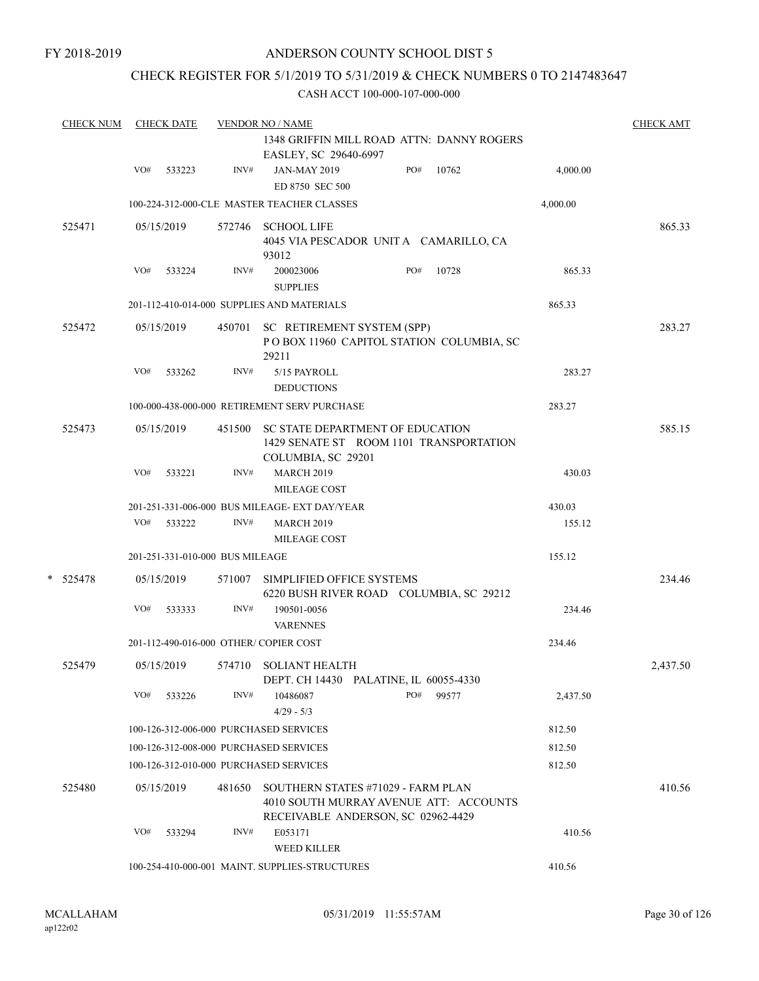## CHECK REGISTER FOR 5/1/2019 TO 5/31/2019 & CHECK NUMBERS 0 TO 2147483647

| <b>CHECK NUM</b> |     | <b>CHECK DATE</b> |                                 | <b>VENDOR NO / NAME</b>                                                                                            |     |       |          | <b>CHECK AMT</b> |
|------------------|-----|-------------------|---------------------------------|--------------------------------------------------------------------------------------------------------------------|-----|-------|----------|------------------|
|                  |     |                   |                                 | 1348 GRIFFIN MILL ROAD ATTN: DANNY ROGERS<br>EASLEY, SC 29640-6997                                                 |     |       |          |                  |
|                  | VO# | 533223            | INV#                            | <b>JAN-MAY 2019</b><br>ED 8750 SEC 500                                                                             | PO# | 10762 | 4,000.00 |                  |
|                  |     |                   |                                 | 100-224-312-000-CLE MASTER TEACHER CLASSES                                                                         |     |       | 4,000.00 |                  |
| 525471           |     | 05/15/2019        | 572746                          | <b>SCHOOL LIFE</b><br>4045 VIA PESCADOR UNITA CAMARILLO, CA<br>93012                                               |     |       |          | 865.33           |
|                  | VO# | 533224            | INV#                            | 200023006<br><b>SUPPLIES</b>                                                                                       | PO# | 10728 | 865.33   |                  |
|                  |     |                   |                                 | 201-112-410-014-000 SUPPLIES AND MATERIALS                                                                         |     |       | 865.33   |                  |
| 525472           |     | 05/15/2019        | 450701                          | SC RETIREMENT SYSTEM (SPP)<br>POBOX 11960 CAPITOL STATION COLUMBIA, SC<br>29211                                    |     |       |          | 283.27           |
|                  | VO# | 533262            | INV#                            | 5/15 PAYROLL<br><b>DEDUCTIONS</b>                                                                                  |     |       | 283.27   |                  |
|                  |     |                   |                                 | 100-000-438-000-000 RETIREMENT SERV PURCHASE                                                                       |     |       | 283.27   |                  |
| 525473           |     | 05/15/2019        | 451500                          | SC STATE DEPARTMENT OF EDUCATION<br>1429 SENATE ST ROOM 1101 TRANSPORTATION<br>COLUMBIA, SC 29201                  |     |       |          | 585.15           |
|                  | VO# | 533221            | INV#                            | <b>MARCH 2019</b><br><b>MILEAGE COST</b>                                                                           |     |       | 430.03   |                  |
|                  |     |                   |                                 | 201-251-331-006-000 BUS MILEAGE- EXT DAY/YEAR                                                                      |     |       | 430.03   |                  |
|                  | VO# | 533222            | INV#                            | <b>MARCH 2019</b>                                                                                                  |     |       | 155.12   |                  |
|                  |     |                   |                                 | MILEAGE COST                                                                                                       |     |       |          |                  |
|                  |     |                   | 201-251-331-010-000 BUS MILEAGE |                                                                                                                    |     |       | 155.12   |                  |
| *<br>525478      |     | 05/15/2019        | 571007                          | SIMPLIFIED OFFICE SYSTEMS<br>6220 BUSH RIVER ROAD COLUMBIA, SC 29212                                               |     |       |          | 234.46           |
|                  | VO# | 533333            | INV#                            | 190501-0056<br><b>VARENNES</b>                                                                                     |     |       | 234.46   |                  |
|                  |     |                   |                                 | 201-112-490-016-000 OTHER/COPIER COST                                                                              |     |       | 234.46   |                  |
| 525479           |     | 05/15/2019        |                                 | 574710 SOLIANT HEALTH<br>DEPT. CH 14430 PALATINE, IL 60055-4330                                                    |     |       |          | 2,437.50         |
|                  | VO# | 533226            | INV#                            | 10486087<br>$4/29 - 5/3$                                                                                           | PO# | 99577 | 2,437.50 |                  |
|                  |     |                   |                                 | 100-126-312-006-000 PURCHASED SERVICES                                                                             |     |       | 812.50   |                  |
|                  |     |                   |                                 | 100-126-312-008-000 PURCHASED SERVICES                                                                             |     |       | 812.50   |                  |
|                  |     |                   |                                 | 100-126-312-010-000 PURCHASED SERVICES                                                                             |     |       | 812.50   |                  |
| 525480           |     | 05/15/2019        | 481650                          | SOUTHERN STATES #71029 - FARM PLAN<br>4010 SOUTH MURRAY AVENUE ATT: ACCOUNTS<br>RECEIVABLE ANDERSON, SC 02962-4429 |     |       |          | 410.56           |
|                  | VO# | 533294            | INV#                            | E053171<br><b>WEED KILLER</b>                                                                                      |     |       | 410.56   |                  |
|                  |     |                   |                                 | 100-254-410-000-001 MAINT. SUPPLIES-STRUCTURES                                                                     |     |       | 410.56   |                  |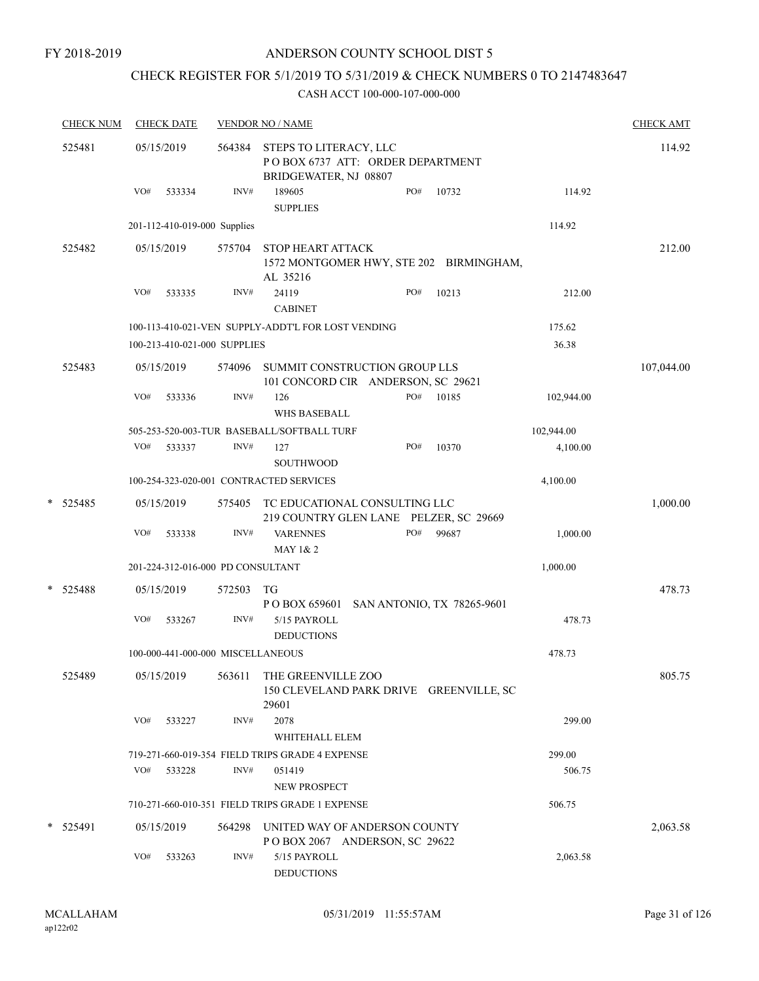# CHECK REGISTER FOR 5/1/2019 TO 5/31/2019 & CHECK NUMBERS 0 TO 2147483647

| <b>CHECK NUM</b> |     | <b>CHECK DATE</b> |                                   | <b>VENDOR NO / NAME</b>                                                             |     |       |            | <b>CHECK AMT</b> |
|------------------|-----|-------------------|-----------------------------------|-------------------------------------------------------------------------------------|-----|-------|------------|------------------|
| 525481           |     | 05/15/2019        | 564384                            | STEPS TO LITERACY, LLC<br>POBOX 6737 ATT: ORDER DEPARTMENT<br>BRIDGEWATER, NJ 08807 |     |       |            | 114.92           |
|                  | VO# | 533334            | INV#                              | 189605<br><b>SUPPLIES</b>                                                           | PO# | 10732 | 114.92     |                  |
|                  |     |                   | 201-112-410-019-000 Supplies      |                                                                                     |     |       | 114.92     |                  |
| 525482           |     | 05/15/2019        | 575704                            | STOP HEART ATTACK                                                                   |     |       |            | 212.00           |
|                  |     |                   |                                   | 1572 MONTGOMER HWY, STE 202 BIRMINGHAM,<br>AL 35216                                 |     |       |            |                  |
|                  | VO# | 533335            | INV#                              | 24119<br><b>CABINET</b>                                                             | PO# | 10213 | 212.00     |                  |
|                  |     |                   |                                   | 100-113-410-021-VEN SUPPLY-ADDT'L FOR LOST VENDING                                  |     |       | 175.62     |                  |
|                  |     |                   | 100-213-410-021-000 SUPPLIES      |                                                                                     |     |       | 36.38      |                  |
| 525483           |     | 05/15/2019        | 574096                            | SUMMIT CONSTRUCTION GROUP LLS<br>101 CONCORD CIR ANDERSON, SC 29621                 |     |       |            | 107,044.00       |
|                  | VO# | 533336            | $\text{INV}\#$                    | 126                                                                                 | PO# | 10185 | 102,944.00 |                  |
|                  |     |                   |                                   | WHS BASEBALL                                                                        |     |       |            |                  |
|                  |     |                   |                                   | 505-253-520-003-TUR BASEBALL/SOFTBALL TURF                                          |     |       | 102,944.00 |                  |
|                  | VO# | 533337            | INV#                              | 127                                                                                 | PO# | 10370 | 4,100.00   |                  |
|                  |     |                   |                                   | <b>SOUTHWOOD</b>                                                                    |     |       |            |                  |
|                  |     |                   |                                   | 100-254-323-020-001 CONTRACTED SERVICES                                             |     |       | 4,100.00   |                  |
| *<br>525485      |     | 05/15/2019        | 575405                            | TC EDUCATIONAL CONSULTING LLC<br>219 COUNTRY GLEN LANE PELZER, SC 29669             |     |       |            | 1,000.00         |
|                  | VO# | 533338            | INV#                              | <b>VARENNES</b><br>MAY 1& 2                                                         | PO# | 99687 | 1,000.00   |                  |
|                  |     |                   | 201-224-312-016-000 PD CONSULTANT |                                                                                     |     |       | 1,000.00   |                  |
| * 525488         |     | 05/15/2019        | 572503                            | TG<br>POBOX 659601 SAN ANTONIO, TX 78265-9601                                       |     |       |            | 478.73           |
|                  | VO# | 533267            | INV#                              | 5/15 PAYROLL<br><b>DEDUCTIONS</b>                                                   |     |       | 478.73     |                  |
|                  |     |                   | 100-000-441-000-000 MISCELLANEOUS |                                                                                     |     |       | 478.73     |                  |
| 525489           |     | 05/15/2019        | 563611                            | THE GREENVILLE ZOO<br>150 CLEVELAND PARK DRIVE GREENVILLE, SC<br>29601              |     |       |            | 805.75           |
|                  | VO# | 533227            | INV#                              | 2078<br>WHITEHALL ELEM                                                              |     |       | 299.00     |                  |
|                  |     |                   |                                   | 719-271-660-019-354 FIELD TRIPS GRADE 4 EXPENSE                                     |     |       | 299.00     |                  |
|                  | VO# | 533228            | INV#                              | 051419<br>NEW PROSPECT                                                              |     |       | 506.75     |                  |
|                  |     |                   |                                   | 710-271-660-010-351 FIELD TRIPS GRADE 1 EXPENSE                                     |     |       | 506.75     |                  |
| * 525491         |     | 05/15/2019        | 564298                            | UNITED WAY OF ANDERSON COUNTY<br>POBOX 2067 ANDERSON, SC 29622                      |     |       |            | 2,063.58         |
|                  | VO# | 533263            | INV#                              | 5/15 PAYROLL<br><b>DEDUCTIONS</b>                                                   |     |       | 2,063.58   |                  |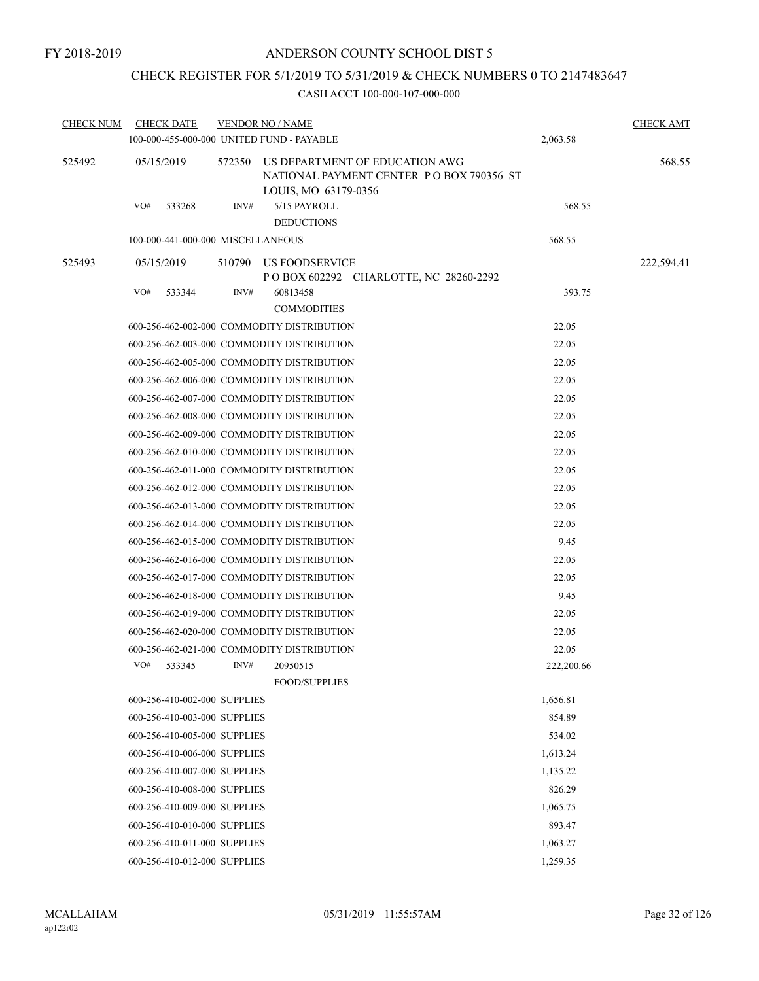## CHECK REGISTER FOR 5/1/2019 TO 5/31/2019 & CHECK NUMBERS 0 TO 2147483647

| CHECK NUM | <b>CHECK DATE</b><br>100-000-455-000-000 UNITED FUND - PAYABLE |        | <b>VENDOR NO / NAME</b>                                                                            | 2,063.58   | <b>CHECK AMT</b> |
|-----------|----------------------------------------------------------------|--------|----------------------------------------------------------------------------------------------------|------------|------------------|
| 525492    | 05/15/2019                                                     | 572350 | US DEPARTMENT OF EDUCATION AWG<br>NATIONAL PAYMENT CENTER PO BOX 790356 ST<br>LOUIS, MO 63179-0356 |            | 568.55           |
|           | VO#<br>533268                                                  | INV#   | 5/15 PAYROLL<br><b>DEDUCTIONS</b>                                                                  | 568.55     |                  |
|           | 100-000-441-000-000 MISCELLANEOUS                              |        |                                                                                                    | 568.55     |                  |
| 525493    | 05/15/2019                                                     | 510790 | US FOODSERVICE<br>P O BOX 602292 CHARLOTTE, NC 28260-2292                                          |            | 222,594.41       |
|           | VO#<br>533344                                                  | INV#   | 60813458<br><b>COMMODITIES</b>                                                                     | 393.75     |                  |
|           |                                                                |        | 600-256-462-002-000 COMMODITY DISTRIBUTION                                                         | 22.05      |                  |
|           |                                                                |        | 600-256-462-003-000 COMMODITY DISTRIBUTION                                                         | 22.05      |                  |
|           |                                                                |        | 600-256-462-005-000 COMMODITY DISTRIBUTION                                                         | 22.05      |                  |
|           |                                                                |        | 600-256-462-006-000 COMMODITY DISTRIBUTION                                                         | 22.05      |                  |
|           |                                                                |        | 600-256-462-007-000 COMMODITY DISTRIBUTION                                                         | 22.05      |                  |
|           |                                                                |        | 600-256-462-008-000 COMMODITY DISTRIBUTION                                                         | 22.05      |                  |
|           |                                                                |        | 600-256-462-009-000 COMMODITY DISTRIBUTION                                                         | 22.05      |                  |
|           |                                                                |        | 600-256-462-010-000 COMMODITY DISTRIBUTION                                                         | 22.05      |                  |
|           |                                                                |        | 600-256-462-011-000 COMMODITY DISTRIBUTION                                                         | 22.05      |                  |
|           |                                                                |        | 600-256-462-012-000 COMMODITY DISTRIBUTION                                                         | 22.05      |                  |
|           |                                                                |        | 600-256-462-013-000 COMMODITY DISTRIBUTION                                                         | 22.05      |                  |
|           |                                                                |        | 600-256-462-014-000 COMMODITY DISTRIBUTION                                                         | 22.05      |                  |
|           |                                                                |        | 600-256-462-015-000 COMMODITY DISTRIBUTION                                                         | 9.45       |                  |
|           |                                                                |        | 600-256-462-016-000 COMMODITY DISTRIBUTION                                                         | 22.05      |                  |
|           |                                                                |        | 600-256-462-017-000 COMMODITY DISTRIBUTION                                                         | 22.05      |                  |
|           |                                                                |        | 600-256-462-018-000 COMMODITY DISTRIBUTION                                                         | 9.45       |                  |
|           |                                                                |        | 600-256-462-019-000 COMMODITY DISTRIBUTION                                                         | 22.05      |                  |
|           |                                                                |        | 600-256-462-020-000 COMMODITY DISTRIBUTION                                                         | 22.05      |                  |
|           |                                                                |        | 600-256-462-021-000 COMMODITY DISTRIBUTION                                                         | 22.05      |                  |
|           | VO#<br>533345                                                  | INV#   | 20950515                                                                                           | 222,200.66 |                  |
|           |                                                                |        | <b>FOOD/SUPPLIES</b>                                                                               |            |                  |
|           | 600-256-410-002-000 SUPPLIES                                   |        |                                                                                                    | 1,656.81   |                  |
|           | 600-256-410-003-000 SUPPLIES                                   |        |                                                                                                    | 854.89     |                  |
|           | 600-256-410-005-000 SUPPLIES                                   |        |                                                                                                    | 534.02     |                  |
|           | 600-256-410-006-000 SUPPLIES                                   |        |                                                                                                    | 1,613.24   |                  |
|           | 600-256-410-007-000 SUPPLIES                                   |        |                                                                                                    | 1,135.22   |                  |
|           | 600-256-410-008-000 SUPPLIES                                   |        |                                                                                                    | 826.29     |                  |
|           | 600-256-410-009-000 SUPPLIES                                   |        |                                                                                                    | 1,065.75   |                  |
|           | 600-256-410-010-000 SUPPLIES                                   |        |                                                                                                    | 893.47     |                  |
|           | 600-256-410-011-000 SUPPLIES                                   |        |                                                                                                    | 1,063.27   |                  |
|           | 600-256-410-012-000 SUPPLIES                                   |        |                                                                                                    | 1,259.35   |                  |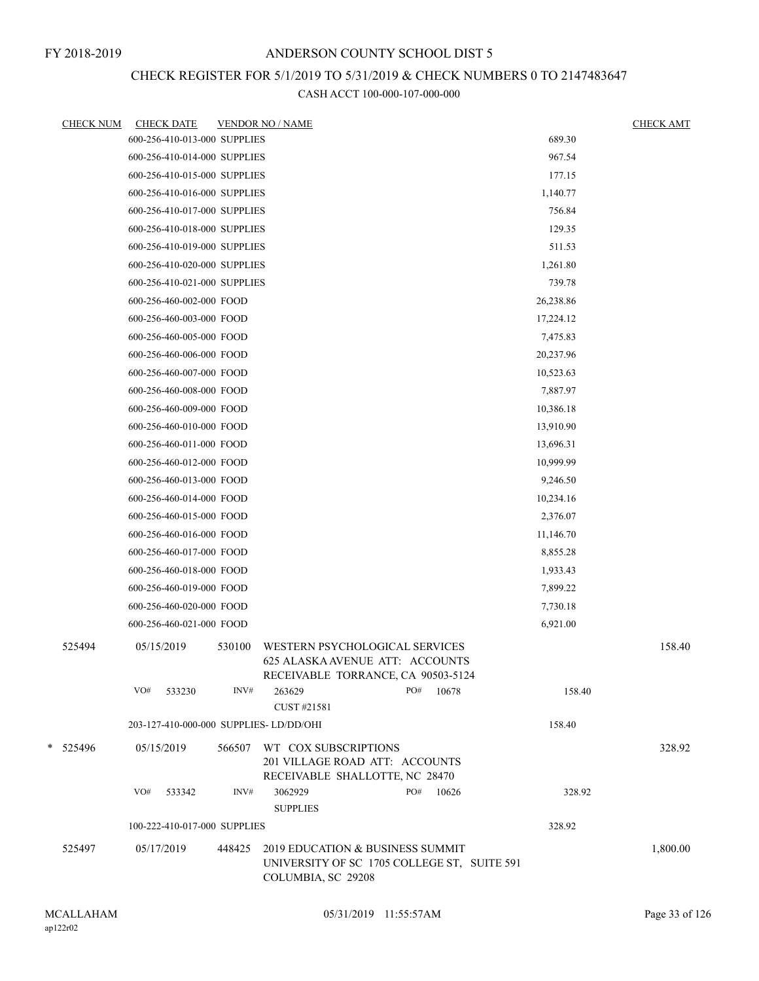## CHECK REGISTER FOR 5/1/2019 TO 5/31/2019 & CHECK NUMBERS 0 TO 2147483647

| <u>CHECK NUM</u> | <b>CHECK DATE</b> |                              |        | <b>VENDOR NO / NAME</b>                                                                                 |     |       |           | <b>CHECK AMT</b> |
|------------------|-------------------|------------------------------|--------|---------------------------------------------------------------------------------------------------------|-----|-------|-----------|------------------|
|                  |                   | 600-256-410-013-000 SUPPLIES |        |                                                                                                         |     |       | 689.30    |                  |
|                  |                   | 600-256-410-014-000 SUPPLIES |        |                                                                                                         |     |       | 967.54    |                  |
|                  |                   | 600-256-410-015-000 SUPPLIES |        |                                                                                                         |     |       | 177.15    |                  |
|                  |                   | 600-256-410-016-000 SUPPLIES |        |                                                                                                         |     |       | 1,140.77  |                  |
|                  |                   | 600-256-410-017-000 SUPPLIES |        |                                                                                                         |     |       | 756.84    |                  |
|                  |                   | 600-256-410-018-000 SUPPLIES |        |                                                                                                         |     |       | 129.35    |                  |
|                  |                   | 600-256-410-019-000 SUPPLIES |        |                                                                                                         |     |       | 511.53    |                  |
|                  |                   | 600-256-410-020-000 SUPPLIES |        |                                                                                                         |     |       | 1,261.80  |                  |
|                  |                   | 600-256-410-021-000 SUPPLIES |        |                                                                                                         |     |       | 739.78    |                  |
|                  |                   | 600-256-460-002-000 FOOD     |        |                                                                                                         |     |       | 26,238.86 |                  |
|                  |                   | 600-256-460-003-000 FOOD     |        |                                                                                                         |     |       | 17,224.12 |                  |
|                  |                   | 600-256-460-005-000 FOOD     |        |                                                                                                         |     |       | 7,475.83  |                  |
|                  |                   | 600-256-460-006-000 FOOD     |        |                                                                                                         |     |       | 20,237.96 |                  |
|                  |                   | 600-256-460-007-000 FOOD     |        |                                                                                                         |     |       | 10,523.63 |                  |
|                  |                   | 600-256-460-008-000 FOOD     |        |                                                                                                         |     |       | 7,887.97  |                  |
|                  |                   | 600-256-460-009-000 FOOD     |        |                                                                                                         |     |       | 10,386.18 |                  |
|                  |                   | 600-256-460-010-000 FOOD     |        |                                                                                                         |     |       | 13,910.90 |                  |
|                  |                   | 600-256-460-011-000 FOOD     |        |                                                                                                         |     |       | 13,696.31 |                  |
|                  |                   | 600-256-460-012-000 FOOD     |        |                                                                                                         |     |       | 10,999.99 |                  |
|                  |                   | 600-256-460-013-000 FOOD     |        |                                                                                                         |     |       | 9,246.50  |                  |
|                  |                   | 600-256-460-014-000 FOOD     |        |                                                                                                         |     |       | 10,234.16 |                  |
|                  |                   | 600-256-460-015-000 FOOD     |        |                                                                                                         |     |       | 2,376.07  |                  |
|                  |                   | 600-256-460-016-000 FOOD     |        |                                                                                                         |     |       | 11,146.70 |                  |
|                  |                   | 600-256-460-017-000 FOOD     |        |                                                                                                         |     |       | 8,855.28  |                  |
|                  |                   | 600-256-460-018-000 FOOD     |        |                                                                                                         |     |       | 1,933.43  |                  |
|                  |                   | 600-256-460-019-000 FOOD     |        |                                                                                                         |     |       | 7,899.22  |                  |
|                  |                   | 600-256-460-020-000 FOOD     |        |                                                                                                         |     |       | 7,730.18  |                  |
|                  |                   | 600-256-460-021-000 FOOD     |        |                                                                                                         |     |       | 6,921.00  |                  |
| 525494           | 05/15/2019        |                              | 530100 | WESTERN PSYCHOLOGICAL SERVICES<br>625 ALASKA AVENUE ATT: ACCOUNTS<br>RECEIVABLE TORRANCE, CA 90503-5124 |     |       |           | 158.40           |
|                  | VO#               | 533230                       | INV#   | 263629                                                                                                  | PO# | 10678 | 158.40    |                  |
|                  |                   |                              |        | CUST #21581                                                                                             |     |       |           |                  |
|                  |                   |                              |        | 203-127-410-000-000 SUPPLIES- LD/DD/OHI                                                                 |     |       | 158.40    |                  |
| * 525496         | 05/15/2019        |                              | 566507 | WT COX SUBSCRIPTIONS<br>201 VILLAGE ROAD ATT: ACCOUNTS<br>RECEIVABLE SHALLOTTE, NC 28470                |     |       |           | 328.92           |
|                  | VO#               | 533342                       | INV#   | 3062929<br><b>SUPPLIES</b>                                                                              | PO# | 10626 | 328.92    |                  |
|                  |                   | 100-222-410-017-000 SUPPLIES |        |                                                                                                         |     |       | 328.92    |                  |
| 525497           | 05/17/2019        |                              | 448425 | 2019 EDUCATION & BUSINESS SUMMIT<br>UNIVERSITY OF SC 1705 COLLEGE ST, SUITE 591<br>COLUMBIA, SC 29208   |     |       |           | 1,800.00         |
|                  |                   |                              |        |                                                                                                         |     |       |           |                  |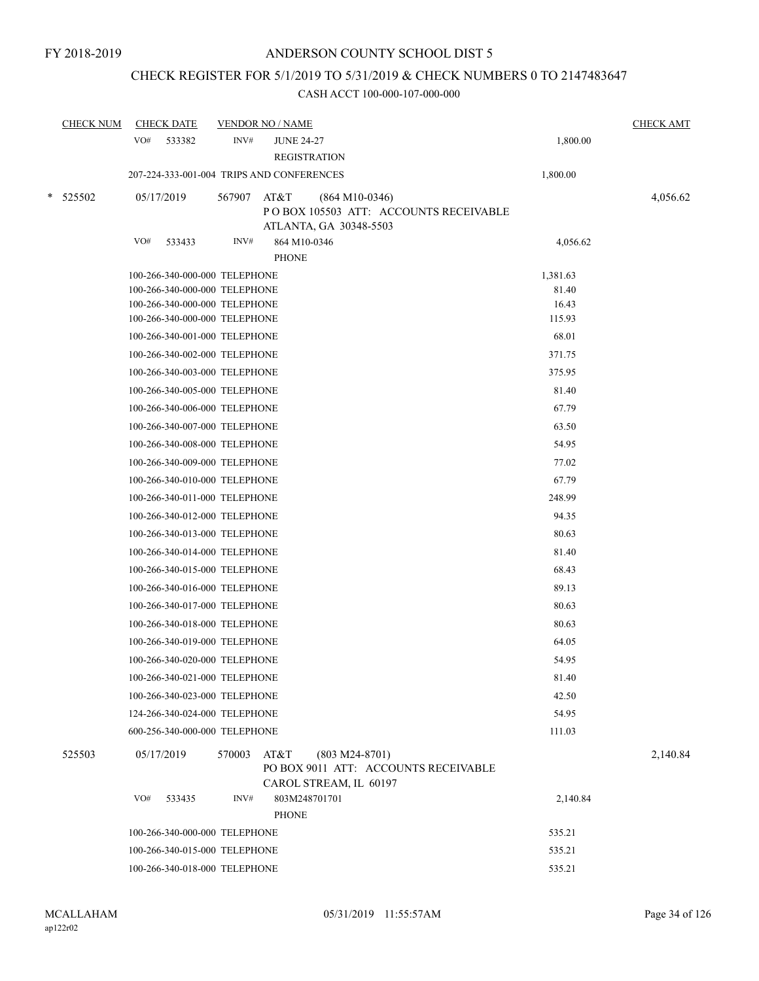## CHECK REGISTER FOR 5/1/2019 TO 5/31/2019 & CHECK NUMBERS 0 TO 2147483647

|   | <b>CHECK NUM</b> | <b>CHECK DATE</b>             |        | <b>VENDOR NO / NAME</b>                                                                     |          | <b>CHECK AMT</b> |
|---|------------------|-------------------------------|--------|---------------------------------------------------------------------------------------------|----------|------------------|
|   |                  | VO#<br>533382                 | INV#   | <b>JUNE 24-27</b><br><b>REGISTRATION</b>                                                    | 1,800.00 |                  |
|   |                  |                               |        | 207-224-333-001-004 TRIPS AND CONFERENCES                                                   | 1,800.00 |                  |
| * | 525502           | 05/17/2019                    | 567907 | AT&T<br>$(864 M10-0346)$<br>POBOX 105503 ATT: ACCOUNTS RECEIVABLE<br>ATLANTA, GA 30348-5503 |          | 4,056.62         |
|   |                  | VO#<br>533433                 | INV#   | 864 M10-0346                                                                                | 4,056.62 |                  |
|   |                  |                               |        | <b>PHONE</b>                                                                                |          |                  |
|   |                  | 100-266-340-000-000 TELEPHONE |        |                                                                                             | 1,381.63 |                  |
|   |                  | 100-266-340-000-000 TELEPHONE |        |                                                                                             | 81.40    |                  |
|   |                  | 100-266-340-000-000 TELEPHONE |        |                                                                                             | 16.43    |                  |
|   |                  | 100-266-340-000-000 TELEPHONE |        |                                                                                             | 115.93   |                  |
|   |                  | 100-266-340-001-000 TELEPHONE |        |                                                                                             | 68.01    |                  |
|   |                  | 100-266-340-002-000 TELEPHONE |        |                                                                                             | 371.75   |                  |
|   |                  | 100-266-340-003-000 TELEPHONE |        |                                                                                             | 375.95   |                  |
|   |                  | 100-266-340-005-000 TELEPHONE |        |                                                                                             | 81.40    |                  |
|   |                  | 100-266-340-006-000 TELEPHONE |        |                                                                                             | 67.79    |                  |
|   |                  | 100-266-340-007-000 TELEPHONE |        |                                                                                             | 63.50    |                  |
|   |                  | 100-266-340-008-000 TELEPHONE |        |                                                                                             | 54.95    |                  |
|   |                  | 100-266-340-009-000 TELEPHONE |        |                                                                                             | 77.02    |                  |
|   |                  | 100-266-340-010-000 TELEPHONE |        |                                                                                             | 67.79    |                  |
|   |                  | 100-266-340-011-000 TELEPHONE |        |                                                                                             | 248.99   |                  |
|   |                  | 100-266-340-012-000 TELEPHONE |        |                                                                                             | 94.35    |                  |
|   |                  | 100-266-340-013-000 TELEPHONE |        |                                                                                             | 80.63    |                  |
|   |                  | 100-266-340-014-000 TELEPHONE |        |                                                                                             | 81.40    |                  |
|   |                  | 100-266-340-015-000 TELEPHONE |        |                                                                                             | 68.43    |                  |
|   |                  | 100-266-340-016-000 TELEPHONE |        |                                                                                             | 89.13    |                  |
|   |                  | 100-266-340-017-000 TELEPHONE |        |                                                                                             | 80.63    |                  |
|   |                  | 100-266-340-018-000 TELEPHONE |        |                                                                                             | 80.63    |                  |
|   |                  | 100-266-340-019-000 TELEPHONE |        |                                                                                             | 64.05    |                  |
|   |                  | 100-266-340-020-000 TELEPHONE |        |                                                                                             | 54.95    |                  |
|   |                  | 100-266-340-021-000 TELEPHONE |        |                                                                                             | 81.40    |                  |
|   |                  | 100-266-340-023-000 TELEPHONE |        |                                                                                             | 42.50    |                  |
|   |                  | 124-266-340-024-000 TELEPHONE |        |                                                                                             | 54.95    |                  |
|   |                  | 600-256-340-000-000 TELEPHONE |        |                                                                                             | 111.03   |                  |
|   | 525503           | 05/17/2019                    | 570003 | AT&T<br>$(803 M24-8701)$<br>PO BOX 9011 ATT: ACCOUNTS RECEIVABLE<br>CAROL STREAM, IL 60197  |          | 2,140.84         |
|   |                  | VO#<br>533435                 | INV#   | 803M248701701<br><b>PHONE</b>                                                               | 2,140.84 |                  |
|   |                  | 100-266-340-000-000 TELEPHONE |        |                                                                                             | 535.21   |                  |
|   |                  | 100-266-340-015-000 TELEPHONE |        |                                                                                             | 535.21   |                  |
|   |                  | 100-266-340-018-000 TELEPHONE |        |                                                                                             | 535.21   |                  |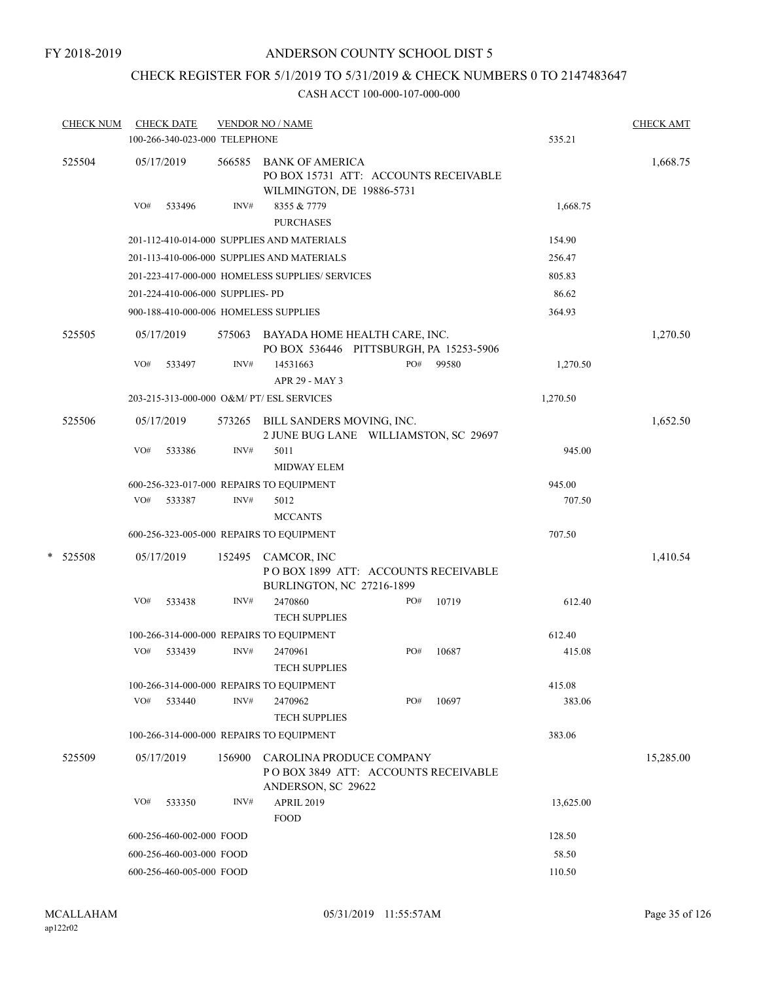FY 2018-2019

## ANDERSON COUNTY SCHOOL DIST 5

## CHECK REGISTER FOR 5/1/2019 TO 5/31/2019 & CHECK NUMBERS 0 TO 2147483647

| <b>CHECK NUM</b> |     | <b>CHECK DATE</b>                |        | <b>VENDOR NO / NAME</b>                                                                      |     |       |           | <b>CHECK AMT</b> |
|------------------|-----|----------------------------------|--------|----------------------------------------------------------------------------------------------|-----|-------|-----------|------------------|
|                  |     | 100-266-340-023-000 TELEPHONE    |        |                                                                                              |     |       | 535.21    |                  |
| 525504           |     | 05/17/2019                       | 566585 | <b>BANK OF AMERICA</b><br>PO BOX 15731 ATT: ACCOUNTS RECEIVABLE<br>WILMINGTON, DE 19886-5731 |     |       |           | 1,668.75         |
|                  | VO# | 533496                           | INV#   | 8355 & 7779<br><b>PURCHASES</b>                                                              |     |       | 1,668.75  |                  |
|                  |     |                                  |        | 201-112-410-014-000 SUPPLIES AND MATERIALS                                                   |     |       | 154.90    |                  |
|                  |     |                                  |        | 201-113-410-006-000 SUPPLIES AND MATERIALS                                                   |     |       | 256.47    |                  |
|                  |     |                                  |        | 201-223-417-000-000 HOMELESS SUPPLIES/ SERVICES                                              |     |       | 805.83    |                  |
|                  |     | 201-224-410-006-000 SUPPLIES- PD |        |                                                                                              |     |       | 86.62     |                  |
|                  |     |                                  |        | 900-188-410-000-006 HOMELESS SUPPLIES                                                        |     |       | 364.93    |                  |
| 525505           |     | 05/17/2019                       |        | 575063 BAYADA HOME HEALTH CARE, INC.<br>PO BOX 536446 PITTSBURGH, PA 15253-5906              |     |       |           | 1,270.50         |
|                  | VO# | 533497                           | INV#   | 14531663<br>APR 29 - MAY 3                                                                   | PO# | 99580 | 1,270.50  |                  |
|                  |     |                                  |        | 203-215-313-000-000 O&M/ PT/ ESL SERVICES                                                    |     |       | 1,270.50  |                  |
| 525506           |     | 05/17/2019                       |        | 573265 BILL SANDERS MOVING, INC.<br>2 JUNE BUG LANE WILLIAMSTON, SC 29697                    |     |       |           | 1,652.50         |
|                  | VO# | 533386                           | INV#   | 5011<br><b>MIDWAY ELEM</b>                                                                   |     |       | 945.00    |                  |
|                  |     |                                  |        | 600-256-323-017-000 REPAIRS TO EQUIPMENT                                                     |     |       | 945.00    |                  |
|                  | VO# | 533387                           | INV#   | 5012<br><b>MCCANTS</b>                                                                       |     |       | 707.50    |                  |
|                  |     |                                  |        | 600-256-323-005-000 REPAIRS TO EQUIPMENT                                                     |     |       | 707.50    |                  |
| * 525508         |     | 05/17/2019                       | 152495 | CAMCOR, INC<br>POBOX 1899 ATT: ACCOUNTS RECEIVABLE<br>BURLINGTON, NC 27216-1899              |     |       |           | 1,410.54         |
|                  | VO# | 533438                           | INV#   | 2470860<br><b>TECH SUPPLIES</b>                                                              | PO# | 10719 | 612.40    |                  |
|                  |     |                                  |        | 100-266-314-000-000 REPAIRS TO EQUIPMENT                                                     |     |       | 612.40    |                  |
|                  | VO# | 533439                           | INV#   | 2470961<br><b>TECH SUPPLIES</b>                                                              | PO# | 10687 | 415.08    |                  |
|                  |     |                                  |        | 100-266-314-000-000 REPAIRS TO EQUIPMENT                                                     |     |       | 415.08    |                  |
|                  | VO# | 533440                           | INV#   | 2470962<br><b>TECH SUPPLIES</b>                                                              | PO# | 10697 | 383.06    |                  |
|                  |     |                                  |        | 100-266-314-000-000 REPAIRS TO EQUIPMENT                                                     |     |       | 383.06    |                  |
| 525509           |     | 05/17/2019                       | 156900 | CAROLINA PRODUCE COMPANY<br>POBOX 3849 ATT: ACCOUNTS RECEIVABLE<br>ANDERSON, SC 29622        |     |       |           | 15,285.00        |
|                  | VO# | 533350                           | INV#   | <b>APRIL 2019</b><br><b>FOOD</b>                                                             |     |       | 13,625.00 |                  |
|                  |     | 600-256-460-002-000 FOOD         |        |                                                                                              |     |       | 128.50    |                  |
|                  |     | 600-256-460-003-000 FOOD         |        |                                                                                              |     |       | 58.50     |                  |
|                  |     | 600-256-460-005-000 FOOD         |        |                                                                                              |     |       | 110.50    |                  |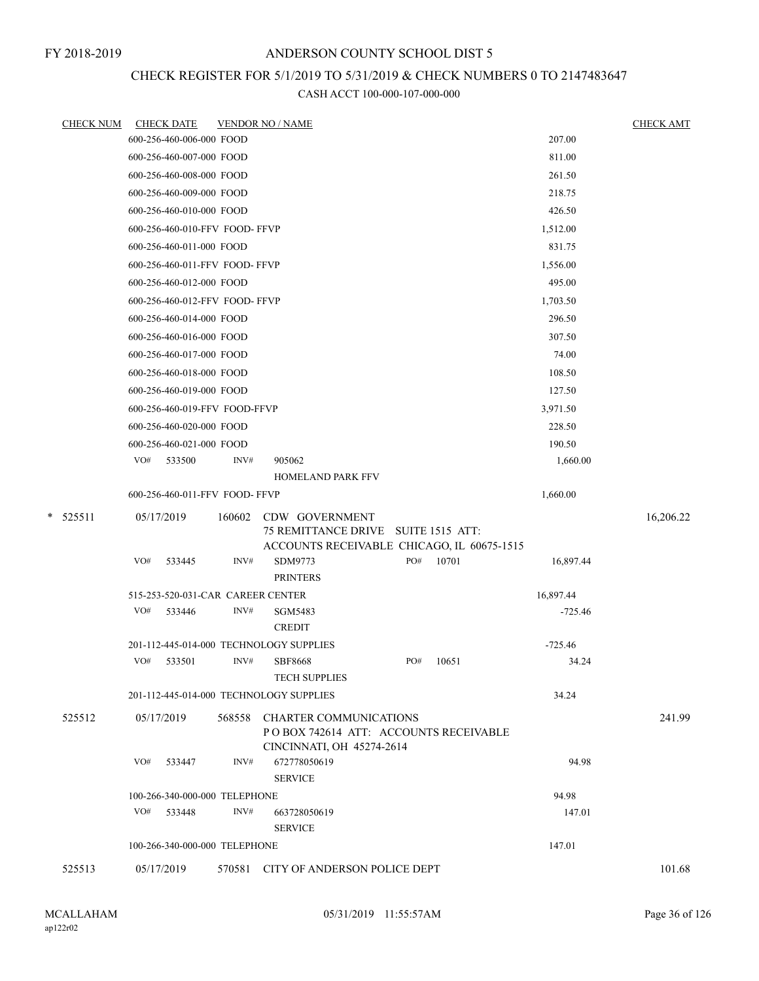## CHECK REGISTER FOR 5/1/2019 TO 5/31/2019 & CHECK NUMBERS 0 TO 2147483647

| <u>CHECK NUM</u> | <b>CHECK DATE</b>                       |        | <b>VENDOR NO / NAME</b>                                                                              |     |       |           | <b>CHECK AMT</b> |
|------------------|-----------------------------------------|--------|------------------------------------------------------------------------------------------------------|-----|-------|-----------|------------------|
|                  | 600-256-460-006-000 FOOD                |        |                                                                                                      |     |       | 207.00    |                  |
|                  | 600-256-460-007-000 FOOD                |        |                                                                                                      |     |       | 811.00    |                  |
|                  | 600-256-460-008-000 FOOD                |        |                                                                                                      |     |       | 261.50    |                  |
|                  | 600-256-460-009-000 FOOD                |        |                                                                                                      |     |       | 218.75    |                  |
|                  | 600-256-460-010-000 FOOD                |        |                                                                                                      |     |       | 426.50    |                  |
|                  | 600-256-460-010-FFV FOOD-FFVP           |        |                                                                                                      |     |       | 1,512.00  |                  |
|                  | 600-256-460-011-000 FOOD                |        |                                                                                                      |     |       | 831.75    |                  |
|                  | 600-256-460-011-FFV FOOD- FFVP          |        |                                                                                                      |     |       | 1,556.00  |                  |
|                  | 600-256-460-012-000 FOOD                |        |                                                                                                      |     |       | 495.00    |                  |
|                  | 600-256-460-012-FFV FOOD- FFVP          |        |                                                                                                      |     |       | 1,703.50  |                  |
|                  | 600-256-460-014-000 FOOD                |        |                                                                                                      |     |       | 296.50    |                  |
|                  | 600-256-460-016-000 FOOD                |        |                                                                                                      |     |       | 307.50    |                  |
|                  | 600-256-460-017-000 FOOD                |        |                                                                                                      |     |       | 74.00     |                  |
|                  | 600-256-460-018-000 FOOD                |        |                                                                                                      |     |       | 108.50    |                  |
|                  | 600-256-460-019-000 FOOD                |        |                                                                                                      |     |       | 127.50    |                  |
|                  | 600-256-460-019-FFV FOOD-FFVP           |        |                                                                                                      |     |       | 3,971.50  |                  |
|                  | 600-256-460-020-000 FOOD                |        |                                                                                                      |     |       | 228.50    |                  |
|                  | 600-256-460-021-000 FOOD                |        |                                                                                                      |     |       | 190.50    |                  |
|                  | VO#<br>533500                           | INV#   | 905062                                                                                               |     |       | 1,660.00  |                  |
|                  |                                         |        | <b>HOMELAND PARK FFV</b>                                                                             |     |       |           |                  |
|                  | 600-256-460-011-FFV FOOD-FFVP           |        |                                                                                                      |     |       | 1,660.00  |                  |
| *<br>525511      | 05/17/2019                              | 160602 | CDW GOVERNMENT<br>75 REMITTANCE DRIVE SUITE 1515 ATT:                                                |     |       |           | 16,206.22        |
|                  | VO#<br>533445                           | INV#   | ACCOUNTS RECEIVABLE CHICAGO, IL 60675-1515<br>SDM9773<br><b>PRINTERS</b>                             | PO# | 10701 | 16,897.44 |                  |
|                  | 515-253-520-031-CAR CAREER CENTER       |        |                                                                                                      |     |       | 16,897.44 |                  |
|                  | VO#<br>533446                           | INV#   | SGM5483                                                                                              |     |       | $-725.46$ |                  |
|                  |                                         |        | <b>CREDIT</b>                                                                                        |     |       |           |                  |
|                  | 201-112-445-014-000 TECHNOLOGY SUPPLIES |        |                                                                                                      |     |       | $-725.46$ |                  |
|                  | VO#<br>533501                           | INV#   | SBF8668<br><b>TECH SUPPLIES</b>                                                                      | PO# | 10651 | 34.24     |                  |
|                  | 201-112-445-014-000 TECHNOLOGY SUPPLIES |        |                                                                                                      |     |       | 34.24     |                  |
| 525512           | 05/17/2019                              | 568558 | <b>CHARTER COMMUNICATIONS</b><br>PO BOX 742614 ATT: ACCOUNTS RECEIVABLE<br>CINCINNATI, OH 45274-2614 |     |       |           | 241.99           |
|                  | VO#<br>533447                           | INV#   | 672778050619<br><b>SERVICE</b>                                                                       |     |       | 94.98     |                  |
|                  | 100-266-340-000-000 TELEPHONE           |        |                                                                                                      |     |       | 94.98     |                  |
|                  | VO# 533448                              | INV#   | 663728050619                                                                                         |     |       | 147.01    |                  |
|                  |                                         |        | <b>SERVICE</b>                                                                                       |     |       |           |                  |
|                  | 100-266-340-000-000 TELEPHONE           |        |                                                                                                      |     |       | 147.01    |                  |
| 525513           | 05/17/2019                              | 570581 | CITY OF ANDERSON POLICE DEPT                                                                         |     |       |           | 101.68           |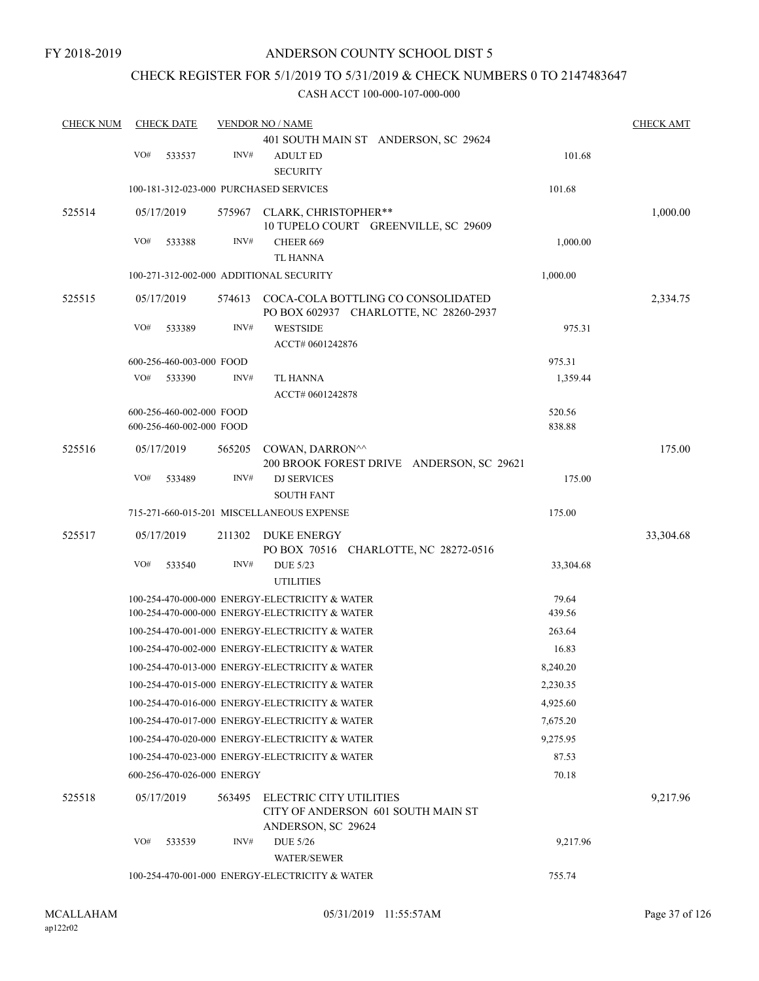### CHECK REGISTER FOR 5/1/2019 TO 5/31/2019 & CHECK NUMBERS 0 TO 2147483647

| <b>CHECK NUM</b> |                                                | <b>CHECK DATE</b>        |                            | <b>VENDOR NO / NAME</b>                                                                          |                 |           |  |  |  |
|------------------|------------------------------------------------|--------------------------|----------------------------|--------------------------------------------------------------------------------------------------|-----------------|-----------|--|--|--|
|                  |                                                |                          |                            | 401 SOUTH MAIN ST ANDERSON, SC 29624                                                             |                 |           |  |  |  |
|                  | VO#                                            | 533537                   | INV#                       | <b>ADULT ED</b><br><b>SECURITY</b>                                                               | 101.68          |           |  |  |  |
|                  |                                                |                          |                            | 100-181-312-023-000 PURCHASED SERVICES                                                           | 101.68          |           |  |  |  |
| 525514           |                                                | 05/17/2019               |                            | 575967 CLARK, CHRISTOPHER**                                                                      |                 | 1,000.00  |  |  |  |
|                  |                                                |                          |                            | 10 TUPELO COURT GREENVILLE, SC 29609                                                             |                 |           |  |  |  |
|                  | VO#                                            | 533388                   | INV#                       | CHEER 669                                                                                        | 1,000.00        |           |  |  |  |
|                  |                                                |                          |                            | <b>TL HANNA</b>                                                                                  |                 |           |  |  |  |
|                  |                                                |                          |                            | 100-271-312-002-000 ADDITIONAL SECURITY                                                          | 1,000.00        |           |  |  |  |
| 525515           |                                                | 05/17/2019               | 574613                     | COCA-COLA BOTTLING CO CONSOLIDATED<br>PO BOX 602937 CHARLOTTE, NC 28260-2937                     |                 | 2,334.75  |  |  |  |
|                  | VO#                                            | 533389                   | INV#                       | <b>WESTSIDE</b><br>ACCT# 0601242876                                                              | 975.31          |           |  |  |  |
|                  |                                                | 600-256-460-003-000 FOOD |                            |                                                                                                  | 975.31          |           |  |  |  |
|                  | VO#                                            | 533390                   | INV#                       | TL HANNA<br>ACCT# 0601242878                                                                     | 1,359.44        |           |  |  |  |
|                  |                                                | 600-256-460-002-000 FOOD |                            |                                                                                                  | 520.56          |           |  |  |  |
|                  |                                                | 600-256-460-002-000 FOOD |                            |                                                                                                  | 838.88          |           |  |  |  |
| 525516           |                                                | 05/17/2019               | 565205                     | COWAN, DARRON^^<br>200 BROOK FOREST DRIVE ANDERSON, SC 29621                                     |                 | 175.00    |  |  |  |
|                  | VO#                                            | 533489                   | INV#                       | <b>DJ SERVICES</b><br><b>SOUTH FANT</b>                                                          | 175.00          |           |  |  |  |
|                  |                                                |                          |                            | 715-271-660-015-201 MISCELLANEOUS EXPENSE                                                        | 175.00          |           |  |  |  |
| 525517           |                                                | 05/17/2019               | 211302                     | DUKE ENERGY                                                                                      |                 | 33,304.68 |  |  |  |
|                  |                                                |                          |                            | PO BOX 70516 CHARLOTTE, NC 28272-0516                                                            |                 |           |  |  |  |
|                  | VO#                                            | 533540                   | INV#                       | <b>DUE 5/23</b>                                                                                  | 33,304.68       |           |  |  |  |
|                  |                                                |                          |                            | <b>UTILITIES</b>                                                                                 |                 |           |  |  |  |
|                  |                                                |                          |                            | 100-254-470-000-000 ENERGY-ELECTRICITY & WATER<br>100-254-470-000-000 ENERGY-ELECTRICITY & WATER | 79.64<br>439.56 |           |  |  |  |
|                  |                                                |                          |                            | 100-254-470-001-000 ENERGY-ELECTRICITY & WATER                                                   | 263.64          |           |  |  |  |
|                  |                                                |                          |                            | 100-254-470-002-000 ENERGY-ELECTRICITY & WATER                                                   | 16.83           |           |  |  |  |
|                  |                                                |                          |                            | 100-254-470-013-000 ENERGY-ELECTRICITY & WATER                                                   | 8,240.20        |           |  |  |  |
|                  |                                                |                          |                            | 100-254-470-015-000 ENERGY-ELECTRICITY & WATER                                                   | 2,230.35        |           |  |  |  |
|                  |                                                |                          |                            | 100-254-470-016-000 ENERGY-ELECTRICITY & WATER                                                   | 4,925.60        |           |  |  |  |
|                  |                                                |                          |                            | 100-254-470-017-000 ENERGY-ELECTRICITY & WATER                                                   | 7,675.20        |           |  |  |  |
|                  |                                                |                          |                            | 100-254-470-020-000 ENERGY-ELECTRICITY & WATER                                                   | 9,275.95        |           |  |  |  |
|                  |                                                |                          |                            | 100-254-470-023-000 ENERGY-ELECTRICITY & WATER                                                   | 87.53           |           |  |  |  |
|                  |                                                |                          | 600-256-470-026-000 ENERGY |                                                                                                  | 70.18           |           |  |  |  |
| 525518           |                                                | 05/17/2019               | 563495                     | ELECTRIC CITY UTILITIES<br>CITY OF ANDERSON 601 SOUTH MAIN ST                                    |                 | 9,217.96  |  |  |  |
|                  |                                                |                          |                            | ANDERSON, SC 29624                                                                               |                 |           |  |  |  |
|                  | VO#                                            | 533539                   | INV#                       | <b>DUE 5/26</b><br><b>WATER/SEWER</b>                                                            | 9,217.96        |           |  |  |  |
|                  | 100-254-470-001-000 ENERGY-ELECTRICITY & WATER |                          |                            |                                                                                                  |                 |           |  |  |  |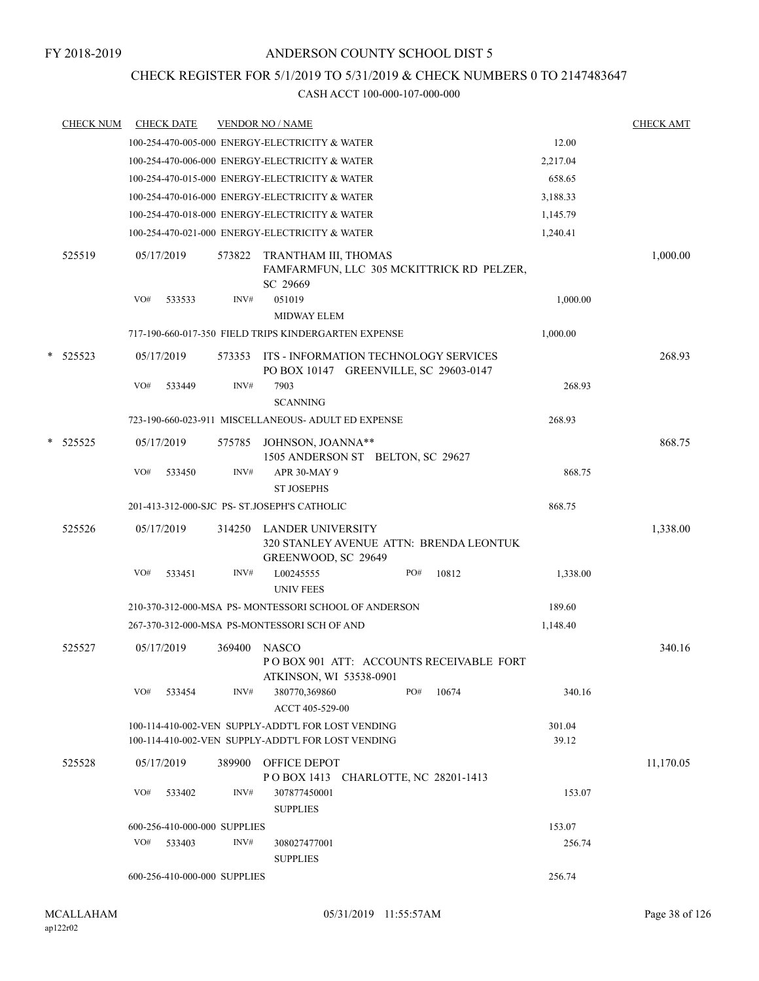### CHECK REGISTER FOR 5/1/2019 TO 5/31/2019 & CHECK NUMBERS 0 TO 2147483647

|   | <b>CHECK NUM</b> |     | <b>CHECK DATE</b>            |        | <b>VENDOR NO / NAME</b>                                                                                  |     |                                           |                 | <b>CHECK AMT</b> |
|---|------------------|-----|------------------------------|--------|----------------------------------------------------------------------------------------------------------|-----|-------------------------------------------|-----------------|------------------|
|   |                  |     |                              |        | 100-254-470-005-000 ENERGY-ELECTRICITY & WATER                                                           |     |                                           | 12.00           |                  |
|   |                  |     |                              |        | 100-254-470-006-000 ENERGY-ELECTRICITY & WATER                                                           |     |                                           | 2,217.04        |                  |
|   |                  |     |                              |        | 100-254-470-015-000 ENERGY-ELECTRICITY & WATER                                                           |     |                                           | 658.65          |                  |
|   |                  |     |                              |        | 100-254-470-016-000 ENERGY-ELECTRICITY & WATER                                                           |     |                                           | 3,188.33        |                  |
|   |                  |     |                              |        | 100-254-470-018-000 ENERGY-ELECTRICITY & WATER                                                           |     |                                           | 1,145.79        |                  |
|   |                  |     |                              |        | 100-254-470-021-000 ENERGY-ELECTRICITY & WATER                                                           |     |                                           | 1,240.41        |                  |
|   | 525519           |     | 05/17/2019                   | 573822 | TRANTHAM III, THOMAS<br>SC 29669                                                                         |     | FAMFARMFUN, LLC 305 MCKITTRICK RD PELZER, |                 | 1,000.00         |
|   |                  | VO# | 533533                       | INV#   | 051019<br><b>MIDWAY ELEM</b>                                                                             |     |                                           | 1,000.00        |                  |
|   |                  |     |                              |        | 717-190-660-017-350 FIELD TRIPS KINDERGARTEN EXPENSE                                                     |     |                                           | 1,000.00        |                  |
| * | 525523           |     | 05/17/2019                   | 573353 | ITS - INFORMATION TECHNOLOGY SERVICES<br>PO BOX 10147 GREENVILLE, SC 29603-0147                          |     |                                           |                 | 268.93           |
|   |                  | VO# | 533449                       | INV#   | 7903<br><b>SCANNING</b>                                                                                  |     |                                           | 268.93          |                  |
|   |                  |     |                              |        | 723-190-660-023-911 MISCELLANEOUS- ADULT ED EXPENSE                                                      |     |                                           | 268.93          |                  |
| * | 525525           |     | 05/17/2019                   | 575785 | JOHNSON, JOANNA**<br>1505 ANDERSON ST BELTON, SC 29627                                                   |     |                                           |                 | 868.75           |
|   |                  | VO# | 533450                       | INV#   | APR 30-MAY 9<br><b>ST JOSEPHS</b>                                                                        |     |                                           | 868.75          |                  |
|   |                  |     |                              |        | 201-413-312-000-SJC PS- ST.JOSEPH'S CATHOLIC                                                             |     |                                           | 868.75          |                  |
|   | 525526           |     | 05/17/2019                   | 314250 | LANDER UNIVERSITY<br>GREENWOOD, SC 29649                                                                 |     | 320 STANLEY AVENUE ATTN: BRENDA LEONTUK   |                 | 1,338.00         |
|   |                  | VO# | 533451                       | INV#   | L00245555<br><b>UNIV FEES</b>                                                                            | PO# | 10812                                     | 1,338.00        |                  |
|   |                  |     |                              |        | 210-370-312-000-MSA PS-MONTESSORI SCHOOL OF ANDERSON                                                     |     |                                           | 189.60          |                  |
|   |                  |     |                              |        | 267-370-312-000-MSA PS-MONTESSORI SCH OF AND                                                             |     |                                           | 1,148.40        |                  |
|   | 525527           |     | 05/17/2019                   | 369400 | <b>NASCO</b><br>ATKINSON, WI 53538-0901                                                                  |     | POBOX 901 ATT: ACCOUNTS RECEIVABLE FORT   |                 | 340.16           |
|   |                  | VO# | 533454                       | INV#   | 380770,369860<br>ACCT 405-529-00                                                                         | PO# | 10674                                     | 340.16          |                  |
|   |                  |     |                              |        | 100-114-410-002-VEN SUPPLY-ADDT'L FOR LOST VENDING<br>100-114-410-002-VEN SUPPLY-ADDT'L FOR LOST VENDING |     |                                           | 301.04<br>39.12 |                  |
|   | 525528           |     | 05/17/2019                   | 389900 | OFFICE DEPOT<br>POBOX 1413 CHARLOTTE, NC 28201-1413                                                      |     |                                           |                 | 11,170.05        |
|   |                  | VO# | 533402                       | INV#   | 307877450001<br><b>SUPPLIES</b>                                                                          |     |                                           | 153.07          |                  |
|   |                  |     | 600-256-410-000-000 SUPPLIES |        |                                                                                                          |     |                                           | 153.07          |                  |
|   |                  | VO# | 533403                       | INV#   | 308027477001<br><b>SUPPLIES</b>                                                                          |     |                                           | 256.74          |                  |
|   |                  |     | 600-256-410-000-000 SUPPLIES |        |                                                                                                          |     |                                           | 256.74          |                  |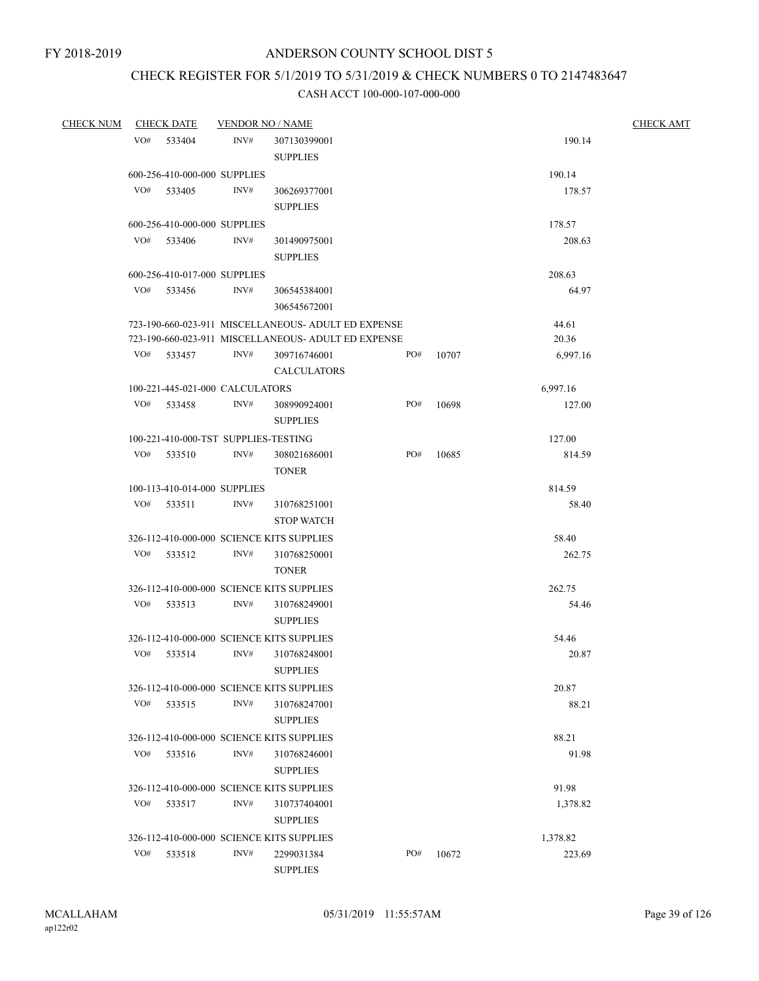# CHECK REGISTER FOR 5/1/2019 TO 5/31/2019 & CHECK NUMBERS 0 TO 2147483647

| <b>CHECK NUM</b> |     | <b>CHECK DATE</b>                    | <b>VENDOR NO / NAME</b> |                                                     |     |       |          | <b>CHECK AMT</b> |
|------------------|-----|--------------------------------------|-------------------------|-----------------------------------------------------|-----|-------|----------|------------------|
|                  |     | VO# 533404                           | INV#                    | 307130399001                                        |     |       | 190.14   |                  |
|                  |     |                                      |                         | <b>SUPPLIES</b>                                     |     |       |          |                  |
|                  |     | 600-256-410-000-000 SUPPLIES         |                         |                                                     |     |       | 190.14   |                  |
|                  | VO# | 533405                               | INV#                    | 306269377001                                        |     |       | 178.57   |                  |
|                  |     |                                      |                         | <b>SUPPLIES</b>                                     |     |       |          |                  |
|                  |     | 600-256-410-000-000 SUPPLIES         |                         |                                                     |     |       | 178.57   |                  |
|                  |     | VO# 533406                           | INV#                    | 301490975001                                        |     |       | 208.63   |                  |
|                  |     |                                      |                         | <b>SUPPLIES</b>                                     |     |       |          |                  |
|                  |     | 600-256-410-017-000 SUPPLIES         |                         |                                                     |     |       | 208.63   |                  |
|                  |     | VO# 533456                           | INV#                    | 306545384001                                        |     |       | 64.97    |                  |
|                  |     |                                      |                         | 306545672001                                        |     |       |          |                  |
|                  |     |                                      |                         | 723-190-660-023-911 MISCELLANEOUS- ADULT ED EXPENSE |     |       | 44.61    |                  |
|                  |     |                                      |                         | 723-190-660-023-911 MISCELLANEOUS- ADULT ED EXPENSE |     |       | 20.36    |                  |
|                  | VO# | 533457                               | INV#                    | 309716746001                                        | PO# | 10707 | 6,997.16 |                  |
|                  |     |                                      |                         | <b>CALCULATORS</b>                                  |     |       |          |                  |
|                  |     | 100-221-445-021-000 CALCULATORS      |                         |                                                     |     |       | 6,997.16 |                  |
|                  | VO# | 533458                               | INV#                    | 308990924001                                        | PO# | 10698 | 127.00   |                  |
|                  |     |                                      |                         | <b>SUPPLIES</b>                                     |     |       |          |                  |
|                  |     | 100-221-410-000-TST SUPPLIES-TESTING |                         |                                                     |     |       | 127.00   |                  |
|                  | VO# | 533510                               | INV#                    | 308021686001                                        | PO# | 10685 | 814.59   |                  |
|                  |     |                                      |                         | <b>TONER</b>                                        |     |       |          |                  |
|                  |     | 100-113-410-014-000 SUPPLIES         |                         |                                                     |     |       | 814.59   |                  |
|                  | VO# | 533511                               | INV#                    | 310768251001                                        |     |       | 58.40    |                  |
|                  |     |                                      |                         | <b>STOP WATCH</b>                                   |     |       |          |                  |
|                  |     |                                      |                         | 326-112-410-000-000 SCIENCE KITS SUPPLIES           |     |       | 58.40    |                  |
|                  |     | VO# 533512                           | INV#                    | 310768250001                                        |     |       | 262.75   |                  |
|                  |     |                                      |                         | <b>TONER</b>                                        |     |       |          |                  |
|                  |     |                                      |                         | 326-112-410-000-000 SCIENCE KITS SUPPLIES           |     |       | 262.75   |                  |
|                  | VO# | 533513                               | INV#                    | 310768249001                                        |     |       | 54.46    |                  |
|                  |     |                                      |                         | <b>SUPPLIES</b>                                     |     |       |          |                  |
|                  |     |                                      |                         | 326-112-410-000-000 SCIENCE KITS SUPPLIES           |     |       | 54.46    |                  |
|                  | VO# | 533514                               | INV#                    | 310768248001                                        |     |       | 20.87    |                  |
|                  |     |                                      |                         | <b>SUPPLIES</b>                                     |     |       |          |                  |
|                  |     |                                      |                         | 326-112-410-000-000 SCIENCE KITS SUPPLIES           |     |       | 20.87    |                  |
|                  | VO# | 533515                               | INV#                    | 310768247001                                        |     |       | 88.21    |                  |
|                  |     |                                      |                         | <b>SUPPLIES</b>                                     |     |       |          |                  |
|                  |     |                                      |                         | 326-112-410-000-000 SCIENCE KITS SUPPLIES           |     |       | 88.21    |                  |
|                  | VO# | 533516                               | INV#                    | 310768246001                                        |     |       | 91.98    |                  |
|                  |     |                                      |                         | <b>SUPPLIES</b>                                     |     |       |          |                  |
|                  |     |                                      |                         | 326-112-410-000-000 SCIENCE KITS SUPPLIES           |     |       | 91.98    |                  |
|                  | VO# | 533517                               | INV#                    | 310737404001                                        |     |       | 1,378.82 |                  |
|                  |     |                                      |                         | <b>SUPPLIES</b>                                     |     |       |          |                  |
|                  |     |                                      |                         | 326-112-410-000-000 SCIENCE KITS SUPPLIES           |     |       | 1,378.82 |                  |
|                  | VO# | 533518                               | INV#                    | 2299031384                                          | PO# | 10672 | 223.69   |                  |
|                  |     |                                      |                         | <b>SUPPLIES</b>                                     |     |       |          |                  |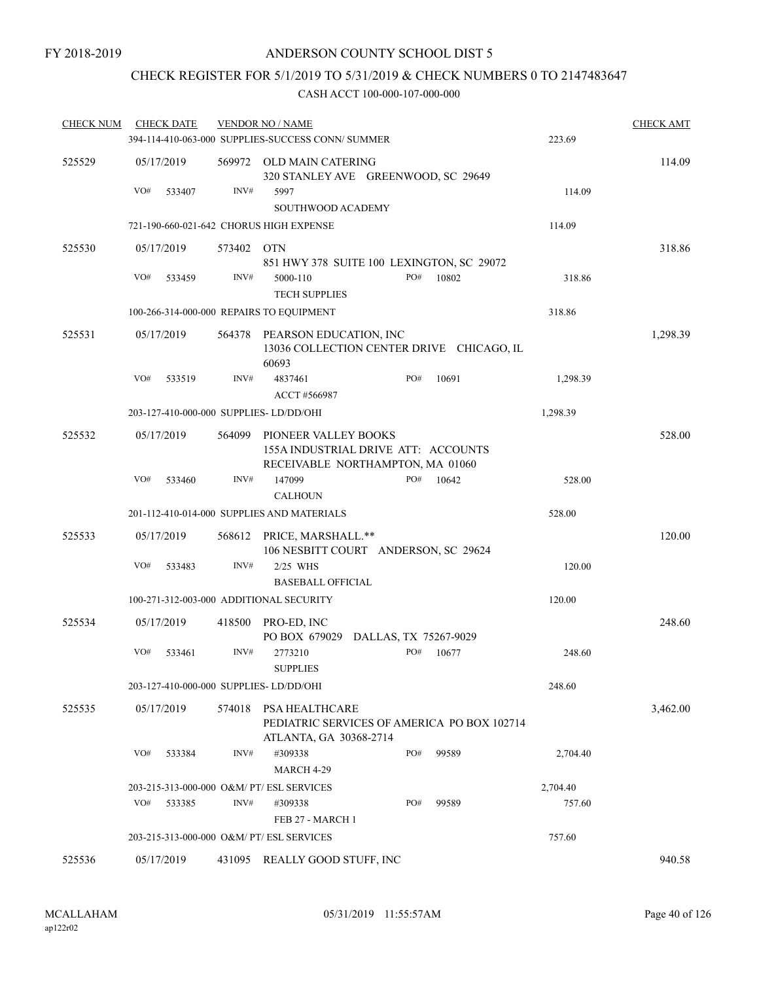# CHECK REGISTER FOR 5/1/2019 TO 5/31/2019 & CHECK NUMBERS 0 TO 2147483647

| <b>CHECK NUM</b> | <b>CHECK DATE</b>                         |        | <b>VENDOR NO / NAME</b>                                                                         |     |        |          | <b>CHECK AMT</b> |
|------------------|-------------------------------------------|--------|-------------------------------------------------------------------------------------------------|-----|--------|----------|------------------|
|                  |                                           |        | 394-114-410-063-000 SUPPLIES-SUCCESS CONN/ SUMMER                                               |     |        | 223.69   |                  |
| 525529           | 05/17/2019                                |        | 569972 OLD MAIN CATERING<br>320 STANLEY AVE GREENWOOD, SC 29649                                 |     |        |          | 114.09           |
|                  | VO#<br>533407                             | INV#   | 5997<br>SOUTHWOOD ACADEMY                                                                       |     |        | 114.09   |                  |
|                  | 721-190-660-021-642 CHORUS HIGH EXPENSE   |        |                                                                                                 |     |        | 114.09   |                  |
| 525530           | 05/17/2019                                | 573402 | OTN<br>851 HWY 378 SUITE 100 LEXINGTON, SC 29072                                                |     |        | 318.86   |                  |
|                  | VO#<br>533459                             | INV#   | 5000-110<br><b>TECH SUPPLIES</b>                                                                | PO# | 10802  | 318.86   |                  |
|                  | 100-266-314-000-000 REPAIRS TO EQUIPMENT  |        |                                                                                                 |     | 318.86 |          |                  |
| 525531           | 05/17/2019                                | 564378 | PEARSON EDUCATION, INC<br>13036 COLLECTION CENTER DRIVE CHICAGO, IL<br>60693                    |     |        |          | 1,298.39         |
|                  | VO#<br>533519                             | INV#   | 4837461<br>ACCT #566987                                                                         | PO# | 10691  | 1,298.39 |                  |
|                  | 203-127-410-000-000 SUPPLIES-LD/DD/OHI    |        |                                                                                                 |     |        | 1,298.39 |                  |
| 525532           | 05/17/2019                                | 564099 | PIONEER VALLEY BOOKS<br>155A INDUSTRIAL DRIVE ATT: ACCOUNTS<br>RECEIVABLE NORTHAMPTON, MA 01060 |     |        |          | 528.00           |
|                  | VO#<br>533460                             | INV#   | 147099<br><b>CALHOUN</b>                                                                        | PO# | 10642  | 528.00   |                  |
|                  |                                           |        | 201-112-410-014-000 SUPPLIES AND MATERIALS                                                      |     |        | 528.00   |                  |
| 525533           | 05/17/2019                                |        | 568612 PRICE, MARSHALL.**<br>106 NESBITT COURT ANDERSON, SC 29624                               |     |        |          | 120.00           |
|                  | VO#<br>533483                             | INV#   | $2/25$ WHS<br><b>BASEBALL OFFICIAL</b>                                                          |     |        | 120.00   |                  |
|                  | 100-271-312-003-000 ADDITIONAL SECURITY   |        |                                                                                                 |     |        | 120.00   |                  |
| 525534           | 05/17/2019                                |        | 418500 PRO-ED, INC<br>PO BOX 679029 DALLAS, TX 75267-9029                                       |     |        |          | 248.60           |
|                  | VO#<br>533461                             | INV#   | 2773210<br><b>SUPPLIES</b>                                                                      | PO# | 10677  | 248.60   |                  |
|                  | 203-127-410-000-000 SUPPLIES-LD/DD/OHI    |        |                                                                                                 |     |        | 248.60   |                  |
| 525535           | 05/17/2019                                | 574018 | PSA HEALTHCARE<br>PEDIATRIC SERVICES OF AMERICA PO BOX 102714<br>ATLANTA, GA 30368-2714         |     |        |          | 3,462.00         |
|                  | VO#<br>533384                             | INV#   | #309338<br>MARCH 4-29                                                                           | PO# | 99589  | 2,704.40 |                  |
|                  | 203-215-313-000-000 O&M/ PT/ ESL SERVICES |        |                                                                                                 |     |        | 2,704.40 |                  |
|                  | VO#<br>533385                             | INV#   | #309338<br>FEB 27 - MARCH 1                                                                     | PO# | 99589  | 757.60   |                  |
|                  | 203-215-313-000-000 O&M/ PT/ ESL SERVICES |        |                                                                                                 |     |        | 757.60   |                  |
| 525536           | 05/17/2019                                |        | 431095 REALLY GOOD STUFF, INC                                                                   |     |        |          | 940.58           |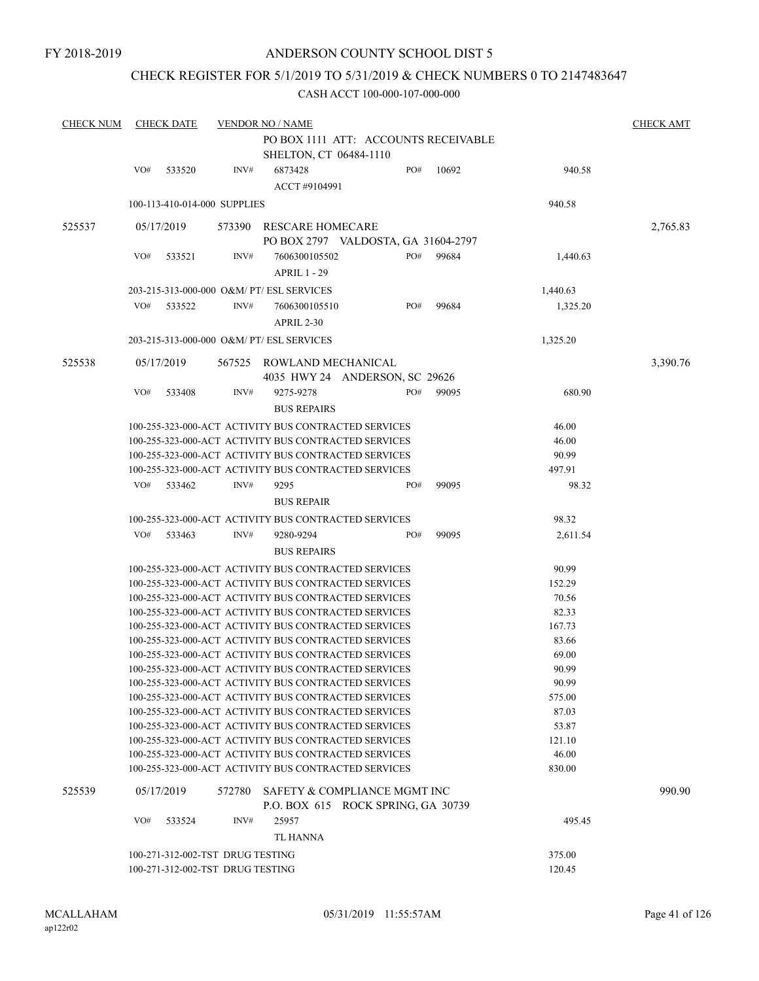### CHECK REGISTER FOR 5/1/2019 TO 5/31/2019 & CHECK NUMBERS 0 TO 2147483647

| <b>CHECK NUM</b> |                                                                | <b>CHECK DATE</b> |                                  | <b>VENDOR NO / NAME</b>                                            |  |     |       |          | <b>CHECK AMT</b> |  |  |
|------------------|----------------------------------------------------------------|-------------------|----------------------------------|--------------------------------------------------------------------|--|-----|-------|----------|------------------|--|--|
|                  |                                                                |                   |                                  | PO BOX 1111 ATT: ACCOUNTS RECEIVABLE                               |  |     |       |          |                  |  |  |
|                  |                                                                |                   |                                  | SHELTON, CT 06484-1110                                             |  |     |       |          |                  |  |  |
|                  | VO#                                                            | 533520            | INV#                             | 6873428                                                            |  | PO# | 10692 | 940.58   |                  |  |  |
|                  |                                                                |                   |                                  | ACCT #9104991                                                      |  |     |       |          |                  |  |  |
|                  |                                                                |                   | 100-113-410-014-000 SUPPLIES     |                                                                    |  |     |       | 940.58   |                  |  |  |
|                  |                                                                |                   |                                  |                                                                    |  |     |       |          |                  |  |  |
| 525537           |                                                                | 05/17/2019        | 573390                           | RESCARE HOMECARE<br>PO BOX 2797 VALDOSTA, GA 31604-2797            |  |     |       |          | 2,765.83         |  |  |
|                  | VO#                                                            |                   | INV#                             |                                                                    |  | PO# |       |          |                  |  |  |
|                  |                                                                | 533521            |                                  | 7606300105502<br><b>APRIL 1 - 29</b>                               |  |     | 99684 | 1,440.63 |                  |  |  |
|                  |                                                                |                   |                                  |                                                                    |  |     |       |          |                  |  |  |
|                  |                                                                |                   |                                  | 203-215-313-000-000 O&M/ PT/ ESL SERVICES                          |  |     |       | 1,440.63 |                  |  |  |
|                  | VO#                                                            | 533522            | INV#                             | 7606300105510                                                      |  | PO# | 99684 | 1,325.20 |                  |  |  |
|                  |                                                                |                   |                                  | APRIL 2-30                                                         |  |     |       |          |                  |  |  |
|                  |                                                                |                   |                                  | 203-215-313-000-000 O&M/ PT/ ESL SERVICES                          |  |     |       | 1,325.20 |                  |  |  |
| 525538           |                                                                | 05/17/2019        |                                  | 567525 ROWLAND MECHANICAL                                          |  |     |       |          | 3,390.76         |  |  |
|                  |                                                                |                   |                                  | 4035 HWY 24 ANDERSON, SC 29626                                     |  |     |       |          |                  |  |  |
|                  | VO#                                                            | 533408            | INV#                             | 9275-9278                                                          |  | PO# | 99095 | 680.90   |                  |  |  |
|                  | <b>BUS REPAIRS</b>                                             |                   |                                  |                                                                    |  |     |       |          |                  |  |  |
|                  | 100-255-323-000-ACT ACTIVITY BUS CONTRACTED SERVICES<br>46.00  |                   |                                  |                                                                    |  |     |       |          |                  |  |  |
|                  | 100-255-323-000-ACT ACTIVITY BUS CONTRACTED SERVICES<br>46.00  |                   |                                  |                                                                    |  |     |       |          |                  |  |  |
|                  |                                                                |                   |                                  | 100-255-323-000-ACT ACTIVITY BUS CONTRACTED SERVICES               |  |     |       | 90.99    |                  |  |  |
|                  |                                                                |                   |                                  | 100-255-323-000-ACT ACTIVITY BUS CONTRACTED SERVICES               |  |     |       | 497.91   |                  |  |  |
|                  | VO#                                                            | 533462            | INV#                             | 9295                                                               |  | PO# | 99095 | 98.32    |                  |  |  |
|                  |                                                                |                   |                                  | <b>BUS REPAIR</b>                                                  |  |     |       |          |                  |  |  |
|                  | 100-255-323-000-ACT ACTIVITY BUS CONTRACTED SERVICES           |                   |                                  |                                                                    |  |     |       | 98.32    |                  |  |  |
|                  | VO#                                                            | 533463            | INV#                             | 9280-9294                                                          |  | PO# | 99095 | 2,611.54 |                  |  |  |
|                  |                                                                |                   |                                  | <b>BUS REPAIRS</b>                                                 |  |     |       |          |                  |  |  |
|                  | 100-255-323-000-ACT ACTIVITY BUS CONTRACTED SERVICES<br>90.99  |                   |                                  |                                                                    |  |     |       |          |                  |  |  |
|                  | 100-255-323-000-ACT ACTIVITY BUS CONTRACTED SERVICES<br>152.29 |                   |                                  |                                                                    |  |     |       |          |                  |  |  |
|                  |                                                                |                   |                                  | 100-255-323-000-ACT ACTIVITY BUS CONTRACTED SERVICES               |  |     |       | 70.56    |                  |  |  |
|                  |                                                                |                   |                                  | 100-255-323-000-ACT ACTIVITY BUS CONTRACTED SERVICES               |  |     |       | 82.33    |                  |  |  |
|                  |                                                                |                   |                                  | 100-255-323-000-ACT ACTIVITY BUS CONTRACTED SERVICES               |  |     |       | 167.73   |                  |  |  |
|                  |                                                                |                   |                                  | 100-255-323-000-ACT ACTIVITY BUS CONTRACTED SERVICES               |  |     |       | 83.66    |                  |  |  |
|                  |                                                                |                   |                                  | 100-255-323-000-ACT ACTIVITY BUS CONTRACTED SERVICES               |  |     |       | 69.00    |                  |  |  |
|                  |                                                                |                   |                                  | 100-255-323-000-ACT ACTIVITY BUS CONTRACTED SERVICES               |  |     |       | 90.99    |                  |  |  |
|                  |                                                                |                   |                                  | 100-255-323-000-ACT ACTIVITY BUS CONTRACTED SERVICES               |  |     |       | 90.99    |                  |  |  |
|                  |                                                                |                   |                                  | 100-255-323-000-ACT ACTIVITY BUS CONTRACTED SERVICES               |  |     |       | 575.00   |                  |  |  |
|                  |                                                                |                   |                                  | 100-255-323-000-ACT ACTIVITY BUS CONTRACTED SERVICES               |  |     |       | 87.03    |                  |  |  |
|                  |                                                                |                   |                                  | 100-255-323-000-ACT ACTIVITY BUS CONTRACTED SERVICES               |  |     |       | 53.87    |                  |  |  |
|                  |                                                                |                   |                                  | 100-255-323-000-ACT ACTIVITY BUS CONTRACTED SERVICES               |  |     |       | 121.10   |                  |  |  |
|                  |                                                                |                   |                                  | 100-255-323-000-ACT ACTIVITY BUS CONTRACTED SERVICES               |  |     |       | 46.00    |                  |  |  |
|                  |                                                                |                   |                                  | 100-255-323-000-ACT ACTIVITY BUS CONTRACTED SERVICES               |  |     |       | 830.00   |                  |  |  |
| 525539           |                                                                | 05/17/2019        | 572780                           | SAFETY & COMPLIANCE MGMT INC<br>P.O. BOX 615 ROCK SPRING, GA 30739 |  |     |       |          | 990.90           |  |  |
|                  | VO#                                                            | 533524            | INV#                             | 25957                                                              |  |     |       | 495.45   |                  |  |  |
|                  |                                                                |                   |                                  | TL HANNA                                                           |  |     |       |          |                  |  |  |
|                  |                                                                |                   | 100-271-312-002-TST DRUG TESTING |                                                                    |  |     |       | 375.00   |                  |  |  |
|                  | 100-271-312-002-TST DRUG TESTING<br>120.45                     |                   |                                  |                                                                    |  |     |       |          |                  |  |  |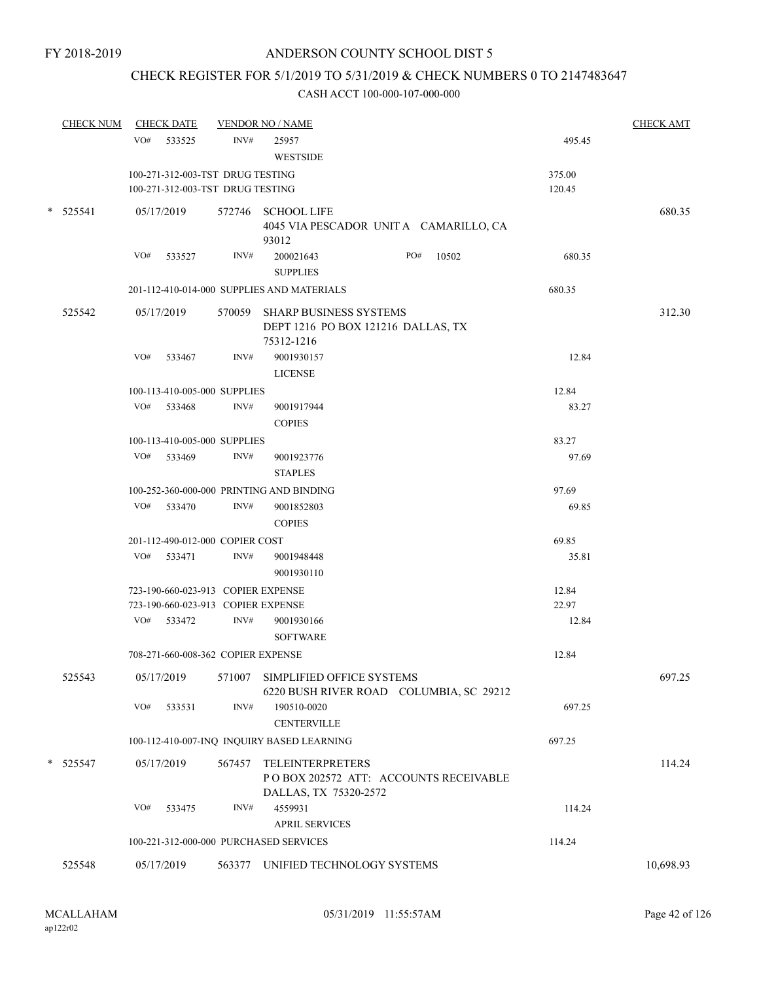# CHECK REGISTER FOR 5/1/2019 TO 5/31/2019 & CHECK NUMBERS 0 TO 2147483647

|   | <b>CHECK NUM</b> |     | <b>CHECK DATE</b>                  |        | <b>VENDOR NO / NAME</b>                                                             |        | <b>CHECK AMT</b> |
|---|------------------|-----|------------------------------------|--------|-------------------------------------------------------------------------------------|--------|------------------|
|   |                  |     | VO# 533525                         | INV#   | 25957<br><b>WESTSIDE</b>                                                            | 495.45 |                  |
|   |                  |     | 100-271-312-003-TST DRUG TESTING   |        |                                                                                     | 375.00 |                  |
|   |                  |     | 100-271-312-003-TST DRUG TESTING   |        |                                                                                     | 120.45 |                  |
|   | $*$ 525541       |     | 05/17/2019                         |        | 572746 SCHOOL LIFE                                                                  |        | 680.35           |
|   |                  |     |                                    |        | 4045 VIA PESCADOR UNITA CAMARILLO, CA<br>93012                                      |        |                  |
|   |                  | VO# | 533527                             | INV#   | PO#<br>200021643<br>10502<br><b>SUPPLIES</b>                                        | 680.35 |                  |
|   |                  |     |                                    |        | 201-112-410-014-000 SUPPLIES AND MATERIALS                                          | 680.35 |                  |
|   |                  |     |                                    |        |                                                                                     |        |                  |
|   | 525542           |     | 05/17/2019                         |        | 570059 SHARP BUSINESS SYSTEMS<br>DEPT 1216 PO BOX 121216 DALLAS, TX<br>75312-1216   |        | 312.30           |
|   |                  | VO# | 533467                             | INV#   | 9001930157<br><b>LICENSE</b>                                                        | 12.84  |                  |
|   |                  |     | 100-113-410-005-000 SUPPLIES       |        |                                                                                     | 12.84  |                  |
|   |                  |     | VO# 533468                         | INV#   | 9001917944                                                                          | 83.27  |                  |
|   |                  |     |                                    |        | <b>COPIES</b>                                                                       |        |                  |
|   |                  |     | 100-113-410-005-000 SUPPLIES       |        |                                                                                     | 83.27  |                  |
|   |                  |     | VO# 533469                         | INV#   | 9001923776                                                                          | 97.69  |                  |
|   |                  |     |                                    |        | <b>STAPLES</b>                                                                      |        |                  |
|   |                  |     |                                    |        | 100-252-360-000-000 PRINTING AND BINDING                                            | 97.69  |                  |
|   |                  |     | VO# 533470                         | INV#   | 9001852803                                                                          | 69.85  |                  |
|   |                  |     |                                    |        | <b>COPIES</b>                                                                       |        |                  |
|   |                  |     | 201-112-490-012-000 COPIER COST    |        |                                                                                     | 69.85  |                  |
|   |                  |     | VO# 533471                         | INV#   | 9001948448                                                                          | 35.81  |                  |
|   |                  |     |                                    |        | 9001930110                                                                          |        |                  |
|   |                  |     | 723-190-660-023-913 COPIER EXPENSE |        |                                                                                     | 12.84  |                  |
|   |                  |     | 723-190-660-023-913 COPIER EXPENSE |        |                                                                                     | 22.97  |                  |
|   |                  |     | VO# 533472                         | INV#   | 9001930166                                                                          | 12.84  |                  |
|   |                  |     |                                    |        | <b>SOFTWARE</b>                                                                     |        |                  |
|   |                  |     | 708-271-660-008-362 COPIER EXPENSE |        |                                                                                     | 12.84  |                  |
|   | 525543           |     | 05/17/2019                         | 571007 | SIMPLIFIED OFFICE SYSTEMS<br>6220 BUSH RIVER ROAD COLUMBIA, SC 29212                |        | 697.25           |
|   |                  | VO# | 533531                             | INV#   | 190510-0020<br><b>CENTERVILLE</b>                                                   | 697.25 |                  |
|   |                  |     |                                    |        | 100-112-410-007-INQ INQUIRY BASED LEARNING                                          | 697.25 |                  |
|   |                  |     |                                    |        |                                                                                     |        |                  |
| * | 525547           |     | 05/17/2019                         | 567457 | TELEINTERPRETERS<br>PO BOX 202572 ATT: ACCOUNTS RECEIVABLE<br>DALLAS, TX 75320-2572 |        | 114.24           |
|   |                  | VO# | 533475                             | INV#   | 4559931                                                                             | 114.24 |                  |
|   |                  |     |                                    |        | <b>APRIL SERVICES</b>                                                               |        |                  |
|   |                  |     |                                    |        | 100-221-312-000-000 PURCHASED SERVICES                                              | 114.24 |                  |
|   | 525548           |     | 05/17/2019                         |        | 563377 UNIFIED TECHNOLOGY SYSTEMS                                                   |        | 10,698.93        |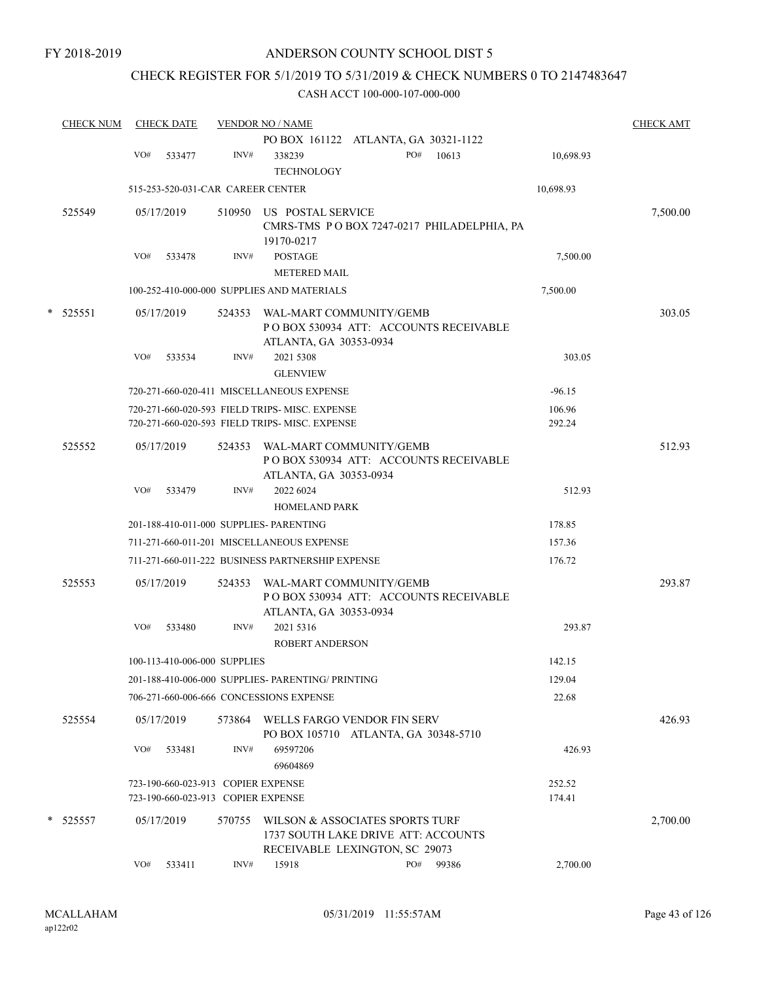### CHECK REGISTER FOR 5/1/2019 TO 5/31/2019 & CHECK NUMBERS 0 TO 2147483647

|   | <b>CHECK NUM</b> |     | <b>CHECK DATE</b> |                                                                          | <b>VENDOR NO / NAME</b>                                                                                  |     |       |                  | <b>CHECK AMT</b> |
|---|------------------|-----|-------------------|--------------------------------------------------------------------------|----------------------------------------------------------------------------------------------------------|-----|-------|------------------|------------------|
|   |                  |     |                   |                                                                          | PO BOX 161122 ATLANTA, GA 30321-1122                                                                     |     |       |                  |                  |
|   |                  | VO# | 533477            | INV#                                                                     | 338239<br><b>TECHNOLOGY</b>                                                                              | PO# | 10613 | 10,698.93        |                  |
|   |                  |     |                   | 515-253-520-031-CAR CAREER CENTER                                        |                                                                                                          |     |       | 10,698.93        |                  |
|   | 525549           |     | 05/17/2019        |                                                                          | 510950 US POSTAL SERVICE<br>CMRS-TMS PO BOX 7247-0217 PHILADELPHIA, PA<br>19170-0217                     |     |       |                  | 7,500.00         |
|   |                  | VO# | 533478            | INV#                                                                     | <b>POSTAGE</b><br><b>METERED MAIL</b>                                                                    |     |       | 7,500.00         |                  |
|   |                  |     |                   |                                                                          | 100-252-410-000-000 SUPPLIES AND MATERIALS                                                               |     |       | 7,500.00         |                  |
| * | 525551           |     | 05/17/2019        | 524353                                                                   | WAL-MART COMMUNITY/GEMB<br>PO BOX 530934 ATT: ACCOUNTS RECEIVABLE<br>ATLANTA, GA 30353-0934              |     |       |                  | 303.05           |
|   |                  | VO# | 533534            | INV#                                                                     | 2021 5308<br><b>GLENVIEW</b>                                                                             |     |       | 303.05           |                  |
|   |                  |     |                   |                                                                          | 720-271-660-020-411 MISCELLANEOUS EXPENSE                                                                |     |       | $-96.15$         |                  |
|   |                  |     |                   |                                                                          | 720-271-660-020-593 FIELD TRIPS-MISC. EXPENSE                                                            |     |       | 106.96           |                  |
|   |                  |     |                   |                                                                          | 720-271-660-020-593 FIELD TRIPS- MISC. EXPENSE                                                           |     |       | 292.24           |                  |
|   | 525552           |     | 05/17/2019        | 524353                                                                   | WAL-MART COMMUNITY/GEMB<br>PO BOX 530934 ATT: ACCOUNTS RECEIVABLE<br>ATLANTA, GA 30353-0934              |     |       |                  | 512.93           |
|   |                  | VO# | 533479            | INV#                                                                     | 2022 6024<br><b>HOMELAND PARK</b>                                                                        |     |       | 512.93           |                  |
|   |                  |     |                   |                                                                          | 201-188-410-011-000 SUPPLIES- PARENTING                                                                  |     |       | 178.85           |                  |
|   |                  |     |                   |                                                                          | 711-271-660-011-201 MISCELLANEOUS EXPENSE                                                                |     |       | 157.36           |                  |
|   |                  |     |                   |                                                                          | 711-271-660-011-222 BUSINESS PARTNERSHIP EXPENSE                                                         |     |       | 176.72           |                  |
|   | 525553           |     | 05/17/2019        | 524353                                                                   | WAL-MART COMMUNITY/GEMB<br>PO BOX 530934 ATT: ACCOUNTS RECEIVABLE<br>ATLANTA, GA 30353-0934              |     |       |                  | 293.87           |
|   |                  | VO# | 533480            | INV#                                                                     | 2021 5316<br><b>ROBERT ANDERSON</b>                                                                      |     |       | 293.87           |                  |
|   |                  |     |                   | 100-113-410-006-000 SUPPLIES                                             |                                                                                                          |     |       | 142.15           |                  |
|   |                  |     |                   |                                                                          | 201-188-410-006-000 SUPPLIES- PARENTING/ PRINTING                                                        |     |       | 129.04           |                  |
|   |                  |     |                   |                                                                          | 706-271-660-006-666 CONCESSIONS EXPENSE                                                                  |     |       | 22.68            |                  |
|   | 525554           |     | 05/17/2019        | 573864                                                                   | WELLS FARGO VENDOR FIN SERV<br>PO BOX 105710 ATLANTA, GA 30348-5710                                      |     |       |                  | 426.93           |
|   |                  | VO# | 533481            | INV#                                                                     | 69597206<br>69604869                                                                                     |     |       | 426.93           |                  |
|   |                  |     |                   | 723-190-660-023-913 COPIER EXPENSE<br>723-190-660-023-913 COPIER EXPENSE |                                                                                                          |     |       | 252.52<br>174.41 |                  |
|   | * 525557         |     | 05/17/2019        | 570755                                                                   | WILSON & ASSOCIATES SPORTS TURF<br>1737 SOUTH LAKE DRIVE ATT: ACCOUNTS<br>RECEIVABLE LEXINGTON, SC 29073 |     |       |                  | 2,700.00         |
|   |                  | VO# | 533411            | INV#                                                                     | 15918                                                                                                    | PO# | 99386 | 2,700.00         |                  |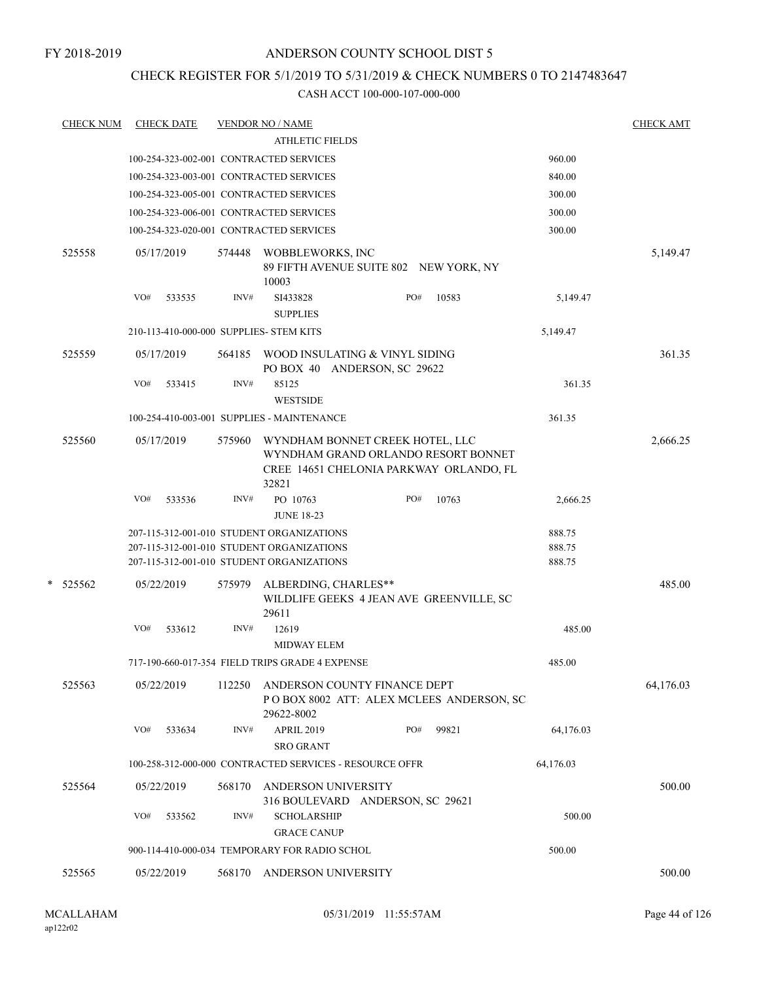### CHECK REGISTER FOR 5/1/2019 TO 5/31/2019 & CHECK NUMBERS 0 TO 2147483647

| <b>CHECK NUM</b> | <b>CHECK DATE</b> |        |        | <u>VENDOR NO / NAME</u>                                                                                                             |     |       |                            | <b>CHECK AMT</b> |
|------------------|-------------------|--------|--------|-------------------------------------------------------------------------------------------------------------------------------------|-----|-------|----------------------------|------------------|
|                  |                   |        |        | <b>ATHLETIC FIELDS</b>                                                                                                              |     |       |                            |                  |
|                  |                   |        |        | 100-254-323-002-001 CONTRACTED SERVICES                                                                                             |     |       | 960.00                     |                  |
|                  |                   |        |        | 100-254-323-003-001 CONTRACTED SERVICES                                                                                             |     |       | 840.00                     |                  |
|                  |                   |        |        | 100-254-323-005-001 CONTRACTED SERVICES                                                                                             |     |       | 300.00                     |                  |
|                  |                   |        |        | 100-254-323-006-001 CONTRACTED SERVICES                                                                                             |     |       | 300.00                     |                  |
|                  |                   |        |        | 100-254-323-020-001 CONTRACTED SERVICES                                                                                             |     |       | 300.00                     |                  |
| 525558           | 05/17/2019        |        | 574448 | WOBBLEWORKS, INC<br>89 FIFTH AVENUE SUITE 802 NEW YORK, NY<br>10003                                                                 |     |       |                            | 5,149.47         |
|                  | VO#               | 533535 | INV#   | SI433828<br><b>SUPPLIES</b>                                                                                                         | PO# | 10583 | 5,149.47                   |                  |
|                  |                   |        |        | 210-113-410-000-000 SUPPLIES- STEM KITS                                                                                             |     |       | 5,149.47                   |                  |
| 525559           | 05/17/2019        |        | 564185 | WOOD INSULATING & VINYL SIDING<br>PO BOX 40 ANDERSON, SC 29622                                                                      |     |       |                            | 361.35           |
|                  | VO#               | 533415 | INV#   | 85125<br><b>WESTSIDE</b>                                                                                                            |     |       | 361.35                     |                  |
|                  |                   |        |        | 100-254-410-003-001 SUPPLIES - MAINTENANCE                                                                                          |     |       | 361.35                     |                  |
| 525560           | 05/17/2019        |        | 575960 | WYNDHAM BONNET CREEK HOTEL, LLC<br>WYNDHAM GRAND ORLANDO RESORT BONNET<br>CREE 14651 CHELONIA PARKWAY ORLANDO, FL<br>32821          |     |       |                            | 2,666.25         |
|                  | VO#               | 533536 | INV#   | PO 10763<br><b>JUNE 18-23</b>                                                                                                       | PO# | 10763 | 2,666.25                   |                  |
|                  |                   |        |        | 207-115-312-001-010 STUDENT ORGANIZATIONS<br>207-115-312-001-010 STUDENT ORGANIZATIONS<br>207-115-312-001-010 STUDENT ORGANIZATIONS |     |       | 888.75<br>888.75<br>888.75 |                  |
| * 525562         | 05/22/2019        |        | 575979 | ALBERDING, CHARLES**<br>WILDLIFE GEEKS 4 JEAN AVE GREENVILLE, SC<br>29611                                                           |     |       |                            | 485.00           |
|                  | VO#               | 533612 | INV#   | 12619<br><b>MIDWAY ELEM</b>                                                                                                         |     |       | 485.00                     |                  |
|                  |                   |        |        | 717-190-660-017-354 FIELD TRIPS GRADE 4 EXPENSE                                                                                     |     |       | 485.00                     |                  |
| 525563           | 05/22/2019        |        | 112250 | ANDERSON COUNTY FINANCE DEPT<br>POBOX 8002 ATT: ALEX MCLEES ANDERSON, SC<br>29622-8002                                              |     |       |                            | 64,176.03        |
|                  | VO#               | 533634 | INV#   | <b>APRIL 2019</b><br><b>SRO GRANT</b>                                                                                               | PO# | 99821 | 64,176.03                  |                  |
|                  |                   |        |        | 100-258-312-000-000 CONTRACTED SERVICES - RESOURCE OFFR                                                                             |     |       | 64,176.03                  |                  |
| 525564           | 05/22/2019        |        | 568170 | ANDERSON UNIVERSITY<br>316 BOULEVARD ANDERSON, SC 29621                                                                             |     |       |                            | 500.00           |
|                  | VO#               | 533562 | INV#   | <b>SCHOLARSHIP</b><br><b>GRACE CANUP</b>                                                                                            |     |       | 500.00                     |                  |
|                  |                   |        |        | 900-114-410-000-034 TEMPORARY FOR RADIO SCHOL                                                                                       |     |       | 500.00                     |                  |
| 525565           | 05/22/2019        |        | 568170 | ANDERSON UNIVERSITY                                                                                                                 |     |       |                            | 500.00           |
|                  |                   |        |        |                                                                                                                                     |     |       |                            |                  |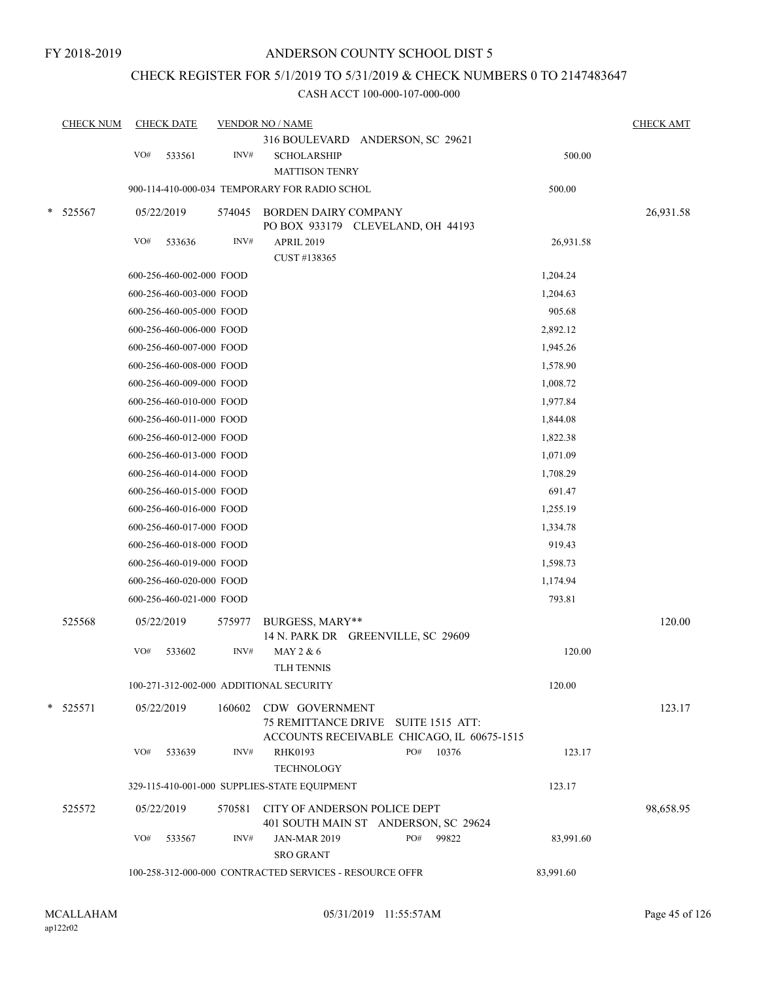# CHECK REGISTER FOR 5/1/2019 TO 5/31/2019 & CHECK NUMBERS 0 TO 2147483647

|        | <b>CHECK NUM</b> |            | <b>CHECK DATE</b>        |        | <b>VENDOR NO / NAME</b>                                                                                    | <b>CHECK AMT</b> |
|--------|------------------|------------|--------------------------|--------|------------------------------------------------------------------------------------------------------------|------------------|
|        |                  | VO#        | 533561                   | INV#   | 316 BOULEVARD ANDERSON, SC 29621<br><b>SCHOLARSHIP</b><br><b>MATTISON TENRY</b>                            | 500.00           |
|        |                  |            |                          |        | 900-114-410-000-034 TEMPORARY FOR RADIO SCHOL                                                              | 500.00           |
| *      | 525567           |            | 05/22/2019               | 574045 | <b>BORDEN DAIRY COMPANY</b>                                                                                | 26,931.58        |
|        |                  |            |                          |        | PO BOX 933179 CLEVELAND, OH 44193                                                                          |                  |
|        |                  | VO#        | 533636                   | INV#   | <b>APRIL 2019</b>                                                                                          | 26,931.58        |
|        |                  |            |                          |        | CUST #138365                                                                                               |                  |
|        |                  |            | 600-256-460-002-000 FOOD |        |                                                                                                            | 1,204.24         |
|        |                  |            | 600-256-460-003-000 FOOD |        |                                                                                                            | 1,204.63         |
|        |                  |            | 600-256-460-005-000 FOOD |        |                                                                                                            | 905.68           |
|        |                  |            | 600-256-460-006-000 FOOD |        |                                                                                                            | 2,892.12         |
|        |                  |            | 600-256-460-007-000 FOOD |        |                                                                                                            | 1,945.26         |
|        |                  |            | 600-256-460-008-000 FOOD |        |                                                                                                            | 1,578.90         |
|        |                  |            | 600-256-460-009-000 FOOD |        |                                                                                                            | 1,008.72         |
|        |                  |            | 600-256-460-010-000 FOOD |        |                                                                                                            | 1,977.84         |
|        |                  |            | 600-256-460-011-000 FOOD |        |                                                                                                            | 1,844.08         |
|        |                  |            | 600-256-460-012-000 FOOD |        |                                                                                                            | 1,822.38         |
|        |                  |            | 600-256-460-013-000 FOOD |        |                                                                                                            | 1,071.09         |
|        |                  |            | 600-256-460-014-000 FOOD |        |                                                                                                            | 1,708.29         |
|        |                  |            | 600-256-460-015-000 FOOD |        |                                                                                                            | 691.47           |
|        |                  |            | 600-256-460-016-000 FOOD |        |                                                                                                            | 1,255.19         |
|        |                  |            | 600-256-460-017-000 FOOD |        |                                                                                                            | 1,334.78         |
|        |                  |            | 600-256-460-018-000 FOOD |        |                                                                                                            | 919.43           |
|        |                  |            | 600-256-460-019-000 FOOD |        |                                                                                                            | 1,598.73         |
|        |                  |            | 600-256-460-020-000 FOOD |        |                                                                                                            | 1,174.94         |
|        |                  |            | 600-256-460-021-000 FOOD |        |                                                                                                            | 793.81           |
|        | 525568           | 05/22/2019 |                          | 575977 | BURGESS, MARY**<br>14 N. PARK DR GREENVILLE, SC 29609                                                      | 120.00           |
|        |                  | VO#        | 533602                   | INV#   | MAY 2 & 6<br>TLH TENNIS                                                                                    | 120.00           |
|        |                  |            |                          |        | 100-271-312-002-000 ADDITIONAL SECURITY                                                                    | 120.00           |
| $\ast$ | 525571           |            | 05/22/2019               |        | 160602 CDW GOVERNMENT<br>75 REMITTANCE DRIVE SUITE 1515 ATT:<br>ACCOUNTS RECEIVABLE CHICAGO, IL 60675-1515 | 123.17           |
|        |                  | VO#        | 533639                   | INV#   | PO#<br><b>RHK0193</b><br>10376<br><b>TECHNOLOGY</b>                                                        | 123.17           |
|        |                  |            |                          |        | 329-115-410-001-000 SUPPLIES-STATE EQUIPMENT                                                               | 123.17           |
|        | 525572           |            | 05/22/2019               |        | 570581 CITY OF ANDERSON POLICE DEPT<br>401 SOUTH MAIN ST ANDERSON, SC 29624                                | 98,658.95        |
|        |                  | VO#        | 533567                   | INV#   | PO#<br>99822<br><b>JAN-MAR 2019</b><br><b>SRO GRANT</b>                                                    | 83,991.60        |
|        |                  |            |                          |        | 100-258-312-000-000 CONTRACTED SERVICES - RESOURCE OFFR<br>83,991.60                                       |                  |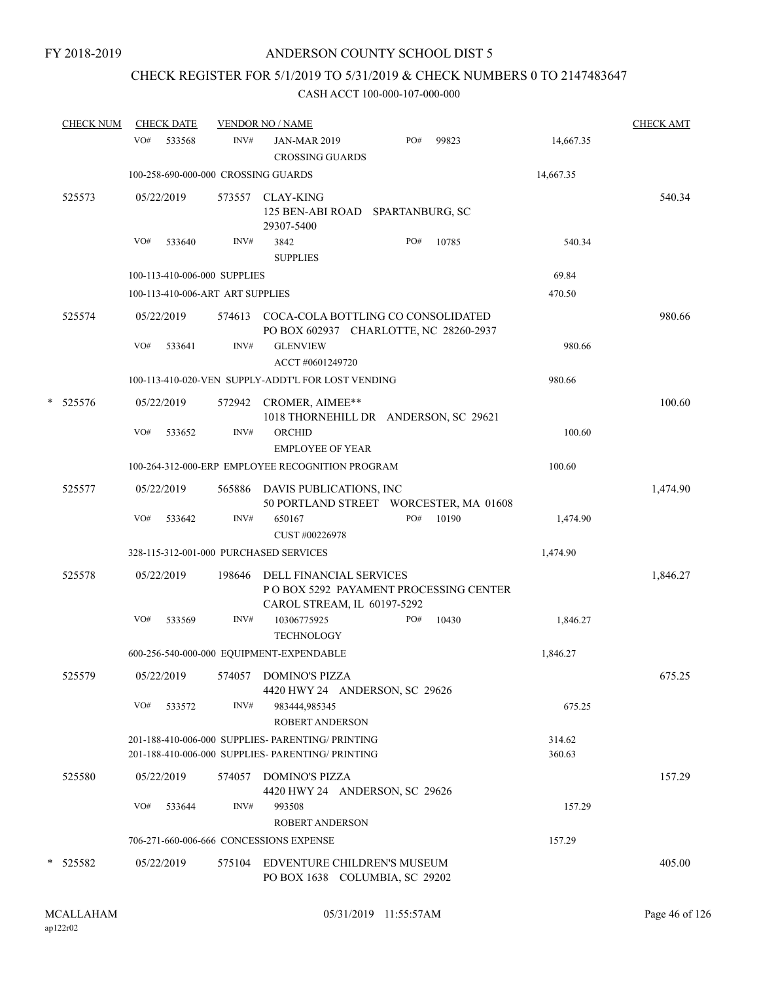# CHECK REGISTER FOR 5/1/2019 TO 5/31/2019 & CHECK NUMBERS 0 TO 2147483647

|   | <b>CHECK NUM</b> |     | <b>CHECK DATE</b> |                                  | <b>VENDOR NO / NAME</b>                                                                                |     |       |                  | <b>CHECK AMT</b> |
|---|------------------|-----|-------------------|----------------------------------|--------------------------------------------------------------------------------------------------------|-----|-------|------------------|------------------|
|   |                  | VO# | 533568            | INV#                             | <b>JAN-MAR 2019</b><br><b>CROSSING GUARDS</b>                                                          | PO# | 99823 | 14,667.35        |                  |
|   |                  |     |                   |                                  | 100-258-690-000-000 CROSSING GUARDS                                                                    |     |       | 14,667.35        |                  |
|   | 525573           |     | 05/22/2019        | 573557                           | CLAY-KING<br>125 BEN-ABI ROAD SPARTANBURG, SC<br>29307-5400                                            |     |       |                  | 540.34           |
|   |                  | VO# | 533640            | INV#                             | 3842<br><b>SUPPLIES</b>                                                                                | PO# | 10785 | 540.34           |                  |
|   |                  |     |                   | 100-113-410-006-000 SUPPLIES     |                                                                                                        |     |       | 69.84            |                  |
|   |                  |     |                   | 100-113-410-006-ART ART SUPPLIES |                                                                                                        |     |       | 470.50           |                  |
|   | 525574           |     | 05/22/2019        |                                  | 574613 COCA-COLA BOTTLING CO CONSOLIDATED<br>PO BOX 602937 CHARLOTTE, NC 28260-2937                    |     |       |                  | 980.66           |
|   |                  | VO# | 533641            | INV#                             | <b>GLENVIEW</b><br>ACCT #0601249720                                                                    |     |       | 980.66           |                  |
|   |                  |     |                   |                                  | 100-113-410-020-VEN SUPPLY-ADDT'L FOR LOST VENDING                                                     |     |       | 980.66           |                  |
| * | 525576           |     | 05/22/2019        |                                  | 572942 CROMER, AIMEE**<br>1018 THORNEHILL DR ANDERSON, SC 29621                                        |     |       |                  | 100.60           |
|   |                  | VO# | 533652            | INV#                             | ORCHID<br><b>EMPLOYEE OF YEAR</b>                                                                      |     |       | 100.60           |                  |
|   |                  |     |                   |                                  | 100-264-312-000-ERP EMPLOYEE RECOGNITION PROGRAM                                                       |     |       | 100.60           |                  |
|   | 525577           |     | 05/22/2019        |                                  | 565886 DAVIS PUBLICATIONS, INC<br>50 PORTLAND STREET WORCESTER, MA 01608                               |     |       |                  | 1,474.90         |
|   |                  | VO# | 533642            | INV#                             | 650167<br>CUST #00226978                                                                               | PO# | 10190 | 1,474.90         |                  |
|   |                  |     |                   |                                  | 328-115-312-001-000 PURCHASED SERVICES                                                                 |     |       | 1,474.90         |                  |
|   | 525578           |     | 05/22/2019        | 198646                           | DELL FINANCIAL SERVICES<br>PO BOX 5292 PAYAMENT PROCESSING CENTER<br>CAROL STREAM, IL 60197-5292       |     |       |                  | 1,846.27         |
|   |                  | VO# | 533569            | INV#                             | 10306775925<br><b>TECHNOLOGY</b>                                                                       | PO# | 10430 | 1,846.27         |                  |
|   |                  |     |                   |                                  | 600-256-540-000-000 EQUIPMENT-EXPENDABLE                                                               |     |       | 1,846.27         |                  |
|   | 525579           |     | 05/22/2019        |                                  | 574057 DOMINO'S PIZZA<br>4420 HWY 24 ANDERSON, SC 29626                                                |     |       |                  | 675.25           |
|   |                  | VO# | 533572            | INV#                             | 983444,985345<br><b>ROBERT ANDERSON</b>                                                                |     |       | 675.25           |                  |
|   |                  |     |                   |                                  | 201-188-410-006-000 SUPPLIES- PARENTING/ PRINTING<br>201-188-410-006-000 SUPPLIES- PARENTING/ PRINTING |     |       | 314.62<br>360.63 |                  |
|   | 525580           |     | 05/22/2019        | 574057                           | <b>DOMINO'S PIZZA</b><br>4420 HWY 24 ANDERSON, SC 29626                                                |     |       |                  | 157.29           |
|   |                  | VO# | 533644            | INV#                             | 993508<br><b>ROBERT ANDERSON</b>                                                                       |     |       | 157.29           |                  |
|   |                  |     |                   |                                  | 706-271-660-006-666 CONCESSIONS EXPENSE                                                                |     |       | 157.29           |                  |
|   | * 525582         |     | 05/22/2019        |                                  | 575104 EDVENTURE CHILDREN'S MUSEUM<br>PO BOX 1638 COLUMBIA, SC 29202                                   |     |       |                  | 405.00           |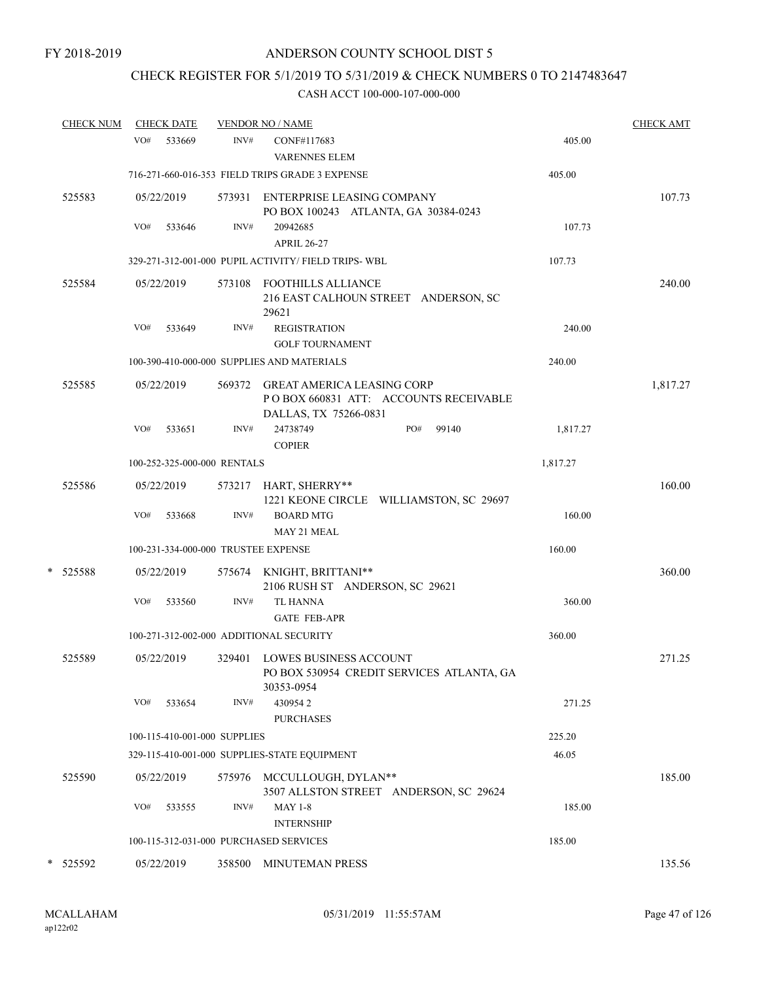# CHECK REGISTER FOR 5/1/2019 TO 5/31/2019 & CHECK NUMBERS 0 TO 2147483647

| <u>CHECK NUM</u> |     | <b>CHECK DATE</b> |                              | <b>VENDOR NO / NAME</b>                                                                              |          | CHECK AMT |
|------------------|-----|-------------------|------------------------------|------------------------------------------------------------------------------------------------------|----------|-----------|
|                  | VO# | 533669            | INV#                         | CONF#117683<br><b>VARENNES ELEM</b>                                                                  | 405.00   |           |
|                  |     |                   |                              | 716-271-660-016-353 FIELD TRIPS GRADE 3 EXPENSE                                                      | 405.00   |           |
| 525583           |     | 05/22/2019        |                              | 573931 ENTERPRISE LEASING COMPANY<br>PO BOX 100243 ATLANTA, GA 30384-0243                            |          | 107.73    |
|                  | VO# | 533646            | INV#                         | 20942685<br><b>APRIL 26-27</b>                                                                       | 107.73   |           |
|                  |     |                   |                              | 329-271-312-001-000 PUPIL ACTIVITY/ FIELD TRIPS- WBL                                                 | 107.73   |           |
| 525584           |     | 05/22/2019        |                              | 573108 FOOTHILLS ALLIANCE<br>216 EAST CALHOUN STREET ANDERSON, SC<br>29621                           |          | 240.00    |
|                  | VO# | 533649            | INV#                         | <b>REGISTRATION</b><br><b>GOLF TOURNAMENT</b>                                                        | 240.00   |           |
|                  |     |                   |                              | 100-390-410-000-000 SUPPLIES AND MATERIALS                                                           | 240.00   |           |
| 525585           |     | 05/22/2019        | 569372                       | <b>GREAT AMERICA LEASING CORP</b><br>PO BOX 660831 ATT: ACCOUNTS RECEIVABLE<br>DALLAS, TX 75266-0831 |          | 1,817.27  |
|                  | VO# | 533651            | INV#                         | 24738749<br>PO#<br>99140<br><b>COPIER</b>                                                            | 1,817.27 |           |
|                  |     |                   | 100-252-325-000-000 RENTALS  |                                                                                                      | 1,817.27 |           |
| 525586           |     | 05/22/2019        |                              | 573217 HART, SHERRY**<br>1221 KEONE CIRCLE WILLIAMSTON, SC 29697                                     |          | 160.00    |
|                  | VO# | 533668            | INV#                         | <b>BOARD MTG</b><br>MAY 21 MEAL                                                                      | 160.00   |           |
|                  |     |                   |                              | 100-231-334-000-000 TRUSTEE EXPENSE                                                                  | 160.00   |           |
| * 525588         |     | 05/22/2019        |                              | 575674 KNIGHT, BRITTANI**<br>2106 RUSH ST ANDERSON, SC 29621                                         |          | 360.00    |
|                  | VO# | 533560            | INV#                         | <b>TL HANNA</b><br><b>GATE FEB-APR</b>                                                               | 360.00   |           |
|                  |     |                   |                              | 100-271-312-002-000 ADDITIONAL SECURITY                                                              | 360.00   |           |
| 525589           |     | 05/22/2019        |                              | 329401 LOWES BUSINESS ACCOUNT<br>PO BOX 530954 CREDIT SERVICES ATLANTA, GA<br>30353-0954             |          | 271.25    |
|                  | VO# | 533654            | INV#                         | 4309542<br><b>PURCHASES</b>                                                                          | 271.25   |           |
|                  |     |                   | 100-115-410-001-000 SUPPLIES |                                                                                                      | 225.20   |           |
|                  |     |                   |                              | 329-115-410-001-000 SUPPLIES-STATE EQUIPMENT                                                         | 46.05    |           |
| 525590           |     | 05/22/2019        |                              | 575976 MCCULLOUGH, DYLAN**<br>3507 ALLSTON STREET ANDERSON, SC 29624                                 |          | 185.00    |
|                  | VO# | 533555            | INV#                         | <b>MAY 1-8</b><br><b>INTERNSHIP</b>                                                                  | 185.00   |           |
|                  |     |                   |                              | 100-115-312-031-000 PURCHASED SERVICES                                                               | 185.00   |           |
| * 525592         |     | 05/22/2019        |                              | 358500 MINUTEMAN PRESS                                                                               |          | 135.56    |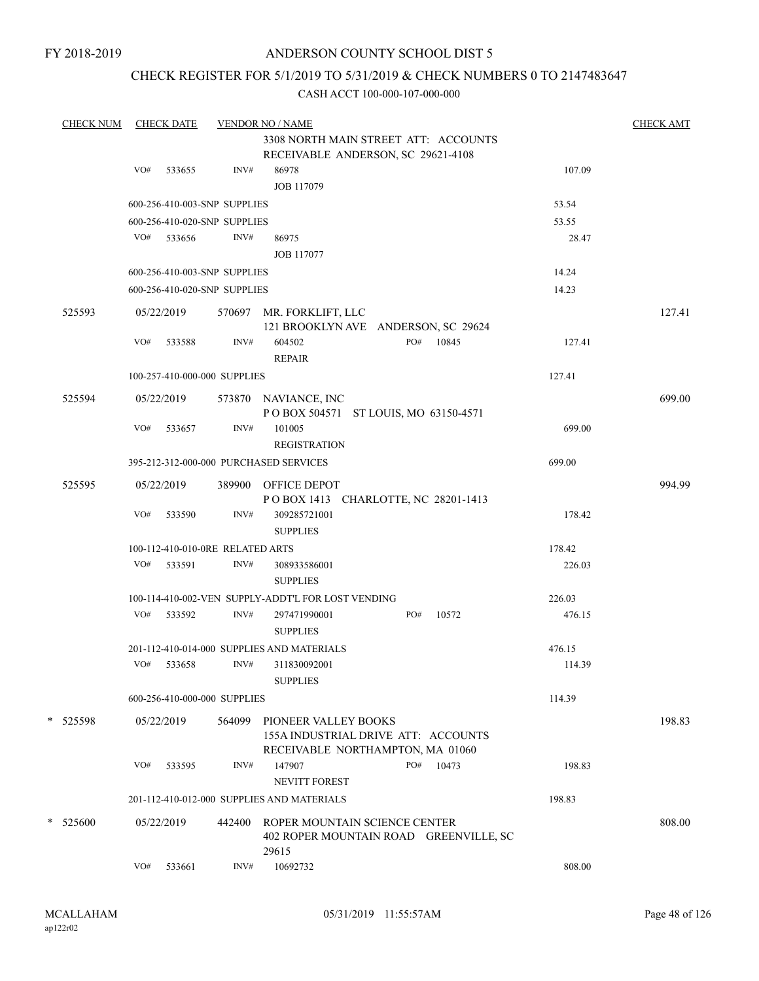FY 2018-2019

### ANDERSON COUNTY SCHOOL DIST 5

### CHECK REGISTER FOR 5/1/2019 TO 5/31/2019 & CHECK NUMBERS 0 TO 2147483647

| <b>CHECK NUM</b> |                      | <b>CHECK DATE</b> |                                  | <b>VENDOR NO / NAME</b>                                                 |              |        | <b>CHECK AMT</b> |
|------------------|----------------------|-------------------|----------------------------------|-------------------------------------------------------------------------|--------------|--------|------------------|
|                  |                      |                   |                                  | 3308 NORTH MAIN STREET ATT: ACCOUNTS                                    |              |        |                  |
|                  |                      |                   |                                  | RECEIVABLE ANDERSON, SC 29621-4108                                      |              |        |                  |
|                  | VO#                  | 533655            | INV#                             | 86978                                                                   |              | 107.09 |                  |
|                  |                      |                   |                                  | JOB 117079                                                              |              |        |                  |
|                  |                      |                   | 600-256-410-003-SNP SUPPLIES     |                                                                         |              | 53.54  |                  |
|                  |                      |                   | 600-256-410-020-SNP SUPPLIES     |                                                                         |              | 53.55  |                  |
|                  | VO#                  | 533656            | INV#                             | 86975                                                                   |              | 28.47  |                  |
|                  |                      |                   |                                  | <b>JOB 117077</b>                                                       |              |        |                  |
|                  |                      |                   | 600-256-410-003-SNP SUPPLIES     |                                                                         |              | 14.24  |                  |
|                  |                      |                   | 600-256-410-020-SNP SUPPLIES     |                                                                         |              | 14.23  |                  |
|                  |                      |                   |                                  |                                                                         |              |        |                  |
| 525593           |                      | 05/22/2019        |                                  | 570697 MR. FORKLIFT, LLC                                                |              |        | 127.41           |
|                  | VO#                  | 533588            | INV#                             | 121 BROOKLYN AVE ANDERSON, SC 29624<br>604502                           | PO#<br>10845 | 127.41 |                  |
|                  |                      |                   |                                  | <b>REPAIR</b>                                                           |              |        |                  |
|                  |                      |                   | 100-257-410-000-000 SUPPLIES     |                                                                         |              |        |                  |
|                  |                      |                   |                                  |                                                                         |              | 127.41 |                  |
| 525594           |                      | 05/22/2019        |                                  | 573870 NAVIANCE, INC                                                    |              |        | 699.00           |
|                  |                      |                   |                                  | POBOX 504571 ST LOUIS, MO 63150-4571                                    |              |        |                  |
|                  | VO#                  | 533657            | INV#                             | 101005                                                                  |              | 699.00 |                  |
|                  |                      |                   |                                  | <b>REGISTRATION</b>                                                     |              |        |                  |
|                  |                      |                   |                                  | 395-212-312-000-000 PURCHASED SERVICES                                  |              | 699.00 |                  |
| 525595           |                      | 05/22/2019        |                                  | 389900 OFFICE DEPOT                                                     |              |        | 994.99           |
|                  |                      |                   |                                  | POBOX 1413 CHARLOTTE, NC 28201-1413                                     |              |        |                  |
|                  | VO#                  | 533590            | INV#                             | 309285721001                                                            |              | 178.42 |                  |
|                  |                      |                   |                                  | <b>SUPPLIES</b>                                                         |              |        |                  |
|                  |                      |                   | 100-112-410-010-0RE RELATED ARTS |                                                                         |              | 178.42 |                  |
|                  | VO#                  | 533591            | INV#                             | 308933586001                                                            |              | 226.03 |                  |
|                  |                      |                   |                                  | <b>SUPPLIES</b>                                                         |              |        |                  |
|                  |                      |                   |                                  | 100-114-410-002-VEN SUPPLY-ADDT'L FOR LOST VENDING                      |              | 226.03 |                  |
|                  |                      | VO# 533592        | INV#                             | 297471990001                                                            | PO#<br>10572 | 476.15 |                  |
|                  |                      |                   |                                  | <b>SUPPLIES</b>                                                         |              |        |                  |
|                  |                      |                   |                                  | 201-112-410-014-000 SUPPLIES AND MATERIALS                              |              | 476.15 |                  |
|                  | VO#                  | 533658            | INV#                             | 311830092001                                                            |              | 114.39 |                  |
|                  |                      |                   |                                  | <b>SUPPLIES</b>                                                         |              |        |                  |
|                  |                      |                   | 600-256-410-000-000 SUPPLIES     |                                                                         |              | 114.39 |                  |
| * 525598         |                      | 05/22/2019        | 564099                           | PIONEER VALLEY BOOKS                                                    |              |        | 198.83           |
|                  |                      |                   |                                  | 155A INDUSTRIAL DRIVE ATT: ACCOUNTS                                     |              |        |                  |
|                  |                      |                   |                                  | RECEIVABLE NORTHAMPTON, MA 01060                                        |              |        |                  |
|                  | VO#                  | 533595            | INV#                             | 147907                                                                  | PO#<br>10473 | 198.83 |                  |
|                  |                      |                   |                                  | <b>NEVITT FOREST</b>                                                    |              |        |                  |
|                  |                      |                   |                                  | 201-112-410-012-000 SUPPLIES AND MATERIALS                              |              | 198.83 |                  |
|                  |                      |                   |                                  |                                                                         |              |        |                  |
| $*$ 525600       | 05/22/2019<br>442400 |                   |                                  | ROPER MOUNTAIN SCIENCE CENTER<br>402 ROPER MOUNTAIN ROAD GREENVILLE, SC | 808.00       |        |                  |
|                  |                      |                   |                                  | 29615                                                                   |              |        |                  |
|                  | VO#                  | 533661            | INV#                             | 10692732                                                                |              | 808.00 |                  |
|                  |                      |                   |                                  |                                                                         |              |        |                  |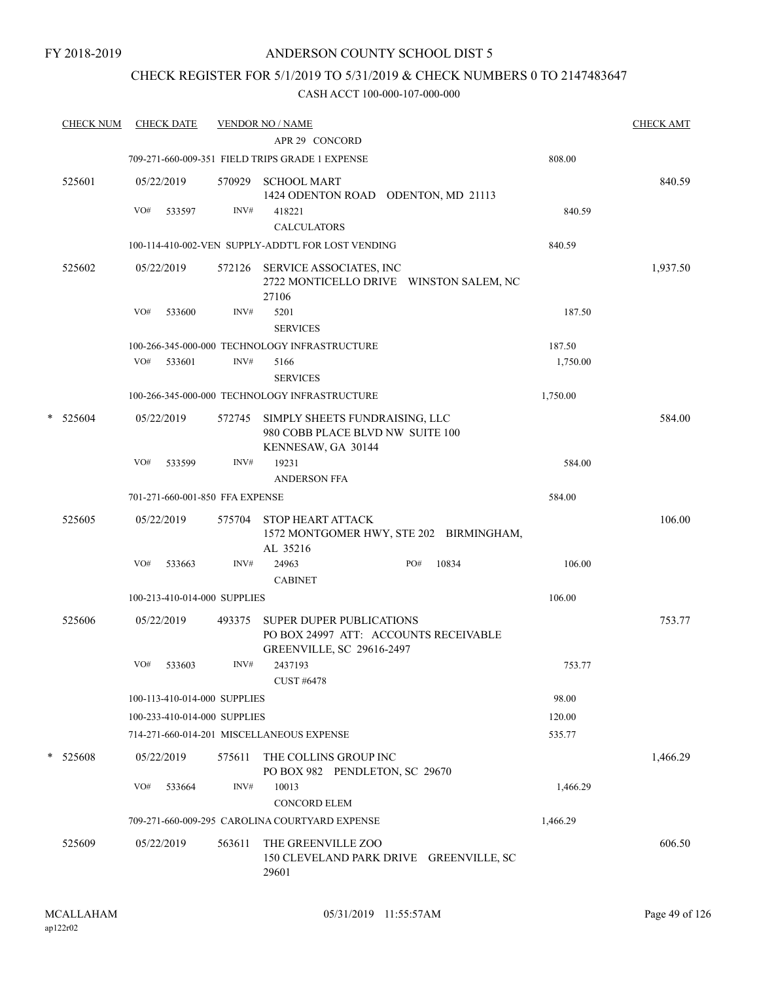### CHECK REGISTER FOR 5/1/2019 TO 5/31/2019 & CHECK NUMBERS 0 TO 2147483647

| <b>CHECK NUM</b> | <b>CHECK DATE</b>               | <b>VENDOR NO / NAME</b><br>APR 29 CONCORD                                |                                                                                          |                                         |          | <b>CHECK AMT</b> |
|------------------|---------------------------------|--------------------------------------------------------------------------|------------------------------------------------------------------------------------------|-----------------------------------------|----------|------------------|
|                  |                                 | 709-271-660-009-351 FIELD TRIPS GRADE 1 EXPENSE                          |                                                                                          |                                         | 808.00   |                  |
| 525601           | 05/22/2019                      | 570929<br><b>SCHOOL MART</b>                                             |                                                                                          |                                         |          | 840.59           |
|                  | VO#<br>533597                   | INV#<br>418221                                                           |                                                                                          | 1424 ODENTON ROAD ODENTON, MD 21113     | 840.59   |                  |
|                  |                                 | <b>CALCULATORS</b><br>100-114-410-002-VEN SUPPLY-ADDT'L FOR LOST VENDING |                                                                                          |                                         | 840.59   |                  |
|                  |                                 |                                                                          |                                                                                          |                                         |          |                  |
| 525602           | 05/22/2019                      | 572126<br>27106                                                          | SERVICE ASSOCIATES, INC                                                                  | 2722 MONTICELLO DRIVE WINSTON SALEM, NC |          | 1,937.50         |
|                  | VO#<br>533600                   | INV#<br>5201<br><b>SERVICES</b>                                          |                                                                                          |                                         | 187.50   |                  |
|                  |                                 | 100-266-345-000-000 TECHNOLOGY INFRASTRUCTURE                            |                                                                                          |                                         | 187.50   |                  |
|                  | VO#<br>533601                   | INV#<br>5166<br><b>SERVICES</b>                                          |                                                                                          |                                         | 1,750.00 |                  |
|                  |                                 | 100-266-345-000-000 TECHNOLOGY INFRASTRUCTURE                            |                                                                                          |                                         | 1,750.00 |                  |
| *<br>525604      | 05/22/2019                      | 572745                                                                   | SIMPLY SHEETS FUNDRAISING, LLC<br>980 COBB PLACE BLVD NW SUITE 100<br>KENNESAW, GA 30144 |                                         |          | 584.00           |
|                  | VO#<br>533599                   | INV#<br>19231<br><b>ANDERSON FFA</b>                                     |                                                                                          |                                         | 584.00   |                  |
|                  | 701-271-660-001-850 FFA EXPENSE |                                                                          |                                                                                          |                                         | 584.00   |                  |
| 525605           | 05/22/2019                      | STOP HEART ATTACK<br>575704<br>AL 35216                                  |                                                                                          | 1572 MONTGOMER HWY, STE 202 BIRMINGHAM, |          | 106.00           |
|                  | VO#<br>533663                   | INV#<br>24963<br><b>CABINET</b>                                          |                                                                                          | PO#<br>10834                            | 106.00   |                  |
|                  | 100-213-410-014-000 SUPPLIES    |                                                                          |                                                                                          |                                         | 106.00   |                  |
| 525606           | 05/22/2019                      | 493375                                                                   | <b>SUPER DUPER PUBLICATIONS</b><br><b>GREENVILLE, SC 29616-2497</b>                      | PO BOX 24997 ATT: ACCOUNTS RECEIVABLE   |          | 753.77           |
|                  | VO#<br>533603                   | INV#<br>2437193<br><b>CUST #6478</b>                                     |                                                                                          |                                         | 753.77   |                  |
|                  | 100-113-410-014-000 SUPPLIES    |                                                                          |                                                                                          |                                         | 98.00    |                  |
|                  | 100-233-410-014-000 SUPPLIES    |                                                                          |                                                                                          |                                         | 120.00   |                  |
|                  |                                 | 714-271-660-014-201 MISCELLANEOUS EXPENSE                                |                                                                                          |                                         | 535.77   |                  |
| * 525608         | 05/22/2019                      | 575611                                                                   | THE COLLINS GROUP INC<br>PO BOX 982 PENDLETON, SC 29670                                  |                                         |          | 1,466.29         |
|                  | VO#<br>533664                   | INV#<br>10013<br><b>CONCORD ELEM</b>                                     |                                                                                          |                                         | 1,466.29 |                  |
|                  |                                 | 709-271-660-009-295 CAROLINA COURTYARD EXPENSE                           |                                                                                          |                                         | 1,466.29 |                  |
| 525609           | 05/22/2019                      | 563611<br>29601                                                          | THE GREENVILLE ZOO                                                                       | 150 CLEVELAND PARK DRIVE GREENVILLE, SC |          | 606.50           |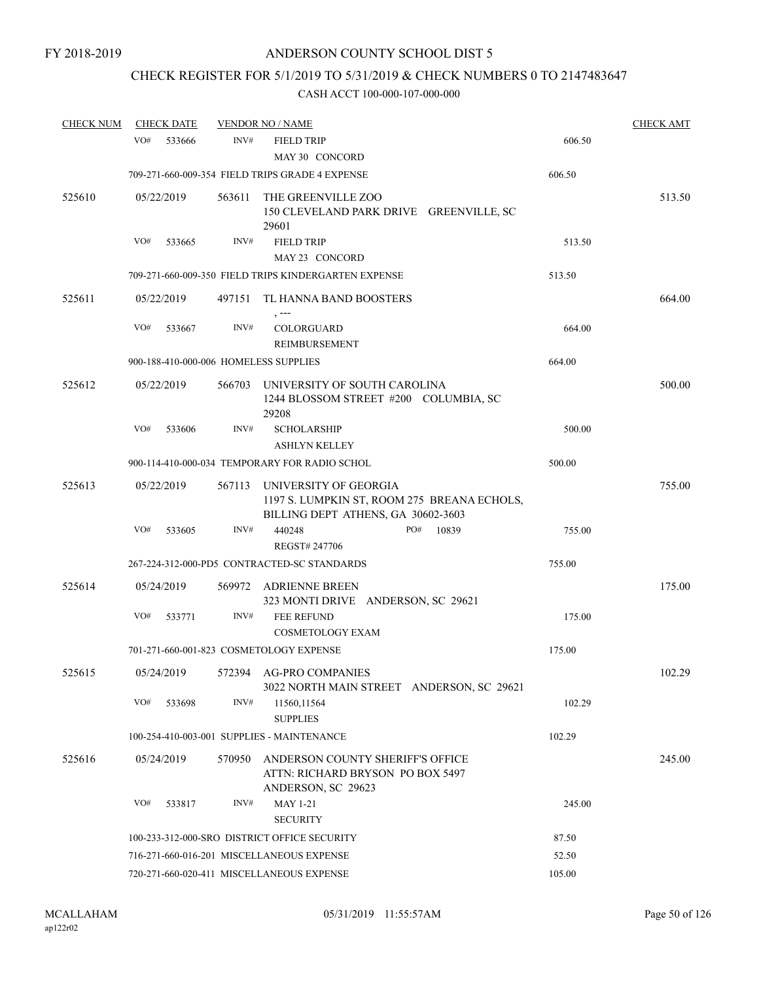# CHECK REGISTER FOR 5/1/2019 TO 5/31/2019 & CHECK NUMBERS 0 TO 2147483647

| <b>CHECK NUM</b> | <b>CHECK DATE</b>                     |        | <b>VENDOR NO / NAME</b>                                                                                    |        | <b>CHECK AMT</b> |
|------------------|---------------------------------------|--------|------------------------------------------------------------------------------------------------------------|--------|------------------|
|                  | VO#<br>533666                         | INV#   | <b>FIELD TRIP</b><br>MAY 30 CONCORD                                                                        | 606.50 |                  |
|                  |                                       |        | 709-271-660-009-354 FIELD TRIPS GRADE 4 EXPENSE                                                            | 606.50 |                  |
| 525610           | 05/22/2019                            | 563611 | THE GREENVILLE ZOO<br>150 CLEVELAND PARK DRIVE GREENVILLE, SC<br>29601                                     |        | 513.50           |
|                  | VO#<br>533665                         | INV#   | <b>FIELD TRIP</b>                                                                                          | 513.50 |                  |
|                  |                                       |        | MAY 23 CONCORD                                                                                             |        |                  |
|                  |                                       |        | 709-271-660-009-350 FIELD TRIPS KINDERGARTEN EXPENSE                                                       | 513.50 |                  |
| 525611           | 05/22/2019                            |        | 497151 TL HANNA BAND BOOSTERS                                                                              |        | 664.00           |
|                  | VO#<br>533667                         | INV#   | COLORGUARD<br>REIMBURSEMENT                                                                                | 664.00 |                  |
|                  | 900-188-410-000-006 HOMELESS SUPPLIES |        |                                                                                                            | 664.00 |                  |
| 525612           | 05/22/2019                            | 566703 | UNIVERSITY OF SOUTH CAROLINA<br>1244 BLOSSOM STREET #200 COLUMBIA, SC<br>29208                             |        | 500.00           |
|                  | VO#<br>533606                         | INV#   | <b>SCHOLARSHIP</b>                                                                                         | 500.00 |                  |
|                  |                                       |        | <b>ASHLYN KELLEY</b>                                                                                       |        |                  |
|                  |                                       |        | 900-114-410-000-034 TEMPORARY FOR RADIO SCHOL                                                              | 500.00 |                  |
| 525613           | 05/22/2019                            | 567113 | UNIVERSITY OF GEORGIA<br>1197 S. LUMPKIN ST, ROOM 275 BREANA ECHOLS,<br>BILLING DEPT ATHENS, GA 30602-3603 |        | 755.00           |
|                  | VO#<br>533605                         | INV#   | PO#<br>10839<br>440248                                                                                     | 755.00 |                  |
|                  |                                       |        | REGST# 247706                                                                                              |        |                  |
|                  |                                       |        | 267-224-312-000-PD5 CONTRACTED-SC STANDARDS                                                                | 755.00 |                  |
| 525614           | 05/24/2019                            |        | 569972 ADRIENNE BREEN<br>323 MONTI DRIVE ANDERSON, SC 29621                                                |        | 175.00           |
|                  | VO#<br>533771                         | INV#   | <b>FEE REFUND</b><br><b>COSMETOLOGY EXAM</b>                                                               | 175.00 |                  |
|                  |                                       |        | 701-271-660-001-823 COSMETOLOGY EXPENSE                                                                    | 175.00 |                  |
| 525615           |                                       |        | 05/24/2019 572394 AG-PRO COMPANIES<br>3022 NORTH MAIN STREET ANDERSON, SC 29621                            |        | 102.29           |
|                  | VO#<br>533698                         | INV#   | 11560,11564<br><b>SUPPLIES</b>                                                                             | 102.29 |                  |
|                  |                                       |        | 100-254-410-003-001 SUPPLIES - MAINTENANCE                                                                 | 102.29 |                  |
| 525616           | 05/24/2019                            | 570950 | ANDERSON COUNTY SHERIFF'S OFFICE<br>ATTN: RICHARD BRYSON PO BOX 5497<br>ANDERSON, SC 29623                 |        | 245.00           |
|                  | VO#<br>533817                         | INV#   | <b>MAY 1-21</b>                                                                                            | 245.00 |                  |
|                  |                                       |        | <b>SECURITY</b>                                                                                            |        |                  |
|                  |                                       |        | 100-233-312-000-SRO DISTRICT OFFICE SECURITY                                                               | 87.50  |                  |
|                  |                                       |        | 716-271-660-016-201 MISCELLANEOUS EXPENSE                                                                  | 52.50  |                  |
|                  |                                       |        | 720-271-660-020-411 MISCELLANEOUS EXPENSE                                                                  | 105.00 |                  |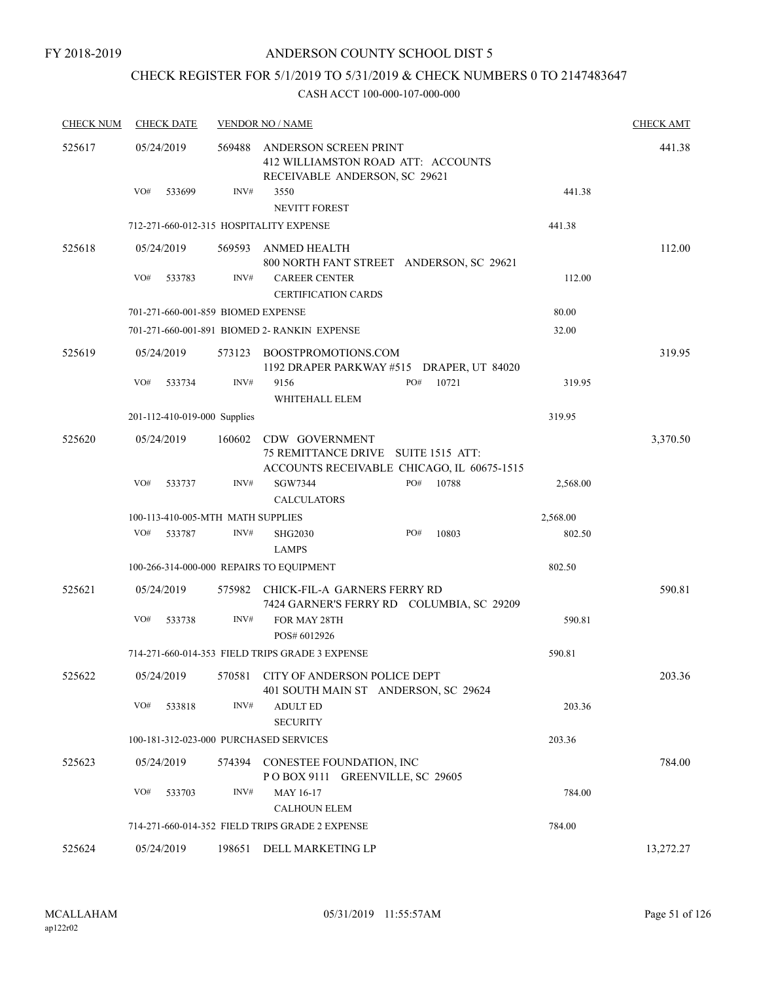# CHECK REGISTER FOR 5/1/2019 TO 5/31/2019 & CHECK NUMBERS 0 TO 2147483647

| <b>CHECK NUM</b> | <b>CHECK DATE</b>                        |        | <b>VENDOR NO / NAME</b>                                                                             |       |          | <b>CHECK AMT</b> |
|------------------|------------------------------------------|--------|-----------------------------------------------------------------------------------------------------|-------|----------|------------------|
| 525617           | 05/24/2019                               | 569488 | ANDERSON SCREEN PRINT<br>412 WILLIAMSTON ROAD ATT: ACCOUNTS<br>RECEIVABLE ANDERSON, SC 29621        |       |          | 441.38           |
|                  | VO#<br>533699                            | INV#   | 3550<br>NEVITT FOREST                                                                               |       | 441.38   |                  |
|                  | 712-271-660-012-315 HOSPITALITY EXPENSE  |        |                                                                                                     |       | 441.38   |                  |
| 525618           | 05/24/2019                               |        | 569593 ANMED HEALTH<br>800 NORTH FANT STREET ANDERSON, SC 29621                                     |       |          | 112.00           |
|                  | VO#<br>533783                            | INV#   | <b>CAREER CENTER</b><br><b>CERTIFICATION CARDS</b>                                                  |       | 112.00   |                  |
|                  | 701-271-660-001-859 BIOMED EXPENSE       |        |                                                                                                     |       | 80.00    |                  |
|                  |                                          |        | 701-271-660-001-891 BIOMED 2- RANKIN EXPENSE                                                        |       | 32.00    |                  |
| 525619           | 05/24/2019                               |        | 573123 BOOSTPROMOTIONS.COM<br>1192 DRAPER PARKWAY #515 DRAPER, UT 84020                             |       |          | 319.95           |
|                  | VO#<br>533734                            | INV#   | PO#<br>9156<br>WHITEHALL ELEM                                                                       | 10721 | 319.95   |                  |
|                  | 201-112-410-019-000 Supplies             |        |                                                                                                     |       | 319.95   |                  |
| 525620           | 05/24/2019                               | 160602 | CDW GOVERNMENT<br>75 REMITTANCE DRIVE SUITE 1515 ATT:<br>ACCOUNTS RECEIVABLE CHICAGO, IL 60675-1515 |       |          | 3,370.50         |
|                  | VO#<br>533737                            | INV#   | SGW7344<br>PO#<br><b>CALCULATORS</b>                                                                | 10788 | 2,568.00 |                  |
|                  | 100-113-410-005-MTH MATH SUPPLIES        |        |                                                                                                     |       | 2,568.00 |                  |
|                  | VO#<br>533787                            | INV#   | PO#<br><b>SHG2030</b><br><b>LAMPS</b>                                                               | 10803 | 802.50   |                  |
|                  | 100-266-314-000-000 REPAIRS TO EQUIPMENT |        |                                                                                                     |       | 802.50   |                  |
| 525621           | 05/24/2019                               |        | 575982 CHICK-FIL-A GARNERS FERRY RD<br>7424 GARNER'S FERRY RD COLUMBIA, SC 29209                    |       |          | 590.81           |
|                  | VO#<br>533738                            | INV#   | FOR MAY 28TH<br>POS# 6012926                                                                        |       | 590.81   |                  |
|                  |                                          |        | 714-271-660-014-353 FIELD TRIPS GRADE 3 EXPENSE                                                     |       | 590.81   |                  |
| 525622           |                                          |        | 05/24/2019 570581 CITY OF ANDERSON POLICE DEPT<br>401 SOUTH MAIN ST ANDERSON, SC 29624              |       |          | 203.36           |
|                  | VO#<br>533818                            | INV#   | <b>ADULT ED</b><br><b>SECURITY</b>                                                                  |       | 203.36   |                  |
|                  | 100-181-312-023-000 PURCHASED SERVICES   |        |                                                                                                     |       | 203.36   |                  |
| 525623           | 05/24/2019                               | 574394 | CONESTEE FOUNDATION, INC<br>POBOX 9111 GREENVILLE, SC 29605                                         |       |          | 784.00           |
|                  | VO#<br>533703                            | INV#   | MAY 16-17<br><b>CALHOUN ELEM</b>                                                                    |       | 784.00   |                  |
|                  |                                          |        | 714-271-660-014-352 FIELD TRIPS GRADE 2 EXPENSE                                                     |       | 784.00   |                  |
| 525624           | 05/24/2019                               |        | 198651 DELL MARKETING LP                                                                            |       |          | 13,272.27        |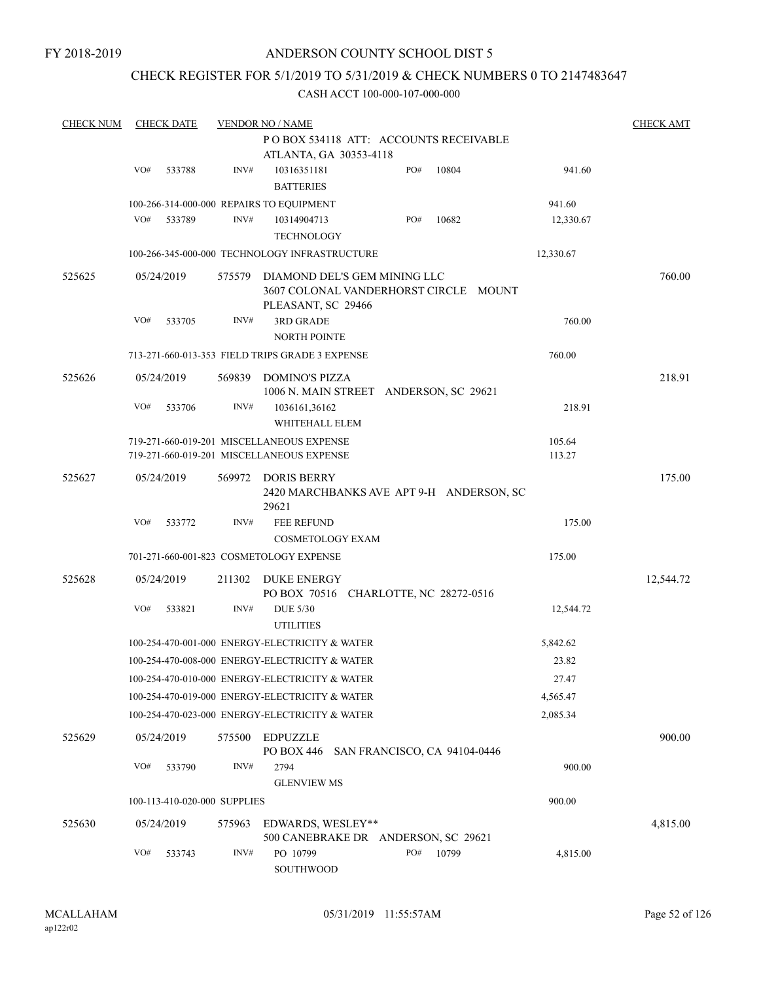### CHECK REGISTER FOR 5/1/2019 TO 5/31/2019 & CHECK NUMBERS 0 TO 2147483647

| <b>CHECK NUM</b> |     | <b>CHECK DATE</b>            |        | <b>VENDOR NO / NAME</b>                                                                     |     |       |           | <b>CHECK AMT</b> |
|------------------|-----|------------------------------|--------|---------------------------------------------------------------------------------------------|-----|-------|-----------|------------------|
|                  |     |                              |        | PO BOX 534118 ATT: ACCOUNTS RECEIVABLE                                                      |     |       |           |                  |
|                  |     |                              |        | ATLANTA, GA 30353-4118                                                                      |     |       |           |                  |
|                  | VO# | 533788                       | INV#   | 10316351181<br><b>BATTERIES</b>                                                             | PO# | 10804 | 941.60    |                  |
|                  |     |                              |        | 100-266-314-000-000 REPAIRS TO EQUIPMENT                                                    |     |       | 941.60    |                  |
|                  | VO# | 533789                       | INV#   | 10314904713                                                                                 | PO# | 10682 | 12,330.67 |                  |
|                  |     |                              |        | <b>TECHNOLOGY</b>                                                                           |     |       |           |                  |
|                  |     |                              |        | 100-266-345-000-000 TECHNOLOGY INFRASTRUCTURE                                               |     |       | 12,330.67 |                  |
| 525625           |     | 05/24/2019                   | 575579 | DIAMOND DEL'S GEM MINING LLC<br>3607 COLONAL VANDERHORST CIRCLE MOUNT<br>PLEASANT, SC 29466 |     |       |           | 760.00           |
|                  | VO# | 533705                       | INV#   | <b>3RD GRADE</b><br><b>NORTH POINTE</b>                                                     |     |       | 760.00    |                  |
|                  |     |                              |        | 713-271-660-013-353 FIELD TRIPS GRADE 3 EXPENSE                                             |     |       | 760.00    |                  |
| 525626           |     | 05/24/2019                   | 569839 | DOMINO'S PIZZA<br>1006 N. MAIN STREET ANDERSON, SC 29621                                    |     |       |           | 218.91           |
|                  | VO# | 533706                       | INV#   | 1036161,36162<br>WHITEHALL ELEM                                                             |     |       | 218.91    |                  |
|                  |     |                              |        | 719-271-660-019-201 MISCELLANEOUS EXPENSE                                                   |     |       | 105.64    |                  |
|                  |     |                              |        | 719-271-660-019-201 MISCELLANEOUS EXPENSE                                                   |     |       | 113.27    |                  |
| 525627           |     | 05/24/2019                   | 569972 | DORIS BERRY<br>2420 MARCHBANKS AVE APT 9-H ANDERSON, SC<br>29621                            |     |       |           | 175.00           |
|                  | VO# | 533772                       | INV#   | FEE REFUND<br><b>COSMETOLOGY EXAM</b>                                                       |     |       | 175.00    |                  |
|                  |     |                              |        | 701-271-660-001-823 COSMETOLOGY EXPENSE                                                     |     |       | 175.00    |                  |
| 525628           |     | 05/24/2019                   | 211302 | DUKE ENERGY                                                                                 |     |       |           | 12,544.72        |
|                  | VO# | 533821                       | INV#   | PO BOX 70516 CHARLOTTE, NC 28272-0516<br><b>DUE 5/30</b>                                    |     |       | 12,544.72 |                  |
|                  |     |                              |        | <b>UTILITIES</b>                                                                            |     |       |           |                  |
|                  |     |                              |        | 100-254-470-001-000 ENERGY-ELECTRICITY & WATER                                              |     |       | 5,842.62  |                  |
|                  |     |                              |        | 100-254-470-008-000 ENERGY-ELECTRICITY & WATER                                              |     |       | 23.82     |                  |
|                  |     |                              |        | 100-254-470-010-000 ENERGY-ELECTRICITY & WATER                                              |     |       | 27.47     |                  |
|                  |     |                              |        | 100-254-470-019-000 ENERGY-ELECTRICITY & WATER                                              |     |       | 4,565.47  |                  |
|                  |     |                              |        | 100-254-470-023-000 ENERGY-ELECTRICITY & WATER                                              |     |       | 2,085.34  |                  |
| 525629           |     | 05/24/2019                   | 575500 | <b>EDPUZZLE</b><br>PO BOX 446 SAN FRANCISCO, CA 94104-0446                                  |     |       |           | 900.00           |
|                  | VO# | 533790                       | INV#   | 2794                                                                                        |     |       | 900.00    |                  |
|                  |     | 100-113-410-020-000 SUPPLIES |        | <b>GLENVIEW MS</b>                                                                          |     |       | 900.00    |                  |
|                  |     |                              |        |                                                                                             |     |       |           |                  |
| 525630           |     | 05/24/2019                   | 575963 | EDWARDS, WESLEY**<br>500 CANEBRAKE DR ANDERSON, SC 29621                                    |     |       |           | 4,815.00         |
|                  | VO# | 533743                       | INV#   | PO 10799<br>SOUTHWOOD                                                                       | PO# | 10799 | 4,815.00  |                  |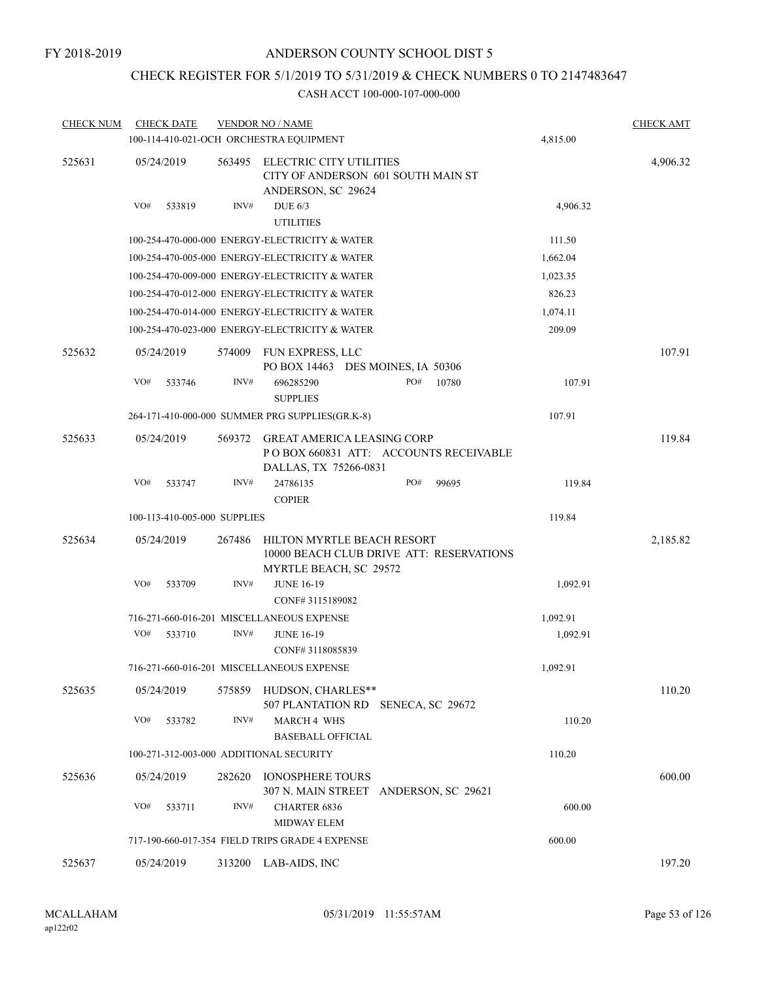# CHECK REGISTER FOR 5/1/2019 TO 5/31/2019 & CHECK NUMBERS 0 TO 2147483647

| <b>CHECK NUM</b> | <b>CHECK DATE</b>                       |        | <b>VENDOR NO / NAME</b><br>100-114-410-021-OCH ORCHESTRA EQUIPMENT                                  |     |       | 4,815.00 | <b>CHECK AMT</b> |
|------------------|-----------------------------------------|--------|-----------------------------------------------------------------------------------------------------|-----|-------|----------|------------------|
| 525631           | 05/24/2019                              | 563495 | <b>ELECTRIC CITY UTILITIES</b>                                                                      |     |       |          | 4,906.32         |
|                  |                                         |        | CITY OF ANDERSON 601 SOUTH MAIN ST<br>ANDERSON, SC 29624                                            |     |       |          |                  |
|                  | VO#<br>533819                           | INV#   | DUE $6/3$<br><b>UTILITIES</b>                                                                       |     |       | 4,906.32 |                  |
|                  |                                         |        | 100-254-470-000-000 ENERGY-ELECTRICITY & WATER                                                      |     |       | 111.50   |                  |
|                  |                                         |        | 100-254-470-005-000 ENERGY-ELECTRICITY & WATER                                                      |     |       | 1,662.04 |                  |
|                  |                                         |        | 100-254-470-009-000 ENERGY-ELECTRICITY & WATER                                                      |     |       | 1,023.35 |                  |
|                  |                                         |        | 100-254-470-012-000 ENERGY-ELECTRICITY & WATER                                                      |     |       | 826.23   |                  |
|                  |                                         |        | 100-254-470-014-000 ENERGY-ELECTRICITY & WATER                                                      |     |       | 1,074.11 |                  |
|                  |                                         |        | 100-254-470-023-000 ENERGY-ELECTRICITY & WATER                                                      |     |       | 209.09   |                  |
| 525632           | 05/24/2019                              | 574009 | FUN EXPRESS, LLC<br>PO BOX 14463 DES MOINES, IA 50306                                               |     |       |          | 107.91           |
|                  | VO#<br>533746                           | INV#   | 696285290<br><b>SUPPLIES</b>                                                                        | PO# | 10780 | 107.91   |                  |
|                  |                                         |        | 264-171-410-000-000 SUMMER PRG SUPPLIES(GR.K-8)                                                     |     |       | 107.91   |                  |
| 525633           | 05/24/2019                              | 569372 | <b>GREAT AMERICA LEASING CORP</b><br>POBOX 660831 ATT: ACCOUNTS RECEIVABLE<br>DALLAS, TX 75266-0831 |     |       |          | 119.84           |
|                  | VO#<br>533747                           | INV#   | 24786135<br><b>COPIER</b>                                                                           | PO# | 99695 | 119.84   |                  |
|                  | 100-113-410-005-000 SUPPLIES            |        |                                                                                                     |     |       | 119.84   |                  |
| 525634           | 05/24/2019                              | 267486 | HILTON MYRTLE BEACH RESORT<br>10000 BEACH CLUB DRIVE ATT: RESERVATIONS<br>MYRTLE BEACH, SC 29572    |     |       |          | 2,185.82         |
|                  | VO#<br>533709                           | INV#   | <b>JUNE 16-19</b><br>CONF#3115189082                                                                |     |       | 1,092.91 |                  |
|                  |                                         |        | 716-271-660-016-201 MISCELLANEOUS EXPENSE                                                           |     |       | 1,092.91 |                  |
|                  | VO#<br>533710                           | INV#   | <b>JUNE 16-19</b><br>CONF#3118085839                                                                |     |       | 1,092.91 |                  |
|                  |                                         |        | 716-271-660-016-201 MISCELLANEOUS EXPENSE                                                           |     |       | 1,092.91 |                  |
| 525635           | 05/24/2019                              |        | 575859 HUDSON, CHARLES**<br>507 PLANTATION RD SENECA, SC 29672                                      |     |       |          | 110.20           |
|                  | VO#<br>533782                           | INV#   | <b>MARCH 4 WHS</b><br><b>BASEBALL OFFICIAL</b>                                                      |     |       | 110.20   |                  |
|                  | 100-271-312-003-000 ADDITIONAL SECURITY |        |                                                                                                     |     |       | 110.20   |                  |
| 525636           | 05/24/2019                              | 282620 | <b>IONOSPHERE TOURS</b><br>307 N. MAIN STREET ANDERSON, SC 29621                                    |     |       |          | 600.00           |
|                  | VO#<br>533711                           | INV#   | <b>CHARTER 6836</b><br><b>MIDWAY ELEM</b>                                                           |     |       | 600.00   |                  |
|                  |                                         |        | 717-190-660-017-354 FIELD TRIPS GRADE 4 EXPENSE                                                     |     |       | 600.00   |                  |
| 525637           | 05/24/2019                              |        | 313200 LAB-AIDS, INC                                                                                |     |       |          | 197.20           |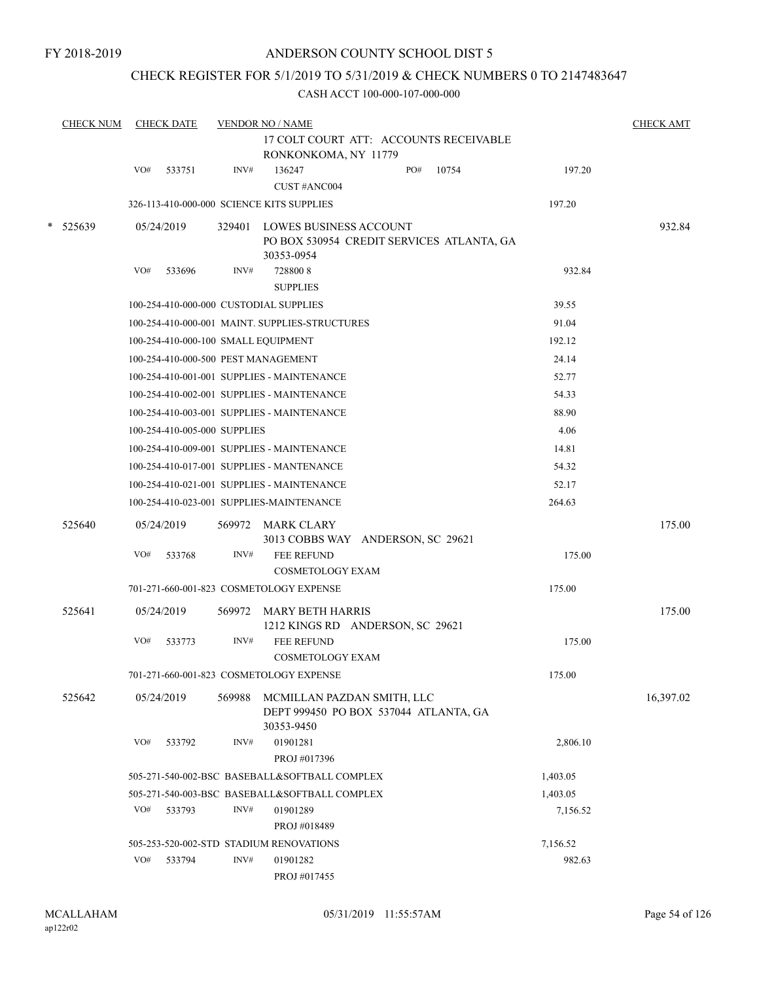FY 2018-2019

#### ANDERSON COUNTY SCHOOL DIST 5

### CHECK REGISTER FOR 5/1/2019 TO 5/31/2019 & CHECK NUMBERS 0 TO 2147483647

| <b>CHECK NUM</b> |     | <b>CHECK DATE</b>            |        | <b>VENDOR NO / NAME</b><br>17 COLT COURT ATT: ACCOUNTS RECEIVABLE<br>RONKONKOMA, NY 11779 |              |          | <b>CHECK AMT</b> |
|------------------|-----|------------------------------|--------|-------------------------------------------------------------------------------------------|--------------|----------|------------------|
|                  | VO# | 533751                       | INV#   | 136247                                                                                    | PO#<br>10754 | 197.20   |                  |
|                  |     |                              |        | CUST #ANC004                                                                              |              |          |                  |
|                  |     |                              |        | 326-113-410-000-000 SCIENCE KITS SUPPLIES                                                 |              | 197.20   |                  |
| * 525639         |     | 05/24/2019                   | 329401 | <b>LOWES BUSINESS ACCOUNT</b><br>PO BOX 530954 CREDIT SERVICES ATLANTA, GA<br>30353-0954  |              |          | 932.84           |
|                  | VO# | 533696                       | INV#   | 7288008<br><b>SUPPLIES</b>                                                                |              | 932.84   |                  |
|                  |     |                              |        | 100-254-410-000-000 CUSTODIAL SUPPLIES                                                    |              | 39.55    |                  |
|                  |     |                              |        | 100-254-410-000-001 MAINT. SUPPLIES-STRUCTURES                                            |              | 91.04    |                  |
|                  |     |                              |        | 100-254-410-000-100 SMALL EQUIPMENT                                                       |              | 192.12   |                  |
|                  |     |                              |        | 100-254-410-000-500 PEST MANAGEMENT                                                       |              | 24.14    |                  |
|                  |     |                              |        | 100-254-410-001-001 SUPPLIES - MAINTENANCE                                                |              | 52.77    |                  |
|                  |     |                              |        | 100-254-410-002-001 SUPPLIES - MAINTENANCE                                                |              | 54.33    |                  |
|                  |     |                              |        | 100-254-410-003-001 SUPPLIES - MAINTENANCE                                                |              | 88.90    |                  |
|                  |     | 100-254-410-005-000 SUPPLIES |        |                                                                                           |              | 4.06     |                  |
|                  |     |                              |        | 100-254-410-009-001 SUPPLIES - MAINTENANCE                                                |              | 14.81    |                  |
|                  |     |                              |        | 100-254-410-017-001 SUPPLIES - MANTENANCE                                                 |              | 54.32    |                  |
|                  |     |                              |        | 100-254-410-021-001 SUPPLIES - MAINTENANCE                                                |              | 52.17    |                  |
|                  |     |                              |        | 100-254-410-023-001 SUPPLIES-MAINTENANCE                                                  |              | 264.63   |                  |
| 525640           |     | 05/24/2019                   |        | 569972 MARK CLARY<br>3013 COBBS WAY ANDERSON, SC 29621                                    |              |          | 175.00           |
|                  | VO# | 533768                       | INV#   | FEE REFUND<br><b>COSMETOLOGY EXAM</b>                                                     |              | 175.00   |                  |
|                  |     |                              |        | 701-271-660-001-823 COSMETOLOGY EXPENSE                                                   |              | 175.00   |                  |
| 525641           |     | 05/24/2019                   | 569972 | <b>MARY BETH HARRIS</b><br>1212 KINGS RD ANDERSON, SC 29621                               |              |          | 175.00           |
|                  | VO# | 533773                       | INV#   | <b>FEE REFUND</b><br><b>COSMETOLOGY EXAM</b>                                              |              | 175.00   |                  |
|                  |     |                              |        | 701-271-660-001-823 COSMETOLOGY EXPENSE                                                   |              | 175.00   |                  |
| 525642           |     | 05/24/2019                   | 569988 | MCMILLAN PAZDAN SMITH, LLC<br>DEPT 999450 PO BOX 537044 ATLANTA, GA<br>30353-9450         |              |          | 16,397.02        |
|                  | VO# | 533792                       | INV#   | 01901281<br>PROJ #017396                                                                  |              | 2,806.10 |                  |
|                  |     |                              |        | 505-271-540-002-BSC BASEBALL&SOFTBALL COMPLEX                                             |              | 1,403.05 |                  |
|                  |     |                              |        | 505-271-540-003-BSC BASEBALL&SOFTBALL COMPLEX                                             |              | 1,403.05 |                  |
|                  | VO# | 533793                       | INV#   | 01901289<br>PROJ #018489                                                                  |              | 7,156.52 |                  |
|                  |     |                              |        | 505-253-520-002-STD STADIUM RENOVATIONS                                                   |              | 7,156.52 |                  |
|                  | VO# | 533794                       | INV#   | 01901282<br>PROJ #017455                                                                  |              | 982.63   |                  |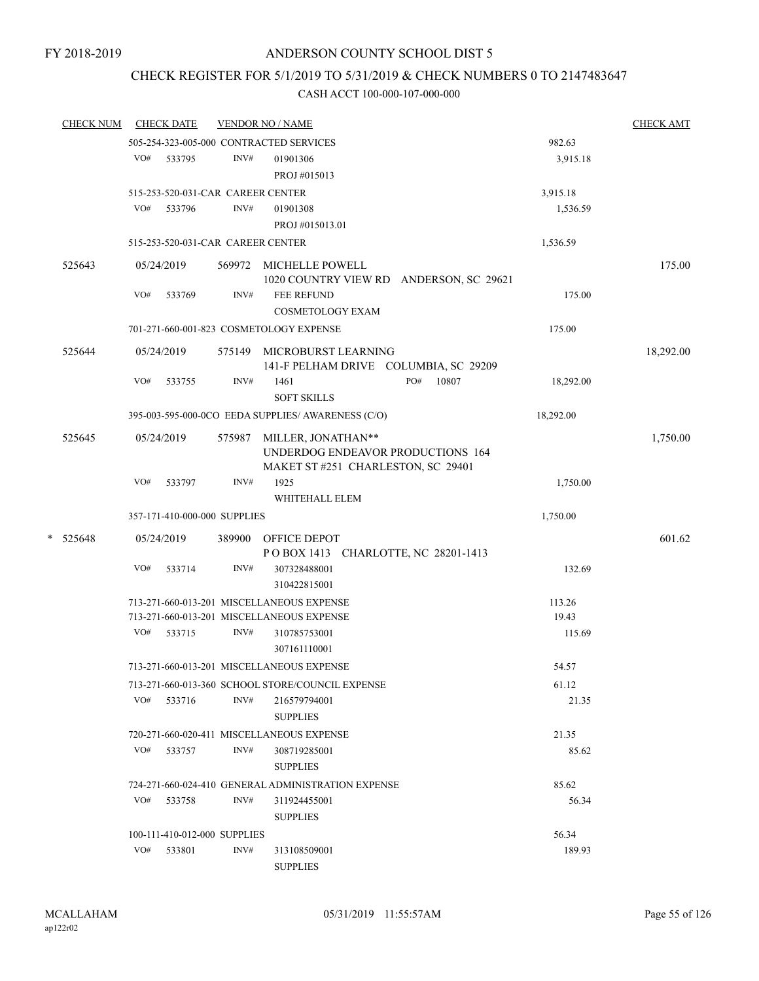### CHECK REGISTER FOR 5/1/2019 TO 5/31/2019 & CHECK NUMBERS 0 TO 2147483647

| <b>CHECK NUM</b> |     | <b>CHECK DATE</b>                 |        | <b>VENDOR NO / NAME</b>                            |              |           | <b>CHECK AMT</b> |
|------------------|-----|-----------------------------------|--------|----------------------------------------------------|--------------|-----------|------------------|
|                  |     |                                   |        | 505-254-323-005-000 CONTRACTED SERVICES            |              | 982.63    |                  |
|                  |     | VO# 533795                        | INV#   | 01901306                                           |              | 3,915.18  |                  |
|                  |     |                                   |        | PROJ#015013                                        |              |           |                  |
|                  |     | 515-253-520-031-CAR CAREER CENTER |        |                                                    |              | 3,915.18  |                  |
|                  | VO# | 533796                            | INV#   | 01901308                                           |              | 1,536.59  |                  |
|                  |     |                                   |        | PROJ #015013.01                                    |              |           |                  |
|                  |     | 515-253-520-031-CAR CAREER CENTER |        |                                                    |              | 1,536.59  |                  |
| 525643           |     | 05/24/2019                        |        | 569972 MICHELLE POWELL                             |              |           | 175.00           |
|                  |     |                                   |        | 1020 COUNTRY VIEW RD ANDERSON, SC 29621            |              |           |                  |
|                  | VO# | 533769                            | INV#   | FEE REFUND                                         |              | 175.00    |                  |
|                  |     |                                   |        | <b>COSMETOLOGY EXAM</b>                            |              |           |                  |
|                  |     |                                   |        | 701-271-660-001-823 COSMETOLOGY EXPENSE            |              | 175.00    |                  |
| 525644           |     | 05/24/2019                        |        | 575149 MICROBURST LEARNING                         |              |           | 18,292.00        |
|                  |     |                                   |        | 141-F PELHAM DRIVE COLUMBIA, SC 29209              |              |           |                  |
|                  | VO# | 533755                            | INV#   | 1461                                               | PO#<br>10807 | 18,292.00 |                  |
|                  |     |                                   |        | <b>SOFT SKILLS</b>                                 |              |           |                  |
|                  |     |                                   |        | 395-003-595-000-0CO EEDA SUPPLIES/ AWARENESS (C/O) |              | 18,292.00 |                  |
| 525645           |     | 05/24/2019                        | 575987 | MILLER, JONATHAN**                                 |              |           | 1,750.00         |
|                  |     |                                   |        | UNDERDOG ENDEAVOR PRODUCTIONS 164                  |              |           |                  |
|                  |     |                                   |        | MAKET ST #251 CHARLESTON, SC 29401                 |              |           |                  |
|                  | VO# | 533797                            | INV#   | 1925                                               |              | 1,750.00  |                  |
|                  |     |                                   |        | WHITEHALL ELEM                                     |              |           |                  |
|                  |     | 357-171-410-000-000 SUPPLIES      |        |                                                    |              | 1,750.00  |                  |
| $* 525648$       |     | 05/24/2019                        |        | 389900 OFFICE DEPOT                                |              |           | 601.62           |
|                  |     |                                   |        | POBOX 1413 CHARLOTTE, NC 28201-1413                |              |           |                  |
|                  | VO# | 533714                            | INV#   | 307328488001                                       |              | 132.69    |                  |
|                  |     |                                   |        | 310422815001                                       |              |           |                  |
|                  |     |                                   |        | 713-271-660-013-201 MISCELLANEOUS EXPENSE          |              | 113.26    |                  |
|                  |     |                                   |        | 713-271-660-013-201 MISCELLANEOUS EXPENSE          |              | 19.43     |                  |
|                  | VO# | 533715                            | INV#   | 310785753001                                       |              | 115.69    |                  |
|                  |     |                                   |        | 307161110001                                       |              |           |                  |
|                  |     |                                   |        | 713-271-660-013-201 MISCELLANEOUS EXPENSE          |              | 54.57     |                  |
|                  |     |                                   |        | 713-271-660-013-360 SCHOOL STORE/COUNCIL EXPENSE   |              | 61.12     |                  |
|                  | VO# | 533716                            | INV#   | 216579794001                                       |              | 21.35     |                  |
|                  |     |                                   |        | <b>SUPPLIES</b>                                    |              |           |                  |
|                  |     |                                   |        | 720-271-660-020-411 MISCELLANEOUS EXPENSE          |              | 21.35     |                  |
|                  | VO# | 533757                            | INV#   | 308719285001                                       |              | 85.62     |                  |
|                  |     |                                   |        | <b>SUPPLIES</b>                                    |              |           |                  |
|                  |     |                                   |        | 724-271-660-024-410 GENERAL ADMINISTRATION EXPENSE |              | 85.62     |                  |
|                  |     | VO# 533758                        | INV#   | 311924455001                                       |              | 56.34     |                  |
|                  |     |                                   |        | <b>SUPPLIES</b>                                    |              |           |                  |
|                  |     | 100-111-410-012-000 SUPPLIES      |        |                                                    |              | 56.34     |                  |
|                  | VO# | 533801                            | INV#   | 313108509001                                       |              | 189.93    |                  |
|                  |     |                                   |        | <b>SUPPLIES</b>                                    |              |           |                  |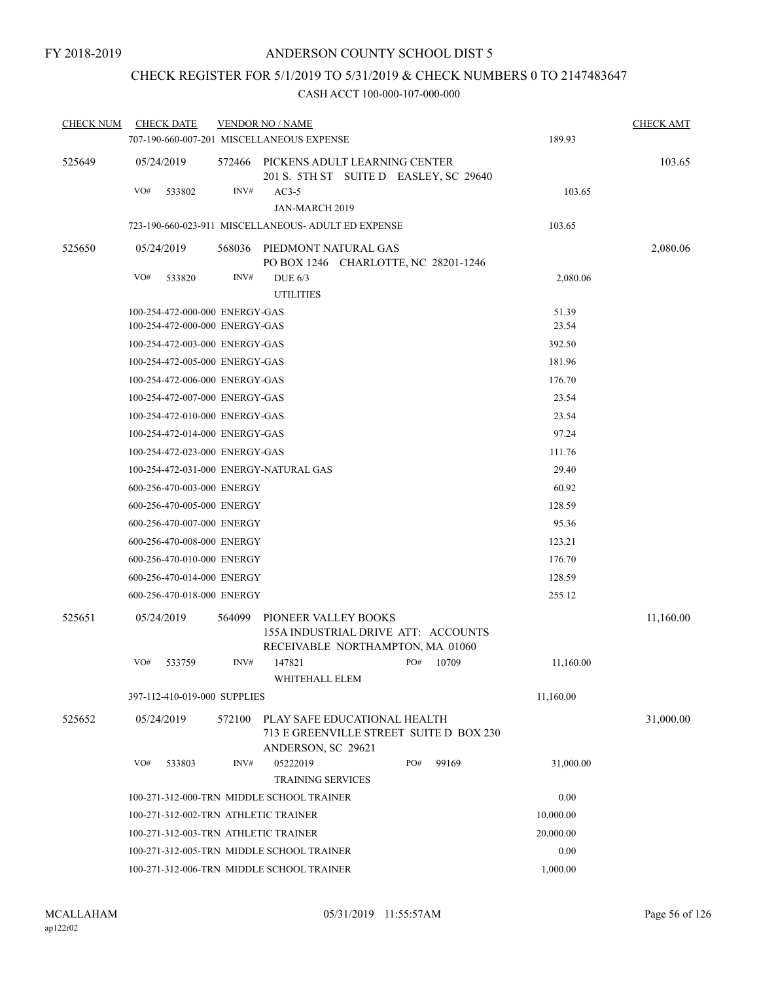# CHECK REGISTER FOR 5/1/2019 TO 5/31/2019 & CHECK NUMBERS 0 TO 2147483647

| <b>CHECK NUM</b> | <b>CHECK DATE</b>                                   |                                                                                        | <b>VENDOR NO / NAME</b>                                                                         |  |     |          |           | <b>CHECK AMT</b> |
|------------------|-----------------------------------------------------|----------------------------------------------------------------------------------------|-------------------------------------------------------------------------------------------------|--|-----|----------|-----------|------------------|
|                  | 707-190-660-007-201 MISCELLANEOUS EXPENSE           |                                                                                        |                                                                                                 |  |     |          | 189.93    |                  |
| 525649           | 05/24/2019                                          | 572466                                                                                 | PICKENS ADULT LEARNING CENTER<br>201 S. 5TH ST SUITE D EASLEY, SC 29640                         |  |     |          |           | 103.65           |
|                  | VO#<br>533802                                       | INV#                                                                                   | $AC3-5$                                                                                         |  |     |          | 103.65    |                  |
|                  |                                                     |                                                                                        | JAN-MARCH 2019                                                                                  |  |     |          |           |                  |
|                  | 723-190-660-023-911 MISCELLANEOUS- ADULT ED EXPENSE |                                                                                        |                                                                                                 |  |     |          | 103.65    |                  |
| 525650           | 05/24/2019                                          | 568036                                                                                 | PIEDMONT NATURAL GAS<br>PO BOX 1246 CHARLOTTE, NC 28201-1246                                    |  |     |          |           | 2,080.06         |
|                  | VO#<br>533820                                       | INV#                                                                                   | DUE $6/3$                                                                                       |  |     |          | 2,080.06  |                  |
|                  |                                                     |                                                                                        | <b>UTILITIES</b>                                                                                |  |     |          |           |                  |
|                  | 100-254-472-000-000 ENERGY-GAS                      |                                                                                        |                                                                                                 |  |     |          | 51.39     |                  |
|                  | 100-254-472-000-000 ENERGY-GAS                      |                                                                                        |                                                                                                 |  |     |          | 23.54     |                  |
|                  | 100-254-472-003-000 ENERGY-GAS                      |                                                                                        |                                                                                                 |  |     |          | 392.50    |                  |
|                  | 100-254-472-005-000 ENERGY-GAS                      |                                                                                        |                                                                                                 |  |     |          | 181.96    |                  |
|                  | 100-254-472-006-000 ENERGY-GAS                      |                                                                                        |                                                                                                 |  |     |          | 176.70    |                  |
|                  | 100-254-472-007-000 ENERGY-GAS                      |                                                                                        |                                                                                                 |  |     |          | 23.54     |                  |
|                  | 100-254-472-010-000 ENERGY-GAS                      |                                                                                        |                                                                                                 |  |     |          | 23.54     |                  |
|                  | 100-254-472-014-000 ENERGY-GAS                      |                                                                                        |                                                                                                 |  |     |          | 97.24     |                  |
|                  | 100-254-472-023-000 ENERGY-GAS                      |                                                                                        |                                                                                                 |  |     |          | 111.76    |                  |
|                  | 100-254-472-031-000 ENERGY-NATURAL GAS              |                                                                                        | 29.40                                                                                           |  |     |          |           |                  |
|                  | 600-256-470-003-000 ENERGY                          |                                                                                        |                                                                                                 |  |     |          | 60.92     |                  |
|                  | 600-256-470-005-000 ENERGY                          |                                                                                        |                                                                                                 |  |     |          | 128.59    |                  |
|                  | 600-256-470-007-000 ENERGY                          |                                                                                        |                                                                                                 |  |     |          | 95.36     |                  |
|                  | 600-256-470-008-000 ENERGY                          |                                                                                        |                                                                                                 |  |     |          | 123.21    |                  |
|                  | 600-256-470-010-000 ENERGY                          |                                                                                        |                                                                                                 |  |     |          | 176.70    |                  |
|                  | 600-256-470-014-000 ENERGY                          |                                                                                        |                                                                                                 |  |     |          | 128.59    |                  |
|                  | 600-256-470-018-000 ENERGY                          |                                                                                        |                                                                                                 |  |     |          | 255.12    |                  |
|                  |                                                     |                                                                                        |                                                                                                 |  |     |          |           |                  |
| 525651           | 05/24/2019                                          | 564099                                                                                 | PIONEER VALLEY BOOKS<br>155A INDUSTRIAL DRIVE ATT: ACCOUNTS<br>RECEIVABLE NORTHAMPTON, MA 01060 |  |     |          |           | 11,160.00        |
|                  | VO#<br>533759                                       | INV#                                                                                   | 147821<br>WHITEHALL ELEM                                                                        |  | PO# | 10709    | 11,160.00 |                  |
|                  | 397-112-410-019-000 SUPPLIES                        |                                                                                        |                                                                                                 |  |     |          | 11,160.00 |                  |
| 525652           | 05/24/2019                                          | 572100                                                                                 | PLAY SAFE EDUCATIONAL HEALTH<br>713 E GREENVILLE STREET SUITE D BOX 230<br>ANDERSON, SC 29621   |  |     |          |           | 31,000.00        |
|                  | VO#<br>533803                                       | INV#                                                                                   | 05222019<br><b>TRAINING SERVICES</b>                                                            |  | PO# | 99169    | 31,000.00 |                  |
|                  | 100-271-312-000-TRN MIDDLE SCHOOL TRAINER           |                                                                                        | 0.00                                                                                            |  |     |          |           |                  |
|                  | 100-271-312-002-TRN ATHLETIC TRAINER                | 10,000.00                                                                              |                                                                                                 |  |     |          |           |                  |
|                  | 100-271-312-003-TRN ATHLETIC TRAINER                |                                                                                        | 20,000.00                                                                                       |  |     |          |           |                  |
|                  |                                                     |                                                                                        | 0.00                                                                                            |  |     |          |           |                  |
|                  |                                                     | 100-271-312-005-TRN MIDDLE SCHOOL TRAINER<br>100-271-312-006-TRN MIDDLE SCHOOL TRAINER |                                                                                                 |  |     | 1,000.00 |           |                  |
|                  |                                                     |                                                                                        |                                                                                                 |  |     |          |           |                  |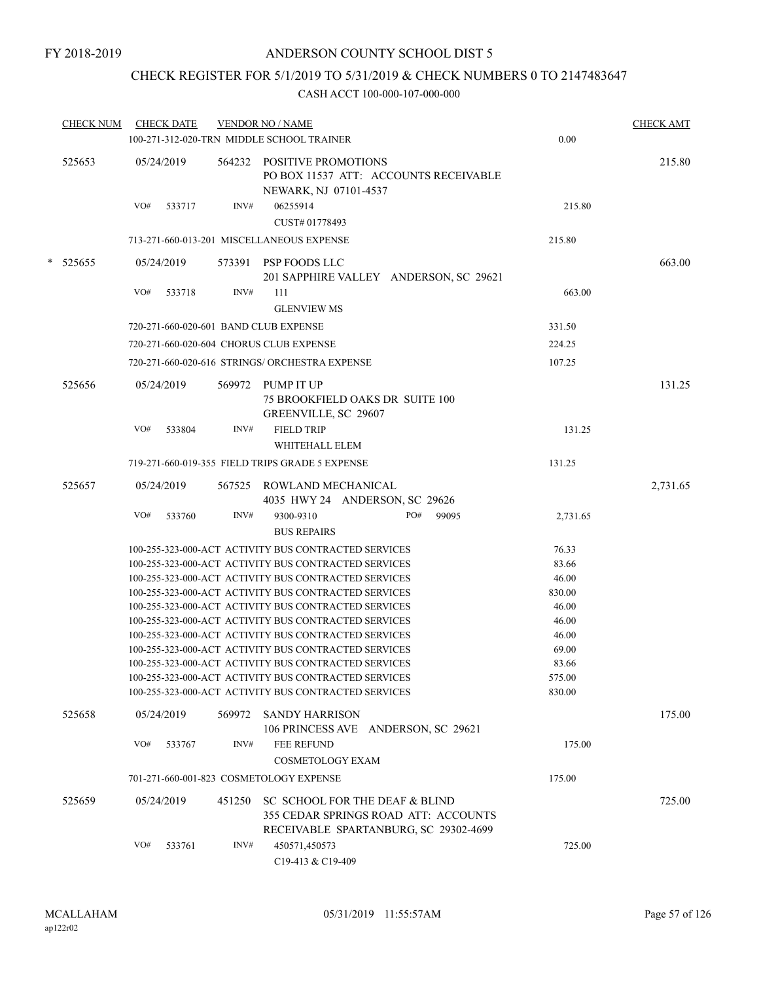# CHECK REGISTER FOR 5/1/2019 TO 5/31/2019 & CHECK NUMBERS 0 TO 2147483647

| <b>CHECK NUM</b> | <b>CHECK DATE</b>                     |        | <b>VENDOR NO / NAME</b><br>100-271-312-020-TRN MIDDLE SCHOOL TRAINER                                            | 0.00           | <b>CHECK AMT</b> |
|------------------|---------------------------------------|--------|-----------------------------------------------------------------------------------------------------------------|----------------|------------------|
| 525653           | 05/24/2019                            |        | 564232 POSITIVE PROMOTIONS<br>PO BOX 11537 ATT: ACCOUNTS RECEIVABLE<br>NEWARK, NJ 07101-4537                    |                | 215.80           |
|                  | VO#<br>533717                         | INV#   | 06255914<br>CUST# 01778493                                                                                      | 215.80         |                  |
|                  |                                       |        | 713-271-660-013-201 MISCELLANEOUS EXPENSE                                                                       | 215.80         |                  |
| * 525655         | 05/24/2019                            |        | 573391 PSP FOODS LLC<br>201 SAPPHIRE VALLEY ANDERSON, SC 29621                                                  |                | 663.00           |
|                  | VO#<br>533718                         | INV#   | 111<br><b>GLENVIEW MS</b>                                                                                       | 663.00         |                  |
|                  | 720-271-660-020-601 BAND CLUB EXPENSE |        |                                                                                                                 | 331.50         |                  |
|                  |                                       |        | 720-271-660-020-604 CHORUS CLUB EXPENSE                                                                         | 224.25         |                  |
|                  |                                       |        | 720-271-660-020-616 STRINGS/ ORCHESTRA EXPENSE                                                                  | 107.25         |                  |
| 525656           | 05/24/2019                            |        | 569972 PUMP IT UP<br><b>75 BROOKFIELD OAKS DR SUITE 100</b><br>GREENVILLE, SC 29607                             |                | 131.25           |
|                  | VO#<br>533804                         | INV#   | <b>FIELD TRIP</b><br>WHITEHALL ELEM                                                                             | 131.25         |                  |
|                  |                                       |        | 719-271-660-019-355 FIELD TRIPS GRADE 5 EXPENSE                                                                 | 131.25         |                  |
| 525657           | 05/24/2019                            | 567525 | ROWLAND MECHANICAL<br>4035 HWY 24 ANDERSON, SC 29626                                                            |                | 2,731.65         |
|                  | VO#<br>533760                         | INV#   | PO#<br>9300-9310<br>99095<br><b>BUS REPAIRS</b>                                                                 | 2,731.65       |                  |
|                  |                                       |        | 100-255-323-000-ACT ACTIVITY BUS CONTRACTED SERVICES                                                            | 76.33          |                  |
|                  |                                       |        | 100-255-323-000-ACT ACTIVITY BUS CONTRACTED SERVICES                                                            | 83.66          |                  |
|                  |                                       |        | 100-255-323-000-ACT ACTIVITY BUS CONTRACTED SERVICES                                                            | 46.00          |                  |
|                  |                                       |        | 100-255-323-000-ACT ACTIVITY BUS CONTRACTED SERVICES                                                            | 830.00         |                  |
|                  |                                       |        | 100-255-323-000-ACT ACTIVITY BUS CONTRACTED SERVICES                                                            | 46.00          |                  |
|                  |                                       |        | 100-255-323-000-ACT ACTIVITY BUS CONTRACTED SERVICES<br>100-255-323-000-ACT ACTIVITY BUS CONTRACTED SERVICES    | 46.00<br>46.00 |                  |
|                  |                                       |        | 100-255-323-000-ACT ACTIVITY BUS CONTRACTED SERVICES                                                            | 69.00          |                  |
|                  |                                       |        | 100-255-323-000-ACT ACTIVITY BUS CONTRACTED SERVICES                                                            | 83.66          |                  |
|                  |                                       |        | 100-255-323-000-ACT ACTIVITY BUS CONTRACTED SERVICES                                                            | 575.00         |                  |
|                  |                                       |        | 100-255-323-000-ACT ACTIVITY BUS CONTRACTED SERVICES                                                            | 830.00         |                  |
| 525658           | 05/24/2019                            | 569972 | <b>SANDY HARRISON</b><br>106 PRINCESS AVE ANDERSON, SC 29621                                                    |                | 175.00           |
|                  | VO#<br>533767                         | INV#   | <b>FEE REFUND</b><br><b>COSMETOLOGY EXAM</b>                                                                    | 175.00         |                  |
|                  |                                       |        | 701-271-660-001-823 COSMETOLOGY EXPENSE                                                                         | 175.00         |                  |
| 525659           | 05/24/2019                            | 451250 | SC SCHOOL FOR THE DEAF & BLIND<br>355 CEDAR SPRINGS ROAD ATT: ACCOUNTS<br>RECEIVABLE SPARTANBURG, SC 29302-4699 |                | 725.00           |
|                  | VO#<br>533761                         | INV#   | 450571,450573<br>C19-413 & C19-409                                                                              | 725.00         |                  |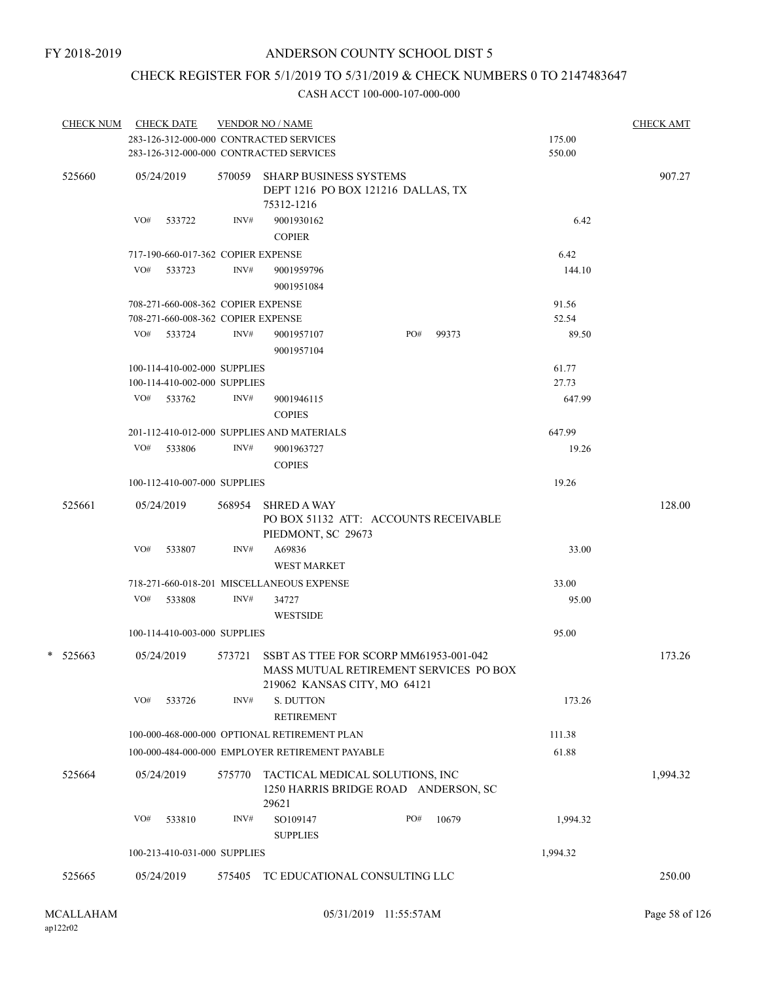# CHECK REGISTER FOR 5/1/2019 TO 5/31/2019 & CHECK NUMBERS 0 TO 2147483647

| <b>CHECK NUM</b> |     | <b>CHECK DATE</b>                  |        | <b>VENDOR NO / NAME</b>                                                                                          |     |       |          | <b>CHECK AMT</b> |
|------------------|-----|------------------------------------|--------|------------------------------------------------------------------------------------------------------------------|-----|-------|----------|------------------|
|                  |     |                                    |        | 283-126-312-000-000 CONTRACTED SERVICES                                                                          |     |       | 175.00   |                  |
|                  |     |                                    |        | 283-126-312-000-000 CONTRACTED SERVICES                                                                          |     |       | 550.00   |                  |
| 525660           |     | 05/24/2019                         |        | 570059 SHARP BUSINESS SYSTEMS<br>DEPT 1216 PO BOX 121216 DALLAS, TX<br>75312-1216                                |     |       |          | 907.27           |
|                  | VO# | 533722                             | INV#   | 9001930162<br><b>COPIER</b>                                                                                      |     |       | 6.42     |                  |
|                  |     | 717-190-660-017-362 COPIER EXPENSE |        |                                                                                                                  |     |       | 6.42     |                  |
|                  |     | VO# 533723                         | INV#   | 9001959796<br>9001951084                                                                                         |     |       | 144.10   |                  |
|                  |     | 708-271-660-008-362 COPIER EXPENSE |        |                                                                                                                  |     |       | 91.56    |                  |
|                  |     | 708-271-660-008-362 COPIER EXPENSE |        |                                                                                                                  |     |       | 52.54    |                  |
|                  |     | VO# 533724                         | INV#   | 9001957107<br>9001957104                                                                                         | PO# | 99373 | 89.50    |                  |
|                  |     | 100-114-410-002-000 SUPPLIES       |        |                                                                                                                  |     |       | 61.77    |                  |
|                  |     | 100-114-410-002-000 SUPPLIES       |        |                                                                                                                  |     |       | 27.73    |                  |
|                  |     | VO# 533762                         | INV#   | 9001946115<br><b>COPIES</b>                                                                                      |     |       | 647.99   |                  |
|                  |     |                                    |        | 201-112-410-012-000 SUPPLIES AND MATERIALS                                                                       |     |       | 647.99   |                  |
|                  |     | VO# 533806                         | INV#   | 9001963727<br><b>COPIES</b>                                                                                      |     |       | 19.26    |                  |
|                  |     | 100-112-410-007-000 SUPPLIES       |        |                                                                                                                  |     |       | 19.26    |                  |
| 525661           |     | 05/24/2019                         | 568954 | <b>SHRED A WAY</b><br>PO BOX 51132 ATT: ACCOUNTS RECEIVABLE<br>PIEDMONT, SC 29673                                |     |       |          | 128.00           |
|                  | VO# | 533807                             | INV#   | A69836<br><b>WEST MARKET</b>                                                                                     |     |       | 33.00    |                  |
|                  |     |                                    |        | 718-271-660-018-201 MISCELLANEOUS EXPENSE                                                                        |     |       | 33.00    |                  |
|                  |     | VO# 533808                         | INV#   | 34727<br><b>WESTSIDE</b>                                                                                         |     |       | 95.00    |                  |
|                  |     | 100-114-410-003-000 SUPPLIES       |        |                                                                                                                  |     |       | 95.00    |                  |
| $*$ 525663       |     | 05/24/2019                         | 573721 | SSBT AS TTEE FOR SCORP MM61953-001-042<br>MASS MUTUAL RETIREMENT SERVICES PO BOX<br>219062 KANSAS CITY, MO 64121 |     |       |          | 173.26           |
|                  | VO# | 533726                             | INV#   | S. DUTTON<br><b>RETIREMENT</b>                                                                                   |     |       | 173.26   |                  |
|                  |     |                                    |        | 100-000-468-000-000 OPTIONAL RETIREMENT PLAN                                                                     |     |       | 111.38   |                  |
|                  |     |                                    |        | 100-000-484-000-000 EMPLOYER RETIREMENT PAYABLE                                                                  |     |       | 61.88    |                  |
| 525664           |     | 05/24/2019                         | 575770 | TACTICAL MEDICAL SOLUTIONS, INC<br>1250 HARRIS BRIDGE ROAD ANDERSON, SC<br>29621                                 |     |       |          | 1,994.32         |
|                  | VO# | 533810                             | INV#   | SO109147<br><b>SUPPLIES</b>                                                                                      | PO# | 10679 | 1,994.32 |                  |
|                  |     | 100-213-410-031-000 SUPPLIES       |        |                                                                                                                  |     |       | 1,994.32 |                  |
| 525665           |     | 05/24/2019                         | 575405 | TC EDUCATIONAL CONSULTING LLC                                                                                    |     |       |          | 250.00           |
|                  |     |                                    |        |                                                                                                                  |     |       |          |                  |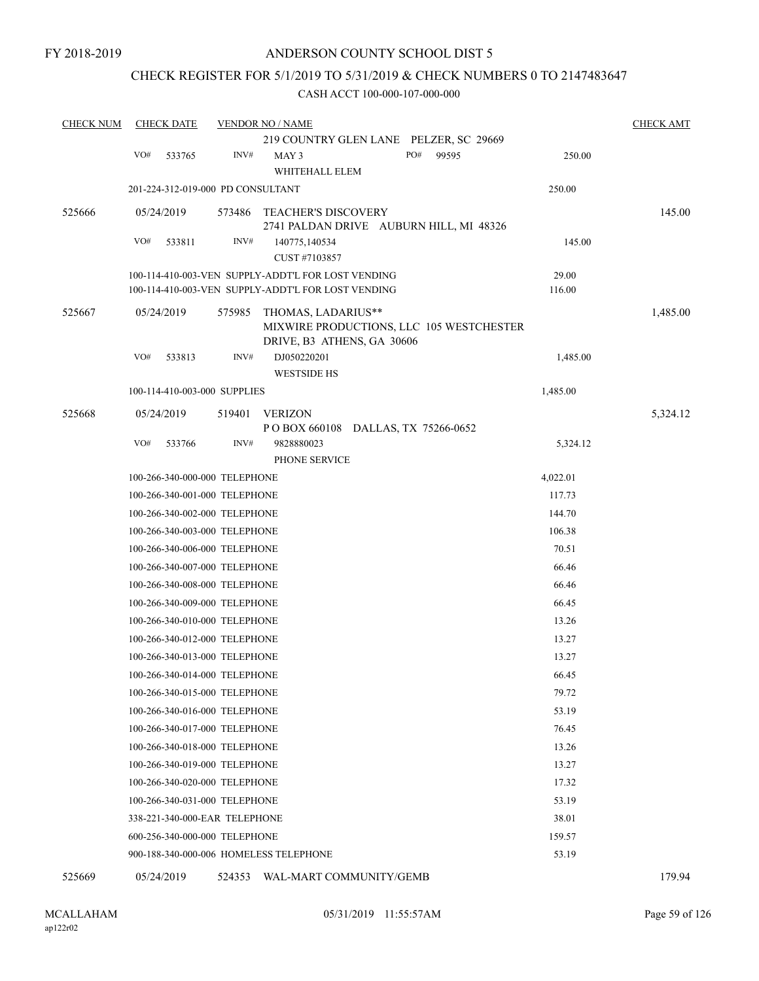### CHECK REGISTER FOR 5/1/2019 TO 5/31/2019 & CHECK NUMBERS 0 TO 2147483647

#### CASH ACCT 100-000-107-000-000

| <b>CHECK NUM</b> | <b>CHECK DATE</b> |                                   | <b>VENDOR NO / NAME</b>                                                                      |              |          | <b>CHECK AMT</b> |
|------------------|-------------------|-----------------------------------|----------------------------------------------------------------------------------------------|--------------|----------|------------------|
|                  |                   |                                   | 219 COUNTRY GLEN LANE PELZER, SC 29669                                                       |              |          |                  |
|                  | VO#<br>533765     | INV#                              | MAY 3<br>WHITEHALL ELEM                                                                      | PO#<br>99595 | 250.00   |                  |
|                  |                   | 201-224-312-019-000 PD CONSULTANT |                                                                                              |              | 250.00   |                  |
| 525666           | 05/24/2019        | 573486                            | TEACHER'S DISCOVERY                                                                          |              |          | 145.00           |
|                  |                   |                                   | 2741 PALDAN DRIVE AUBURN HILL, MI 48326                                                      |              |          |                  |
|                  | VO#<br>533811     | INV#                              | 140775,140534<br>CUST #7103857                                                               |              | 145.00   |                  |
|                  |                   |                                   | 100-114-410-003-VEN SUPPLY-ADDT'L FOR LOST VENDING                                           |              | 29.00    |                  |
|                  |                   |                                   | 100-114-410-003-VEN SUPPLY-ADDT'L FOR LOST VENDING                                           |              | 116.00   |                  |
| 525667           | 05/24/2019        | 575985                            | THOMAS, LADARIUS**<br>MIXWIRE PRODUCTIONS, LLC 105 WESTCHESTER<br>DRIVE, B3 ATHENS, GA 30606 |              |          | 1,485.00         |
|                  | VO#<br>533813     | INV#                              | DJ050220201                                                                                  |              | 1,485.00 |                  |
|                  |                   |                                   | <b>WESTSIDE HS</b>                                                                           |              |          |                  |
|                  |                   | 100-114-410-003-000 SUPPLIES      |                                                                                              |              | 1,485.00 |                  |
| 525668           | 05/24/2019        | 519401                            | VERIZON<br>POBOX 660108 DALLAS, TX 75266-0652                                                |              |          | 5,324.12         |
|                  | VO#<br>533766     | INV#                              | 9828880023                                                                                   |              | 5,324.12 |                  |
|                  |                   |                                   | PHONE SERVICE                                                                                |              |          |                  |
|                  |                   | 100-266-340-000-000 TELEPHONE     |                                                                                              |              | 4,022.01 |                  |
|                  |                   | 100-266-340-001-000 TELEPHONE     |                                                                                              |              | 117.73   |                  |
|                  |                   | 100-266-340-002-000 TELEPHONE     |                                                                                              |              | 144.70   |                  |
|                  |                   | 100-266-340-003-000 TELEPHONE     |                                                                                              |              | 106.38   |                  |
|                  |                   | 100-266-340-006-000 TELEPHONE     |                                                                                              |              | 70.51    |                  |
|                  |                   | 100-266-340-007-000 TELEPHONE     |                                                                                              |              | 66.46    |                  |
|                  |                   | 100-266-340-008-000 TELEPHONE     |                                                                                              |              | 66.46    |                  |
|                  |                   | 100-266-340-009-000 TELEPHONE     |                                                                                              |              | 66.45    |                  |
|                  |                   | 100-266-340-010-000 TELEPHONE     |                                                                                              |              | 13.26    |                  |
|                  |                   | 100-266-340-012-000 TELEPHONE     |                                                                                              |              | 13.27    |                  |
|                  |                   | 100-266-340-013-000 TELEPHONE     |                                                                                              |              | 13.27    |                  |
|                  |                   | 100-266-340-014-000 TELEPHONE     |                                                                                              |              | 66.45    |                  |
|                  |                   | 100-266-340-015-000 TELEPHONE     |                                                                                              |              | 79.72    |                  |
|                  |                   | 100-266-340-016-000 TELEPHONE     |                                                                                              |              | 53.19    |                  |
|                  |                   | 100-266-340-017-000 TELEPHONE     |                                                                                              |              | 76.45    |                  |
|                  |                   | 100-266-340-018-000 TELEPHONE     |                                                                                              |              | 13.26    |                  |
|                  |                   | 100-266-340-019-000 TELEPHONE     |                                                                                              |              | 13.27    |                  |
|                  |                   | 100-266-340-020-000 TELEPHONE     |                                                                                              |              | 17.32    |                  |
|                  |                   | 100-266-340-031-000 TELEPHONE     |                                                                                              |              | 53.19    |                  |
|                  |                   | 338-221-340-000-EAR TELEPHONE     |                                                                                              |              | 38.01    |                  |
|                  |                   | 600-256-340-000-000 TELEPHONE     |                                                                                              |              | 159.57   |                  |
|                  |                   |                                   | 900-188-340-000-006 HOMELESS TELEPHONE                                                       |              | 53.19    |                  |

525669 05/24/2019 524353 WAL-MART COMMUNITY/GEMB 179.94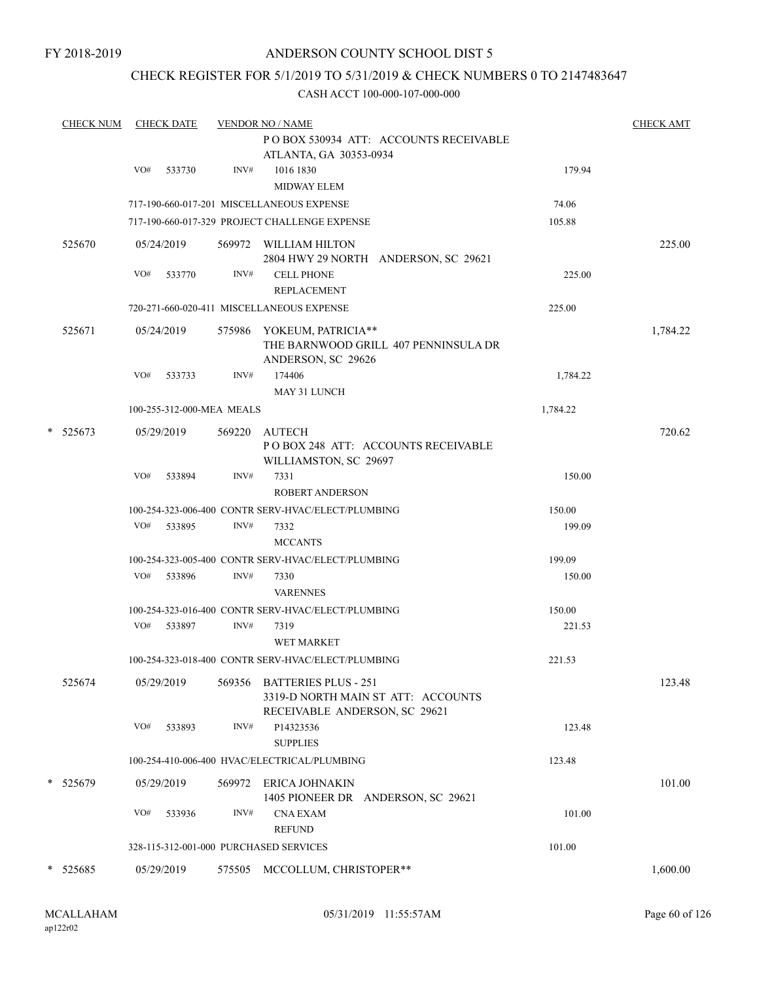### CHECK REGISTER FOR 5/1/2019 TO 5/31/2019 & CHECK NUMBERS 0 TO 2147483647

|   | <b>CHECK NUM</b> |     | <b>CHECK DATE</b>         |        | <b>VENDOR NO / NAME</b>                                                                            |          | <b>CHECK AMT</b> |
|---|------------------|-----|---------------------------|--------|----------------------------------------------------------------------------------------------------|----------|------------------|
|   |                  |     |                           |        | PO BOX 530934 ATT: ACCOUNTS RECEIVABLE<br>ATLANTA, GA 30353-0934                                   |          |                  |
|   |                  | VO# | 533730                    | INV#   | 1016 1830<br><b>MIDWAY ELEM</b>                                                                    | 179.94   |                  |
|   |                  |     |                           |        | 717-190-660-017-201 MISCELLANEOUS EXPENSE                                                          | 74.06    |                  |
|   |                  |     |                           |        | 717-190-660-017-329 PROJECT CHALLENGE EXPENSE                                                      | 105.88   |                  |
|   | 525670           |     | 05/24/2019                |        | 569972 WILLIAM HILTON<br>2804 HWY 29 NORTH ANDERSON, SC 29621                                      |          | 225.00           |
|   |                  | VO# | 533770                    | INV#   | <b>CELL PHONE</b><br><b>REPLACEMENT</b>                                                            | 225.00   |                  |
|   |                  |     |                           |        | 720-271-660-020-411 MISCELLANEOUS EXPENSE                                                          | 225.00   |                  |
|   | 525671           |     | 05/24/2019                |        | 575986 YOKEUM, PATRICIA**<br>THE BARNWOOD GRILL 407 PENNINSULA DR<br>ANDERSON, SC 29626            |          | 1,784.22         |
|   |                  | VO# | 533733                    | INV#   | 174406<br>MAY 31 LUNCH                                                                             | 1,784.22 |                  |
|   |                  |     | 100-255-312-000-MEA MEALS |        |                                                                                                    | 1,784.22 |                  |
| * | 525673           |     | 05/29/2019                | 569220 | AUTECH                                                                                             |          | 720.62           |
|   |                  |     |                           |        | POBOX 248 ATT: ACCOUNTS RECEIVABLE<br>WILLIAMSTON, SC 29697                                        |          |                  |
|   |                  | VO# | 533894                    | INV#   | 7331<br><b>ROBERT ANDERSON</b>                                                                     | 150.00   |                  |
|   |                  |     |                           |        | 100-254-323-006-400 CONTR SERV-HVAC/ELECT/PLUMBING                                                 | 150.00   |                  |
|   |                  | VO# | 533895                    | INV#   | 7332<br><b>MCCANTS</b>                                                                             | 199.09   |                  |
|   |                  |     |                           |        | 100-254-323-005-400 CONTR SERV-HVAC/ELECT/PLUMBING                                                 | 199.09   |                  |
|   |                  | VO# | 533896                    | INV#   | 7330<br><b>VARENNES</b>                                                                            | 150.00   |                  |
|   |                  |     |                           |        | 100-254-323-016-400 CONTR SERV-HVAC/ELECT/PLUMBING                                                 | 150.00   |                  |
|   |                  | VO# | 533897                    | INV#   | 7319<br><b>WET MARKET</b>                                                                          | 221.53   |                  |
|   |                  |     |                           |        | 100-254-323-018-400 CONTR SERV-HVAC/ELECT/PLUMBING                                                 | 221.53   |                  |
|   | 525674           |     | 05/29/2019                | 569356 | <b>BATTERIES PLUS - 251</b><br>3319-D NORTH MAIN ST ATT: ACCOUNTS<br>RECEIVABLE ANDERSON, SC 29621 |          | 123.48           |
|   |                  | VO# | 533893                    | INV#   | P14323536<br><b>SUPPLIES</b>                                                                       | 123.48   |                  |
|   |                  |     |                           |        | 100-254-410-006-400 HVAC/ELECTRICAL/PLUMBING                                                       | 123.48   |                  |
|   | * 525679         |     | 05/29/2019                |        | 569972 ERICA JOHNAKIN<br>1405 PIONEER DR ANDERSON, SC 29621                                        |          | 101.00           |
|   |                  | VO# | 533936                    | INV#   | <b>CNA EXAM</b><br><b>REFUND</b>                                                                   | 101.00   |                  |
|   |                  |     |                           |        | 328-115-312-001-000 PURCHASED SERVICES                                                             | 101.00   |                  |
|   | $*$ 525685       |     | 05/29/2019                |        | 575505 MCCOLLUM, CHRISTOPER**                                                                      |          | 1,600.00         |
|   |                  |     |                           |        |                                                                                                    |          |                  |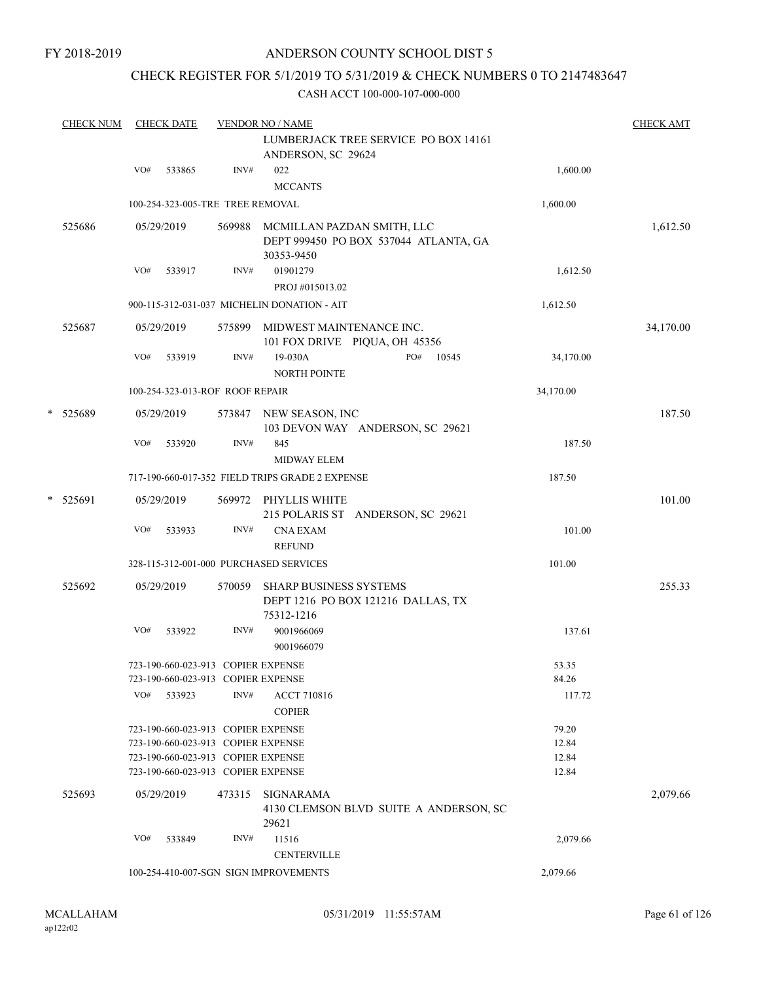### CHECK REGISTER FOR 5/1/2019 TO 5/31/2019 & CHECK NUMBERS 0 TO 2147483647

|   | <b>CHECK NUM</b> |     | <b>CHECK DATE</b> |                                                                          | <b>VENDOR NO / NAME</b>                                 |                                        |                | <b>CHECK AMT</b> |
|---|------------------|-----|-------------------|--------------------------------------------------------------------------|---------------------------------------------------------|----------------------------------------|----------------|------------------|
|   |                  |     |                   |                                                                          | ANDERSON, SC 29624                                      | LUMBERJACK TREE SERVICE PO BOX 14161   |                |                  |
|   |                  | VO# | 533865            | INV#                                                                     | 022<br><b>MCCANTS</b>                                   |                                        | 1,600.00       |                  |
|   |                  |     |                   | 100-254-323-005-TRE TREE REMOVAL                                         |                                                         |                                        | 1,600.00       |                  |
|   | 525686           |     | 05/29/2019        | 569988                                                                   | MCMILLAN PAZDAN SMITH, LLC<br>30353-9450                | DEPT 999450 PO BOX 537044 ATLANTA, GA  |                | 1,612.50         |
|   |                  | VO# | 533917            | INV#                                                                     | 01901279<br>PROJ #015013.02                             |                                        | 1,612.50       |                  |
|   |                  |     |                   |                                                                          | 900-115-312-031-037 MICHELIN DONATION - AIT             |                                        | 1,612.50       |                  |
|   | 525687           |     | 05/29/2019        | 575899                                                                   | MIDWEST MAINTENANCE INC.                                | 101 FOX DRIVE PIQUA, OH 45356          |                | 34,170.00        |
|   |                  | VO# | 533919            | INV#                                                                     | 19-030A<br>NORTH POINTE                                 | PO#<br>10545                           | 34,170.00      |                  |
|   |                  |     |                   | 100-254-323-013-ROF ROOF REPAIR                                          |                                                         |                                        | 34,170.00      |                  |
| * | 525689           |     | 05/29/2019        |                                                                          | 573847 NEW SEASON, INC                                  | 103 DEVON WAY ANDERSON, SC 29621       |                | 187.50           |
|   |                  | VO# | 533920            | INV#                                                                     | 845<br><b>MIDWAY ELEM</b>                               |                                        | 187.50         |                  |
|   |                  |     |                   |                                                                          | 717-190-660-017-352 FIELD TRIPS GRADE 2 EXPENSE         |                                        | 187.50         |                  |
|   | * 525691         |     | 05/29/2019        |                                                                          | 569972 PHYLLIS WHITE                                    | 215 POLARIS ST ANDERSON, SC 29621      |                | 101.00           |
|   |                  | VO# | 533933            | INV#                                                                     | <b>CNA EXAM</b>                                         |                                        | 101.00         |                  |
|   |                  |     |                   |                                                                          | <b>REFUND</b><br>328-115-312-001-000 PURCHASED SERVICES |                                        | 101.00         |                  |
|   | 525692           |     | 05/29/2019        |                                                                          |                                                         |                                        |                | 255.33           |
|   |                  |     |                   | 570059                                                                   | <b>SHARP BUSINESS SYSTEMS</b><br>75312-1216             | DEPT 1216 PO BOX 121216 DALLAS, TX     |                |                  |
|   |                  | VO# | 533922            | INV#                                                                     | 9001966069<br>9001966079                                |                                        | 137.61         |                  |
|   |                  |     |                   | 723-190-660-023-913 COPIER EXPENSE                                       |                                                         |                                        | 53.35          |                  |
|   |                  |     |                   | 723-190-660-023-913 COPIER EXPENSE<br>INV#                               |                                                         |                                        | 84.26          |                  |
|   |                  | VO# | 533923            |                                                                          | <b>ACCT 710816</b><br><b>COPIER</b>                     |                                        | 117.72         |                  |
|   |                  |     |                   | 723-190-660-023-913 COPIER EXPENSE                                       |                                                         |                                        | 79.20          |                  |
|   |                  |     |                   | 723-190-660-023-913 COPIER EXPENSE                                       |                                                         |                                        | 12.84          |                  |
|   |                  |     |                   | 723-190-660-023-913 COPIER EXPENSE<br>723-190-660-023-913 COPIER EXPENSE |                                                         |                                        | 12.84<br>12.84 |                  |
|   | 525693           |     | 05/29/2019        | 473315                                                                   | SIGNARAMA<br>29621                                      | 4130 CLEMSON BLVD SUITE A ANDERSON, SC |                | 2,079.66         |
|   |                  | VO# | 533849            | INV#                                                                     | 11516<br><b>CENTERVILLE</b>                             |                                        | 2,079.66       |                  |
|   |                  |     |                   |                                                                          | 100-254-410-007-SGN SIGN IMPROVEMENTS                   |                                        | 2,079.66       |                  |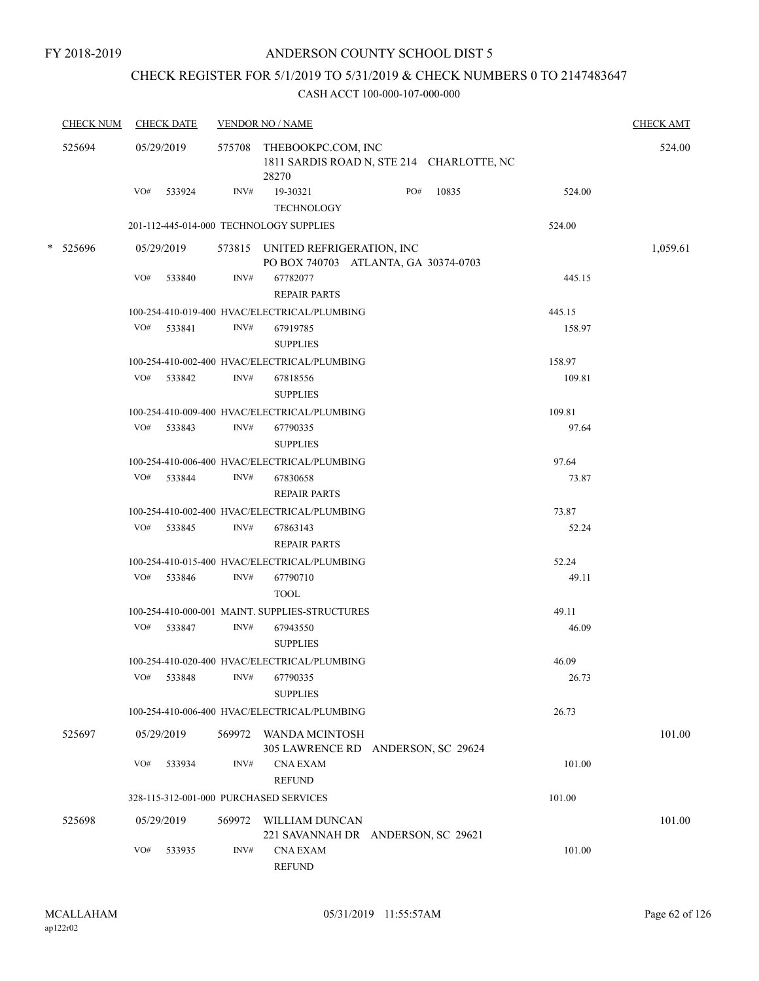### CHECK REGISTER FOR 5/1/2019 TO 5/31/2019 & CHECK NUMBERS 0 TO 2147483647

| <b>CHECK NUM</b> |     | <b>CHECK DATE</b> |        | <b>VENDOR NO / NAME</b>                                                         |           |        | <b>CHECK AMT</b> |
|------------------|-----|-------------------|--------|---------------------------------------------------------------------------------|-----------|--------|------------------|
| 525694           |     | 05/29/2019        |        | 575708 THEBOOKPC.COM, INC<br>1811 SARDIS ROAD N, STE 214 CHARLOTTE, NC<br>28270 |           |        | 524.00           |
|                  |     | VO# 533924        | INV#   | 19-30321<br><b>TECHNOLOGY</b>                                                   | PO# 10835 | 524.00 |                  |
|                  |     |                   |        | 201-112-445-014-000 TECHNOLOGY SUPPLIES                                         |           | 524.00 |                  |
| * 525696         |     | 05/29/2019        |        | 573815 UNITED REFRIGERATION, INC                                                |           |        | 1,059.61         |
|                  | VO# | 533840            | INV#   | PO BOX 740703 ATLANTA, GA 30374-0703<br>67782077<br><b>REPAIR PARTS</b>         |           | 445.15 |                  |
|                  |     |                   |        | 100-254-410-019-400 HVAC/ELECTRICAL/PLUMBING                                    |           | 445.15 |                  |
|                  |     | VO# 533841        | INV#   | 67919785<br><b>SUPPLIES</b>                                                     |           | 158.97 |                  |
|                  |     |                   |        | 100-254-410-002-400 HVAC/ELECTRICAL/PLUMBING                                    |           | 158.97 |                  |
|                  |     | VO# 533842        | INV#   | 67818556<br><b>SUPPLIES</b>                                                     |           | 109.81 |                  |
|                  |     |                   |        | 100-254-410-009-400 HVAC/ELECTRICAL/PLUMBING                                    |           | 109.81 |                  |
|                  |     | VO# 533843        | INV#   | 67790335<br><b>SUPPLIES</b>                                                     |           | 97.64  |                  |
|                  |     |                   |        | 100-254-410-006-400 HVAC/ELECTRICAL/PLUMBING                                    |           | 97.64  |                  |
|                  |     | VO# 533844        | INV#   | 67830658<br><b>REPAIR PARTS</b>                                                 |           | 73.87  |                  |
|                  |     |                   |        | 100-254-410-002-400 HVAC/ELECTRICAL/PLUMBING                                    |           | 73.87  |                  |
|                  |     | VO# 533845        | INV#   | 67863143<br><b>REPAIR PARTS</b>                                                 |           | 52.24  |                  |
|                  |     |                   |        | 100-254-410-015-400 HVAC/ELECTRICAL/PLUMBING                                    |           | 52.24  |                  |
|                  |     | VO# 533846        | INV#   | 67790710<br><b>TOOL</b>                                                         |           | 49.11  |                  |
|                  |     |                   |        | 100-254-410-000-001 MAINT. SUPPLIES-STRUCTURES                                  |           | 49.11  |                  |
|                  |     | VO# 533847        | INV#   | 67943550<br><b>SUPPLIES</b>                                                     |           | 46.09  |                  |
|                  |     |                   |        | 100-254-410-020-400 HVAC/ELECTRICAL/PLUMBING                                    |           | 46.09  |                  |
|                  | VO# | 533848            |        | INV# 67790335<br><b>SUPPLIES</b>                                                |           | 26.73  |                  |
|                  |     |                   |        | 100-254-410-006-400 HVAC/ELECTRICAL/PLUMBING                                    |           | 26.73  |                  |
| 525697           |     | 05/29/2019        |        | 569972 WANDA MCINTOSH<br>305 LAWRENCE RD ANDERSON, SC 29624                     |           |        | 101.00           |
|                  | VO# | 533934            | INV#   | <b>CNA EXAM</b><br><b>REFUND</b>                                                |           | 101.00 |                  |
|                  |     |                   |        | 328-115-312-001-000 PURCHASED SERVICES                                          |           | 101.00 |                  |
| 525698           |     | 05/29/2019        | 569972 | WILLIAM DUNCAN<br>221 SAVANNAH DR ANDERSON, SC 29621                            |           |        | 101.00           |
|                  | VO# | 533935            | INV#   | <b>CNA EXAM</b><br><b>REFUND</b>                                                |           | 101.00 |                  |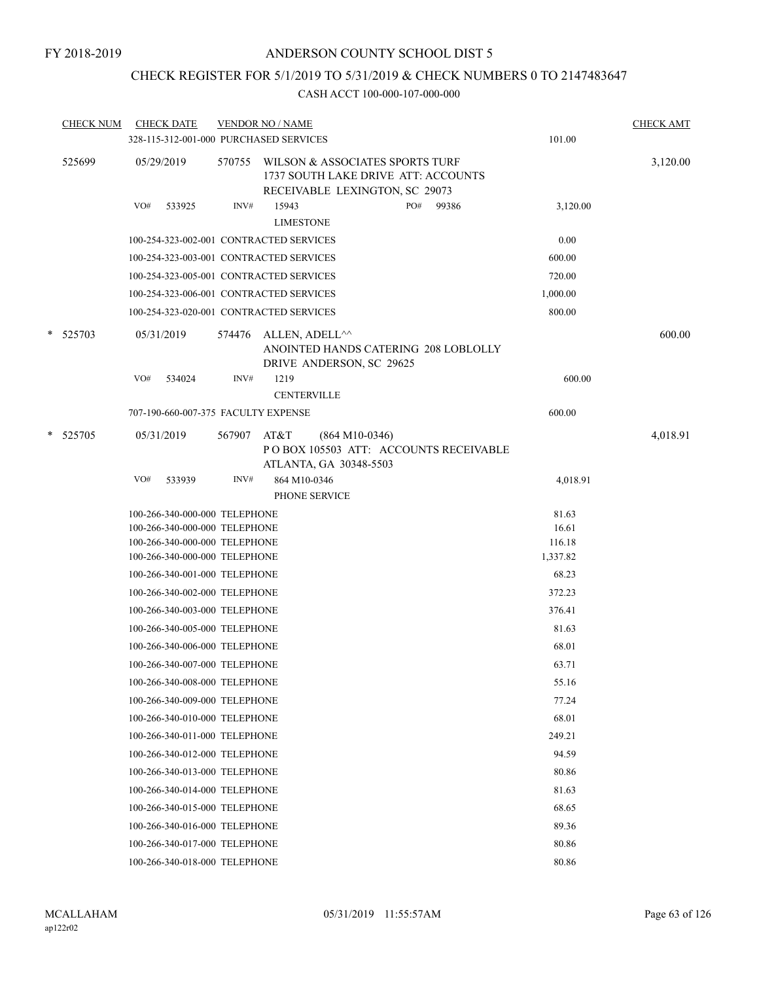# CHECK REGISTER FOR 5/1/2019 TO 5/31/2019 & CHECK NUMBERS 0 TO 2147483647

|   | <b>CHECK NUM</b> |     | <b>CHECK DATE</b><br>328-115-312-001-000 PURCHASED SERVICES | <b>VENDOR NO / NAME</b> |                           |                                            |                                                                                                          |       | 101.00   | <b>CHECK AMT</b> |
|---|------------------|-----|-------------------------------------------------------------|-------------------------|---------------------------|--------------------------------------------|----------------------------------------------------------------------------------------------------------|-------|----------|------------------|
|   | 525699           |     | 05/29/2019                                                  | 570755                  |                           |                                            | WILSON & ASSOCIATES SPORTS TURF<br>1737 SOUTH LAKE DRIVE ATT: ACCOUNTS<br>RECEIVABLE LEXINGTON, SC 29073 |       |          | 3,120.00         |
|   |                  | VO# | 533925                                                      | INV#                    | 15943<br><b>LIMESTONE</b> |                                            | PO#                                                                                                      | 99386 | 3,120.00 |                  |
|   |                  |     | 100-254-323-002-001 CONTRACTED SERVICES                     |                         |                           |                                            |                                                                                                          |       | 0.00     |                  |
|   |                  |     | 100-254-323-003-001 CONTRACTED SERVICES                     |                         |                           |                                            |                                                                                                          |       | 600.00   |                  |
|   |                  |     | 100-254-323-005-001 CONTRACTED SERVICES                     |                         |                           |                                            |                                                                                                          |       | 720.00   |                  |
|   |                  |     | 100-254-323-006-001 CONTRACTED SERVICES                     |                         |                           |                                            |                                                                                                          |       | 1,000.00 |                  |
|   |                  |     | 100-254-323-020-001 CONTRACTED SERVICES                     |                         |                           |                                            |                                                                                                          |       | 800.00   |                  |
|   | * 525703         |     | 05/31/2019                                                  | 574476                  |                           | ALLEN, ADELL^^<br>DRIVE ANDERSON, SC 29625 | ANOINTED HANDS CATERING 208 LOBLOLLY                                                                     |       |          | 600.00           |
|   |                  | VO# | 534024                                                      | INV#                    | 1219                      | <b>CENTERVILLE</b>                         |                                                                                                          |       | 600.00   |                  |
|   |                  |     | 707-190-660-007-375 FACULTY EXPENSE                         |                         |                           |                                            |                                                                                                          |       | 600.00   |                  |
| * | 525705           |     | 05/31/2019                                                  | 567907                  | AT&T                      | $(864 M10-0346)$<br>ATLANTA, GA 30348-5503 | POBOX 105503 ATT: ACCOUNTS RECEIVABLE                                                                    |       |          | 4,018.91         |
|   |                  | VO# | 533939                                                      | INV#                    |                           | 864 M10-0346<br>PHONE SERVICE              |                                                                                                          |       | 4,018.91 |                  |
|   |                  |     | 100-266-340-000-000 TELEPHONE                               |                         |                           |                                            |                                                                                                          |       | 81.63    |                  |
|   |                  |     | 100-266-340-000-000 TELEPHONE                               |                         |                           |                                            |                                                                                                          |       | 16.61    |                  |
|   |                  |     | 100-266-340-000-000 TELEPHONE                               |                         |                           |                                            |                                                                                                          |       | 116.18   |                  |
|   |                  |     | 100-266-340-000-000 TELEPHONE                               |                         |                           |                                            |                                                                                                          |       | 1,337.82 |                  |
|   |                  |     | 100-266-340-001-000 TELEPHONE                               |                         |                           |                                            |                                                                                                          |       | 68.23    |                  |
|   |                  |     | 100-266-340-002-000 TELEPHONE                               |                         |                           |                                            |                                                                                                          |       | 372.23   |                  |
|   |                  |     | 100-266-340-003-000 TELEPHONE                               |                         |                           |                                            |                                                                                                          |       | 376.41   |                  |
|   |                  |     | 100-266-340-005-000 TELEPHONE                               |                         |                           |                                            |                                                                                                          |       | 81.63    |                  |
|   |                  |     | 100-266-340-006-000 TELEPHONE                               |                         |                           |                                            |                                                                                                          |       | 68.01    |                  |
|   |                  |     | 100-266-340-007-000 TELEPHONE                               |                         |                           |                                            |                                                                                                          |       | 63.71    |                  |
|   |                  |     | 100-266-340-008-000 TELEPHONE                               |                         |                           |                                            |                                                                                                          |       | 55.16    |                  |
|   |                  |     | 100-266-340-009-000 TELEPHONE                               |                         |                           |                                            |                                                                                                          |       | 77.24    |                  |
|   |                  |     | 100-266-340-010-000 TELEPHONE                               |                         |                           |                                            |                                                                                                          |       | 68.01    |                  |
|   |                  |     | 100-266-340-011-000 TELEPHONE                               |                         |                           |                                            |                                                                                                          |       | 249.21   |                  |
|   |                  |     | 100-266-340-012-000 TELEPHONE                               |                         |                           |                                            |                                                                                                          |       | 94.59    |                  |
|   |                  |     | 100-266-340-013-000 TELEPHONE                               |                         |                           |                                            |                                                                                                          |       | 80.86    |                  |
|   |                  |     | 100-266-340-014-000 TELEPHONE                               |                         |                           |                                            |                                                                                                          |       | 81.63    |                  |
|   |                  |     | 100-266-340-015-000 TELEPHONE                               |                         |                           |                                            |                                                                                                          |       | 68.65    |                  |
|   |                  |     | 100-266-340-016-000 TELEPHONE                               |                         |                           |                                            |                                                                                                          |       | 89.36    |                  |
|   |                  |     | 100-266-340-017-000 TELEPHONE                               |                         |                           |                                            |                                                                                                          |       | 80.86    |                  |
|   |                  |     | 100-266-340-018-000 TELEPHONE                               |                         |                           |                                            |                                                                                                          |       | 80.86    |                  |
|   |                  |     |                                                             |                         |                           |                                            |                                                                                                          |       |          |                  |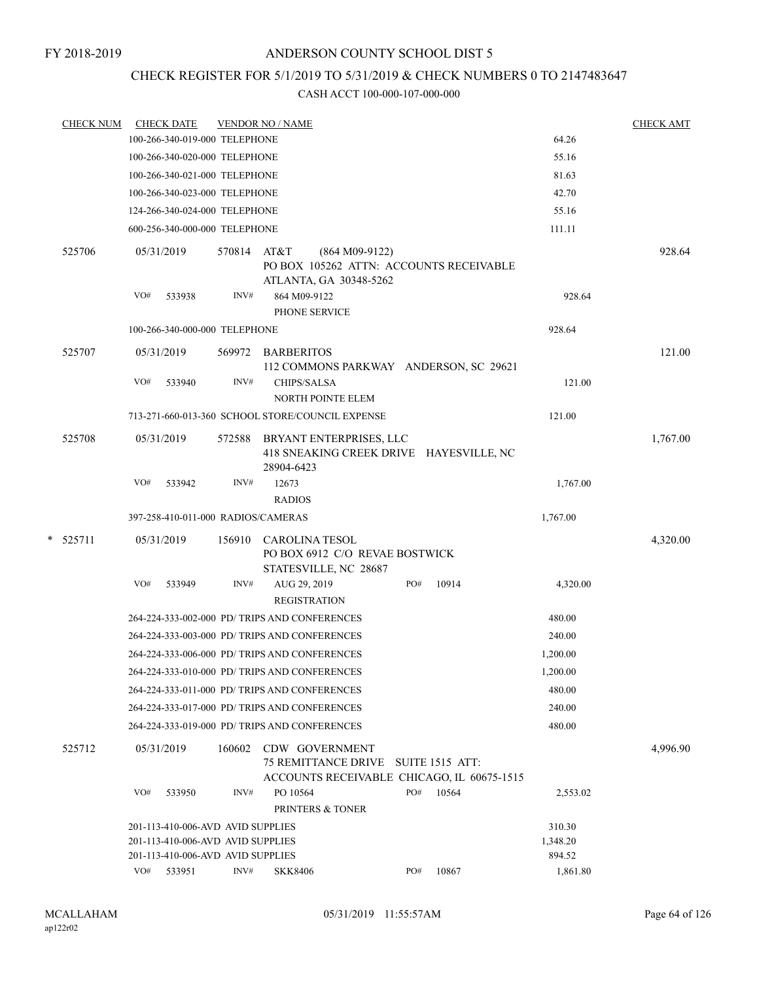# CHECK REGISTER FOR 5/1/2019 TO 5/31/2019 & CHECK NUMBERS 0 TO 2147483647

| <u>CHECK NUM</u> |     | <b>CHECK DATE</b>                  |             | <b>VENDOR NO / NAME</b>                                                               |     |       |          | <b>CHECK AMT</b> |
|------------------|-----|------------------------------------|-------------|---------------------------------------------------------------------------------------|-----|-------|----------|------------------|
|                  |     | 100-266-340-019-000 TELEPHONE      |             |                                                                                       |     |       | 64.26    |                  |
|                  |     | 100-266-340-020-000 TELEPHONE      |             |                                                                                       |     |       | 55.16    |                  |
|                  |     | 100-266-340-021-000 TELEPHONE      |             |                                                                                       |     |       | 81.63    |                  |
|                  |     | 100-266-340-023-000 TELEPHONE      |             |                                                                                       |     |       | 42.70    |                  |
|                  |     | 124-266-340-024-000 TELEPHONE      |             |                                                                                       |     |       | 55.16    |                  |
|                  |     | 600-256-340-000-000 TELEPHONE      |             |                                                                                       |     |       | 111.11   |                  |
| 525706           |     | 05/31/2019                         | 570814 AT&T | $(864 M09-9122)$<br>PO BOX 105262 ATTN: ACCOUNTS RECEIVABLE<br>ATLANTA, GA 30348-5262 |     |       |          | 928.64           |
|                  | VO# | 533938                             | INV#        | 864 M09-9122<br>PHONE SERVICE                                                         |     |       | 928.64   |                  |
|                  |     | 100-266-340-000-000 TELEPHONE      |             |                                                                                       |     |       | 928.64   |                  |
| 525707           |     | 05/31/2019                         |             | 569972 BARBERITOS<br>112 COMMONS PARKWAY ANDERSON, SC 29621                           |     |       |          | 121.00           |
|                  | VO# | 533940                             | INV#        | CHIPS/SALSA<br><b>NORTH POINTE ELEM</b>                                               |     |       | 121.00   |                  |
|                  |     |                                    |             | 713-271-660-013-360 SCHOOL STORE/COUNCIL EXPENSE                                      |     |       | 121.00   |                  |
| 525708           |     | 05/31/2019                         | 572588      | BRYANT ENTERPRISES, LLC<br>418 SNEAKING CREEK DRIVE HAYESVILLE, NC<br>28904-6423      |     |       |          | 1,767.00         |
|                  | VO# | 533942                             | INV#        | 12673<br><b>RADIOS</b>                                                                |     |       | 1,767.00 |                  |
|                  |     | 397-258-410-011-000 RADIOS/CAMERAS |             |                                                                                       |     |       | 1,767.00 |                  |
| $*$ 525711       |     | 05/31/2019                         | 156910      | CAROLINA TESOL<br>PO BOX 6912 C/O REVAE BOSTWICK<br>STATESVILLE, NC 28687             |     |       |          | 4,320.00         |
|                  | VO# | 533949                             | INV#        | AUG 29, 2019<br><b>REGISTRATION</b>                                                   | PO# | 10914 | 4,320.00 |                  |
|                  |     |                                    |             | 264-224-333-002-000 PD/ TRIPS AND CONFERENCES                                         |     |       | 480.00   |                  |
|                  |     |                                    |             | 264-224-333-003-000 PD/ TRIPS AND CONFERENCES                                         |     |       | 240.00   |                  |
|                  |     |                                    |             | 264-224-333-006-000 PD/ TRIPS AND CONFERENCES                                         |     |       | 1,200.00 |                  |
|                  |     |                                    |             | 264-224-333-010-000 PD/ TRIPS AND CONFERENCES                                         |     |       | 1,200.00 |                  |
|                  |     |                                    |             | 264-224-333-011-000 PD/ TRIPS AND CONFERENCES                                         |     |       | 480.00   |                  |
|                  |     |                                    |             | 264-224-333-017-000 PD/ TRIPS AND CONFERENCES                                         |     |       | 240.00   |                  |
|                  |     |                                    |             | 264-224-333-019-000 PD/ TRIPS AND CONFERENCES                                         |     |       | 480.00   |                  |
| 525712           |     | 05/31/2019                         | 160602      | CDW GOVERNMENT<br>75 REMITTANCE DRIVE SUITE 1515 ATT:                                 |     |       |          | 4,996.90         |
|                  | VO# | 533950                             | INV#        | ACCOUNTS RECEIVABLE CHICAGO, IL 60675-1515<br>PO 10564                                | PO# | 10564 | 2,553.02 |                  |
|                  |     |                                    |             | PRINTERS & TONER                                                                      |     |       |          |                  |
|                  |     | 201-113-410-006-AVD AVID SUPPLIES  |             |                                                                                       |     |       | 310.30   |                  |
|                  |     | 201-113-410-006-AVD AVID SUPPLIES  |             |                                                                                       |     |       | 1,348.20 |                  |
|                  |     | 201-113-410-006-AVD AVID SUPPLIES  |             |                                                                                       |     |       | 894.52   |                  |
|                  |     | VO# 533951                         | INV#        | <b>SKK8406</b>                                                                        | PO# | 10867 | 1,861.80 |                  |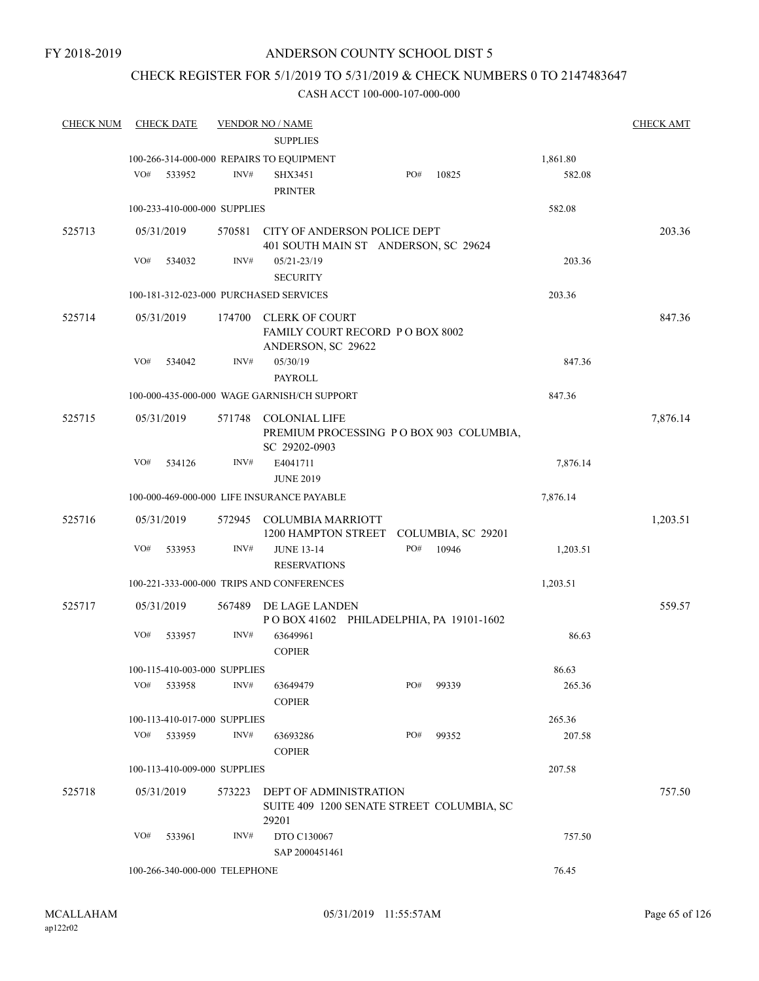# CHECK REGISTER FOR 5/1/2019 TO 5/31/2019 & CHECK NUMBERS 0 TO 2147483647

| <b>CHECK NUM</b> | <b>CHECK DATE</b>             |        | <b>VENDOR NO / NAME</b>                     |     |       |          | <b>CHECK AMT</b> |
|------------------|-------------------------------|--------|---------------------------------------------|-----|-------|----------|------------------|
|                  |                               |        | <b>SUPPLIES</b>                             |     |       |          |                  |
|                  |                               |        | 100-266-314-000-000 REPAIRS TO EQUIPMENT    |     |       | 1,861.80 |                  |
|                  | VO#<br>533952                 | INV#   | <b>SHX3451</b>                              | PO# | 10825 | 582.08   |                  |
|                  |                               |        | <b>PRINTER</b>                              |     |       |          |                  |
|                  | 100-233-410-000-000 SUPPLIES  |        |                                             |     |       | 582.08   |                  |
|                  |                               |        |                                             |     |       |          |                  |
| 525713           | 05/31/2019                    |        | 570581 CITY OF ANDERSON POLICE DEPT         |     |       |          | 203.36           |
|                  |                               |        | 401 SOUTH MAIN ST ANDERSON, SC 29624        |     |       |          |                  |
|                  | VO#<br>534032                 | INV#   | $05/21 - 23/19$                             |     |       | 203.36   |                  |
|                  |                               |        | <b>SECURITY</b>                             |     |       |          |                  |
|                  |                               |        | 100-181-312-023-000 PURCHASED SERVICES      |     |       | 203.36   |                  |
| 525714           | 05/31/2019                    | 174700 | <b>CLERK OF COURT</b>                       |     |       |          | 847.36           |
|                  |                               |        | FAMILY COURT RECORD PO BOX 8002             |     |       |          |                  |
|                  |                               |        | ANDERSON, SC 29622                          |     |       |          |                  |
|                  | VO#<br>534042                 | INV#   | 05/30/19                                    |     |       | 847.36   |                  |
|                  |                               |        | PAYROLL                                     |     |       |          |                  |
|                  |                               |        | 100-000-435-000-000 WAGE GARNISH/CH SUPPORT |     |       | 847.36   |                  |
| 525715           | 05/31/2019                    | 571748 | <b>COLONIAL LIFE</b>                        |     |       |          | 7,876.14         |
|                  |                               |        | PREMIUM PROCESSING PO BOX 903 COLUMBIA,     |     |       |          |                  |
|                  |                               |        | SC 29202-0903                               |     |       |          |                  |
|                  | VO#<br>534126                 | INV#   | E4041711                                    |     |       | 7,876.14 |                  |
|                  |                               |        | <b>JUNE 2019</b>                            |     |       |          |                  |
|                  |                               |        | 100-000-469-000-000 LIFE INSURANCE PAYABLE  |     |       | 7,876.14 |                  |
| 525716           | 05/31/2019                    | 572945 | <b>COLUMBIA MARRIOTT</b>                    |     |       |          | 1,203.51         |
|                  |                               |        | 1200 HAMPTON STREET COLUMBIA, SC 29201      |     |       |          |                  |
|                  | VO#<br>533953                 | INV#   | <b>JUNE 13-14</b>                           | PO# | 10946 | 1,203.51 |                  |
|                  |                               |        | <b>RESERVATIONS</b>                         |     |       |          |                  |
|                  |                               |        | 100-221-333-000-000 TRIPS AND CONFERENCES   |     |       | 1,203.51 |                  |
|                  |                               |        |                                             |     |       |          |                  |
| 525717           | 05/31/2019                    | 567489 | DE LAGE LANDEN                              |     |       |          | 559.57           |
|                  |                               |        | POBOX 41602 PHILADELPHIA, PA 19101-1602     |     |       |          |                  |
|                  | VO#<br>533957                 | INV#   | 63649961                                    |     |       | 86.63    |                  |
|                  |                               |        | <b>COPIER</b>                               |     |       |          |                  |
|                  | 100-115-410-003-000 SUPPLIES  |        |                                             |     |       | 86.63    |                  |
|                  | VO# 533958                    | INV#   | 63649479                                    | PO# | 99339 | 265.36   |                  |
|                  |                               |        | <b>COPIER</b>                               |     |       |          |                  |
|                  | 100-113-410-017-000 SUPPLIES  |        |                                             |     |       | 265.36   |                  |
|                  | VO#<br>533959                 | INV#   | 63693286                                    | PO# | 99352 | 207.58   |                  |
|                  |                               |        | <b>COPIER</b>                               |     |       |          |                  |
|                  | 100-113-410-009-000 SUPPLIES  |        |                                             |     |       | 207.58   |                  |
| 525718           | 05/31/2019                    |        | 573223 DEPT OF ADMINISTRATION               |     |       |          | 757.50           |
|                  |                               |        | SUITE 409 1200 SENATE STREET COLUMBIA, SC   |     |       |          |                  |
|                  |                               |        | 29201                                       |     |       |          |                  |
|                  | VO#<br>533961                 | INV#   | DTO C130067                                 |     |       | 757.50   |                  |
|                  |                               |        | SAP 2000451461                              |     |       |          |                  |
|                  | 100-266-340-000-000 TELEPHONE |        |                                             |     |       | 76.45    |                  |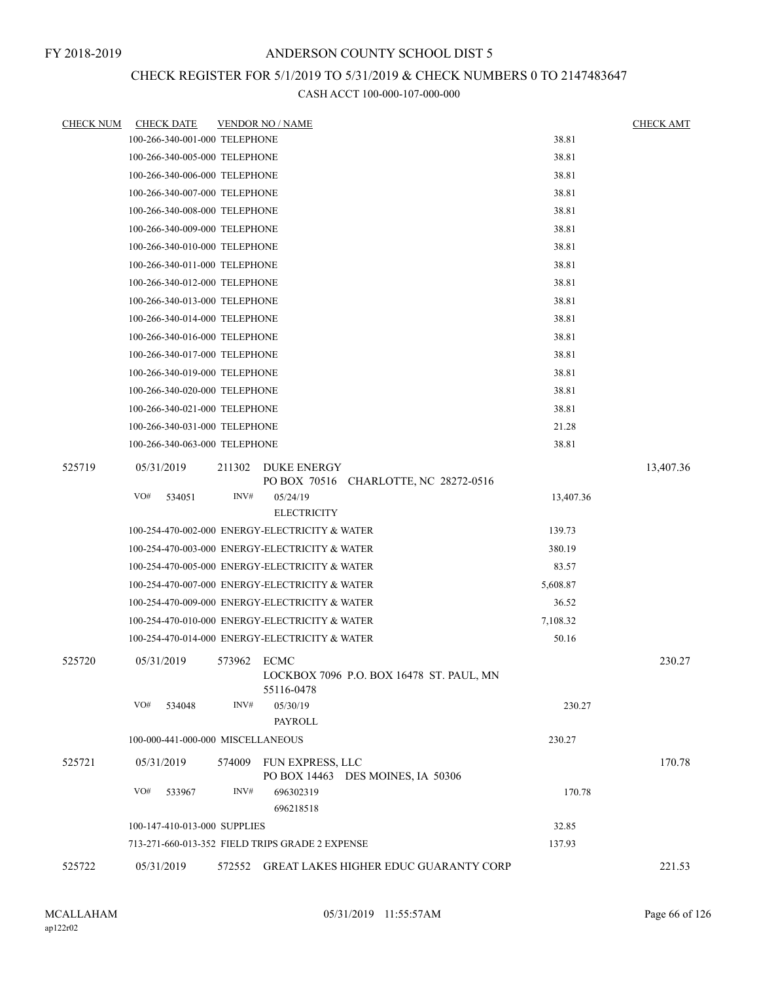# CHECK REGISTER FOR 5/1/2019 TO 5/31/2019 & CHECK NUMBERS 0 TO 2147483647

| <b>CHECK NUM</b> | <b>CHECK DATE</b>                 |             | <b>VENDOR NO / NAME</b>                                |           | <b>CHECK AMT</b> |
|------------------|-----------------------------------|-------------|--------------------------------------------------------|-----------|------------------|
|                  | 100-266-340-001-000 TELEPHONE     |             |                                                        | 38.81     |                  |
|                  | 100-266-340-005-000 TELEPHONE     |             |                                                        | 38.81     |                  |
|                  | 100-266-340-006-000 TELEPHONE     |             |                                                        | 38.81     |                  |
|                  | 100-266-340-007-000 TELEPHONE     |             |                                                        | 38.81     |                  |
|                  | 100-266-340-008-000 TELEPHONE     |             |                                                        | 38.81     |                  |
|                  | 100-266-340-009-000 TELEPHONE     |             |                                                        | 38.81     |                  |
|                  | 100-266-340-010-000 TELEPHONE     |             |                                                        | 38.81     |                  |
|                  | 100-266-340-011-000 TELEPHONE     |             |                                                        | 38.81     |                  |
|                  | 100-266-340-012-000 TELEPHONE     |             |                                                        | 38.81     |                  |
|                  | 100-266-340-013-000 TELEPHONE     |             |                                                        | 38.81     |                  |
|                  | 100-266-340-014-000 TELEPHONE     |             |                                                        | 38.81     |                  |
|                  | 100-266-340-016-000 TELEPHONE     |             |                                                        | 38.81     |                  |
|                  | 100-266-340-017-000 TELEPHONE     |             |                                                        | 38.81     |                  |
|                  | 100-266-340-019-000 TELEPHONE     |             |                                                        | 38.81     |                  |
|                  | 100-266-340-020-000 TELEPHONE     |             |                                                        | 38.81     |                  |
|                  | 100-266-340-021-000 TELEPHONE     |             |                                                        | 38.81     |                  |
|                  | 100-266-340-031-000 TELEPHONE     |             |                                                        | 21.28     |                  |
|                  | 100-266-340-063-000 TELEPHONE     |             |                                                        | 38.81     |                  |
| 525719           | 05/31/2019                        | 211302      | DUKE ENERGY                                            |           | 13,407.36        |
|                  |                                   |             | PO BOX 70516 CHARLOTTE, NC 28272-0516                  |           |                  |
|                  | VO#<br>534051                     | INV#        | 05/24/19                                               | 13,407.36 |                  |
|                  |                                   |             | <b>ELECTRICITY</b>                                     |           |                  |
|                  |                                   |             | 100-254-470-002-000 ENERGY-ELECTRICITY & WATER         | 139.73    |                  |
|                  |                                   |             | 100-254-470-003-000 ENERGY-ELECTRICITY & WATER         | 380.19    |                  |
|                  |                                   |             | 100-254-470-005-000 ENERGY-ELECTRICITY & WATER         | 83.57     |                  |
|                  |                                   |             | 100-254-470-007-000 ENERGY-ELECTRICITY & WATER         | 5,608.87  |                  |
|                  |                                   |             | 100-254-470-009-000 ENERGY-ELECTRICITY & WATER         | 36.52     |                  |
|                  |                                   |             | 100-254-470-010-000 ENERGY-ELECTRICITY & WATER         | 7,108.32  |                  |
|                  |                                   |             | 100-254-470-014-000 ENERGY-ELECTRICITY & WATER         | 50.16     |                  |
| 525720           | 05/31/2019                        | 573962 ECMC | LOCKBOX 7096 P.O. BOX 16478 ST. PAUL, MN<br>55116-0478 |           | 230.27           |
|                  | VO#<br>534048                     | INV#        | 05/30/19<br>PAYROLL                                    | 230.27    |                  |
|                  | 100-000-441-000-000 MISCELLANEOUS |             |                                                        | 230.27    |                  |
| 525721           | 05/31/2019                        | 574009      | FUN EXPRESS, LLC<br>PO BOX 14463 DES MOINES, IA 50306  |           | 170.78           |
|                  | VO#<br>533967                     | INV#        | 696302319<br>696218518                                 | 170.78    |                  |
|                  | 100-147-410-013-000 SUPPLIES      |             |                                                        | 32.85     |                  |
|                  |                                   |             | 713-271-660-013-352 FIELD TRIPS GRADE 2 EXPENSE        | 137.93    |                  |
| 525722           | 05/31/2019                        |             | 572552 GREAT LAKES HIGHER EDUC GUARANTY CORP           |           | 221.53           |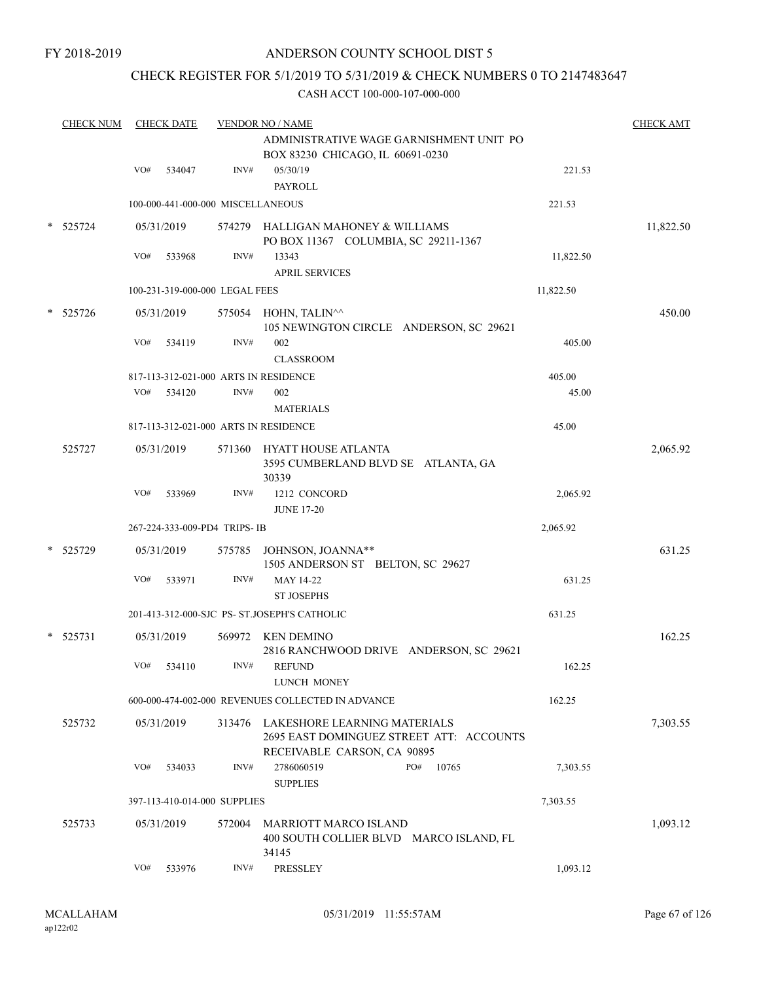### CHECK REGISTER FOR 5/1/2019 TO 5/31/2019 & CHECK NUMBERS 0 TO 2147483647

|        | <b>CHECK NUM</b> |     | <b>CHECK DATE</b> |                                   | <b>VENDOR NO / NAME</b>                                                                                 |           | <b>CHECK AMT</b> |
|--------|------------------|-----|-------------------|-----------------------------------|---------------------------------------------------------------------------------------------------------|-----------|------------------|
|        |                  |     |                   |                                   | ADMINISTRATIVE WAGE GARNISHMENT UNIT PO<br>BOX 83230 CHICAGO, IL 60691-0230                             |           |                  |
|        |                  | VO# | 534047            | INV#                              | 05/30/19<br><b>PAYROLL</b>                                                                              | 221.53    |                  |
|        |                  |     |                   | 100-000-441-000-000 MISCELLANEOUS |                                                                                                         | 221.53    |                  |
|        | 525724           |     | 05/31/2019        |                                   | 574279 HALLIGAN MAHONEY & WILLIAMS<br>PO BOX 11367 COLUMBIA, SC 29211-1367                              |           | 11,822.50        |
|        |                  | VO# | 533968            | INV#                              | 13343                                                                                                   | 11,822.50 |                  |
|        |                  |     |                   |                                   | <b>APRIL SERVICES</b>                                                                                   |           |                  |
|        |                  |     |                   | 100-231-319-000-000 LEGAL FEES    |                                                                                                         | 11,822.50 |                  |
| $\ast$ | 525726           |     | 05/31/2019        |                                   | 575054 HOHN, TALIN^^<br>105 NEWINGTON CIRCLE ANDERSON, SC 29621                                         |           | 450.00           |
|        |                  | VO# | 534119            | INV#                              | 002<br><b>CLASSROOM</b>                                                                                 | 405.00    |                  |
|        |                  |     |                   |                                   | 817-113-312-021-000 ARTS IN RESIDENCE                                                                   | 405.00    |                  |
|        |                  | VO# | 534120            | INV#                              | 002<br><b>MATERIALS</b>                                                                                 | 45.00     |                  |
|        |                  |     |                   |                                   | 817-113-312-021-000 ARTS IN RESIDENCE                                                                   | 45.00     |                  |
|        | 525727           |     | 05/31/2019        |                                   | 571360 HYATT HOUSE ATLANTA<br>3595 CUMBERLAND BLVD SE ATLANTA, GA<br>30339                              |           | 2,065.92         |
|        |                  | VO# | 533969            | INV#                              | 1212 CONCORD<br><b>JUNE 17-20</b>                                                                       | 2,065.92  |                  |
|        |                  |     |                   | 267-224-333-009-PD4 TRIPS-IB      |                                                                                                         | 2,065.92  |                  |
|        | * 525729         |     | 05/31/2019        |                                   | 575785 JOHNSON, JOANNA**<br>1505 ANDERSON ST BELTON, SC 29627                                           |           | 631.25           |
|        |                  | VO# | 533971            | INV#                              | MAY 14-22<br><b>ST JOSEPHS</b>                                                                          | 631.25    |                  |
|        |                  |     |                   |                                   | 201-413-312-000-SJC PS- ST.JOSEPH'S CATHOLIC                                                            | 631.25    |                  |
|        | $* 525731$       |     | 05/31/2019        |                                   | 569972 KEN DEMINO<br>2816 RANCHWOOD DRIVE ANDERSON, SC 29621                                            |           | 162.25           |
|        |                  | VO# | 534110            | INV#                              | <b>REFUND</b><br><b>LUNCH MONEY</b>                                                                     | 162.25    |                  |
|        |                  |     |                   |                                   | 600-000-474-002-000 REVENUES COLLECTED IN ADVANCE                                                       | 162.25    |                  |
|        | 525732           |     | 05/31/2019        | 313476                            | LAKESHORE LEARNING MATERIALS<br>2695 EAST DOMINGUEZ STREET ATT: ACCOUNTS<br>RECEIVABLE CARSON, CA 90895 |           | 7,303.55         |
|        |                  | VO# | 534033            | INV#                              | 2786060519<br>PO#<br>10765<br><b>SUPPLIES</b>                                                           | 7,303.55  |                  |
|        |                  |     |                   | 397-113-410-014-000 SUPPLIES      |                                                                                                         | 7,303.55  |                  |
|        | 525733           |     | 05/31/2019        | 572004                            | <b>MARRIOTT MARCO ISLAND</b><br>400 SOUTH COLLIER BLVD MARCO ISLAND, FL<br>34145                        |           | 1,093.12         |
|        |                  | VO# | 533976            | INV#                              | <b>PRESSLEY</b>                                                                                         | 1,093.12  |                  |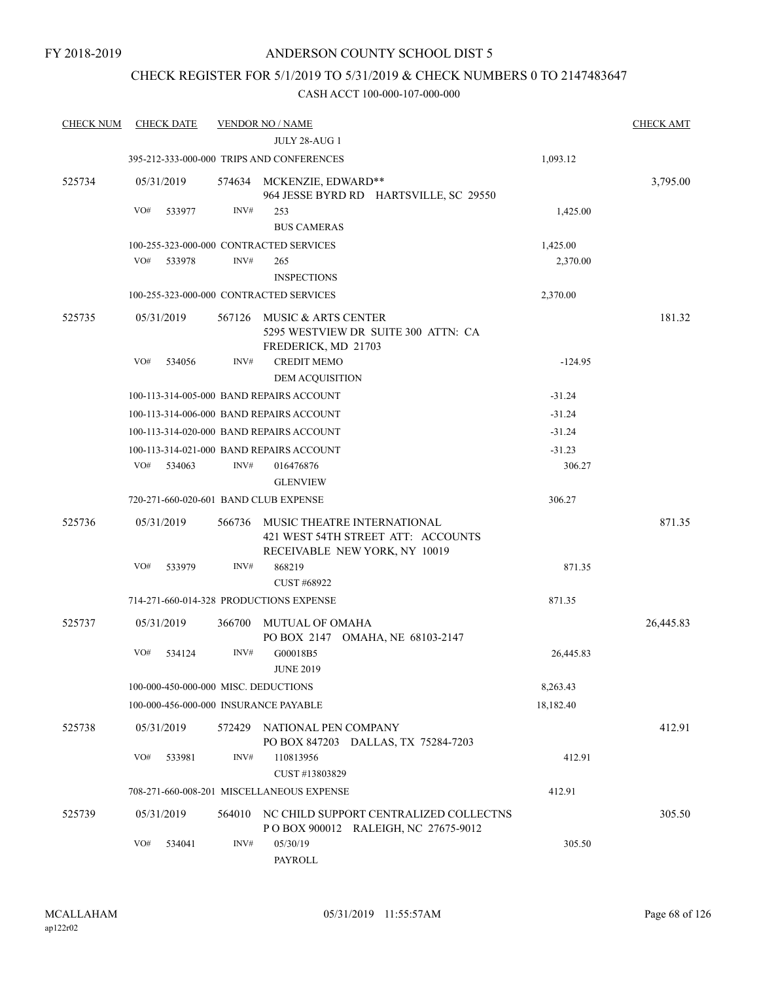### CHECK REGISTER FOR 5/1/2019 TO 5/31/2019 & CHECK NUMBERS 0 TO 2147483647

| <b>CHECK NUM</b> | <b>CHECK DATE</b>                     |        | <b>VENDOR NO / NAME</b>                                                                            |           | <b>CHECK AMT</b> |
|------------------|---------------------------------------|--------|----------------------------------------------------------------------------------------------------|-----------|------------------|
|                  |                                       |        | JULY 28-AUG 1                                                                                      |           |                  |
|                  |                                       |        | 395-212-333-000-000 TRIPS AND CONFERENCES                                                          | 1,093.12  |                  |
| 525734           | 05/31/2019                            |        | 574634 MCKENZIE, EDWARD**<br>964 JESSE BYRD RD HARTSVILLE, SC 29550                                |           | 3,795.00         |
|                  | VO#<br>533977                         | INV#   | 253                                                                                                | 1,425.00  |                  |
|                  |                                       |        | <b>BUS CAMERAS</b>                                                                                 |           |                  |
|                  |                                       |        | 100-255-323-000-000 CONTRACTED SERVICES                                                            | 1,425.00  |                  |
|                  | VO#<br>533978                         | INV#   | 265                                                                                                | 2,370.00  |                  |
|                  |                                       |        | <b>INSPECTIONS</b>                                                                                 |           |                  |
|                  |                                       |        | 100-255-323-000-000 CONTRACTED SERVICES                                                            | 2,370.00  |                  |
| 525735           | 05/31/2019                            | 567126 | MUSIC & ARTS CENTER<br>5295 WESTVIEW DR SUITE 300 ATTN: CA<br>FREDERICK, MD 21703                  |           | 181.32           |
|                  | VO#<br>534056                         | INV#   | <b>CREDIT MEMO</b><br>DEM ACQUISITION                                                              | $-124.95$ |                  |
|                  |                                       |        | 100-113-314-005-000 BAND REPAIRS ACCOUNT                                                           | $-31.24$  |                  |
|                  |                                       |        | 100-113-314-006-000 BAND REPAIRS ACCOUNT                                                           | $-31.24$  |                  |
|                  |                                       |        | 100-113-314-020-000 BAND REPAIRS ACCOUNT                                                           | $-31.24$  |                  |
|                  |                                       |        | 100-113-314-021-000 BAND REPAIRS ACCOUNT                                                           | $-31.23$  |                  |
|                  | VO#<br>534063                         | INV#   | 016476876                                                                                          | 306.27    |                  |
|                  |                                       |        | <b>GLENVIEW</b>                                                                                    |           |                  |
|                  | 720-271-660-020-601 BAND CLUB EXPENSE |        |                                                                                                    | 306.27    |                  |
| 525736           | 05/31/2019                            | 566736 | MUSIC THEATRE INTERNATIONAL<br>421 WEST 54TH STREET ATT: ACCOUNTS<br>RECEIVABLE NEW YORK, NY 10019 |           | 871.35           |
|                  | VO#<br>533979                         | INV#   | 868219<br><b>CUST #68922</b>                                                                       | 871.35    |                  |
|                  |                                       |        | 714-271-660-014-328 PRODUCTIONS EXPENSE                                                            | 871.35    |                  |
| 525737           | 05/31/2019                            | 366700 | <b>MUTUAL OF OMAHA</b>                                                                             |           | 26,445.83        |
|                  | VO#<br>534124                         | INV#   | PO BOX 2147 OMAHA, NE 68103-2147<br>G00018B5<br><b>JUNE 2019</b>                                   | 26,445.83 |                  |
|                  | 100-000-450-000-000 MISC. DEDUCTIONS  |        |                                                                                                    | 8,263.43  |                  |
|                  | 100-000-456-000-000 INSURANCE PAYABLE |        |                                                                                                    | 18,182.40 |                  |
| 525738           | 05/31/2019                            |        | 572429 NATIONAL PEN COMPANY<br>PO BOX 847203 DALLAS, TX 75284-7203                                 |           | 412.91           |
|                  | VO#<br>533981                         | INV#   | 110813956                                                                                          | 412.91    |                  |
|                  |                                       |        | CUST #13803829                                                                                     |           |                  |
|                  |                                       |        | 708-271-660-008-201 MISCELLANEOUS EXPENSE                                                          | 412.91    |                  |
| 525739           | 05/31/2019                            | 564010 | NC CHILD SUPPORT CENTRALIZED COLLECTNS<br>POBOX 900012 RALEIGH, NC 27675-9012                      |           | 305.50           |
|                  | VO#<br>534041                         | INV#   | 05/30/19<br>PAYROLL                                                                                | 305.50    |                  |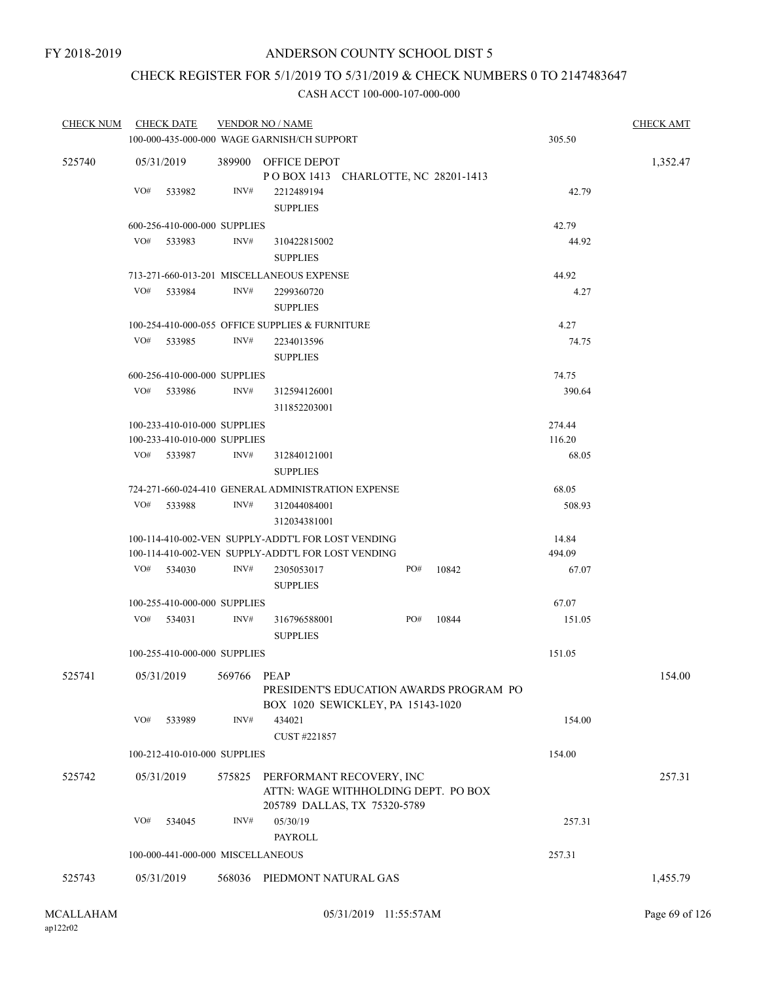# CHECK REGISTER FOR 5/1/2019 TO 5/31/2019 & CHECK NUMBERS 0 TO 2147483647

| <b>CHECK NUM</b> | <b>CHECK DATE</b>                 |        | <b>VENDOR NO / NAME</b>                                                                                  | <b>CHECK AMT</b> |       |                 |          |
|------------------|-----------------------------------|--------|----------------------------------------------------------------------------------------------------------|------------------|-------|-----------------|----------|
|                  |                                   |        | 100-000-435-000-000 WAGE GARNISH/CH SUPPORT                                                              |                  |       | 305.50          |          |
| 525740           | 05/31/2019                        | 389900 | <b>OFFICE DEPOT</b><br>POBOX 1413 CHARLOTTE, NC 28201-1413                                               |                  |       |                 | 1,352.47 |
|                  | VO#<br>533982                     | INV#   | 2212489194<br><b>SUPPLIES</b>                                                                            |                  |       | 42.79           |          |
|                  | 600-256-410-000-000 SUPPLIES      |        |                                                                                                          |                  |       | 42.79           |          |
|                  | VO#<br>533983                     | INV#   | 310422815002<br><b>SUPPLIES</b>                                                                          |                  |       | 44.92           |          |
|                  |                                   |        | 713-271-660-013-201 MISCELLANEOUS EXPENSE                                                                |                  |       | 44.92           |          |
|                  | VO#<br>533984                     | INV#   | 2299360720<br><b>SUPPLIES</b>                                                                            |                  |       | 4.27            |          |
|                  |                                   |        | 100-254-410-000-055 OFFICE SUPPLIES & FURNITURE                                                          |                  |       | 4.27            |          |
|                  | VO#<br>533985                     | INV#   | 2234013596<br><b>SUPPLIES</b>                                                                            |                  |       | 74.75           |          |
|                  | 600-256-410-000-000 SUPPLIES      |        |                                                                                                          |                  |       | 74.75           |          |
|                  | VO#<br>533986                     | INV#   | 312594126001<br>311852203001                                                                             |                  |       | 390.64          |          |
|                  | 100-233-410-010-000 SUPPLIES      |        |                                                                                                          |                  |       | 274.44          |          |
|                  | 100-233-410-010-000 SUPPLIES      |        |                                                                                                          |                  |       | 116.20          |          |
|                  | VO#<br>533987                     | INV#   | 312840121001<br><b>SUPPLIES</b>                                                                          |                  |       | 68.05           |          |
|                  |                                   |        | 724-271-660-024-410 GENERAL ADMINISTRATION EXPENSE                                                       |                  |       | 68.05           |          |
|                  | VO#<br>533988                     | INV#   | 312044084001<br>312034381001                                                                             |                  |       | 508.93          |          |
|                  |                                   |        | 100-114-410-002-VEN SUPPLY-ADDT'L FOR LOST VENDING<br>100-114-410-002-VEN SUPPLY-ADDT'L FOR LOST VENDING |                  |       | 14.84<br>494.09 |          |
|                  | VO#<br>534030                     | INV#   | 2305053017<br><b>SUPPLIES</b>                                                                            | PO#              | 10842 | 67.07           |          |
|                  | 100-255-410-000-000 SUPPLIES      |        |                                                                                                          |                  |       | 67.07           |          |
|                  | VO#<br>534031                     | INV#   | 316796588001<br><b>SUPPLIES</b>                                                                          | PO#              | 10844 | 151.05          |          |
|                  | 100-255-410-000-000 SUPPLIES      |        |                                                                                                          |                  |       | 151.05          |          |
| 525741           | 05/31/2019                        | 569766 | PEAP<br>PRESIDENT'S EDUCATION AWARDS PROGRAM PO<br>BOX 1020 SEWICKLEY, PA 15143-1020                     |                  |       |                 | 154.00   |
|                  | VO#<br>533989                     | INV#   | 434021<br>CUST #221857                                                                                   |                  |       | 154.00          |          |
|                  | 100-212-410-010-000 SUPPLIES      |        |                                                                                                          |                  |       | 154.00          |          |
| 525742           | 05/31/2019                        | 575825 | PERFORMANT RECOVERY, INC<br>ATTN: WAGE WITHHOLDING DEPT. PO BOX<br>205789 DALLAS, TX 75320-5789          |                  |       |                 | 257.31   |
|                  | VO#<br>534045                     | INV#   | 05/30/19                                                                                                 |                  |       | 257.31          |          |
|                  |                                   |        | PAYROLL                                                                                                  |                  |       |                 |          |
|                  | 100-000-441-000-000 MISCELLANEOUS |        |                                                                                                          |                  |       | 257.31          |          |
| 525743           | 05/31/2019                        |        | 568036 PIEDMONT NATURAL GAS                                                                              |                  |       |                 | 1,455.79 |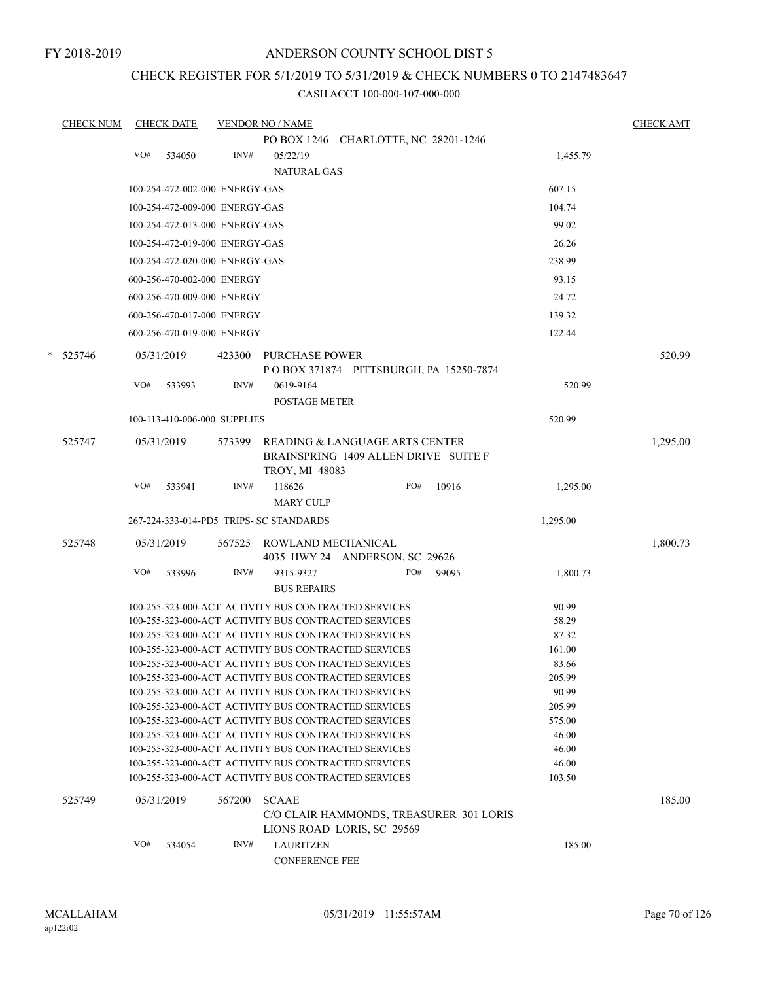FY 2018-2019

### ANDERSON COUNTY SCHOOL DIST 5

### CHECK REGISTER FOR 5/1/2019 TO 5/31/2019 & CHECK NUMBERS 0 TO 2147483647

| <b>CHECK NUM</b> |     | <b>CHECK DATE</b> |                                | <b>VENDOR NO / NAME</b>                 |                                                                                                              |       |                 | <b>CHECK AMT</b> |
|------------------|-----|-------------------|--------------------------------|-----------------------------------------|--------------------------------------------------------------------------------------------------------------|-------|-----------------|------------------|
|                  |     |                   |                                |                                         | PO BOX 1246 CHARLOTTE, NC 28201-1246                                                                         |       |                 |                  |
|                  | VO# | 534050            | INV#                           | 05/22/19                                |                                                                                                              |       | 1,455.79        |                  |
|                  |     |                   |                                | <b>NATURAL GAS</b>                      |                                                                                                              |       |                 |                  |
|                  |     |                   | 100-254-472-002-000 ENERGY-GAS |                                         |                                                                                                              |       | 607.15          |                  |
|                  |     |                   | 100-254-472-009-000 ENERGY-GAS |                                         |                                                                                                              |       | 104.74          |                  |
|                  |     |                   | 100-254-472-013-000 ENERGY-GAS |                                         |                                                                                                              |       | 99.02           |                  |
|                  |     |                   | 100-254-472-019-000 ENERGY-GAS |                                         |                                                                                                              |       | 26.26           |                  |
|                  |     |                   | 100-254-472-020-000 ENERGY-GAS |                                         |                                                                                                              |       | 238.99          |                  |
|                  |     |                   | 600-256-470-002-000 ENERGY     |                                         |                                                                                                              |       | 93.15           |                  |
|                  |     |                   | 600-256-470-009-000 ENERGY     |                                         |                                                                                                              |       | 24.72           |                  |
|                  |     |                   | 600-256-470-017-000 ENERGY     |                                         |                                                                                                              |       | 139.32          |                  |
|                  |     |                   | 600-256-470-019-000 ENERGY     |                                         |                                                                                                              |       | 122.44          |                  |
|                  |     |                   |                                |                                         |                                                                                                              |       |                 |                  |
| $* 525746$       |     | 05/31/2019        |                                | 423300 PURCHASE POWER                   |                                                                                                              |       |                 | 520.99           |
|                  |     |                   |                                |                                         | POBOX 371874 PITTSBURGH, PA 15250-7874                                                                       |       |                 |                  |
|                  | VO# | 533993            | INV#                           | 0619-9164                               |                                                                                                              |       | 520.99          |                  |
|                  |     |                   |                                | <b>POSTAGE METER</b>                    |                                                                                                              |       |                 |                  |
|                  |     |                   | 100-113-410-006-000 SUPPLIES   |                                         |                                                                                                              |       | 520.99          |                  |
| 525747           |     | 05/31/2019        | 573399                         |                                         | READING & LANGUAGE ARTS CENTER                                                                               |       |                 | 1,295.00         |
|                  |     |                   |                                |                                         | BRAINSPRING 1409 ALLEN DRIVE SUITE F                                                                         |       |                 |                  |
|                  |     |                   |                                | <b>TROY, MI 48083</b>                   |                                                                                                              |       |                 |                  |
|                  | VO# | 533941            | INV#                           | 118626                                  | PO#                                                                                                          | 10916 | 1,295.00        |                  |
|                  |     |                   |                                | <b>MARY CULP</b>                        |                                                                                                              |       |                 |                  |
|                  |     |                   |                                | 267-224-333-014-PD5 TRIPS- SC STANDARDS |                                                                                                              |       | 1,295.00        |                  |
| 525748           |     | 05/31/2019        |                                | 567525 ROWLAND MECHANICAL               |                                                                                                              |       |                 | 1,800.73         |
|                  |     |                   |                                |                                         | 4035 HWY 24 ANDERSON, SC 29626                                                                               |       |                 |                  |
|                  | VO# | 533996            | INV#                           | 9315-9327                               | PO#                                                                                                          | 99095 | 1,800.73        |                  |
|                  |     |                   |                                | <b>BUS REPAIRS</b>                      |                                                                                                              |       |                 |                  |
|                  |     |                   |                                |                                         | 100-255-323-000-ACT ACTIVITY BUS CONTRACTED SERVICES                                                         |       | 90.99           |                  |
|                  |     |                   |                                |                                         | 100-255-323-000-ACT ACTIVITY BUS CONTRACTED SERVICES                                                         |       | 58.29           |                  |
|                  |     |                   |                                |                                         | 100-255-323-000-ACT ACTIVITY BUS CONTRACTED SERVICES<br>100-255-323-000-ACT ACTIVITY BUS CONTRACTED SERVICES |       | 87.32<br>161.00 |                  |
|                  |     |                   |                                |                                         | 100-255-323-000-ACT ACTIVITY BUS CONTRACTED SERVICES                                                         |       | 83.66           |                  |
|                  |     |                   |                                |                                         | 100-255-323-000-ACT ACTIVITY BUS CONTRACTED SERVICES                                                         |       | 205.99          |                  |
|                  |     |                   |                                |                                         | 100-255-323-000-ACT ACTIVITY BUS CONTRACTED SERVICES                                                         |       | 90.99           |                  |
|                  |     |                   |                                |                                         | 100-255-323-000-ACT ACTIVITY BUS CONTRACTED SERVICES                                                         |       | 205.99          |                  |
|                  |     |                   |                                |                                         | 100-255-323-000-ACT ACTIVITY BUS CONTRACTED SERVICES                                                         |       | 575.00          |                  |
|                  |     |                   |                                |                                         | 100-255-323-000-ACT ACTIVITY BUS CONTRACTED SERVICES                                                         |       | 46.00           |                  |
|                  |     |                   |                                |                                         | 100-255-323-000-ACT ACTIVITY BUS CONTRACTED SERVICES<br>100-255-323-000-ACT ACTIVITY BUS CONTRACTED SERVICES |       | 46.00<br>46.00  |                  |
|                  |     |                   |                                |                                         | 100-255-323-000-ACT ACTIVITY BUS CONTRACTED SERVICES                                                         |       | 103.50          |                  |
|                  |     |                   |                                |                                         |                                                                                                              |       |                 |                  |
| 525749           |     | 05/31/2019        | 567200                         | <b>SCAAE</b>                            |                                                                                                              |       |                 | 185.00           |
|                  |     |                   |                                |                                         | C/O CLAIR HAMMONDS, TREASURER 301 LORIS<br>LIONS ROAD LORIS, SC 29569                                        |       |                 |                  |
|                  | VO# | 534054            | INV#                           | <b>LAURITZEN</b>                        |                                                                                                              |       | 185.00          |                  |
|                  |     |                   |                                | <b>CONFERENCE FEE</b>                   |                                                                                                              |       |                 |                  |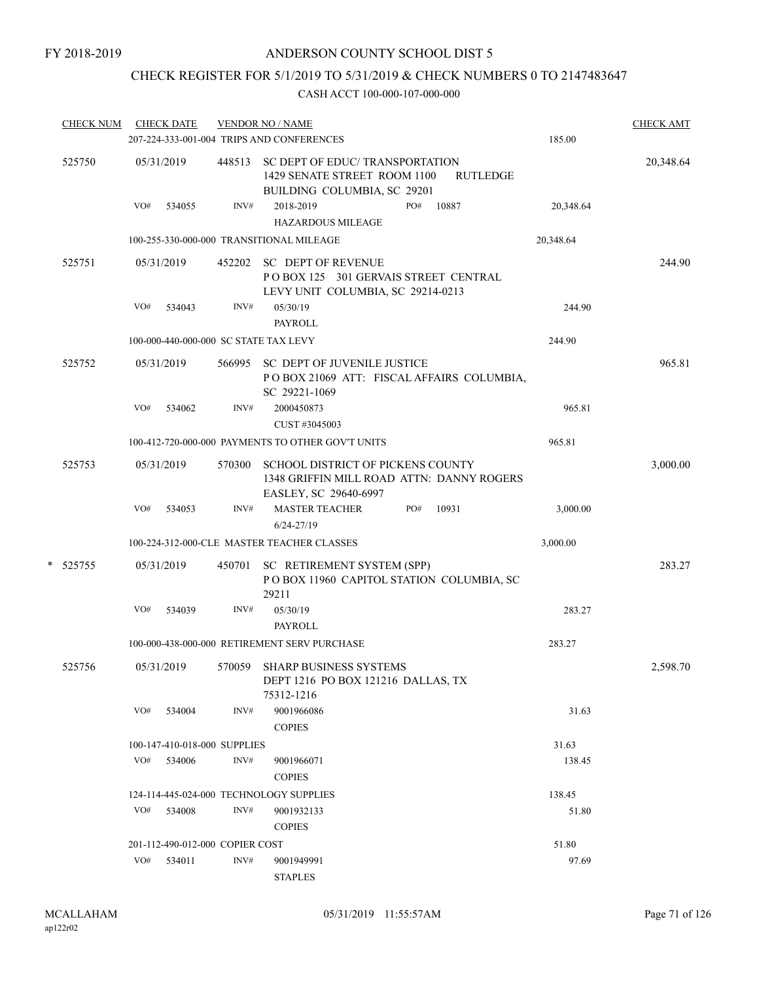# CHECK REGISTER FOR 5/1/2019 TO 5/31/2019 & CHECK NUMBERS 0 TO 2147483647

|        | <b>CHECK NUM</b> |                                                 | <b>CHECK DATE</b>               |        | <b>VENDOR NO / NAME</b><br>207-224-333-001-004 TRIPS AND CONFERENCES                                              | 185.00    | <b>CHECK AMT</b> |  |  |  |
|--------|------------------|-------------------------------------------------|---------------------------------|--------|-------------------------------------------------------------------------------------------------------------------|-----------|------------------|--|--|--|
| 525750 |                  |                                                 | 05/31/2019                      | 448513 | SC DEPT OF EDUC/ TRANSPORTATION<br>1429 SENATE STREET ROOM 1100<br><b>RUTLEDGE</b><br>BUILDING COLUMBIA, SC 29201 |           | 20,348.64        |  |  |  |
|        |                  | VO#                                             | 534055                          | INV#   | 2018-2019<br>PO#<br>10887<br><b>HAZARDOUS MILEAGE</b>                                                             | 20,348.64 |                  |  |  |  |
|        |                  |                                                 |                                 |        | 100-255-330-000-000 TRANSITIONAL MILEAGE                                                                          | 20,348.64 |                  |  |  |  |
|        | 525751           |                                                 | 05/31/2019                      | 452202 | <b>SC DEPT OF REVENUE</b><br>POBOX 125 301 GERVAIS STREET CENTRAL<br>LEVY UNIT COLUMBIA, SC 29214-0213            |           | 244.90           |  |  |  |
|        |                  | VO#                                             | 534043                          | INV#   | 05/30/19<br><b>PAYROLL</b>                                                                                        | 244.90    |                  |  |  |  |
|        |                  | 100-000-440-000-000 SC STATE TAX LEVY<br>244.90 |                                 |        |                                                                                                                   |           |                  |  |  |  |
|        | 525752           |                                                 | 05/31/2019                      | 566995 | SC DEPT OF JUVENILE JUSTICE<br>POBOX 21069 ATT: FISCAL AFFAIRS COLUMBIA,<br>SC 29221-1069                         |           | 965.81           |  |  |  |
|        |                  | VO#                                             | 534062                          | INV#   | 2000450873<br>CUST #3045003                                                                                       | 965.81    |                  |  |  |  |
|        |                  |                                                 |                                 |        | 100-412-720-000-000 PAYMENTS TO OTHER GOV'T UNITS                                                                 | 965.81    |                  |  |  |  |
|        | 525753           |                                                 | 05/31/2019                      | 570300 | <b>SCHOOL DISTRICT OF PICKENS COUNTY</b><br>1348 GRIFFIN MILL ROAD ATTN: DANNY ROGERS<br>EASLEY, SC 29640-6997    |           | 3,000.00         |  |  |  |
|        |                  | VO#                                             | 534053                          | INV#   | <b>MASTER TEACHER</b><br>PO#<br>10931<br>$6/24 - 27/19$                                                           | 3,000.00  |                  |  |  |  |
|        |                  |                                                 |                                 |        | 100-224-312-000-CLE MASTER TEACHER CLASSES                                                                        | 3,000.00  |                  |  |  |  |
| *      | 525755           |                                                 | 05/31/2019                      | 450701 | SC RETIREMENT SYSTEM (SPP)<br>POBOX 11960 CAPITOL STATION COLUMBIA, SC<br>29211                                   |           | 283.27           |  |  |  |
|        |                  | VO#                                             | 534039                          | INV#   | 05/30/19<br><b>PAYROLL</b>                                                                                        | 283.27    |                  |  |  |  |
|        |                  |                                                 |                                 |        | 100-000-438-000-000 RETIREMENT SERV PURCHASE                                                                      | 283.27    |                  |  |  |  |
|        | 525756           |                                                 | 05/31/2019                      | 570059 | SHARP BUSINESS SYSTEMS<br>DEPT 1216 PO BOX 121216 DALLAS, TX<br>75312-1216                                        |           | 2,598.70         |  |  |  |
|        |                  | VO#                                             | 534004                          | INV#   | 9001966086<br><b>COPIES</b>                                                                                       | 31.63     |                  |  |  |  |
|        |                  |                                                 | 100-147-410-018-000 SUPPLIES    |        |                                                                                                                   | 31.63     |                  |  |  |  |
|        |                  | VO#                                             | 534006                          | INV#   | 9001966071<br><b>COPIES</b>                                                                                       | 138.45    |                  |  |  |  |
|        |                  |                                                 |                                 |        | 124-114-445-024-000 TECHNOLOGY SUPPLIES                                                                           | 138.45    |                  |  |  |  |
|        |                  | VO#                                             | 534008                          | INV#   | 9001932133<br><b>COPIES</b>                                                                                       | 51.80     |                  |  |  |  |
|        |                  |                                                 | 201-112-490-012-000 COPIER COST |        |                                                                                                                   | 51.80     |                  |  |  |  |
|        |                  | VO#                                             | 534011                          | INV#   | 9001949991<br><b>STAPLES</b>                                                                                      | 97.69     |                  |  |  |  |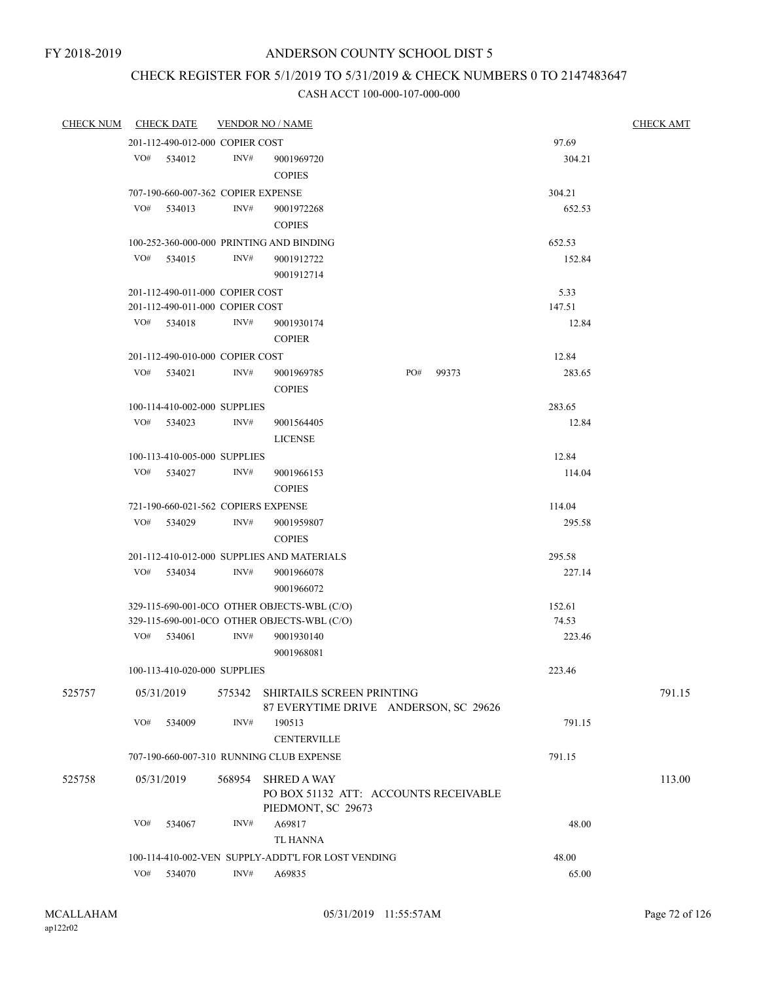# CHECK REGISTER FOR 5/1/2019 TO 5/31/2019 & CHECK NUMBERS 0 TO 2147483647

|                                      |     | <b>CHECK DATE</b>                   |        | <b>VENDOR NO / NAME</b>                                                           |     |       |        | <b>CHECK AMT</b> |
|--------------------------------------|-----|-------------------------------------|--------|-----------------------------------------------------------------------------------|-----|-------|--------|------------------|
|                                      |     | 201-112-490-012-000 COPIER COST     |        |                                                                                   |     |       | 97.69  |                  |
|                                      |     | VO# 534012                          | INV#   | 9001969720<br><b>COPIES</b>                                                       |     |       | 304.21 |                  |
| <b>CHECK NUM</b><br>525757<br>525758 |     | 707-190-660-007-362 COPIER EXPENSE  |        |                                                                                   |     |       | 304.21 |                  |
|                                      | VO# | 534013                              | INV#   | 9001972268<br><b>COPIES</b>                                                       |     |       | 652.53 |                  |
|                                      |     |                                     |        | 100-252-360-000-000 PRINTING AND BINDING                                          |     |       | 652.53 |                  |
|                                      |     | VO# 534015                          | INV#   | 9001912722<br>9001912714                                                          |     |       | 152.84 |                  |
|                                      |     | 201-112-490-011-000 COPIER COST     |        |                                                                                   |     |       | 5.33   |                  |
|                                      |     | 201-112-490-011-000 COPIER COST     |        |                                                                                   |     |       | 147.51 |                  |
|                                      |     | VO# 534018                          | INV#   | 9001930174<br><b>COPIER</b>                                                       |     |       | 12.84  |                  |
|                                      |     | 201-112-490-010-000 COPIER COST     |        |                                                                                   |     |       | 12.84  |                  |
|                                      | VO# | 534021                              | INV#   | 9001969785<br><b>COPIES</b>                                                       | PO# | 99373 | 283.65 |                  |
|                                      |     | 100-114-410-002-000 SUPPLIES        |        |                                                                                   |     |       | 283.65 |                  |
|                                      | VO# | 534023                              | INV#   | 9001564405<br><b>LICENSE</b>                                                      |     |       | 12.84  |                  |
|                                      |     | 100-113-410-005-000 SUPPLIES        |        |                                                                                   |     |       | 12.84  |                  |
|                                      | VO# | 534027                              | INV#   | 9001966153<br><b>COPIES</b>                                                       |     |       | 114.04 |                  |
|                                      |     | 721-190-660-021-562 COPIERS EXPENSE |        |                                                                                   |     |       | 114.04 |                  |
|                                      | VO# | 534029                              | INV#   | 9001959807<br><b>COPIES</b>                                                       |     |       | 295.58 |                  |
|                                      |     |                                     |        | 201-112-410-012-000 SUPPLIES AND MATERIALS                                        |     |       | 295.58 |                  |
|                                      | VO# | 534034                              | INV#   | 9001966078<br>9001966072                                                          |     |       | 227.14 |                  |
|                                      |     |                                     |        | 329-115-690-001-0CO OTHER OBJECTS-WBL (C/O)                                       |     |       | 152.61 |                  |
|                                      |     |                                     |        | 329-115-690-001-0CO OTHER OBJECTS-WBL (C/O)                                       |     |       | 74.53  |                  |
|                                      | VO# | 534061                              | INV#   | 9001930140<br>9001968081                                                          |     |       | 223.46 |                  |
|                                      |     | 100-113-410-020-000 SUPPLIES        |        |                                                                                   |     |       | 223.46 |                  |
|                                      |     | 05/31/2019                          | 575342 | SHIRTAILS SCREEN PRINTING<br>87 EVERYTIME DRIVE ANDERSON, SC 29626                |     |       |        | 791.15           |
|                                      | VO# | 534009                              | INV#   | 190513<br><b>CENTERVILLE</b>                                                      |     |       | 791.15 |                  |
|                                      |     |                                     |        | 707-190-660-007-310 RUNNING CLUB EXPENSE                                          |     |       | 791.15 |                  |
|                                      |     | 05/31/2019                          | 568954 | <b>SHRED A WAY</b><br>PO BOX 51132 ATT: ACCOUNTS RECEIVABLE<br>PIEDMONT, SC 29673 |     |       |        | 113.00           |
|                                      | VO# | 534067                              | INV#   | A69817<br>TL HANNA                                                                |     |       | 48.00  |                  |
|                                      |     |                                     |        | 100-114-410-002-VEN SUPPLY-ADDT'L FOR LOST VENDING                                |     |       | 48.00  |                  |
|                                      | VO# | 534070                              | INV#   | A69835                                                                            |     |       | 65.00  |                  |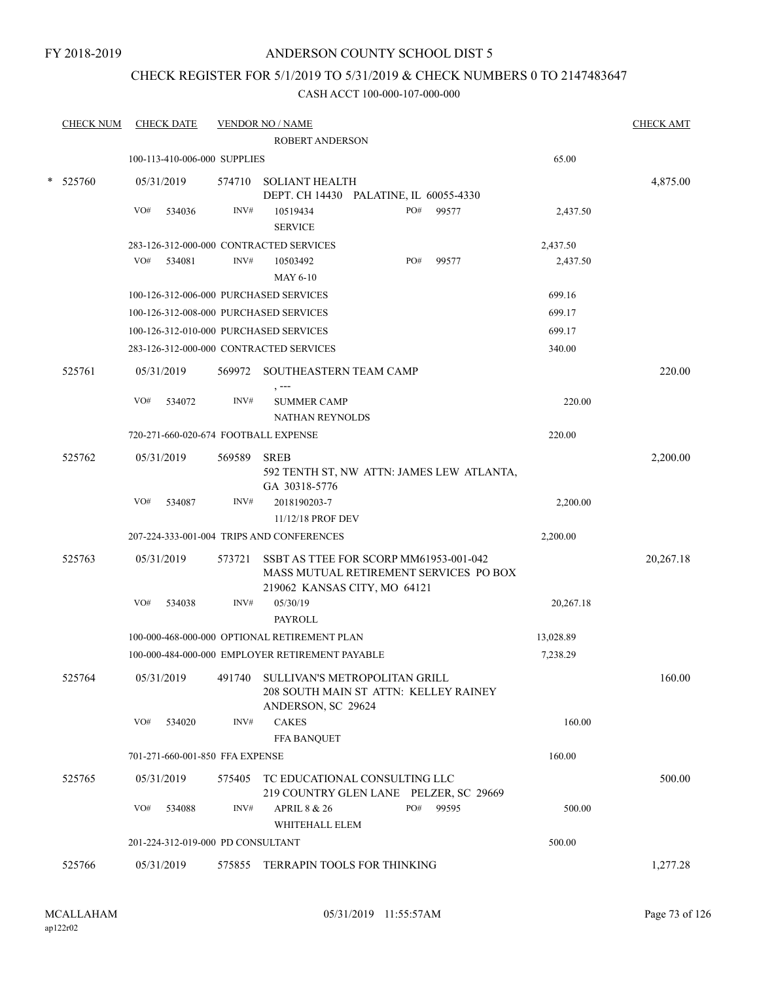### CHECK REGISTER FOR 5/1/2019 TO 5/31/2019 & CHECK NUMBERS 0 TO 2147483647

|   | <b>CHECK NUM</b> | <b>CHECK DATE</b>                      |        | <b>VENDOR NO / NAME</b>                                                                                          |     |       |           | <b>CHECK AMT</b> |
|---|------------------|----------------------------------------|--------|------------------------------------------------------------------------------------------------------------------|-----|-------|-----------|------------------|
|   |                  |                                        |        | ROBERT ANDERSON                                                                                                  |     |       |           |                  |
|   |                  | 100-113-410-006-000 SUPPLIES           |        |                                                                                                                  |     |       | 65.00     |                  |
| * | 525760           | 05/31/2019                             |        | 574710 SOLIANT HEALTH<br>DEPT. CH 14430 PALATINE, IL 60055-4330                                                  |     |       |           | 4,875.00         |
|   |                  | VO#<br>534036                          | INV#   | 10519434<br><b>SERVICE</b>                                                                                       | PO# | 99577 | 2,437.50  |                  |
|   |                  |                                        |        | 283-126-312-000-000 CONTRACTED SERVICES                                                                          |     |       | 2,437.50  |                  |
|   |                  | VO#<br>534081                          | INV#   | 10503492                                                                                                         | PO# | 99577 | 2,437.50  |                  |
|   |                  |                                        |        | <b>MAY 6-10</b>                                                                                                  |     |       |           |                  |
|   |                  | 100-126-312-006-000 PURCHASED SERVICES |        |                                                                                                                  |     |       | 699.16    |                  |
|   |                  | 100-126-312-008-000 PURCHASED SERVICES |        |                                                                                                                  |     |       | 699.17    |                  |
|   |                  | 100-126-312-010-000 PURCHASED SERVICES |        |                                                                                                                  |     |       | 699.17    |                  |
|   |                  |                                        |        | 283-126-312-000-000 CONTRACTED SERVICES                                                                          |     |       | 340.00    |                  |
|   | 525761           | 05/31/2019                             |        | 569972 SOUTHEASTERN TEAM CAMP                                                                                    |     |       |           | 220.00           |
|   |                  | VO#<br>534072                          | INV#   | <b>SUMMER CAMP</b><br>NATHAN REYNOLDS                                                                            |     |       | 220.00    |                  |
|   |                  | 720-271-660-020-674 FOOTBALL EXPENSE   |        |                                                                                                                  |     |       | 220.00    |                  |
|   | 525762           | 05/31/2019                             | 569589 | <b>SREB</b><br>592 TENTH ST, NW ATTN: JAMES LEW ATLANTA,<br>GA 30318-5776                                        |     |       |           | 2,200.00         |
|   |                  | VO#<br>534087                          | INV#   | 2018190203-7<br>11/12/18 PROF DEV                                                                                |     |       | 2,200.00  |                  |
|   |                  |                                        |        | 207-224-333-001-004 TRIPS AND CONFERENCES                                                                        |     |       | 2,200.00  |                  |
|   | 525763           | 05/31/2019                             | 573721 | SSBT AS TTEE FOR SCORP MM61953-001-042<br>MASS MUTUAL RETIREMENT SERVICES PO BOX<br>219062 KANSAS CITY, MO 64121 |     |       |           | 20,267.18        |
|   |                  | VO#<br>534038                          | INV#   | 05/30/19<br>PAYROLL                                                                                              |     |       | 20,267.18 |                  |
|   |                  |                                        |        | 100-000-468-000-000 OPTIONAL RETIREMENT PLAN                                                                     |     |       | 13,028.89 |                  |
|   |                  |                                        |        | 100-000-484-000-000 EMPLOYER RETIREMENT PAYABLE                                                                  |     |       | 7,238.29  |                  |
|   | 525764           | 05/31/2019                             | 491740 | SULLIVAN'S METROPOLITAN GRILL<br>208 SOUTH MAIN ST ATTN: KELLEY RAINEY<br>ANDERSON, SC 29624                     |     |       |           | 160.00           |
|   |                  | VO#<br>534020                          | INV#   | <b>CAKES</b><br><b>FFA BANQUET</b>                                                                               |     |       | 160.00    |                  |
|   |                  | 701-271-660-001-850 FFA EXPENSE        |        |                                                                                                                  |     |       | 160.00    |                  |
|   | 525765           | 05/31/2019                             | 575405 | TC EDUCATIONAL CONSULTING LLC                                                                                    |     |       |           | 500.00           |
|   |                  | VO#<br>534088                          | INV#   | 219 COUNTRY GLEN LANE PELZER, SC 29669<br><b>APRIL 8 &amp; 26</b>                                                | PO# | 99595 | 500.00    |                  |
|   |                  |                                        |        | WHITEHALL ELEM                                                                                                   |     |       |           |                  |
|   |                  | 201-224-312-019-000 PD CONSULTANT      |        |                                                                                                                  |     |       | 500.00    |                  |
|   | 525766           | 05/31/2019                             |        | 575855 TERRAPIN TOOLS FOR THINKING                                                                               |     |       |           | 1,277.28         |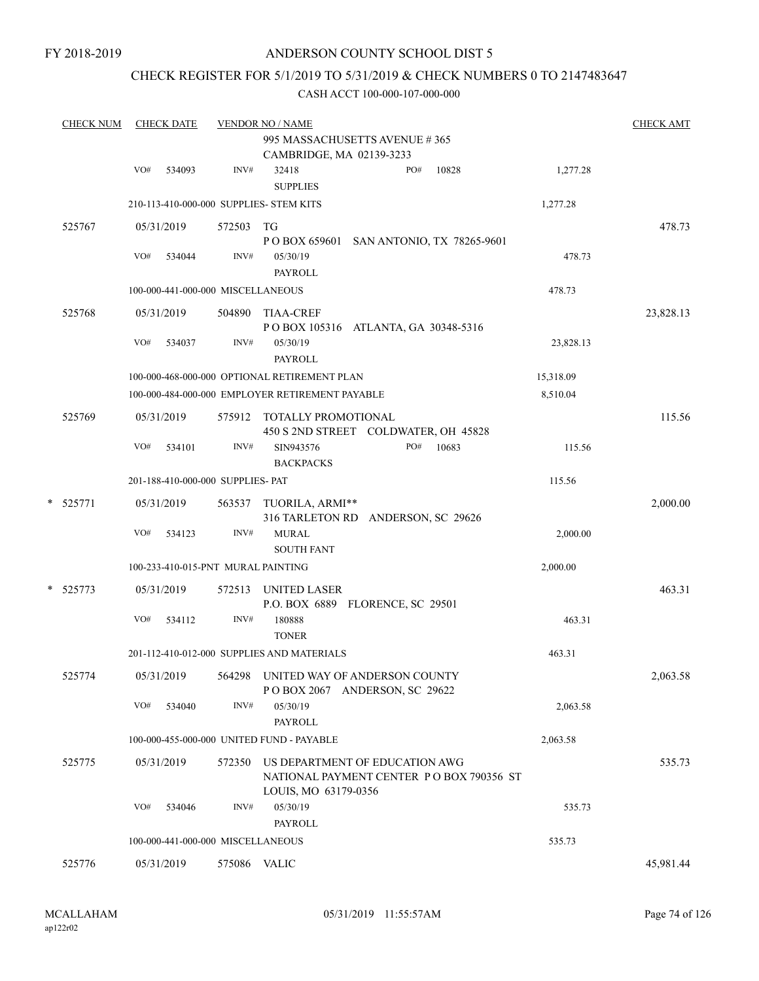FY 2018-2019

### ANDERSON COUNTY SCHOOL DIST 5

### CHECK REGISTER FOR 5/1/2019 TO 5/31/2019 & CHECK NUMBERS 0 TO 2147483647

|        |                        |        |                                                                                                              | <b>VENDOR NO / NAME</b>                                                    |                                                                                                                                                                                                                                                                                                                                                                                                                                                                                                                                                                                                                                                                                                                                                                                                        |           |  |  |  |  |
|--------|------------------------|--------|--------------------------------------------------------------------------------------------------------------|----------------------------------------------------------------------------|--------------------------------------------------------------------------------------------------------------------------------------------------------------------------------------------------------------------------------------------------------------------------------------------------------------------------------------------------------------------------------------------------------------------------------------------------------------------------------------------------------------------------------------------------------------------------------------------------------------------------------------------------------------------------------------------------------------------------------------------------------------------------------------------------------|-----------|--|--|--|--|
|        |                        |        |                                                                                                              | 995 MASSACHUSETTS AVENUE #365                                              |                                                                                                                                                                                                                                                                                                                                                                                                                                                                                                                                                                                                                                                                                                                                                                                                        |           |  |  |  |  |
|        |                        |        |                                                                                                              | CAMBRIDGE, MA 02139-3233                                                   |                                                                                                                                                                                                                                                                                                                                                                                                                                                                                                                                                                                                                                                                                                                                                                                                        |           |  |  |  |  |
|        | VO#                    | 534093 | INV#                                                                                                         | 10828<br>32418<br>PO#<br><b>SUPPLIES</b>                                   | 1,277.28                                                                                                                                                                                                                                                                                                                                                                                                                                                                                                                                                                                                                                                                                                                                                                                               |           |  |  |  |  |
|        |                        |        |                                                                                                              |                                                                            | 1,277.28                                                                                                                                                                                                                                                                                                                                                                                                                                                                                                                                                                                                                                                                                                                                                                                               |           |  |  |  |  |
| 525767 |                        |        |                                                                                                              |                                                                            |                                                                                                                                                                                                                                                                                                                                                                                                                                                                                                                                                                                                                                                                                                                                                                                                        | 478.73    |  |  |  |  |
|        | VO#                    | 534044 | INV#                                                                                                         | 05/30/19<br><b>PAYROLL</b>                                                 | 478.73                                                                                                                                                                                                                                                                                                                                                                                                                                                                                                                                                                                                                                                                                                                                                                                                 |           |  |  |  |  |
|        |                        |        |                                                                                                              |                                                                            | 478.73                                                                                                                                                                                                                                                                                                                                                                                                                                                                                                                                                                                                                                                                                                                                                                                                 |           |  |  |  |  |
| 525768 |                        |        |                                                                                                              | <b>TIAA-CREF</b>                                                           |                                                                                                                                                                                                                                                                                                                                                                                                                                                                                                                                                                                                                                                                                                                                                                                                        | 23,828.13 |  |  |  |  |
|        | VO#                    | 534037 | INV#                                                                                                         | 05/30/19<br><b>PAYROLL</b>                                                 | 23,828.13                                                                                                                                                                                                                                                                                                                                                                                                                                                                                                                                                                                                                                                                                                                                                                                              |           |  |  |  |  |
|        |                        |        |                                                                                                              |                                                                            | 15,318.09                                                                                                                                                                                                                                                                                                                                                                                                                                                                                                                                                                                                                                                                                                                                                                                              |           |  |  |  |  |
|        |                        |        |                                                                                                              |                                                                            | 8,510.04                                                                                                                                                                                                                                                                                                                                                                                                                                                                                                                                                                                                                                                                                                                                                                                               |           |  |  |  |  |
| 525769 |                        |        |                                                                                                              |                                                                            |                                                                                                                                                                                                                                                                                                                                                                                                                                                                                                                                                                                                                                                                                                                                                                                                        | 115.56    |  |  |  |  |
|        | VO#                    | 534101 | INV#                                                                                                         | SIN943576<br>PO#<br>10683                                                  | 115.56                                                                                                                                                                                                                                                                                                                                                                                                                                                                                                                                                                                                                                                                                                                                                                                                 |           |  |  |  |  |
|        |                        |        |                                                                                                              |                                                                            | 115.56                                                                                                                                                                                                                                                                                                                                                                                                                                                                                                                                                                                                                                                                                                                                                                                                 |           |  |  |  |  |
|        |                        |        |                                                                                                              |                                                                            |                                                                                                                                                                                                                                                                                                                                                                                                                                                                                                                                                                                                                                                                                                                                                                                                        | 2,000.00  |  |  |  |  |
|        | VO#                    | 534123 | INV#                                                                                                         | <b>MURAL</b>                                                               | 2,000.00                                                                                                                                                                                                                                                                                                                                                                                                                                                                                                                                                                                                                                                                                                                                                                                               |           |  |  |  |  |
|        |                        |        |                                                                                                              |                                                                            | 2,000.00                                                                                                                                                                                                                                                                                                                                                                                                                                                                                                                                                                                                                                                                                                                                                                                               |           |  |  |  |  |
|        |                        |        | 572513                                                                                                       | UNITED LASER                                                               |                                                                                                                                                                                                                                                                                                                                                                                                                                                                                                                                                                                                                                                                                                                                                                                                        | 463.31    |  |  |  |  |
|        | VO#                    | 534112 | INV#                                                                                                         | 180888<br><b>TONER</b>                                                     | 463.31                                                                                                                                                                                                                                                                                                                                                                                                                                                                                                                                                                                                                                                                                                                                                                                                 |           |  |  |  |  |
|        |                        |        |                                                                                                              |                                                                            | 463.31                                                                                                                                                                                                                                                                                                                                                                                                                                                                                                                                                                                                                                                                                                                                                                                                 |           |  |  |  |  |
| 525774 |                        |        |                                                                                                              | POBOX 2067 ANDERSON, SC 29622                                              |                                                                                                                                                                                                                                                                                                                                                                                                                                                                                                                                                                                                                                                                                                                                                                                                        | 2,063.58  |  |  |  |  |
|        | VO#                    | 534040 | INV#                                                                                                         | 05/30/19<br><b>PAYROLL</b>                                                 | 2,063.58                                                                                                                                                                                                                                                                                                                                                                                                                                                                                                                                                                                                                                                                                                                                                                                               |           |  |  |  |  |
|        |                        |        |                                                                                                              |                                                                            | 2,063.58                                                                                                                                                                                                                                                                                                                                                                                                                                                                                                                                                                                                                                                                                                                                                                                               |           |  |  |  |  |
| 525775 |                        |        | 572350                                                                                                       | US DEPARTMENT OF EDUCATION AWG<br>NATIONAL PAYMENT CENTER PO BOX 790356 ST |                                                                                                                                                                                                                                                                                                                                                                                                                                                                                                                                                                                                                                                                                                                                                                                                        | 535.73    |  |  |  |  |
|        | VO#                    | 534046 | INV#                                                                                                         | 05/30/19<br>PAYROLL                                                        | 535.73                                                                                                                                                                                                                                                                                                                                                                                                                                                                                                                                                                                                                                                                                                                                                                                                 |           |  |  |  |  |
|        |                        |        |                                                                                                              |                                                                            | 535.73                                                                                                                                                                                                                                                                                                                                                                                                                                                                                                                                                                                                                                                                                                                                                                                                 |           |  |  |  |  |
| 525776 |                        |        |                                                                                                              |                                                                            |                                                                                                                                                                                                                                                                                                                                                                                                                                                                                                                                                                                                                                                                                                                                                                                                        | 45,981.44 |  |  |  |  |
|        | $*$ 525771<br>* 525773 |        | 05/31/2019<br>05/31/2019<br>05/31/2019<br>05/31/2019<br>05/31/2019<br>05/31/2019<br>05/31/2019<br>05/31/2019 |                                                                            | 210-113-410-000-000 SUPPLIES- STEM KITS<br>572503 TG<br>POBOX 659601 SAN ANTONIO, TX 78265-9601<br>100-000-441-000-000 MISCELLANEOUS<br>504890<br>POBOX 105316 ATLANTA, GA 30348-5316<br>100-000-468-000-000 OPTIONAL RETIREMENT PLAN<br>100-000-484-000-000 EMPLOYER RETIREMENT PAYABLE<br>575912 TOTALLY PROMOTIONAL<br>450 S 2ND STREET COLDWATER, OH 45828<br><b>BACKPACKS</b><br>201-188-410-000-000 SUPPLIES- PAT<br>563537 TUORILA, ARMI**<br>316 TARLETON RD ANDERSON, SC 29626<br><b>SOUTH FANT</b><br>100-233-410-015-PNT MURAL PAINTING<br>P.O. BOX 6889 FLORENCE, SC 29501<br>201-112-410-012-000 SUPPLIES AND MATERIALS<br>564298 UNITED WAY OF ANDERSON COUNTY<br>100-000-455-000-000 UNITED FUND - PAYABLE<br>LOUIS, MO 63179-0356<br>100-000-441-000-000 MISCELLANEOUS<br>575086 VALIC |           |  |  |  |  |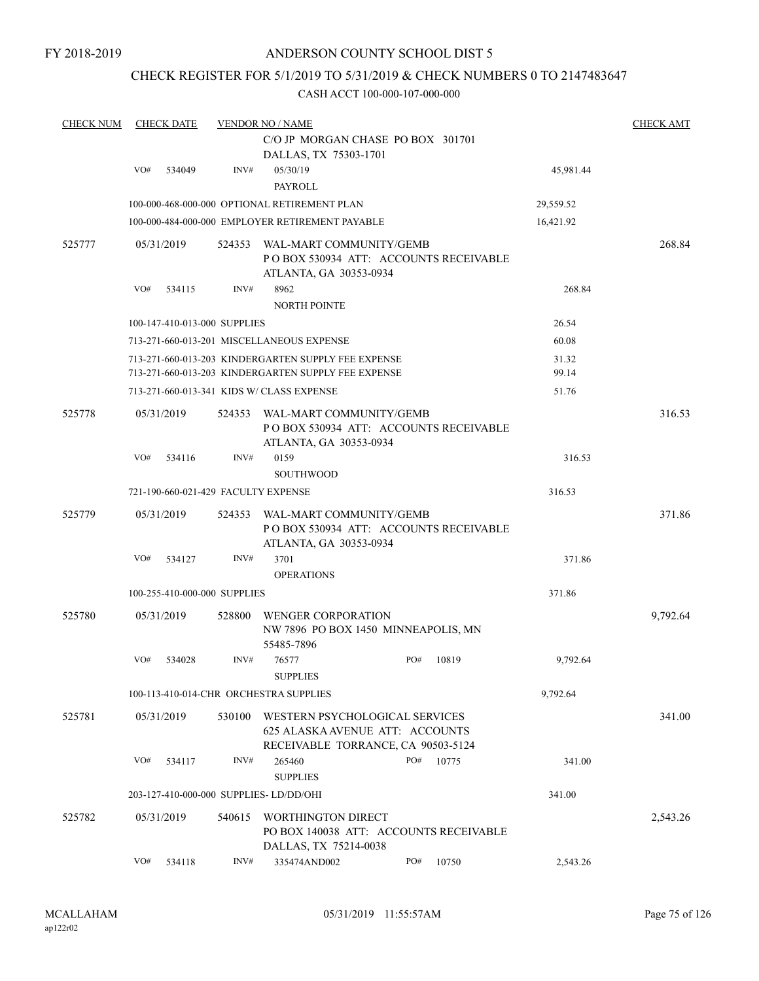### CHECK REGISTER FOR 5/1/2019 TO 5/31/2019 & CHECK NUMBERS 0 TO 2147483647

| <b>CHECK NUM</b> |     | <b>CHECK DATE</b>                   |        | <b>VENDOR NO / NAME</b>                                                                                 |     |       |           | <b>CHECK AMT</b> |
|------------------|-----|-------------------------------------|--------|---------------------------------------------------------------------------------------------------------|-----|-------|-----------|------------------|
|                  |     |                                     |        | C/O JP MORGAN CHASE PO BOX 301701                                                                       |     |       |           |                  |
|                  | VO# | 534049                              | INV#   | DALLAS, TX 75303-1701<br>05/30/19                                                                       |     |       | 45,981.44 |                  |
|                  |     |                                     |        | <b>PAYROLL</b>                                                                                          |     |       |           |                  |
|                  |     |                                     |        | 100-000-468-000-000 OPTIONAL RETIREMENT PLAN                                                            |     |       | 29,559.52 |                  |
|                  |     |                                     |        | 100-000-484-000-000 EMPLOYER RETIREMENT PAYABLE                                                         |     |       | 16,421.92 |                  |
| 525777           |     | 05/31/2019                          | 524353 | WAL-MART COMMUNITY/GEMB<br>PO BOX 530934 ATT: ACCOUNTS RECEIVABLE<br>ATLANTA, GA 30353-0934             |     |       |           | 268.84           |
|                  | VO# | 534115                              | INV#   | 8962<br><b>NORTH POINTE</b>                                                                             |     |       | 268.84    |                  |
|                  |     | 100-147-410-013-000 SUPPLIES        |        |                                                                                                         |     |       | 26.54     |                  |
|                  |     |                                     |        | 713-271-660-013-201 MISCELLANEOUS EXPENSE                                                               |     |       | 60.08     |                  |
|                  |     |                                     |        | 713-271-660-013-203 KINDERGARTEN SUPPLY FEE EXPENSE                                                     |     |       | 31.32     |                  |
|                  |     |                                     |        | 713-271-660-013-203 KINDERGARTEN SUPPLY FEE EXPENSE                                                     |     |       | 99.14     |                  |
|                  |     |                                     |        | 713-271-660-013-341 KIDS W/ CLASS EXPENSE                                                               |     |       | 51.76     |                  |
| 525778           |     | 05/31/2019                          | 524353 | WAL-MART COMMUNITY/GEMB<br>POBOX 530934 ATT: ACCOUNTS RECEIVABLE<br>ATLANTA, GA 30353-0934              |     |       |           | 316.53           |
|                  | VO# | 534116                              | INV#   | 0159<br><b>SOUTHWOOD</b>                                                                                |     |       | 316.53    |                  |
|                  |     | 721-190-660-021-429 FACULTY EXPENSE |        |                                                                                                         |     |       | 316.53    |                  |
| 525779           |     | 05/31/2019                          | 524353 | WAL-MART COMMUNITY/GEMB<br>PO BOX 530934 ATT: ACCOUNTS RECEIVABLE<br>ATLANTA, GA 30353-0934             |     |       |           | 371.86           |
|                  | VO# | 534127                              | INV#   | 3701<br><b>OPERATIONS</b>                                                                               |     |       | 371.86    |                  |
|                  |     | 100-255-410-000-000 SUPPLIES        |        |                                                                                                         |     |       | 371.86    |                  |
| 525780           |     | 05/31/2019                          | 528800 | <b>WENGER CORPORATION</b><br>NW 7896 PO BOX 1450 MINNEAPOLIS, MN<br>55485-7896                          |     |       |           | 9,792.64         |
|                  | VO# | 534028                              | INV#   | 76577<br><b>SUPPLIES</b>                                                                                | PO# | 10819 | 9,792.64  |                  |
|                  |     |                                     |        | 100-113-410-014-CHR ORCHESTRA SUPPLIES                                                                  |     |       | 9,792.64  |                  |
| 525781           |     | 05/31/2019                          | 530100 | WESTERN PSYCHOLOGICAL SERVICES<br>625 ALASKA AVENUE ATT: ACCOUNTS<br>RECEIVABLE TORRANCE, CA 90503-5124 |     |       |           | 341.00           |
|                  | VO# | 534117                              | INV#   | 265460<br><b>SUPPLIES</b>                                                                               | PO# | 10775 | 341.00    |                  |
|                  |     |                                     |        | 203-127-410-000-000 SUPPLIES-LD/DD/OHI                                                                  |     |       | 341.00    |                  |
| 525782           |     | 05/31/2019                          | 540615 | WORTHINGTON DIRECT<br>PO BOX 140038 ATT: ACCOUNTS RECEIVABLE<br>DALLAS, TX 75214-0038                   |     |       |           | 2,543.26         |
|                  | VO# | 534118                              | INV#   | 335474AND002                                                                                            | PO# | 10750 | 2,543.26  |                  |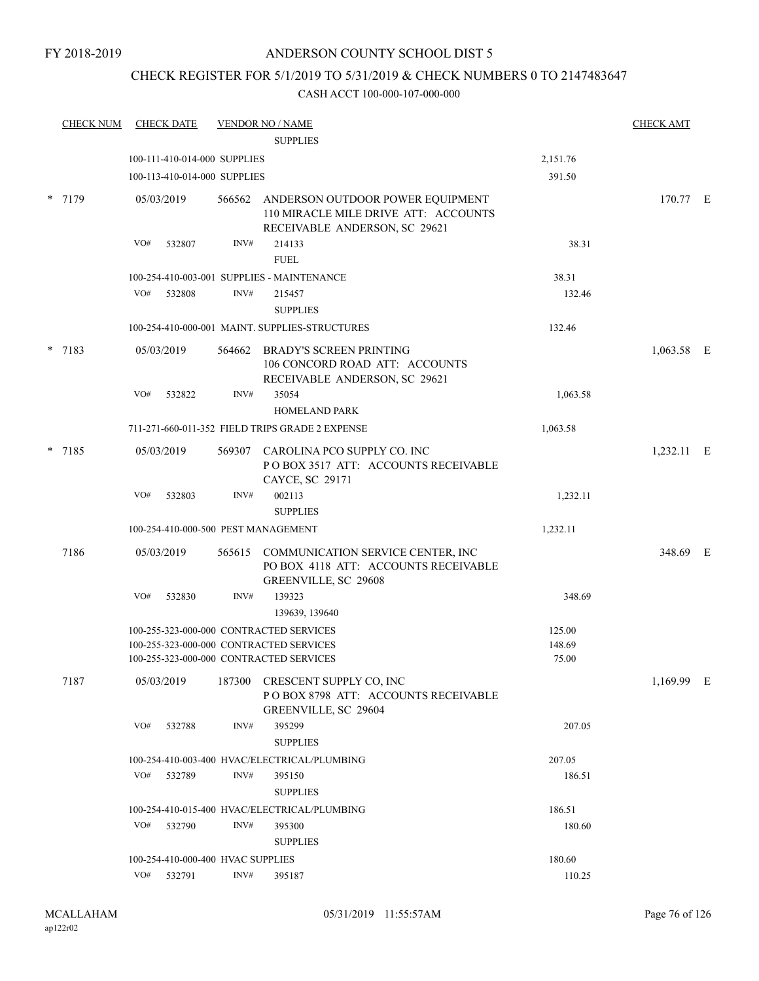#### FY 2018-2019

### ANDERSON COUNTY SCHOOL DIST 5

## CHECK REGISTER FOR 5/1/2019 TO 5/31/2019 & CHECK NUMBERS 0 TO 2147483647

|        | <b>CHECK NUM</b> |     | <b>CHECK DATE</b>                 |        | <b>VENDOR NO / NAME</b>                                                                                                       |                           | <b>CHECK AMT</b> |  |
|--------|------------------|-----|-----------------------------------|--------|-------------------------------------------------------------------------------------------------------------------------------|---------------------------|------------------|--|
|        |                  |     |                                   |        | <b>SUPPLIES</b>                                                                                                               |                           |                  |  |
|        |                  |     | 100-111-410-014-000 SUPPLIES      |        |                                                                                                                               | 2,151.76                  |                  |  |
|        |                  |     | 100-113-410-014-000 SUPPLIES      |        |                                                                                                                               | 391.50                    |                  |  |
| *      | 7179             |     | 05/03/2019                        | 566562 | ANDERSON OUTDOOR POWER EQUIPMENT<br>110 MIRACLE MILE DRIVE ATT: ACCOUNTS<br>RECEIVABLE ANDERSON, SC 29621                     |                           | 170.77 E         |  |
|        |                  | VO# | 532807                            | INV#   | 214133<br><b>FUEL</b>                                                                                                         | 38.31                     |                  |  |
|        |                  |     |                                   |        | 100-254-410-003-001 SUPPLIES - MAINTENANCE                                                                                    | 38.31                     |                  |  |
|        |                  | VO# | 532808                            | INV#   | 215457                                                                                                                        | 132.46                    |                  |  |
|        |                  |     |                                   |        | <b>SUPPLIES</b>                                                                                                               |                           |                  |  |
|        |                  |     |                                   |        | 100-254-410-000-001 MAINT. SUPPLIES-STRUCTURES                                                                                | 132.46                    |                  |  |
| $\ast$ | 7183             |     | 05/03/2019                        |        | 564662 BRADY'S SCREEN PRINTING<br>106 CONCORD ROAD ATT: ACCOUNTS<br>RECEIVABLE ANDERSON, SC 29621                             |                           | $1,063.58$ E     |  |
|        |                  | VO# | 532822                            | INV#   | 35054<br><b>HOMELAND PARK</b>                                                                                                 | 1,063.58                  |                  |  |
|        |                  |     |                                   |        | 711-271-660-011-352 FIELD TRIPS GRADE 2 EXPENSE                                                                               | 1,063.58                  |                  |  |
| *      | 7185             |     | 05/03/2019                        |        | 569307 CAROLINA PCO SUPPLY CO. INC<br>POBOX 3517 ATT: ACCOUNTS RECEIVABLE<br>CAYCE, SC 29171                                  |                           | 1,232.11 E       |  |
|        |                  | VO# | 532803                            | INV#   | 002113<br><b>SUPPLIES</b>                                                                                                     | 1,232.11                  |                  |  |
|        |                  |     |                                   |        | 100-254-410-000-500 PEST MANAGEMENT                                                                                           | 1,232.11                  |                  |  |
|        | 7186             |     | 05/03/2019                        | 565615 | COMMUNICATION SERVICE CENTER, INC<br>PO BOX 4118 ATT: ACCOUNTS RECEIVABLE<br>GREENVILLE, SC 29608                             |                           | 348.69 E         |  |
|        |                  | VO# | 532830                            | INV#   | 139323<br>139639, 139640                                                                                                      | 348.69                    |                  |  |
|        |                  |     |                                   |        | 100-255-323-000-000 CONTRACTED SERVICES<br>100-255-323-000-000 CONTRACTED SERVICES<br>100-255-323-000-000 CONTRACTED SERVICES | 125.00<br>148.69<br>75.00 |                  |  |
|        | 7187             |     | 05/03/2019                        |        | 187300 CRESCENT SUPPLY CO, INC<br>POBOX 8798 ATT: ACCOUNTS RECEIVABLE<br>GREENVILLE, SC 29604                                 |                           | 1,169.99 E       |  |
|        |                  | VO# | 532788                            | INV#   | 395299<br><b>SUPPLIES</b>                                                                                                     | 207.05                    |                  |  |
|        |                  |     |                                   |        | 100-254-410-003-400 HVAC/ELECTRICAL/PLUMBING                                                                                  | 207.05                    |                  |  |
|        |                  | VO# | 532789                            | INV#   | 395150<br><b>SUPPLIES</b>                                                                                                     | 186.51                    |                  |  |
|        |                  |     |                                   |        | 100-254-410-015-400 HVAC/ELECTRICAL/PLUMBING                                                                                  | 186.51                    |                  |  |
|        |                  | VO# | 532790                            | INV#   | 395300<br><b>SUPPLIES</b>                                                                                                     | 180.60                    |                  |  |
|        |                  |     | 100-254-410-000-400 HVAC SUPPLIES |        |                                                                                                                               | 180.60                    |                  |  |
|        |                  |     | VO# 532791                        | INV#   | 395187                                                                                                                        | 110.25                    |                  |  |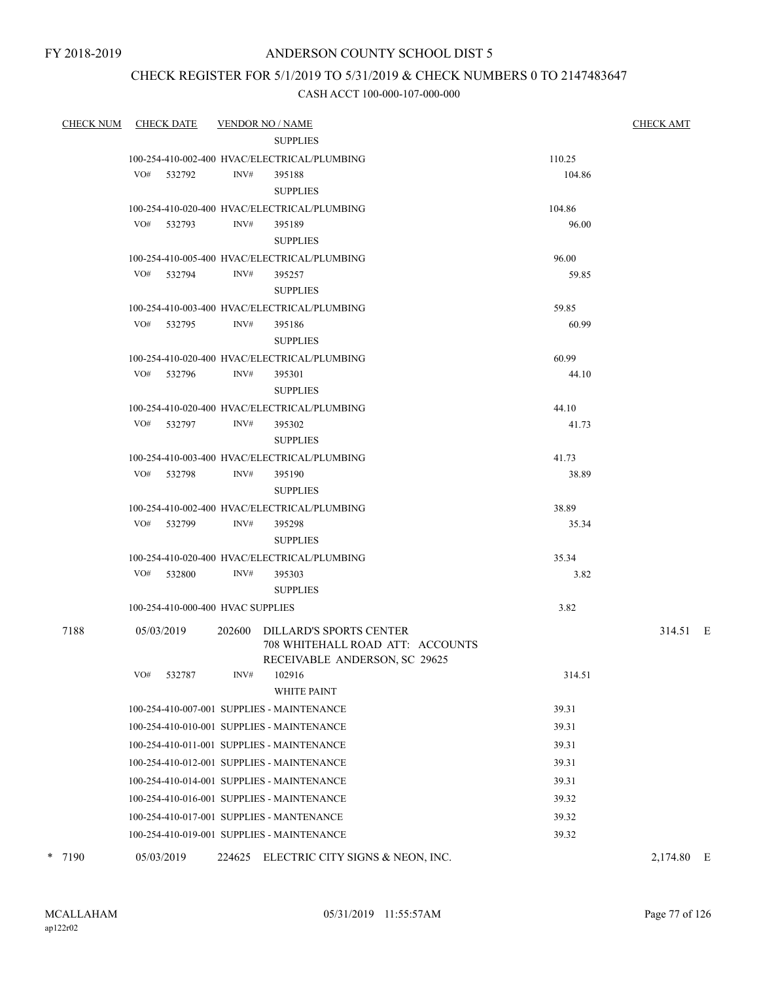### CHECK REGISTER FOR 5/1/2019 TO 5/31/2019 & CHECK NUMBERS 0 TO 2147483647

| <b>CHECK NUM</b> | <b>CHECK DATE</b>                 |      | <b>VENDOR NO / NAME</b>                                                                             |                | <u>CHECK AMT</u> |
|------------------|-----------------------------------|------|-----------------------------------------------------------------------------------------------------|----------------|------------------|
|                  |                                   |      | <b>SUPPLIES</b>                                                                                     |                |                  |
|                  |                                   |      | 100-254-410-002-400 HVAC/ELECTRICAL/PLUMBING                                                        | 110.25         |                  |
|                  | VO# 532792                        | INV# | 395188                                                                                              | 104.86         |                  |
|                  |                                   |      | <b>SUPPLIES</b>                                                                                     |                |                  |
|                  |                                   |      | 100-254-410-020-400 HVAC/ELECTRICAL/PLUMBING                                                        | 104.86         |                  |
|                  | VO# 532793                        | INV# | 395189                                                                                              | 96.00          |                  |
|                  |                                   |      | <b>SUPPLIES</b>                                                                                     |                |                  |
|                  |                                   |      | 100-254-410-005-400 HVAC/ELECTRICAL/PLUMBING                                                        | 96.00          |                  |
|                  | VO# 532794                        | INV# | 395257                                                                                              | 59.85          |                  |
|                  |                                   |      | <b>SUPPLIES</b>                                                                                     |                |                  |
|                  |                                   |      | 100-254-410-003-400 HVAC/ELECTRICAL/PLUMBING                                                        | 59.85          |                  |
|                  | VO# 532795                        | INV# | 395186                                                                                              | 60.99          |                  |
|                  |                                   |      | <b>SUPPLIES</b>                                                                                     |                |                  |
|                  | VO# 532796                        | INV# | 100-254-410-020-400 HVAC/ELECTRICAL/PLUMBING<br>395301                                              | 60.99<br>44.10 |                  |
|                  |                                   |      | <b>SUPPLIES</b>                                                                                     |                |                  |
|                  |                                   |      | 100-254-410-020-400 HVAC/ELECTRICAL/PLUMBING                                                        | 44.10          |                  |
|                  | VO# 532797                        | INV# | 395302                                                                                              | 41.73          |                  |
|                  |                                   |      | <b>SUPPLIES</b>                                                                                     |                |                  |
|                  |                                   |      | 100-254-410-003-400 HVAC/ELECTRICAL/PLUMBING                                                        | 41.73          |                  |
|                  | VO# 532798                        | INV# | 395190                                                                                              | 38.89          |                  |
|                  |                                   |      | <b>SUPPLIES</b>                                                                                     |                |                  |
|                  |                                   |      | 100-254-410-002-400 HVAC/ELECTRICAL/PLUMBING                                                        | 38.89          |                  |
|                  | VO# 532799                        | INV# | 395298                                                                                              | 35.34          |                  |
|                  |                                   |      | <b>SUPPLIES</b>                                                                                     |                |                  |
|                  |                                   |      | 100-254-410-020-400 HVAC/ELECTRICAL/PLUMBING                                                        | 35.34          |                  |
|                  | VO# 532800                        | INV# | 395303                                                                                              | 3.82           |                  |
|                  |                                   |      | <b>SUPPLIES</b>                                                                                     |                |                  |
|                  | 100-254-410-000-400 HVAC SUPPLIES |      |                                                                                                     | 3.82           |                  |
| 7188             | 05/03/2019                        |      | 202600 DILLARD'S SPORTS CENTER<br>708 WHITEHALL ROAD ATT: ACCOUNTS<br>RECEIVABLE ANDERSON, SC 29625 |                | 314.51 E         |
|                  | VO#<br>532787                     | INV# | 102916<br><b>WHITE PAINT</b>                                                                        | 314.51         |                  |
|                  |                                   |      | 100-254-410-007-001 SUPPLIES - MAINTENANCE                                                          | 39.31          |                  |
|                  |                                   |      | 100-254-410-010-001 SUPPLIES - MAINTENANCE                                                          | 39.31          |                  |
|                  |                                   |      | 100-254-410-011-001 SUPPLIES - MAINTENANCE                                                          | 39.31          |                  |
|                  |                                   |      | 100-254-410-012-001 SUPPLIES - MAINTENANCE                                                          | 39.31          |                  |
|                  |                                   |      | 100-254-410-014-001 SUPPLIES - MAINTENANCE                                                          | 39.31          |                  |
|                  |                                   |      | 100-254-410-016-001 SUPPLIES - MAINTENANCE                                                          | 39.32          |                  |
|                  |                                   |      | 100-254-410-017-001 SUPPLIES - MANTENANCE                                                           | 39.32          |                  |
|                  |                                   |      | 100-254-410-019-001 SUPPLIES - MAINTENANCE                                                          | 39.32          |                  |
| * 7190           | 05/03/2019                        |      | 224625 ELECTRIC CITY SIGNS & NEON, INC.                                                             |                | 2,174.80 E       |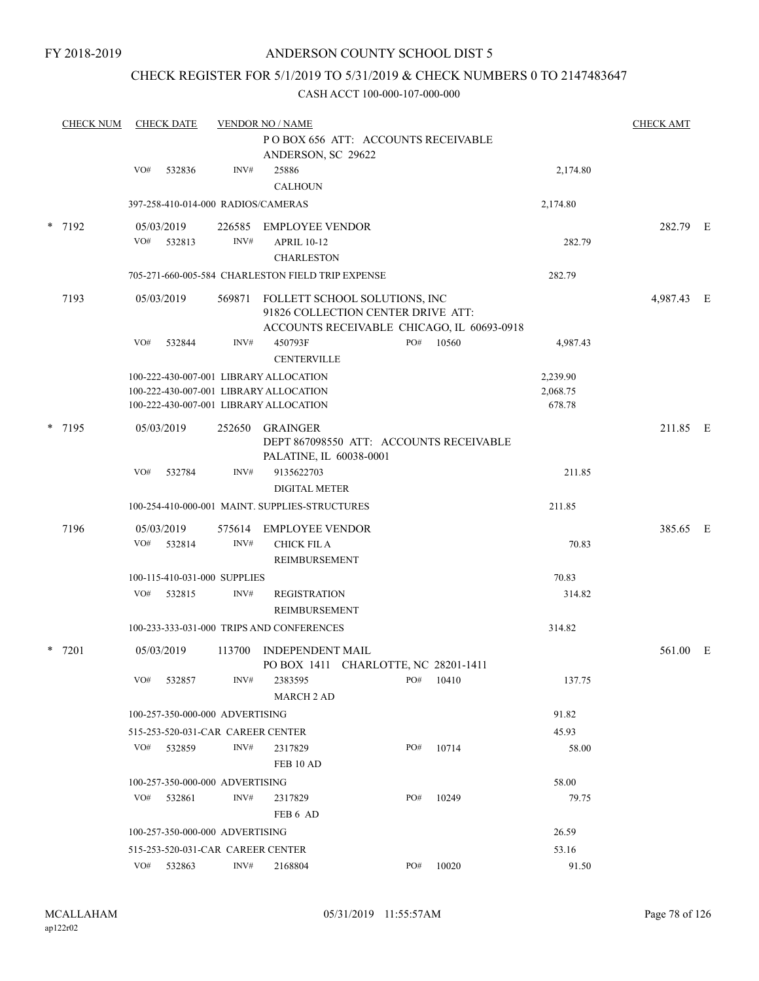### CHECK REGISTER FOR 5/1/2019 TO 5/31/2019 & CHECK NUMBERS 0 TO 2147483647

| POBOX 656 ATT: ACCOUNTS RECEIVABLE<br>ANDERSON, SC 29622<br>VO#<br>INV#<br>25886<br>532836<br>2,174.80<br><b>CALHOUN</b><br>397-258-410-014-000 RADIOS/CAMERAS<br>2,174.80<br>* 7192<br>05/03/2019<br>282.79 E<br>226585<br>EMPLOYEE VENDOR<br>INV#<br>VO# 532813<br><b>APRIL 10-12</b><br>282.79<br><b>CHARLESTON</b><br>705-271-660-005-584 CHARLESTON FIELD TRIP EXPENSE<br>282.79<br>7193<br>05/03/2019<br>569871<br>4,987.43 E<br>FOLLETT SCHOOL SOLUTIONS, INC<br>91826 COLLECTION CENTER DRIVE ATT:<br>ACCOUNTS RECEIVABLE CHICAGO, IL 60693-0918<br>INV#<br>450793F<br>PO#<br>VO#<br>532844<br>10560<br>4,987.43<br><b>CENTERVILLE</b><br>100-222-430-007-001 LIBRARY ALLOCATION<br>2,239.90<br>100-222-430-007-001 LIBRARY ALLOCATION<br>2,068.75<br>678.78<br>100-222-430-007-001 LIBRARY ALLOCATION<br>* 7195<br>211.85 E<br>05/03/2019<br>252650<br>GRAINGER<br>DEPT 867098550 ATT: ACCOUNTS RECEIVABLE<br>PALATINE, IL 60038-0001<br>INV#<br>VO#<br>9135622703<br>211.85<br>532784<br><b>DIGITAL METER</b><br>100-254-410-000-001 MAINT. SUPPLIES-STRUCTURES<br>211.85<br>7196<br>385.65 E<br>05/03/2019<br>575614 EMPLOYEE VENDOR<br>INV#<br>VO# 532814<br><b>CHICK FIL A</b><br>70.83<br>REIMBURSEMENT<br>70.83<br>100-115-410-031-000 SUPPLIES<br>VO#<br>532815<br>INV#<br><b>REGISTRATION</b><br>314.82<br><b>REIMBURSEMENT</b><br>100-233-333-031-000 TRIPS AND CONFERENCES<br>314.82<br>* 7201<br>05/03/2019<br>113700<br>561.00 E<br><b>INDEPENDENT MAIL</b><br>PO BOX 1411 CHARLOTTE, NC 28201-1411<br>VO#<br>INV#<br>PO#<br>10410<br>137.75<br>532857<br>2383595<br><b>MARCH 2 AD</b><br>91.82<br>100-257-350-000-000 ADVERTISING<br>45.93<br>515-253-520-031-CAR CAREER CENTER<br>INV#<br>PO#<br>10714<br>VO# 532859<br>58.00<br>2317829<br>FEB 10 AD<br>100-257-350-000-000 ADVERTISING<br>58.00<br>INV#<br>PO#<br>10249<br>VO# 532861<br>2317829<br>79.75<br>FEB 6 AD<br>100-257-350-000-000 ADVERTISING |  | <b>CHECK NUM</b> | <b>CHECK DATE</b><br><b>VENDOR NO / NAME</b> |  |  |  |  |  |  |       | <b>CHECK AMT</b> |  |
|-----------------------------------------------------------------------------------------------------------------------------------------------------------------------------------------------------------------------------------------------------------------------------------------------------------------------------------------------------------------------------------------------------------------------------------------------------------------------------------------------------------------------------------------------------------------------------------------------------------------------------------------------------------------------------------------------------------------------------------------------------------------------------------------------------------------------------------------------------------------------------------------------------------------------------------------------------------------------------------------------------------------------------------------------------------------------------------------------------------------------------------------------------------------------------------------------------------------------------------------------------------------------------------------------------------------------------------------------------------------------------------------------------------------------------------------------------------------------------------------------------------------------------------------------------------------------------------------------------------------------------------------------------------------------------------------------------------------------------------------------------------------------------------------------------------------------------------------------------------------------------------------------------------------------------------|--|------------------|----------------------------------------------|--|--|--|--|--|--|-------|------------------|--|
|                                                                                                                                                                                                                                                                                                                                                                                                                                                                                                                                                                                                                                                                                                                                                                                                                                                                                                                                                                                                                                                                                                                                                                                                                                                                                                                                                                                                                                                                                                                                                                                                                                                                                                                                                                                                                                                                                                                                   |  |                  |                                              |  |  |  |  |  |  |       |                  |  |
|                                                                                                                                                                                                                                                                                                                                                                                                                                                                                                                                                                                                                                                                                                                                                                                                                                                                                                                                                                                                                                                                                                                                                                                                                                                                                                                                                                                                                                                                                                                                                                                                                                                                                                                                                                                                                                                                                                                                   |  |                  |                                              |  |  |  |  |  |  |       |                  |  |
|                                                                                                                                                                                                                                                                                                                                                                                                                                                                                                                                                                                                                                                                                                                                                                                                                                                                                                                                                                                                                                                                                                                                                                                                                                                                                                                                                                                                                                                                                                                                                                                                                                                                                                                                                                                                                                                                                                                                   |  |                  |                                              |  |  |  |  |  |  |       |                  |  |
|                                                                                                                                                                                                                                                                                                                                                                                                                                                                                                                                                                                                                                                                                                                                                                                                                                                                                                                                                                                                                                                                                                                                                                                                                                                                                                                                                                                                                                                                                                                                                                                                                                                                                                                                                                                                                                                                                                                                   |  |                  |                                              |  |  |  |  |  |  |       |                  |  |
|                                                                                                                                                                                                                                                                                                                                                                                                                                                                                                                                                                                                                                                                                                                                                                                                                                                                                                                                                                                                                                                                                                                                                                                                                                                                                                                                                                                                                                                                                                                                                                                                                                                                                                                                                                                                                                                                                                                                   |  |                  |                                              |  |  |  |  |  |  |       |                  |  |
|                                                                                                                                                                                                                                                                                                                                                                                                                                                                                                                                                                                                                                                                                                                                                                                                                                                                                                                                                                                                                                                                                                                                                                                                                                                                                                                                                                                                                                                                                                                                                                                                                                                                                                                                                                                                                                                                                                                                   |  |                  |                                              |  |  |  |  |  |  |       |                  |  |
|                                                                                                                                                                                                                                                                                                                                                                                                                                                                                                                                                                                                                                                                                                                                                                                                                                                                                                                                                                                                                                                                                                                                                                                                                                                                                                                                                                                                                                                                                                                                                                                                                                                                                                                                                                                                                                                                                                                                   |  |                  |                                              |  |  |  |  |  |  |       |                  |  |
|                                                                                                                                                                                                                                                                                                                                                                                                                                                                                                                                                                                                                                                                                                                                                                                                                                                                                                                                                                                                                                                                                                                                                                                                                                                                                                                                                                                                                                                                                                                                                                                                                                                                                                                                                                                                                                                                                                                                   |  |                  |                                              |  |  |  |  |  |  |       |                  |  |
|                                                                                                                                                                                                                                                                                                                                                                                                                                                                                                                                                                                                                                                                                                                                                                                                                                                                                                                                                                                                                                                                                                                                                                                                                                                                                                                                                                                                                                                                                                                                                                                                                                                                                                                                                                                                                                                                                                                                   |  |                  |                                              |  |  |  |  |  |  |       |                  |  |
|                                                                                                                                                                                                                                                                                                                                                                                                                                                                                                                                                                                                                                                                                                                                                                                                                                                                                                                                                                                                                                                                                                                                                                                                                                                                                                                                                                                                                                                                                                                                                                                                                                                                                                                                                                                                                                                                                                                                   |  |                  |                                              |  |  |  |  |  |  |       |                  |  |
|                                                                                                                                                                                                                                                                                                                                                                                                                                                                                                                                                                                                                                                                                                                                                                                                                                                                                                                                                                                                                                                                                                                                                                                                                                                                                                                                                                                                                                                                                                                                                                                                                                                                                                                                                                                                                                                                                                                                   |  |                  |                                              |  |  |  |  |  |  |       |                  |  |
|                                                                                                                                                                                                                                                                                                                                                                                                                                                                                                                                                                                                                                                                                                                                                                                                                                                                                                                                                                                                                                                                                                                                                                                                                                                                                                                                                                                                                                                                                                                                                                                                                                                                                                                                                                                                                                                                                                                                   |  |                  |                                              |  |  |  |  |  |  |       |                  |  |
|                                                                                                                                                                                                                                                                                                                                                                                                                                                                                                                                                                                                                                                                                                                                                                                                                                                                                                                                                                                                                                                                                                                                                                                                                                                                                                                                                                                                                                                                                                                                                                                                                                                                                                                                                                                                                                                                                                                                   |  |                  |                                              |  |  |  |  |  |  |       |                  |  |
|                                                                                                                                                                                                                                                                                                                                                                                                                                                                                                                                                                                                                                                                                                                                                                                                                                                                                                                                                                                                                                                                                                                                                                                                                                                                                                                                                                                                                                                                                                                                                                                                                                                                                                                                                                                                                                                                                                                                   |  |                  |                                              |  |  |  |  |  |  |       |                  |  |
|                                                                                                                                                                                                                                                                                                                                                                                                                                                                                                                                                                                                                                                                                                                                                                                                                                                                                                                                                                                                                                                                                                                                                                                                                                                                                                                                                                                                                                                                                                                                                                                                                                                                                                                                                                                                                                                                                                                                   |  |                  |                                              |  |  |  |  |  |  |       |                  |  |
|                                                                                                                                                                                                                                                                                                                                                                                                                                                                                                                                                                                                                                                                                                                                                                                                                                                                                                                                                                                                                                                                                                                                                                                                                                                                                                                                                                                                                                                                                                                                                                                                                                                                                                                                                                                                                                                                                                                                   |  |                  |                                              |  |  |  |  |  |  |       |                  |  |
|                                                                                                                                                                                                                                                                                                                                                                                                                                                                                                                                                                                                                                                                                                                                                                                                                                                                                                                                                                                                                                                                                                                                                                                                                                                                                                                                                                                                                                                                                                                                                                                                                                                                                                                                                                                                                                                                                                                                   |  |                  |                                              |  |  |  |  |  |  |       |                  |  |
|                                                                                                                                                                                                                                                                                                                                                                                                                                                                                                                                                                                                                                                                                                                                                                                                                                                                                                                                                                                                                                                                                                                                                                                                                                                                                                                                                                                                                                                                                                                                                                                                                                                                                                                                                                                                                                                                                                                                   |  |                  |                                              |  |  |  |  |  |  |       |                  |  |
|                                                                                                                                                                                                                                                                                                                                                                                                                                                                                                                                                                                                                                                                                                                                                                                                                                                                                                                                                                                                                                                                                                                                                                                                                                                                                                                                                                                                                                                                                                                                                                                                                                                                                                                                                                                                                                                                                                                                   |  |                  |                                              |  |  |  |  |  |  |       |                  |  |
|                                                                                                                                                                                                                                                                                                                                                                                                                                                                                                                                                                                                                                                                                                                                                                                                                                                                                                                                                                                                                                                                                                                                                                                                                                                                                                                                                                                                                                                                                                                                                                                                                                                                                                                                                                                                                                                                                                                                   |  |                  |                                              |  |  |  |  |  |  |       |                  |  |
|                                                                                                                                                                                                                                                                                                                                                                                                                                                                                                                                                                                                                                                                                                                                                                                                                                                                                                                                                                                                                                                                                                                                                                                                                                                                                                                                                                                                                                                                                                                                                                                                                                                                                                                                                                                                                                                                                                                                   |  |                  |                                              |  |  |  |  |  |  |       |                  |  |
|                                                                                                                                                                                                                                                                                                                                                                                                                                                                                                                                                                                                                                                                                                                                                                                                                                                                                                                                                                                                                                                                                                                                                                                                                                                                                                                                                                                                                                                                                                                                                                                                                                                                                                                                                                                                                                                                                                                                   |  |                  |                                              |  |  |  |  |  |  |       |                  |  |
|                                                                                                                                                                                                                                                                                                                                                                                                                                                                                                                                                                                                                                                                                                                                                                                                                                                                                                                                                                                                                                                                                                                                                                                                                                                                                                                                                                                                                                                                                                                                                                                                                                                                                                                                                                                                                                                                                                                                   |  |                  |                                              |  |  |  |  |  |  |       |                  |  |
|                                                                                                                                                                                                                                                                                                                                                                                                                                                                                                                                                                                                                                                                                                                                                                                                                                                                                                                                                                                                                                                                                                                                                                                                                                                                                                                                                                                                                                                                                                                                                                                                                                                                                                                                                                                                                                                                                                                                   |  |                  |                                              |  |  |  |  |  |  |       |                  |  |
|                                                                                                                                                                                                                                                                                                                                                                                                                                                                                                                                                                                                                                                                                                                                                                                                                                                                                                                                                                                                                                                                                                                                                                                                                                                                                                                                                                                                                                                                                                                                                                                                                                                                                                                                                                                                                                                                                                                                   |  |                  |                                              |  |  |  |  |  |  |       |                  |  |
|                                                                                                                                                                                                                                                                                                                                                                                                                                                                                                                                                                                                                                                                                                                                                                                                                                                                                                                                                                                                                                                                                                                                                                                                                                                                                                                                                                                                                                                                                                                                                                                                                                                                                                                                                                                                                                                                                                                                   |  |                  |                                              |  |  |  |  |  |  |       |                  |  |
|                                                                                                                                                                                                                                                                                                                                                                                                                                                                                                                                                                                                                                                                                                                                                                                                                                                                                                                                                                                                                                                                                                                                                                                                                                                                                                                                                                                                                                                                                                                                                                                                                                                                                                                                                                                                                                                                                                                                   |  |                  |                                              |  |  |  |  |  |  |       |                  |  |
|                                                                                                                                                                                                                                                                                                                                                                                                                                                                                                                                                                                                                                                                                                                                                                                                                                                                                                                                                                                                                                                                                                                                                                                                                                                                                                                                                                                                                                                                                                                                                                                                                                                                                                                                                                                                                                                                                                                                   |  |                  |                                              |  |  |  |  |  |  |       |                  |  |
|                                                                                                                                                                                                                                                                                                                                                                                                                                                                                                                                                                                                                                                                                                                                                                                                                                                                                                                                                                                                                                                                                                                                                                                                                                                                                                                                                                                                                                                                                                                                                                                                                                                                                                                                                                                                                                                                                                                                   |  |                  |                                              |  |  |  |  |  |  |       |                  |  |
|                                                                                                                                                                                                                                                                                                                                                                                                                                                                                                                                                                                                                                                                                                                                                                                                                                                                                                                                                                                                                                                                                                                                                                                                                                                                                                                                                                                                                                                                                                                                                                                                                                                                                                                                                                                                                                                                                                                                   |  |                  |                                              |  |  |  |  |  |  |       |                  |  |
|                                                                                                                                                                                                                                                                                                                                                                                                                                                                                                                                                                                                                                                                                                                                                                                                                                                                                                                                                                                                                                                                                                                                                                                                                                                                                                                                                                                                                                                                                                                                                                                                                                                                                                                                                                                                                                                                                                                                   |  |                  |                                              |  |  |  |  |  |  |       |                  |  |
|                                                                                                                                                                                                                                                                                                                                                                                                                                                                                                                                                                                                                                                                                                                                                                                                                                                                                                                                                                                                                                                                                                                                                                                                                                                                                                                                                                                                                                                                                                                                                                                                                                                                                                                                                                                                                                                                                                                                   |  |                  |                                              |  |  |  |  |  |  |       |                  |  |
|                                                                                                                                                                                                                                                                                                                                                                                                                                                                                                                                                                                                                                                                                                                                                                                                                                                                                                                                                                                                                                                                                                                                                                                                                                                                                                                                                                                                                                                                                                                                                                                                                                                                                                                                                                                                                                                                                                                                   |  |                  |                                              |  |  |  |  |  |  |       |                  |  |
|                                                                                                                                                                                                                                                                                                                                                                                                                                                                                                                                                                                                                                                                                                                                                                                                                                                                                                                                                                                                                                                                                                                                                                                                                                                                                                                                                                                                                                                                                                                                                                                                                                                                                                                                                                                                                                                                                                                                   |  |                  |                                              |  |  |  |  |  |  |       |                  |  |
|                                                                                                                                                                                                                                                                                                                                                                                                                                                                                                                                                                                                                                                                                                                                                                                                                                                                                                                                                                                                                                                                                                                                                                                                                                                                                                                                                                                                                                                                                                                                                                                                                                                                                                                                                                                                                                                                                                                                   |  |                  |                                              |  |  |  |  |  |  |       |                  |  |
|                                                                                                                                                                                                                                                                                                                                                                                                                                                                                                                                                                                                                                                                                                                                                                                                                                                                                                                                                                                                                                                                                                                                                                                                                                                                                                                                                                                                                                                                                                                                                                                                                                                                                                                                                                                                                                                                                                                                   |  |                  |                                              |  |  |  |  |  |  | 26.59 |                  |  |
| 53.16<br>515-253-520-031-CAR CAREER CENTER                                                                                                                                                                                                                                                                                                                                                                                                                                                                                                                                                                                                                                                                                                                                                                                                                                                                                                                                                                                                                                                                                                                                                                                                                                                                                                                                                                                                                                                                                                                                                                                                                                                                                                                                                                                                                                                                                        |  |                  |                                              |  |  |  |  |  |  |       |                  |  |
| INV#<br>PO#<br>10020<br>VO# 532863<br>2168804<br>91.50                                                                                                                                                                                                                                                                                                                                                                                                                                                                                                                                                                                                                                                                                                                                                                                                                                                                                                                                                                                                                                                                                                                                                                                                                                                                                                                                                                                                                                                                                                                                                                                                                                                                                                                                                                                                                                                                            |  |                  |                                              |  |  |  |  |  |  |       |                  |  |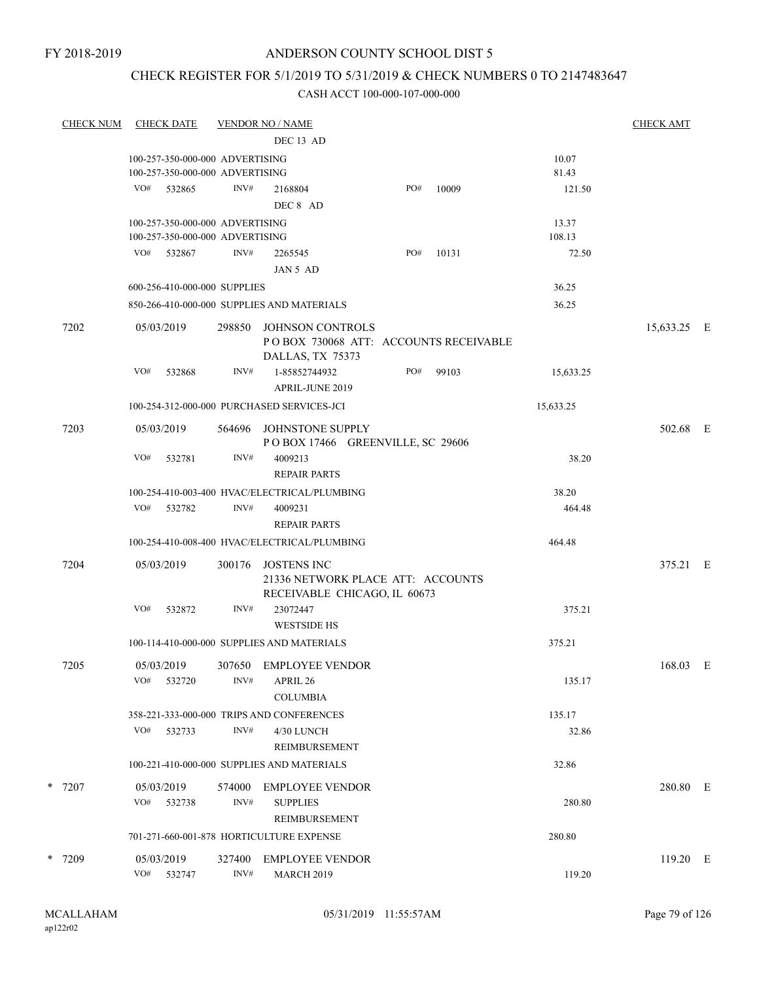### CHECK REGISTER FOR 5/1/2019 TO 5/31/2019 & CHECK NUMBERS 0 TO 2147483647

| <b>CHECK NUM</b> |     | <b>CHECK DATE</b>    |                                                                    | <b>VENDOR NO / NAME</b>                                                                 |     |       |                 | <b>CHECK AMT</b> |   |
|------------------|-----|----------------------|--------------------------------------------------------------------|-----------------------------------------------------------------------------------------|-----|-------|-----------------|------------------|---|
|                  |     |                      |                                                                    | DEC 13 AD                                                                               |     |       |                 |                  |   |
|                  |     |                      | 100-257-350-000-000 ADVERTISING<br>100-257-350-000-000 ADVERTISING |                                                                                         |     |       | 10.07<br>81.43  |                  |   |
|                  | VO# | 532865               | INV#                                                               | 2168804<br>DEC 8 AD                                                                     | PO# | 10009 | 121.50          |                  |   |
|                  |     |                      | 100-257-350-000-000 ADVERTISING<br>100-257-350-000-000 ADVERTISING |                                                                                         |     |       | 13.37<br>108.13 |                  |   |
|                  |     | VO# 532867           | INV#                                                               | 2265545<br>JAN 5 AD                                                                     | PO# | 10131 | 72.50           |                  |   |
|                  |     |                      | 600-256-410-000-000 SUPPLIES                                       |                                                                                         |     |       | 36.25           |                  |   |
|                  |     |                      |                                                                    | 850-266-410-000-000 SUPPLIES AND MATERIALS                                              |     |       | 36.25           |                  |   |
| 7202             |     | 05/03/2019           | 298850                                                             | <b>JOHNSON CONTROLS</b><br>POBOX 730068 ATT: ACCOUNTS RECEIVABLE<br>DALLAS, TX 75373    |     |       |                 | 15,633.25 E      |   |
|                  | VO# | 532868               | INV#                                                               | 1-85852744932<br><b>APRIL-JUNE 2019</b>                                                 | PO# | 99103 | 15,633.25       |                  |   |
|                  |     |                      |                                                                    | 100-254-312-000-000 PURCHASED SERVICES-JCI                                              |     |       | 15,633.25       |                  |   |
| 7203             |     | 05/03/2019           | 564696                                                             | JOHNSTONE SUPPLY<br>POBOX 17466 GREENVILLE, SC 29606                                    |     |       |                 | 502.68 E         |   |
|                  | VO# | 532781               | INV#                                                               | 4009213<br><b>REPAIR PARTS</b>                                                          |     |       | 38.20           |                  |   |
|                  |     |                      |                                                                    | 100-254-410-003-400 HVAC/ELECTRICAL/PLUMBING                                            |     |       | 38.20           |                  |   |
|                  | VO# | 532782               | INV#                                                               | 4009231<br><b>REPAIR PARTS</b>                                                          |     |       | 464.48          |                  |   |
|                  |     |                      |                                                                    | 100-254-410-008-400 HVAC/ELECTRICAL/PLUMBING                                            |     |       | 464.48          |                  |   |
| 7204             |     | 05/03/2019           | 300176                                                             | <b>JOSTENS INC</b><br>21336 NETWORK PLACE ATT: ACCOUNTS<br>RECEIVABLE CHICAGO, IL 60673 |     |       |                 | 375.21 E         |   |
|                  | VO# | 532872               | INV#                                                               | 23072447<br><b>WESTSIDE HS</b>                                                          |     |       | 375.21          |                  |   |
|                  |     |                      |                                                                    | 100-114-410-000-000 SUPPLIES AND MATERIALS                                              |     |       | 375.21          |                  |   |
| 7205             | VO# | 05/03/2019<br>532720 | INV#                                                               | 307650 EMPLOYEE VENDOR<br>APRIL 26                                                      |     |       | 135.17          | 168.03           | Ε |
|                  |     |                      |                                                                    | <b>COLUMBIA</b>                                                                         |     |       |                 |                  |   |
|                  |     |                      |                                                                    | 358-221-333-000-000 TRIPS AND CONFERENCES                                               |     |       | 135.17          |                  |   |
|                  | VO# | 532733               | INV#                                                               | 4/30 LUNCH<br>REIMBURSEMENT                                                             |     |       | 32.86           |                  |   |
|                  |     |                      |                                                                    | 100-221-410-000-000 SUPPLIES AND MATERIALS                                              |     |       | 32.86           |                  |   |
| $*$ 7207         | VO# | 05/03/2019<br>532738 | 574000<br>INV#                                                     | <b>EMPLOYEE VENDOR</b><br><b>SUPPLIES</b>                                               |     |       | 280.80          | 280.80 E         |   |
|                  |     |                      |                                                                    | <b>REIMBURSEMENT</b><br>701-271-660-001-878 HORTICULTURE EXPENSE                        |     |       | 280.80          |                  |   |
|                  |     |                      |                                                                    |                                                                                         |     |       |                 |                  |   |
| * 7209           | VO# | 05/03/2019<br>532747 | 327400<br>INV#                                                     | EMPLOYEE VENDOR<br><b>MARCH 2019</b>                                                    |     |       | 119.20          | 119.20 E         |   |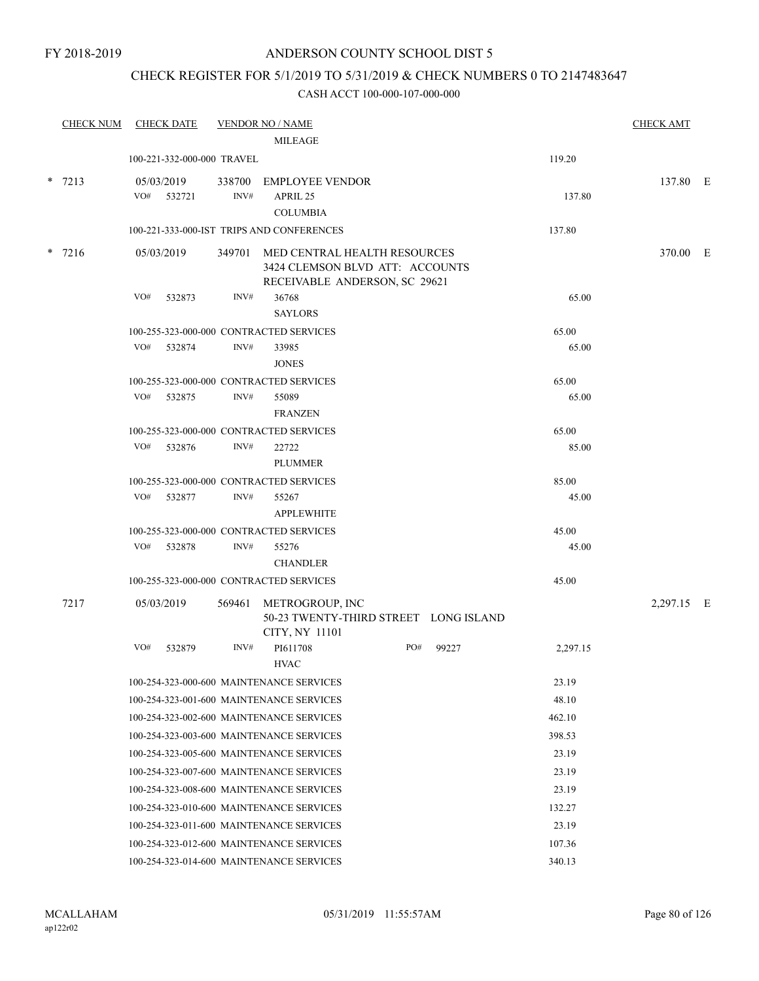### CHECK REGISTER FOR 5/1/2019 TO 5/31/2019 & CHECK NUMBERS 0 TO 2147483647

|        | <b>CHECK NUM</b> | <b>CHECK DATE</b>                       |        | <b>VENDOR NO / NAME</b>                                                                                 |     |       |          | <b>CHECK AMT</b> |  |
|--------|------------------|-----------------------------------------|--------|---------------------------------------------------------------------------------------------------------|-----|-------|----------|------------------|--|
|        |                  |                                         |        | <b>MILEAGE</b>                                                                                          |     |       |          |                  |  |
|        |                  | 100-221-332-000-000 TRAVEL              |        |                                                                                                         |     |       | 119.20   |                  |  |
|        | $* 7213$         | 05/03/2019                              |        | 338700 EMPLOYEE VENDOR                                                                                  |     |       |          | 137.80 E         |  |
|        |                  | VO# 532721                              | INV#   | APRIL 25                                                                                                |     |       | 137.80   |                  |  |
|        |                  |                                         |        | <b>COLUMBIA</b>                                                                                         |     |       |          |                  |  |
|        |                  |                                         |        | 100-221-333-000-IST TRIPS AND CONFERENCES                                                               |     |       | 137.80   |                  |  |
| $\ast$ | 7216             | 05/03/2019                              |        | 349701 MED CENTRAL HEALTH RESOURCES<br>3424 CLEMSON BLVD ATT: ACCOUNTS<br>RECEIVABLE ANDERSON, SC 29621 |     |       |          | 370.00 E         |  |
|        |                  | VO#<br>532873                           | INV#   | 36768<br><b>SAYLORS</b>                                                                                 |     |       | 65.00    |                  |  |
|        |                  | 100-255-323-000-000 CONTRACTED SERVICES |        |                                                                                                         |     |       | 65.00    |                  |  |
|        |                  | VO#<br>532874                           | INV#   | 33985<br><b>JONES</b>                                                                                   |     |       | 65.00    |                  |  |
|        |                  | 100-255-323-000-000 CONTRACTED SERVICES |        |                                                                                                         |     |       | 65.00    |                  |  |
|        |                  | VO#<br>532875                           | INV#   | 55089                                                                                                   |     |       | 65.00    |                  |  |
|        |                  |                                         |        | <b>FRANZEN</b>                                                                                          |     |       |          |                  |  |
|        |                  | 100-255-323-000-000 CONTRACTED SERVICES |        |                                                                                                         |     |       | 65.00    |                  |  |
|        |                  | VO#<br>532876                           | INV#   | 22722<br><b>PLUMMER</b>                                                                                 |     |       | 85.00    |                  |  |
|        |                  | 100-255-323-000-000 CONTRACTED SERVICES |        |                                                                                                         |     |       | 85.00    |                  |  |
|        |                  | VO#<br>532877                           | INV#   | 55267<br><b>APPLEWHITE</b>                                                                              |     |       | 45.00    |                  |  |
|        |                  | 100-255-323-000-000 CONTRACTED SERVICES |        |                                                                                                         |     |       | 45.00    |                  |  |
|        |                  | VO#<br>532878                           | INV#   | 55276<br><b>CHANDLER</b>                                                                                |     |       | 45.00    |                  |  |
|        |                  | 100-255-323-000-000 CONTRACTED SERVICES |        |                                                                                                         |     |       | 45.00    |                  |  |
|        | 7217             | 05/03/2019                              | 569461 | METROGROUP, INC                                                                                         |     |       |          | 2,297.15 E       |  |
|        |                  |                                         |        | 50-23 TWENTY-THIRD STREET LONG ISLAND<br>CITY, NY 11101                                                 |     |       |          |                  |  |
|        |                  | VO#<br>532879                           | INV#   | PI611708<br><b>HVAC</b>                                                                                 | PO# | 99227 | 2,297.15 |                  |  |
|        |                  |                                         |        | 100-254-323-000-600 MAINTENANCE SERVICES                                                                |     |       | 23.19    |                  |  |
|        |                  |                                         |        | 100-254-323-001-600 MAINTENANCE SERVICES                                                                |     |       | 48.10    |                  |  |
|        |                  |                                         |        | 100-254-323-002-600 MAINTENANCE SERVICES                                                                |     |       | 462.10   |                  |  |
|        |                  |                                         |        | 100-254-323-003-600 MAINTENANCE SERVICES                                                                |     |       | 398.53   |                  |  |
|        |                  |                                         |        | 100-254-323-005-600 MAINTENANCE SERVICES                                                                |     |       | 23.19    |                  |  |
|        |                  |                                         |        | 100-254-323-007-600 MAINTENANCE SERVICES                                                                |     |       | 23.19    |                  |  |
|        |                  |                                         |        | 100-254-323-008-600 MAINTENANCE SERVICES                                                                |     |       | 23.19    |                  |  |
|        |                  |                                         |        | 100-254-323-010-600 MAINTENANCE SERVICES                                                                |     |       | 132.27   |                  |  |
|        |                  |                                         |        | 100-254-323-011-600 MAINTENANCE SERVICES                                                                |     |       | 23.19    |                  |  |
|        |                  |                                         |        | 100-254-323-012-600 MAINTENANCE SERVICES                                                                |     |       | 107.36   |                  |  |
|        |                  |                                         |        | 100-254-323-014-600 MAINTENANCE SERVICES                                                                |     |       | 340.13   |                  |  |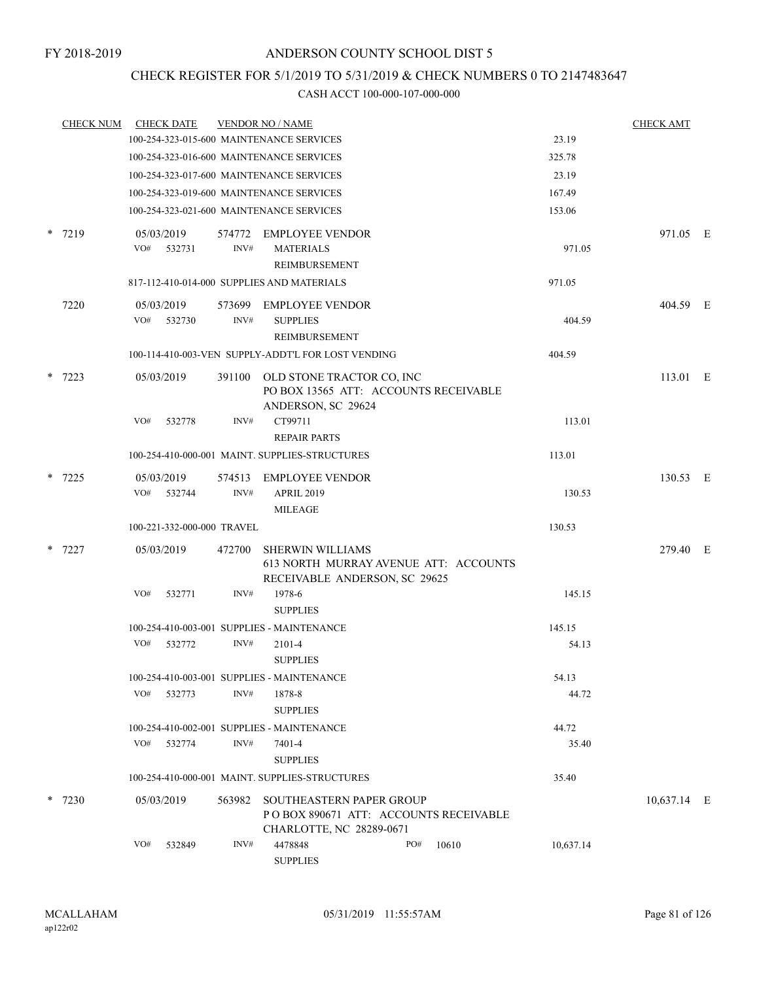### CHECK REGISTER FOR 5/1/2019 TO 5/31/2019 & CHECK NUMBERS 0 TO 2147483647

|   | <b>CHECK NUM</b> |     | <b>CHECK DATE</b>          |                | <b>VENDOR NO / NAME</b>                                                                              |     |       |           | <b>CHECK AMT</b> |  |
|---|------------------|-----|----------------------------|----------------|------------------------------------------------------------------------------------------------------|-----|-------|-----------|------------------|--|
|   |                  |     |                            |                | 100-254-323-015-600 MAINTENANCE SERVICES                                                             |     |       | 23.19     |                  |  |
|   |                  |     |                            |                | 100-254-323-016-600 MAINTENANCE SERVICES                                                             |     |       | 325.78    |                  |  |
|   |                  |     |                            |                | 100-254-323-017-600 MAINTENANCE SERVICES                                                             |     |       | 23.19     |                  |  |
|   |                  |     |                            |                | 100-254-323-019-600 MAINTENANCE SERVICES                                                             |     |       | 167.49    |                  |  |
|   |                  |     |                            |                | 100-254-323-021-600 MAINTENANCE SERVICES                                                             |     |       | 153.06    |                  |  |
|   | $*$ 7219         |     | 05/03/2019                 |                | 574772 EMPLOYEE VENDOR                                                                               |     |       |           | 971.05 E         |  |
|   |                  | VO# | 532731                     | INV#           | <b>MATERIALS</b><br>REIMBURSEMENT                                                                    |     |       | 971.05    |                  |  |
|   |                  |     |                            |                | 817-112-410-014-000 SUPPLIES AND MATERIALS                                                           |     |       | 971.05    |                  |  |
|   | 7220             | VO# | 05/03/2019<br>532730       | INV#           | 573699 EMPLOYEE VENDOR<br><b>SUPPLIES</b><br>REIMBURSEMENT                                           |     |       | 404.59    | 404.59 E         |  |
|   |                  |     |                            |                | 100-114-410-003-VEN SUPPLY-ADDT'L FOR LOST VENDING                                                   |     |       | 404.59    |                  |  |
| * | 7223             |     | 05/03/2019                 | 391100         | OLD STONE TRACTOR CO, INC<br>PO BOX 13565 ATT: ACCOUNTS RECEIVABLE<br>ANDERSON, SC 29624             |     |       |           | 113.01 E         |  |
|   |                  | VO# | 532778                     | INV#           | CT99711<br><b>REPAIR PARTS</b>                                                                       |     |       | 113.01    |                  |  |
|   |                  |     |                            |                | 100-254-410-000-001 MAINT, SUPPLIES-STRUCTURES                                                       |     |       | 113.01    |                  |  |
|   | $*$ 7225         |     | 05/03/2019<br>VO# 532744   | 574513<br>INV# | <b>EMPLOYEE VENDOR</b><br><b>APRIL 2019</b>                                                          |     |       | 130.53    | 130.53 E         |  |
|   |                  |     |                            |                | <b>MILEAGE</b>                                                                                       |     |       |           |                  |  |
|   |                  |     | 100-221-332-000-000 TRAVEL |                |                                                                                                      |     |       | 130.53    |                  |  |
|   | $*$ 7227         |     | 05/03/2019                 | 472700         | <b>SHERWIN WILLIAMS</b><br>613 NORTH MURRAY AVENUE ATT: ACCOUNTS<br>RECEIVABLE ANDERSON, SC 29625    |     |       |           | 279.40 E         |  |
|   |                  | VO# | 532771                     | INV#           | 1978-6<br><b>SUPPLIES</b>                                                                            |     |       | 145.15    |                  |  |
|   |                  |     |                            |                | 100-254-410-003-001 SUPPLIES - MAINTENANCE                                                           |     |       | 145.15    |                  |  |
|   |                  | VO# | 532772                     | INV#           | 2101-4<br><b>SUPPLIES</b>                                                                            |     |       | 54.13     |                  |  |
|   |                  |     |                            |                | 100-254-410-003-001 SUPPLIES - MAINTENANCE                                                           |     |       | 54.13     |                  |  |
|   |                  | VO# | 532773                     | INV#           | 1878-8<br><b>SUPPLIES</b>                                                                            |     |       | 44.72     |                  |  |
|   |                  |     |                            |                | 100-254-410-002-001 SUPPLIES - MAINTENANCE                                                           |     |       | 44.72     |                  |  |
|   |                  | VO# | 532774                     | INV#           | 7401-4<br><b>SUPPLIES</b>                                                                            |     |       | 35.40     |                  |  |
|   |                  |     |                            |                | 100-254-410-000-001 MAINT. SUPPLIES-STRUCTURES                                                       |     |       | 35.40     |                  |  |
|   | $*$ 7230         |     | 05/03/2019                 | 563982         | <b>SOUTHEASTERN PAPER GROUP</b><br>POBOX 890671 ATT: ACCOUNTS RECEIVABLE<br>CHARLOTTE, NC 28289-0671 |     |       |           | 10,637.14 E      |  |
|   |                  | VO# | 532849                     | INV#           | 4478848<br><b>SUPPLIES</b>                                                                           | PO# | 10610 | 10,637.14 |                  |  |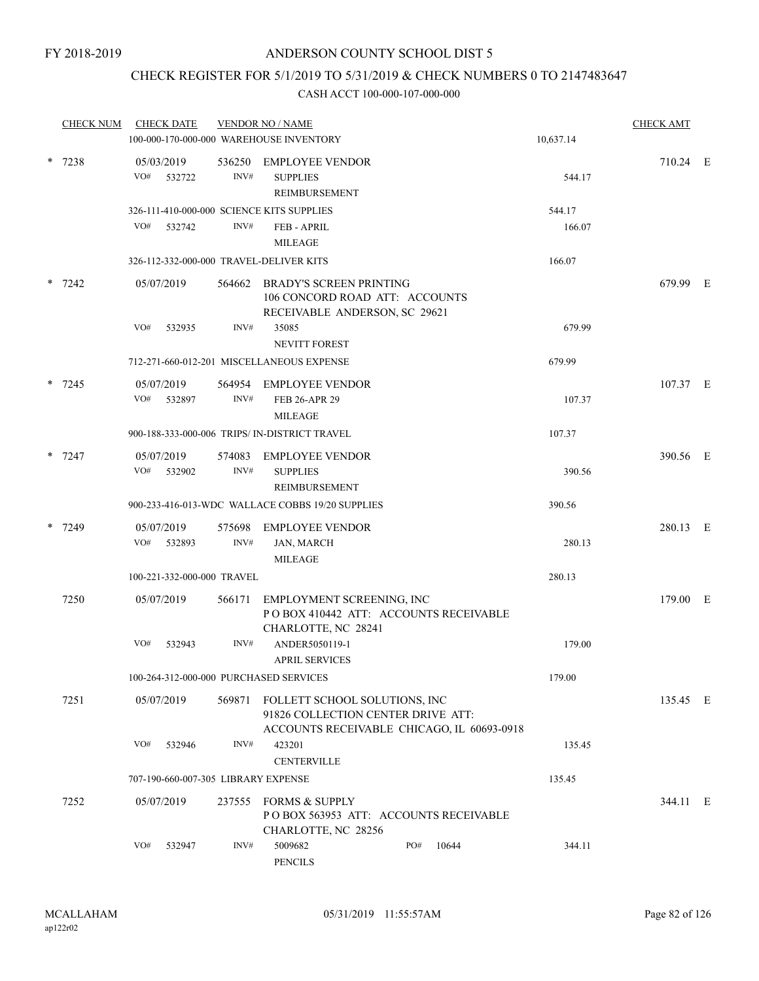### CHECK REGISTER FOR 5/1/2019 TO 5/31/2019 & CHECK NUMBERS 0 TO 2147483647

|        | <b>CHECK NUM</b> | <b>CHECK DATE</b>          |        |        | <b>VENDOR NO / NAME</b><br>100-000-170-000-000 WAREHOUSE INVENTORY                                                |     |       | 10,637.14 | <b>CHECK AMT</b> |  |
|--------|------------------|----------------------------|--------|--------|-------------------------------------------------------------------------------------------------------------------|-----|-------|-----------|------------------|--|
|        | $* 7238$         | 05/03/2019<br>VO#          | 532722 | INV#   | 536250 EMPLOYEE VENDOR<br><b>SUPPLIES</b>                                                                         |     |       | 544.17    | 710.24 E         |  |
|        |                  |                            |        |        | REIMBURSEMENT                                                                                                     |     |       |           |                  |  |
|        |                  |                            |        |        | 326-111-410-000-000 SCIENCE KITS SUPPLIES                                                                         |     |       | 544.17    |                  |  |
|        |                  | VO#                        | 532742 | INV#   | <b>FEB - APRIL</b>                                                                                                |     |       | 166.07    |                  |  |
|        |                  |                            |        |        | <b>MILEAGE</b>                                                                                                    |     |       |           |                  |  |
|        |                  |                            |        |        | 326-112-332-000-000 TRAVEL-DELIVER KITS                                                                           |     |       | 166.07    |                  |  |
|        | $*$ 7242         | 05/07/2019                 |        | 564662 | <b>BRADY'S SCREEN PRINTING</b><br>106 CONCORD ROAD ATT: ACCOUNTS<br>RECEIVABLE ANDERSON, SC 29621                 |     |       |           | 679.99 E         |  |
|        |                  | VO#                        | 532935 | INV#   | 35085                                                                                                             |     |       | 679.99    |                  |  |
|        |                  |                            |        |        | <b>NEVITT FOREST</b>                                                                                              |     |       |           |                  |  |
|        |                  |                            |        |        | 712-271-660-012-201 MISCELLANEOUS EXPENSE                                                                         |     |       | 679.99    |                  |  |
|        | $* 7245$         | 05/07/2019                 |        | 564954 | <b>EMPLOYEE VENDOR</b>                                                                                            |     |       |           | 107.37 E         |  |
|        |                  | VO#                        | 532897 | INV#   | FEB 26-APR 29<br><b>MILEAGE</b>                                                                                   |     |       | 107.37    |                  |  |
|        |                  |                            |        |        | 900-188-333-000-006 TRIPS/ IN-DISTRICT TRAVEL                                                                     |     |       | 107.37    |                  |  |
|        | $* 7247$         | 05/07/2019                 |        | 574083 | <b>EMPLOYEE VENDOR</b>                                                                                            |     |       |           | 390.56 E         |  |
|        |                  | VO#                        | 532902 | INV#   | <b>SUPPLIES</b><br>REIMBURSEMENT                                                                                  |     |       | 390.56    |                  |  |
|        |                  |                            |        |        | 900-233-416-013-WDC WALLACE COBBS 19/20 SUPPLIES                                                                  |     |       | 390.56    |                  |  |
| $\ast$ | 7249             | 05/07/2019                 |        | 575698 | <b>EMPLOYEE VENDOR</b>                                                                                            |     |       |           | 280.13 E         |  |
|        |                  | VO#                        | 532893 | INV#   | <b>JAN, MARCH</b><br><b>MILEAGE</b>                                                                               |     |       | 280.13    |                  |  |
|        |                  | 100-221-332-000-000 TRAVEL |        |        |                                                                                                                   |     |       | 280.13    |                  |  |
|        | 7250             | 05/07/2019                 |        | 566171 | EMPLOYMENT SCREENING, INC<br>PO BOX 410442 ATT: ACCOUNTS RECEIVABLE<br>CHARLOTTE, NC 28241                        |     |       |           | 179.00 E         |  |
|        |                  | VO#                        | 532943 | INV#   | ANDER5050119-1<br><b>APRIL SERVICES</b>                                                                           |     |       | 179.00    |                  |  |
|        |                  |                            |        |        | 100-264-312-000-000 PURCHASED SERVICES                                                                            |     |       | 179.00    |                  |  |
|        | 7251             | 05/07/2019                 |        | 569871 | FOLLETT SCHOOL SOLUTIONS, INC<br>91826 COLLECTION CENTER DRIVE ATT:<br>ACCOUNTS RECEIVABLE CHICAGO, IL 60693-0918 |     |       |           | 135.45 E         |  |
|        |                  | VO#                        | 532946 | INV#   | 423201<br><b>CENTERVILLE</b>                                                                                      |     |       | 135.45    |                  |  |
|        |                  |                            |        |        | 707-190-660-007-305 LIBRARY EXPENSE                                                                               |     |       | 135.45    |                  |  |
|        | 7252             | 05/07/2019                 |        | 237555 | <b>FORMS &amp; SUPPLY</b><br>PO BOX 563953 ATT: ACCOUNTS RECEIVABLE<br>CHARLOTTE, NC 28256                        |     |       |           | 344.11 E         |  |
|        |                  | VO#                        | 532947 | INV#   | 5009682<br>PENCILS                                                                                                | PO# | 10644 | 344.11    |                  |  |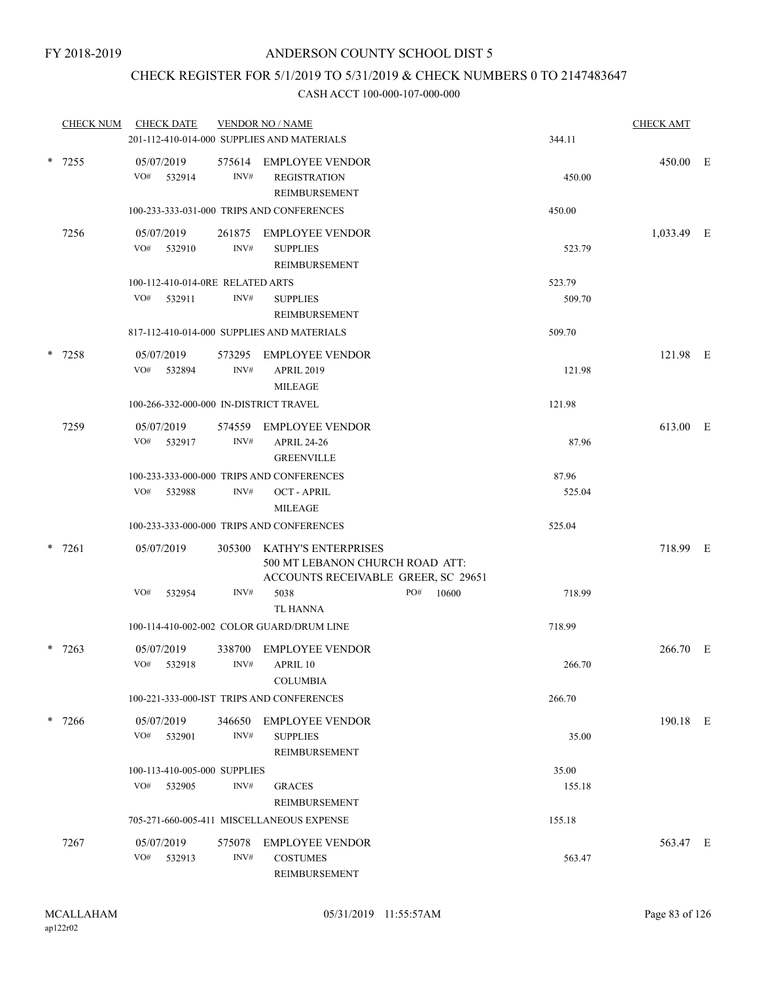### CHECK REGISTER FOR 5/1/2019 TO 5/31/2019 & CHECK NUMBERS 0 TO 2147483647

|  | <b>CHECK NUM</b> | <b>CHECK DATE</b>                             |                | <b>VENDOR NO / NAME</b>                                                                       |                 | <b>CHECK AMT</b> |  |
|--|------------------|-----------------------------------------------|----------------|-----------------------------------------------------------------------------------------------|-----------------|------------------|--|
|  |                  |                                               |                | 201-112-410-014-000 SUPPLIES AND MATERIALS                                                    | 344.11          |                  |  |
|  | $* 7255$         | 05/07/2019<br>VO#<br>532914                   | INV#           | 575614 EMPLOYEE VENDOR<br><b>REGISTRATION</b><br><b>REIMBURSEMENT</b>                         | 450.00          | 450.00 E         |  |
|  |                  |                                               |                | 100-233-333-031-000 TRIPS AND CONFERENCES                                                     | 450.00          |                  |  |
|  | 7256             | 05/07/2019                                    |                | 261875 EMPLOYEE VENDOR                                                                        |                 | 1,033.49 E       |  |
|  |                  | VO#<br>532910                                 | INV#           | <b>SUPPLIES</b><br>REIMBURSEMENT                                                              | 523.79          |                  |  |
|  |                  | 100-112-410-014-0RE RELATED ARTS              |                |                                                                                               | 523.79          |                  |  |
|  |                  | VO#<br>532911                                 | INV#           | <b>SUPPLIES</b><br>REIMBURSEMENT                                                              | 509.70          |                  |  |
|  |                  |                                               |                | 817-112-410-014-000 SUPPLIES AND MATERIALS                                                    | 509.70          |                  |  |
|  | $* 7258$         | 05/07/2019                                    | 573295         | EMPLOYEE VENDOR                                                                               |                 | 121.98 E         |  |
|  |                  | VO#<br>532894                                 | INV#           | <b>APRIL 2019</b><br><b>MILEAGE</b>                                                           | 121.98          |                  |  |
|  |                  | 100-266-332-000-000 IN-DISTRICT TRAVEL        |                |                                                                                               | 121.98          |                  |  |
|  | 7259             | 05/07/2019                                    |                | 574559 EMPLOYEE VENDOR                                                                        |                 | 613.00 E         |  |
|  |                  | VO#<br>532917                                 | INV#           | <b>APRIL 24-26</b><br><b>GREENVILLE</b>                                                       | 87.96           |                  |  |
|  |                  |                                               |                | 100-233-333-000-000 TRIPS AND CONFERENCES                                                     | 87.96           |                  |  |
|  |                  | VO#<br>532988                                 | INV#           | <b>OCT - APRIL</b><br><b>MILEAGE</b>                                                          | 525.04          |                  |  |
|  |                  |                                               |                | 100-233-333-000-000 TRIPS AND CONFERENCES                                                     | 525.04          |                  |  |
|  | $* 7261$         | 05/07/2019                                    | 305300         | KATHY'S ENTERPRISES<br>500 MT LEBANON CHURCH ROAD ATT:<br>ACCOUNTS RECEIVABLE GREER, SC 29651 |                 | 718.99 E         |  |
|  |                  | VO#<br>532954                                 | INV#           | 5038<br>PO#<br>10600                                                                          | 718.99          |                  |  |
|  |                  |                                               |                | <b>TL HANNA</b>                                                                               |                 |                  |  |
|  |                  |                                               |                | 100-114-410-002-002 COLOR GUARD/DRUM LINE                                                     | 718.99          |                  |  |
|  | $*$ 7263         | 05/07/2019                                    | 338700         | <b>EMPLOYEE VENDOR</b>                                                                        |                 | 266.70 E         |  |
|  |                  | VO# 532918                                    | INV#           | APRIL 10<br><b>COLUMBIA</b>                                                                   | 266.70          |                  |  |
|  |                  |                                               |                | 100-221-333-000-IST TRIPS AND CONFERENCES                                                     | 266.70          |                  |  |
|  | * 7266           | 05/07/2019<br>VO#<br>532901                   | 346650<br>INV# | <b>EMPLOYEE VENDOR</b><br><b>SUPPLIES</b>                                                     | 35.00           | 190.18 E         |  |
|  |                  |                                               |                | <b>REIMBURSEMENT</b>                                                                          |                 |                  |  |
|  |                  | 100-113-410-005-000 SUPPLIES<br>VO#<br>532905 | INV#           | <b>GRACES</b><br>REIMBURSEMENT                                                                | 35.00<br>155.18 |                  |  |
|  |                  |                                               |                | 705-271-660-005-411 MISCELLANEOUS EXPENSE                                                     | 155.18          |                  |  |
|  | 7267             | 05/07/2019                                    | 575078         | <b>EMPLOYEE VENDOR</b>                                                                        |                 | 563.47 E         |  |
|  |                  | VO#<br>532913                                 | INV#           | <b>COSTUMES</b><br>REIMBURSEMENT                                                              | 563.47          |                  |  |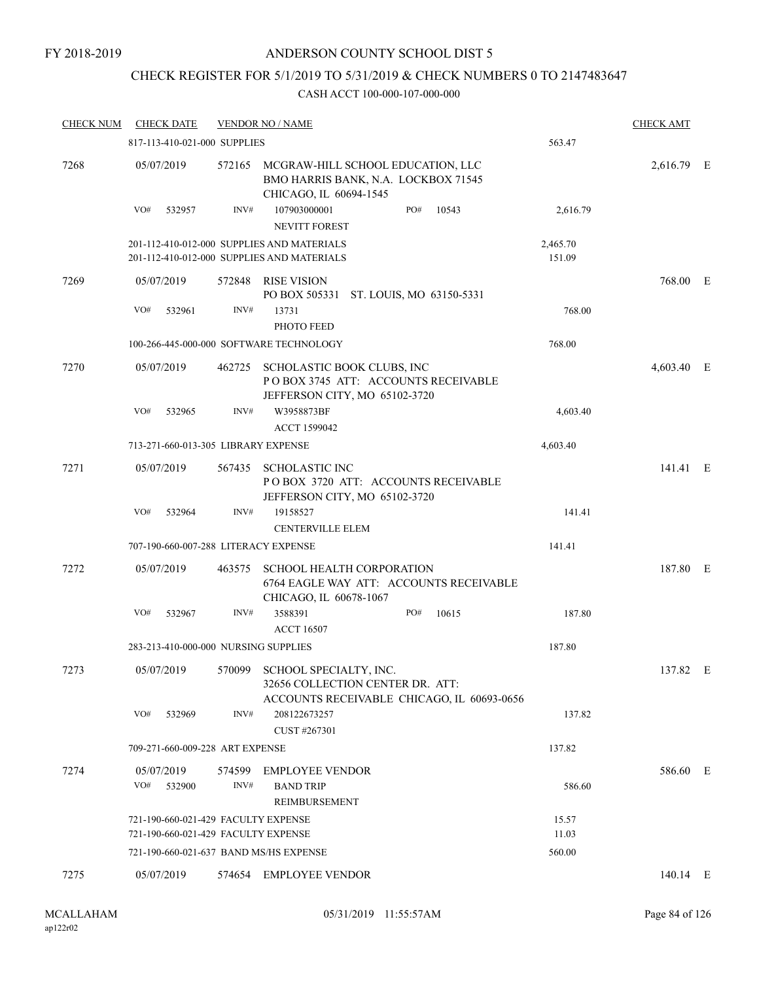#### FY 2018-2019

### ANDERSON COUNTY SCHOOL DIST 5

### CHECK REGISTER FOR 5/1/2019 TO 5/31/2019 & CHECK NUMBERS 0 TO 2147483647

| <b>CHECK NUM</b> |                   | <b>CHECK DATE</b>                   |        | <b>VENDOR NO / NAME</b>                                                                                         |     |       |                    | <b>CHECK AMT</b> |  |
|------------------|-------------------|-------------------------------------|--------|-----------------------------------------------------------------------------------------------------------------|-----|-------|--------------------|------------------|--|
|                  |                   | 817-113-410-021-000 SUPPLIES        |        |                                                                                                                 |     |       | 563.47             |                  |  |
| 7268             | 05/07/2019        |                                     | 572165 | MCGRAW-HILL SCHOOL EDUCATION, LLC<br>BMO HARRIS BANK, N.A. LOCKBOX 71545<br>CHICAGO, IL 60694-1545              |     |       |                    | 2,616.79 E       |  |
|                  | VO#               | 532957                              | INV#   | 107903000001<br><b>NEVITT FOREST</b>                                                                            | PO# | 10543 | 2,616.79           |                  |  |
|                  |                   |                                     |        | 201-112-410-012-000 SUPPLIES AND MATERIALS<br>201-112-410-012-000 SUPPLIES AND MATERIALS                        |     |       | 2,465.70<br>151.09 |                  |  |
| 7269             | 05/07/2019        |                                     | 572848 | <b>RISE VISION</b><br>PO BOX 505331 ST. LOUIS, MO 63150-5331                                                    |     |       |                    | 768.00 E         |  |
|                  | VO#               | 532961                              | INV#   | 13731<br>PHOTO FEED                                                                                             |     |       | 768.00             |                  |  |
|                  |                   |                                     |        | 100-266-445-000-000 SOFTWARE TECHNOLOGY                                                                         |     |       | 768.00             |                  |  |
| 7270             | 05/07/2019        |                                     |        | 462725 SCHOLASTIC BOOK CLUBS, INC<br>POBOX 3745 ATT: ACCOUNTS RECEIVABLE<br>JEFFERSON CITY, MO 65102-3720       |     |       |                    | 4,603.40 E       |  |
|                  | VO#               | 532965                              | INV#   | W3958873BF<br>ACCT 1599042                                                                                      |     |       | 4,603.40           |                  |  |
|                  |                   | 713-271-660-013-305 LIBRARY EXPENSE |        |                                                                                                                 |     |       | 4,603.40           |                  |  |
| 7271             | 05/07/2019        |                                     | 567435 | <b>SCHOLASTIC INC</b><br>POBOX 3720 ATT: ACCOUNTS RECEIVABLE<br>JEFFERSON CITY, MO 65102-3720                   |     |       |                    | 141.41 E         |  |
|                  | VO#               | 532964                              | INV#   | 19158527<br><b>CENTERVILLE ELEM</b>                                                                             |     |       | 141.41             |                  |  |
|                  |                   |                                     |        | 707-190-660-007-288 LITERACY EXPENSE                                                                            |     |       | 141.41             |                  |  |
| 7272             | 05/07/2019        |                                     | 463575 | <b>SCHOOL HEALTH CORPORATION</b><br>6764 EAGLE WAY ATT: ACCOUNTS RECEIVABLE<br>CHICAGO, IL 60678-1067           |     |       |                    | 187.80 E         |  |
|                  | VO#               | 532967                              | INV#   | 3588391<br><b>ACCT 16507</b>                                                                                    | PO# | 10615 | 187.80             |                  |  |
|                  |                   |                                     |        | 283-213-410-000-000 NURSING SUPPLIES                                                                            |     |       | 187.80             |                  |  |
| 7273             | 05/07/2019        |                                     |        | 570099 SCHOOL SPECIALTY, INC.<br>32656 COLLECTION CENTER DR. ATT:<br>ACCOUNTS RECEIVABLE CHICAGO, IL 60693-0656 |     |       |                    | 137.82 E         |  |
|                  | VO#               | 532969                              | INV#   | 208122673257<br>CUST #267301                                                                                    |     |       | 137.82             |                  |  |
|                  |                   | 709-271-660-009-228 ART EXPENSE     |        |                                                                                                                 |     |       | 137.82             |                  |  |
| 7274             | 05/07/2019<br>VO# | 532900                              | INV#   | 574599 EMPLOYEE VENDOR<br><b>BAND TRIP</b>                                                                      |     |       | 586.60             | 586.60 E         |  |
|                  |                   |                                     |        | REIMBURSEMENT                                                                                                   |     |       |                    |                  |  |
|                  |                   |                                     |        | 721-190-660-021-429 FACULTY EXPENSE<br>721-190-660-021-429 FACULTY EXPENSE                                      |     |       | 15.57<br>11.03     |                  |  |
|                  |                   |                                     |        | 721-190-660-021-637 BAND MS/HS EXPENSE                                                                          |     |       | 560.00             |                  |  |
| 7275             | 05/07/2019        |                                     |        | 574654 EMPLOYEE VENDOR                                                                                          |     |       |                    | 140.14 E         |  |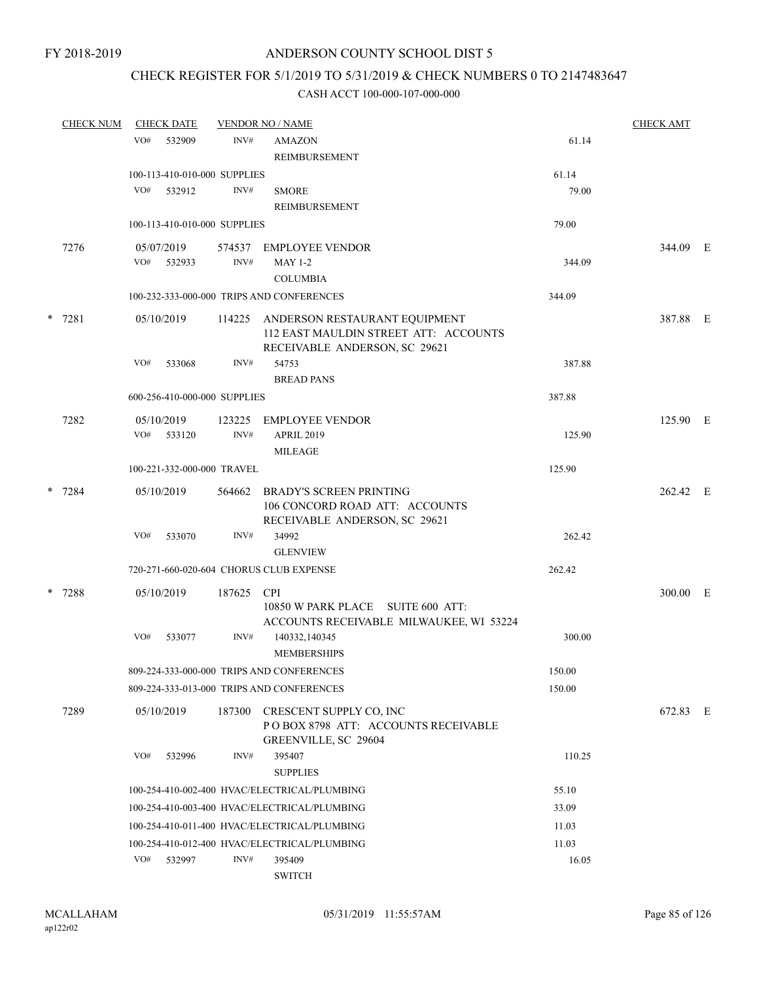### CHECK REGISTER FOR 5/1/2019 TO 5/31/2019 & CHECK NUMBERS 0 TO 2147483647

|   | <b>CHECK NUM</b> | <b>CHECK DATE</b><br><b>VENDOR NO / NAME</b> |                              |            | <b>CHECK AMT</b>                                                                                        |        |          |  |
|---|------------------|----------------------------------------------|------------------------------|------------|---------------------------------------------------------------------------------------------------------|--------|----------|--|
|   |                  | VO#                                          | 532909                       | INV#       | <b>AMAZON</b><br><b>REIMBURSEMENT</b>                                                                   | 61.14  |          |  |
|   |                  |                                              | 100-113-410-010-000 SUPPLIES |            |                                                                                                         | 61.14  |          |  |
|   |                  | VO#                                          | 532912                       | INV#       | <b>SMORE</b><br><b>REIMBURSEMENT</b>                                                                    | 79.00  |          |  |
|   |                  |                                              | 100-113-410-010-000 SUPPLIES |            |                                                                                                         | 79.00  |          |  |
|   | 7276             |                                              | 05/07/2019                   |            | 574537 EMPLOYEE VENDOR                                                                                  |        | 344.09 E |  |
|   |                  |                                              | VO# 532933                   | INV#       | <b>MAY 1-2</b>                                                                                          | 344.09 |          |  |
|   |                  |                                              |                              |            | <b>COLUMBIA</b>                                                                                         |        |          |  |
|   |                  |                                              |                              |            | 100-232-333-000-000 TRIPS AND CONFERENCES                                                               | 344.09 |          |  |
|   | * 7281           |                                              | 05/10/2019                   | 114225     | ANDERSON RESTAURANT EQUIPMENT<br>112 EAST MAULDIN STREET ATT: ACCOUNTS<br>RECEIVABLE ANDERSON, SC 29621 |        | 387.88 E |  |
|   |                  | VO#                                          | 533068                       | INV#       | 54753<br><b>BREAD PANS</b>                                                                              | 387.88 |          |  |
|   |                  |                                              | 600-256-410-000-000 SUPPLIES |            |                                                                                                         | 387.88 |          |  |
|   | 7282             |                                              | 05/10/2019                   | 123225     | <b>EMPLOYEE VENDOR</b>                                                                                  |        | 125.90 E |  |
|   |                  | VO#                                          | 533120                       | INV#       | <b>APRIL 2019</b>                                                                                       | 125.90 |          |  |
|   |                  |                                              |                              |            | <b>MILEAGE</b>                                                                                          |        |          |  |
|   |                  |                                              | 100-221-332-000-000 TRAVEL   |            |                                                                                                         | 125.90 |          |  |
|   | * 7284           |                                              | 05/10/2019                   | 564662     | <b>BRADY'S SCREEN PRINTING</b><br>106 CONCORD ROAD ATT: ACCOUNTS<br>RECEIVABLE ANDERSON, SC 29621       |        | 262.42 E |  |
|   |                  | VO#                                          | 533070                       | INV#       | 34992<br><b>GLENVIEW</b>                                                                                | 262.42 |          |  |
|   |                  |                                              |                              |            | 720-271-660-020-604 CHORUS CLUB EXPENSE                                                                 | 262.42 |          |  |
| * | 7288             |                                              | 05/10/2019                   | 187625 CPI |                                                                                                         |        | 300.00 E |  |
|   |                  |                                              |                              |            | 10850 W PARK PLACE SUITE 600 ATT:<br>ACCOUNTS RECEIVABLE MILWAUKEE, WI 53224                            |        |          |  |
|   |                  | VO#                                          | 533077                       | INV#       | 140332,140345<br><b>MEMBERSHIPS</b>                                                                     | 300.00 |          |  |
|   |                  |                                              |                              |            | 809-224-333-000-000 TRIPS AND CONFERENCES                                                               | 150.00 |          |  |
|   |                  |                                              |                              |            | 809-224-333-013-000 TRIPS AND CONFERENCES                                                               | 150.00 |          |  |
|   | 7289             |                                              | 05/10/2019                   | 187300     | CRESCENT SUPPLY CO, INC<br>POBOX 8798 ATT: ACCOUNTS RECEIVABLE<br>GREENVILLE, SC 29604                  |        | 672.83 E |  |
|   |                  | VO#                                          | 532996                       | INV#       | 395407<br><b>SUPPLIES</b>                                                                               | 110.25 |          |  |
|   |                  |                                              |                              |            | 100-254-410-002-400 HVAC/ELECTRICAL/PLUMBING                                                            | 55.10  |          |  |
|   |                  |                                              |                              |            | 100-254-410-003-400 HVAC/ELECTRICAL/PLUMBING                                                            | 33.09  |          |  |
|   |                  |                                              |                              |            | 100-254-410-011-400 HVAC/ELECTRICAL/PLUMBING                                                            | 11.03  |          |  |
|   |                  |                                              |                              |            | 100-254-410-012-400 HVAC/ELECTRICAL/PLUMBING                                                            | 11.03  |          |  |
|   |                  | VO#                                          | 532997                       | INV#       | 395409<br><b>SWITCH</b>                                                                                 | 16.05  |          |  |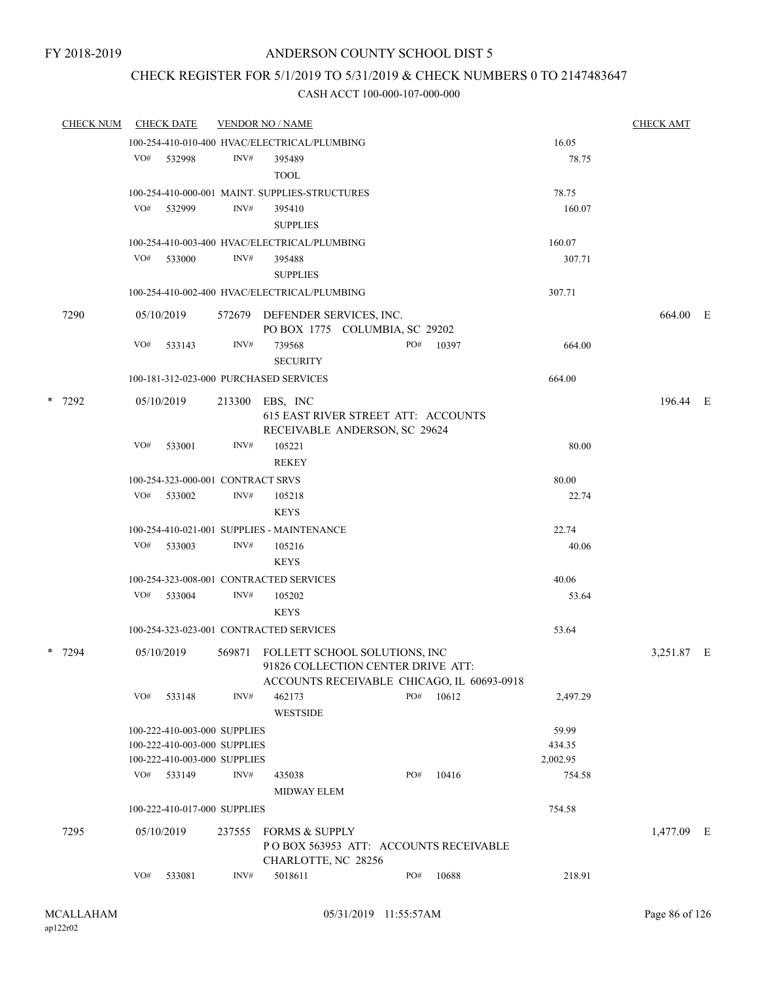### CHECK REGISTER FOR 5/1/2019 TO 5/31/2019 & CHECK NUMBERS 0 TO 2147483647

|  | <b>CHECK NUM</b> |     | <b>CHECK DATE</b>                                                                            |                | <b>VENDOR NO / NAME</b>                                                                                           |     |           |                             | <b>CHECK AMT</b>                                 |  |  |  |
|--|------------------|-----|----------------------------------------------------------------------------------------------|----------------|-------------------------------------------------------------------------------------------------------------------|-----|-----------|-----------------------------|--------------------------------------------------|--|--|--|
|  |                  |     |                                                                                              |                | 100-254-410-010-400 HVAC/ELECTRICAL/PLUMBING                                                                      |     |           | 16.05                       |                                                  |  |  |  |
|  |                  | VO# | 532998                                                                                       | INV#           | 395489<br><b>TOOL</b>                                                                                             |     |           | 78.75                       | 664.00 E<br>196.44 E<br>3,251.87 E<br>1,477.09 E |  |  |  |
|  |                  |     |                                                                                              |                | 100-254-410-000-001 MAINT. SUPPLIES-STRUCTURES                                                                    |     |           | 78.75                       |                                                  |  |  |  |
|  |                  | VO# | 532999                                                                                       | INV#           | 395410<br><b>SUPPLIES</b>                                                                                         |     |           | 160.07                      |                                                  |  |  |  |
|  |                  |     |                                                                                              |                | 100-254-410-003-400 HVAC/ELECTRICAL/PLUMBING                                                                      |     |           | 160.07                      |                                                  |  |  |  |
|  |                  |     | VO# 533000                                                                                   | INV#           | 395488<br><b>SUPPLIES</b>                                                                                         |     |           | 307.71                      |                                                  |  |  |  |
|  |                  |     |                                                                                              |                | 100-254-410-002-400 HVAC/ELECTRICAL/PLUMBING                                                                      |     |           | 307.71                      |                                                  |  |  |  |
|  | 7290             |     | 05/10/2019                                                                                   |                | 572679 DEFENDER SERVICES, INC.<br>PO BOX 1775 COLUMBIA, SC 29202                                                  |     |           |                             |                                                  |  |  |  |
|  |                  | VO# | 533143                                                                                       | INV#           | 739568<br><b>SECURITY</b>                                                                                         |     | PO# 10397 | 664.00                      |                                                  |  |  |  |
|  |                  |     |                                                                                              |                | 100-181-312-023-000 PURCHASED SERVICES                                                                            |     |           | 664.00                      |                                                  |  |  |  |
|  | $*$ 7292         |     | 05/10/2019                                                                                   |                | 213300 EBS, INC<br>615 EAST RIVER STREET ATT: ACCOUNTS<br>RECEIVABLE ANDERSON, SC 29624                           |     |           |                             |                                                  |  |  |  |
|  |                  | VO# | 533001                                                                                       | INV#           | 105221<br><b>REKEY</b>                                                                                            |     |           | 80.00                       |                                                  |  |  |  |
|  |                  |     | 100-254-323-000-001 CONTRACT SRVS                                                            |                |                                                                                                                   |     |           | 80.00                       |                                                  |  |  |  |
|  |                  |     | VO# 533002                                                                                   | INV#           | 105218<br><b>KEYS</b>                                                                                             |     |           | 22.74                       |                                                  |  |  |  |
|  |                  |     |                                                                                              |                | 100-254-410-021-001 SUPPLIES - MAINTENANCE                                                                        |     |           | 22.74                       |                                                  |  |  |  |
|  |                  | VO# | 533003                                                                                       | INV#           | 105216<br><b>KEYS</b>                                                                                             |     |           | 40.06                       |                                                  |  |  |  |
|  |                  |     |                                                                                              |                | 100-254-323-008-001 CONTRACTED SERVICES                                                                           |     |           | 40.06                       |                                                  |  |  |  |
|  |                  | VO# | 533004                                                                                       | INV#           | 105202<br><b>KEYS</b>                                                                                             |     |           | 53.64                       |                                                  |  |  |  |
|  |                  |     |                                                                                              |                | 100-254-323-023-001 CONTRACTED SERVICES                                                                           |     |           | 53.64                       |                                                  |  |  |  |
|  | * 7294           |     | 05/10/2019                                                                                   | 569871         | FOLLETT SCHOOL SOLUTIONS, INC<br>91826 COLLECTION CENTER DRIVE ATT:<br>ACCOUNTS RECEIVABLE CHICAGO, IL 60693-0918 |     |           |                             |                                                  |  |  |  |
|  |                  | VO# | 533148                                                                                       | INV#           | 462173<br><b>WESTSIDE</b>                                                                                         | PO# | 10612     | 2,497.29                    |                                                  |  |  |  |
|  |                  |     | 100-222-410-003-000 SUPPLIES<br>100-222-410-003-000 SUPPLIES<br>100-222-410-003-000 SUPPLIES |                |                                                                                                                   |     |           | 59.99<br>434.35<br>2,002.95 |                                                  |  |  |  |
|  |                  |     | VO# 533149                                                                                   | $\text{INV}\#$ | 435038<br>MIDWAY ELEM                                                                                             | PO# | 10416     | 754.58                      |                                                  |  |  |  |
|  |                  |     | 100-222-410-017-000 SUPPLIES                                                                 |                |                                                                                                                   |     |           | 754.58                      |                                                  |  |  |  |
|  | 7295             |     | 05/10/2019                                                                                   | 237555         | FORMS & SUPPLY<br>PO BOX 563953 ATT: ACCOUNTS RECEIVABLE<br>CHARLOTTE, NC 28256                                   |     |           |                             |                                                  |  |  |  |
|  |                  | VO# | 533081                                                                                       | INV#           | 5018611                                                                                                           | PO# | 10688     | 218.91                      |                                                  |  |  |  |
|  |                  |     |                                                                                              |                |                                                                                                                   |     |           |                             |                                                  |  |  |  |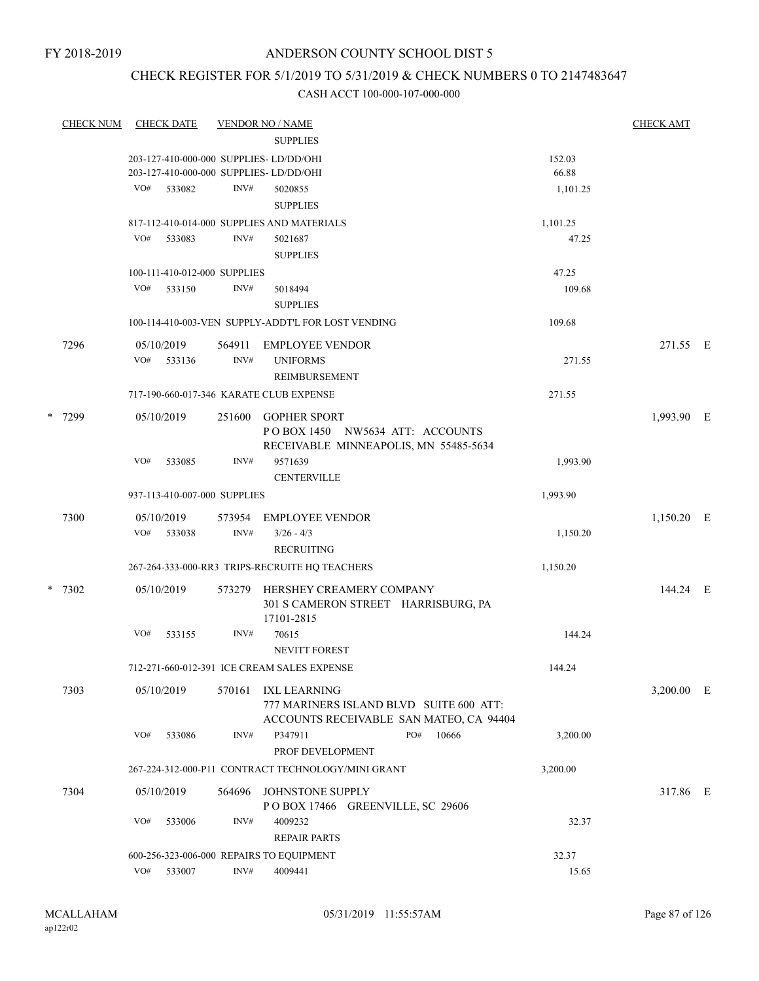### CHECK REGISTER FOR 5/1/2019 TO 5/31/2019 & CHECK NUMBERS 0 TO 2147483647

|   | <b>CHECK NUM</b> |     | <b>CHECK DATE</b> |                              | <b>VENDOR NO / NAME</b>                                         |          | <b>CHECK AMT</b> |  |
|---|------------------|-----|-------------------|------------------------------|-----------------------------------------------------------------|----------|------------------|--|
|   |                  |     |                   |                              | <b>SUPPLIES</b>                                                 |          |                  |  |
|   |                  |     |                   |                              | 203-127-410-000-000 SUPPLIES-LD/DD/OHI                          | 152.03   |                  |  |
|   |                  |     |                   |                              | 203-127-410-000-000 SUPPLIES- LD/DD/OHI                         | 66.88    |                  |  |
|   |                  | VO# | 533082            | INV#                         | 5020855                                                         | 1,101.25 |                  |  |
|   |                  |     |                   |                              | <b>SUPPLIES</b>                                                 |          |                  |  |
|   |                  |     |                   |                              | 817-112-410-014-000 SUPPLIES AND MATERIALS                      | 1,101.25 |                  |  |
|   |                  | VO# | 533083            | INV#                         | 5021687                                                         | 47.25    |                  |  |
|   |                  |     |                   |                              | <b>SUPPLIES</b>                                                 |          |                  |  |
|   |                  |     |                   | 100-111-410-012-000 SUPPLIES |                                                                 | 47.25    |                  |  |
|   |                  | VO# | 533150            | INV#                         | 5018494                                                         | 109.68   |                  |  |
|   |                  |     |                   |                              | <b>SUPPLIES</b>                                                 |          |                  |  |
|   |                  |     |                   |                              | 100-114-410-003-VEN SUPPLY-ADDT'L FOR LOST VENDING              | 109.68   |                  |  |
|   | 7296             |     | 05/10/2019        | 564911                       | <b>EMPLOYEE VENDOR</b>                                          |          | 271.55 E         |  |
|   |                  | VO# | 533136            | INV#                         | <b>UNIFORMS</b>                                                 | 271.55   |                  |  |
|   |                  |     |                   |                              | <b>REIMBURSEMENT</b>                                            |          |                  |  |
|   |                  |     |                   |                              | 717-190-660-017-346 KARATE CLUB EXPENSE                         | 271.55   |                  |  |
| * | 7299             |     | 05/10/2019        | 251600                       | <b>GOPHER SPORT</b>                                             |          | 1,993.90 E       |  |
|   |                  |     |                   |                              | POBOX 1450 NW5634 ATT: ACCOUNTS                                 |          |                  |  |
|   |                  |     |                   |                              | RECEIVABLE MINNEAPOLIS, MN 55485-5634                           |          |                  |  |
|   |                  | VO# | 533085            | INV#                         | 9571639                                                         | 1,993.90 |                  |  |
|   |                  |     |                   |                              | <b>CENTERVILLE</b>                                              |          |                  |  |
|   |                  |     |                   | 937-113-410-007-000 SUPPLIES |                                                                 | 1,993.90 |                  |  |
|   | 7300             |     | 05/10/2019        | 573954                       | <b>EMPLOYEE VENDOR</b>                                          |          | 1,150.20 E       |  |
|   |                  | VO# | 533038            | INV#                         | $3/26 - 4/3$                                                    | 1,150.20 |                  |  |
|   |                  |     |                   |                              | <b>RECRUITING</b>                                               |          |                  |  |
|   |                  |     |                   |                              | 267-264-333-000-RR3 TRIPS-RECRUITE HQ TEACHERS                  | 1,150.20 |                  |  |
|   |                  |     |                   |                              |                                                                 |          |                  |  |
|   | $*$ 7302         |     | 05/10/2019        | 573279                       | HERSHEY CREAMERY COMPANY<br>301 S CAMERON STREET HARRISBURG, PA |          | 144.24 E         |  |
|   |                  |     |                   |                              | 17101-2815                                                      |          |                  |  |
|   |                  | VO# | 533155            | INV#                         | 70615                                                           | 144.24   |                  |  |
|   |                  |     |                   |                              | <b>NEVITT FOREST</b>                                            |          |                  |  |
|   |                  |     |                   |                              | 712-271-660-012-391 ICE CREAM SALES EXPENSE                     | 144.24   |                  |  |
|   | 7303             |     | 05/10/2019        | 570161                       | IXL LEARNING                                                    |          | $3,200.00$ E     |  |
|   |                  |     |                   |                              | 777 MARINERS ISLAND BLVD SUITE 600 ATT:                         |          |                  |  |
|   |                  |     |                   |                              | ACCOUNTS RECEIVABLE SAN MATEO, CA 94404                         |          |                  |  |
|   |                  | VO# | 533086            | INV#                         | P347911<br>PO#<br>10666                                         | 3,200.00 |                  |  |
|   |                  |     |                   |                              | PROF DEVELOPMENT                                                |          |                  |  |
|   |                  |     |                   |                              | 267-224-312-000-P11 CONTRACT TECHNOLOGY/MINI GRANT              | 3,200.00 |                  |  |
|   | 7304             |     | 05/10/2019        | 564696                       | JOHNSTONE SUPPLY                                                |          | 317.86 E         |  |
|   |                  |     |                   |                              | POBOX 17466 GREENVILLE, SC 29606                                |          |                  |  |
|   |                  | VO# | 533006            | INV#                         | 4009232                                                         | 32.37    |                  |  |
|   |                  |     |                   |                              | <b>REPAIR PARTS</b>                                             |          |                  |  |
|   |                  |     |                   |                              | 600-256-323-006-000 REPAIRS TO EQUIPMENT                        | 32.37    |                  |  |
|   |                  |     | VO# 533007        | INV#                         | 4009441                                                         | 15.65    |                  |  |
|   |                  |     |                   |                              |                                                                 |          |                  |  |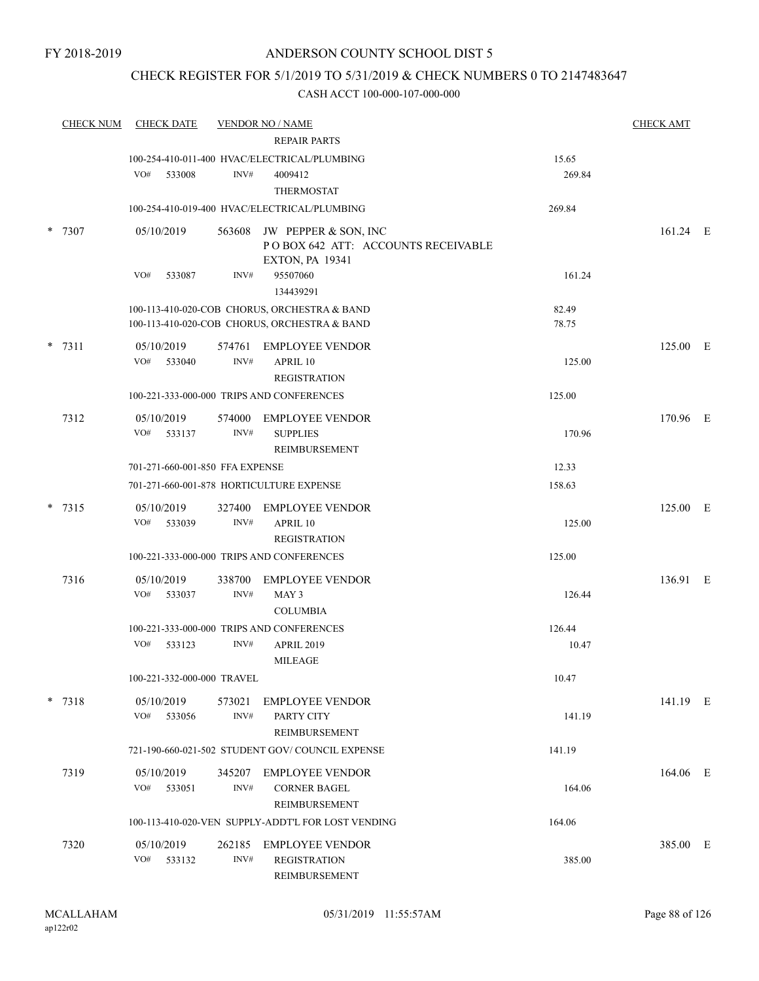### CHECK REGISTER FOR 5/1/2019 TO 5/31/2019 & CHECK NUMBERS 0 TO 2147483647

|        | <b>CHECK NUM</b> | <b>CHECK DATE</b>               |                | <b>VENDOR NO / NAME</b><br><b>REPAIR PARTS</b>                                               |                 | <b>CHECK AMT</b> |  |
|--------|------------------|---------------------------------|----------------|----------------------------------------------------------------------------------------------|-----------------|------------------|--|
|        |                  | VO#<br>533008                   | INV#           | 100-254-410-011-400 HVAC/ELECTRICAL/PLUMBING<br>4009412<br><b>THERMOSTAT</b>                 | 15.65<br>269.84 |                  |  |
|        |                  |                                 |                | 100-254-410-019-400 HVAC/ELECTRICAL/PLUMBING                                                 | 269.84          |                  |  |
| *      | 7307             | 05/10/2019                      |                | 563608 JW PEPPER & SON, INC<br>POBOX 642 ATT: ACCOUNTS RECEIVABLE<br><b>EXTON, PA 19341</b>  |                 | 161.24 E         |  |
|        |                  | VO#<br>533087                   | INV#           | 95507060<br>134439291                                                                        | 161.24          |                  |  |
|        |                  |                                 |                | 100-113-410-020-COB CHORUS, ORCHESTRA & BAND<br>100-113-410-020-COB CHORUS, ORCHESTRA & BAND | 82.49<br>78.75  |                  |  |
| $\ast$ | 7311             | 05/10/2019<br>VO# 533040        | INV#           | 574761 EMPLOYEE VENDOR<br>APRIL 10<br><b>REGISTRATION</b>                                    | 125.00          | 125.00 E         |  |
|        |                  |                                 |                | 100-221-333-000-000 TRIPS AND CONFERENCES                                                    | 125.00          |                  |  |
|        | 7312             | 05/10/2019<br>VO#<br>533137     | 574000<br>INV# | <b>EMPLOYEE VENDOR</b><br><b>SUPPLIES</b><br>REIMBURSEMENT                                   | 170.96          | 170.96 E         |  |
|        |                  | 701-271-660-001-850 FFA EXPENSE |                |                                                                                              | 12.33           |                  |  |
|        |                  |                                 |                | 701-271-660-001-878 HORTICULTURE EXPENSE                                                     | 158.63          |                  |  |
|        | $* 7315$         | 05/10/2019<br>VO#<br>533039     | 327400<br>INV# | <b>EMPLOYEE VENDOR</b><br>APRIL 10<br><b>REGISTRATION</b>                                    | 125.00          | 125.00 E         |  |
|        |                  |                                 |                | 100-221-333-000-000 TRIPS AND CONFERENCES                                                    | 125.00          |                  |  |
|        | 7316             | 05/10/2019<br>VO#<br>533037     | 338700<br>INV# | <b>EMPLOYEE VENDOR</b><br>MAY 3<br><b>COLUMBIA</b>                                           | 126.44          | 136.91 E         |  |
|        |                  |                                 |                | 100-221-333-000-000 TRIPS AND CONFERENCES                                                    | 126.44          |                  |  |
|        |                  | VO#<br>533123                   | INV#           | <b>APRIL 2019</b><br><b>MILEAGE</b>                                                          | 10.47           |                  |  |
|        |                  | 100-221-332-000-000 TRAVEL      |                |                                                                                              | 10.47           |                  |  |
|        | $*$ 7318         | 05/10/2019<br>VO#<br>533056     | 573021<br>INV# | <b>EMPLOYEE VENDOR</b><br>PARTY CITY<br>REIMBURSEMENT                                        | 141.19          | 141.19 E         |  |
|        |                  |                                 |                | 721-190-660-021-502 STUDENT GOV/COUNCIL EXPENSE                                              | 141.19          |                  |  |
|        | 7319             | 05/10/2019<br>VO#<br>533051     | 345207<br>INV# | <b>EMPLOYEE VENDOR</b><br><b>CORNER BAGEL</b><br><b>REIMBURSEMENT</b>                        | 164.06          | 164.06 E         |  |
|        |                  |                                 |                | 100-113-410-020-VEN SUPPLY-ADDT'L FOR LOST VENDING                                           | 164.06          |                  |  |
|        | 7320             | 05/10/2019<br>VO# 533132        | INV#           | 262185 EMPLOYEE VENDOR<br><b>REGISTRATION</b><br>REIMBURSEMENT                               | 385.00          | 385.00 E         |  |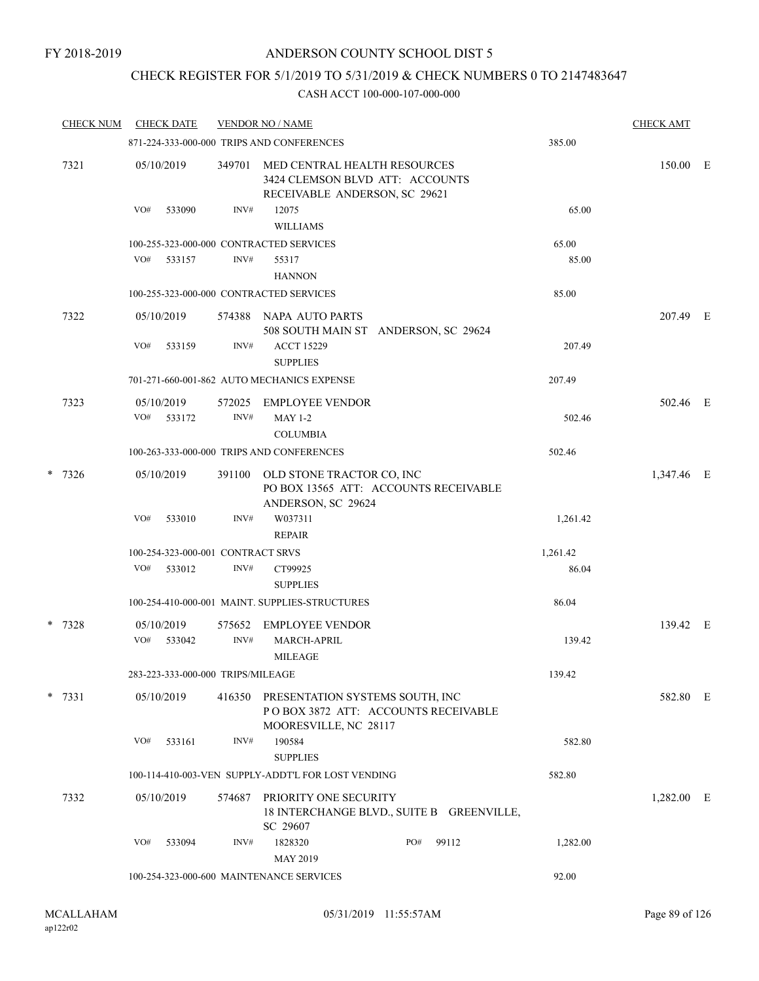### CHECK REGISTER FOR 5/1/2019 TO 5/31/2019 & CHECK NUMBERS 0 TO 2147483647

| <b>CHECK NUM</b> |     | <b>CHECK DATE</b>                 |        | <b>VENDOR NO / NAME</b>                                                                          |     |       |          | <b>CHECK AMT</b> |  |
|------------------|-----|-----------------------------------|--------|--------------------------------------------------------------------------------------------------|-----|-------|----------|------------------|--|
|                  |     |                                   |        | 871-224-333-000-000 TRIPS AND CONFERENCES                                                        |     |       | 385.00   |                  |  |
| 7321             |     | 05/10/2019                        | 349701 | MED CENTRAL HEALTH RESOURCES<br>3424 CLEMSON BLVD ATT: ACCOUNTS<br>RECEIVABLE ANDERSON, SC 29621 |     |       |          | 150.00 E         |  |
|                  | VO# | 533090                            | INV#   | 12075<br><b>WILLIAMS</b>                                                                         |     |       | 65.00    |                  |  |
|                  |     |                                   |        | 100-255-323-000-000 CONTRACTED SERVICES                                                          |     |       | 65.00    |                  |  |
|                  | VO# | 533157                            | INV#   | 55317<br><b>HANNON</b>                                                                           |     |       | 85.00    |                  |  |
|                  |     |                                   |        | 100-255-323-000-000 CONTRACTED SERVICES                                                          |     |       | 85.00    |                  |  |
| 7322             |     | 05/10/2019                        | 574388 | NAPA AUTO PARTS<br>508 SOUTH MAIN ST ANDERSON, SC 29624                                          |     |       |          | 207.49 E         |  |
|                  | VO# | 533159                            | INV#   | <b>ACCT 15229</b><br><b>SUPPLIES</b>                                                             |     |       | 207.49   |                  |  |
|                  |     |                                   |        | 701-271-660-001-862 AUTO MECHANICS EXPENSE                                                       |     |       | 207.49   |                  |  |
| 7323             |     | 05/10/2019                        | 572025 | <b>EMPLOYEE VENDOR</b>                                                                           |     |       |          | 502.46 E         |  |
|                  | VO# | 533172                            | INV#   | <b>MAY 1-2</b><br><b>COLUMBIA</b>                                                                |     |       | 502.46   |                  |  |
|                  |     |                                   |        | 100-263-333-000-000 TRIPS AND CONFERENCES                                                        |     |       | 502.46   |                  |  |
| $* 7326$         |     | 05/10/2019                        | 391100 | OLD STONE TRACTOR CO, INC<br>PO BOX 13565 ATT: ACCOUNTS RECEIVABLE<br>ANDERSON, SC 29624         |     |       |          | 1,347.46 E       |  |
|                  | VO# | 533010                            | INV#   | W037311<br><b>REPAIR</b>                                                                         |     |       | 1,261.42 |                  |  |
|                  |     | 100-254-323-000-001 CONTRACT SRVS |        |                                                                                                  |     |       | 1,261.42 |                  |  |
|                  | VO# | 533012                            | INV#   | CT99925<br><b>SUPPLIES</b>                                                                       |     |       | 86.04    |                  |  |
|                  |     |                                   |        | 100-254-410-000-001 MAINT. SUPPLIES-STRUCTURES                                                   |     |       | 86.04    |                  |  |
| $* 7328$         |     | 05/10/2019                        | 575652 | <b>EMPLOYEE VENDOR</b>                                                                           |     |       |          | 139.42 E         |  |
|                  | VO# | 533042                            | INV#   | MARCH-APRIL<br>MILEAGE                                                                           |     |       | 139.42   |                  |  |
|                  |     | 283-223-333-000-000 TRIPS/MILEAGE |        |                                                                                                  |     |       | 139.42   |                  |  |
| $* 7331$         |     | 05/10/2019                        | 416350 | PRESENTATION SYSTEMS SOUTH, INC<br>POBOX 3872 ATT: ACCOUNTS RECEIVABLE<br>MOORESVILLE, NC 28117  |     |       |          | 582.80 E         |  |
|                  | VO# | 533161                            | INV#   | 190584<br><b>SUPPLIES</b>                                                                        |     |       | 582.80   |                  |  |
|                  |     |                                   |        | 100-114-410-003-VEN SUPPLY-ADDT'L FOR LOST VENDING                                               |     |       | 582.80   |                  |  |
| 7332             |     | 05/10/2019                        | 574687 | PRIORITY ONE SECURITY<br>18 INTERCHANGE BLVD., SUITE B GREENVILLE,<br>SC 29607                   |     |       |          | $1,282.00$ E     |  |
|                  | VO# | 533094                            | INV#   | 1828320<br>MAY 2019                                                                              | PO# | 99112 | 1,282.00 |                  |  |
|                  |     |                                   |        | 100-254-323-000-600 MAINTENANCE SERVICES                                                         |     |       | 92.00    |                  |  |
|                  |     |                                   |        |                                                                                                  |     |       |          |                  |  |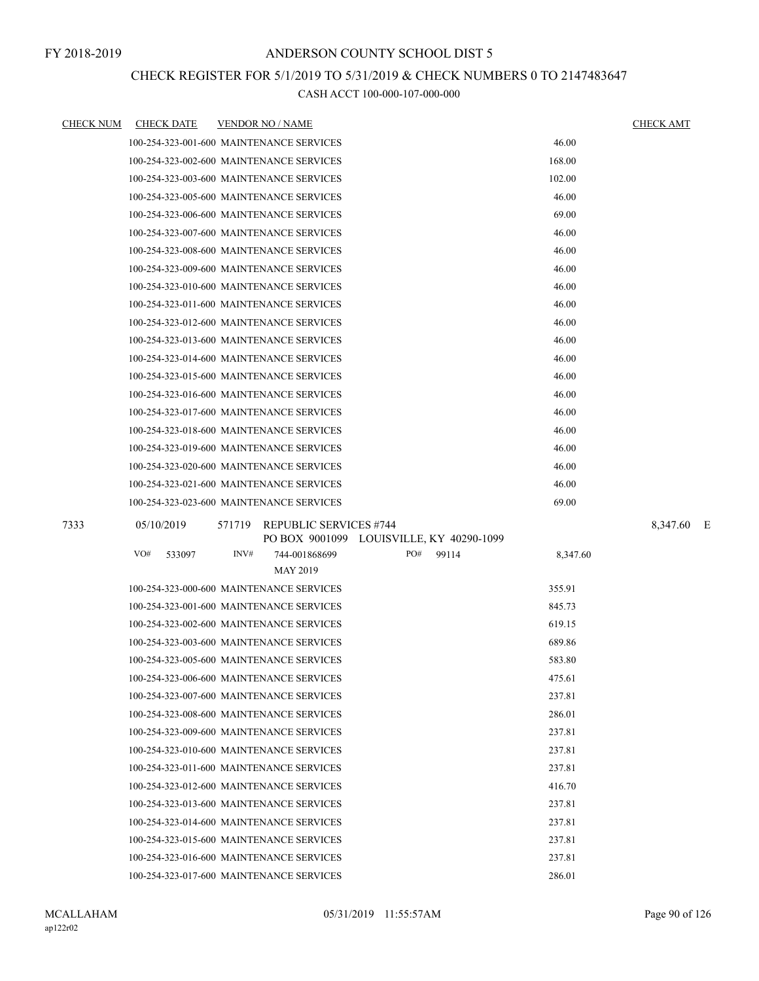### CHECK REGISTER FOR 5/1/2019 TO 5/31/2019 & CHECK NUMBERS 0 TO 2147483647

| <u>CHECK NUM</u> | <b>CHECK DATE</b> | <b>VENDOR NO / NAME</b>                                              | <u>CHECK AMT</u> |
|------------------|-------------------|----------------------------------------------------------------------|------------------|
|                  |                   | 46.00<br>100-254-323-001-600 MAINTENANCE SERVICES                    |                  |
|                  |                   | 100-254-323-002-600 MAINTENANCE SERVICES<br>168.00                   |                  |
|                  |                   | 100-254-323-003-600 MAINTENANCE SERVICES<br>102.00                   |                  |
|                  |                   | 46.00<br>100-254-323-005-600 MAINTENANCE SERVICES                    |                  |
|                  |                   | 69.00<br>100-254-323-006-600 MAINTENANCE SERVICES                    |                  |
|                  |                   | 46.00<br>100-254-323-007-600 MAINTENANCE SERVICES                    |                  |
|                  |                   | 100-254-323-008-600 MAINTENANCE SERVICES<br>46.00                    |                  |
|                  |                   | 46.00<br>100-254-323-009-600 MAINTENANCE SERVICES                    |                  |
|                  |                   | 46.00<br>100-254-323-010-600 MAINTENANCE SERVICES                    |                  |
|                  |                   | 46.00<br>100-254-323-011-600 MAINTENANCE SERVICES                    |                  |
|                  |                   | 100-254-323-012-600 MAINTENANCE SERVICES<br>46.00                    |                  |
|                  |                   | 46.00<br>100-254-323-013-600 MAINTENANCE SERVICES                    |                  |
|                  |                   | 46.00<br>100-254-323-014-600 MAINTENANCE SERVICES                    |                  |
|                  |                   | 46.00<br>100-254-323-015-600 MAINTENANCE SERVICES                    |                  |
|                  |                   | 46.00<br>100-254-323-016-600 MAINTENANCE SERVICES                    |                  |
|                  |                   | 100-254-323-017-600 MAINTENANCE SERVICES<br>46.00                    |                  |
|                  |                   | 46.00<br>100-254-323-018-600 MAINTENANCE SERVICES                    |                  |
|                  |                   | 46.00<br>100-254-323-019-600 MAINTENANCE SERVICES                    |                  |
|                  |                   | 100-254-323-020-600 MAINTENANCE SERVICES<br>46.00                    |                  |
|                  |                   | 46.00<br>100-254-323-021-600 MAINTENANCE SERVICES                    |                  |
|                  |                   | 100-254-323-023-600 MAINTENANCE SERVICES<br>69.00                    |                  |
| 7333             | 05/10/2019        | 571719<br><b>REPUBLIC SERVICES #744</b>                              | 8,347.60 E       |
|                  |                   | PO BOX 9001099 LOUISVILLE, KY 40290-1099                             |                  |
|                  | VO#<br>533097     | INV#<br>744-001868699<br>PO#<br>99114<br>8,347.60<br><b>MAY 2019</b> |                  |
|                  |                   | 100-254-323-000-600 MAINTENANCE SERVICES<br>355.91                   |                  |
|                  |                   | 100-254-323-001-600 MAINTENANCE SERVICES<br>845.73                   |                  |
|                  |                   | 100-254-323-002-600 MAINTENANCE SERVICES<br>619.15                   |                  |
|                  |                   | 100-254-323-003-600 MAINTENANCE SERVICES<br>689.86                   |                  |
|                  |                   | 100-254-323-005-600 MAINTENANCE SERVICES<br>583.80                   |                  |
|                  |                   | 100-254-323-006-600 MAINTENANCE SERVICES<br>475.61                   |                  |
|                  |                   | 237.81<br>100-254-323-007-600 MAINTENANCE SERVICES                   |                  |
|                  |                   | 100-254-323-008-600 MAINTENANCE SERVICES<br>286.01                   |                  |
|                  |                   | 100-254-323-009-600 MAINTENANCE SERVICES<br>237.81                   |                  |
|                  |                   | 100-254-323-010-600 MAINTENANCE SERVICES<br>237.81                   |                  |
|                  |                   | 100-254-323-011-600 MAINTENANCE SERVICES<br>237.81                   |                  |
|                  |                   | 100-254-323-012-600 MAINTENANCE SERVICES<br>416.70                   |                  |
|                  |                   | 100-254-323-013-600 MAINTENANCE SERVICES<br>237.81                   |                  |
|                  |                   | 237.81<br>100-254-323-014-600 MAINTENANCE SERVICES                   |                  |
|                  |                   | 237.81<br>100-254-323-015-600 MAINTENANCE SERVICES                   |                  |
|                  |                   | 100-254-323-016-600 MAINTENANCE SERVICES<br>237.81                   |                  |
|                  |                   | 286.01<br>100-254-323-017-600 MAINTENANCE SERVICES                   |                  |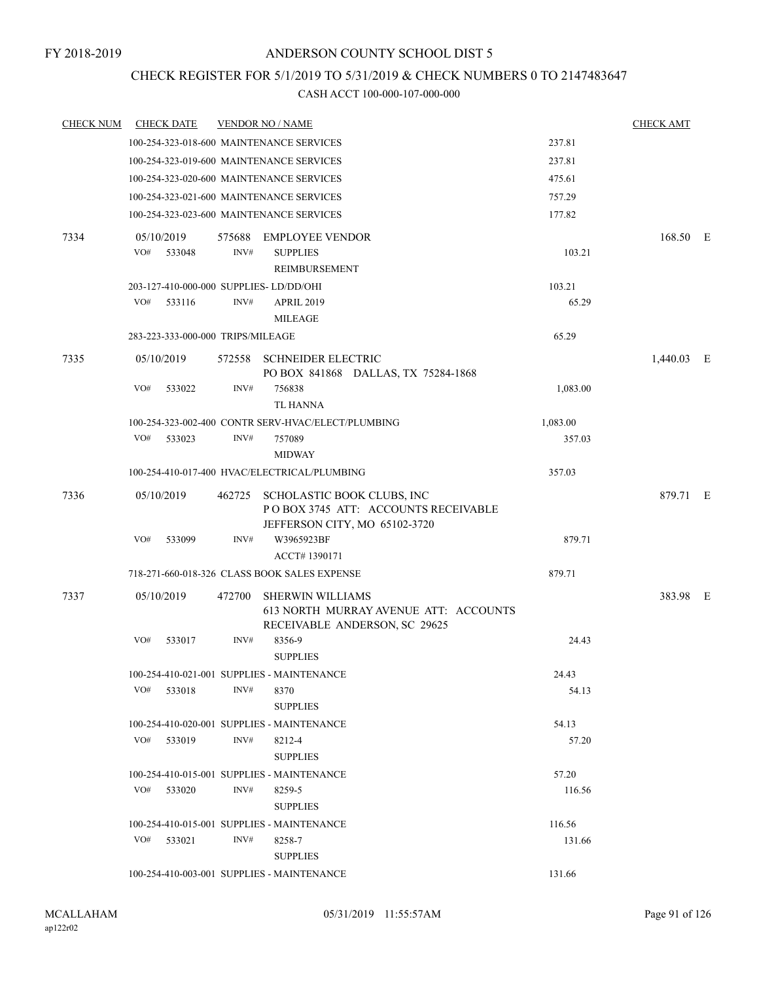### CHECK REGISTER FOR 5/1/2019 TO 5/31/2019 & CHECK NUMBERS 0 TO 2147483647

| <b>CHECK NUM</b> | <b>CHECK DATE</b>                 | <b>VENDOR NO / NAME</b>                                                                                     |          | <b>CHECK AMT</b> |
|------------------|-----------------------------------|-------------------------------------------------------------------------------------------------------------|----------|------------------|
|                  |                                   | 100-254-323-018-600 MAINTENANCE SERVICES                                                                    | 237.81   |                  |
|                  |                                   | 100-254-323-019-600 MAINTENANCE SERVICES                                                                    | 237.81   |                  |
|                  |                                   | 100-254-323-020-600 MAINTENANCE SERVICES                                                                    | 475.61   |                  |
|                  |                                   | 100-254-323-021-600 MAINTENANCE SERVICES                                                                    | 757.29   |                  |
|                  |                                   | 100-254-323-023-600 MAINTENANCE SERVICES                                                                    | 177.82   |                  |
| 7334             | 05/10/2019                        | 575688 EMPLOYEE VENDOR                                                                                      |          | 168.50 E         |
|                  | VO#<br>533048                     | INV#<br><b>SUPPLIES</b><br><b>REIMBURSEMENT</b>                                                             | 103.21   |                  |
|                  |                                   | 203-127-410-000-000 SUPPLIES-LD/DD/OHI                                                                      | 103.21   |                  |
|                  | VO#<br>533116                     | INV#<br><b>APRIL 2019</b><br><b>MILEAGE</b>                                                                 | 65.29    |                  |
|                  | 283-223-333-000-000 TRIPS/MILEAGE |                                                                                                             | 65.29    |                  |
| 7335             | 05/10/2019                        | 572558 SCHNEIDER ELECTRIC<br>PO BOX 841868 DALLAS, TX 75284-1868                                            |          | 1,440.03 E       |
|                  | VO#<br>533022                     | INV#<br>756838<br>TL HANNA                                                                                  | 1,083.00 |                  |
|                  |                                   | 100-254-323-002-400 CONTR SERV-HVAC/ELECT/PLUMBING                                                          | 1,083.00 |                  |
|                  | VO#<br>533023                     | INV#<br>757089<br><b>MIDWAY</b>                                                                             | 357.03   |                  |
|                  |                                   | 100-254-410-017-400 HVAC/ELECTRICAL/PLUMBING                                                                | 357.03   |                  |
| 7336             | 05/10/2019                        | 462725 SCHOLASTIC BOOK CLUBS, INC<br>POBOX 3745 ATT: ACCOUNTS RECEIVABLE<br>JEFFERSON CITY, MO 65102-3720   |          | 879.71 E         |
|                  | VO#<br>533099                     | INV#<br>W3965923BF<br>ACCT#1390171                                                                          | 879.71   |                  |
|                  |                                   | 718-271-660-018-326 CLASS BOOK SALES EXPENSE                                                                | 879.71   |                  |
| 7337             | 05/10/2019                        | 472700<br><b>SHERWIN WILLIAMS</b><br>613 NORTH MURRAY AVENUE ATT: ACCOUNTS<br>RECEIVABLE ANDERSON, SC 29625 |          | 383.98 E         |
|                  | VO#<br>533017                     | INV#<br>8356-9<br><b>SUPPLIES</b>                                                                           | 24.43    |                  |
|                  |                                   | 100-254-410-021-001 SUPPLIES - MAINTENANCE                                                                  | 24.43    |                  |
|                  | VO#<br>533018                     | INV#<br>8370<br><b>SUPPLIES</b>                                                                             | 54.13    |                  |
|                  |                                   | 100-254-410-020-001 SUPPLIES - MAINTENANCE                                                                  | 54.13    |                  |
|                  | VO#<br>533019                     | INV#<br>8212-4<br><b>SUPPLIES</b>                                                                           | 57.20    |                  |
|                  |                                   | 100-254-410-015-001 SUPPLIES - MAINTENANCE                                                                  | 57.20    |                  |
|                  | VO#<br>533020                     | INV#<br>8259-5<br><b>SUPPLIES</b>                                                                           | 116.56   |                  |
|                  |                                   | 100-254-410-015-001 SUPPLIES - MAINTENANCE                                                                  | 116.56   |                  |
|                  | $VO#$ 533021                      | INV#<br>8258-7<br><b>SUPPLIES</b>                                                                           | 131.66   |                  |
|                  |                                   | 100-254-410-003-001 SUPPLIES - MAINTENANCE                                                                  | 131.66   |                  |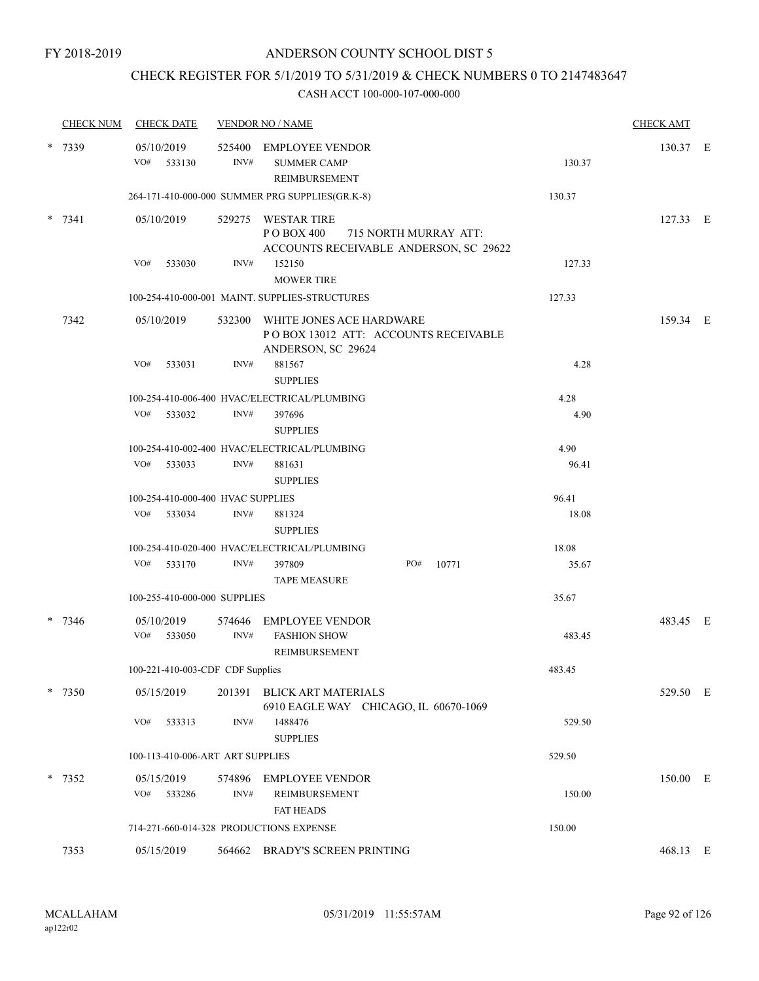### CHECK REGISTER FOR 5/1/2019 TO 5/31/2019 & CHECK NUMBERS 0 TO 2147483647

| <b>CHECK NUM</b> | <b>CHECK DATE</b>                       |                | <b>VENDOR NO / NAME</b>                                                                              |        | <b>CHECK AMT</b> |  |
|------------------|-----------------------------------------|----------------|------------------------------------------------------------------------------------------------------|--------|------------------|--|
| * 7339           | 05/10/2019<br>VO#<br>533130             | 525400<br>INV# | EMPLOYEE VENDOR<br><b>SUMMER CAMP</b><br>REIMBURSEMENT                                               | 130.37 | 130.37 E         |  |
|                  |                                         |                | 264-171-410-000-000 SUMMER PRG SUPPLIES(GR.K-8)                                                      | 130.37 |                  |  |
| $* 7341$         | 05/10/2019                              | 529275         | <b>WESTAR TIRE</b><br>P O BOX 400<br>715 NORTH MURRAY ATT:<br>ACCOUNTS RECEIVABLE ANDERSON, SC 29622 |        | 127.33 E         |  |
|                  | VO#<br>533030                           | INV#           | 152150<br><b>MOWER TIRE</b>                                                                          | 127.33 |                  |  |
|                  |                                         |                | 100-254-410-000-001 MAINT, SUPPLIES-STRUCTURES                                                       | 127.33 |                  |  |
| 7342             | 05/10/2019                              |                | 532300 WHITE JONES ACE HARDWARE<br>POBOX 13012 ATT: ACCOUNTS RECEIVABLE<br>ANDERSON, SC 29624        |        | 159.34 E         |  |
|                  | VO#<br>533031                           | INV#           | 881567<br><b>SUPPLIES</b>                                                                            | 4.28   |                  |  |
|                  |                                         |                | 100-254-410-006-400 HVAC/ELECTRICAL/PLUMBING                                                         | 4.28   |                  |  |
|                  | VO#<br>533032                           | INV#           | 397696<br><b>SUPPLIES</b>                                                                            | 4.90   |                  |  |
|                  |                                         |                | 100-254-410-002-400 HVAC/ELECTRICAL/PLUMBING                                                         | 4.90   |                  |  |
|                  | VO# 533033                              | INV#           | 881631<br><b>SUPPLIES</b>                                                                            | 96.41  |                  |  |
|                  | 100-254-410-000-400 HVAC SUPPLIES       |                |                                                                                                      | 96.41  |                  |  |
|                  | VO#<br>533034                           | INV#           | 881324<br><b>SUPPLIES</b>                                                                            | 18.08  |                  |  |
|                  |                                         |                | 100-254-410-020-400 HVAC/ELECTRICAL/PLUMBING                                                         | 18.08  |                  |  |
|                  | VO#<br>533170                           | INV#           | PO#<br>397809<br>10771<br><b>TAPE MEASURE</b>                                                        | 35.67  |                  |  |
|                  | 100-255-410-000-000 SUPPLIES            |                |                                                                                                      | 35.67  |                  |  |
| -7346            | 05/10/2019<br>VO#<br>533050             | 574646<br>INV# | <b>EMPLOYEE VENDOR</b><br><b>FASHION SHOW</b><br><b>REIMBURSEMENT</b>                                | 483.45 | 483.45 E         |  |
|                  | 100-221-410-003-CDF CDF Supplies        |                |                                                                                                      | 483.45 |                  |  |
| * 7350           | 05/15/2019                              |                | 201391 BLICK ART MATERIALS<br>6910 EAGLE WAY CHICAGO, IL 60670-1069                                  |        | 529.50 E         |  |
|                  | VO#<br>533313                           | INV#           | 1488476<br><b>SUPPLIES</b>                                                                           | 529.50 |                  |  |
|                  | 100-113-410-006-ART ART SUPPLIES        |                |                                                                                                      | 529.50 |                  |  |
| * 7352           | 05/15/2019<br>VO#<br>533286             | INV#           | 574896 EMPLOYEE VENDOR<br>REIMBURSEMENT<br><b>FAT HEADS</b>                                          | 150.00 | 150.00 E         |  |
|                  | 714-271-660-014-328 PRODUCTIONS EXPENSE |                |                                                                                                      | 150.00 |                  |  |
| 7353             | 05/15/2019                              |                | 564662 BRADY'S SCREEN PRINTING                                                                       |        | 468.13 E         |  |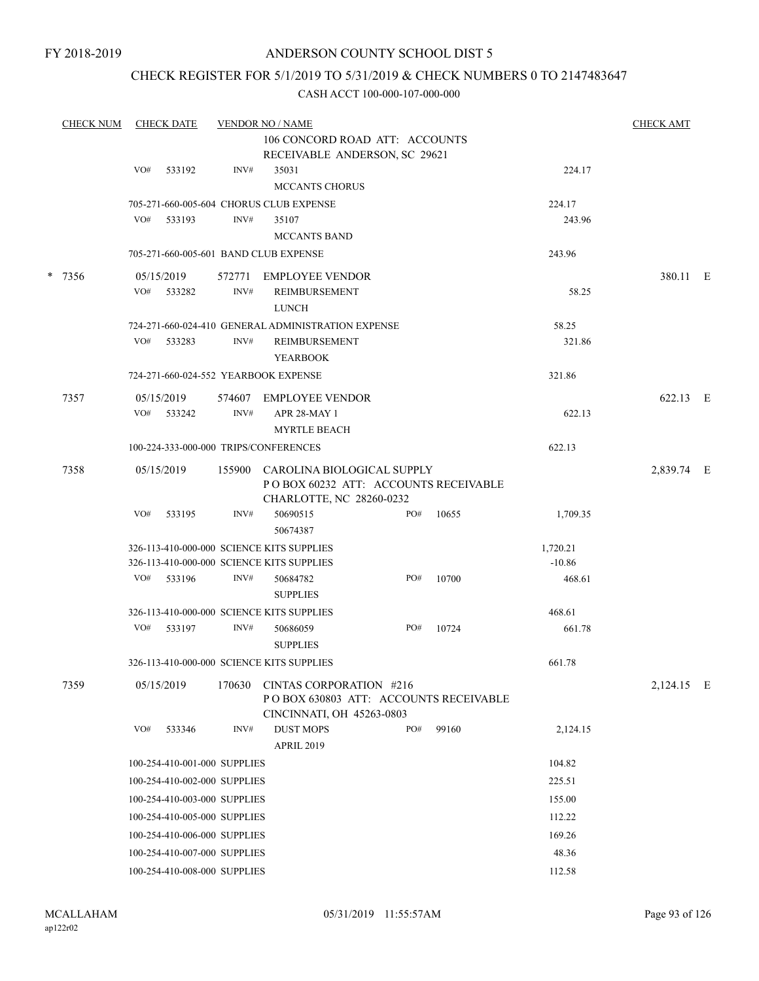FY 2018-2019

### ANDERSON COUNTY SCHOOL DIST 5

### CHECK REGISTER FOR 5/1/2019 TO 5/31/2019 & CHECK NUMBERS 0 TO 2147483647

| <b>CHECK NUM</b> |     | <b>CHECK DATE</b>            |        | <b>VENDOR NO / NAME</b>                                                                        |     |       |          | <b>CHECK AMT</b> |  |
|------------------|-----|------------------------------|--------|------------------------------------------------------------------------------------------------|-----|-------|----------|------------------|--|
|                  |     |                              |        | 106 CONCORD ROAD ATT: ACCOUNTS<br>RECEIVABLE ANDERSON, SC 29621                                |     |       |          |                  |  |
|                  | VO# | 533192                       | INV#   | 35031                                                                                          |     |       | 224.17   |                  |  |
|                  |     |                              |        | <b>MCCANTS CHORUS</b>                                                                          |     |       |          |                  |  |
|                  |     |                              |        | 705-271-660-005-604 CHORUS CLUB EXPENSE                                                        |     |       | 224.17   |                  |  |
|                  | VO# | 533193                       | INV#   | 35107                                                                                          |     |       | 243.96   |                  |  |
|                  |     |                              |        | <b>MCCANTS BAND</b>                                                                            |     |       |          |                  |  |
|                  |     |                              |        | 705-271-660-005-601 BAND CLUB EXPENSE                                                          |     |       | 243.96   |                  |  |
| * 7356           |     | 05/15/2019                   |        | 572771 EMPLOYEE VENDOR                                                                         |     |       |          | 380.11 E         |  |
|                  | VO# | 533282                       | INV#   | REIMBURSEMENT<br><b>LUNCH</b>                                                                  |     |       | 58.25    |                  |  |
|                  |     |                              |        | 724-271-660-024-410 GENERAL ADMINISTRATION EXPENSE                                             |     |       | 58.25    |                  |  |
|                  | VO# | 533283                       | INV#   | REIMBURSEMENT<br><b>YEARBOOK</b>                                                               |     |       | 321.86   |                  |  |
|                  |     |                              |        | 724-271-660-024-552 YEARBOOK EXPENSE                                                           |     |       | 321.86   |                  |  |
| 7357             |     | 05/15/2019                   | 574607 | EMPLOYEE VENDOR                                                                                |     |       |          | 622.13 E         |  |
|                  | VO# | 533242                       | INV#   | APR 28-MAY 1<br><b>MYRTLE BEACH</b>                                                            |     |       | 622.13   |                  |  |
|                  |     |                              |        | 100-224-333-000-000 TRIPS/CONFERENCES                                                          |     |       | 622.13   |                  |  |
|                  |     |                              |        |                                                                                                |     |       |          |                  |  |
| 7358             |     | 05/15/2019                   | 155900 | CAROLINA BIOLOGICAL SUPPLY<br>POBOX 60232 ATT: ACCOUNTS RECEIVABLE                             |     |       |          | 2,839.74 E       |  |
|                  | VO# | 533195                       | INV#   | CHARLOTTE, NC 28260-0232<br>50690515                                                           | PO# | 10655 | 1,709.35 |                  |  |
|                  |     |                              |        | 50674387                                                                                       |     |       |          |                  |  |
|                  |     |                              |        | 326-113-410-000-000 SCIENCE KITS SUPPLIES                                                      |     |       | 1,720.21 |                  |  |
|                  |     |                              |        | 326-113-410-000-000 SCIENCE KITS SUPPLIES                                                      |     |       | $-10.86$ |                  |  |
|                  | VO# | 533196                       | INV#   | 50684782<br><b>SUPPLIES</b>                                                                    | PO# | 10700 | 468.61   |                  |  |
|                  |     |                              |        | 326-113-410-000-000 SCIENCE KITS SUPPLIES                                                      |     |       | 468.61   |                  |  |
|                  |     | VO# 533197                   | INV#   | 50686059<br><b>SUPPLIES</b>                                                                    | PO# | 10724 | 661.78   |                  |  |
|                  |     |                              |        | 326-113-410-000-000 SCIENCE KITS SUPPLIES                                                      |     |       | 661.78   |                  |  |
| 7359             |     | 05/15/2019                   | 170630 | CINTAS CORPORATION #216<br>PO BOX 630803 ATT: ACCOUNTS RECEIVABLE<br>CINCINNATI, OH 45263-0803 |     |       |          | 2,124.15 E       |  |
|                  | VO# | 533346                       | INV#   | <b>DUST MOPS</b>                                                                               | PO# | 99160 | 2,124.15 |                  |  |
|                  |     |                              |        | <b>APRIL 2019</b>                                                                              |     |       |          |                  |  |
|                  |     | 100-254-410-001-000 SUPPLIES |        |                                                                                                |     |       | 104.82   |                  |  |
|                  |     | 100-254-410-002-000 SUPPLIES |        |                                                                                                |     |       | 225.51   |                  |  |
|                  |     | 100-254-410-003-000 SUPPLIES |        |                                                                                                |     |       | 155.00   |                  |  |
|                  |     | 100-254-410-005-000 SUPPLIES |        |                                                                                                |     |       | 112.22   |                  |  |
|                  |     | 100-254-410-006-000 SUPPLIES |        |                                                                                                |     |       | 169.26   |                  |  |
|                  |     | 100-254-410-007-000 SUPPLIES |        |                                                                                                |     |       | 48.36    |                  |  |
|                  |     | 100-254-410-008-000 SUPPLIES |        |                                                                                                |     |       | 112.58   |                  |  |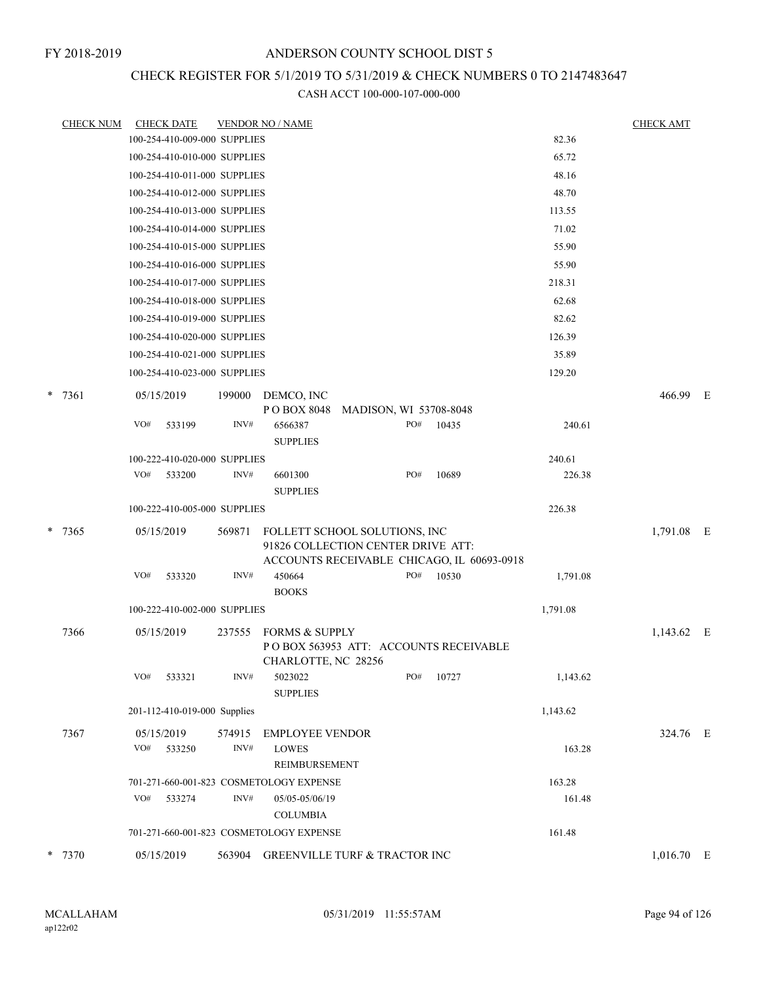## CHECK REGISTER FOR 5/1/2019 TO 5/31/2019 & CHECK NUMBERS 0 TO 2147483647

| <b>CHECK NUM</b> |            | <b>CHECK DATE</b>            |        | <b>VENDOR NO / NAME</b>                                             |                        |     |                                            |          | <b>CHECK AMT</b> |  |
|------------------|------------|------------------------------|--------|---------------------------------------------------------------------|------------------------|-----|--------------------------------------------|----------|------------------|--|
|                  |            | 100-254-410-009-000 SUPPLIES |        |                                                                     |                        |     |                                            | 82.36    |                  |  |
|                  |            | 100-254-410-010-000 SUPPLIES |        |                                                                     |                        |     |                                            | 65.72    |                  |  |
|                  |            | 100-254-410-011-000 SUPPLIES |        |                                                                     |                        |     |                                            | 48.16    |                  |  |
|                  |            | 100-254-410-012-000 SUPPLIES |        |                                                                     |                        |     |                                            | 48.70    |                  |  |
|                  |            | 100-254-410-013-000 SUPPLIES |        |                                                                     |                        |     |                                            | 113.55   |                  |  |
|                  |            | 100-254-410-014-000 SUPPLIES |        |                                                                     |                        |     |                                            | 71.02    |                  |  |
|                  |            | 100-254-410-015-000 SUPPLIES |        |                                                                     |                        |     |                                            | 55.90    |                  |  |
|                  |            | 100-254-410-016-000 SUPPLIES |        |                                                                     |                        |     |                                            | 55.90    |                  |  |
|                  |            | 100-254-410-017-000 SUPPLIES |        |                                                                     |                        |     |                                            | 218.31   |                  |  |
|                  |            | 100-254-410-018-000 SUPPLIES |        |                                                                     |                        |     |                                            | 62.68    |                  |  |
|                  |            | 100-254-410-019-000 SUPPLIES |        |                                                                     |                        |     |                                            | 82.62    |                  |  |
|                  |            | 100-254-410-020-000 SUPPLIES |        |                                                                     |                        |     |                                            | 126.39   |                  |  |
|                  |            | 100-254-410-021-000 SUPPLIES |        |                                                                     |                        |     |                                            | 35.89    |                  |  |
|                  |            | 100-254-410-023-000 SUPPLIES |        |                                                                     |                        |     |                                            | 129.20   |                  |  |
| $*$ 7361         | 05/15/2019 |                              | 199000 | DEMCO, INC<br>PO BOX 8048                                           | MADISON, WI 53708-8048 |     |                                            |          | 466.99 E         |  |
|                  | VO#        | 533199                       | INV#   | 6566387                                                             |                        | PO# | 10435                                      | 240.61   |                  |  |
|                  |            |                              |        | <b>SUPPLIES</b>                                                     |                        |     |                                            |          |                  |  |
|                  |            | 100-222-410-020-000 SUPPLIES |        |                                                                     |                        |     |                                            | 240.61   |                  |  |
|                  | VO#        | 533200                       | INV#   | 6601300<br><b>SUPPLIES</b>                                          |                        | PO# | 10689                                      | 226.38   |                  |  |
|                  |            | 100-222-410-005-000 SUPPLIES |        |                                                                     |                        |     |                                            | 226.38   |                  |  |
|                  |            |                              |        |                                                                     |                        |     |                                            |          |                  |  |
| $* 7365$         | 05/15/2019 |                              | 569871 | FOLLETT SCHOOL SOLUTIONS, INC<br>91826 COLLECTION CENTER DRIVE ATT: |                        |     | ACCOUNTS RECEIVABLE CHICAGO, IL 60693-0918 |          | 1,791.08 E       |  |
|                  | VO#        | 533320                       | INV#   | 450664                                                              |                        | PO# | 10530                                      | 1,791.08 |                  |  |
|                  |            |                              |        | <b>BOOKS</b>                                                        |                        |     |                                            |          |                  |  |
|                  |            | 100-222-410-002-000 SUPPLIES |        |                                                                     |                        |     |                                            | 1,791.08 |                  |  |
| 7366             | 05/15/2019 |                              | 237555 | FORMS & SUPPLY                                                      |                        |     |                                            |          | $1,143.62$ E     |  |
|                  |            |                              |        | CHARLOTTE, NC 28256                                                 |                        |     | POBOX 563953 ATT: ACCOUNTS RECEIVABLE      |          |                  |  |
|                  | VO#        | 533321                       | INV#   | 5023022<br><b>SUPPLIES</b>                                          |                        | PO# | 10727                                      | 1,143.62 |                  |  |
|                  |            | 201-112-410-019-000 Supplies |        |                                                                     |                        |     |                                            | 1,143.62 |                  |  |
| 7367             | 05/15/2019 |                              | 574915 | <b>EMPLOYEE VENDOR</b>                                              |                        |     |                                            |          | 324.76 E         |  |
|                  | VO#        | 533250                       | INV#   | <b>LOWES</b><br>REIMBURSEMENT                                       |                        |     |                                            | 163.28   |                  |  |
|                  |            |                              |        | 701-271-660-001-823 COSMETOLOGY EXPENSE                             |                        |     |                                            | 163.28   |                  |  |
|                  | VO#        | 533274                       | INV#   | 05/05-05/06/19<br><b>COLUMBIA</b>                                   |                        |     |                                            | 161.48   |                  |  |
|                  |            |                              |        | 701-271-660-001-823 COSMETOLOGY EXPENSE                             |                        |     |                                            | 161.48   |                  |  |
|                  |            |                              |        |                                                                     |                        |     |                                            |          |                  |  |
| * 7370           |            | 05/15/2019                   | 563904 | <b>GREENVILLE TURF &amp; TRACTOR INC</b>                            |                        |     |                                            |          | 1,016.70 E       |  |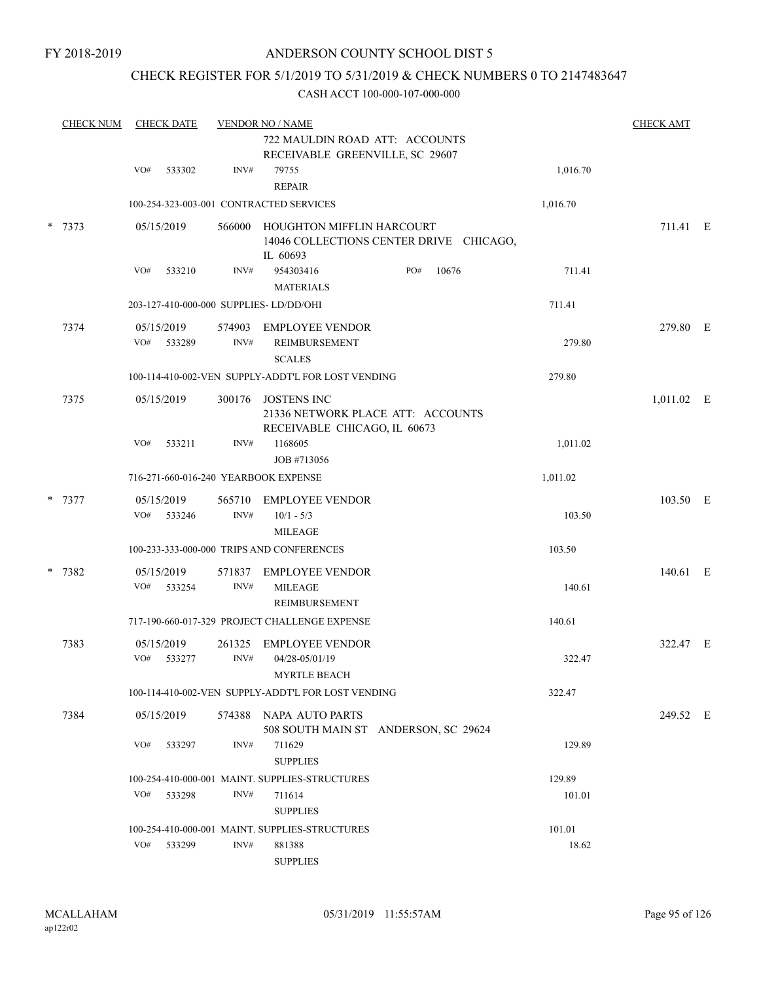### CHECK REGISTER FOR 5/1/2019 TO 5/31/2019 & CHECK NUMBERS 0 TO 2147483647

| <b>CHECK NUM</b> | <b>CHECK DATE</b>           |                | <b>VENDOR NO / NAME</b>                                                                 |     |       |          | <b>CHECK AMT</b> |  |
|------------------|-----------------------------|----------------|-----------------------------------------------------------------------------------------|-----|-------|----------|------------------|--|
|                  |                             |                | 722 MAULDIN ROAD ATT: ACCOUNTS<br>RECEIVABLE GREENVILLE, SC 29607                       |     |       |          |                  |  |
|                  | VO#<br>533302               | INV#           | 79755<br><b>REPAIR</b>                                                                  |     |       | 1,016.70 |                  |  |
|                  |                             |                | 100-254-323-003-001 CONTRACTED SERVICES                                                 |     |       | 1,016.70 |                  |  |
| * 7373           | 05/15/2019                  | 566000         | HOUGHTON MIFFLIN HARCOURT<br>14046 COLLECTIONS CENTER DRIVE CHICAGO,<br>IL 60693        |     |       |          | 711.41 E         |  |
|                  | VO#<br>533210               | INV#           | 954303416<br><b>MATERIALS</b>                                                           | PO# | 10676 | 711.41   |                  |  |
|                  |                             |                | 203-127-410-000-000 SUPPLIES- LD/DD/OHI                                                 |     |       | 711.41   |                  |  |
| 7374             | 05/15/2019                  | 574903         | <b>EMPLOYEE VENDOR</b>                                                                  |     |       |          | 279.80 E         |  |
|                  | VO#<br>533289               | INV#           | REIMBURSEMENT<br><b>SCALES</b>                                                          |     |       | 279.80   |                  |  |
|                  |                             |                | 100-114-410-002-VEN SUPPLY-ADDT'L FOR LOST VENDING                                      |     |       | 279.80   |                  |  |
| 7375             | 05/15/2019                  | 300176         | <b>JOSTENS INC</b><br>21336 NETWORK PLACE ATT: ACCOUNTS<br>RECEIVABLE CHICAGO, IL 60673 |     |       |          | $1,011.02$ E     |  |
|                  | VO#<br>533211               | INV#           | 1168605<br>JOB #713056                                                                  |     |       | 1,011.02 |                  |  |
|                  |                             |                | 716-271-660-016-240 YEARBOOK EXPENSE                                                    |     |       | 1,011.02 |                  |  |
| * 7377           | 05/15/2019<br>VO#<br>533246 | INV#           | 565710 EMPLOYEE VENDOR<br>$10/1 - 5/3$                                                  |     |       | 103.50   | 103.50 E         |  |
|                  |                             |                | <b>MILEAGE</b>                                                                          |     |       |          |                  |  |
|                  |                             |                | 100-233-333-000-000 TRIPS AND CONFERENCES                                               |     |       | 103.50   |                  |  |
| * 7382           | 05/15/2019<br>VO#<br>533254 | 571837<br>INV# | <b>EMPLOYEE VENDOR</b><br><b>MILEAGE</b><br><b>REIMBURSEMENT</b>                        |     |       | 140.61   | 140.61 E         |  |
|                  |                             |                | 717-190-660-017-329 PROJECT CHALLENGE EXPENSE                                           |     |       | 140.61   |                  |  |
| 7383             | 05/15/2019<br>VO#<br>533277 | 261325<br>INV# | <b>EMPLOYEE VENDOR</b><br>04/28-05/01/19<br>MYRTLE BEACH                                |     |       | 322.47   | 322.47 E         |  |
|                  |                             |                | 100-114-410-002-VEN SUPPLY-ADDT'L FOR LOST VENDING                                      |     |       | 322.47   |                  |  |
| 7384             | 05/15/2019                  |                | 574388 NAPA AUTO PARTS<br>508 SOUTH MAIN ST ANDERSON, SC 29624                          |     |       |          | 249.52 E         |  |
|                  | VO#<br>533297               | INV#           | 711629<br><b>SUPPLIES</b>                                                               |     |       | 129.89   |                  |  |
|                  |                             |                | 100-254-410-000-001 MAINT. SUPPLIES-STRUCTURES                                          |     |       | 129.89   |                  |  |
|                  | VO#<br>533298               | INV#           | 711614<br><b>SUPPLIES</b>                                                               |     |       | 101.01   |                  |  |
|                  |                             |                | 100-254-410-000-001 MAINT. SUPPLIES-STRUCTURES                                          |     |       | 101.01   |                  |  |
|                  | VO#<br>533299               | INV#           | 881388<br><b>SUPPLIES</b>                                                               |     |       | 18.62    |                  |  |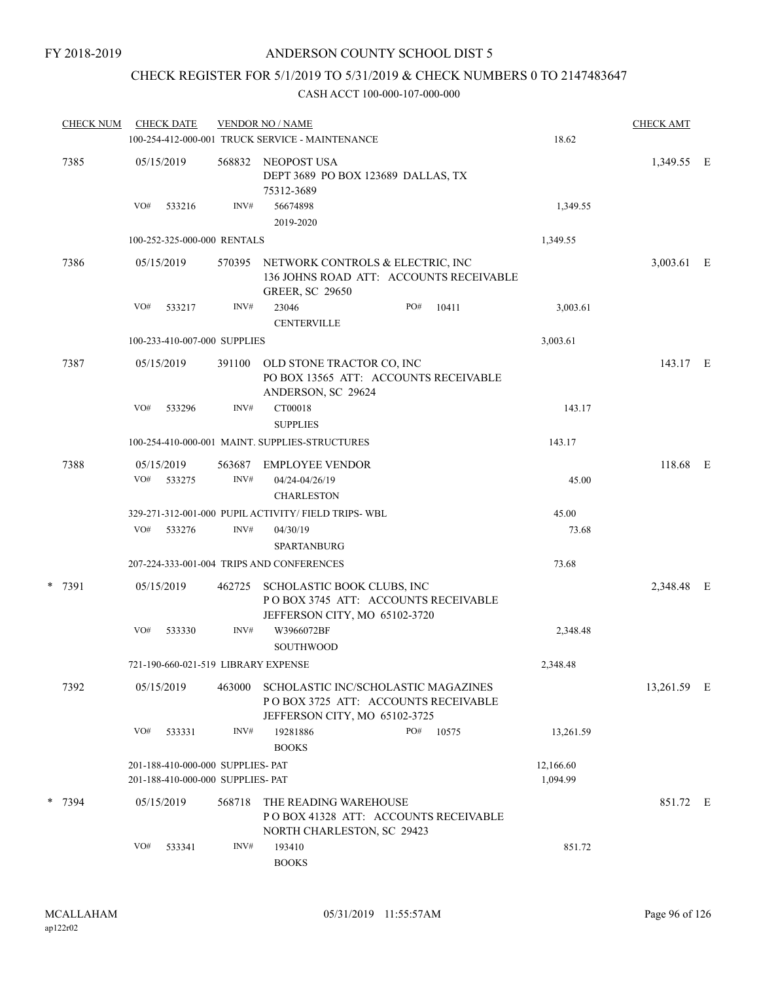# CHECK REGISTER FOR 5/1/2019 TO 5/31/2019 & CHECK NUMBERS 0 TO 2147483647

| <b>CHECK NUM</b> | <b>CHECK DATE</b>                                                      |                | <b>VENDOR NO / NAME</b>                                                                                     |                       | <b>CHECK AMT</b> |  |
|------------------|------------------------------------------------------------------------|----------------|-------------------------------------------------------------------------------------------------------------|-----------------------|------------------|--|
|                  |                                                                        |                | 100-254-412-000-001 TRUCK SERVICE - MAINTENANCE                                                             | 18.62                 |                  |  |
| 7385             | 05/15/2019                                                             | 568832         | NEOPOST USA<br>DEPT 3689 PO BOX 123689 DALLAS, TX<br>75312-3689                                             |                       | 1,349.55 E       |  |
|                  | VO#<br>533216                                                          | INV#           | 56674898<br>2019-2020                                                                                       | 1,349.55              |                  |  |
|                  | 100-252-325-000-000 RENTALS                                            |                |                                                                                                             | 1,349.55              |                  |  |
| 7386             | 05/15/2019                                                             | 570395         | NETWORK CONTROLS & ELECTRIC, INC<br>136 JOHNS ROAD ATT: ACCOUNTS RECEIVABLE<br><b>GREER, SC 29650</b>       |                       | 3,003.61 E       |  |
|                  | VO#<br>533217                                                          | INV#           | 23046<br>PO#<br>10411<br><b>CENTERVILLE</b>                                                                 | 3,003.61              |                  |  |
|                  | 100-233-410-007-000 SUPPLIES                                           |                |                                                                                                             | 3,003.61              |                  |  |
| 7387             | 05/15/2019                                                             | 391100         | OLD STONE TRACTOR CO, INC<br>PO BOX 13565 ATT: ACCOUNTS RECEIVABLE<br>ANDERSON, SC 29624                    |                       | 143.17 E         |  |
|                  | VO#<br>533296                                                          | INV#           | CT00018<br><b>SUPPLIES</b>                                                                                  | 143.17                |                  |  |
|                  |                                                                        |                | 100-254-410-000-001 MAINT. SUPPLIES-STRUCTURES                                                              | 143.17                |                  |  |
| 7388             | 05/15/2019<br>VO#<br>533275                                            | 563687<br>INV# | <b>EMPLOYEE VENDOR</b><br>04/24-04/26/19<br><b>CHARLESTON</b>                                               | 45.00                 | 118.68 E         |  |
|                  |                                                                        |                | 329-271-312-001-000 PUPIL ACTIVITY/ FIELD TRIPS-WBL                                                         | 45.00                 |                  |  |
|                  | VO#<br>533276                                                          | INV#           | 04/30/19<br><b>SPARTANBURG</b>                                                                              | 73.68                 |                  |  |
|                  |                                                                        |                | 207-224-333-001-004 TRIPS AND CONFERENCES                                                                   | 73.68                 |                  |  |
| * 7391           | 05/15/2019                                                             | 462725         | SCHOLASTIC BOOK CLUBS, INC<br>POBOX 3745 ATT: ACCOUNTS RECEIVABLE<br>JEFFERSON CITY, MO 65102-3720          |                       | 2,348.48 E       |  |
|                  | VO#<br>533330                                                          | INV#           | W3966072BF<br>SOUTHWOOD                                                                                     | 2,348.48              |                  |  |
|                  | 721-190-660-021-519 LIBRARY EXPENSE                                    |                |                                                                                                             | 2,348.48              |                  |  |
| 7392             | 05/15/2019                                                             | 463000         | SCHOLASTIC INC/SCHOLASTIC MAGAZINES<br>POBOX 3725 ATT: ACCOUNTS RECEIVABLE<br>JEFFERSON CITY, MO 65102-3725 |                       | 13,261.59 E      |  |
|                  | VO#<br>533331                                                          | INV#           | 19281886<br>PO#<br>10575<br><b>BOOKS</b>                                                                    | 13,261.59             |                  |  |
|                  | 201-188-410-000-000 SUPPLIES- PAT<br>201-188-410-000-000 SUPPLIES- PAT |                |                                                                                                             | 12,166.60<br>1,094.99 |                  |  |
| * 7394           | 05/15/2019                                                             | 568718         | THE READING WAREHOUSE<br>POBOX 41328 ATT: ACCOUNTS RECEIVABLE<br>NORTH CHARLESTON, SC 29423                 |                       | 851.72 E         |  |
|                  | VO#<br>533341                                                          | INV#           | 193410<br><b>BOOKS</b>                                                                                      | 851.72                |                  |  |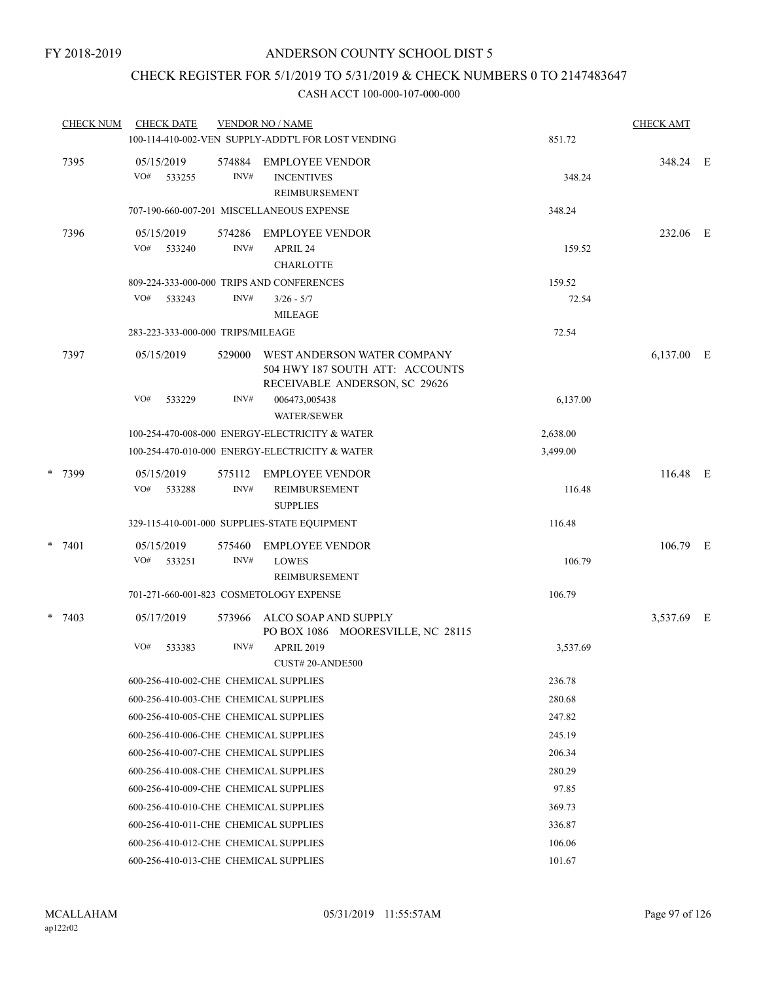### CHECK REGISTER FOR 5/1/2019 TO 5/31/2019 & CHECK NUMBERS 0 TO 2147483647

|  | <b>CHECK NUM</b> | <b>CHECK DATE</b>                     |                | <b>VENDOR NO / NAME</b>                                                                         |          | <b>CHECK AMT</b> |  |
|--|------------------|---------------------------------------|----------------|-------------------------------------------------------------------------------------------------|----------|------------------|--|
|  |                  |                                       |                | 100-114-410-002-VEN SUPPLY-ADDT'L FOR LOST VENDING                                              | 851.72   |                  |  |
|  | 7395             | 05/15/2019<br>VO#<br>533255           | 574884<br>INV# | <b>EMPLOYEE VENDOR</b><br><b>INCENTIVES</b><br><b>REIMBURSEMENT</b>                             | 348.24   | 348.24 E         |  |
|  |                  |                                       |                | 707-190-660-007-201 MISCELLANEOUS EXPENSE                                                       | 348.24   |                  |  |
|  | 7396             | 05/15/2019                            | 574286         | <b>EMPLOYEE VENDOR</b>                                                                          |          | 232.06 E         |  |
|  |                  | VO#<br>533240                         | INV#           | APRIL 24<br><b>CHARLOTTE</b>                                                                    | 159.52   |                  |  |
|  |                  |                                       |                | 809-224-333-000-000 TRIPS AND CONFERENCES                                                       | 159.52   |                  |  |
|  |                  | VO#<br>533243                         | INV#           | $3/26 - 5/7$                                                                                    | 72.54    |                  |  |
|  |                  |                                       |                | <b>MILEAGE</b>                                                                                  |          |                  |  |
|  |                  | 283-223-333-000-000 TRIPS/MILEAGE     |                |                                                                                                 | 72.54    |                  |  |
|  | 7397             | 05/15/2019                            | 529000         | WEST ANDERSON WATER COMPANY<br>504 HWY 187 SOUTH ATT: ACCOUNTS<br>RECEIVABLE ANDERSON, SC 29626 |          | 6,137.00 E       |  |
|  |                  | VO#<br>533229                         | INV#           | 006473,005438<br><b>WATER/SEWER</b>                                                             | 6,137.00 |                  |  |
|  |                  |                                       |                | 100-254-470-008-000 ENERGY-ELECTRICITY & WATER                                                  | 2,638.00 |                  |  |
|  |                  |                                       |                | 100-254-470-010-000 ENERGY-ELECTRICITY & WATER                                                  | 3,499.00 |                  |  |
|  |                  |                                       |                |                                                                                                 |          |                  |  |
|  | * 7399           | 05/15/2019<br>VO#<br>533288           | 575112<br>INV# | <b>EMPLOYEE VENDOR</b><br>REIMBURSEMENT<br><b>SUPPLIES</b>                                      | 116.48   | 116.48 E         |  |
|  |                  |                                       |                | 329-115-410-001-000 SUPPLIES-STATE EQUIPMENT                                                    | 116.48   |                  |  |
|  | $* 7401$         | 05/15/2019                            | 575460         | <b>EMPLOYEE VENDOR</b>                                                                          |          | 106.79 E         |  |
|  |                  | VO#<br>533251                         | INV#           | <b>LOWES</b>                                                                                    | 106.79   |                  |  |
|  |                  |                                       |                | REIMBURSEMENT                                                                                   |          |                  |  |
|  |                  |                                       |                | 701-271-660-001-823 COSMETOLOGY EXPENSE                                                         | 106.79   |                  |  |
|  | $* 7403$         | 05/17/2019                            | 573966         | ALCO SOAP AND SUPPLY<br>PO BOX 1086 MOORESVILLE, NC 28115                                       |          | 3,537.69 E       |  |
|  |                  | VO#<br>533383                         | INV#           | <b>APRIL 2019</b>                                                                               | 3,537.69 |                  |  |
|  |                  |                                       |                | CUST#20-ANDE500                                                                                 |          |                  |  |
|  |                  | 600-256-410-002-CHE CHEMICAL SUPPLIES |                |                                                                                                 | 236.78   |                  |  |
|  |                  | 600-256-410-003-CHE CHEMICAL SUPPLIES |                |                                                                                                 | 280.68   |                  |  |
|  |                  | 600-256-410-005-CHE CHEMICAL SUPPLIES |                |                                                                                                 | 247.82   |                  |  |
|  |                  | 600-256-410-006-CHE CHEMICAL SUPPLIES |                |                                                                                                 | 245.19   |                  |  |
|  |                  | 600-256-410-007-CHE CHEMICAL SUPPLIES |                |                                                                                                 | 206.34   |                  |  |
|  |                  | 600-256-410-008-CHE CHEMICAL SUPPLIES |                |                                                                                                 | 280.29   |                  |  |
|  |                  | 600-256-410-009-CHE CHEMICAL SUPPLIES |                |                                                                                                 | 97.85    |                  |  |
|  |                  | 600-256-410-010-CHE CHEMICAL SUPPLIES |                |                                                                                                 | 369.73   |                  |  |
|  |                  | 600-256-410-011-CHE CHEMICAL SUPPLIES |                |                                                                                                 | 336.87   |                  |  |
|  |                  | 600-256-410-012-CHE CHEMICAL SUPPLIES |                |                                                                                                 | 106.06   |                  |  |
|  |                  | 600-256-410-013-CHE CHEMICAL SUPPLIES |                |                                                                                                 | 101.67   |                  |  |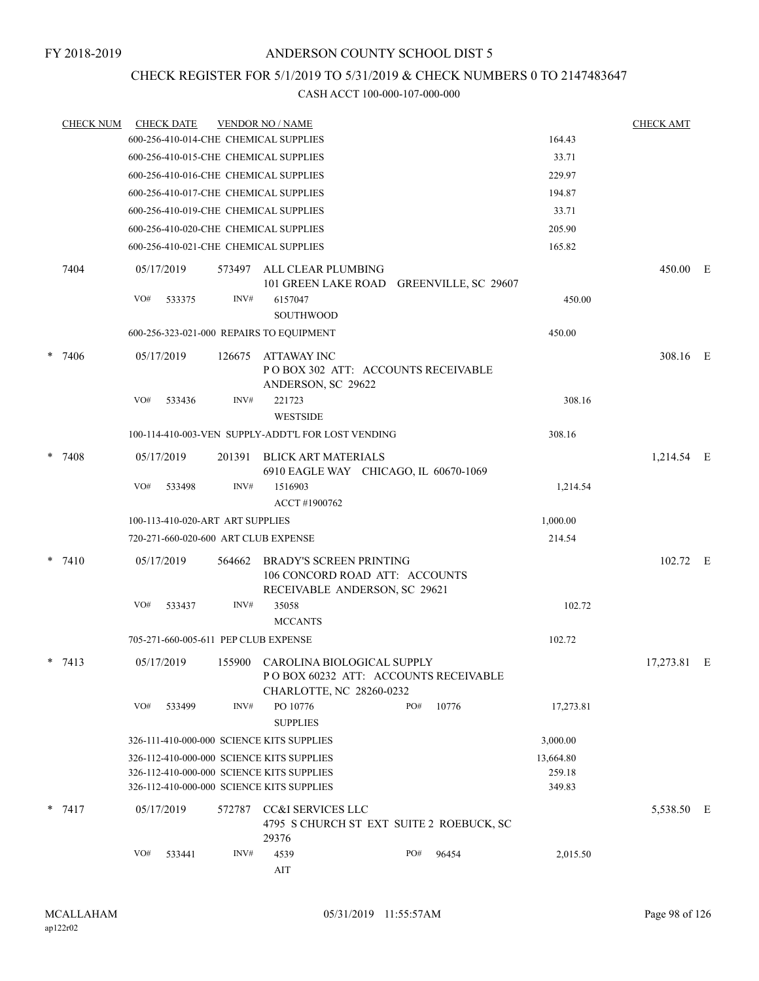### CHECK REGISTER FOR 5/1/2019 TO 5/31/2019 & CHECK NUMBERS 0 TO 2147483647

|   | <b>CHECK NUM</b> |     | <b>CHECK DATE</b> |                                      | <b>VENDOR NO / NAME</b>                                                                               |     |       |                  | <b>CHECK AMT</b> |  |
|---|------------------|-----|-------------------|--------------------------------------|-------------------------------------------------------------------------------------------------------|-----|-------|------------------|------------------|--|
|   |                  |     |                   |                                      | 600-256-410-014-CHE CHEMICAL SUPPLIES                                                                 |     |       | 164.43           |                  |  |
|   |                  |     |                   |                                      | 600-256-410-015-CHE CHEMICAL SUPPLIES                                                                 |     |       | 33.71            |                  |  |
|   |                  |     |                   |                                      | 600-256-410-016-CHE CHEMICAL SUPPLIES                                                                 |     |       | 229.97           |                  |  |
|   |                  |     |                   |                                      | 600-256-410-017-CHE CHEMICAL SUPPLIES                                                                 |     |       | 194.87           |                  |  |
|   |                  |     |                   |                                      | 600-256-410-019-CHE CHEMICAL SUPPLIES                                                                 |     |       | 33.71            |                  |  |
|   |                  |     |                   |                                      | 600-256-410-020-CHE CHEMICAL SUPPLIES                                                                 |     |       | 205.90           |                  |  |
|   |                  |     |                   |                                      | 600-256-410-021-CHE CHEMICAL SUPPLIES                                                                 |     |       | 165.82           |                  |  |
|   | 7404             |     | 05/17/2019        | 573497                               | ALL CLEAR PLUMBING<br>101 GREEN LAKE ROAD GREENVILLE, SC 29607                                        |     |       |                  | 450.00 E         |  |
|   |                  | VO# | 533375            | INV#                                 | 6157047<br><b>SOUTHWOOD</b>                                                                           |     |       | 450.00           |                  |  |
|   |                  |     |                   |                                      | 600-256-323-021-000 REPAIRS TO EQUIPMENT                                                              |     |       | 450.00           |                  |  |
| * | 7406             |     | 05/17/2019        | 126675                               | ATTAWAY INC<br>PO BOX 302 ATT: ACCOUNTS RECEIVABLE<br>ANDERSON, SC 29622                              |     |       |                  | 308.16 E         |  |
|   |                  | VO# | 533436            | INV#                                 | 221723<br><b>WESTSIDE</b>                                                                             |     |       | 308.16           |                  |  |
|   |                  |     |                   |                                      | 100-114-410-003-VEN SUPPLY-ADDT'L FOR LOST VENDING                                                    |     |       | 308.16           |                  |  |
|   | $* 7408$         |     | 05/17/2019        | 201391                               | <b>BLICK ART MATERIALS</b><br>6910 EAGLE WAY CHICAGO, IL 60670-1069                                   |     |       |                  | 1,214.54 E       |  |
|   |                  | VO# | 533498            | INV#                                 | 1516903<br>ACCT #1900762                                                                              |     |       | 1,214.54         |                  |  |
|   |                  |     |                   | 100-113-410-020-ART ART SUPPLIES     |                                                                                                       |     |       | 1,000.00         |                  |  |
|   |                  |     |                   |                                      | 720-271-660-020-600 ART CLUB EXPENSE                                                                  |     |       | 214.54           |                  |  |
|   | $*$ 7410         |     | 05/17/2019        | 564662                               | <b>BRADY'S SCREEN PRINTING</b><br>106 CONCORD ROAD ATT: ACCOUNTS<br>RECEIVABLE ANDERSON, SC 29621     |     |       |                  | 102.72 E         |  |
|   |                  | VO# | 533437            | INV#                                 | 35058<br><b>MCCANTS</b>                                                                               |     |       | 102.72           |                  |  |
|   |                  |     |                   | 705-271-660-005-611 PEP CLUB EXPENSE |                                                                                                       |     |       | 102.72           |                  |  |
|   | $*$ 7413         |     | 05/17/2019        |                                      | 155900 CAROLINA BIOLOGICAL SUPPLY<br>POBOX 60232 ATT: ACCOUNTS RECEIVABLE<br>CHARLOTTE, NC 28260-0232 |     |       |                  | 17,273.81 E      |  |
|   |                  | VO# | 533499            | INV#                                 | PO 10776<br><b>SUPPLIES</b>                                                                           | PO# | 10776 | 17,273.81        |                  |  |
|   |                  |     |                   |                                      | 326-111-410-000-000 SCIENCE KITS SUPPLIES                                                             |     |       | 3,000.00         |                  |  |
|   |                  |     |                   |                                      | 326-112-410-000-000 SCIENCE KITS SUPPLIES                                                             |     |       | 13,664.80        |                  |  |
|   |                  |     |                   |                                      | 326-112-410-000-000 SCIENCE KITS SUPPLIES<br>326-112-410-000-000 SCIENCE KITS SUPPLIES                |     |       | 259.18<br>349.83 |                  |  |
|   | $* 7417$         |     | 05/17/2019        | 572787                               | CC&I SERVICES LLC<br>4795 S CHURCH ST EXT SUITE 2 ROEBUCK, SC<br>29376                                |     |       |                  | 5,538.50 E       |  |
|   |                  | VO# | 533441            | INV#                                 | 4539<br>AIT                                                                                           | PO# | 96454 | 2,015.50         |                  |  |
|   |                  |     |                   |                                      |                                                                                                       |     |       |                  |                  |  |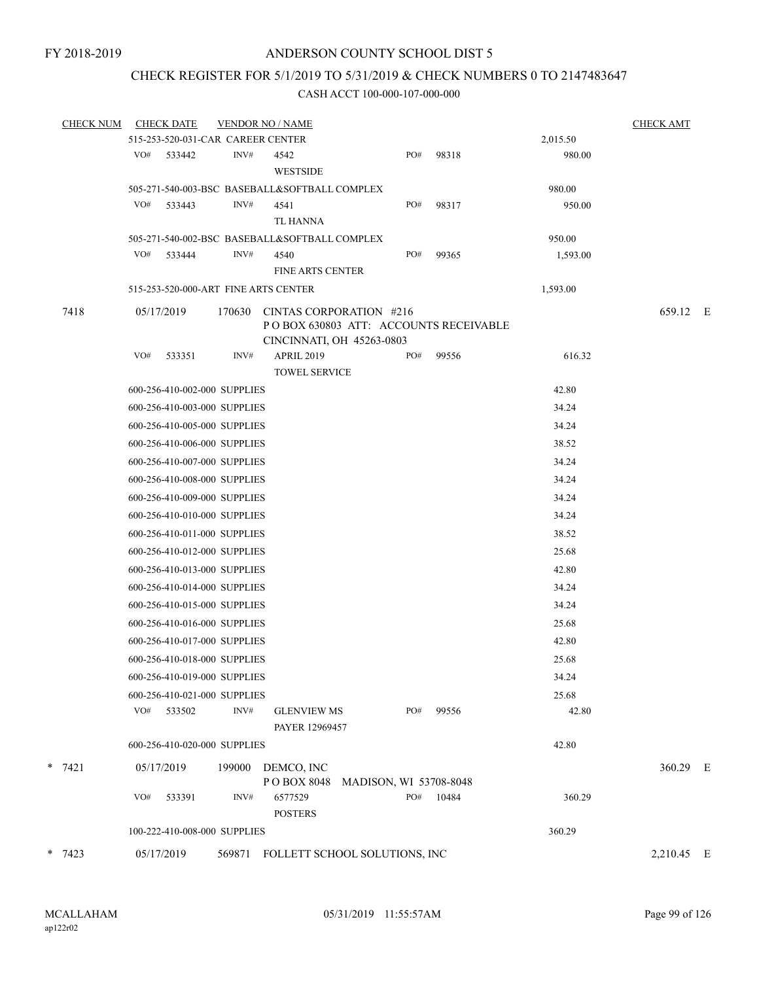### CHECK REGISTER FOR 5/1/2019 TO 5/31/2019 & CHECK NUMBERS 0 TO 2147483647

| <b>CHECK NUM</b> | <b>CHECK DATE</b>                    |        | <b>VENDOR NO / NAME</b>                                                                       |                        |       |          | <b>CHECK AMT</b> |  |
|------------------|--------------------------------------|--------|-----------------------------------------------------------------------------------------------|------------------------|-------|----------|------------------|--|
|                  | 515-253-520-031-CAR CAREER CENTER    |        |                                                                                               |                        |       | 2,015.50 |                  |  |
|                  | VO# 533442                           | INV#   | 4542<br>WESTSIDE                                                                              | PO#                    | 98318 | 980.00   |                  |  |
|                  |                                      |        | 505-271-540-003-BSC BASEBALL&SOFTBALL COMPLEX                                                 |                        |       | 980.00   |                  |  |
|                  | VO#<br>533443                        | INV#   | 4541                                                                                          | PO#                    | 98317 | 950.00   |                  |  |
|                  |                                      |        | TL HANNA                                                                                      |                        |       |          |                  |  |
|                  |                                      |        | 505-271-540-002-BSC BASEBALL&SOFTBALL COMPLEX                                                 |                        |       | 950.00   |                  |  |
|                  | VO#<br>533444                        | INV#   | 4540                                                                                          | PO#                    | 99365 | 1,593.00 |                  |  |
|                  |                                      |        | <b>FINE ARTS CENTER</b>                                                                       |                        |       |          |                  |  |
|                  | 515-253-520-000-ART FINE ARTS CENTER |        |                                                                                               |                        |       | 1,593.00 |                  |  |
| 7418             | 05/17/2019                           | 170630 | CINTAS CORPORATION #216<br>POBOX 630803 ATT: ACCOUNTS RECEIVABLE<br>CINCINNATI, OH 45263-0803 |                        |       |          | 659.12 E         |  |
|                  | VO#<br>533351                        | INV#   | <b>APRIL 2019</b>                                                                             | PO#                    | 99556 | 616.32   |                  |  |
|                  |                                      |        | <b>TOWEL SERVICE</b>                                                                          |                        |       |          |                  |  |
|                  | 600-256-410-002-000 SUPPLIES         |        |                                                                                               |                        |       | 42.80    |                  |  |
|                  | 600-256-410-003-000 SUPPLIES         |        |                                                                                               |                        |       | 34.24    |                  |  |
|                  | 600-256-410-005-000 SUPPLIES         |        |                                                                                               |                        |       | 34.24    |                  |  |
|                  | 600-256-410-006-000 SUPPLIES         |        |                                                                                               |                        |       | 38.52    |                  |  |
|                  | 600-256-410-007-000 SUPPLIES         |        |                                                                                               |                        |       | 34.24    |                  |  |
|                  | 600-256-410-008-000 SUPPLIES         |        |                                                                                               |                        |       | 34.24    |                  |  |
|                  | 600-256-410-009-000 SUPPLIES         |        |                                                                                               |                        |       | 34.24    |                  |  |
|                  | 600-256-410-010-000 SUPPLIES         |        |                                                                                               |                        |       | 34.24    |                  |  |
|                  | 600-256-410-011-000 SUPPLIES         |        |                                                                                               |                        |       | 38.52    |                  |  |
|                  | 600-256-410-012-000 SUPPLIES         |        |                                                                                               |                        |       | 25.68    |                  |  |
|                  | 600-256-410-013-000 SUPPLIES         |        |                                                                                               |                        |       | 42.80    |                  |  |
|                  | 600-256-410-014-000 SUPPLIES         |        |                                                                                               |                        |       | 34.24    |                  |  |
|                  | 600-256-410-015-000 SUPPLIES         |        |                                                                                               |                        |       | 34.24    |                  |  |
|                  | 600-256-410-016-000 SUPPLIES         |        |                                                                                               |                        |       | 25.68    |                  |  |
|                  | 600-256-410-017-000 SUPPLIES         |        |                                                                                               |                        |       | 42.80    |                  |  |
|                  | 600-256-410-018-000 SUPPLIES         |        |                                                                                               |                        |       | 25.68    |                  |  |
|                  | 600-256-410-019-000 SUPPLIES         |        |                                                                                               |                        |       | 34.24    |                  |  |
|                  | 600-256-410-021-000 SUPPLIES         |        |                                                                                               |                        |       | 25.68    |                  |  |
|                  | VO# 533502                           | INV#   | <b>GLENVIEW MS</b><br>PAYER 12969457                                                          | PO#                    | 99556 | 42.80    |                  |  |
|                  | 600-256-410-020-000 SUPPLIES         |        |                                                                                               |                        |       | 42.80    |                  |  |
| $* 7421$         |                                      |        |                                                                                               |                        |       |          |                  |  |
|                  | 05/17/2019                           | 199000 | DEMCO, INC<br>PO BOX 8048                                                                     | MADISON, WI 53708-8048 |       |          | 360.29 E         |  |
|                  | VO#<br>533391                        | INV#   | 6577529<br><b>POSTERS</b>                                                                     | PO#                    | 10484 | 360.29   |                  |  |
|                  | 100-222-410-008-000 SUPPLIES         |        |                                                                                               |                        |       | 360.29   |                  |  |
| $*$ 7423         | 05/17/2019                           |        | 569871 FOLLETT SCHOOL SOLUTIONS, INC                                                          |                        |       |          | 2,210.45 E       |  |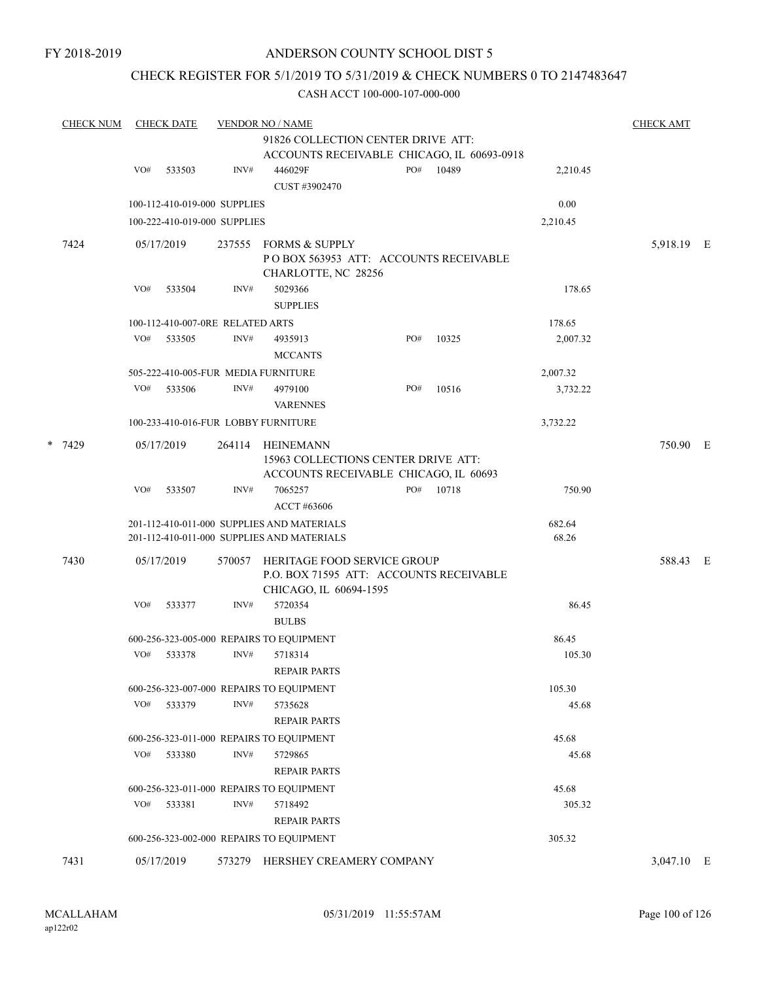FY 2018-2019

### ANDERSON COUNTY SCHOOL DIST 5

### CHECK REGISTER FOR 5/1/2019 TO 5/31/2019 & CHECK NUMBERS 0 TO 2147483647

|  | <b>CHECK NUM</b> |     | <b>CHECK DATE</b>                |        | <b>CHECK AMT</b>                                                  |     |       |          |            |  |
|--|------------------|-----|----------------------------------|--------|-------------------------------------------------------------------|-----|-------|----------|------------|--|
|  |                  |     |                                  |        | 91826 COLLECTION CENTER DRIVE ATT:                                |     |       |          |            |  |
|  |                  |     |                                  |        | ACCOUNTS RECEIVABLE CHICAGO, IL 60693-0918                        |     |       |          |            |  |
|  |                  | VO# | 533503                           | INV#   | 446029F                                                           | PO# | 10489 | 2,210.45 |            |  |
|  |                  |     |                                  |        | CUST #3902470                                                     |     |       |          |            |  |
|  |                  |     | 100-112-410-019-000 SUPPLIES     |        |                                                                   |     |       | 0.00     |            |  |
|  |                  |     | 100-222-410-019-000 SUPPLIES     |        |                                                                   |     |       | 2,210.45 |            |  |
|  |                  |     |                                  |        |                                                                   |     |       |          |            |  |
|  | 7424             |     | 05/17/2019                       |        | 237555 FORMS & SUPPLY                                             |     |       |          | 5,918.19 E |  |
|  |                  |     |                                  |        | POBOX 563953 ATT: ACCOUNTS RECEIVABLE                             |     |       |          |            |  |
|  |                  | VO# | 533504                           | INV#   | CHARLOTTE, NC 28256<br>5029366                                    |     |       | 178.65   |            |  |
|  |                  |     |                                  |        | <b>SUPPLIES</b>                                                   |     |       |          |            |  |
|  |                  |     | 100-112-410-007-0RE RELATED ARTS |        |                                                                   |     |       | 178.65   |            |  |
|  |                  | VO# | 533505                           | INV#   | 4935913                                                           | PO# | 10325 | 2,007.32 |            |  |
|  |                  |     |                                  |        | <b>MCCANTS</b>                                                    |     |       |          |            |  |
|  |                  |     |                                  |        |                                                                   |     |       |          |            |  |
|  |                  |     |                                  | INV#   | 505-222-410-005-FUR MEDIA FURNITURE<br>4979100                    | PO# |       | 2,007.32 |            |  |
|  |                  | VO# | 533506                           |        | <b>VARENNES</b>                                                   |     | 10516 | 3,732.22 |            |  |
|  |                  |     |                                  |        | 100-233-410-016-FUR LOBBY FURNITURE                               |     |       | 3,732.22 |            |  |
|  | * 7429           |     | 05/17/2019                       | 264114 | HEINEMANN                                                         |     |       |          | 750.90 E   |  |
|  |                  |     |                                  |        | 15963 COLLECTIONS CENTER DRIVE ATT:                               |     |       |          |            |  |
|  |                  |     |                                  |        | ACCOUNTS RECEIVABLE CHICAGO, IL 60693                             |     |       |          |            |  |
|  |                  | VO# | 533507                           | INV#   | 7065257                                                           | PO# | 10718 | 750.90   |            |  |
|  |                  |     |                                  |        | ACCT #63606                                                       |     |       |          |            |  |
|  |                  |     |                                  |        | 201-112-410-011-000 SUPPLIES AND MATERIALS                        |     |       | 682.64   |            |  |
|  |                  |     |                                  |        | 201-112-410-011-000 SUPPLIES AND MATERIALS                        |     |       | 68.26    |            |  |
|  | 7430             |     | 05/17/2019                       | 570057 | HERITAGE FOOD SERVICE GROUP                                       |     |       |          | 588.43 E   |  |
|  |                  |     |                                  |        | P.O. BOX 71595 ATT: ACCOUNTS RECEIVABLE<br>CHICAGO, IL 60694-1595 |     |       |          |            |  |
|  |                  | VO# | 533377                           | INV#   | 5720354                                                           |     |       | 86.45    |            |  |
|  |                  |     |                                  |        | <b>BULBS</b>                                                      |     |       |          |            |  |
|  |                  |     |                                  |        | 600-256-323-005-000 REPAIRS TO EQUIPMENT                          |     |       | 86.45    |            |  |
|  |                  | VO# | 533378                           | INV#   | 5718314                                                           |     |       | 105.30   |            |  |
|  |                  |     |                                  |        | <b>REPAIR PARTS</b>                                               |     |       |          |            |  |
|  |                  |     |                                  |        | 600-256-323-007-000 REPAIRS TO EQUIPMENT                          |     |       | 105.30   |            |  |
|  |                  | VO# | 533379                           | INV#   | 5735628                                                           |     |       | 45.68    |            |  |
|  |                  |     |                                  |        | <b>REPAIR PARTS</b>                                               |     |       |          |            |  |
|  |                  |     |                                  |        | 600-256-323-011-000 REPAIRS TO EQUIPMENT                          |     |       | 45.68    |            |  |
|  |                  |     | VO# 533380                       | INV#   | 5729865                                                           |     |       | 45.68    |            |  |
|  |                  |     |                                  |        | <b>REPAIR PARTS</b>                                               |     |       |          |            |  |
|  |                  |     |                                  |        | 600-256-323-011-000 REPAIRS TO EQUIPMENT                          |     |       | 45.68    |            |  |
|  |                  |     | VO# 533381                       | INV#   | 5718492                                                           |     |       | 305.32   |            |  |
|  |                  |     |                                  |        | <b>REPAIR PARTS</b>                                               |     |       |          |            |  |
|  |                  |     |                                  |        | 600-256-323-002-000 REPAIRS TO EQUIPMENT                          |     |       | 305.32   |            |  |
|  | 7431             |     | 05/17/2019                       |        | 573279 HERSHEY CREAMERY COMPANY                                   |     |       |          | 3,047.10 E |  |
|  |                  |     |                                  |        |                                                                   |     |       |          |            |  |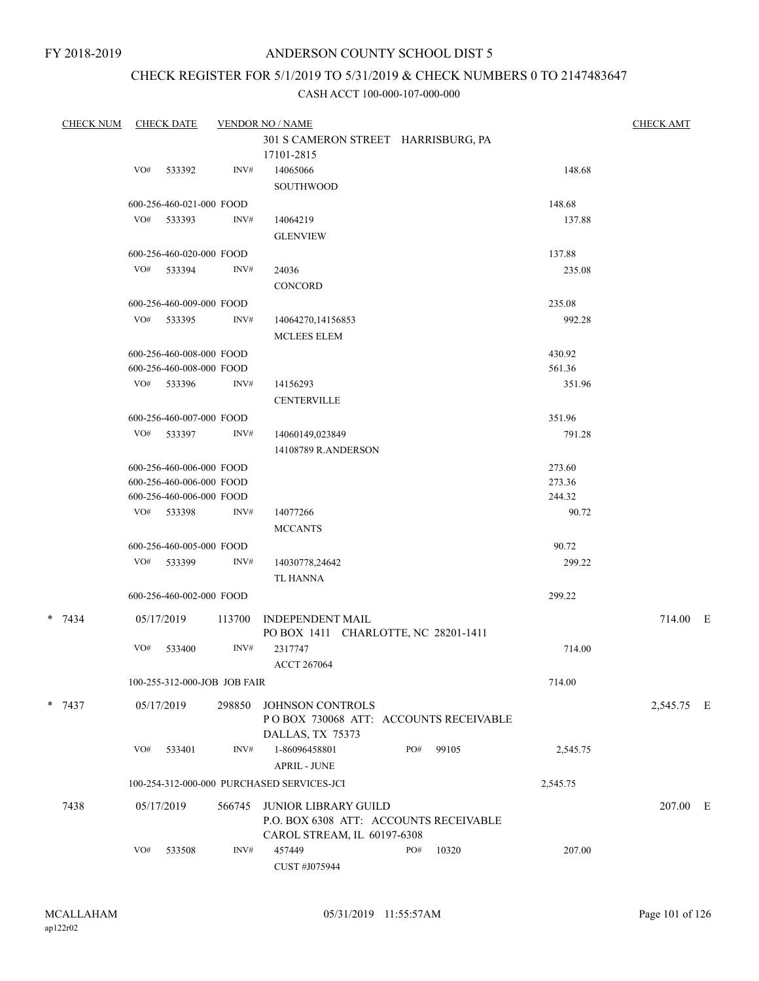# CHECK REGISTER FOR 5/1/2019 TO 5/31/2019 & CHECK NUMBERS 0 TO 2147483647

| <b>CHECK NUM</b> |     | <b>CHECK DATE</b>            |        | <b>VENDOR NO / NAME</b>                           |     |       |          | <b>CHECK AMT</b> |  |
|------------------|-----|------------------------------|--------|---------------------------------------------------|-----|-------|----------|------------------|--|
|                  |     |                              |        | 301 S CAMERON STREET HARRISBURG, PA<br>17101-2815 |     |       |          |                  |  |
|                  | VO# | 533392                       | INV#   | 14065066                                          |     |       | 148.68   |                  |  |
|                  |     |                              |        | <b>SOUTHWOOD</b>                                  |     |       |          |                  |  |
|                  |     | 600-256-460-021-000 FOOD     |        |                                                   |     |       | 148.68   |                  |  |
|                  |     | VO# 533393                   | INV#   | 14064219                                          |     |       | 137.88   |                  |  |
|                  |     |                              |        | <b>GLENVIEW</b>                                   |     |       |          |                  |  |
|                  |     | 600-256-460-020-000 FOOD     |        |                                                   |     |       | 137.88   |                  |  |
|                  |     | VO# 533394                   | INV#   | 24036                                             |     |       | 235.08   |                  |  |
|                  |     |                              |        | <b>CONCORD</b>                                    |     |       |          |                  |  |
|                  |     | 600-256-460-009-000 FOOD     |        |                                                   |     |       | 235.08   |                  |  |
|                  |     | VO# 533395                   | INV#   | 14064270,14156853                                 |     |       | 992.28   |                  |  |
|                  |     |                              |        | <b>MCLEES ELEM</b>                                |     |       |          |                  |  |
|                  |     | 600-256-460-008-000 FOOD     |        |                                                   |     |       | 430.92   |                  |  |
|                  |     | 600-256-460-008-000 FOOD     |        |                                                   |     |       | 561.36   |                  |  |
|                  |     | VO# 533396                   | INV#   | 14156293                                          |     |       | 351.96   |                  |  |
|                  |     |                              |        | <b>CENTERVILLE</b>                                |     |       |          |                  |  |
|                  |     | 600-256-460-007-000 FOOD     |        |                                                   |     |       | 351.96   |                  |  |
|                  |     | VO# 533397                   | INV#   | 14060149,023849                                   |     |       | 791.28   |                  |  |
|                  |     |                              |        | 14108789 R.ANDERSON                               |     |       |          |                  |  |
|                  |     | 600-256-460-006-000 FOOD     |        |                                                   |     |       | 273.60   |                  |  |
|                  |     | 600-256-460-006-000 FOOD     |        |                                                   |     |       | 273.36   |                  |  |
|                  |     | 600-256-460-006-000 FOOD     |        |                                                   |     |       | 244.32   |                  |  |
|                  |     | VO# 533398                   | INV#   | 14077266                                          |     |       | 90.72    |                  |  |
|                  |     |                              |        | <b>MCCANTS</b>                                    |     |       |          |                  |  |
|                  |     | 600-256-460-005-000 FOOD     |        |                                                   |     |       | 90.72    |                  |  |
|                  |     | VO# 533399                   | INV#   | 14030778,24642                                    |     |       | 299.22   |                  |  |
|                  |     |                              |        | TL HANNA                                          |     |       |          |                  |  |
|                  |     | 600-256-460-002-000 FOOD     |        |                                                   |     |       | 299.22   |                  |  |
| $*$ 7434         |     | 05/17/2019                   | 113700 | <b>INDEPENDENT MAIL</b>                           |     |       |          | 714.00 E         |  |
|                  |     |                              |        | PO BOX 1411 CHARLOTTE, NC 28201-1411              |     |       |          |                  |  |
|                  | VO# | 533400                       | INV#   | 2317747                                           |     |       | 714.00   |                  |  |
|                  |     |                              |        | <b>ACCT 267064</b>                                |     |       |          |                  |  |
|                  |     | 100-255-312-000-JOB JOB FAIR |        |                                                   |     |       | 714.00   |                  |  |
| $* 7437$         |     | 05/17/2019                   | 298850 | JOHNSON CONTROLS                                  |     |       |          | 2,545.75 E       |  |
|                  |     |                              |        | POBOX 730068 ATT: ACCOUNTS RECEIVABLE             |     |       |          |                  |  |
|                  |     |                              |        | DALLAS, TX 75373                                  |     |       |          |                  |  |
|                  | VO# | 533401                       | INV#   | 1-86096458801                                     | PO# | 99105 | 2,545.75 |                  |  |
|                  |     |                              |        | <b>APRIL - JUNE</b>                               |     |       |          |                  |  |
|                  |     |                              |        | 100-254-312-000-000 PURCHASED SERVICES-JCI        |     |       | 2,545.75 |                  |  |
| 7438             |     | 05/17/2019                   | 566745 | <b>JUNIOR LIBRARY GUILD</b>                       |     |       |          | 207.00 E         |  |
|                  |     |                              |        | P.O. BOX 6308 ATT: ACCOUNTS RECEIVABLE            |     |       |          |                  |  |
|                  |     |                              |        | CAROL STREAM, IL 60197-6308                       |     |       |          |                  |  |
|                  | VO# | 533508                       | INV#   | 457449                                            | PO# | 10320 | 207.00   |                  |  |
|                  |     |                              |        | CUST #J075944                                     |     |       |          |                  |  |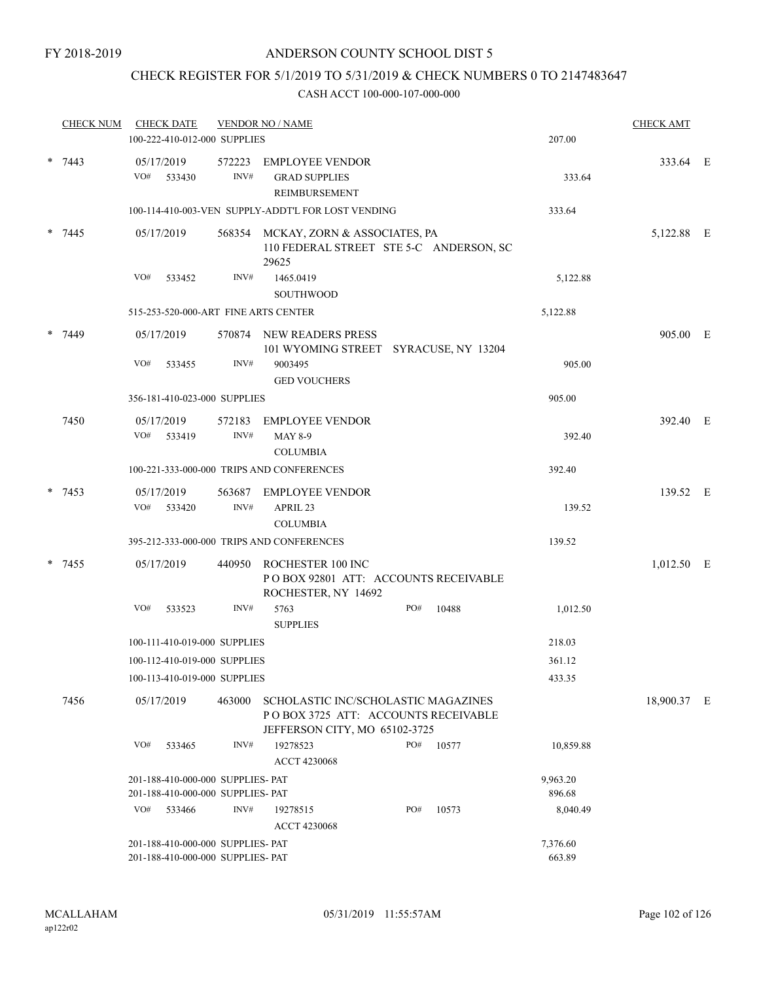### CHECK REGISTER FOR 5/1/2019 TO 5/31/2019 & CHECK NUMBERS 0 TO 2147483647

|        | <b>CHECK NUM</b> |                   | <b>CHECK DATE</b> | 100-222-410-012-000 SUPPLIES                                           | <b>VENDOR NO / NAME</b>                                                                                      |     |       | 207.00             | <b>CHECK AMT</b> |  |
|--------|------------------|-------------------|-------------------|------------------------------------------------------------------------|--------------------------------------------------------------------------------------------------------------|-----|-------|--------------------|------------------|--|
|        |                  |                   |                   |                                                                        |                                                                                                              |     |       |                    |                  |  |
|        | $* 7443$         | 05/17/2019<br>VO# | 533430            | 572223<br>INV#                                                         | <b>EMPLOYEE VENDOR</b><br><b>GRAD SUPPLIES</b><br><b>REIMBURSEMENT</b>                                       |     |       | 333.64             | 333.64 E         |  |
|        |                  |                   |                   |                                                                        | 100-114-410-003-VEN SUPPLY-ADDT'L FOR LOST VENDING                                                           |     |       | 333.64             |                  |  |
|        | $* 7445$         | 05/17/2019        |                   |                                                                        | 568354 MCKAY, ZORN & ASSOCIATES, PA<br>110 FEDERAL STREET STE 5-C ANDERSON, SC<br>29625                      |     |       |                    | 5,122.88 E       |  |
|        |                  | VO#               | 533452            | INV#                                                                   | 1465.0419<br><b>SOUTHWOOD</b>                                                                                |     |       | 5,122.88           |                  |  |
|        |                  |                   |                   |                                                                        | 515-253-520-000-ART FINE ARTS CENTER                                                                         |     |       | 5,122.88           |                  |  |
| $\ast$ | 7449             | 05/17/2019        |                   |                                                                        | 570874 NEW READERS PRESS<br>101 WYOMING STREET SYRACUSE, NY 13204                                            |     |       |                    | 905.00 E         |  |
|        |                  | VO#               | 533455            | INV#                                                                   | 9003495<br><b>GED VOUCHERS</b>                                                                               |     |       | 905.00             |                  |  |
|        |                  |                   |                   | 356-181-410-023-000 SUPPLIES                                           |                                                                                                              |     |       | 905.00             |                  |  |
|        | 7450             | 05/17/2019        |                   | 572183                                                                 | <b>EMPLOYEE VENDOR</b>                                                                                       |     |       |                    | 392.40 E         |  |
|        |                  | VO#               | 533419            | INV#                                                                   | <b>MAY 8-9</b><br><b>COLUMBIA</b>                                                                            |     |       | 392.40             |                  |  |
|        |                  |                   |                   |                                                                        | 100-221-333-000-000 TRIPS AND CONFERENCES                                                                    |     |       | 392.40             |                  |  |
|        | $* 7453$         | 05/17/2019<br>VO# | 533420            | 563687<br>INV#                                                         | <b>EMPLOYEE VENDOR</b><br>APRIL 23<br><b>COLUMBIA</b>                                                        |     |       | 139.52             | 139.52 E         |  |
|        |                  |                   |                   |                                                                        | 395-212-333-000-000 TRIPS AND CONFERENCES                                                                    |     |       | 139.52             |                  |  |
|        | $* 7455$         | 05/17/2019        |                   | 440950                                                                 | ROCHESTER 100 INC<br>PO BOX 92801 ATT: ACCOUNTS RECEIVABLE<br>ROCHESTER, NY 14692                            |     |       |                    | $1,012.50$ E     |  |
|        |                  | VO#               | 533523            | INV#                                                                   | 5763<br><b>SUPPLIES</b>                                                                                      | PO# | 10488 | 1,012.50           |                  |  |
|        |                  |                   |                   | 100-111-410-019-000 SUPPLIES                                           |                                                                                                              |     |       | 218.03             |                  |  |
|        |                  |                   |                   | 100-112-410-019-000 SUPPLIES                                           |                                                                                                              |     |       | 361.12             |                  |  |
|        |                  |                   |                   | 100-113-410-019-000 SUPPLIES                                           |                                                                                                              |     |       | 433.35             |                  |  |
|        | 7456             | 05/17/2019        |                   | 463000                                                                 | SCHOLASTIC INC/SCHOLASTIC MAGAZINES<br>PO BOX 3725 ATT: ACCOUNTS RECEIVABLE<br>JEFFERSON CITY, MO 65102-3725 |     |       |                    | 18,900.37 E      |  |
|        |                  | VO#               | 533465            | INV#                                                                   | 19278523<br><b>ACCT 4230068</b>                                                                              | PO# | 10577 | 10,859.88          |                  |  |
|        |                  |                   |                   | 201-188-410-000-000 SUPPLIES- PAT                                      |                                                                                                              |     |       | 9,963.20           |                  |  |
|        |                  |                   |                   | 201-188-410-000-000 SUPPLIES- PAT                                      |                                                                                                              |     |       | 896.68             |                  |  |
|        |                  | VO#               | 533466            | INV#                                                                   | 19278515<br>ACCT 4230068                                                                                     | PO# | 10573 | 8,040.49           |                  |  |
|        |                  |                   |                   | 201-188-410-000-000 SUPPLIES- PAT<br>201-188-410-000-000 SUPPLIES- PAT |                                                                                                              |     |       | 7,376.60<br>663.89 |                  |  |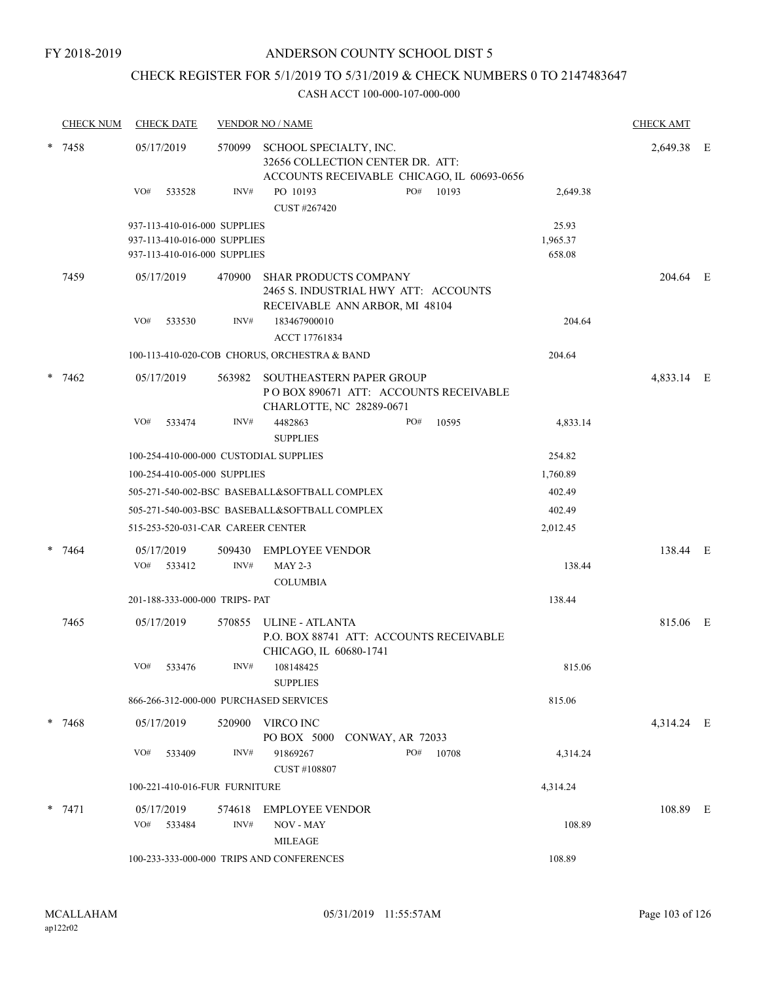### CHECK REGISTER FOR 5/1/2019 TO 5/31/2019 & CHECK NUMBERS 0 TO 2147483647

|        | <b>CHECK NUM</b> | <b>CHECK DATE</b>                      |        | <b>VENDOR NO / NAME</b>                                                                                |                                            |          | <b>CHECK AMT</b> |  |
|--------|------------------|----------------------------------------|--------|--------------------------------------------------------------------------------------------------------|--------------------------------------------|----------|------------------|--|
| $\ast$ | 7458             | 05/17/2019                             | 570099 | SCHOOL SPECIALTY, INC.<br>32656 COLLECTION CENTER DR. ATT:                                             | ACCOUNTS RECEIVABLE CHICAGO, IL 60693-0656 |          | 2,649.38 E       |  |
|        |                  | VO#<br>533528                          | INV#   | PO 10193<br>CUST #267420                                                                               | PO#<br>10193                               | 2,649.38 |                  |  |
|        |                  | 937-113-410-016-000 SUPPLIES           |        |                                                                                                        |                                            | 25.93    |                  |  |
|        |                  | 937-113-410-016-000 SUPPLIES           |        |                                                                                                        |                                            | 1,965.37 |                  |  |
|        |                  | 937-113-410-016-000 SUPPLIES           |        |                                                                                                        |                                            | 658.08   |                  |  |
|        | 7459             | 05/17/2019                             | 470900 | <b>SHAR PRODUCTS COMPANY</b><br>2465 S. INDUSTRIAL HWY ATT: ACCOUNTS<br>RECEIVABLE ANN ARBOR, MI 48104 |                                            |          | 204.64 E         |  |
|        |                  | VO#<br>533530                          | INV#   | 183467900010                                                                                           |                                            | 204.64   |                  |  |
|        |                  |                                        |        | ACCT 17761834                                                                                          |                                            |          |                  |  |
|        |                  |                                        |        | 100-113-410-020-COB CHORUS, ORCHESTRA & BAND                                                           |                                            | 204.64   |                  |  |
| $\ast$ | 7462             | 05/17/2019                             |        | 563982 SOUTHEASTERN PAPER GROUP<br>CHARLOTTE, NC 28289-0671                                            | PO BOX 890671 ATT: ACCOUNTS RECEIVABLE     |          | 4,833.14 E       |  |
|        |                  | VO#<br>533474                          | INV#   | 4482863<br><b>SUPPLIES</b>                                                                             | PO#<br>10595                               | 4,833.14 |                  |  |
|        |                  | 100-254-410-000-000 CUSTODIAL SUPPLIES |        |                                                                                                        |                                            | 254.82   |                  |  |
|        |                  | 100-254-410-005-000 SUPPLIES           |        |                                                                                                        |                                            | 1,760.89 |                  |  |
|        |                  |                                        |        | 505-271-540-002-BSC BASEBALL&SOFTBALL COMPLEX                                                          |                                            | 402.49   |                  |  |
|        |                  |                                        |        | 505-271-540-003-BSC BASEBALL&SOFTBALL COMPLEX                                                          |                                            | 402.49   |                  |  |
|        |                  | 515-253-520-031-CAR CAREER CENTER      |        |                                                                                                        |                                            | 2,012.45 |                  |  |
| *      | 7464             | 05/17/2019                             | 509430 | <b>EMPLOYEE VENDOR</b>                                                                                 |                                            |          | 138.44 E         |  |
|        |                  | VO#<br>533412                          | INV#   | $MAY 2-3$<br><b>COLUMBIA</b>                                                                           |                                            | 138.44   |                  |  |
|        |                  | 201-188-333-000-000 TRIPS- PAT         |        |                                                                                                        |                                            | 138.44   |                  |  |
|        | 7465             | 05/17/2019                             | 570855 | <b>ULINE - ATLANTA</b>                                                                                 | P.O. BOX 88741 ATT: ACCOUNTS RECEIVABLE    |          | 815.06 E         |  |
|        |                  | VO#<br>533476                          | INV#   | CHICAGO, IL 60680-1741<br>108148425<br><b>SUPPLIES</b>                                                 |                                            | 815.06   |                  |  |
|        |                  | 866-266-312-000-000 PURCHASED SERVICES |        |                                                                                                        |                                            | 815.06   |                  |  |
|        |                  |                                        |        |                                                                                                        |                                            |          |                  |  |
|        | $* 7468$         | 05/17/2019                             |        | 520900 VIRCO INC<br>PO BOX 5000                                                                        | CONWAY, AR 72033                           |          | 4,314.24 E       |  |
|        |                  | VO#<br>533409                          | INV#   | 91869267<br>CUST #108807                                                                               | PO#<br>10708                               | 4,314.24 |                  |  |
|        |                  | 100-221-410-016-FUR FURNITURE          |        |                                                                                                        |                                            | 4,314.24 |                  |  |
|        | $*$ 7471         | 05/17/2019                             | 574618 | <b>EMPLOYEE VENDOR</b>                                                                                 |                                            |          | 108.89 E         |  |
|        |                  | VO#<br>533484                          | INV#   | NOV - MAY<br>MILEAGE                                                                                   |                                            | 108.89   |                  |  |
|        |                  |                                        |        | 100-233-333-000-000 TRIPS AND CONFERENCES                                                              |                                            | 108.89   |                  |  |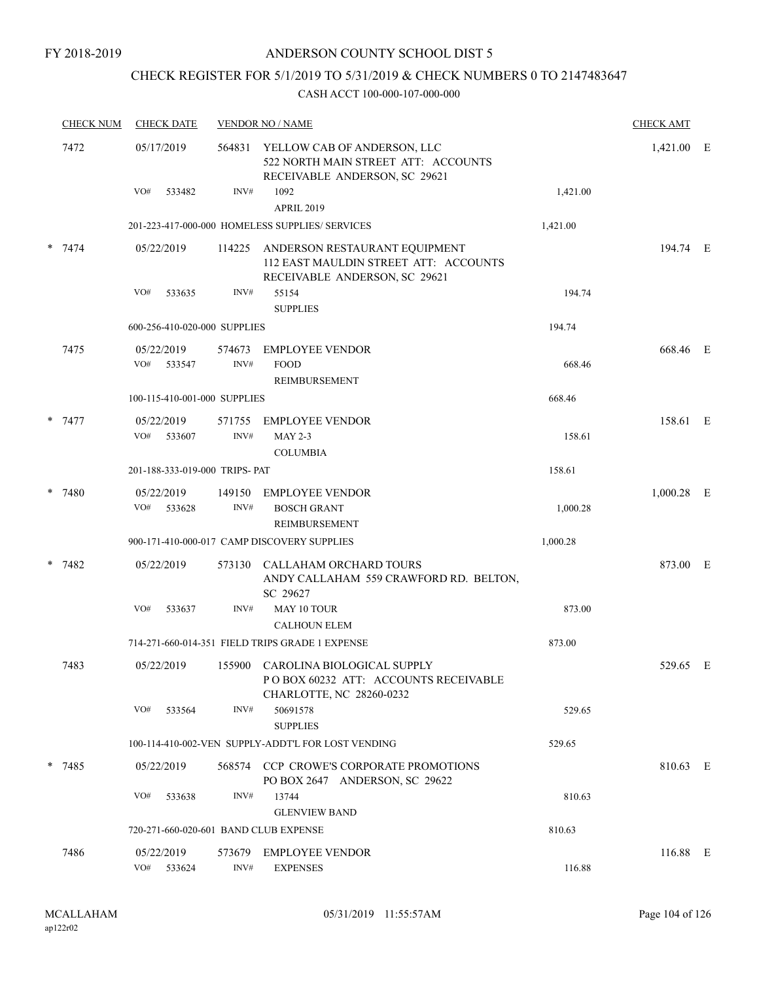### CHECK REGISTER FOR 5/1/2019 TO 5/31/2019 & CHECK NUMBERS 0 TO 2147483647

| <b>CHECK NUM</b> | <b>CHECK DATE</b>                     |                | <b>VENDOR NO / NAME</b>                                                                                 |          |              |  |  |  |
|------------------|---------------------------------------|----------------|---------------------------------------------------------------------------------------------------------|----------|--------------|--|--|--|
| 7472             | 05/17/2019                            | 564831         | YELLOW CAB OF ANDERSON, LLC<br>522 NORTH MAIN STREET ATT: ACCOUNTS<br>RECEIVABLE ANDERSON, SC 29621     |          | 1,421.00 E   |  |  |  |
|                  | VO#<br>533482                         | INV#           | 1092<br><b>APRIL 2019</b>                                                                               | 1,421.00 |              |  |  |  |
|                  |                                       |                | 201-223-417-000-000 HOMELESS SUPPLIES/ SERVICES                                                         | 1,421.00 |              |  |  |  |
| $* 7474$         | 05/22/2019                            | 114225         | ANDERSON RESTAURANT EQUIPMENT<br>112 EAST MAULDIN STREET ATT: ACCOUNTS<br>RECEIVABLE ANDERSON, SC 29621 |          | 194.74 E     |  |  |  |
|                  | VO#<br>533635                         | INV#           | 55154<br><b>SUPPLIES</b>                                                                                | 194.74   |              |  |  |  |
|                  | 600-256-410-020-000 SUPPLIES          |                |                                                                                                         | 194.74   |              |  |  |  |
| 7475             | 05/22/2019<br>VO#<br>533547           | 574673<br>INV# | <b>EMPLOYEE VENDOR</b><br><b>FOOD</b>                                                                   | 668.46   | 668.46 E     |  |  |  |
|                  | 100-115-410-001-000 SUPPLIES          |                | <b>REIMBURSEMENT</b>                                                                                    | 668.46   |              |  |  |  |
|                  |                                       |                |                                                                                                         |          |              |  |  |  |
| * 7477           | 05/22/2019<br>VO#<br>533607           | 571755<br>INV# | <b>EMPLOYEE VENDOR</b><br>$MAY 2-3$<br><b>COLUMBIA</b>                                                  | 158.61   | 158.61 E     |  |  |  |
|                  | 201-188-333-019-000 TRIPS- PAT        |                |                                                                                                         | 158.61   |              |  |  |  |
| $* 7480$         | 05/22/2019<br>VO#<br>533628           | 149150<br>INV# | <b>EMPLOYEE VENDOR</b><br><b>BOSCH GRANT</b><br>REIMBURSEMENT                                           | 1,000.28 | $1,000.28$ E |  |  |  |
|                  |                                       |                | 900-171-410-000-017 CAMP DISCOVERY SUPPLIES                                                             | 1,000.28 |              |  |  |  |
| $* 7482$         | 05/22/2019                            | 573130         | CALLAHAM ORCHARD TOURS<br>ANDY CALLAHAM 559 CRAWFORD RD. BELTON,<br>SC 29627                            |          | 873.00 E     |  |  |  |
|                  | VO#<br>533637                         | INV#           | MAY 10 TOUR<br><b>CALHOUN ELEM</b>                                                                      | 873.00   |              |  |  |  |
|                  |                                       |                | 714-271-660-014-351 FIELD TRIPS GRADE 1 EXPENSE                                                         | 873.00   |              |  |  |  |
| 7483             | 05/22/2019                            |                | 155900 CAROLINA BIOLOGICAL SUPPLY<br>POBOX 60232 ATT: ACCOUNTS RECEIVABLE<br>CHARLOTTE, NC 28260-0232   |          | 529.65 E     |  |  |  |
|                  | VO#<br>533564                         | INV#           | 50691578<br><b>SUPPLIES</b>                                                                             | 529.65   |              |  |  |  |
|                  |                                       |                | 100-114-410-002-VEN SUPPLY-ADDT'L FOR LOST VENDING                                                      | 529.65   |              |  |  |  |
| $* 7485$         | 05/22/2019                            |                | 568574 CCP CROWE'S CORPORATE PROMOTIONS<br>PO BOX 2647 ANDERSON, SC 29622                               |          | 810.63 E     |  |  |  |
|                  | VO#<br>533638                         | INV#           | 13744<br><b>GLENVIEW BAND</b>                                                                           | 810.63   |              |  |  |  |
|                  | 720-271-660-020-601 BAND CLUB EXPENSE |                |                                                                                                         | 810.63   |              |  |  |  |
| 7486             | 05/22/2019                            | 573679         | <b>EMPLOYEE VENDOR</b>                                                                                  |          | 116.88 E     |  |  |  |
|                  | VO# 533624                            | INV#           | <b>EXPENSES</b>                                                                                         | 116.88   |              |  |  |  |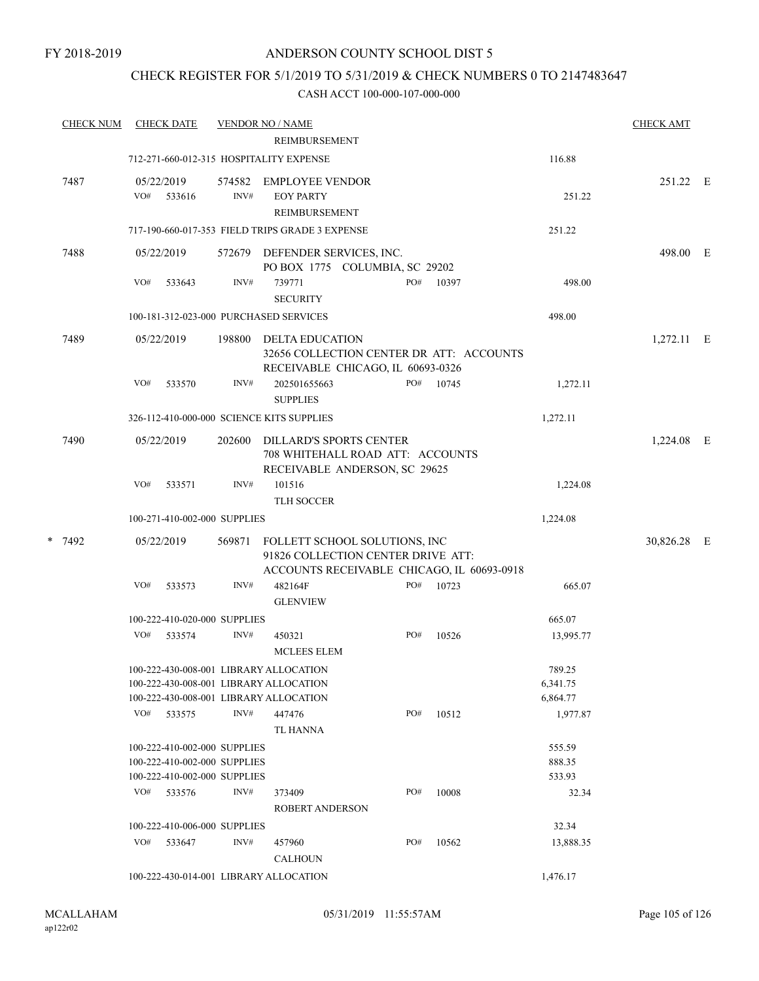### CHECK REGISTER FOR 5/1/2019 TO 5/31/2019 & CHECK NUMBERS 0 TO 2147483647

| <b>CHECK NUM</b> |                                        | <b>CHECK DATE</b>            |                | <b>VENDOR NO / NAME</b>                                                                      |     |  |                                            |           | <b>CHECK AMT</b> |  |
|------------------|----------------------------------------|------------------------------|----------------|----------------------------------------------------------------------------------------------|-----|--|--------------------------------------------|-----------|------------------|--|
|                  |                                        |                              |                | REIMBURSEMENT                                                                                |     |  |                                            |           |                  |  |
|                  |                                        |                              |                | 712-271-660-012-315 HOSPITALITY EXPENSE                                                      |     |  |                                            | 116.88    |                  |  |
| 7487             | VO#                                    | 05/22/2019<br>533616         | 574582<br>INV# | EMPLOYEE VENDOR<br><b>EOY PARTY</b><br>REIMBURSEMENT                                         |     |  |                                            | 251.22    | 251.22 E         |  |
|                  |                                        |                              |                | 717-190-660-017-353 FIELD TRIPS GRADE 3 EXPENSE                                              |     |  |                                            | 251.22    |                  |  |
| 7488             |                                        | 05/22/2019                   |                |                                                                                              |     |  |                                            |           |                  |  |
|                  |                                        |                              |                | 572679 DEFENDER SERVICES, INC.<br>PO BOX 1775 COLUMBIA, SC 29202                             |     |  |                                            |           | 498.00 E         |  |
|                  | VO#                                    | 533643                       | INV#           | 739771<br><b>SECURITY</b>                                                                    | PO# |  | 10397                                      | 498.00    |                  |  |
|                  | 100-181-312-023-000 PURCHASED SERVICES |                              |                |                                                                                              |     |  |                                            | 498.00    |                  |  |
| 7489             |                                        | 05/22/2019                   | 198800         | DELTA EDUCATION<br>RECEIVABLE CHICAGO, IL 60693-0326                                         |     |  | 32656 COLLECTION CENTER DR ATT: ACCOUNTS   |           | $1,272.11$ E     |  |
|                  | VO#                                    | 533570                       | INV#           | 202501655663<br><b>SUPPLIES</b>                                                              | PO# |  | 10745                                      | 1,272.11  |                  |  |
|                  |                                        |                              |                | 326-112-410-000-000 SCIENCE KITS SUPPLIES                                                    |     |  |                                            | 1,272.11  |                  |  |
| 7490             |                                        | 05/22/2019                   | 202600         | DILLARD'S SPORTS CENTER<br>708 WHITEHALL ROAD ATT: ACCOUNTS<br>RECEIVABLE ANDERSON, SC 29625 |     |  | 1,224.08 E                                 |           |                  |  |
|                  | VO#                                    | 533571                       | INV#           | 101516                                                                                       |     |  |                                            | 1,224.08  |                  |  |
|                  |                                        |                              |                | TLH SOCCER                                                                                   |     |  |                                            |           |                  |  |
|                  |                                        | 100-271-410-002-000 SUPPLIES |                |                                                                                              |     |  |                                            | 1,224.08  |                  |  |
| * 7492           |                                        | 05/22/2019                   | 569871         | FOLLETT SCHOOL SOLUTIONS, INC<br>91826 COLLECTION CENTER DRIVE ATT:                          |     |  | ACCOUNTS RECEIVABLE CHICAGO, IL 60693-0918 |           | 30,826.28 E      |  |
|                  | VO#                                    | 533573                       | INV#           | 482164F<br><b>GLENVIEW</b>                                                                   | PO# |  | 10723                                      | 665.07    |                  |  |
|                  |                                        | 100-222-410-020-000 SUPPLIES |                |                                                                                              |     |  |                                            | 665.07    |                  |  |
|                  | VO#                                    | 533574                       | INV#           | 450321<br><b>MCLEES ELEM</b>                                                                 | PO# |  | 10526                                      | 13,995.77 |                  |  |
|                  |                                        |                              |                | 100-222-430-008-001 LIBRARY ALLOCATION                                                       |     |  |                                            | 789.25    |                  |  |
|                  |                                        |                              |                | 100-222-430-008-001 LIBRARY ALLOCATION                                                       |     |  |                                            | 6,341.75  |                  |  |
|                  |                                        |                              |                | 100-222-430-008-001 LIBRARY ALLOCATION                                                       |     |  |                                            | 6,864.77  |                  |  |
|                  |                                        | VO# 533575                   | INV#           | 447476<br>TL HANNA                                                                           | PO# |  | 10512                                      | 1,977.87  |                  |  |
|                  |                                        | 100-222-410-002-000 SUPPLIES |                |                                                                                              |     |  |                                            | 555.59    |                  |  |
|                  |                                        | 100-222-410-002-000 SUPPLIES |                |                                                                                              |     |  |                                            | 888.35    |                  |  |
|                  |                                        | 100-222-410-002-000 SUPPLIES |                |                                                                                              |     |  |                                            | 533.93    |                  |  |
|                  |                                        | VO# 533576                   | INV#           | 373409<br>ROBERT ANDERSON                                                                    | PO# |  | 10008                                      | 32.34     |                  |  |
|                  |                                        | 100-222-410-006-000 SUPPLIES |                |                                                                                              |     |  |                                            | 32.34     |                  |  |
|                  |                                        | VO# 533647                   | INV#           | 457960                                                                                       | PO# |  | 10562                                      | 13,888.35 |                  |  |
|                  |                                        |                              |                | <b>CALHOUN</b>                                                                               |     |  |                                            |           |                  |  |
|                  |                                        |                              |                | 100-222-430-014-001 LIBRARY ALLOCATION                                                       |     |  |                                            | 1,476.17  |                  |  |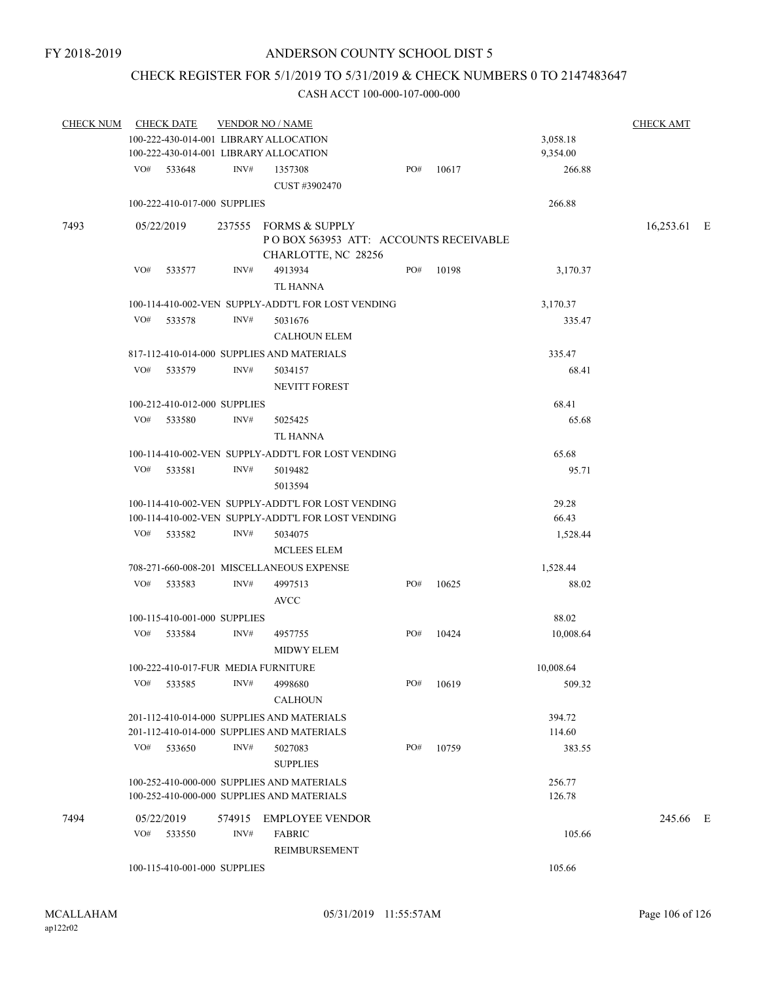### CHECK REGISTER FOR 5/1/2019 TO 5/31/2019 & CHECK NUMBERS 0 TO 2147483647

| <b>CHECK NUM</b> |     | <b>CHECK DATE</b>            |                | <b>VENDOR NO / NAME</b>                                                                  |     |       |                  | <b>CHECK AMT</b> |   |
|------------------|-----|------------------------------|----------------|------------------------------------------------------------------------------------------|-----|-------|------------------|------------------|---|
|                  |     |                              |                | 100-222-430-014-001 LIBRARY ALLOCATION                                                   |     |       | 3,058.18         |                  |   |
|                  |     |                              |                | 100-222-430-014-001 LIBRARY ALLOCATION                                                   |     |       | 9,354.00         |                  |   |
|                  |     | VO# 533648                   | INV#           | 1357308<br>CUST #3902470                                                                 | PO# | 10617 | 266.88           |                  |   |
|                  |     | 100-222-410-017-000 SUPPLIES |                |                                                                                          |     |       | 266.88           |                  |   |
| 7493             |     | 05/22/2019                   |                | 237555 FORMS & SUPPLY<br>PO BOX 563953 ATT: ACCOUNTS RECEIVABLE<br>CHARLOTTE, NC 28256   |     |       |                  | 16,253.61 E      |   |
|                  | VO# | 533577                       | INV#           | 4913934<br>TL HANNA                                                                      | PO# | 10198 | 3,170.37         |                  |   |
|                  |     |                              |                | 100-114-410-002-VEN SUPPLY-ADDT'L FOR LOST VENDING                                       |     |       | 3,170.37         |                  |   |
|                  | VO# | 533578                       | INV#           | 5031676<br><b>CALHOUN ELEM</b>                                                           |     |       | 335.47           |                  |   |
|                  |     |                              |                | 817-112-410-014-000 SUPPLIES AND MATERIALS                                               |     |       | 335.47           |                  |   |
|                  | VO# | 533579                       | INV#           | 5034157<br><b>NEVITT FOREST</b>                                                          |     |       | 68.41            |                  |   |
|                  |     | 100-212-410-012-000 SUPPLIES |                |                                                                                          |     |       | 68.41            |                  |   |
|                  |     | VO# 533580                   | INV#           | 5025425<br><b>TL HANNA</b>                                                               |     |       | 65.68            |                  |   |
|                  |     |                              |                | 100-114-410-002-VEN SUPPLY-ADDT'L FOR LOST VENDING                                       |     |       | 65.68            |                  |   |
|                  | VO# | 533581                       | INV#           | 5019482<br>5013594                                                                       |     |       | 95.71            |                  |   |
|                  |     |                              |                | 100-114-410-002-VEN SUPPLY-ADDT'L FOR LOST VENDING                                       |     |       | 29.28            |                  |   |
|                  |     |                              |                | 100-114-410-002-VEN SUPPLY-ADDT'L FOR LOST VENDING                                       |     |       | 66.43            |                  |   |
|                  |     | VO# 533582                   | INV#           | 5034075<br><b>MCLEES ELEM</b>                                                            |     |       | 1,528.44         |                  |   |
|                  |     |                              |                | 708-271-660-008-201 MISCELLANEOUS EXPENSE                                                |     |       | 1,528.44         |                  |   |
|                  | VO# | 533583                       | INV#           | 4997513<br><b>AVCC</b>                                                                   | PO# | 10625 | 88.02            |                  |   |
|                  |     | 100-115-410-001-000 SUPPLIES |                |                                                                                          |     |       | 88.02            |                  |   |
|                  | VO# | 533584                       | INV#           | 4957755<br><b>MIDWY ELEM</b>                                                             | PO# | 10424 | 10,008.64        |                  |   |
|                  |     |                              |                | 100-222-410-017-FUR MEDIA FURNITURE                                                      |     |       | 10,008.64        |                  |   |
|                  | VO# | 533585                       | INV#           | 4998680<br><b>CALHOUN</b>                                                                | PO# | 10619 | 509.32           |                  |   |
|                  |     |                              |                | 201-112-410-014-000 SUPPLIES AND MATERIALS                                               |     |       | 394.72           |                  |   |
|                  |     |                              |                | 201-112-410-014-000 SUPPLIES AND MATERIALS                                               |     |       | 114.60           |                  |   |
|                  | VO# | 533650                       | INV#           | 5027083<br><b>SUPPLIES</b>                                                               | PO# | 10759 | 383.55           |                  |   |
|                  |     |                              |                | 100-252-410-000-000 SUPPLIES AND MATERIALS<br>100-252-410-000-000 SUPPLIES AND MATERIALS |     |       | 256.77<br>126.78 |                  |   |
| 7494             | VO# | 05/22/2019<br>533550         | 574915<br>INV# | <b>EMPLOYEE VENDOR</b><br><b>FABRIC</b>                                                  |     |       | 105.66           | 245.66           | E |
|                  |     |                              |                | REIMBURSEMENT                                                                            |     |       |                  |                  |   |
|                  |     | 100-115-410-001-000 SUPPLIES |                |                                                                                          |     |       | 105.66           |                  |   |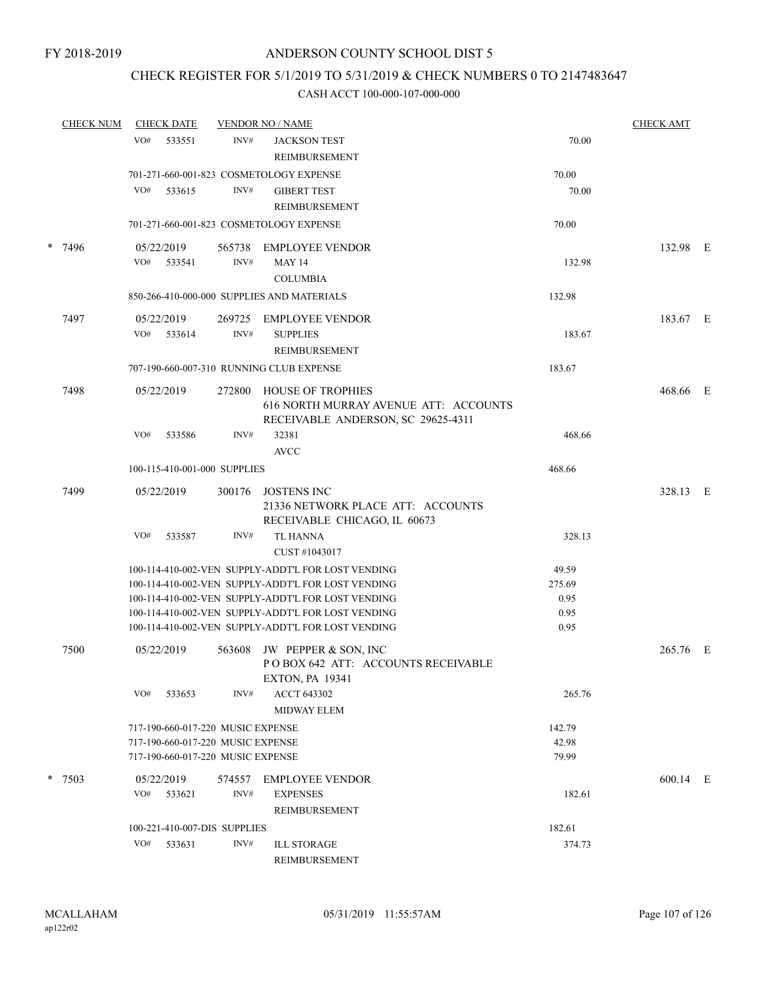### CHECK REGISTER FOR 5/1/2019 TO 5/31/2019 & CHECK NUMBERS 0 TO 2147483647

|        | <b>CHECK NUM</b> | <b>CHECK DATE</b>                          |        | <b>VENDOR NO / NAME</b>                                                                                  |              | <b>CHECK AMT</b> |  |
|--------|------------------|--------------------------------------------|--------|----------------------------------------------------------------------------------------------------------|--------------|------------------|--|
|        |                  | VO#<br>533551                              | INV#   | <b>JACKSON TEST</b><br>REIMBURSEMENT                                                                     | 70.00        |                  |  |
|        |                  |                                            |        | 701-271-660-001-823 COSMETOLOGY EXPENSE                                                                  | 70.00        |                  |  |
|        |                  | VO#<br>533615                              | INV#   | <b>GIBERT TEST</b><br>REIMBURSEMENT                                                                      | 70.00        |                  |  |
|        |                  |                                            |        | 701-271-660-001-823 COSMETOLOGY EXPENSE                                                                  | 70.00        |                  |  |
| $\ast$ | 7496             | 05/22/2019                                 |        | 565738 EMPLOYEE VENDOR                                                                                   |              | 132.98 E         |  |
|        |                  | VO# 533541                                 | INV#   | <b>MAY 14</b><br><b>COLUMBIA</b>                                                                         | 132.98       |                  |  |
|        |                  | 850-266-410-000-000 SUPPLIES AND MATERIALS |        |                                                                                                          |              |                  |  |
|        | 7497             | 05/22/2019                                 | 269725 | EMPLOYEE VENDOR                                                                                          |              | 183.67 E         |  |
|        |                  | VO# 533614                                 | INV#   | <b>SUPPLIES</b>                                                                                          | 183.67       |                  |  |
|        |                  |                                            |        | REIMBURSEMENT<br>707-190-660-007-310 RUNNING CLUB EXPENSE                                                | 183.67       |                  |  |
|        |                  |                                            |        |                                                                                                          |              |                  |  |
|        | 7498             | 05/22/2019                                 | 272800 | <b>HOUSE OF TROPHIES</b><br>616 NORTH MURRAY AVENUE ATT: ACCOUNTS<br>RECEIVABLE ANDERSON, SC 29625-4311  |              | 468.66 E         |  |
|        |                  | VO#<br>533586                              | INV#   | 32381<br><b>AVCC</b>                                                                                     | 468.66       |                  |  |
|        |                  | 100-115-410-001-000 SUPPLIES               |        |                                                                                                          | 468.66       |                  |  |
|        | 7499             | 05/22/2019                                 | 300176 | <b>JOSTENS INC</b><br>21336 NETWORK PLACE ATT: ACCOUNTS<br>RECEIVABLE CHICAGO, IL 60673                  |              | 328.13 E         |  |
|        |                  | VO#<br>533587                              | INV#   | TL HANNA<br>CUST #1043017                                                                                | 328.13       |                  |  |
|        |                  |                                            |        | 100-114-410-002-VEN SUPPLY-ADDT'L FOR LOST VENDING                                                       | 49.59        |                  |  |
|        |                  |                                            |        | 100-114-410-002-VEN SUPPLY-ADDT'L FOR LOST VENDING                                                       | 275.69       |                  |  |
|        |                  |                                            |        | 100-114-410-002-VEN SUPPLY-ADDT'L FOR LOST VENDING                                                       | 0.95         |                  |  |
|        |                  |                                            |        | 100-114-410-002-VEN SUPPLY-ADDT'L FOR LOST VENDING<br>100-114-410-002-VEN SUPPLY-ADDT'L FOR LOST VENDING | 0.95<br>0.95 |                  |  |
|        |                  |                                            |        |                                                                                                          |              |                  |  |
|        | 7500             | 05/22/2019                                 | 563608 | JW PEPPER & SON, INC<br>POBOX 642 ATT: ACCOUNTS RECEIVABLE<br><b>EXTON, PA 19341</b>                     |              | 265.76 E         |  |
|        |                  | VO#<br>533653                              | INV#   | ACCT 643302<br><b>MIDWAY ELEM</b>                                                                        | 265.76       |                  |  |
|        |                  | 717-190-660-017-220 MUSIC EXPENSE          |        |                                                                                                          | 142.79       |                  |  |
|        |                  | 717-190-660-017-220 MUSIC EXPENSE          |        |                                                                                                          | 42.98        |                  |  |
|        |                  | 717-190-660-017-220 MUSIC EXPENSE          |        |                                                                                                          | 79.99        |                  |  |
|        | * 7503           | 05/22/2019                                 | 574557 | <b>EMPLOYEE VENDOR</b>                                                                                   |              | 600.14 E         |  |
|        |                  | VO#<br>533621                              | INV#   | <b>EXPENSES</b><br>REIMBURSEMENT                                                                         | 182.61       |                  |  |
|        |                  | 100-221-410-007-DIS SUPPLIES               |        |                                                                                                          | 182.61       |                  |  |
|        |                  | VO#<br>533631                              | INV#   | <b>ILL STORAGE</b>                                                                                       | 374.73       |                  |  |
|        |                  |                                            |        | REIMBURSEMENT                                                                                            |              |                  |  |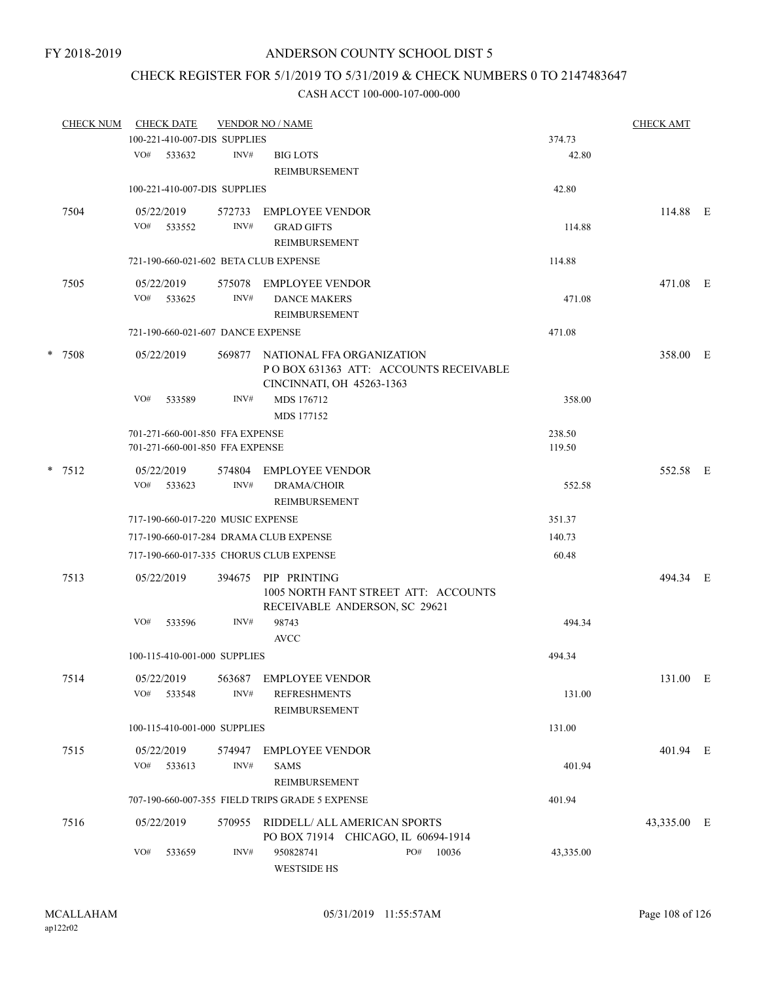### CHECK REGISTER FOR 5/1/2019 TO 5/31/2019 & CHECK NUMBERS 0 TO 2147483647

| <b>CHECK NUM</b> | <b>CHECK DATE</b>                                                  |                | <b>CHECK AMT</b>                                                                                |                  |             |  |
|------------------|--------------------------------------------------------------------|----------------|-------------------------------------------------------------------------------------------------|------------------|-------------|--|
|                  | 100-221-410-007-DIS SUPPLIES                                       |                |                                                                                                 | 374.73           |             |  |
|                  | VO#<br>533632                                                      | INV#           | <b>BIG LOTS</b><br>REIMBURSEMENT                                                                | 42.80            |             |  |
|                  | 100-221-410-007-DIS SUPPLIES                                       |                |                                                                                                 | 42.80            |             |  |
| 7504             | 05/22/2019<br>VO# 533552                                           | 572733<br>INV# | <b>EMPLOYEE VENDOR</b><br><b>GRAD GIFTS</b><br>REIMBURSEMENT                                    | 114.88           | 114.88 E    |  |
|                  | 721-190-660-021-602 BETA CLUB EXPENSE                              |                |                                                                                                 | 114.88           |             |  |
| 7505             | 05/22/2019                                                         | 575078         | EMPLOYEE VENDOR                                                                                 |                  | 471.08 E    |  |
|                  | VO#<br>533625                                                      | INV#           | <b>DANCE MAKERS</b><br>REIMBURSEMENT                                                            | 471.08           |             |  |
|                  | 721-190-660-021-607 DANCE EXPENSE                                  |                |                                                                                                 | 471.08           |             |  |
| * 7508           | 05/22/2019                                                         | 569877         | NATIONAL FFA ORGANIZATION<br>POBOX 631363 ATT: ACCOUNTS RECEIVABLE<br>CINCINNATI, OH 45263-1363 |                  | 358.00 E    |  |
|                  | VO#<br>533589                                                      | INV#           | MDS 176712<br>MDS 177152                                                                        | 358.00           |             |  |
|                  | 701-271-660-001-850 FFA EXPENSE<br>701-271-660-001-850 FFA EXPENSE |                |                                                                                                 | 238.50<br>119.50 |             |  |
| $*$ 7512         | 05/22/2019<br>VO#<br>533623                                        | 574804<br>INV# | EMPLOYEE VENDOR<br><b>DRAMA/CHOIR</b><br>REIMBURSEMENT                                          | 552.58           | 552.58 E    |  |
|                  | 717-190-660-017-220 MUSIC EXPENSE                                  |                |                                                                                                 | 351.37           |             |  |
|                  | 717-190-660-017-284 DRAMA CLUB EXPENSE                             |                |                                                                                                 | 140.73           |             |  |
|                  | 717-190-660-017-335 CHORUS CLUB EXPENSE                            |                |                                                                                                 | 60.48            |             |  |
| 7513             | 05/22/2019                                                         | 394675         | PIP PRINTING<br>1005 NORTH FANT STREET ATT: ACCOUNTS<br>RECEIVABLE ANDERSON, SC 29621           |                  | 494.34 E    |  |
|                  | VO#<br>533596                                                      | INV#           | 98743<br><b>AVCC</b>                                                                            | 494.34           |             |  |
|                  | 100-115-410-001-000 SUPPLIES                                       |                |                                                                                                 | 494.34           |             |  |
| 7514             | 05/22/2019<br>VO#<br>533548                                        | 563687<br>INV# | <b>EMPLOYEE VENDOR</b><br><b>REFRESHMENTS</b><br><b>REIMBURSEMENT</b>                           | 131.00           | 131.00 E    |  |
|                  | 100-115-410-001-000 SUPPLIES                                       |                |                                                                                                 | 131.00           |             |  |
| 7515             | 05/22/2019<br>VO#<br>533613                                        | 574947<br>INV# | EMPLOYEE VENDOR<br><b>SAMS</b><br>REIMBURSEMENT                                                 | 401.94           | 401.94 E    |  |
|                  |                                                                    |                | 707-190-660-007-355 FIELD TRIPS GRADE 5 EXPENSE                                                 | 401.94           |             |  |
| 7516             | 05/22/2019                                                         | 570955         | RIDDELL/ ALL AMERICAN SPORTS                                                                    |                  | 43,335.00 E |  |
|                  | VO#<br>533659                                                      | INV#           | PO BOX 71914 CHICAGO, IL 60694-1914<br>PO#<br>950828741<br>10036<br><b>WESTSIDE HS</b>          | 43,335.00        |             |  |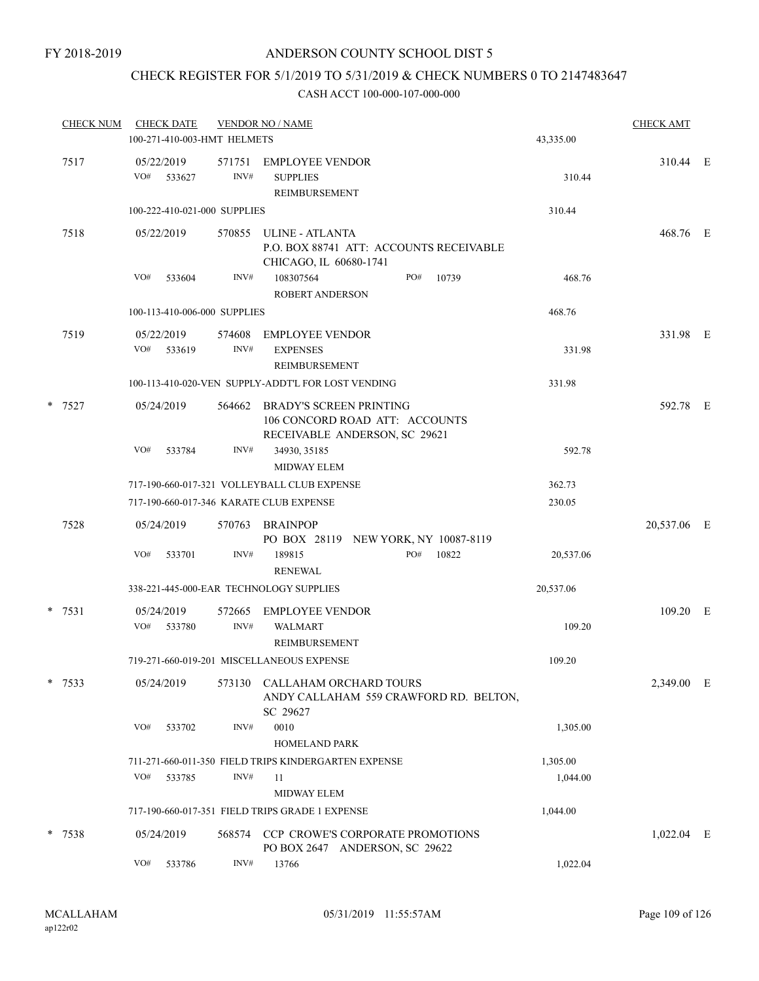## CHECK REGISTER FOR 5/1/2019 TO 5/31/2019 & CHECK NUMBERS 0 TO 2147483647

|          |                   |            | 100-271-410-003-HMT HELMETS  | 43,335.00                                                                                  |     |       |           |             |  |
|----------|-------------------|------------|------------------------------|--------------------------------------------------------------------------------------------|-----|-------|-----------|-------------|--|
| 7517     | 05/22/2019<br>VO# | 533627     | 571751<br>INV#               | <b>EMPLOYEE VENDOR</b><br><b>SUPPLIES</b><br><b>REIMBURSEMENT</b>                          |     |       | 310.44    | 310.44 E    |  |
|          |                   |            | 100-222-410-021-000 SUPPLIES |                                                                                            |     |       | 310.44    |             |  |
| 7518     |                   | 05/22/2019 | 570855                       | ULINE - ATLANTA<br>P.O. BOX 88741 ATT: ACCOUNTS RECEIVABLE<br>CHICAGO, IL 60680-1741       |     |       |           | 468.76 E    |  |
|          | VO#               | 533604     | INV#                         | 108307564<br>ROBERT ANDERSON                                                               | PO# | 10739 | 468.76    |             |  |
|          |                   |            | 100-113-410-006-000 SUPPLIES |                                                                                            |     |       | 468.76    |             |  |
| 7519     |                   | 05/22/2019 | 574608                       | <b>EMPLOYEE VENDOR</b>                                                                     |     |       |           | 331.98 E    |  |
|          |                   | VO# 533619 | INV#                         | <b>EXPENSES</b><br>REIMBURSEMENT                                                           |     |       | 331.98    |             |  |
|          |                   |            |                              | 100-113-410-020-VEN SUPPLY-ADDT'L FOR LOST VENDING                                         |     |       | 331.98    |             |  |
| * 7527   | 05/24/2019        |            | 564662                       | BRADY'S SCREEN PRINTING<br>106 CONCORD ROAD ATT: ACCOUNTS<br>RECEIVABLE ANDERSON, SC 29621 |     |       |           | 592.78 E    |  |
|          | VO#               | 533784     | INV#                         | 34930, 35185<br><b>MIDWAY ELEM</b>                                                         |     |       | 592.78    |             |  |
|          |                   |            |                              | 717-190-660-017-321 VOLLEYBALL CLUB EXPENSE                                                |     |       | 362.73    |             |  |
|          |                   |            |                              | 717-190-660-017-346 KARATE CLUB EXPENSE                                                    |     |       | 230.05    |             |  |
| 7528     | 05/24/2019        |            | 570763                       | BRAINPOP<br>PO BOX 28119 NEW YORK, NY 10087-8119                                           |     |       |           | 20,537.06 E |  |
|          | VO#               | 533701     | INV#                         | 189815<br><b>RENEWAL</b>                                                                   | PO# | 10822 | 20,537.06 |             |  |
|          |                   |            |                              | 338-221-445-000-EAR TECHNOLOGY SUPPLIES                                                    |     |       | 20,537.06 |             |  |
| $*$ 7531 |                   | 05/24/2019 | 572665                       | <b>EMPLOYEE VENDOR</b>                                                                     |     |       |           | 109.20 E    |  |
|          | VO#               | 533780     | INV#                         | <b>WALMART</b><br>REIMBURSEMENT                                                            |     |       | 109.20    |             |  |
|          |                   |            |                              | 719-271-660-019-201 MISCELLANEOUS EXPENSE                                                  |     |       | 109.20    |             |  |
| $*$ 7533 |                   | 05/24/2019 | 573130                       | CALLAHAM ORCHARD TOURS<br>ANDY CALLAHAM 559 CRAWFORD RD. BELTON,<br>SC 29627               |     |       |           | 2,349.00 E  |  |
|          | VO#               | 533702     | INV#                         | 0010<br><b>HOMELAND PARK</b>                                                               |     |       | 1,305.00  |             |  |
|          |                   |            |                              | 711-271-660-011-350 FIELD TRIPS KINDERGARTEN EXPENSE                                       |     |       | 1,305.00  |             |  |
|          | VO#               | 533785     | INV#                         | 11                                                                                         |     |       | 1,044.00  |             |  |
|          |                   |            |                              | <b>MIDWAY ELEM</b><br>717-190-660-017-351 FIELD TRIPS GRADE 1 EXPENSE                      |     |       | 1,044.00  |             |  |
| * 7538   | 05/24/2019        |            | 568574                       | CCP CROWE'S CORPORATE PROMOTIONS<br>PO BOX 2647 ANDERSON, SC 29622                         |     |       |           | 1,022.04 E  |  |
|          | VO#               | 533786     | INV#                         | 13766                                                                                      |     |       | 1,022.04  |             |  |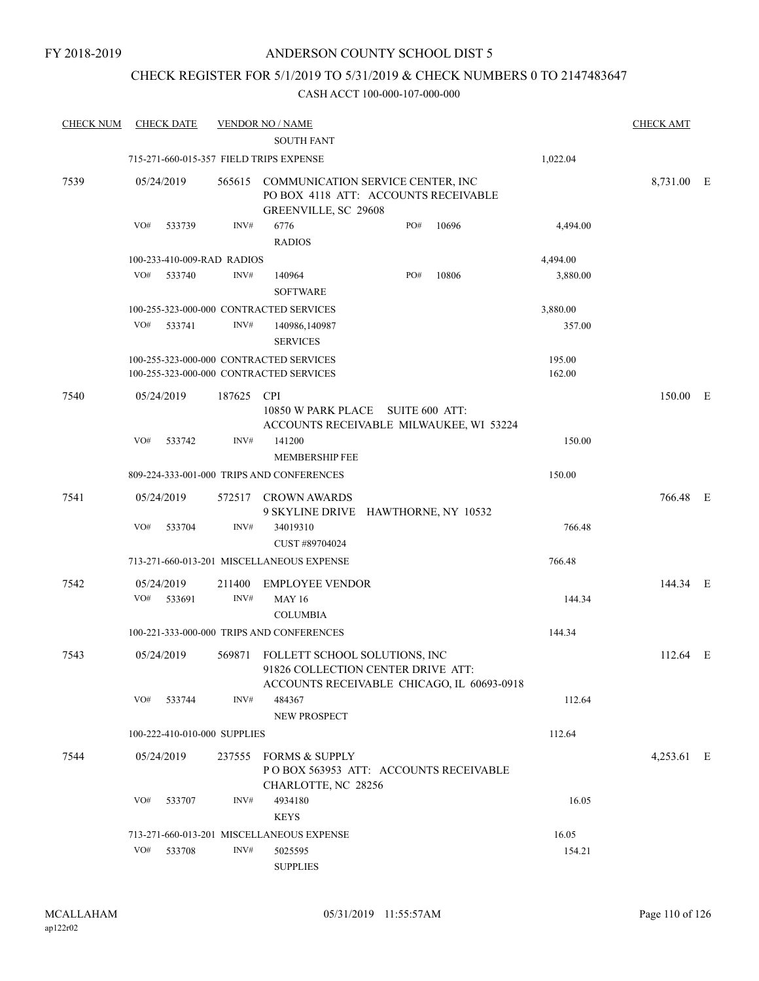## CHECK REGISTER FOR 5/1/2019 TO 5/31/2019 & CHECK NUMBERS 0 TO 2147483647

| <b>CHECK NUM</b> | <b>CHECK DATE</b>                       |        | <b>VENDOR NO / NAME</b><br><b>SOUTH FANT</b>                                                                      |     |       |          | <b>CHECK AMT</b> |  |
|------------------|-----------------------------------------|--------|-------------------------------------------------------------------------------------------------------------------|-----|-------|----------|------------------|--|
|                  | 715-271-660-015-357 FIELD TRIPS EXPENSE |        |                                                                                                                   |     |       | 1,022.04 |                  |  |
| 7539             | 05/24/2019                              |        | 565615 COMMUNICATION SERVICE CENTER, INC<br>PO BOX 4118 ATT: ACCOUNTS RECEIVABLE<br>GREENVILLE, SC 29608          |     |       |          | 8,731.00 E       |  |
|                  | VO#<br>533739                           | INV#   | 6776<br><b>RADIOS</b>                                                                                             | PO# | 10696 | 4,494.00 |                  |  |
|                  | 100-233-410-009-RAD RADIOS              |        |                                                                                                                   |     |       | 4,494.00 |                  |  |
|                  | VO#<br>533740                           | INV#   | 140964<br><b>SOFTWARE</b>                                                                                         | PO# | 10806 | 3,880.00 |                  |  |
|                  |                                         |        | 100-255-323-000-000 CONTRACTED SERVICES                                                                           |     |       | 3,880.00 |                  |  |
|                  | VO#<br>533741                           | INV#   | 140986,140987<br><b>SERVICES</b>                                                                                  |     |       | 357.00   |                  |  |
|                  |                                         |        | 100-255-323-000-000 CONTRACTED SERVICES                                                                           |     |       | 195.00   |                  |  |
|                  |                                         |        | 100-255-323-000-000 CONTRACTED SERVICES                                                                           |     |       | 162.00   |                  |  |
| 7540             | 05/24/2019                              | 187625 | <b>CPI</b><br>10850 W PARK PLACE SUITE 600 ATT:<br>ACCOUNTS RECEIVABLE MILWAUKEE, WI 53224                        |     |       |          | 150.00 E         |  |
|                  | VO#<br>533742                           | INV#   | 141200<br><b>MEMBERSHIP FEE</b>                                                                                   |     |       | 150.00   |                  |  |
|                  |                                         |        | 809-224-333-001-000 TRIPS AND CONFERENCES                                                                         |     |       | 150.00   |                  |  |
| 7541             | 05/24/2019                              |        | 572517 CROWN AWARDS<br>9 SKYLINE DRIVE HAWTHORNE, NY 10532                                                        |     |       |          | 766.48 E         |  |
|                  | VO#<br>533704                           | INV#   | 34019310<br>CUST #89704024                                                                                        |     |       | 766.48   |                  |  |
|                  |                                         |        | 713-271-660-013-201 MISCELLANEOUS EXPENSE                                                                         |     |       | 766.48   |                  |  |
| 7542             | 05/24/2019                              | 211400 | <b>EMPLOYEE VENDOR</b>                                                                                            |     |       |          | 144.34 E         |  |
|                  | VO#<br>533691                           | INV#   | <b>MAY 16</b><br><b>COLUMBIA</b>                                                                                  |     |       | 144.34   |                  |  |
|                  |                                         |        | 100-221-333-000-000 TRIPS AND CONFERENCES                                                                         |     |       | 144.34   |                  |  |
| 7543             | 05/24/2019                              | 569871 | FOLLETT SCHOOL SOLUTIONS, INC<br>91826 COLLECTION CENTER DRIVE ATT:<br>ACCOUNTS RECEIVABLE CHICAGO, IL 60693-0918 |     |       |          | 112.64 E         |  |
|                  | VO#<br>533744                           | INV#   | 484367<br>NEW PROSPECT                                                                                            |     |       | 112.64   |                  |  |
|                  | 100-222-410-010-000 SUPPLIES            |        |                                                                                                                   |     |       | 112.64   |                  |  |
| 7544             | 05/24/2019                              | 237555 | <b>FORMS &amp; SUPPLY</b><br>PO BOX 563953 ATT: ACCOUNTS RECEIVABLE<br>CHARLOTTE, NC 28256                        |     |       |          | 4,253.61 E       |  |
|                  | VO#<br>533707                           | INV#   | 4934180<br><b>KEYS</b>                                                                                            |     |       | 16.05    |                  |  |
|                  |                                         |        | 713-271-660-013-201 MISCELLANEOUS EXPENSE                                                                         |     |       | 16.05    |                  |  |
|                  | VO#<br>533708                           | INV#   | 5025595<br><b>SUPPLIES</b>                                                                                        |     |       | 154.21   |                  |  |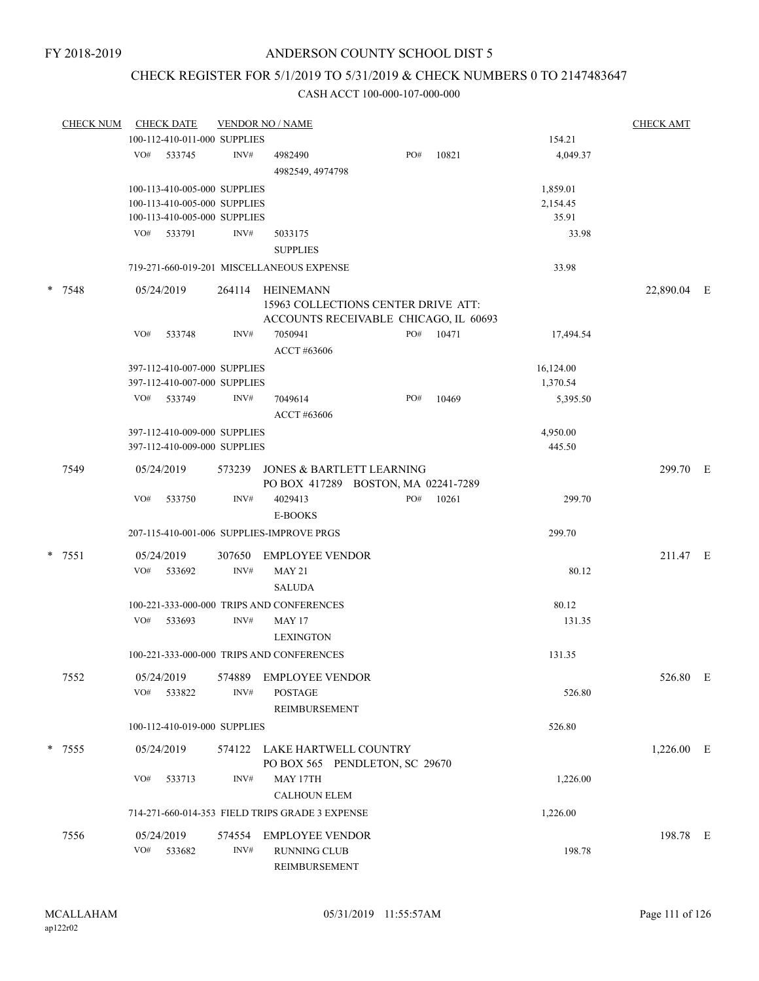## CHECK REGISTER FOR 5/1/2019 TO 5/31/2019 & CHECK NUMBERS 0 TO 2147483647

|        | <b>CHECK NUM</b> |     | <b>CHECK DATE</b>                                                                            |        | <b>VENDOR NO / NAME</b>                                                                   |     |           |                               | <b>CHECK AMT</b> |  |
|--------|------------------|-----|----------------------------------------------------------------------------------------------|--------|-------------------------------------------------------------------------------------------|-----|-----------|-------------------------------|------------------|--|
|        |                  |     | 100-112-410-011-000 SUPPLIES                                                                 |        |                                                                                           |     |           | 154.21                        |                  |  |
|        |                  |     | VO# 533745                                                                                   | INV#   | 4982490<br>4982549, 4974798                                                               | PO# | 10821     | 4,049.37                      |                  |  |
|        |                  |     | 100-113-410-005-000 SUPPLIES<br>100-113-410-005-000 SUPPLIES<br>100-113-410-005-000 SUPPLIES |        |                                                                                           |     |           | 1,859.01<br>2,154.45<br>35.91 |                  |  |
|        |                  |     | VO# 533791                                                                                   | INV#   | 5033175<br><b>SUPPLIES</b>                                                                |     |           | 33.98                         |                  |  |
|        |                  |     |                                                                                              |        | 719-271-660-019-201 MISCELLANEOUS EXPENSE                                                 |     |           | 33.98                         |                  |  |
| * 7548 |                  |     | 05/24/2019                                                                                   | 264114 | HEINEMANN<br>15963 COLLECTIONS CENTER DRIVE ATT:<br>ACCOUNTS RECEIVABLE CHICAGO, IL 60693 |     |           |                               | 22,890.04 E      |  |
|        |                  | VO# | 533748                                                                                       | INV#   | 7050941<br>ACCT #63606                                                                    |     | PO# 10471 | 17,494.54                     |                  |  |
|        |                  |     | 397-112-410-007-000 SUPPLIES<br>397-112-410-007-000 SUPPLIES                                 |        |                                                                                           |     |           | 16,124.00<br>1,370.54         |                  |  |
|        |                  |     | VO# 533749                                                                                   | INV#   | 7049614<br>ACCT #63606                                                                    | PO# | 10469     | 5,395.50                      |                  |  |
|        |                  |     | 397-112-410-009-000 SUPPLIES<br>397-112-410-009-000 SUPPLIES                                 |        |                                                                                           |     |           | 4,950.00<br>445.50            |                  |  |
|        | 7549             |     | 05/24/2019                                                                                   |        | 573239 JONES & BARTLETT LEARNING<br>PO BOX 417289 BOSTON, MA 02241-7289                   |     |           |                               | 299.70 E         |  |
|        |                  | VO# | 533750                                                                                       | INV#   | 4029413<br>E-BOOKS                                                                        | PO# | 10261     | 299.70                        |                  |  |
|        |                  |     |                                                                                              |        | 207-115-410-001-006 SUPPLIES-IMPROVE PRGS                                                 |     |           | 299.70                        |                  |  |
|        | $* 7551$         |     | 05/24/2019<br>VO# 533692                                                                     | INV#   | 307650 EMPLOYEE VENDOR<br><b>MAY 21</b>                                                   |     |           | 80.12                         | 211.47 E         |  |
|        |                  |     |                                                                                              |        | <b>SALUDA</b><br>100-221-333-000-000 TRIPS AND CONFERENCES                                |     |           | 80.12                         |                  |  |
|        |                  | VO# | 533693                                                                                       | INV#   | <b>MAY 17</b><br><b>LEXINGTON</b>                                                         |     |           | 131.35                        |                  |  |
|        |                  |     |                                                                                              |        | 100-221-333-000-000 TRIPS AND CONFERENCES                                                 |     |           | 131.35                        |                  |  |
|        | 7552             | VO# | 05/24/2019<br>533822                                                                         | INV#   | 574889 EMPLOYEE VENDOR<br><b>POSTAGE</b><br>REIMBURSEMENT                                 |     |           | 526.80                        | 526.80 E         |  |
|        |                  |     | 100-112-410-019-000 SUPPLIES                                                                 |        |                                                                                           |     |           | 526.80                        |                  |  |
|        | * 7555           |     | 05/24/2019                                                                                   |        | 574122 LAKE HARTWELL COUNTRY<br>PO BOX 565 PENDLETON, SC 29670                            |     |           |                               | $1,226.00$ E     |  |
|        |                  | VO# | 533713                                                                                       | INV#   | MAY 17TH<br><b>CALHOUN ELEM</b>                                                           |     |           | 1,226.00                      |                  |  |
|        |                  |     |                                                                                              |        | 714-271-660-014-353 FIELD TRIPS GRADE 3 EXPENSE                                           |     |           | 1,226.00                      |                  |  |
|        | 7556             |     | 05/24/2019<br>VO# 533682                                                                     | INV#   | 574554 EMPLOYEE VENDOR<br>RUNNING CLUB<br>REIMBURSEMENT                                   |     |           | 198.78                        | 198.78 E         |  |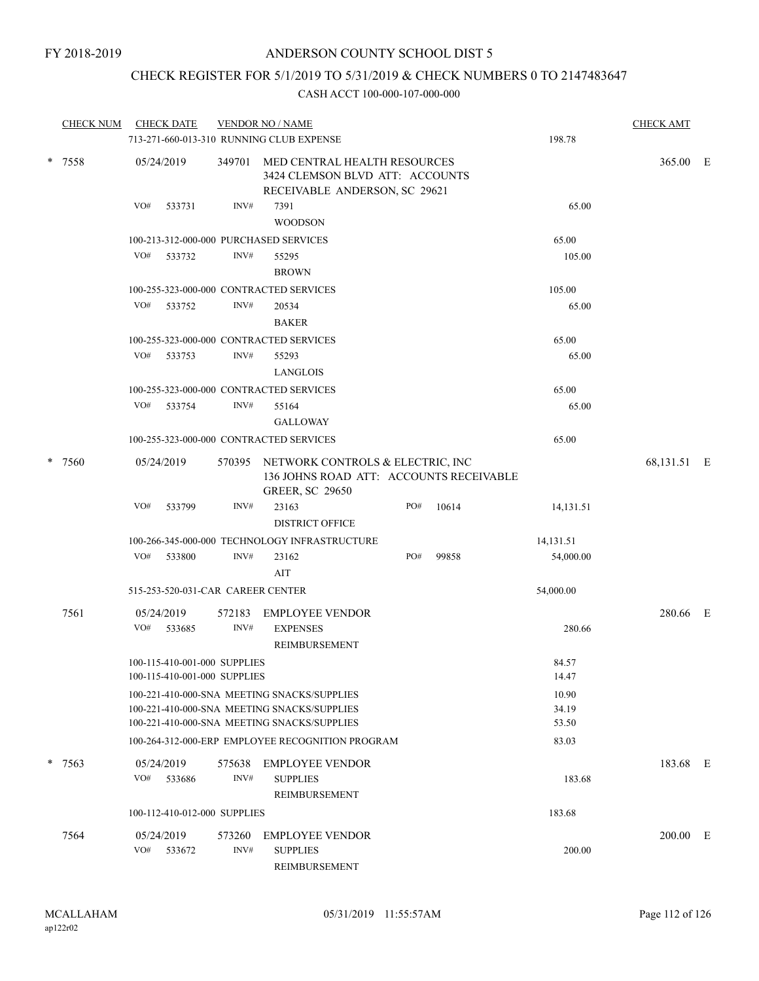## CHECK REGISTER FOR 5/1/2019 TO 5/31/2019 & CHECK NUMBERS 0 TO 2147483647

|        | <b>CHECK NUM</b> | <b>CHECK DATE</b><br>713-271-660-013-310 RUNNING CLUB EXPENSE |                | <b>VENDOR NO / NAME</b>                                                                                      |     |       | 198.78    | <b>CHECK AMT</b> |  |
|--------|------------------|---------------------------------------------------------------|----------------|--------------------------------------------------------------------------------------------------------------|-----|-------|-----------|------------------|--|
| * 7558 |                  | 05/24/2019                                                    | 349701         | MED CENTRAL HEALTH RESOURCES<br>3424 CLEMSON BLVD ATT: ACCOUNTS<br>RECEIVABLE ANDERSON, SC 29621             |     |       |           | 365.00 E         |  |
|        |                  | VO#<br>533731                                                 | INV#           | 7391<br><b>WOODSON</b>                                                                                       |     |       | 65.00     |                  |  |
|        |                  | 100-213-312-000-000 PURCHASED SERVICES                        |                |                                                                                                              |     |       | 65.00     |                  |  |
|        |                  | VO#<br>533732                                                 | INV#           | 55295                                                                                                        |     |       | 105.00    |                  |  |
|        |                  |                                                               |                | <b>BROWN</b>                                                                                                 |     |       |           |                  |  |
|        |                  | 100-255-323-000-000 CONTRACTED SERVICES                       |                |                                                                                                              |     |       | 105.00    |                  |  |
|        |                  | VO# 533752                                                    | INV#           | 20534                                                                                                        |     |       | 65.00     |                  |  |
|        |                  |                                                               |                | <b>BAKER</b>                                                                                                 |     |       |           |                  |  |
|        |                  | 100-255-323-000-000 CONTRACTED SERVICES                       |                |                                                                                                              |     |       | 65.00     |                  |  |
|        |                  | VO#<br>533753                                                 | INV#           | 55293                                                                                                        |     |       | 65.00     |                  |  |
|        |                  |                                                               |                | LANGLOIS                                                                                                     |     |       |           |                  |  |
|        |                  | 100-255-323-000-000 CONTRACTED SERVICES                       |                |                                                                                                              |     |       | 65.00     |                  |  |
|        |                  | VO#<br>533754                                                 | INV#           | 55164                                                                                                        |     |       | 65.00     |                  |  |
|        |                  |                                                               |                | <b>GALLOWAY</b>                                                                                              |     |       |           |                  |  |
|        |                  | 100-255-323-000-000 CONTRACTED SERVICES                       |                |                                                                                                              |     |       | 65.00     |                  |  |
| *      | 7560             | 05/24/2019                                                    |                | 570395 NETWORK CONTROLS & ELECTRIC, INC<br>136 JOHNS ROAD ATT: ACCOUNTS RECEIVABLE<br><b>GREER, SC 29650</b> |     |       |           | 68,131.51 E      |  |
|        |                  | VO#<br>533799                                                 | INV#           | 23163<br><b>DISTRICT OFFICE</b>                                                                              | PO# | 10614 | 14,131.51 |                  |  |
|        |                  |                                                               |                | 100-266-345-000-000 TECHNOLOGY INFRASTRUCTURE                                                                |     |       | 14,131.51 |                  |  |
|        |                  | VO# 533800                                                    | INV#           | 23162<br>AIT                                                                                                 | PO# | 99858 | 54,000.00 |                  |  |
|        |                  | 515-253-520-031-CAR CAREER CENTER                             |                |                                                                                                              |     |       | 54,000.00 |                  |  |
|        | 7561             | 05/24/2019                                                    | 572183         | <b>EMPLOYEE VENDOR</b>                                                                                       |     |       |           | 280.66 E         |  |
|        |                  | VO#<br>533685                                                 | INV#           | <b>EXPENSES</b><br>REIMBURSEMENT                                                                             |     |       | 280.66    |                  |  |
|        |                  | 100-115-410-001-000 SUPPLIES                                  |                |                                                                                                              |     |       | 84.57     |                  |  |
|        |                  | 100-115-410-001-000 SUPPLIES                                  |                |                                                                                                              |     |       | 14.47     |                  |  |
|        |                  |                                                               |                | 100-221-410-000-SNA MEETING SNACKS/SUPPLIES                                                                  |     |       | 10.90     |                  |  |
|        |                  |                                                               |                | 100-221-410-000-SNA MEETING SNACKS/SUPPLIES                                                                  |     |       | 34.19     |                  |  |
|        |                  |                                                               |                | 100-221-410-000-SNA MEETING SNACKS/SUPPLIES                                                                  |     |       | 53.50     |                  |  |
|        |                  |                                                               |                | 100-264-312-000-ERP EMPLOYEE RECOGNITION PROGRAM                                                             |     |       | 83.03     |                  |  |
|        | $* 7563$         | 05/24/2019<br>VO#<br>533686                                   | 575638<br>INV# | <b>EMPLOYEE VENDOR</b><br><b>SUPPLIES</b>                                                                    |     |       | 183.68    | 183.68 E         |  |
|        |                  | 100-112-410-012-000 SUPPLIES                                  |                | REIMBURSEMENT                                                                                                |     |       | 183.68    |                  |  |
|        |                  |                                                               |                |                                                                                                              |     |       |           |                  |  |
|        | 7564             | 05/24/2019<br>VO#<br>533672                                   | 573260<br>INV# | <b>EMPLOYEE VENDOR</b><br><b>SUPPLIES</b><br>REIMBURSEMENT                                                   |     |       | 200.00    | 200.00 E         |  |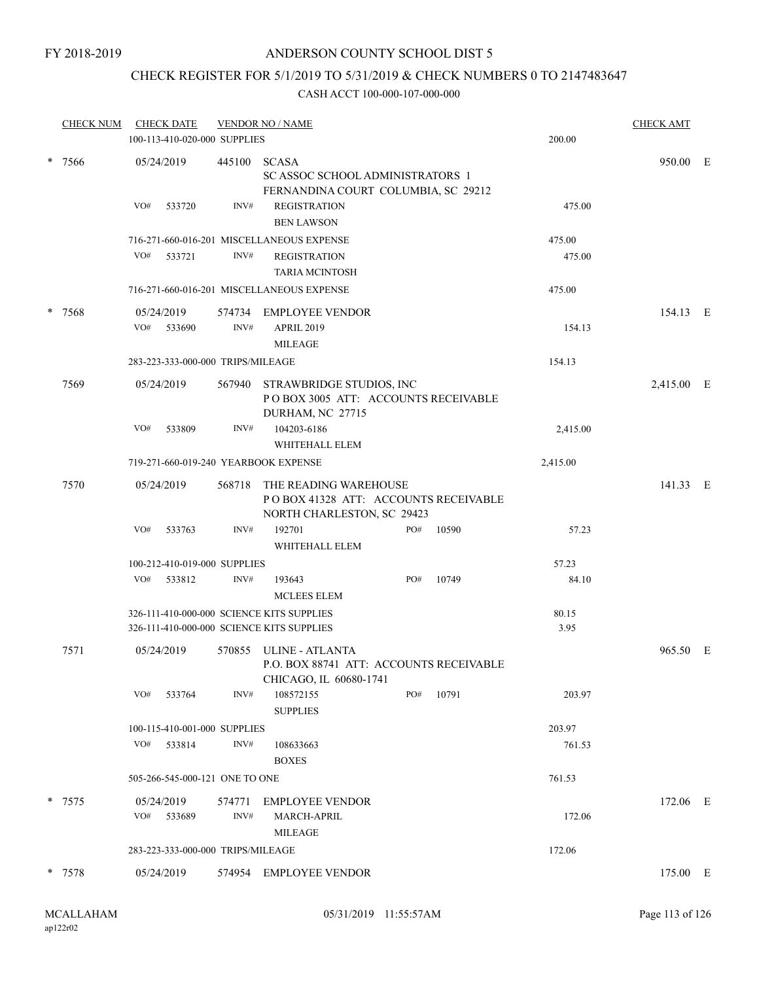## CHECK REGISTER FOR 5/1/2019 TO 5/31/2019 & CHECK NUMBERS 0 TO 2147483647

|                | <b>CHECK NUM</b> | <b>CHECK DATE</b><br>100-113-410-020-000 SUPPLIES |                | <b>VENDOR NO / NAME</b>                                                                        |     |            | 200.00        | <b>CHECK AMT</b> |   |
|----------------|------------------|---------------------------------------------------|----------------|------------------------------------------------------------------------------------------------|-----|------------|---------------|------------------|---|
| $\ast$<br>7566 |                  | 05/24/2019                                        | 445100         | <b>SCASA</b><br><b>SC ASSOC SCHOOL ADMINISTRATORS 1</b><br>FERNANDINA COURT COLUMBIA, SC 29212 |     |            |               | 950.00 E         |   |
|                |                  | VO#<br>533720                                     | INV#           | <b>REGISTRATION</b><br><b>BEN LAWSON</b>                                                       |     |            | 475.00        |                  |   |
|                |                  |                                                   |                | 716-271-660-016-201 MISCELLANEOUS EXPENSE                                                      |     |            | 475.00        |                  |   |
|                |                  | VO#<br>533721                                     | INV#           | <b>REGISTRATION</b><br><b>TARIA MCINTOSH</b>                                                   |     |            | 475.00        |                  |   |
|                |                  |                                                   |                | 716-271-660-016-201 MISCELLANEOUS EXPENSE                                                      |     |            | 475.00        |                  |   |
| $\ast$         | 7568             | 05/24/2019<br>VO#<br>533690                       | 574734<br>INV# | EMPLOYEE VENDOR<br><b>APRIL 2019</b><br><b>MILEAGE</b>                                         |     |            | 154.13        | 154.13 E         |   |
|                |                  | 283-223-333-000-000 TRIPS/MILEAGE                 |                |                                                                                                |     |            | 154.13        |                  |   |
|                | 7569             | 05/24/2019                                        | 567940         | STRAWBRIDGE STUDIOS, INC<br>POBOX 3005 ATT: ACCOUNTS RECEIVABLE<br>DURHAM, NC 27715            |     | 2,415.00 E |               |                  |   |
|                |                  | VO#<br>533809                                     | INV#           | 104203-6186<br>WHITEHALL ELEM                                                                  |     |            | 2,415.00      |                  |   |
|                |                  | 719-271-660-019-240 YEARBOOK EXPENSE              |                |                                                                                                |     |            | 2,415.00      |                  |   |
|                | 7570             | 05/24/2019                                        | 568718         | THE READING WAREHOUSE<br>POBOX 41328 ATT: ACCOUNTS RECEIVABLE<br>NORTH CHARLESTON, SC 29423    |     |            |               | 141.33 E         |   |
|                |                  | VO#<br>533763                                     | INV#           | 192701<br>WHITEHALL ELEM                                                                       | PO# | 10590      | 57.23         |                  |   |
|                |                  | 100-212-410-019-000 SUPPLIES                      |                |                                                                                                |     |            | 57.23         |                  |   |
|                |                  | VO#<br>533812                                     | INV#           | 193643<br><b>MCLEES ELEM</b>                                                                   | PO# | 10749      | 84.10         |                  |   |
|                |                  |                                                   |                | 326-111-410-000-000 SCIENCE KITS SUPPLIES<br>326-111-410-000-000 SCIENCE KITS SUPPLIES         |     |            | 80.15<br>3.95 |                  |   |
|                | 7571             | 05/24/2019                                        | 570855         | <b>ULINE - ATLANTA</b><br>P.O. BOX 88741 ATT: ACCOUNTS RECEIVABLE<br>CHICAGO, IL 60680-1741    |     |            |               | 965.50           | E |
|                |                  | VO#<br>533764                                     | INV#           | 108572155<br><b>SUPPLIES</b>                                                                   | PO# | 10791      | 203.97        |                  |   |
|                |                  | 100-115-410-001-000 SUPPLIES                      |                |                                                                                                |     |            | 203.97        |                  |   |
|                |                  | VO#<br>533814                                     | INV#           | 108633663<br><b>BOXES</b>                                                                      |     |            | 761.53        |                  |   |
|                |                  | 505-266-545-000-121 ONE TO ONE                    |                |                                                                                                |     |            | 761.53        |                  |   |
|                | $* 7575$         | 05/24/2019<br>VO# 533689                          | 574771<br>INV# | EMPLOYEE VENDOR<br>MARCH-APRIL<br><b>MILEAGE</b>                                               |     |            | 172.06        | 172.06 E         |   |
|                |                  | 283-223-333-000-000 TRIPS/MILEAGE                 |                |                                                                                                |     |            | 172.06        |                  |   |
|                | * 7578           | 05/24/2019                                        |                | 574954 EMPLOYEE VENDOR                                                                         |     |            |               | 175.00 E         |   |
|                |                  |                                                   |                |                                                                                                |     |            |               |                  |   |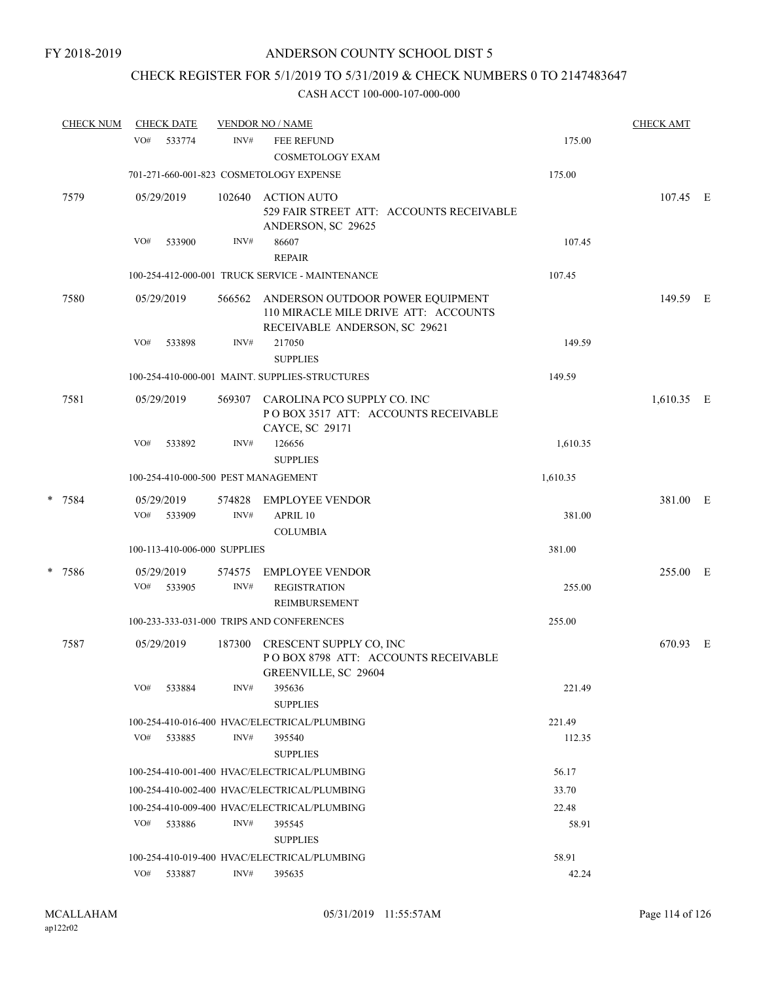## CHECK REGISTER FOR 5/1/2019 TO 5/31/2019 & CHECK NUMBERS 0 TO 2147483647

| <b>CHECK NUM</b> |     | <b>CHECK DATE</b>            |                | <b>VENDOR NO / NAME</b>                                                                                   |                | <b>CHECK AMT</b> |  |
|------------------|-----|------------------------------|----------------|-----------------------------------------------------------------------------------------------------------|----------------|------------------|--|
|                  | VO# | 533774                       | INV#           | <b>FEE REFUND</b><br><b>COSMETOLOGY EXAM</b>                                                              | 175.00         |                  |  |
|                  |     |                              |                | 701-271-660-001-823 COSMETOLOGY EXPENSE                                                                   | 175.00         |                  |  |
| 7579             |     | 05/29/2019                   | 102640         | ACTION AUTO<br>529 FAIR STREET ATT: ACCOUNTS RECEIVABLE<br>ANDERSON, SC 29625                             |                | 107.45 E         |  |
|                  | VO# | 533900                       | INV#           | 86607<br><b>REPAIR</b>                                                                                    | 107.45         |                  |  |
|                  |     |                              |                | 100-254-412-000-001 TRUCK SERVICE - MAINTENANCE                                                           | 107.45         |                  |  |
| 7580             |     | 05/29/2019                   | 566562         | ANDERSON OUTDOOR POWER EQUIPMENT<br>110 MIRACLE MILE DRIVE ATT: ACCOUNTS<br>RECEIVABLE ANDERSON, SC 29621 |                | 149.59 E         |  |
|                  | VO# | 533898                       | INV#           | 217050<br><b>SUPPLIES</b>                                                                                 | 149.59         |                  |  |
|                  |     |                              |                | 100-254-410-000-001 MAINT. SUPPLIES-STRUCTURES                                                            | 149.59         |                  |  |
| 7581             |     | 05/29/2019                   | 569307         | CAROLINA PCO SUPPLY CO. INC<br>PO BOX 3517 ATT: ACCOUNTS RECEIVABLE<br>CAYCE, SC 29171                    |                | 1,610.35 E       |  |
|                  | VO# | 533892                       | INV#           | 126656<br><b>SUPPLIES</b>                                                                                 | 1,610.35       |                  |  |
|                  |     |                              |                | 100-254-410-000-500 PEST MANAGEMENT                                                                       | 1,610.35       |                  |  |
| * 7584           | VO# | 05/29/2019<br>533909         | 574828<br>INV# | <b>EMPLOYEE VENDOR</b><br>APRIL 10<br><b>COLUMBIA</b>                                                     | 381.00         | 381.00 E         |  |
|                  |     | 100-113-410-006-000 SUPPLIES |                |                                                                                                           | 381.00         |                  |  |
| * 7586           | VO# | 05/29/2019<br>533905         | 574575<br>INV# | EMPLOYEE VENDOR<br><b>REGISTRATION</b>                                                                    | 255.00         | 255.00 E         |  |
|                  |     |                              |                | REIMBURSEMENT<br>100-233-333-031-000 TRIPS AND CONFERENCES                                                | 255.00         |                  |  |
|                  |     |                              |                |                                                                                                           |                |                  |  |
| 7587             |     | 05/29/2019                   | 187300         | CRESCENT SUPPLY CO, INC<br>POBOX 8798 ATT: ACCOUNTS RECEIVABLE<br>GREENVILLE, SC 29604                    |                | 670.93 E         |  |
|                  | VO# | 533884                       | INV#           | 395636<br><b>SUPPLIES</b>                                                                                 | 221.49         |                  |  |
|                  |     |                              |                | 100-254-410-016-400 HVAC/ELECTRICAL/PLUMBING                                                              | 221.49         |                  |  |
|                  | VO# | 533885                       | INV#           | 395540<br><b>SUPPLIES</b>                                                                                 | 112.35         |                  |  |
|                  |     |                              |                | 100-254-410-001-400 HVAC/ELECTRICAL/PLUMBING                                                              | 56.17          |                  |  |
|                  |     |                              |                | 100-254-410-002-400 HVAC/ELECTRICAL/PLUMBING                                                              | 33.70          |                  |  |
|                  | VO# | 533886                       | INV#           | 100-254-410-009-400 HVAC/ELECTRICAL/PLUMBING<br>395545                                                    | 22.48<br>58.91 |                  |  |
|                  |     |                              |                | <b>SUPPLIES</b>                                                                                           |                |                  |  |
|                  |     | VO# 533887                   | INV#           | 100-254-410-019-400 HVAC/ELECTRICAL/PLUMBING<br>395635                                                    | 58.91<br>42.24 |                  |  |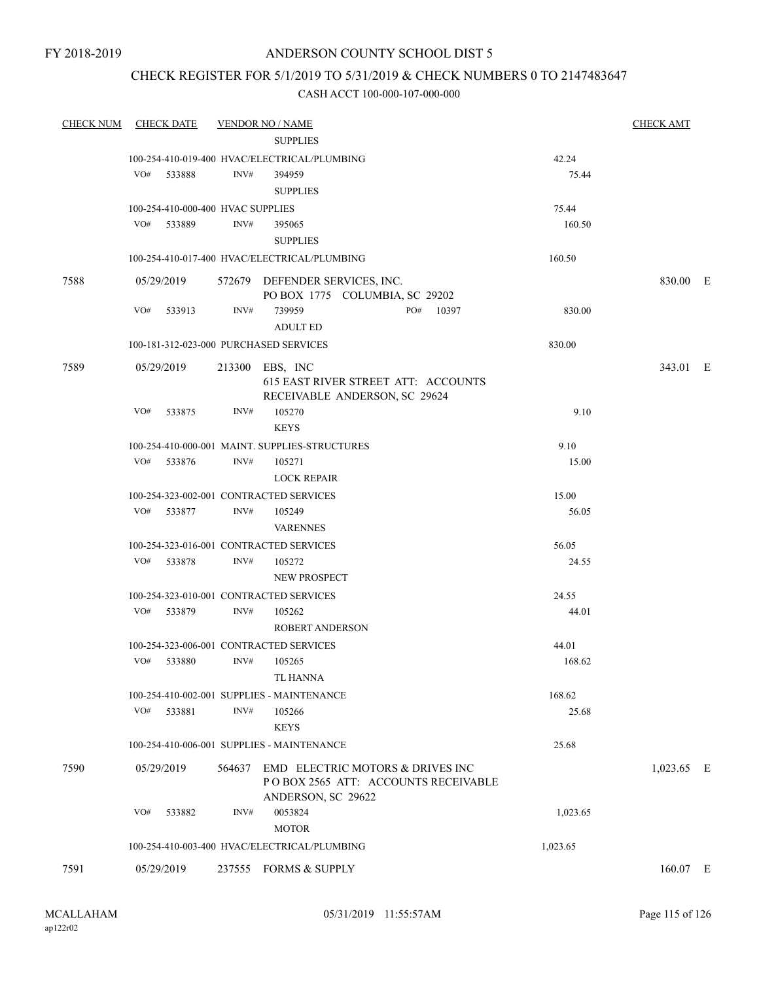## CHECK REGISTER FOR 5/1/2019 TO 5/31/2019 & CHECK NUMBERS 0 TO 2147483647

| <b>CHECK NUM</b> | <b>CHECK DATE</b>                       |        | <b>VENDOR NO / NAME</b>                                                                       |           |          | <b>CHECK AMT</b> |  |
|------------------|-----------------------------------------|--------|-----------------------------------------------------------------------------------------------|-----------|----------|------------------|--|
|                  |                                         |        | <b>SUPPLIES</b>                                                                               |           |          |                  |  |
|                  |                                         |        | 100-254-410-019-400 HVAC/ELECTRICAL/PLUMBING                                                  |           | 42.24    |                  |  |
|                  | VO#<br>533888                           | INV#   | 394959                                                                                        |           | 75.44    |                  |  |
|                  |                                         |        | <b>SUPPLIES</b>                                                                               |           |          |                  |  |
|                  | 100-254-410-000-400 HVAC SUPPLIES       |        |                                                                                               |           | 75.44    |                  |  |
|                  | VO# 533889                              | INV#   | 395065                                                                                        |           | 160.50   |                  |  |
|                  |                                         |        | <b>SUPPLIES</b>                                                                               |           |          |                  |  |
|                  |                                         |        | 100-254-410-017-400 HVAC/ELECTRICAL/PLUMBING                                                  |           | 160.50   |                  |  |
| 7588             | 05/29/2019                              |        | 572679 DEFENDER SERVICES, INC.                                                                |           |          | 830.00 E         |  |
|                  |                                         |        | PO BOX 1775 COLUMBIA, SC 29202                                                                |           |          |                  |  |
|                  | VO#<br>533913                           | INV#   | 739959                                                                                        | PO# 10397 | 830.00   |                  |  |
|                  |                                         |        | <b>ADULT ED</b>                                                                               |           |          |                  |  |
|                  | 100-181-312-023-000 PURCHASED SERVICES  |        |                                                                                               |           | 830.00   |                  |  |
| 7589             | 05/29/2019                              |        | 213300 EBS, INC                                                                               |           |          | 343.01 E         |  |
|                  |                                         |        | 615 EAST RIVER STREET ATT: ACCOUNTS<br>RECEIVABLE ANDERSON, SC 29624                          |           |          |                  |  |
|                  | VO#<br>533875                           | INV#   | 105270                                                                                        |           | 9.10     |                  |  |
|                  |                                         |        | <b>KEYS</b>                                                                                   |           |          |                  |  |
|                  |                                         |        | 100-254-410-000-001 MAINT. SUPPLIES-STRUCTURES                                                |           | 9.10     |                  |  |
|                  | VO# 533876                              | INV#   | 105271                                                                                        |           | 15.00    |                  |  |
|                  |                                         |        | <b>LOCK REPAIR</b>                                                                            |           |          |                  |  |
|                  | 100-254-323-002-001 CONTRACTED SERVICES |        |                                                                                               |           | 15.00    |                  |  |
|                  | VO#<br>533877                           | INV#   | 105249                                                                                        |           | 56.05    |                  |  |
|                  |                                         |        | <b>VARENNES</b>                                                                               |           |          |                  |  |
|                  | 100-254-323-016-001 CONTRACTED SERVICES |        |                                                                                               |           | 56.05    |                  |  |
|                  | VO#<br>533878                           | INV#   | 105272                                                                                        |           | 24.55    |                  |  |
|                  |                                         |        | NEW PROSPECT                                                                                  |           |          |                  |  |
|                  | 100-254-323-010-001 CONTRACTED SERVICES |        |                                                                                               |           | 24.55    |                  |  |
|                  | VO# 533879                              | INV#   | 105262                                                                                        |           | 44.01    |                  |  |
|                  |                                         |        | <b>ROBERT ANDERSON</b>                                                                        |           |          |                  |  |
|                  | 100-254-323-006-001 CONTRACTED SERVICES |        |                                                                                               |           | 44.01    |                  |  |
|                  | VO#<br>533880                           | INV#   | 105265                                                                                        |           | 168.62   |                  |  |
|                  |                                         |        | TL HANNA                                                                                      |           |          |                  |  |
|                  |                                         |        | 100-254-410-002-001 SUPPLIES - MAINTENANCE                                                    |           | 168.62   |                  |  |
|                  | VO#<br>533881                           | INV#   | 105266                                                                                        |           | 25.68    |                  |  |
|                  |                                         |        | <b>KEYS</b>                                                                                   |           |          |                  |  |
|                  |                                         |        | 100-254-410-006-001 SUPPLIES - MAINTENANCE                                                    |           | 25.68    |                  |  |
| 7590             | 05/29/2019                              | 564637 | EMD ELECTRIC MOTORS & DRIVES INC<br>POBOX 2565 ATT: ACCOUNTS RECEIVABLE<br>ANDERSON, SC 29622 |           |          | $1,023.65$ E     |  |
|                  | VO#<br>533882                           | INV#   | 0053824                                                                                       |           | 1,023.65 |                  |  |
|                  |                                         |        | <b>MOTOR</b>                                                                                  |           |          |                  |  |
|                  |                                         |        | 100-254-410-003-400 HVAC/ELECTRICAL/PLUMBING                                                  |           | 1,023.65 |                  |  |
| 7591             | 05/29/2019                              |        | 237555 FORMS & SUPPLY                                                                         |           |          | $160.07$ E       |  |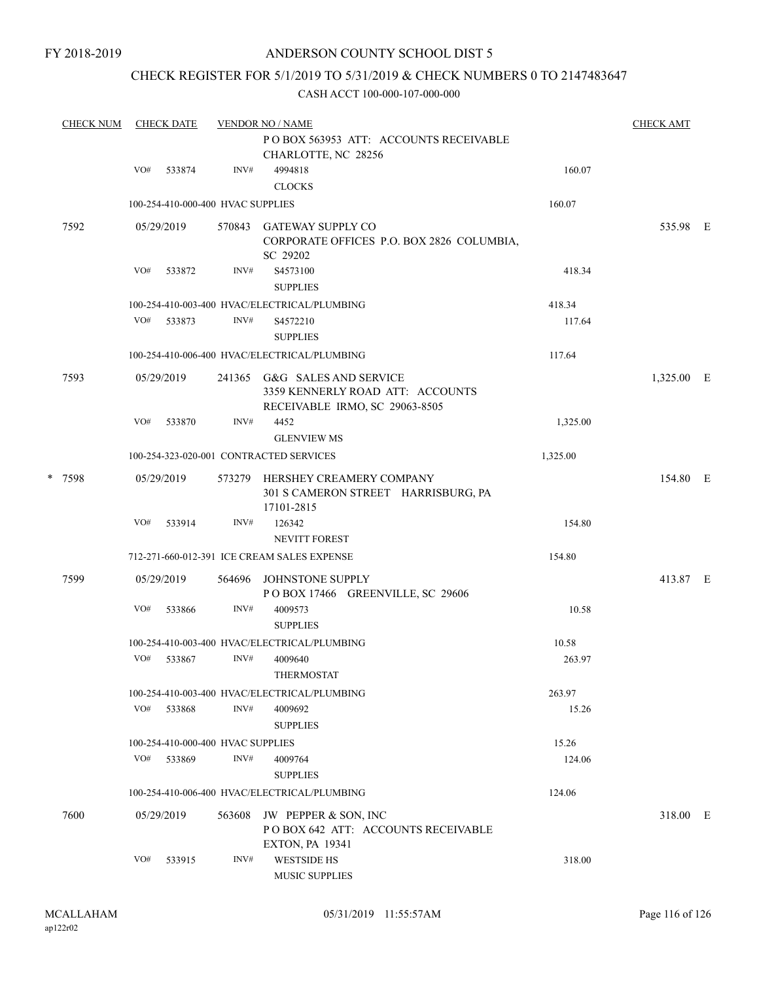## CHECK REGISTER FOR 5/1/2019 TO 5/31/2019 & CHECK NUMBERS 0 TO 2147483647

|        | <b>CHECK NUM</b> | <b>CHECK DATE</b> |            |                                                                               | <b>VENDOR NO / NAME</b>                                                                            |          | <b>CHECK AMT</b> |  |
|--------|------------------|-------------------|------------|-------------------------------------------------------------------------------|----------------------------------------------------------------------------------------------------|----------|------------------|--|
|        |                  |                   |            |                                                                               | POBOX 563953 ATT: ACCOUNTS RECEIVABLE<br>CHARLOTTE, NC 28256                                       |          |                  |  |
|        |                  | VO#               | 533874     | INV#                                                                          | 4994818<br><b>CLOCKS</b>                                                                           | 160.07   |                  |  |
|        |                  |                   |            | 100-254-410-000-400 HVAC SUPPLIES                                             |                                                                                                    | 160.07   |                  |  |
|        | 7592             |                   | 05/29/2019 |                                                                               | 570843 GATEWAY SUPPLY CO<br>CORPORATE OFFICES P.O. BOX 2826 COLUMBIA,<br>SC 29202                  |          | 535.98 E         |  |
|        |                  | VO#               | 533872     | INV#                                                                          | S4573100<br><b>SUPPLIES</b>                                                                        | 418.34   |                  |  |
|        |                  |                   |            |                                                                               | 100-254-410-003-400 HVAC/ELECTRICAL/PLUMBING                                                       | 418.34   |                  |  |
|        |                  | VO#               | 533873     | INV#                                                                          | S4572210<br><b>SUPPLIES</b>                                                                        | 117.64   |                  |  |
|        |                  |                   |            |                                                                               | 100-254-410-006-400 HVAC/ELECTRICAL/PLUMBING                                                       | 117.64   |                  |  |
|        | 7593             |                   | 05/29/2019 |                                                                               | 241365 G&G SALES AND SERVICE<br>3359 KENNERLY ROAD ATT: ACCOUNTS<br>RECEIVABLE IRMO, SC 29063-8505 |          | 1,325.00 E       |  |
|        |                  | VO#               | 533870     | INV#                                                                          | 4452<br><b>GLENVIEW MS</b>                                                                         | 1,325.00 |                  |  |
|        |                  |                   |            |                                                                               | 100-254-323-020-001 CONTRACTED SERVICES                                                            | 1,325.00 |                  |  |
| * 7598 |                  | 05/29/2019        | 573279     | HERSHEY CREAMERY COMPANY<br>301 S CAMERON STREET HARRISBURG, PA<br>17101-2815 |                                                                                                    | 154.80 E |                  |  |
|        |                  | VO#               | 533914     | INV#                                                                          | 126342<br><b>NEVITT FOREST</b>                                                                     | 154.80   |                  |  |
|        |                  |                   |            |                                                                               | 712-271-660-012-391 ICE CREAM SALES EXPENSE                                                        | 154.80   |                  |  |
|        | 7599             |                   | 05/29/2019 | 564696                                                                        | JOHNSTONE SUPPLY<br>POBOX 17466 GREENVILLE, SC 29606                                               |          | 413.87 E         |  |
|        |                  | VO#               | 533866     | INV#                                                                          | 4009573<br><b>SUPPLIES</b>                                                                         | 10.58    |                  |  |
|        |                  |                   |            |                                                                               | 100-254-410-003-400 HVAC/ELECTRICAL/PLUMBING                                                       | 10.58    |                  |  |
|        |                  | VO#               | 533867     | INV#                                                                          | 4009640<br>THERMOSTAT                                                                              | 263.97   |                  |  |
|        |                  |                   |            |                                                                               | 100-254-410-003-400 HVAC/ELECTRICAL/PLUMBING                                                       | 263.97   |                  |  |
|        |                  | VO#               | 533868     | INV#                                                                          | 4009692<br><b>SUPPLIES</b>                                                                         | 15.26    |                  |  |
|        |                  |                   |            | 100-254-410-000-400 HVAC SUPPLIES                                             |                                                                                                    | 15.26    |                  |  |
|        |                  | VO#               | 533869     | INV#                                                                          | 4009764<br><b>SUPPLIES</b>                                                                         | 124.06   |                  |  |
|        |                  |                   |            |                                                                               | 100-254-410-006-400 HVAC/ELECTRICAL/PLUMBING                                                       | 124.06   |                  |  |
|        | 7600             |                   | 05/29/2019 | 563608                                                                        | JW PEPPER & SON, INC<br>POBOX 642 ATT: ACCOUNTS RECEIVABLE<br><b>EXTON, PA 19341</b>               |          | 318.00 E         |  |
|        |                  | VO#               | 533915     | INV#                                                                          | <b>WESTSIDE HS</b><br><b>MUSIC SUPPLIES</b>                                                        | 318.00   |                  |  |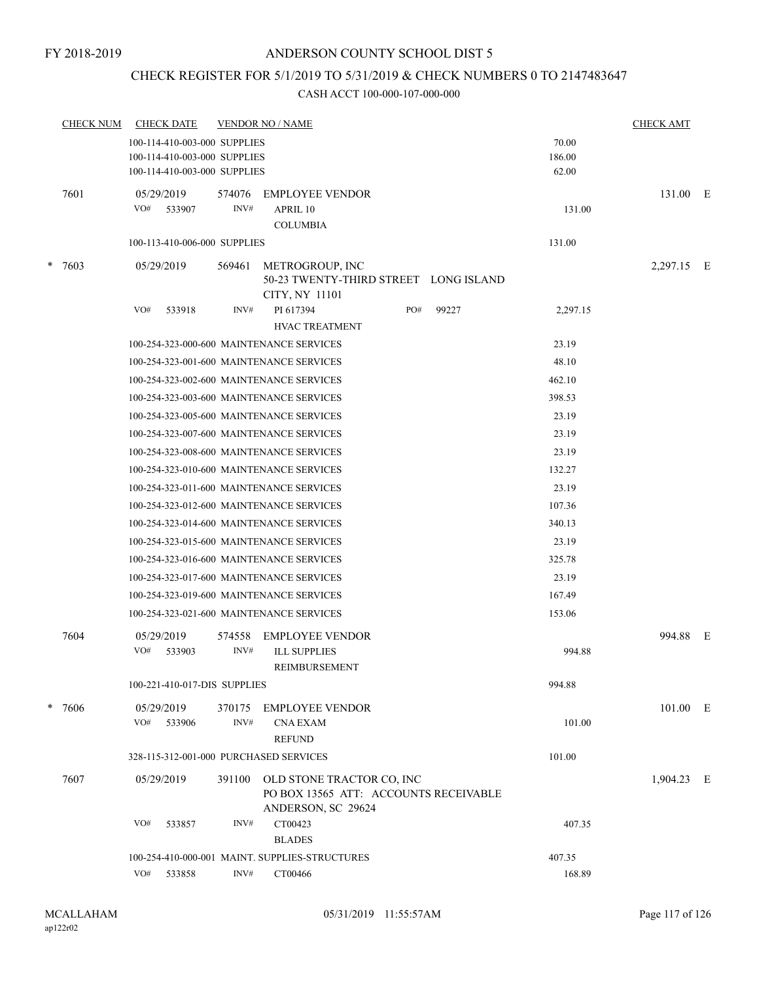## CHECK REGISTER FOR 5/1/2019 TO 5/31/2019 & CHECK NUMBERS 0 TO 2147483647

|   | <b>CHECK NUM</b> | <b>CHECK DATE</b>                                                                            |                | <b>VENDOR NO / NAME</b>                                                    |     |       |                          | <b>CHECK AMT</b> |   |
|---|------------------|----------------------------------------------------------------------------------------------|----------------|----------------------------------------------------------------------------|-----|-------|--------------------------|------------------|---|
|   |                  | 100-114-410-003-000 SUPPLIES<br>100-114-410-003-000 SUPPLIES<br>100-114-410-003-000 SUPPLIES |                |                                                                            |     |       | 70.00<br>186.00<br>62.00 |                  |   |
|   | 7601             | 05/29/2019<br>VO#<br>533907                                                                  | 574076<br>INV# | <b>EMPLOYEE VENDOR</b><br>APRIL 10<br><b>COLUMBIA</b>                      |     |       | 131.00                   | 131.00 E         |   |
|   |                  | 100-113-410-006-000 SUPPLIES                                                                 |                |                                                                            |     |       | 131.00                   |                  |   |
| * | 7603             | 05/29/2019                                                                                   | 569461         | METROGROUP, INC<br>50-23 TWENTY-THIRD STREET LONG ISLAND<br>CITY, NY 11101 |     |       |                          | 2,297.15 E       |   |
|   |                  | VO#<br>533918                                                                                | INV#           | PI 617394                                                                  | PO# | 99227 | 2,297.15                 |                  |   |
|   |                  |                                                                                              |                | <b>HVAC TREATMENT</b>                                                      |     |       |                          |                  |   |
|   |                  |                                                                                              |                | 100-254-323-000-600 MAINTENANCE SERVICES                                   |     |       | 23.19                    |                  |   |
|   |                  |                                                                                              |                | 100-254-323-001-600 MAINTENANCE SERVICES                                   |     |       | 48.10                    |                  |   |
|   |                  |                                                                                              |                | 100-254-323-002-600 MAINTENANCE SERVICES                                   |     |       | 462.10                   |                  |   |
|   |                  |                                                                                              |                | 100-254-323-003-600 MAINTENANCE SERVICES                                   |     |       | 398.53                   |                  |   |
|   |                  |                                                                                              |                | 100-254-323-005-600 MAINTENANCE SERVICES                                   |     |       | 23.19                    |                  |   |
|   |                  |                                                                                              |                | 100-254-323-007-600 MAINTENANCE SERVICES                                   |     |       | 23.19                    |                  |   |
|   |                  |                                                                                              |                | 100-254-323-008-600 MAINTENANCE SERVICES                                   |     |       | 23.19                    |                  |   |
|   |                  |                                                                                              |                | 100-254-323-010-600 MAINTENANCE SERVICES                                   |     |       | 132.27                   |                  |   |
|   |                  |                                                                                              |                | 100-254-323-011-600 MAINTENANCE SERVICES                                   |     |       | 23.19                    |                  |   |
|   |                  |                                                                                              |                | 100-254-323-012-600 MAINTENANCE SERVICES                                   |     |       | 107.36                   |                  |   |
|   |                  |                                                                                              |                | 100-254-323-014-600 MAINTENANCE SERVICES                                   |     |       | 340.13                   |                  |   |
|   |                  |                                                                                              |                | 100-254-323-015-600 MAINTENANCE SERVICES                                   |     |       | 23.19                    |                  |   |
|   |                  |                                                                                              |                | 100-254-323-016-600 MAINTENANCE SERVICES                                   |     |       | 325.78                   |                  |   |
|   |                  |                                                                                              |                | 100-254-323-017-600 MAINTENANCE SERVICES                                   |     |       | 23.19                    |                  |   |
|   |                  |                                                                                              |                | 100-254-323-019-600 MAINTENANCE SERVICES                                   |     |       | 167.49                   |                  |   |
|   |                  |                                                                                              |                | 100-254-323-021-600 MAINTENANCE SERVICES                                   |     |       | 153.06                   |                  |   |
|   | 7604             | 05/29/2019<br>VO#<br>533903                                                                  | 574558<br>INV# | <b>EMPLOYEE VENDOR</b><br><b>ILL SUPPLIES</b><br>REIMBURSEMENT             |     |       | 994.88                   | 994.88           | E |
|   |                  | 100-221-410-017-DIS SUPPLIES                                                                 |                |                                                                            |     |       | 994.88                   |                  |   |
|   | $* 7606$         | 05/29/2019<br>VO#<br>533906                                                                  | 370175<br>INV# | <b>EMPLOYEE VENDOR</b><br><b>CNA EXAM</b><br><b>REFUND</b>                 |     |       | 101.00                   | 101.00 E         |   |
|   |                  | 328-115-312-001-000 PURCHASED SERVICES                                                       |                |                                                                            |     |       | 101.00                   |                  |   |
|   | 7607             | 05/29/2019                                                                                   | 391100         | OLD STONE TRACTOR CO, INC<br>PO BOX 13565 ATT: ACCOUNTS RECEIVABLE         |     |       |                          | 1,904.23 E       |   |
|   |                  |                                                                                              |                | ANDERSON, SC 29624                                                         |     |       |                          |                  |   |
|   |                  | VO#<br>533857                                                                                | INV#           | CT00423<br><b>BLADES</b>                                                   |     |       | 407.35                   |                  |   |
|   |                  |                                                                                              |                | 100-254-410-000-001 MAINT. SUPPLIES-STRUCTURES                             |     |       | 407.35                   |                  |   |
|   |                  | VO# 533858                                                                                   | INV#           | CT00466                                                                    |     |       | 168.89                   |                  |   |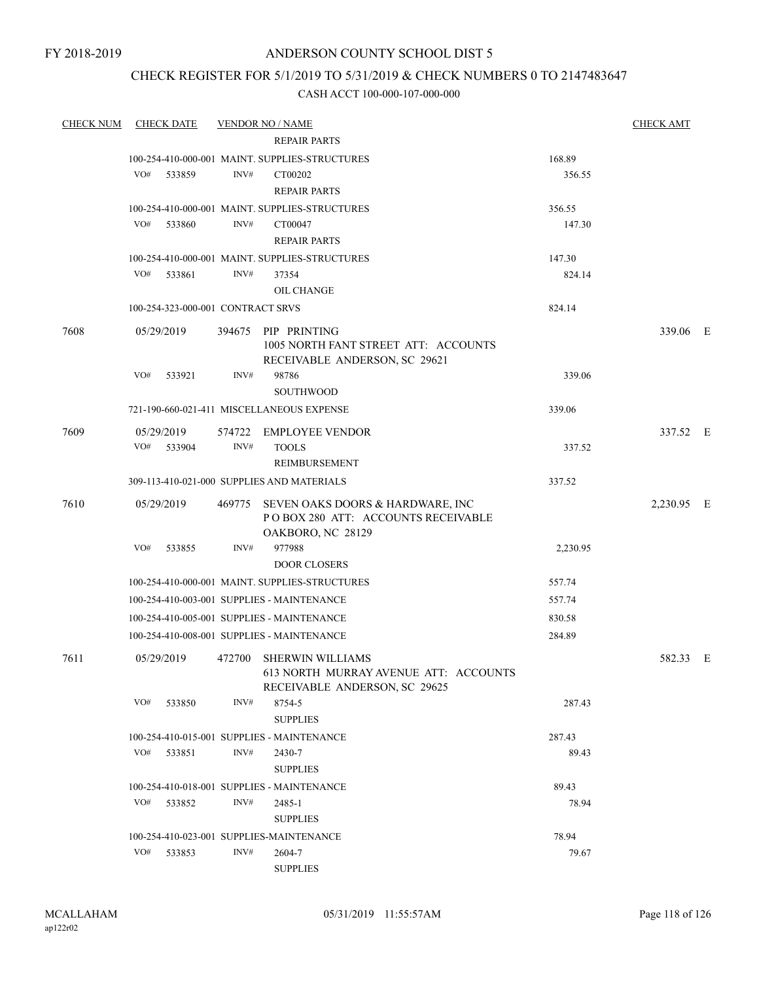FY 2018-2019

## ANDERSON COUNTY SCHOOL DIST 5

## CHECK REGISTER FOR 5/1/2019 TO 5/31/2019 & CHECK NUMBERS 0 TO 2147483647

| <b>CHECK NUM</b> | <b>CHECK DATE</b>                        |        | <b>VENDOR NO / NAME</b>                                                                           |          | <b>CHECK AMT</b> |  |
|------------------|------------------------------------------|--------|---------------------------------------------------------------------------------------------------|----------|------------------|--|
|                  |                                          |        | <b>REPAIR PARTS</b>                                                                               |          |                  |  |
|                  |                                          |        | 100-254-410-000-001 MAINT. SUPPLIES-STRUCTURES                                                    | 168.89   |                  |  |
|                  | VO#<br>533859                            | INV#   | CT00202                                                                                           | 356.55   |                  |  |
|                  |                                          |        | <b>REPAIR PARTS</b>                                                                               |          |                  |  |
|                  |                                          |        | 100-254-410-000-001 MAINT. SUPPLIES-STRUCTURES                                                    | 356.55   |                  |  |
|                  | VO#<br>533860                            | INV#   | CT00047                                                                                           | 147.30   |                  |  |
|                  |                                          |        | <b>REPAIR PARTS</b>                                                                               |          |                  |  |
|                  |                                          |        | 100-254-410-000-001 MAINT. SUPPLIES-STRUCTURES                                                    | 147.30   |                  |  |
|                  | VO#<br>533861                            | INV#   | 37354                                                                                             | 824.14   |                  |  |
|                  |                                          |        | OIL CHANGE                                                                                        |          |                  |  |
|                  | 100-254-323-000-001 CONTRACT SRVS        |        |                                                                                                   | 824.14   |                  |  |
| 7608             | 05/29/2019                               | 394675 | PIP PRINTING<br>1005 NORTH FANT STREET ATT: ACCOUNTS<br>RECEIVABLE ANDERSON, SC 29621             |          | 339.06 E         |  |
|                  | VO#<br>533921                            | INV#   | 98786<br><b>SOUTHWOOD</b>                                                                         | 339.06   |                  |  |
|                  |                                          |        | 721-190-660-021-411 MISCELLANEOUS EXPENSE                                                         | 339.06   |                  |  |
|                  |                                          |        |                                                                                                   |          |                  |  |
| 7609             | 05/29/2019                               | 574722 | <b>EMPLOYEE VENDOR</b>                                                                            |          | 337.52 E         |  |
|                  | VO#<br>533904                            | INV#   | <b>TOOLS</b>                                                                                      | 337.52   |                  |  |
|                  |                                          |        | REIMBURSEMENT                                                                                     |          |                  |  |
|                  |                                          |        | 309-113-410-021-000 SUPPLIES AND MATERIALS                                                        | 337.52   |                  |  |
| 7610             | 05/29/2019                               | 469775 | SEVEN OAKS DOORS & HARDWARE, INC<br>POBOX 280 ATT: ACCOUNTS RECEIVABLE<br>OAKBORO, NC 28129       |          | 2,230.95 E       |  |
|                  | VO#<br>533855                            | INV#   | 977988                                                                                            | 2,230.95 |                  |  |
|                  |                                          |        | <b>DOOR CLOSERS</b>                                                                               |          |                  |  |
|                  |                                          |        | 100-254-410-000-001 MAINT. SUPPLIES-STRUCTURES                                                    | 557.74   |                  |  |
|                  |                                          |        | 100-254-410-003-001 SUPPLIES - MAINTENANCE                                                        | 557.74   |                  |  |
|                  |                                          |        | 100-254-410-005-001 SUPPLIES - MAINTENANCE                                                        | 830.58   |                  |  |
|                  |                                          |        | 100-254-410-008-001 SUPPLIES - MAINTENANCE                                                        | 284.89   |                  |  |
| 7611             | 05/29/2019                               | 472700 | <b>SHERWIN WILLIAMS</b><br>613 NORTH MURRAY AVENUE ATT: ACCOUNTS<br>RECEIVABLE ANDERSON, SC 29625 |          | 582.33 E         |  |
|                  | VO#<br>533850                            | INV#   | 8754-5<br><b>SUPPLIES</b>                                                                         | 287.43   |                  |  |
|                  |                                          |        | 100-254-410-015-001 SUPPLIES - MAINTENANCE                                                        | 287.43   |                  |  |
|                  | VO#<br>533851                            | INV#   | 2430-7                                                                                            | 89.43    |                  |  |
|                  |                                          |        | <b>SUPPLIES</b>                                                                                   |          |                  |  |
|                  |                                          |        | 100-254-410-018-001 SUPPLIES - MAINTENANCE                                                        | 89.43    |                  |  |
|                  | VO#<br>533852                            | INV#   | 2485-1                                                                                            | 78.94    |                  |  |
|                  |                                          |        | <b>SUPPLIES</b>                                                                                   |          |                  |  |
|                  | 100-254-410-023-001 SUPPLIES-MAINTENANCE |        |                                                                                                   | 78.94    |                  |  |
|                  | VO#<br>533853                            | INV#   | 2604-7                                                                                            | 79.67    |                  |  |
|                  |                                          |        | <b>SUPPLIES</b>                                                                                   |          |                  |  |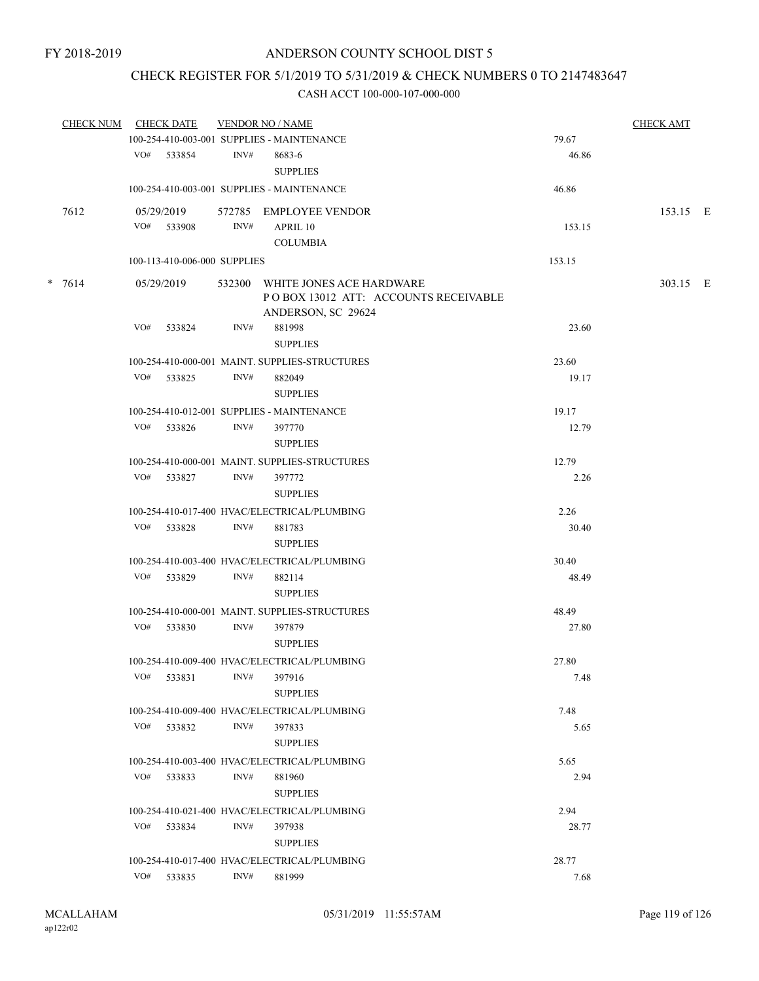## CHECK REGISTER FOR 5/1/2019 TO 5/31/2019 & CHECK NUMBERS 0 TO 2147483647

| CHECK NUM CHECK DATE |     |                              |                | <b>VENDOR NO / NAME</b>                                                                |        | <b>CHECK AMT</b> |  |
|----------------------|-----|------------------------------|----------------|----------------------------------------------------------------------------------------|--------|------------------|--|
|                      |     |                              |                | 100-254-410-003-001 SUPPLIES - MAINTENANCE                                             | 79.67  |                  |  |
|                      |     | VO# 533854                   | INV#           | 8683-6<br><b>SUPPLIES</b>                                                              | 46.86  |                  |  |
|                      |     |                              |                | 100-254-410-003-001 SUPPLIES - MAINTENANCE                                             | 46.86  |                  |  |
| 7612                 |     | 05/29/2019                   |                | 572785 EMPLOYEE VENDOR                                                                 |        | 153.15 E         |  |
|                      |     | VO# 533908                   | INV#           | APRIL 10                                                                               | 153.15 |                  |  |
|                      |     |                              |                | <b>COLUMBIA</b>                                                                        |        |                  |  |
|                      |     | 100-113-410-006-000 SUPPLIES |                |                                                                                        | 153.15 |                  |  |
| $* 7614$             |     | 05/29/2019                   | 532300         | WHITE JONES ACE HARDWARE<br>POBOX 13012 ATT: ACCOUNTS RECEIVABLE<br>ANDERSON, SC 29624 |        | 303.15 E         |  |
|                      | VO# | 533824                       | INV#           | 881998                                                                                 | 23.60  |                  |  |
|                      |     |                              |                | <b>SUPPLIES</b>                                                                        |        |                  |  |
|                      |     |                              |                | 100-254-410-000-001 MAINT. SUPPLIES-STRUCTURES                                         | 23.60  |                  |  |
|                      |     | VO# 533825                   | INV#           | 882049<br><b>SUPPLIES</b>                                                              | 19.17  |                  |  |
|                      |     |                              |                | 100-254-410-012-001 SUPPLIES - MAINTENANCE                                             | 19.17  |                  |  |
|                      | VO# | 533826                       | INV#           | 397770<br><b>SUPPLIES</b>                                                              | 12.79  |                  |  |
|                      |     |                              |                | 100-254-410-000-001 MAINT, SUPPLIES-STRUCTURES                                         | 12.79  |                  |  |
|                      |     | VO# 533827                   | INV#           | 397772<br><b>SUPPLIES</b>                                                              | 2.26   |                  |  |
|                      |     |                              |                | 100-254-410-017-400 HVAC/ELECTRICAL/PLUMBING                                           | 2.26   |                  |  |
|                      |     | VO# 533828                   | INV#           | 881783<br><b>SUPPLIES</b>                                                              | 30.40  |                  |  |
|                      |     |                              |                | 100-254-410-003-400 HVAC/ELECTRICAL/PLUMBING                                           | 30.40  |                  |  |
|                      |     | VO# 533829                   | INV#           | 882114<br><b>SUPPLIES</b>                                                              | 48.49  |                  |  |
|                      |     |                              |                | 100-254-410-000-001 MAINT, SUPPLIES-STRUCTURES                                         | 48.49  |                  |  |
|                      |     | VO# 533830                   | INV#           | 397879<br><b>SUPPLIES</b>                                                              | 27.80  |                  |  |
|                      |     |                              |                | 100-254-410-009-400 HVAC/ELECTRICAL/PLUMBING                                           | 27.80  |                  |  |
|                      | VO# | 533831                       | $\text{INV}\#$ | 397916<br><b>SUPPLIES</b>                                                              | 7.48   |                  |  |
|                      |     |                              |                | 100-254-410-009-400 HVAC/ELECTRICAL/PLUMBING                                           | 7.48   |                  |  |
|                      |     | VO# 533832                   | INV#           | 397833<br><b>SUPPLIES</b>                                                              | 5.65   |                  |  |
|                      |     |                              |                | 100-254-410-003-400 HVAC/ELECTRICAL/PLUMBING                                           | 5.65   |                  |  |
|                      | VO# | 533833                       | INV#           | 881960<br><b>SUPPLIES</b>                                                              | 2.94   |                  |  |
|                      |     |                              |                | 100-254-410-021-400 HVAC/ELECTRICAL/PLUMBING                                           | 2.94   |                  |  |
|                      | VO# | 533834                       | INV#           | 397938<br><b>SUPPLIES</b>                                                              | 28.77  |                  |  |
|                      |     |                              |                | 100-254-410-017-400 HVAC/ELECTRICAL/PLUMBING                                           | 28.77  |                  |  |
|                      |     | VO# 533835                   | INV#           | 881999                                                                                 | 7.68   |                  |  |
|                      |     |                              |                |                                                                                        |        |                  |  |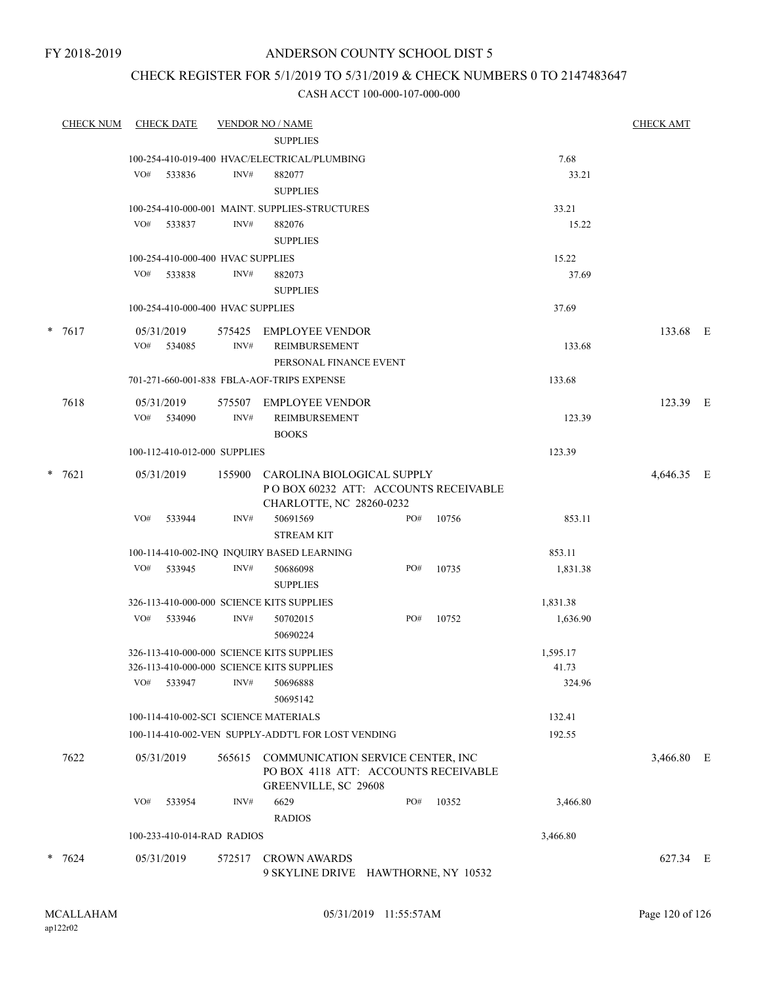FY 2018-2019

## ANDERSON COUNTY SCHOOL DIST 5

## CHECK REGISTER FOR 5/1/2019 TO 5/31/2019 & CHECK NUMBERS 0 TO 2147483647

| <b>CHECK NUM</b> |            | <b>CHECK DATE</b>                           |        | <b>VENDOR NO / NAME</b>                                                   |     |       |          | <b>CHECK AMT</b> |  |
|------------------|------------|---------------------------------------------|--------|---------------------------------------------------------------------------|-----|-------|----------|------------------|--|
|                  |            |                                             |        | <b>SUPPLIES</b>                                                           |     |       |          |                  |  |
|                  |            |                                             |        | 100-254-410-019-400 HVAC/ELECTRICAL/PLUMBING                              |     |       | 7.68     |                  |  |
|                  | VO#        | 533836                                      | INV#   | 882077                                                                    |     |       | 33.21    |                  |  |
|                  |            |                                             |        | <b>SUPPLIES</b>                                                           |     |       |          |                  |  |
|                  |            | VO# 533837                                  | INV#   | 100-254-410-000-001 MAINT. SUPPLIES-STRUCTURES                            |     |       | 33.21    |                  |  |
|                  |            |                                             |        | 882076<br><b>SUPPLIES</b>                                                 |     |       | 15.22    |                  |  |
|                  |            |                                             |        |                                                                           |     |       | 15.22    |                  |  |
|                  | VO#        | 100-254-410-000-400 HVAC SUPPLIES<br>533838 | INV#   | 882073                                                                    |     |       | 37.69    |                  |  |
|                  |            |                                             |        | <b>SUPPLIES</b>                                                           |     |       |          |                  |  |
|                  |            | 100-254-410-000-400 HVAC SUPPLIES           |        |                                                                           |     |       | 37.69    |                  |  |
|                  |            |                                             |        |                                                                           |     |       |          |                  |  |
| $* 7617$         | 05/31/2019 |                                             |        | 575425 EMPLOYEE VENDOR                                                    |     |       |          | 133.68 E         |  |
|                  |            | VO# 534085                                  | INV#   | REIMBURSEMENT                                                             |     |       | 133.68   |                  |  |
|                  |            |                                             |        | PERSONAL FINANCE EVENT                                                    |     |       |          |                  |  |
|                  |            |                                             |        | 701-271-660-001-838 FBLA-AOF-TRIPS EXPENSE                                |     |       | 133.68   |                  |  |
| 7618             | 05/31/2019 |                                             |        | 575507 EMPLOYEE VENDOR                                                    |     |       |          | 123.39 E         |  |
|                  |            | VO# 534090                                  | INV#   | REIMBURSEMENT                                                             |     |       | 123.39   |                  |  |
|                  |            |                                             |        | <b>BOOKS</b>                                                              |     |       |          |                  |  |
|                  |            | 100-112-410-012-000 SUPPLIES                |        |                                                                           |     |       | 123.39   |                  |  |
| $* 7621$         | 05/31/2019 |                                             |        | 155900 CAROLINA BIOLOGICAL SUPPLY                                         |     |       |          | 4,646.35 E       |  |
|                  |            |                                             |        | POBOX 60232 ATT: ACCOUNTS RECEIVABLE                                      |     |       |          |                  |  |
|                  |            |                                             |        | CHARLOTTE, NC 28260-0232                                                  |     |       |          |                  |  |
|                  | VO#        | 533944                                      | INV#   | 50691569                                                                  | PO# | 10756 | 853.11   |                  |  |
|                  |            |                                             |        | <b>STREAM KIT</b>                                                         |     |       |          |                  |  |
|                  |            |                                             |        | 100-114-410-002-INQ INQUIRY BASED LEARNING                                |     |       | 853.11   |                  |  |
|                  |            | VO# 533945                                  | INV#   | 50686098                                                                  | PO# | 10735 | 1,831.38 |                  |  |
|                  |            |                                             |        | <b>SUPPLIES</b>                                                           |     |       |          |                  |  |
|                  |            | VO# 533946                                  | INV#   | 326-113-410-000-000 SCIENCE KITS SUPPLIES                                 | PO# |       | 1,831.38 |                  |  |
|                  |            |                                             |        | 50702015<br>50690224                                                      |     | 10752 | 1,636.90 |                  |  |
|                  |            |                                             |        | 326-113-410-000-000 SCIENCE KITS SUPPLIES                                 |     |       | 1,595.17 |                  |  |
|                  |            |                                             |        | 326-113-410-000-000 SCIENCE KITS SUPPLIES                                 |     |       | 41.73    |                  |  |
|                  | VO#        | 533947                                      | INV#   | 50696888                                                                  |     |       | 324.96   |                  |  |
|                  |            |                                             |        | 50695142                                                                  |     |       |          |                  |  |
|                  |            |                                             |        | 100-114-410-002-SCI SCIENCE MATERIALS                                     |     |       | 132.41   |                  |  |
|                  |            |                                             |        | 100-114-410-002-VEN SUPPLY-ADDT'L FOR LOST VENDING                        |     |       | 192.55   |                  |  |
|                  |            |                                             |        |                                                                           |     |       |          |                  |  |
| 7622             | 05/31/2019 |                                             | 565615 | COMMUNICATION SERVICE CENTER, INC<br>PO BOX 4118 ATT: ACCOUNTS RECEIVABLE |     |       |          | 3,466.80 E       |  |
|                  |            |                                             |        | GREENVILLE, SC 29608                                                      |     |       |          |                  |  |
|                  | VO#        | 533954                                      | INV#   | 6629                                                                      | PO# | 10352 | 3,466.80 |                  |  |
|                  |            |                                             |        | <b>RADIOS</b>                                                             |     |       |          |                  |  |
|                  |            | 100-233-410-014-RAD RADIOS                  |        |                                                                           |     |       | 3,466.80 |                  |  |
|                  |            |                                             |        |                                                                           |     |       |          |                  |  |
| $* 7624$         | 05/31/2019 |                                             |        | 572517 CROWN AWARDS<br>9 SKYLINE DRIVE HAWTHORNE, NY 10532                |     |       |          | 627.34 E         |  |
|                  |            |                                             |        |                                                                           |     |       |          |                  |  |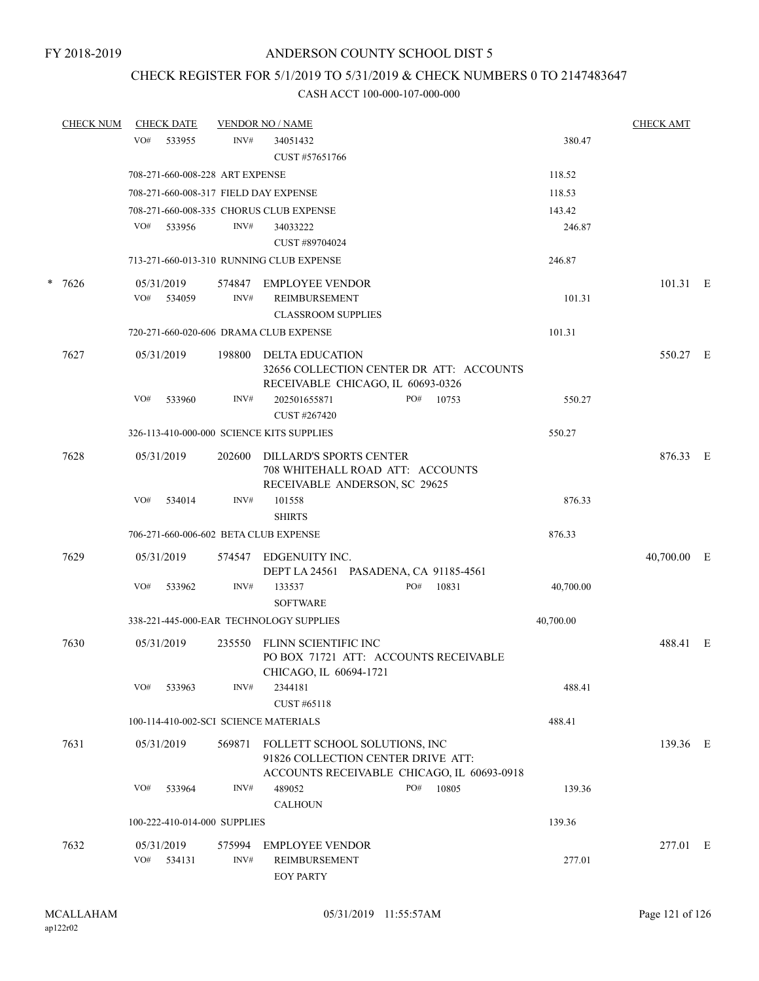## CHECK REGISTER FOR 5/1/2019 TO 5/31/2019 & CHECK NUMBERS 0 TO 2147483647

|  | <b>CHECK NUM</b> |                   | <b>CHECK DATE</b> |                                 | <b>VENDOR NO / NAME</b>                                                                             |     |                                            |           | <b>CHECK AMT</b> |  |
|--|------------------|-------------------|-------------------|---------------------------------|-----------------------------------------------------------------------------------------------------|-----|--------------------------------------------|-----------|------------------|--|
|  |                  | VO#               | 533955            | INV#                            | 34051432<br>CUST #57651766                                                                          |     |                                            | 380.47    |                  |  |
|  |                  |                   |                   | 708-271-660-008-228 ART EXPENSE |                                                                                                     |     |                                            | 118.52    |                  |  |
|  |                  |                   |                   |                                 | 708-271-660-008-317 FIELD DAY EXPENSE                                                               |     |                                            | 118.53    |                  |  |
|  |                  |                   |                   |                                 | 708-271-660-008-335 CHORUS CLUB EXPENSE                                                             |     |                                            | 143.42    |                  |  |
|  |                  | VO#               | 533956            | INV#                            | 34033222                                                                                            |     |                                            | 246.87    |                  |  |
|  |                  |                   |                   |                                 | CUST #89704024                                                                                      |     |                                            |           |                  |  |
|  |                  |                   |                   |                                 | 713-271-660-013-310 RUNNING CLUB EXPENSE                                                            |     |                                            | 246.87    |                  |  |
|  | $* 7626$         | 05/31/2019        |                   |                                 | 574847 EMPLOYEE VENDOR                                                                              |     |                                            |           | 101.31 E         |  |
|  |                  | VO#               | 534059            | INV#                            | REIMBURSEMENT                                                                                       |     |                                            | 101.31    |                  |  |
|  |                  |                   |                   |                                 | <b>CLASSROOM SUPPLIES</b>                                                                           |     |                                            |           |                  |  |
|  |                  |                   |                   |                                 | 720-271-660-020-606 DRAMA CLUB EXPENSE                                                              |     |                                            | 101.31    |                  |  |
|  | 7627             | 05/31/2019        |                   | 198800                          | DELTA EDUCATION<br>RECEIVABLE CHICAGO, IL 60693-0326                                                |     | 32656 COLLECTION CENTER DR ATT: ACCOUNTS   |           | 550.27 E         |  |
|  |                  | VO#               | 533960            | INV#                            | 202501655871<br>CUST #267420                                                                        | PO# | 10753                                      | 550.27    |                  |  |
|  |                  |                   |                   |                                 | 326-113-410-000-000 SCIENCE KITS SUPPLIES                                                           |     |                                            | 550.27    |                  |  |
|  | 7628             | 05/31/2019        |                   | 202600                          | <b>DILLARD'S SPORTS CENTER</b><br>708 WHITEHALL ROAD ATT: ACCOUNTS<br>RECEIVABLE ANDERSON, SC 29625 |     |                                            |           | 876.33 E         |  |
|  |                  | VO#               | 534014            | INV#                            | 101558<br><b>SHIRTS</b>                                                                             |     |                                            | 876.33    |                  |  |
|  |                  |                   |                   |                                 | 706-271-660-006-602 BETA CLUB EXPENSE                                                               |     |                                            | 876.33    |                  |  |
|  | 7629             | 05/31/2019        |                   | 574547                          | EDGENUITY INC.<br>DEPT LA 24561 PASADENA, CA 91185-4561                                             |     |                                            |           | $40,700.00$ E    |  |
|  |                  | VO#               | 533962            | INV#                            | 133537<br><b>SOFTWARE</b>                                                                           | PO# | 10831                                      | 40,700.00 |                  |  |
|  |                  |                   |                   |                                 | 338-221-445-000-EAR TECHNOLOGY SUPPLIES                                                             |     |                                            | 40,700.00 |                  |  |
|  | 7630             | 05/31/2019        |                   | 235550                          | FLINN SCIENTIFIC INC<br>PO BOX 71721 ATT: ACCOUNTS RECEIVABLE                                       |     |                                            |           | 488.41 E         |  |
|  |                  | VO#               | 533963            | INV#                            | CHICAGO, IL 60694-1721<br>2344181<br>CUST #65118                                                    |     |                                            | 488.41    |                  |  |
|  |                  |                   |                   |                                 | 100-114-410-002-SCI SCIENCE MATERIALS                                                               |     |                                            | 488.41    |                  |  |
|  | 7631             | 05/31/2019        |                   | 569871                          | FOLLETT SCHOOL SOLUTIONS, INC<br>91826 COLLECTION CENTER DRIVE ATT:                                 |     | ACCOUNTS RECEIVABLE CHICAGO, IL 60693-0918 |           | 139.36 E         |  |
|  |                  | VO#               | 533964            | INV#                            | 489052<br><b>CALHOUN</b>                                                                            | PO# | 10805                                      | 139.36    |                  |  |
|  |                  |                   |                   | 100-222-410-014-000 SUPPLIES    |                                                                                                     |     |                                            | 139.36    |                  |  |
|  | 7632             | 05/31/2019<br>VO# | 534131            | 575994<br>INV#                  | <b>EMPLOYEE VENDOR</b><br>REIMBURSEMENT<br><b>EOY PARTY</b>                                         |     |                                            | 277.01    | 277.01 E         |  |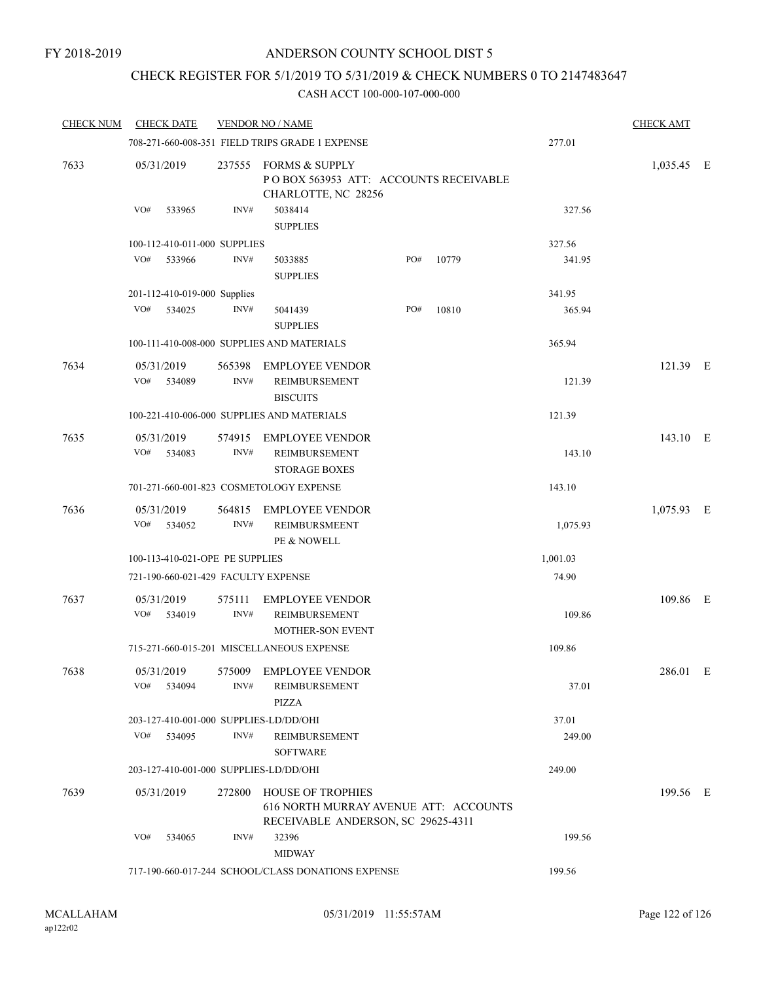## CHECK REGISTER FOR 5/1/2019 TO 5/31/2019 & CHECK NUMBERS 0 TO 2147483647

| <b>CHECK NUM</b> | <b>CHECK DATE</b>                      |                | <b>VENDOR NO / NAME</b>                                                                                 |     |       |          | <b>CHECK AMT</b> |   |
|------------------|----------------------------------------|----------------|---------------------------------------------------------------------------------------------------------|-----|-------|----------|------------------|---|
|                  |                                        |                | 708-271-660-008-351 FIELD TRIPS GRADE 1 EXPENSE                                                         |     |       | 277.01   |                  |   |
| 7633             | 05/31/2019                             | 237555         | <b>FORMS &amp; SUPPLY</b><br>POBOX 563953 ATT: ACCOUNTS RECEIVABLE<br>CHARLOTTE, NC 28256               |     |       |          | 1,035.45 E       |   |
|                  | VO#<br>533965                          | INV#           | 5038414<br><b>SUPPLIES</b>                                                                              |     |       | 327.56   |                  |   |
|                  | 100-112-410-011-000 SUPPLIES           |                |                                                                                                         |     |       | 327.56   |                  |   |
|                  | VO#<br>533966                          | INV#           | 5033885<br><b>SUPPLIES</b>                                                                              | PO# | 10779 | 341.95   |                  |   |
|                  | 201-112-410-019-000 Supplies           |                |                                                                                                         |     |       | 341.95   |                  |   |
|                  | VO#<br>534025                          | INV#           | 5041439<br><b>SUPPLIES</b>                                                                              | PO# | 10810 | 365.94   |                  |   |
|                  |                                        |                | 100-111-410-008-000 SUPPLIES AND MATERIALS                                                              |     |       | 365.94   |                  |   |
| 7634             | 05/31/2019                             | 565398         | <b>EMPLOYEE VENDOR</b>                                                                                  |     |       |          | 121.39 E         |   |
|                  | VO#<br>534089                          | INV#           | REIMBURSEMENT<br><b>BISCUITS</b>                                                                        |     |       | 121.39   |                  |   |
|                  |                                        |                | 100-221-410-006-000 SUPPLIES AND MATERIALS                                                              |     |       | 121.39   |                  |   |
| 7635             | 05/31/2019<br>VO#<br>534083            | 574915<br>INV# | <b>EMPLOYEE VENDOR</b><br>REIMBURSEMENT                                                                 |     |       | 143.10   | 143.10 E         |   |
|                  |                                        |                | <b>STORAGE BOXES</b>                                                                                    |     |       |          |                  |   |
|                  |                                        |                | 701-271-660-001-823 COSMETOLOGY EXPENSE                                                                 |     |       | 143.10   |                  |   |
| 7636             | 05/31/2019<br>VO#<br>534052            | 564815<br>INV# | <b>EMPLOYEE VENDOR</b><br><b>REIMBURSMEENT</b><br>PE & NOWELL                                           |     |       | 1,075.93 | 1,075.93 E       |   |
|                  | 100-113-410-021-OPE PE SUPPLIES        |                |                                                                                                         |     |       | 1,001.03 |                  |   |
|                  | 721-190-660-021-429 FACULTY EXPENSE    |                |                                                                                                         |     |       | 74.90    |                  |   |
| 7637             | 05/31/2019<br>VO#<br>534019            | 575111<br>INV# | <b>EMPLOYEE VENDOR</b><br>REIMBURSEMENT<br><b>MOTHER-SON EVENT</b>                                      |     |       | 109.86   | 109.86 E         |   |
|                  |                                        |                | 715-271-660-015-201 MISCELLANEOUS EXPENSE                                                               |     |       | 109.86   |                  |   |
| 7638             | 05/31/2019<br>VO#<br>534094            | INV#           | 575009 EMPLOYEE VENDOR<br>REIMBURSEMENT<br>PIZZA                                                        |     |       | 37.01    | 286.01           | E |
|                  | 203-127-410-001-000 SUPPLIES-LD/DD/OHI |                |                                                                                                         |     |       | 37.01    |                  |   |
|                  | VO#<br>534095                          | INV#           | <b>REIMBURSEMENT</b><br><b>SOFTWARE</b>                                                                 |     |       | 249.00   |                  |   |
|                  | 203-127-410-001-000 SUPPLIES-LD/DD/OHI |                |                                                                                                         |     |       | 249.00   |                  |   |
| 7639             | 05/31/2019                             |                | 272800 HOUSE OF TROPHIES<br>616 NORTH MURRAY AVENUE ATT: ACCOUNTS<br>RECEIVABLE ANDERSON, SC 29625-4311 |     |       |          | 199.56 E         |   |
|                  | VO#<br>534065                          | INV#           | 32396<br><b>MIDWAY</b>                                                                                  |     |       | 199.56   |                  |   |
|                  |                                        |                | 717-190-660-017-244 SCHOOL/CLASS DONATIONS EXPENSE                                                      |     |       | 199.56   |                  |   |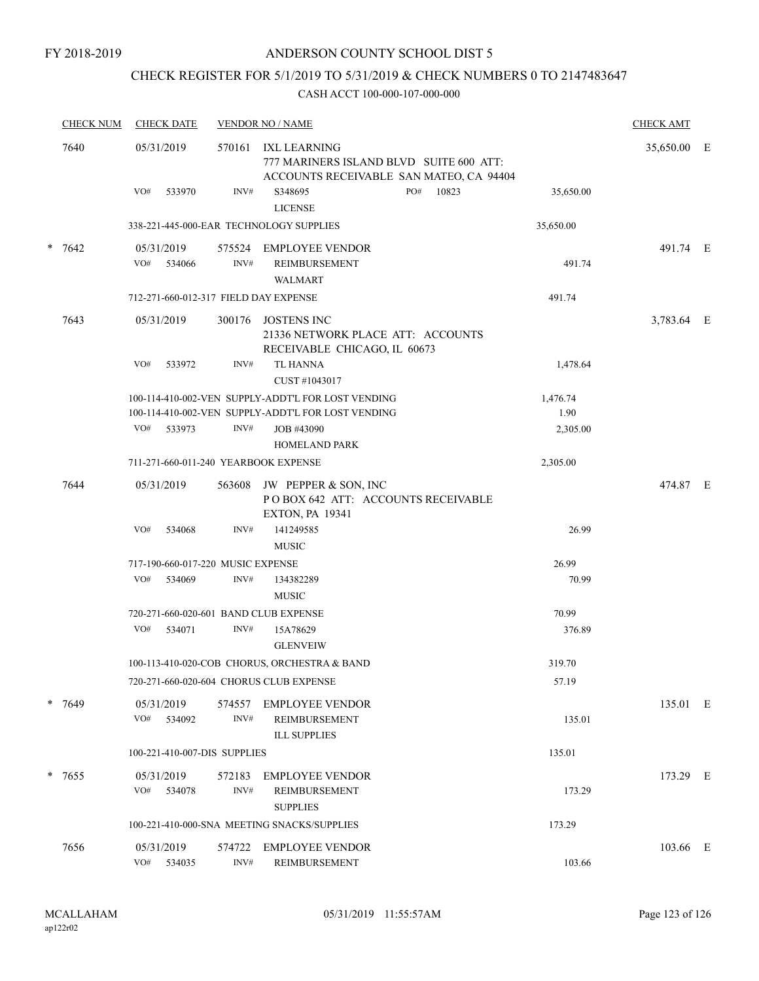## CHECK REGISTER FOR 5/1/2019 TO 5/31/2019 & CHECK NUMBERS 0 TO 2147483647

|      | <b>CHECK NUM</b> | <b>CHECK DATE</b>                     |                | <b>VENDOR NO / NAME</b>                                                                                  |                                                                                    |                  |             |  |  |
|------|------------------|---------------------------------------|----------------|----------------------------------------------------------------------------------------------------------|------------------------------------------------------------------------------------|------------------|-------------|--|--|
| 7640 |                  | 05/31/2019                            | 570161         | IXL LEARNING                                                                                             | 777 MARINERS ISLAND BLVD SUITE 600 ATT:<br>ACCOUNTS RECEIVABLE SAN MATEO, CA 94404 |                  | 35,650.00 E |  |  |
|      |                  | VO#<br>533970                         | INV#           | S348695<br><b>LICENSE</b>                                                                                | PO#<br>10823                                                                       | 35,650.00        |             |  |  |
|      |                  |                                       |                | 338-221-445-000-EAR TECHNOLOGY SUPPLIES                                                                  |                                                                                    | 35,650.00        |             |  |  |
|      | $* 7642$         | 05/31/2019                            |                | 575524 EMPLOYEE VENDOR                                                                                   |                                                                                    |                  | 491.74 E    |  |  |
|      |                  | VO# 534066                            | INV#           | REIMBURSEMENT<br><b>WALMART</b>                                                                          |                                                                                    | 491.74           |             |  |  |
|      |                  | 712-271-660-012-317 FIELD DAY EXPENSE |                |                                                                                                          |                                                                                    | 491.74           |             |  |  |
|      | 7643             | 05/31/2019                            | 300176         | JOSTENS INC<br>RECEIVABLE CHICAGO, IL 60673                                                              | 21336 NETWORK PLACE ATT: ACCOUNTS                                                  |                  | 3,783.64 E  |  |  |
|      |                  | VO#<br>533972                         | INV#           | <b>TL HANNA</b><br>CUST #1043017                                                                         |                                                                                    | 1,478.64         |             |  |  |
|      |                  |                                       |                | 100-114-410-002-VEN SUPPLY-ADDT'L FOR LOST VENDING<br>100-114-410-002-VEN SUPPLY-ADDT'L FOR LOST VENDING |                                                                                    | 1,476.74<br>1.90 |             |  |  |
|      |                  | VO#<br>533973                         | INV#           | JOB #43090<br><b>HOMELAND PARK</b>                                                                       |                                                                                    | 2,305.00         |             |  |  |
|      |                  | 711-271-660-011-240 YEARBOOK EXPENSE  |                |                                                                                                          |                                                                                    | 2,305.00         |             |  |  |
|      | 7644             | 05/31/2019                            | 563608         | JW PEPPER & SON, INC<br><b>EXTON, PA 19341</b>                                                           | POBOX 642 ATT: ACCOUNTS RECEIVABLE                                                 |                  | 474.87 E    |  |  |
|      |                  | VO#<br>534068                         | INV#           | 141249585<br><b>MUSIC</b>                                                                                |                                                                                    | 26.99            |             |  |  |
|      |                  | 717-190-660-017-220 MUSIC EXPENSE     |                |                                                                                                          |                                                                                    | 26.99            |             |  |  |
|      |                  | VO#<br>534069                         | INV#           | 134382289<br><b>MUSIC</b>                                                                                |                                                                                    | 70.99            |             |  |  |
|      |                  | 720-271-660-020-601 BAND CLUB EXPENSE |                |                                                                                                          |                                                                                    | 70.99            |             |  |  |
|      |                  | VO#<br>534071                         | INV#           | 15A78629<br><b>GLENVEIW</b>                                                                              |                                                                                    | 376.89           |             |  |  |
|      |                  |                                       |                | 100-113-410-020-COB CHORUS, ORCHESTRA & BAND                                                             |                                                                                    | 319.70           |             |  |  |
|      |                  |                                       |                | 720-271-660-020-604 CHORUS CLUB EXPENSE                                                                  |                                                                                    | 57.19            |             |  |  |
|      | $* 7649$         | 05/31/2019<br>VO#<br>534092           | 574557<br>INV# | <b>EMPLOYEE VENDOR</b><br>REIMBURSEMENT<br><b>ILL SUPPLIES</b>                                           |                                                                                    | 135.01           | 135.01 E    |  |  |
|      |                  | 100-221-410-007-DIS SUPPLIES          |                |                                                                                                          |                                                                                    | 135.01           |             |  |  |
|      | * 7655           | 05/31/2019                            | 572183         | <b>EMPLOYEE VENDOR</b>                                                                                   |                                                                                    |                  | 173.29 E    |  |  |
|      |                  | VO#<br>534078                         | INV#           | REIMBURSEMENT<br><b>SUPPLIES</b>                                                                         |                                                                                    | 173.29           |             |  |  |
|      |                  |                                       |                | 100-221-410-000-SNA MEETING SNACKS/SUPPLIES                                                              |                                                                                    | 173.29           |             |  |  |
|      | 7656             | 05/31/2019<br>VO# 534035              | 574722<br>INV# | <b>EMPLOYEE VENDOR</b><br>REIMBURSEMENT                                                                  |                                                                                    | 103.66           | 103.66 E    |  |  |
|      |                  |                                       |                |                                                                                                          |                                                                                    |                  |             |  |  |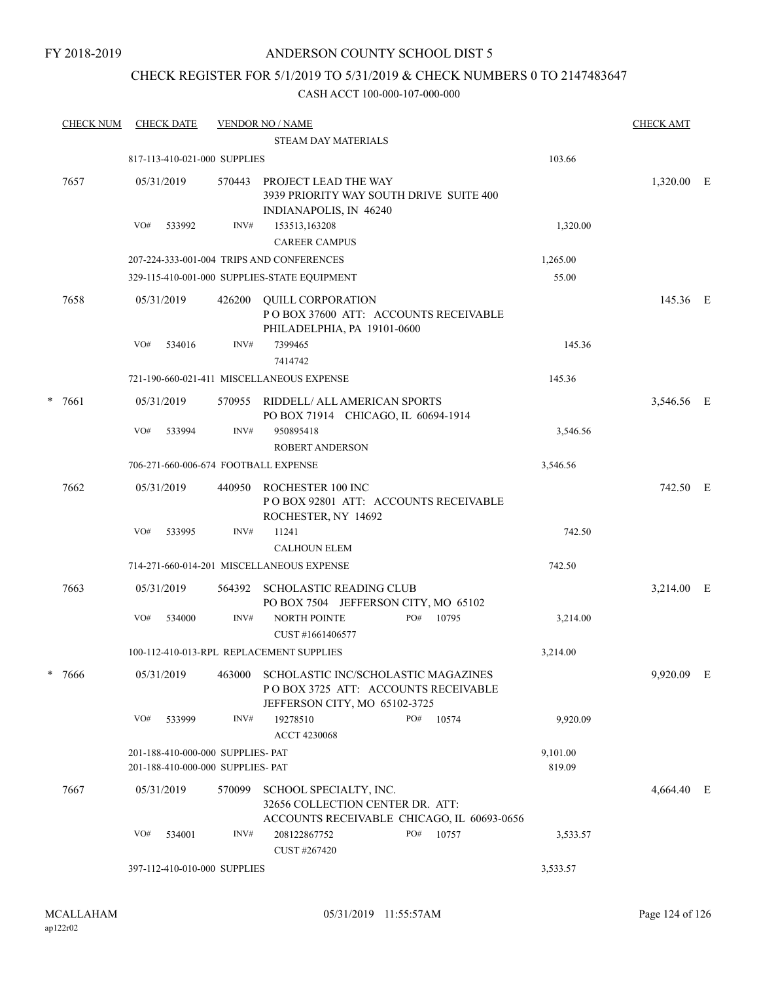## CHECK REGISTER FOR 5/1/2019 TO 5/31/2019 & CHECK NUMBERS 0 TO 2147483647

| <b>CHECK NUM</b> |      |                                   | <b>CHECK DATE</b> |                                   | <b>VENDOR NO / NAME</b>                                                                                             |  |     |       |          | <b>CHECK AMT</b> |  |
|------------------|------|-----------------------------------|-------------------|-----------------------------------|---------------------------------------------------------------------------------------------------------------------|--|-----|-------|----------|------------------|--|
|                  |      |                                   |                   |                                   | <b>STEAM DAY MATERIALS</b>                                                                                          |  |     |       |          |                  |  |
|                  |      |                                   |                   | 817-113-410-021-000 SUPPLIES      |                                                                                                                     |  |     |       | 103.66   |                  |  |
|                  | 7657 |                                   | 05/31/2019        | 570443                            | PROJECT LEAD THE WAY<br>3939 PRIORITY WAY SOUTH DRIVE SUITE 400<br>INDIANAPOLIS, IN 46240                           |  |     |       |          | 1,320.00 E       |  |
|                  |      | VO#                               | 533992            | INV#                              | 153513,163208                                                                                                       |  |     |       | 1,320.00 |                  |  |
|                  |      |                                   |                   |                                   | <b>CAREER CAMPUS</b>                                                                                                |  |     |       |          |                  |  |
|                  |      |                                   |                   |                                   | 207-224-333-001-004 TRIPS AND CONFERENCES                                                                           |  |     |       | 1,265.00 |                  |  |
|                  |      |                                   |                   |                                   | 329-115-410-001-000 SUPPLIES-STATE EQUIPMENT                                                                        |  |     |       | 55.00    |                  |  |
|                  | 7658 |                                   | 05/31/2019        | 426200                            | <b>QUILL CORPORATION</b><br>POBOX 37600 ATT: ACCOUNTS RECEIVABLE<br>PHILADELPHIA, PA 19101-0600                     |  |     |       |          | 145.36 E         |  |
|                  |      | VO#                               | 534016            | INV#                              | 7399465<br>7414742                                                                                                  |  |     |       | 145.36   |                  |  |
|                  |      |                                   |                   |                                   | 721-190-660-021-411 MISCELLANEOUS EXPENSE                                                                           |  |     |       | 145.36   |                  |  |
| *                | 7661 |                                   | 05/31/2019        | 570955                            | RIDDELL/ ALL AMERICAN SPORTS<br>PO BOX 71914 CHICAGO, IL 60694-1914                                                 |  |     |       |          | 3,546.56 E       |  |
|                  |      | VO#                               | 533994            | INV#                              | 950895418<br><b>ROBERT ANDERSON</b>                                                                                 |  |     |       | 3,546.56 |                  |  |
|                  |      |                                   |                   |                                   | 706-271-660-006-674 FOOTBALL EXPENSE                                                                                |  |     |       | 3,546.56 |                  |  |
|                  | 7662 |                                   | 05/31/2019        | 440950                            | ROCHESTER 100 INC<br>POBOX 92801 ATT: ACCOUNTS RECEIVABLE<br>ROCHESTER, NY 14692                                    |  |     |       |          | 742.50 E         |  |
|                  |      | VO#                               | 533995            | INV#                              | 11241<br><b>CALHOUN ELEM</b>                                                                                        |  |     |       | 742.50   |                  |  |
|                  |      |                                   |                   |                                   | 714-271-660-014-201 MISCELLANEOUS EXPENSE                                                                           |  |     |       | 742.50   |                  |  |
|                  | 7663 |                                   | 05/31/2019        | 564392                            | SCHOLASTIC READING CLUB<br>PO BOX 7504 JEFFERSON CITY, MO 65102                                                     |  |     |       |          | 3,214.00 E       |  |
|                  |      | VO#                               | 534000            | INV#                              | NORTH POINTE<br>CUST #1661406577                                                                                    |  | PO# | 10795 | 3,214.00 |                  |  |
|                  |      |                                   |                   |                                   | 100-112-410-013-RPL REPLACEMENT SUPPLIES                                                                            |  |     |       | 3,214.00 |                  |  |
|                  | 7666 |                                   | 05/31/2019        |                                   | 463000 SCHOLASTIC INC/SCHOLASTIC MAGAZINES<br>PO BOX 3725 ATT: ACCOUNTS RECEIVABLE<br>JEFFERSON CITY, MO 65102-3725 |  |     |       |          | 9,920.09 E       |  |
|                  |      | VO#                               | 533999            | INV#                              | 19278510<br><b>ACCT 4230068</b>                                                                                     |  | PO# | 10574 | 9,920.09 |                  |  |
|                  |      | 201-188-410-000-000 SUPPLIES- PAT |                   |                                   |                                                                                                                     |  |     |       | 9,101.00 |                  |  |
|                  |      |                                   |                   | 201-188-410-000-000 SUPPLIES- PAT |                                                                                                                     |  |     |       | 819.09   |                  |  |
|                  | 7667 |                                   | 05/31/2019        | 570099                            | SCHOOL SPECIALTY, INC.<br>32656 COLLECTION CENTER DR. ATT:<br>ACCOUNTS RECEIVABLE CHICAGO, IL 60693-0656            |  |     |       |          | 4,664.40 E       |  |
|                  |      | VO#                               | 534001            | INV#                              | 208122867752<br>CUST #267420                                                                                        |  | PO# | 10757 | 3,533.57 |                  |  |
|                  |      |                                   |                   | 397-112-410-010-000 SUPPLIES      |                                                                                                                     |  |     |       | 3,533.57 |                  |  |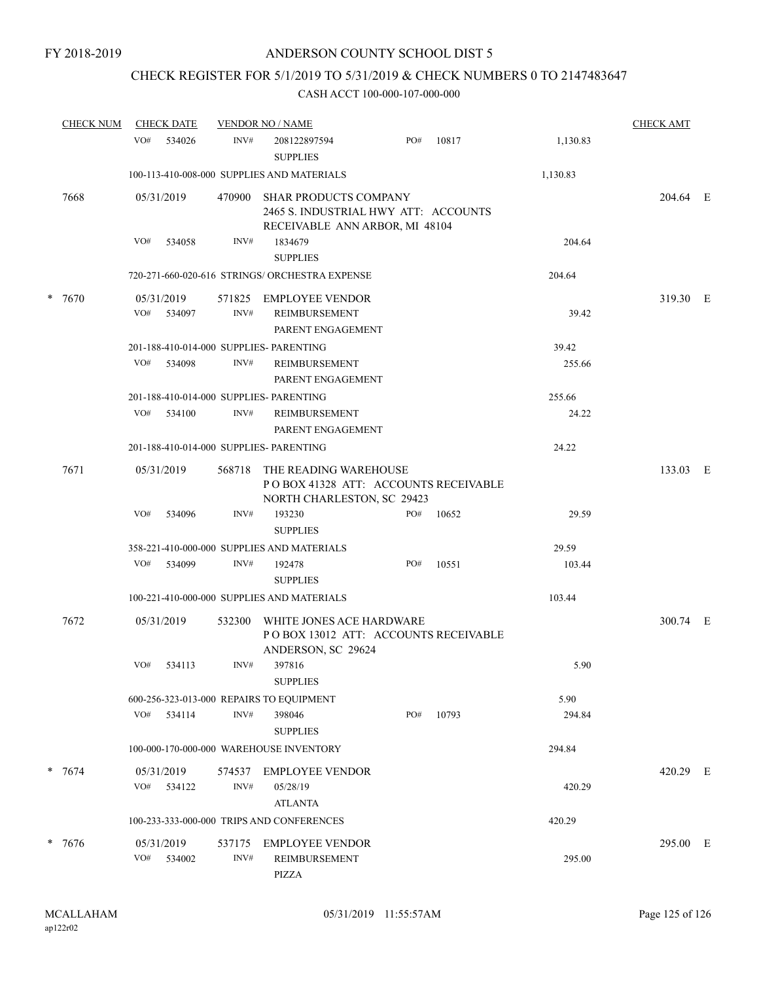## CHECK REGISTER FOR 5/1/2019 TO 5/31/2019 & CHECK NUMBERS 0 TO 2147483647

| <b>CHECK NUM</b> |                   | <b>CHECK DATE</b> |                | <b>VENDOR NO / NAME</b>                                                                                |     |       |          | <b>CHECK AMT</b> |  |
|------------------|-------------------|-------------------|----------------|--------------------------------------------------------------------------------------------------------|-----|-------|----------|------------------|--|
|                  | VO#               | 534026            | INV#           | 208122897594<br><b>SUPPLIES</b>                                                                        | PO# | 10817 | 1,130.83 |                  |  |
|                  |                   |                   |                | 100-113-410-008-000 SUPPLIES AND MATERIALS                                                             |     |       | 1,130.83 |                  |  |
| 7668             | 05/31/2019        |                   | 470900         | <b>SHAR PRODUCTS COMPANY</b><br>2465 S. INDUSTRIAL HWY ATT: ACCOUNTS<br>RECEIVABLE ANN ARBOR, MI 48104 |     |       |          | 204.64 E         |  |
|                  | VO#               | 534058            | INV#           | 1834679<br><b>SUPPLIES</b>                                                                             |     |       | 204.64   |                  |  |
|                  |                   |                   |                | 720-271-660-020-616 STRINGS/ ORCHESTRA EXPENSE                                                         |     |       | 204.64   |                  |  |
| * 7670           | 05/31/2019<br>VO# | 534097            | 571825<br>INV# | <b>EMPLOYEE VENDOR</b><br>REIMBURSEMENT                                                                |     |       | 39.42    | 319.30 E         |  |
|                  |                   |                   |                | PARENT ENGAGEMENT                                                                                      |     |       |          |                  |  |
|                  |                   |                   |                | 201-188-410-014-000 SUPPLIES- PARENTING                                                                |     |       | 39.42    |                  |  |
|                  |                   | VO# 534098        | INV#           | REIMBURSEMENT<br>PARENT ENGAGEMENT                                                                     |     |       | 255.66   |                  |  |
|                  |                   |                   |                | 201-188-410-014-000 SUPPLIES- PARENTING                                                                |     |       | 255.66   |                  |  |
|                  | VO#               | 534100            | INV#           | <b>REIMBURSEMENT</b><br>PARENT ENGAGEMENT                                                              |     |       | 24.22    |                  |  |
|                  |                   |                   |                | 201-188-410-014-000 SUPPLIES- PARENTING                                                                |     |       | 24.22    |                  |  |
| 7671             | 05/31/2019        |                   | 568718         | THE READING WAREHOUSE<br>POBOX 41328 ATT: ACCOUNTS RECEIVABLE<br>NORTH CHARLESTON, SC 29423            |     |       |          | 133.03 E         |  |
|                  | VO#               | 534096            | INV#           | 193230<br><b>SUPPLIES</b>                                                                              | PO# | 10652 | 29.59    |                  |  |
|                  |                   |                   |                | 358-221-410-000-000 SUPPLIES AND MATERIALS                                                             |     |       | 29.59    |                  |  |
|                  | VO#               | 534099            | INV#           | 192478<br><b>SUPPLIES</b>                                                                              | PO# | 10551 | 103.44   |                  |  |
|                  |                   |                   |                | 100-221-410-000-000 SUPPLIES AND MATERIALS                                                             |     |       | 103.44   |                  |  |
| 7672             | 05/31/2019        |                   | 532300         | WHITE JONES ACE HARDWARE<br>POBOX 13012 ATT: ACCOUNTS RECEIVABLE<br>ANDERSON, SC 29624                 |     |       |          | 300.74 E         |  |
|                  |                   | VO# 534113        | INV#           | 397816<br><b>SUPPLIES</b>                                                                              |     |       | 5.90     |                  |  |
|                  |                   |                   |                | 600-256-323-013-000 REPAIRS TO EQUIPMENT                                                               |     |       | 5.90     |                  |  |
|                  | VO#               | 534114            | INV#           | 398046<br><b>SUPPLIES</b>                                                                              | PO# | 10793 | 294.84   |                  |  |
|                  |                   |                   |                | 100-000-170-000-000 WAREHOUSE INVENTORY                                                                |     |       | 294.84   |                  |  |
| $* 7674$         | 05/31/2019        |                   | 574537         | <b>EMPLOYEE VENDOR</b>                                                                                 |     |       |          | 420.29 E         |  |
|                  | VO#               | 534122            | INV#           | 05/28/19<br><b>ATLANTA</b>                                                                             |     |       | 420.29   |                  |  |
|                  |                   |                   |                | 100-233-333-000-000 TRIPS AND CONFERENCES                                                              |     |       | 420.29   |                  |  |
| * 7676           | 05/31/2019        |                   | 537175         | <b>EMPLOYEE VENDOR</b>                                                                                 |     |       |          | 295.00 E         |  |
|                  | VO#               | 534002            | INV#           | <b>REIMBURSEMENT</b><br>PIZZA                                                                          |     |       | 295.00   |                  |  |